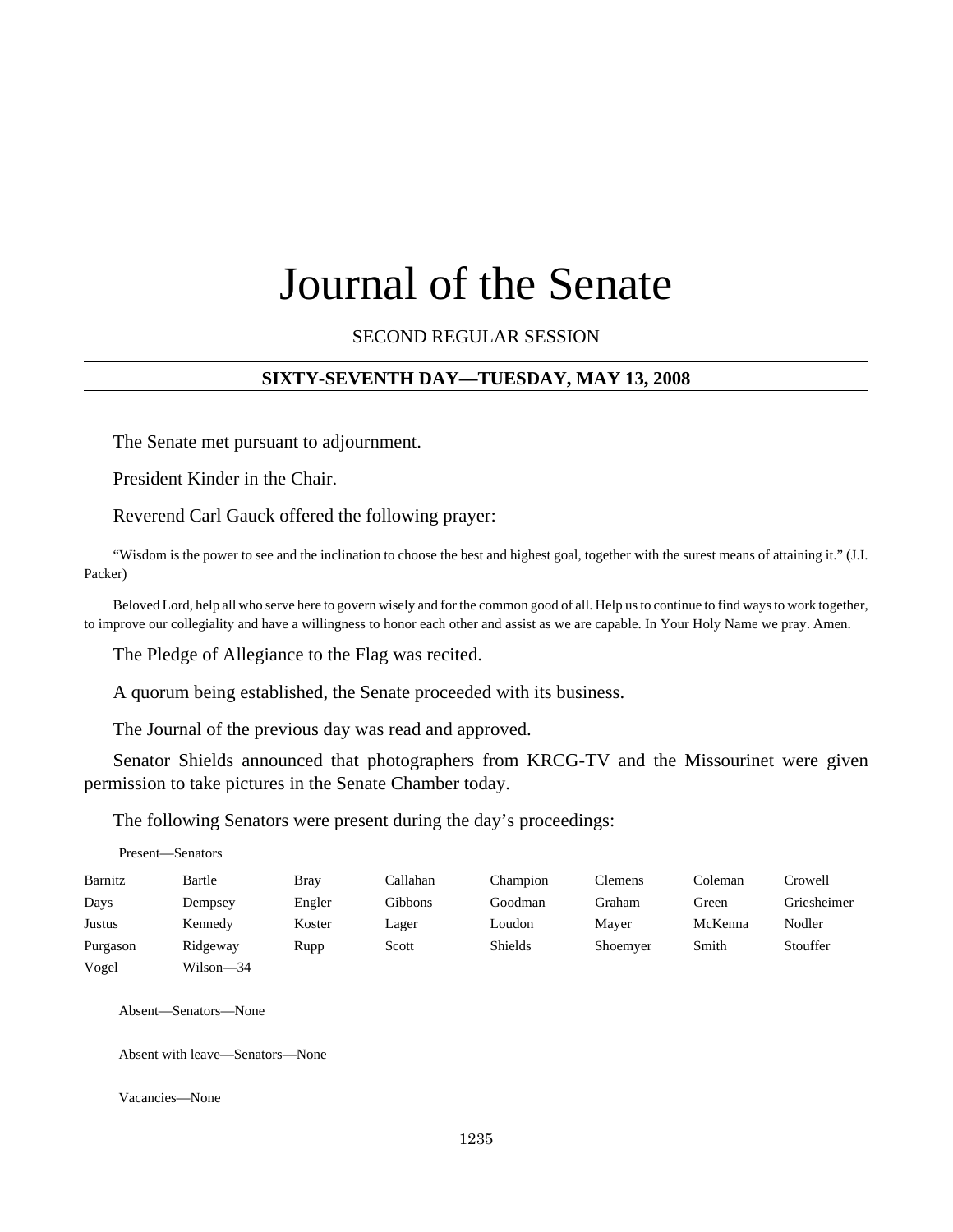# Journal of the Senate

SECOND REGULAR SESSION

#### **SIXTY-SEVENTH DAY—TUESDAY, MAY 13, 2008**

The Senate met pursuant to adjournment.

President Kinder in the Chair.

Reverend Carl Gauck offered the following prayer:

"Wisdom is the power to see and the inclination to choose the best and highest goal, together with the surest means of attaining it." (J.I. Packer)

Beloved Lord, help all who serve here to govern wisely and for the common good of all. Help us to continue to find ways to work together, to improve our collegiality and have a willingness to honor each other and assist as we are capable. In Your Holy Name we pray. Amen.

The Pledge of Allegiance to the Flag was recited.

A quorum being established, the Senate proceeded with its business.

The Journal of the previous day was read and approved.

Senator Shields announced that photographers from KRCG-TV and the Missourinet were given permission to take pictures in the Senate Chamber today.

The following Senators were present during the day's proceedings:

Present—Senators

| Barnitz  | Bartle    | Bray   | Callahan | Champion       | Clemens  | Coleman | Crowell     |
|----------|-----------|--------|----------|----------------|----------|---------|-------------|
| Days     | Dempsey   | Engler | Gibbons  | Goodman        | Graham   | Green   | Griesheimer |
| Justus   | Kennedy   | Koster | Lager    | Loudon         | Maver    | McKenna | Nodler      |
| Purgason | Ridgeway  | Rupp   | Scott    | <b>Shields</b> | Shoemyer | Smith   | Stouffer    |
| Vogel    | Wilson-34 |        |          |                |          |         |             |

Absent—Senators—None

Absent with leave—Senators—None

Vacancies—None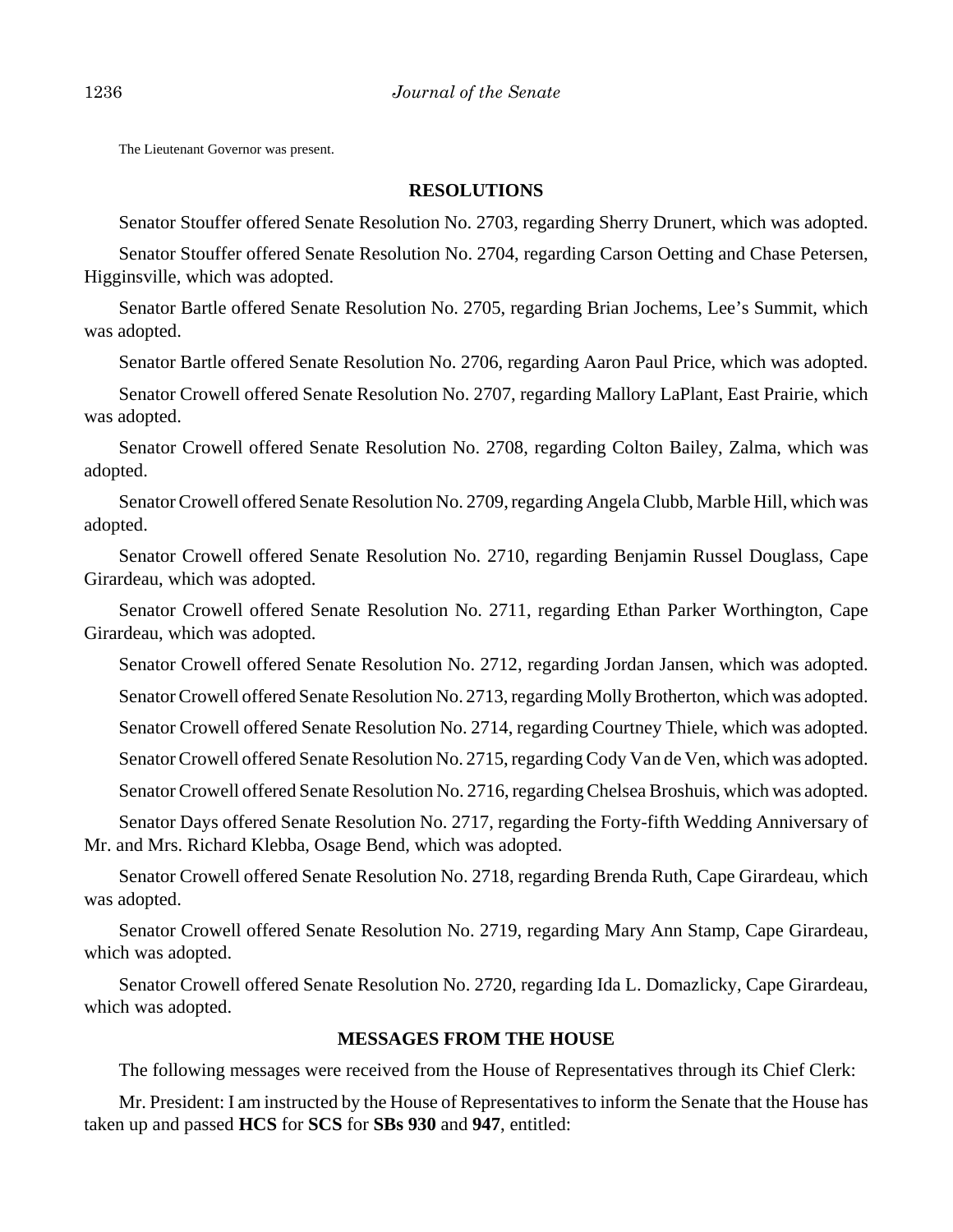The Lieutenant Governor was present.

#### **RESOLUTIONS**

Senator Stouffer offered Senate Resolution No. 2703, regarding Sherry Drunert, which was adopted.

Senator Stouffer offered Senate Resolution No. 2704, regarding Carson Oetting and Chase Petersen, Higginsville, which was adopted.

Senator Bartle offered Senate Resolution No. 2705, regarding Brian Jochems, Lee's Summit, which was adopted.

Senator Bartle offered Senate Resolution No. 2706, regarding Aaron Paul Price, which was adopted.

Senator Crowell offered Senate Resolution No. 2707, regarding Mallory LaPlant, East Prairie, which was adopted.

Senator Crowell offered Senate Resolution No. 2708, regarding Colton Bailey, Zalma, which was adopted.

Senator Crowell offered Senate Resolution No. 2709, regarding Angela Clubb, Marble Hill, which was adopted.

Senator Crowell offered Senate Resolution No. 2710, regarding Benjamin Russel Douglass, Cape Girardeau, which was adopted.

Senator Crowell offered Senate Resolution No. 2711, regarding Ethan Parker Worthington, Cape Girardeau, which was adopted.

Senator Crowell offered Senate Resolution No. 2712, regarding Jordan Jansen, which was adopted.

Senator Crowell offered Senate Resolution No. 2713, regarding Molly Brotherton, which was adopted.

Senator Crowell offered Senate Resolution No. 2714, regarding Courtney Thiele, which was adopted.

Senator Crowell offered Senate Resolution No. 2715, regarding Cody Van de Ven, which was adopted.

Senator Crowell offered Senate Resolution No. 2716, regarding Chelsea Broshuis, which was adopted.

Senator Days offered Senate Resolution No. 2717, regarding the Forty-fifth Wedding Anniversary of Mr. and Mrs. Richard Klebba, Osage Bend, which was adopted.

Senator Crowell offered Senate Resolution No. 2718, regarding Brenda Ruth, Cape Girardeau, which was adopted.

Senator Crowell offered Senate Resolution No. 2719, regarding Mary Ann Stamp, Cape Girardeau, which was adopted.

Senator Crowell offered Senate Resolution No. 2720, regarding Ida L. Domazlicky, Cape Girardeau, which was adopted.

#### **MESSAGES FROM THE HOUSE**

The following messages were received from the House of Representatives through its Chief Clerk:

Mr. President: I am instructed by the House of Representatives to inform the Senate that the House has taken up and passed **HCS** for **SCS** for **SBs 930** and **947**, entitled: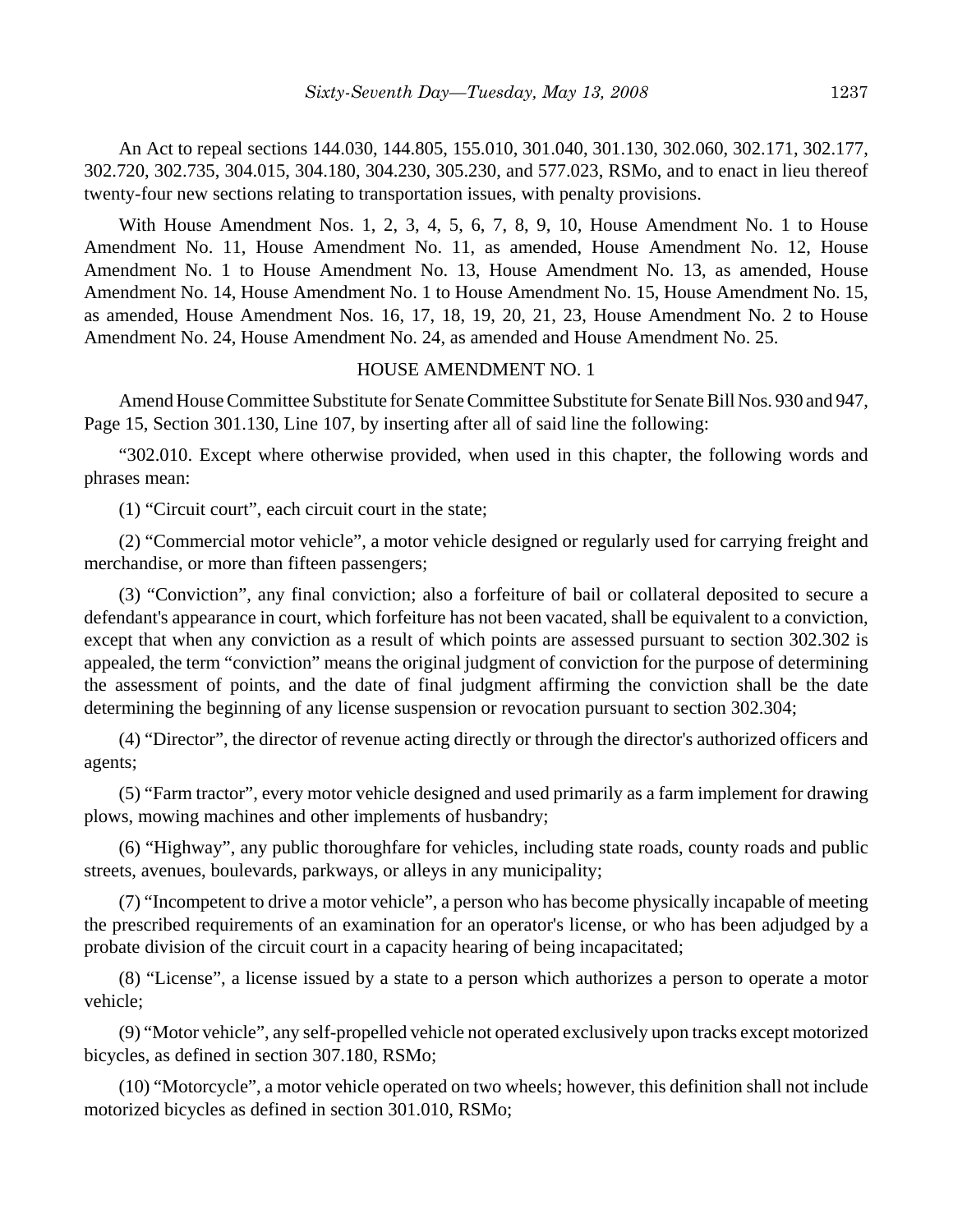An Act to repeal sections 144.030, 144.805, 155.010, 301.040, 301.130, 302.060, 302.171, 302.177, 302.720, 302.735, 304.015, 304.180, 304.230, 305.230, and 577.023, RSMo, and to enact in lieu thereof twenty-four new sections relating to transportation issues, with penalty provisions.

With House Amendment Nos. 1, 2, 3, 4, 5, 6, 7, 8, 9, 10, House Amendment No. 1 to House Amendment No. 11, House Amendment No. 11, as amended, House Amendment No. 12, House Amendment No. 1 to House Amendment No. 13, House Amendment No. 13, as amended, House Amendment No. 14, House Amendment No. 1 to House Amendment No. 15, House Amendment No. 15, as amended, House Amendment Nos. 16, 17, 18, 19, 20, 21, 23, House Amendment No. 2 to House Amendment No. 24, House Amendment No. 24, as amended and House Amendment No. 25.

#### HOUSE AMENDMENT NO. 1

Amend House Committee Substitute for Senate Committee Substitute for Senate Bill Nos. 930 and 947, Page 15, Section 301.130, Line 107, by inserting after all of said line the following:

"302.010. Except where otherwise provided, when used in this chapter, the following words and phrases mean:

(1) "Circuit court", each circuit court in the state;

(2) "Commercial motor vehicle", a motor vehicle designed or regularly used for carrying freight and merchandise, or more than fifteen passengers;

(3) "Conviction", any final conviction; also a forfeiture of bail or collateral deposited to secure a defendant's appearance in court, which forfeiture has not been vacated, shall be equivalent to a conviction, except that when any conviction as a result of which points are assessed pursuant to section 302.302 is appealed, the term "conviction" means the original judgment of conviction for the purpose of determining the assessment of points, and the date of final judgment affirming the conviction shall be the date determining the beginning of any license suspension or revocation pursuant to section 302.304;

(4) "Director", the director of revenue acting directly or through the director's authorized officers and agents;

(5) "Farm tractor", every motor vehicle designed and used primarily as a farm implement for drawing plows, mowing machines and other implements of husbandry;

(6) "Highway", any public thoroughfare for vehicles, including state roads, county roads and public streets, avenues, boulevards, parkways, or alleys in any municipality;

(7) "Incompetent to drive a motor vehicle", a person who has become physically incapable of meeting the prescribed requirements of an examination for an operator's license, or who has been adjudged by a probate division of the circuit court in a capacity hearing of being incapacitated;

(8) "License", a license issued by a state to a person which authorizes a person to operate a motor vehicle;

(9) "Motor vehicle", any self-propelled vehicle not operated exclusively upon tracks except motorized bicycles, as defined in section 307.180, RSMo;

(10) "Motorcycle", a motor vehicle operated on two wheels; however, this definition shall not include motorized bicycles as defined in section 301.010, RSMo;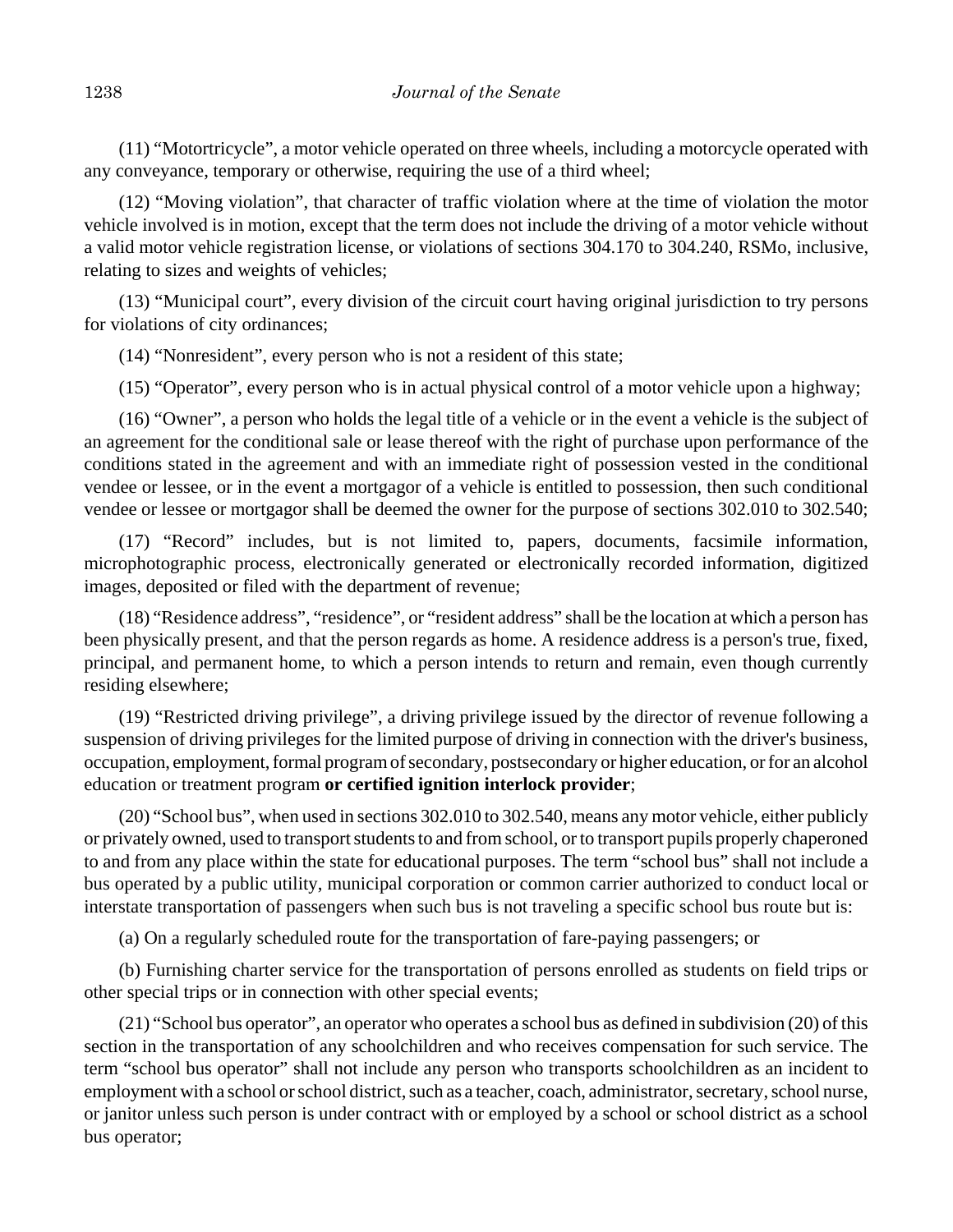(11) "Motortricycle", a motor vehicle operated on three wheels, including a motorcycle operated with any conveyance, temporary or otherwise, requiring the use of a third wheel;

(12) "Moving violation", that character of traffic violation where at the time of violation the motor vehicle involved is in motion, except that the term does not include the driving of a motor vehicle without a valid motor vehicle registration license, or violations of sections 304.170 to 304.240, RSMo, inclusive, relating to sizes and weights of vehicles;

(13) "Municipal court", every division of the circuit court having original jurisdiction to try persons for violations of city ordinances;

(14) "Nonresident", every person who is not a resident of this state;

(15) "Operator", every person who is in actual physical control of a motor vehicle upon a highway;

(16) "Owner", a person who holds the legal title of a vehicle or in the event a vehicle is the subject of an agreement for the conditional sale or lease thereof with the right of purchase upon performance of the conditions stated in the agreement and with an immediate right of possession vested in the conditional vendee or lessee, or in the event a mortgagor of a vehicle is entitled to possession, then such conditional vendee or lessee or mortgagor shall be deemed the owner for the purpose of sections 302.010 to 302.540;

(17) "Record" includes, but is not limited to, papers, documents, facsimile information, microphotographic process, electronically generated or electronically recorded information, digitized images, deposited or filed with the department of revenue;

(18) "Residence address", "residence", or "resident address" shall be the location at which a person has been physically present, and that the person regards as home. A residence address is a person's true, fixed, principal, and permanent home, to which a person intends to return and remain, even though currently residing elsewhere;

(19) "Restricted driving privilege", a driving privilege issued by the director of revenue following a suspension of driving privileges for the limited purpose of driving in connection with the driver's business, occupation, employment, formal program of secondary, postsecondary or higher education, or for an alcohol education or treatment program **or certified ignition interlock provider**;

(20) "School bus", when used in sections 302.010 to 302.540, means any motor vehicle, either publicly or privately owned, used to transport students to and from school, or to transport pupils properly chaperoned to and from any place within the state for educational purposes. The term "school bus" shall not include a bus operated by a public utility, municipal corporation or common carrier authorized to conduct local or interstate transportation of passengers when such bus is not traveling a specific school bus route but is:

(a) On a regularly scheduled route for the transportation of fare-paying passengers; or

(b) Furnishing charter service for the transportation of persons enrolled as students on field trips or other special trips or in connection with other special events;

(21) "School bus operator", an operator who operates a school bus as defined in subdivision (20) of this section in the transportation of any schoolchildren and who receives compensation for such service. The term "school bus operator" shall not include any person who transports schoolchildren as an incident to employment with a school or school district, such as a teacher, coach, administrator, secretary, school nurse, or janitor unless such person is under contract with or employed by a school or school district as a school bus operator;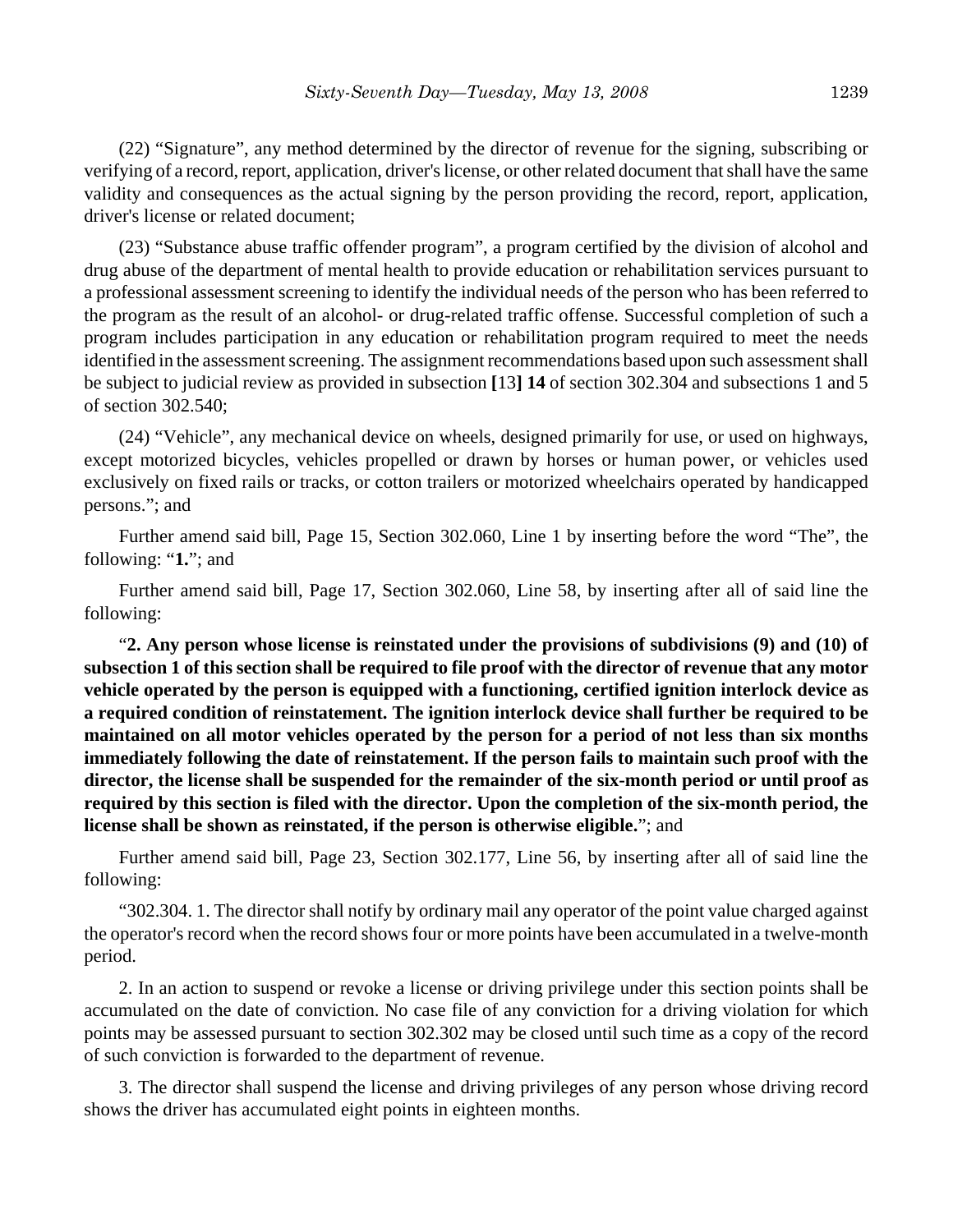(22) "Signature", any method determined by the director of revenue for the signing, subscribing or verifying of a record, report, application, driver's license, or other related document that shall have the same validity and consequences as the actual signing by the person providing the record, report, application, driver's license or related document;

(23) "Substance abuse traffic offender program", a program certified by the division of alcohol and drug abuse of the department of mental health to provide education or rehabilitation services pursuant to a professional assessment screening to identify the individual needs of the person who has been referred to the program as the result of an alcohol- or drug-related traffic offense. Successful completion of such a program includes participation in any education or rehabilitation program required to meet the needs identified in the assessment screening. The assignment recommendations based upon such assessment shall be subject to judicial review as provided in subsection **[**13**] 14** of section 302.304 and subsections 1 and 5 of section 302.540;

(24) "Vehicle", any mechanical device on wheels, designed primarily for use, or used on highways, except motorized bicycles, vehicles propelled or drawn by horses or human power, or vehicles used exclusively on fixed rails or tracks, or cotton trailers or motorized wheelchairs operated by handicapped persons."; and

Further amend said bill, Page 15, Section 302.060, Line 1 by inserting before the word "The", the following: "**1.**"; and

Further amend said bill, Page 17, Section 302.060, Line 58, by inserting after all of said line the following:

"**2. Any person whose license is reinstated under the provisions of subdivisions (9) and (10) of subsection 1 of this section shall be required to file proof with the director of revenue that any motor vehicle operated by the person is equipped with a functioning, certified ignition interlock device as a required condition of reinstatement. The ignition interlock device shall further be required to be maintained on all motor vehicles operated by the person for a period of not less than six months immediately following the date of reinstatement. If the person fails to maintain such proof with the director, the license shall be suspended for the remainder of the six-month period or until proof as required by this section is filed with the director. Upon the completion of the six-month period, the license shall be shown as reinstated, if the person is otherwise eligible.**"; and

Further amend said bill, Page 23, Section 302.177, Line 56, by inserting after all of said line the following:

"302.304. 1. The director shall notify by ordinary mail any operator of the point value charged against the operator's record when the record shows four or more points have been accumulated in a twelve-month period.

2. In an action to suspend or revoke a license or driving privilege under this section points shall be accumulated on the date of conviction. No case file of any conviction for a driving violation for which points may be assessed pursuant to section 302.302 may be closed until such time as a copy of the record of such conviction is forwarded to the department of revenue.

3. The director shall suspend the license and driving privileges of any person whose driving record shows the driver has accumulated eight points in eighteen months.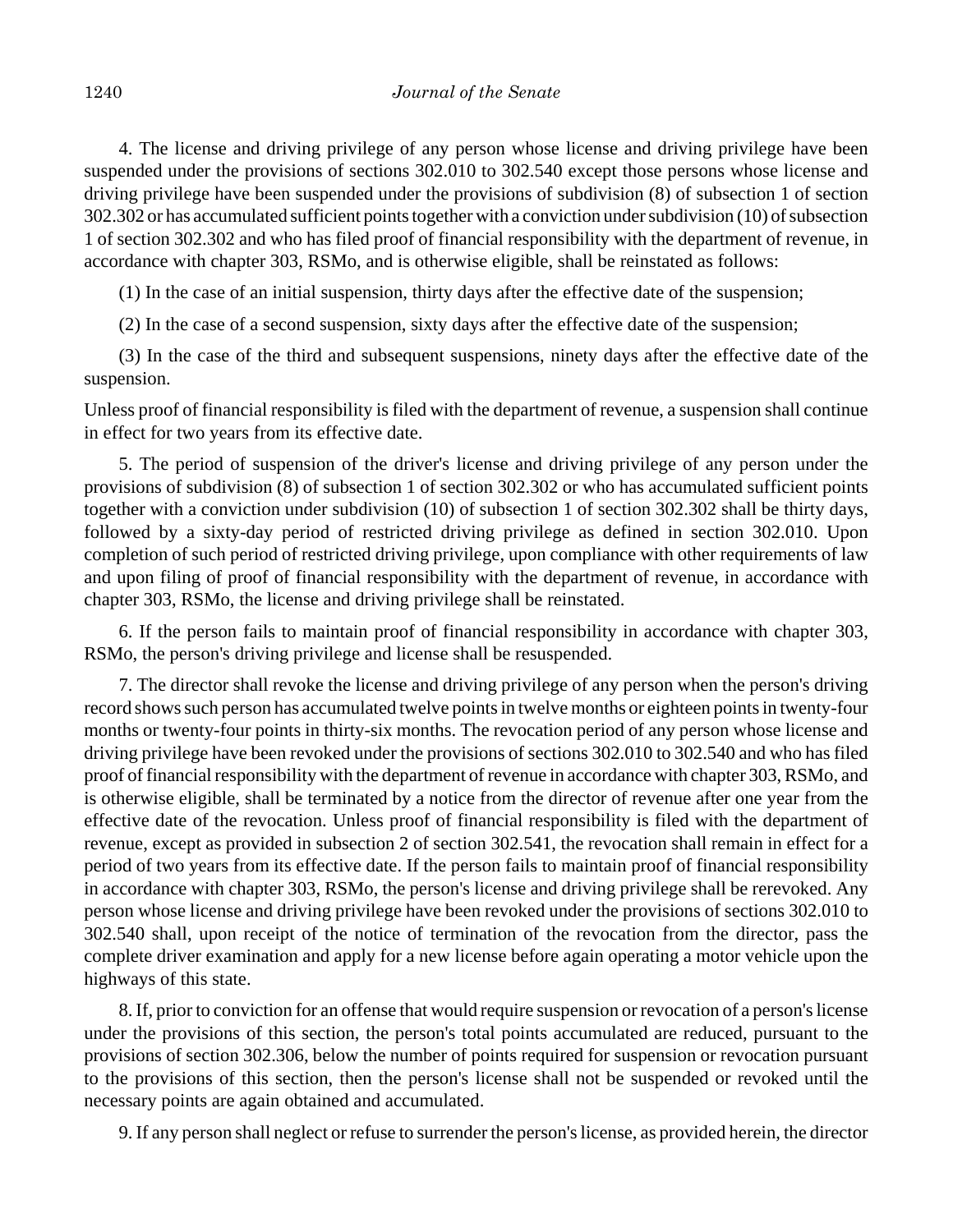4. The license and driving privilege of any person whose license and driving privilege have been suspended under the provisions of sections 302.010 to 302.540 except those persons whose license and driving privilege have been suspended under the provisions of subdivision (8) of subsection 1 of section 302.302 or has accumulated sufficient points together with a conviction under subdivision (10) of subsection 1 of section 302.302 and who has filed proof of financial responsibility with the department of revenue, in accordance with chapter 303, RSMo, and is otherwise eligible, shall be reinstated as follows:

(1) In the case of an initial suspension, thirty days after the effective date of the suspension;

(2) In the case of a second suspension, sixty days after the effective date of the suspension;

(3) In the case of the third and subsequent suspensions, ninety days after the effective date of the suspension.

Unless proof of financial responsibility is filed with the department of revenue, a suspension shall continue in effect for two years from its effective date.

5. The period of suspension of the driver's license and driving privilege of any person under the provisions of subdivision (8) of subsection 1 of section 302.302 or who has accumulated sufficient points together with a conviction under subdivision (10) of subsection 1 of section 302.302 shall be thirty days, followed by a sixty-day period of restricted driving privilege as defined in section 302.010. Upon completion of such period of restricted driving privilege, upon compliance with other requirements of law and upon filing of proof of financial responsibility with the department of revenue, in accordance with chapter 303, RSMo, the license and driving privilege shall be reinstated.

6. If the person fails to maintain proof of financial responsibility in accordance with chapter 303, RSMo, the person's driving privilege and license shall be resuspended.

7. The director shall revoke the license and driving privilege of any person when the person's driving record shows such person has accumulated twelve points in twelve months or eighteen points in twenty-four months or twenty-four points in thirty-six months. The revocation period of any person whose license and driving privilege have been revoked under the provisions of sections 302.010 to 302.540 and who has filed proof of financial responsibility with the department of revenue in accordance with chapter 303, RSMo, and is otherwise eligible, shall be terminated by a notice from the director of revenue after one year from the effective date of the revocation. Unless proof of financial responsibility is filed with the department of revenue, except as provided in subsection 2 of section 302.541, the revocation shall remain in effect for a period of two years from its effective date. If the person fails to maintain proof of financial responsibility in accordance with chapter 303, RSMo, the person's license and driving privilege shall be rerevoked. Any person whose license and driving privilege have been revoked under the provisions of sections 302.010 to 302.540 shall, upon receipt of the notice of termination of the revocation from the director, pass the complete driver examination and apply for a new license before again operating a motor vehicle upon the highways of this state.

8. If, prior to conviction for an offense that would require suspension or revocation of a person's license under the provisions of this section, the person's total points accumulated are reduced, pursuant to the provisions of section 302.306, below the number of points required for suspension or revocation pursuant to the provisions of this section, then the person's license shall not be suspended or revoked until the necessary points are again obtained and accumulated.

9. If any person shall neglect or refuse to surrender the person's license, as provided herein, the director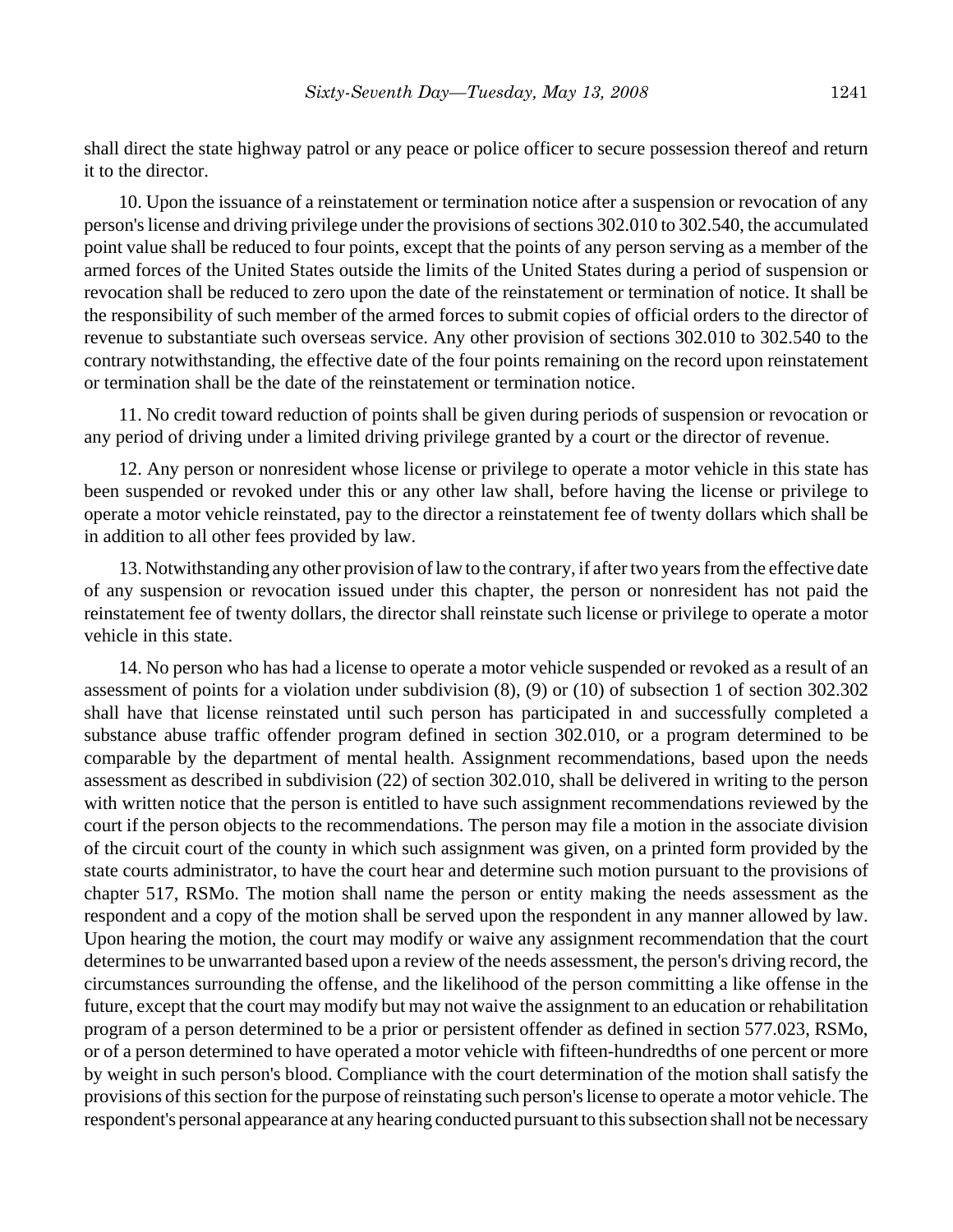shall direct the state highway patrol or any peace or police officer to secure possession thereof and return it to the director.

10. Upon the issuance of a reinstatement or termination notice after a suspension or revocation of any person's license and driving privilege under the provisions of sections 302.010 to 302.540, the accumulated point value shall be reduced to four points, except that the points of any person serving as a member of the armed forces of the United States outside the limits of the United States during a period of suspension or revocation shall be reduced to zero upon the date of the reinstatement or termination of notice. It shall be the responsibility of such member of the armed forces to submit copies of official orders to the director of revenue to substantiate such overseas service. Any other provision of sections 302.010 to 302.540 to the contrary notwithstanding, the effective date of the four points remaining on the record upon reinstatement or termination shall be the date of the reinstatement or termination notice.

11. No credit toward reduction of points shall be given during periods of suspension or revocation or any period of driving under a limited driving privilege granted by a court or the director of revenue.

12. Any person or nonresident whose license or privilege to operate a motor vehicle in this state has been suspended or revoked under this or any other law shall, before having the license or privilege to operate a motor vehicle reinstated, pay to the director a reinstatement fee of twenty dollars which shall be in addition to all other fees provided by law.

13. Notwithstanding any other provision of law to the contrary, if after two years from the effective date of any suspension or revocation issued under this chapter, the person or nonresident has not paid the reinstatement fee of twenty dollars, the director shall reinstate such license or privilege to operate a motor vehicle in this state.

14. No person who has had a license to operate a motor vehicle suspended or revoked as a result of an assessment of points for a violation under subdivision (8), (9) or (10) of subsection 1 of section 302.302 shall have that license reinstated until such person has participated in and successfully completed a substance abuse traffic offender program defined in section 302.010, or a program determined to be comparable by the department of mental health. Assignment recommendations, based upon the needs assessment as described in subdivision (22) of section 302.010, shall be delivered in writing to the person with written notice that the person is entitled to have such assignment recommendations reviewed by the court if the person objects to the recommendations. The person may file a motion in the associate division of the circuit court of the county in which such assignment was given, on a printed form provided by the state courts administrator, to have the court hear and determine such motion pursuant to the provisions of chapter 517, RSMo. The motion shall name the person or entity making the needs assessment as the respondent and a copy of the motion shall be served upon the respondent in any manner allowed by law. Upon hearing the motion, the court may modify or waive any assignment recommendation that the court determines to be unwarranted based upon a review of the needs assessment, the person's driving record, the circumstances surrounding the offense, and the likelihood of the person committing a like offense in the future, except that the court may modify but may not waive the assignment to an education or rehabilitation program of a person determined to be a prior or persistent offender as defined in section 577.023, RSMo, or of a person determined to have operated a motor vehicle with fifteen-hundredths of one percent or more by weight in such person's blood. Compliance with the court determination of the motion shall satisfy the provisions of this section for the purpose of reinstating such person's license to operate a motor vehicle. The respondent's personal appearance at any hearing conducted pursuant to this subsection shall not be necessary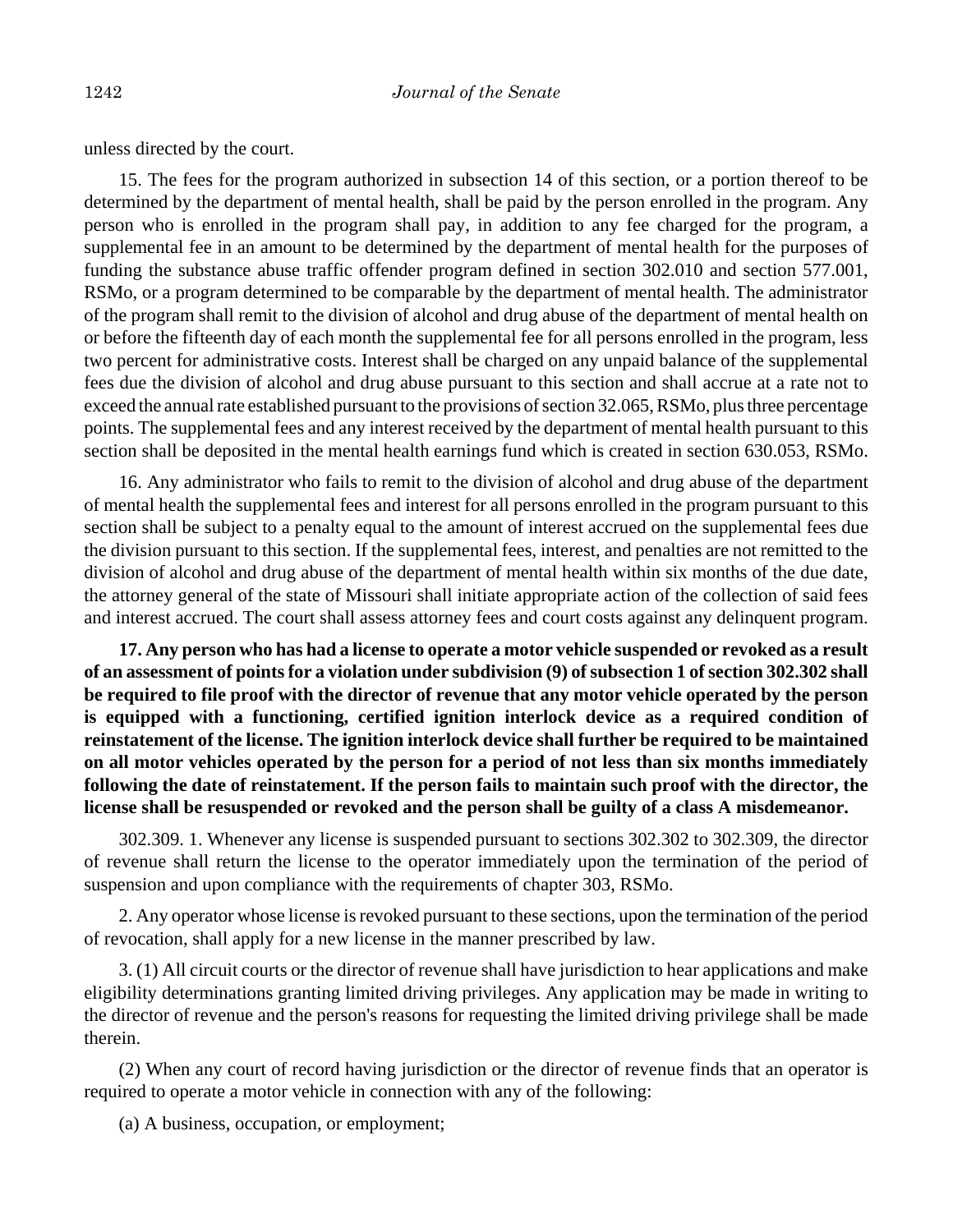unless directed by the court.

15. The fees for the program authorized in subsection 14 of this section, or a portion thereof to be determined by the department of mental health, shall be paid by the person enrolled in the program. Any person who is enrolled in the program shall pay, in addition to any fee charged for the program, a supplemental fee in an amount to be determined by the department of mental health for the purposes of funding the substance abuse traffic offender program defined in section 302.010 and section 577.001, RSMo, or a program determined to be comparable by the department of mental health. The administrator of the program shall remit to the division of alcohol and drug abuse of the department of mental health on or before the fifteenth day of each month the supplemental fee for all persons enrolled in the program, less two percent for administrative costs. Interest shall be charged on any unpaid balance of the supplemental fees due the division of alcohol and drug abuse pursuant to this section and shall accrue at a rate not to exceed the annual rate established pursuant to the provisions of section 32.065, RSMo, plus three percentage points. The supplemental fees and any interest received by the department of mental health pursuant to this section shall be deposited in the mental health earnings fund which is created in section 630.053, RSMo.

16. Any administrator who fails to remit to the division of alcohol and drug abuse of the department of mental health the supplemental fees and interest for all persons enrolled in the program pursuant to this section shall be subject to a penalty equal to the amount of interest accrued on the supplemental fees due the division pursuant to this section. If the supplemental fees, interest, and penalties are not remitted to the division of alcohol and drug abuse of the department of mental health within six months of the due date, the attorney general of the state of Missouri shall initiate appropriate action of the collection of said fees and interest accrued. The court shall assess attorney fees and court costs against any delinquent program.

**17. Any person who has had a license to operate a motor vehicle suspended or revoked as a result of an assessment of points for a violation under subdivision (9) of subsection 1 of section 302.302 shall be required to file proof with the director of revenue that any motor vehicle operated by the person is equipped with a functioning, certified ignition interlock device as a required condition of reinstatement of the license. The ignition interlock device shall further be required to be maintained on all motor vehicles operated by the person for a period of not less than six months immediately following the date of reinstatement. If the person fails to maintain such proof with the director, the license shall be resuspended or revoked and the person shall be guilty of a class A misdemeanor.**

302.309. 1. Whenever any license is suspended pursuant to sections 302.302 to 302.309, the director of revenue shall return the license to the operator immediately upon the termination of the period of suspension and upon compliance with the requirements of chapter 303, RSMo.

2. Any operator whose license is revoked pursuant to these sections, upon the termination of the period of revocation, shall apply for a new license in the manner prescribed by law.

3. (1) All circuit courts or the director of revenue shall have jurisdiction to hear applications and make eligibility determinations granting limited driving privileges. Any application may be made in writing to the director of revenue and the person's reasons for requesting the limited driving privilege shall be made therein.

(2) When any court of record having jurisdiction or the director of revenue finds that an operator is required to operate a motor vehicle in connection with any of the following:

(a) A business, occupation, or employment;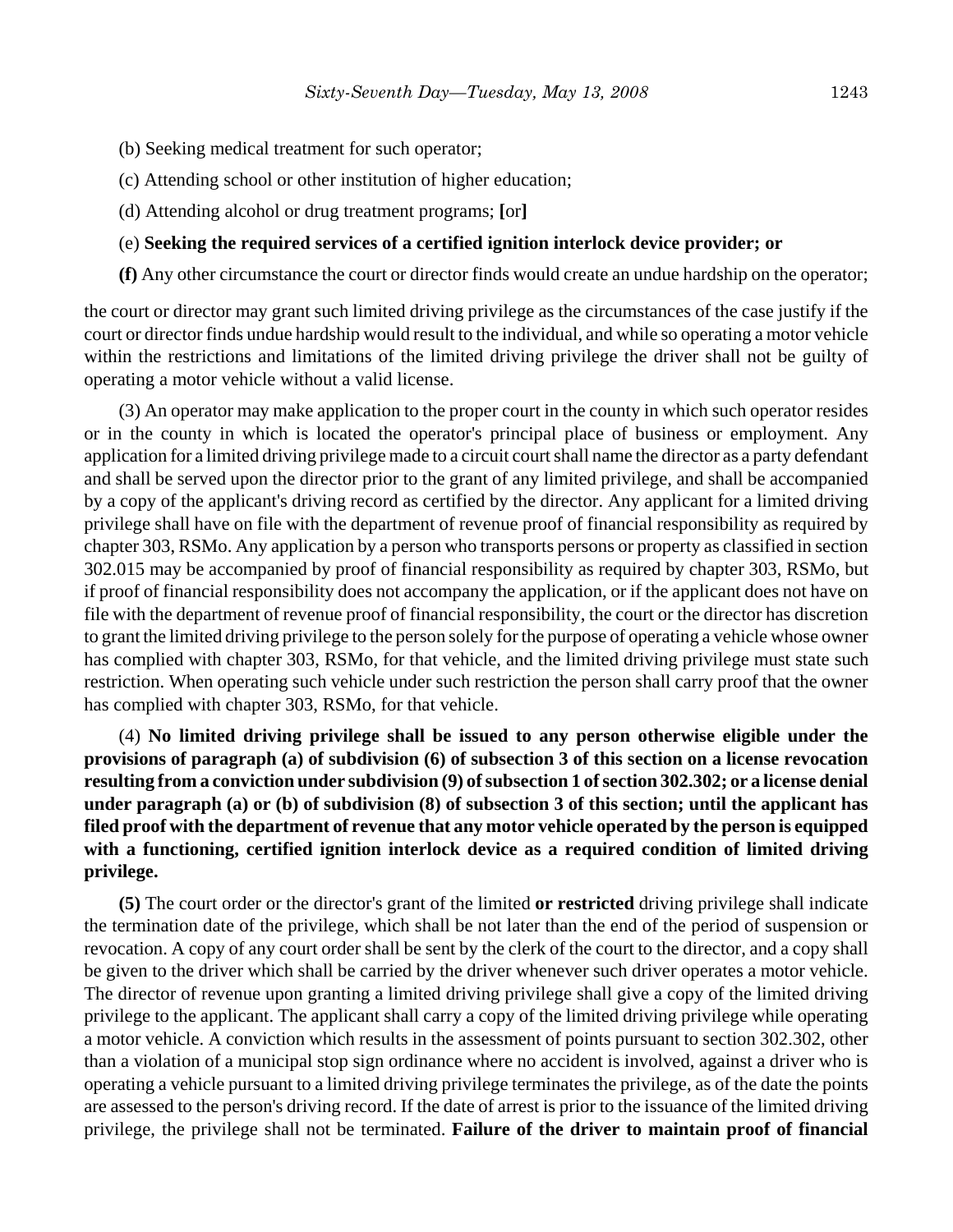- (b) Seeking medical treatment for such operator;
- (c) Attending school or other institution of higher education;
- (d) Attending alcohol or drug treatment programs; **[**or**]**

#### (e) **Seeking the required services of a certified ignition interlock device provider; or**

**(f)** Any other circumstance the court or director finds would create an undue hardship on the operator;

the court or director may grant such limited driving privilege as the circumstances of the case justify if the court or director finds undue hardship would result to the individual, and while so operating a motor vehicle within the restrictions and limitations of the limited driving privilege the driver shall not be guilty of operating a motor vehicle without a valid license.

(3) An operator may make application to the proper court in the county in which such operator resides or in the county in which is located the operator's principal place of business or employment. Any application for a limited driving privilege made to a circuit court shall name the director as a party defendant and shall be served upon the director prior to the grant of any limited privilege, and shall be accompanied by a copy of the applicant's driving record as certified by the director. Any applicant for a limited driving privilege shall have on file with the department of revenue proof of financial responsibility as required by chapter 303, RSMo. Any application by a person who transports persons or property as classified in section 302.015 may be accompanied by proof of financial responsibility as required by chapter 303, RSMo, but if proof of financial responsibility does not accompany the application, or if the applicant does not have on file with the department of revenue proof of financial responsibility, the court or the director has discretion to grant the limited driving privilege to the person solely for the purpose of operating a vehicle whose owner has complied with chapter 303, RSMo, for that vehicle, and the limited driving privilege must state such restriction. When operating such vehicle under such restriction the person shall carry proof that the owner has complied with chapter 303, RSMo, for that vehicle.

(4) **No limited driving privilege shall be issued to any person otherwise eligible under the provisions of paragraph (a) of subdivision (6) of subsection 3 of this section on a license revocation resulting from a conviction under subdivision (9) of subsection 1 of section 302.302; or a license denial under paragraph (a) or (b) of subdivision (8) of subsection 3 of this section; until the applicant has filed proof with the department of revenue that any motor vehicle operated by the person is equipped with a functioning, certified ignition interlock device as a required condition of limited driving privilege.**

**(5)** The court order or the director's grant of the limited **or restricted** driving privilege shall indicate the termination date of the privilege, which shall be not later than the end of the period of suspension or revocation. A copy of any court order shall be sent by the clerk of the court to the director, and a copy shall be given to the driver which shall be carried by the driver whenever such driver operates a motor vehicle. The director of revenue upon granting a limited driving privilege shall give a copy of the limited driving privilege to the applicant. The applicant shall carry a copy of the limited driving privilege while operating a motor vehicle. A conviction which results in the assessment of points pursuant to section 302.302, other than a violation of a municipal stop sign ordinance where no accident is involved, against a driver who is operating a vehicle pursuant to a limited driving privilege terminates the privilege, as of the date the points are assessed to the person's driving record. If the date of arrest is prior to the issuance of the limited driving privilege, the privilege shall not be terminated. **Failure of the driver to maintain proof of financial**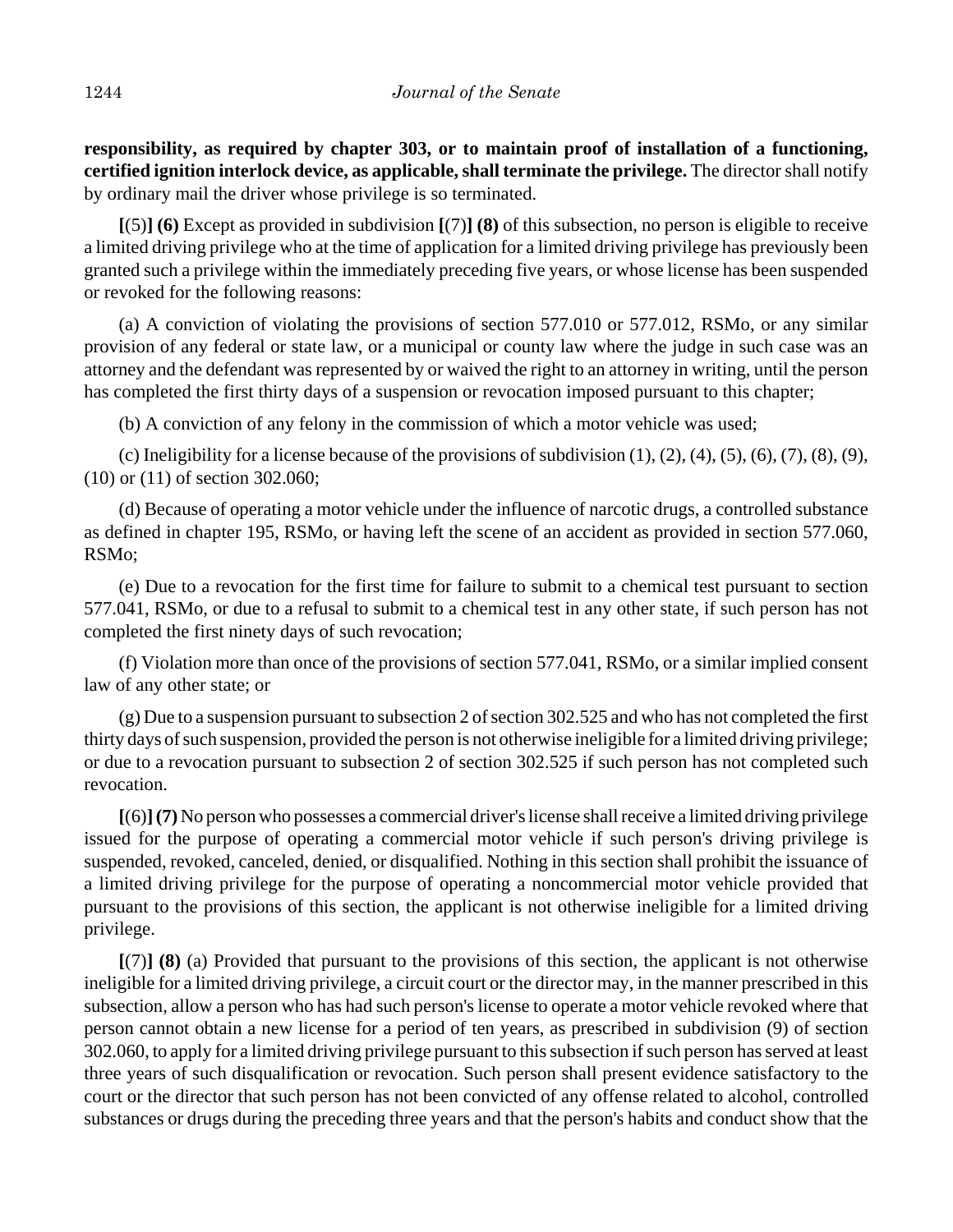**responsibility, as required by chapter 303, or to maintain proof of installation of a functioning, certified ignition interlock device, as applicable, shall terminate the privilege.** The director shall notify by ordinary mail the driver whose privilege is so terminated.

**[**(5)**] (6)** Except as provided in subdivision **[**(7)**] (8)** of this subsection, no person is eligible to receive a limited driving privilege who at the time of application for a limited driving privilege has previously been granted such a privilege within the immediately preceding five years, or whose license has been suspended or revoked for the following reasons:

(a) A conviction of violating the provisions of section 577.010 or 577.012, RSMo, or any similar provision of any federal or state law, or a municipal or county law where the judge in such case was an attorney and the defendant was represented by or waived the right to an attorney in writing, until the person has completed the first thirty days of a suspension or revocation imposed pursuant to this chapter;

(b) A conviction of any felony in the commission of which a motor vehicle was used;

(c) Ineligibility for a license because of the provisions of subdivision  $(1)$ ,  $(2)$ ,  $(4)$ ,  $(5)$ ,  $(6)$ ,  $(7)$ ,  $(8)$ ,  $(9)$ , (10) or (11) of section 302.060;

(d) Because of operating a motor vehicle under the influence of narcotic drugs, a controlled substance as defined in chapter 195, RSMo, or having left the scene of an accident as provided in section 577.060, RSMo;

(e) Due to a revocation for the first time for failure to submit to a chemical test pursuant to section 577.041, RSMo, or due to a refusal to submit to a chemical test in any other state, if such person has not completed the first ninety days of such revocation;

(f) Violation more than once of the provisions of section 577.041, RSMo, or a similar implied consent law of any other state; or

(g) Due to a suspension pursuant to subsection 2 of section 302.525 and who has not completed the first thirty days of such suspension, provided the person is not otherwise ineligible for a limited driving privilege; or due to a revocation pursuant to subsection 2 of section 302.525 if such person has not completed such revocation.

**[**(6)**](7)** No person who possesses a commercial driver's license shall receive a limited driving privilege issued for the purpose of operating a commercial motor vehicle if such person's driving privilege is suspended, revoked, canceled, denied, or disqualified. Nothing in this section shall prohibit the issuance of a limited driving privilege for the purpose of operating a noncommercial motor vehicle provided that pursuant to the provisions of this section, the applicant is not otherwise ineligible for a limited driving privilege.

**[**(7)**] (8)** (a) Provided that pursuant to the provisions of this section, the applicant is not otherwise ineligible for a limited driving privilege, a circuit court or the director may, in the manner prescribed in this subsection, allow a person who has had such person's license to operate a motor vehicle revoked where that person cannot obtain a new license for a period of ten years, as prescribed in subdivision (9) of section 302.060, to apply for a limited driving privilege pursuant to this subsection if such person has served at least three years of such disqualification or revocation. Such person shall present evidence satisfactory to the court or the director that such person has not been convicted of any offense related to alcohol, controlled substances or drugs during the preceding three years and that the person's habits and conduct show that the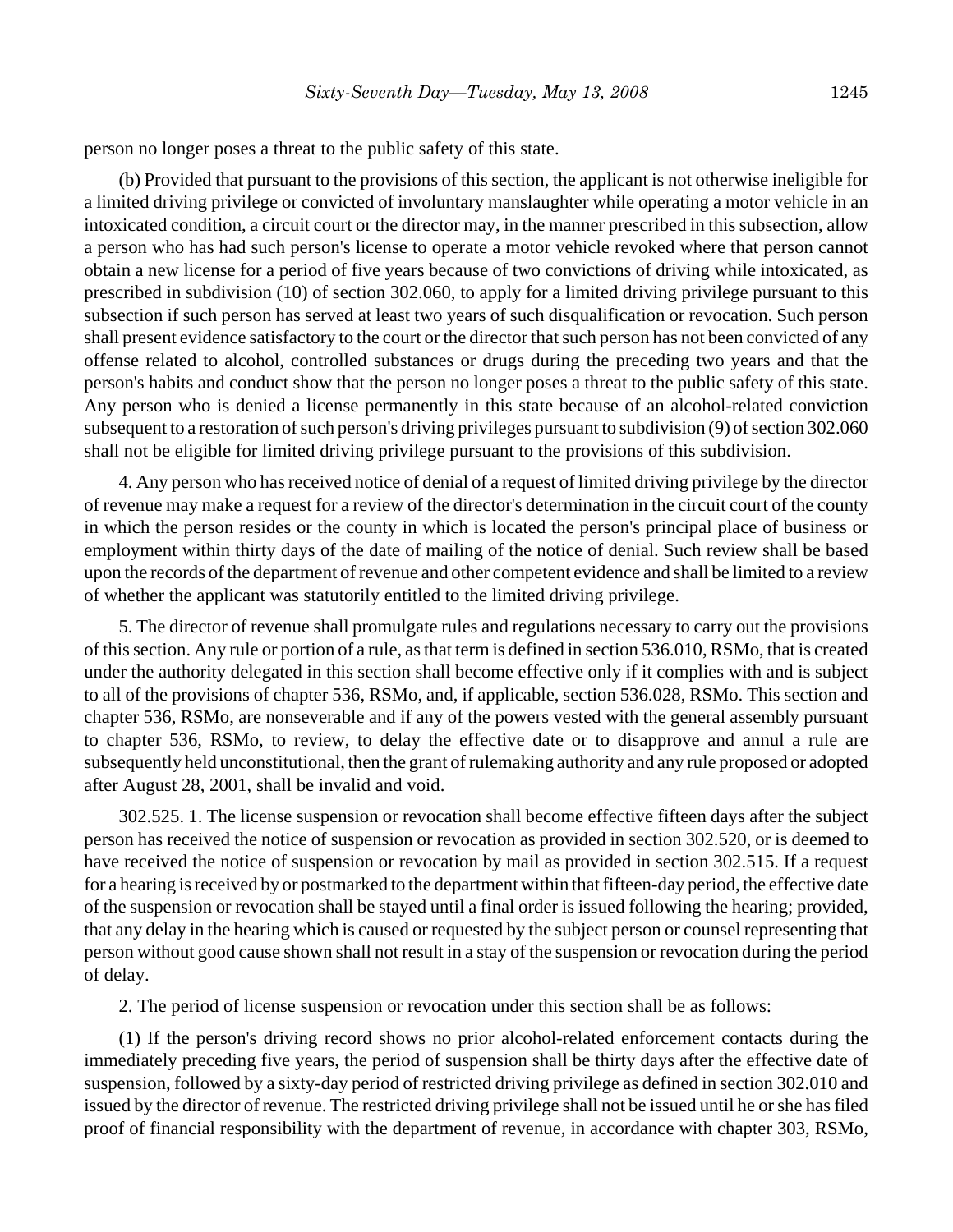person no longer poses a threat to the public safety of this state.

(b) Provided that pursuant to the provisions of this section, the applicant is not otherwise ineligible for a limited driving privilege or convicted of involuntary manslaughter while operating a motor vehicle in an intoxicated condition, a circuit court or the director may, in the manner prescribed in this subsection, allow a person who has had such person's license to operate a motor vehicle revoked where that person cannot obtain a new license for a period of five years because of two convictions of driving while intoxicated, as prescribed in subdivision (10) of section 302.060, to apply for a limited driving privilege pursuant to this subsection if such person has served at least two years of such disqualification or revocation. Such person shall present evidence satisfactory to the court or the director that such person has not been convicted of any offense related to alcohol, controlled substances or drugs during the preceding two years and that the person's habits and conduct show that the person no longer poses a threat to the public safety of this state. Any person who is denied a license permanently in this state because of an alcohol-related conviction subsequent to a restoration of such person's driving privileges pursuant to subdivision (9) of section 302.060 shall not be eligible for limited driving privilege pursuant to the provisions of this subdivision.

4. Any person who has received notice of denial of a request of limited driving privilege by the director of revenue may make a request for a review of the director's determination in the circuit court of the county in which the person resides or the county in which is located the person's principal place of business or employment within thirty days of the date of mailing of the notice of denial. Such review shall be based upon the records of the department of revenue and other competent evidence and shall be limited to a review of whether the applicant was statutorily entitled to the limited driving privilege.

5. The director of revenue shall promulgate rules and regulations necessary to carry out the provisions of this section. Any rule or portion of a rule, as that term is defined in section 536.010, RSMo, that is created under the authority delegated in this section shall become effective only if it complies with and is subject to all of the provisions of chapter 536, RSMo, and, if applicable, section 536.028, RSMo. This section and chapter 536, RSMo, are nonseverable and if any of the powers vested with the general assembly pursuant to chapter 536, RSMo, to review, to delay the effective date or to disapprove and annul a rule are subsequently held unconstitutional, then the grant of rulemaking authority and any rule proposed or adopted after August 28, 2001, shall be invalid and void.

302.525. 1. The license suspension or revocation shall become effective fifteen days after the subject person has received the notice of suspension or revocation as provided in section 302.520, or is deemed to have received the notice of suspension or revocation by mail as provided in section 302.515. If a request for a hearing is received by or postmarked to the department within that fifteen-day period, the effective date of the suspension or revocation shall be stayed until a final order is issued following the hearing; provided, that any delay in the hearing which is caused or requested by the subject person or counsel representing that person without good cause shown shall not result in a stay of the suspension or revocation during the period of delay.

2. The period of license suspension or revocation under this section shall be as follows:

(1) If the person's driving record shows no prior alcohol-related enforcement contacts during the immediately preceding five years, the period of suspension shall be thirty days after the effective date of suspension, followed by a sixty-day period of restricted driving privilege as defined in section 302.010 and issued by the director of revenue. The restricted driving privilege shall not be issued until he or she has filed proof of financial responsibility with the department of revenue, in accordance with chapter 303, RSMo,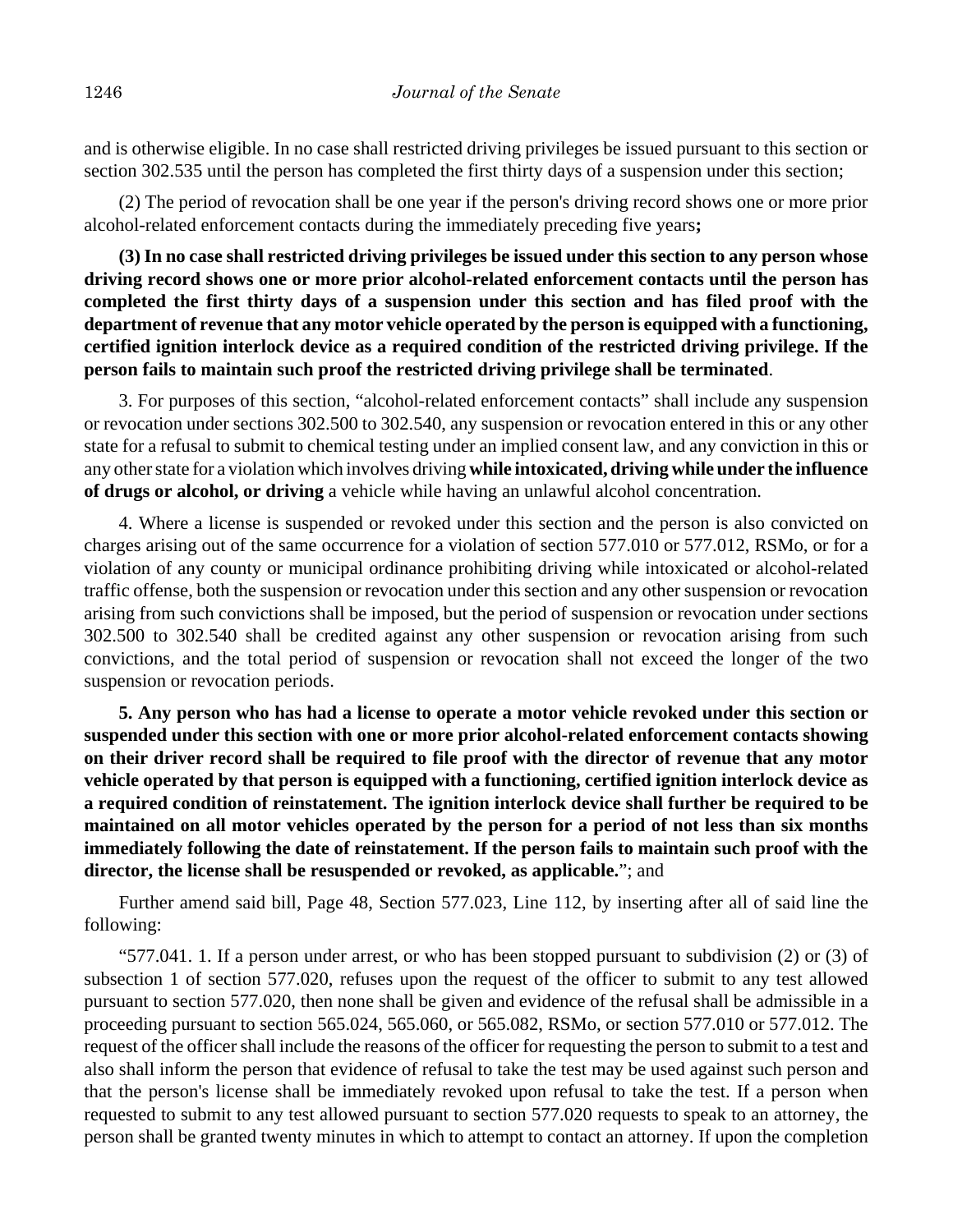and is otherwise eligible. In no case shall restricted driving privileges be issued pursuant to this section or section 302.535 until the person has completed the first thirty days of a suspension under this section;

(2) The period of revocation shall be one year if the person's driving record shows one or more prior alcohol-related enforcement contacts during the immediately preceding five years**;**

**(3) In no case shall restricted driving privileges be issued under this section to any person whose driving record shows one or more prior alcohol-related enforcement contacts until the person has completed the first thirty days of a suspension under this section and has filed proof with the department of revenue that any motor vehicle operated by the person is equipped with a functioning, certified ignition interlock device as a required condition of the restricted driving privilege. If the person fails to maintain such proof the restricted driving privilege shall be terminated**.

3. For purposes of this section, "alcohol-related enforcement contacts" shall include any suspension or revocation under sections 302.500 to 302.540, any suspension or revocation entered in this or any other state for a refusal to submit to chemical testing under an implied consent law, and any conviction in this or any other state for a violation which involves driving **while intoxicated, driving while under the influence of drugs or alcohol, or driving** a vehicle while having an unlawful alcohol concentration.

4. Where a license is suspended or revoked under this section and the person is also convicted on charges arising out of the same occurrence for a violation of section 577.010 or 577.012, RSMo, or for a violation of any county or municipal ordinance prohibiting driving while intoxicated or alcohol-related traffic offense, both the suspension or revocation under this section and any other suspension or revocation arising from such convictions shall be imposed, but the period of suspension or revocation under sections 302.500 to 302.540 shall be credited against any other suspension or revocation arising from such convictions, and the total period of suspension or revocation shall not exceed the longer of the two suspension or revocation periods.

**5. Any person who has had a license to operate a motor vehicle revoked under this section or suspended under this section with one or more prior alcohol-related enforcement contacts showing on their driver record shall be required to file proof with the director of revenue that any motor vehicle operated by that person is equipped with a functioning, certified ignition interlock device as a required condition of reinstatement. The ignition interlock device shall further be required to be maintained on all motor vehicles operated by the person for a period of not less than six months immediately following the date of reinstatement. If the person fails to maintain such proof with the director, the license shall be resuspended or revoked, as applicable.**"; and

Further amend said bill, Page 48, Section 577.023, Line 112, by inserting after all of said line the following:

"577.041. 1. If a person under arrest, or who has been stopped pursuant to subdivision (2) or (3) of subsection 1 of section 577.020, refuses upon the request of the officer to submit to any test allowed pursuant to section 577.020, then none shall be given and evidence of the refusal shall be admissible in a proceeding pursuant to section 565.024, 565.060, or 565.082, RSMo, or section 577.010 or 577.012. The request of the officer shall include the reasons of the officer for requesting the person to submit to a test and also shall inform the person that evidence of refusal to take the test may be used against such person and that the person's license shall be immediately revoked upon refusal to take the test. If a person when requested to submit to any test allowed pursuant to section 577.020 requests to speak to an attorney, the person shall be granted twenty minutes in which to attempt to contact an attorney. If upon the completion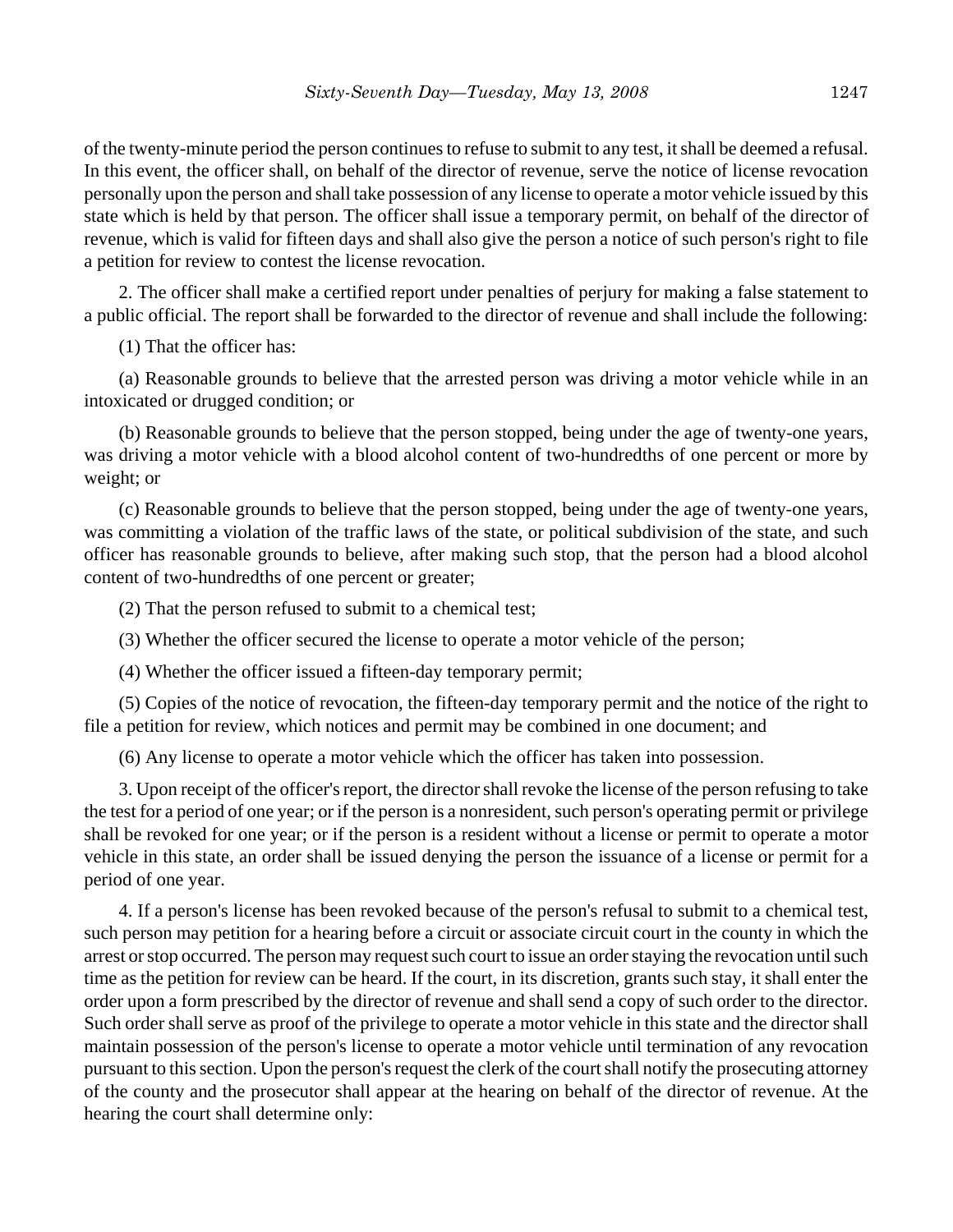of the twenty-minute period the person continues to refuse to submit to any test, it shall be deemed a refusal. In this event, the officer shall, on behalf of the director of revenue, serve the notice of license revocation personally upon the person and shall take possession of any license to operate a motor vehicle issued by this state which is held by that person. The officer shall issue a temporary permit, on behalf of the director of revenue, which is valid for fifteen days and shall also give the person a notice of such person's right to file a petition for review to contest the license revocation.

2. The officer shall make a certified report under penalties of perjury for making a false statement to a public official. The report shall be forwarded to the director of revenue and shall include the following:

(1) That the officer has:

(a) Reasonable grounds to believe that the arrested person was driving a motor vehicle while in an intoxicated or drugged condition; or

(b) Reasonable grounds to believe that the person stopped, being under the age of twenty-one years, was driving a motor vehicle with a blood alcohol content of two-hundredths of one percent or more by weight; or

(c) Reasonable grounds to believe that the person stopped, being under the age of twenty-one years, was committing a violation of the traffic laws of the state, or political subdivision of the state, and such officer has reasonable grounds to believe, after making such stop, that the person had a blood alcohol content of two-hundredths of one percent or greater;

(2) That the person refused to submit to a chemical test;

(3) Whether the officer secured the license to operate a motor vehicle of the person;

(4) Whether the officer issued a fifteen-day temporary permit;

(5) Copies of the notice of revocation, the fifteen-day temporary permit and the notice of the right to file a petition for review, which notices and permit may be combined in one document; and

(6) Any license to operate a motor vehicle which the officer has taken into possession.

3. Upon receipt of the officer's report, the director shall revoke the license of the person refusing to take the test for a period of one year; or if the person is a nonresident, such person's operating permit or privilege shall be revoked for one year; or if the person is a resident without a license or permit to operate a motor vehicle in this state, an order shall be issued denying the person the issuance of a license or permit for a period of one year.

4. If a person's license has been revoked because of the person's refusal to submit to a chemical test, such person may petition for a hearing before a circuit or associate circuit court in the county in which the arrest or stop occurred. The person may request such court to issue an order staying the revocation until such time as the petition for review can be heard. If the court, in its discretion, grants such stay, it shall enter the order upon a form prescribed by the director of revenue and shall send a copy of such order to the director. Such order shall serve as proof of the privilege to operate a motor vehicle in this state and the director shall maintain possession of the person's license to operate a motor vehicle until termination of any revocation pursuant to this section. Upon the person's request the clerk of the court shall notify the prosecuting attorney of the county and the prosecutor shall appear at the hearing on behalf of the director of revenue. At the hearing the court shall determine only: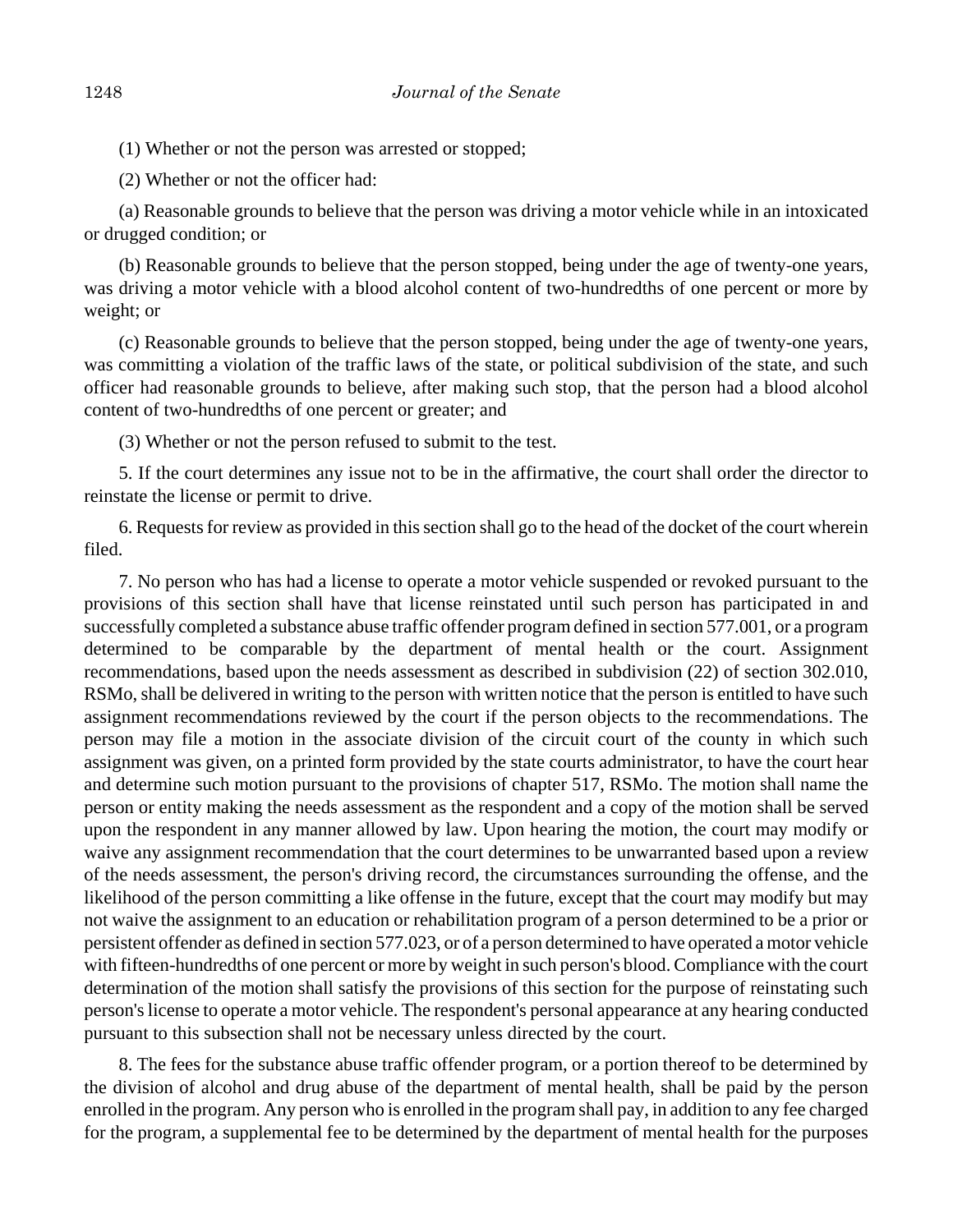(1) Whether or not the person was arrested or stopped;

(2) Whether or not the officer had:

(a) Reasonable grounds to believe that the person was driving a motor vehicle while in an intoxicated or drugged condition; or

(b) Reasonable grounds to believe that the person stopped, being under the age of twenty-one years, was driving a motor vehicle with a blood alcohol content of two-hundredths of one percent or more by weight; or

(c) Reasonable grounds to believe that the person stopped, being under the age of twenty-one years, was committing a violation of the traffic laws of the state, or political subdivision of the state, and such officer had reasonable grounds to believe, after making such stop, that the person had a blood alcohol content of two-hundredths of one percent or greater; and

(3) Whether or not the person refused to submit to the test.

5. If the court determines any issue not to be in the affirmative, the court shall order the director to reinstate the license or permit to drive.

6. Requests for review as provided in this section shall go to the head of the docket of the court wherein filed.

7. No person who has had a license to operate a motor vehicle suspended or revoked pursuant to the provisions of this section shall have that license reinstated until such person has participated in and successfully completed a substance abuse traffic offender program defined in section 577.001, or a program determined to be comparable by the department of mental health or the court. Assignment recommendations, based upon the needs assessment as described in subdivision (22) of section 302.010, RSMo, shall be delivered in writing to the person with written notice that the person is entitled to have such assignment recommendations reviewed by the court if the person objects to the recommendations. The person may file a motion in the associate division of the circuit court of the county in which such assignment was given, on a printed form provided by the state courts administrator, to have the court hear and determine such motion pursuant to the provisions of chapter 517, RSMo. The motion shall name the person or entity making the needs assessment as the respondent and a copy of the motion shall be served upon the respondent in any manner allowed by law. Upon hearing the motion, the court may modify or waive any assignment recommendation that the court determines to be unwarranted based upon a review of the needs assessment, the person's driving record, the circumstances surrounding the offense, and the likelihood of the person committing a like offense in the future, except that the court may modify but may not waive the assignment to an education or rehabilitation program of a person determined to be a prior or persistent offender as defined in section 577.023, or of a person determined to have operated a motor vehicle with fifteen-hundredths of one percent or more by weight in such person's blood. Compliance with the court determination of the motion shall satisfy the provisions of this section for the purpose of reinstating such person's license to operate a motor vehicle. The respondent's personal appearance at any hearing conducted pursuant to this subsection shall not be necessary unless directed by the court.

8. The fees for the substance abuse traffic offender program, or a portion thereof to be determined by the division of alcohol and drug abuse of the department of mental health, shall be paid by the person enrolled in the program. Any person who is enrolled in the program shall pay, in addition to any fee charged for the program, a supplemental fee to be determined by the department of mental health for the purposes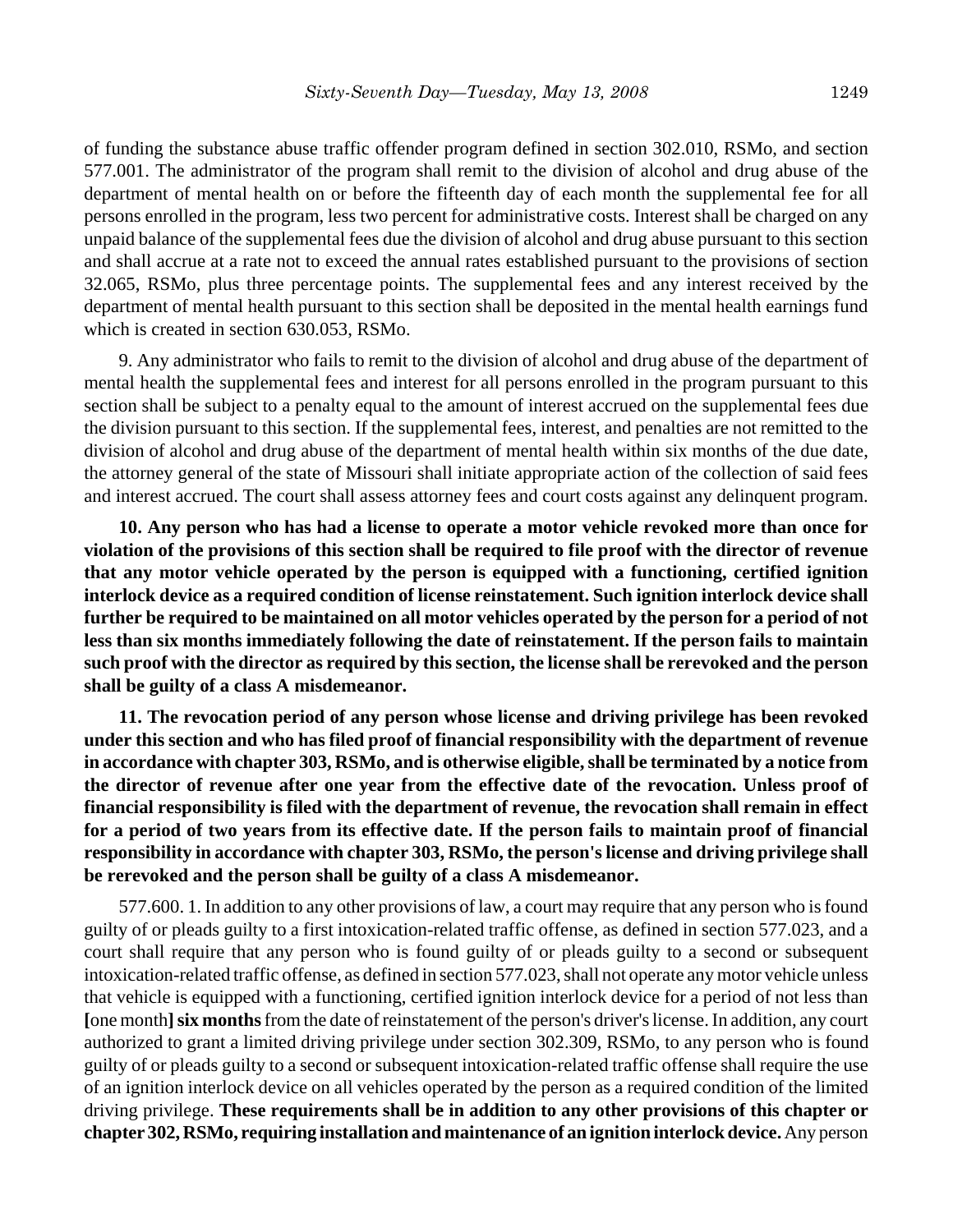of funding the substance abuse traffic offender program defined in section 302.010, RSMo, and section 577.001. The administrator of the program shall remit to the division of alcohol and drug abuse of the department of mental health on or before the fifteenth day of each month the supplemental fee for all persons enrolled in the program, less two percent for administrative costs. Interest shall be charged on any unpaid balance of the supplemental fees due the division of alcohol and drug abuse pursuant to this section and shall accrue at a rate not to exceed the annual rates established pursuant to the provisions of section 32.065, RSMo, plus three percentage points. The supplemental fees and any interest received by the department of mental health pursuant to this section shall be deposited in the mental health earnings fund which is created in section 630.053, RSMo.

9. Any administrator who fails to remit to the division of alcohol and drug abuse of the department of mental health the supplemental fees and interest for all persons enrolled in the program pursuant to this section shall be subject to a penalty equal to the amount of interest accrued on the supplemental fees due the division pursuant to this section. If the supplemental fees, interest, and penalties are not remitted to the division of alcohol and drug abuse of the department of mental health within six months of the due date, the attorney general of the state of Missouri shall initiate appropriate action of the collection of said fees and interest accrued. The court shall assess attorney fees and court costs against any delinquent program.

**10. Any person who has had a license to operate a motor vehicle revoked more than once for violation of the provisions of this section shall be required to file proof with the director of revenue that any motor vehicle operated by the person is equipped with a functioning, certified ignition interlock device as a required condition of license reinstatement. Such ignition interlock device shall further be required to be maintained on all motor vehicles operated by the person for a period of not less than six months immediately following the date of reinstatement. If the person fails to maintain such proof with the director as required by this section, the license shall be rerevoked and the person shall be guilty of a class A misdemeanor.**

**11. The revocation period of any person whose license and driving privilege has been revoked under this section and who has filed proof of financial responsibility with the department of revenue in accordance with chapter 303, RSMo, and is otherwise eligible, shall be terminated by a notice from the director of revenue after one year from the effective date of the revocation. Unless proof of financial responsibility is filed with the department of revenue, the revocation shall remain in effect for a period of two years from its effective date. If the person fails to maintain proof of financial responsibility in accordance with chapter 303, RSMo, the person's license and driving privilege shall be rerevoked and the person shall be guilty of a class A misdemeanor.**

577.600. 1. In addition to any other provisions of law, a court may require that any person who is found guilty of or pleads guilty to a first intoxication-related traffic offense, as defined in section 577.023, and a court shall require that any person who is found guilty of or pleads guilty to a second or subsequent intoxication-related traffic offense, as defined in section 577.023, shall not operate any motor vehicle unless that vehicle is equipped with a functioning, certified ignition interlock device for a period of not less than **[**one month**]six months** from the date of reinstatement of the person's driver's license. In addition, any court authorized to grant a limited driving privilege under section 302.309, RSMo, to any person who is found guilty of or pleads guilty to a second or subsequent intoxication-related traffic offense shall require the use of an ignition interlock device on all vehicles operated by the person as a required condition of the limited driving privilege. **These requirements shall be in addition to any other provisions of this chapter or chapter 302, RSMo, requiring installation and maintenance of an ignition interlock device.** Any person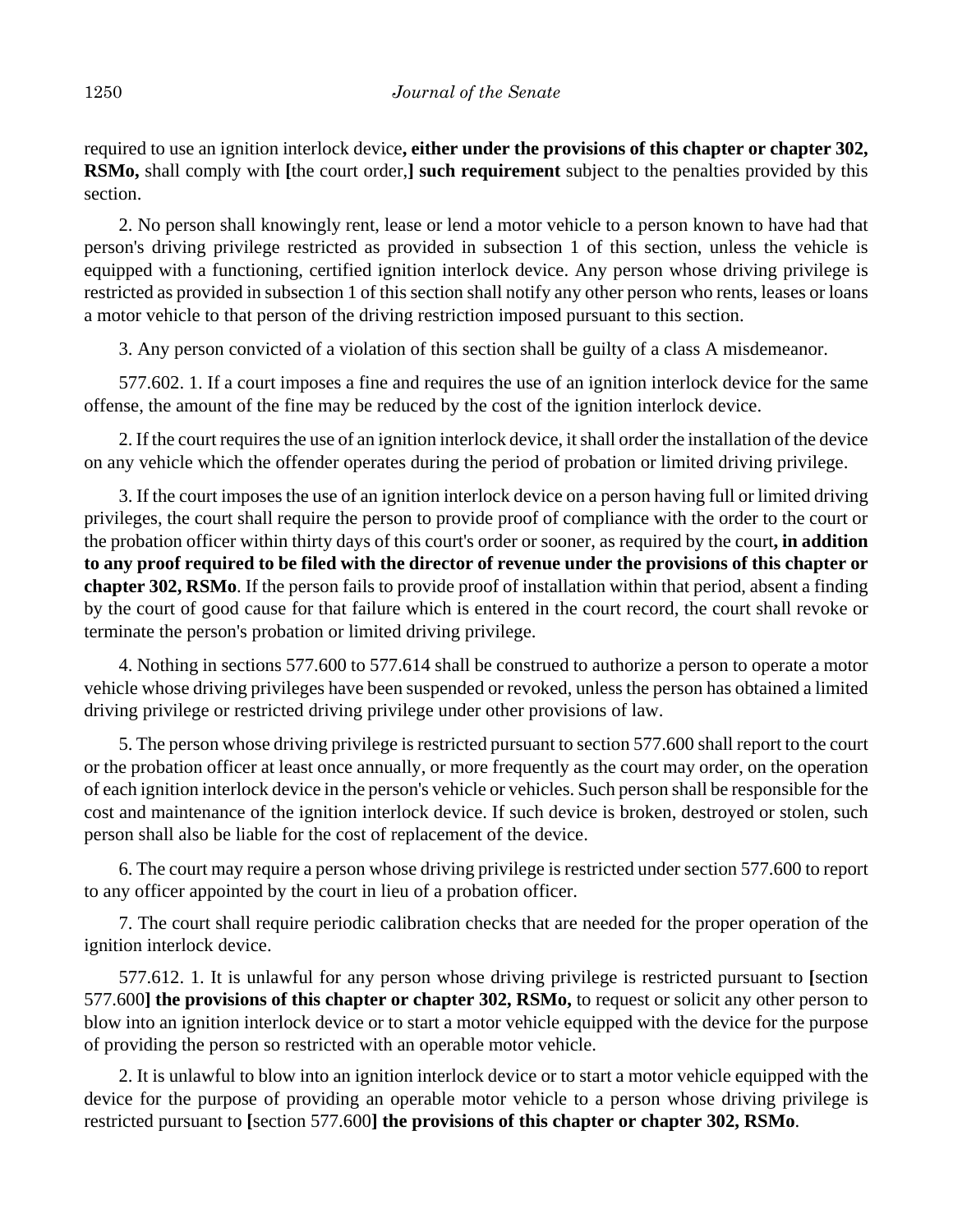required to use an ignition interlock device**, either under the provisions of this chapter or chapter 302, RSMo,** shall comply with **[**the court order,**] such requirement** subject to the penalties provided by this section.

2. No person shall knowingly rent, lease or lend a motor vehicle to a person known to have had that person's driving privilege restricted as provided in subsection 1 of this section, unless the vehicle is equipped with a functioning, certified ignition interlock device. Any person whose driving privilege is restricted as provided in subsection 1 of this section shall notify any other person who rents, leases or loans a motor vehicle to that person of the driving restriction imposed pursuant to this section.

3. Any person convicted of a violation of this section shall be guilty of a class A misdemeanor.

577.602. 1. If a court imposes a fine and requires the use of an ignition interlock device for the same offense, the amount of the fine may be reduced by the cost of the ignition interlock device.

2. If the court requires the use of an ignition interlock device, it shall order the installation of the device on any vehicle which the offender operates during the period of probation or limited driving privilege.

3. If the court imposes the use of an ignition interlock device on a person having full or limited driving privileges, the court shall require the person to provide proof of compliance with the order to the court or the probation officer within thirty days of this court's order or sooner, as required by the court**, in addition to any proof required to be filed with the director of revenue under the provisions of this chapter or chapter 302, RSMo**. If the person fails to provide proof of installation within that period, absent a finding by the court of good cause for that failure which is entered in the court record, the court shall revoke or terminate the person's probation or limited driving privilege.

4. Nothing in sections 577.600 to 577.614 shall be construed to authorize a person to operate a motor vehicle whose driving privileges have been suspended or revoked, unless the person has obtained a limited driving privilege or restricted driving privilege under other provisions of law.

5. The person whose driving privilege is restricted pursuant to section 577.600 shall report to the court or the probation officer at least once annually, or more frequently as the court may order, on the operation of each ignition interlock device in the person's vehicle or vehicles. Such person shall be responsible for the cost and maintenance of the ignition interlock device. If such device is broken, destroyed or stolen, such person shall also be liable for the cost of replacement of the device.

6. The court may require a person whose driving privilege is restricted under section 577.600 to report to any officer appointed by the court in lieu of a probation officer.

7. The court shall require periodic calibration checks that are needed for the proper operation of the ignition interlock device.

577.612. 1. It is unlawful for any person whose driving privilege is restricted pursuant to **[**section 577.600**] the provisions of this chapter or chapter 302, RSMo,** to request or solicit any other person to blow into an ignition interlock device or to start a motor vehicle equipped with the device for the purpose of providing the person so restricted with an operable motor vehicle.

2. It is unlawful to blow into an ignition interlock device or to start a motor vehicle equipped with the device for the purpose of providing an operable motor vehicle to a person whose driving privilege is restricted pursuant to **[**section 577.600**] the provisions of this chapter or chapter 302, RSMo**.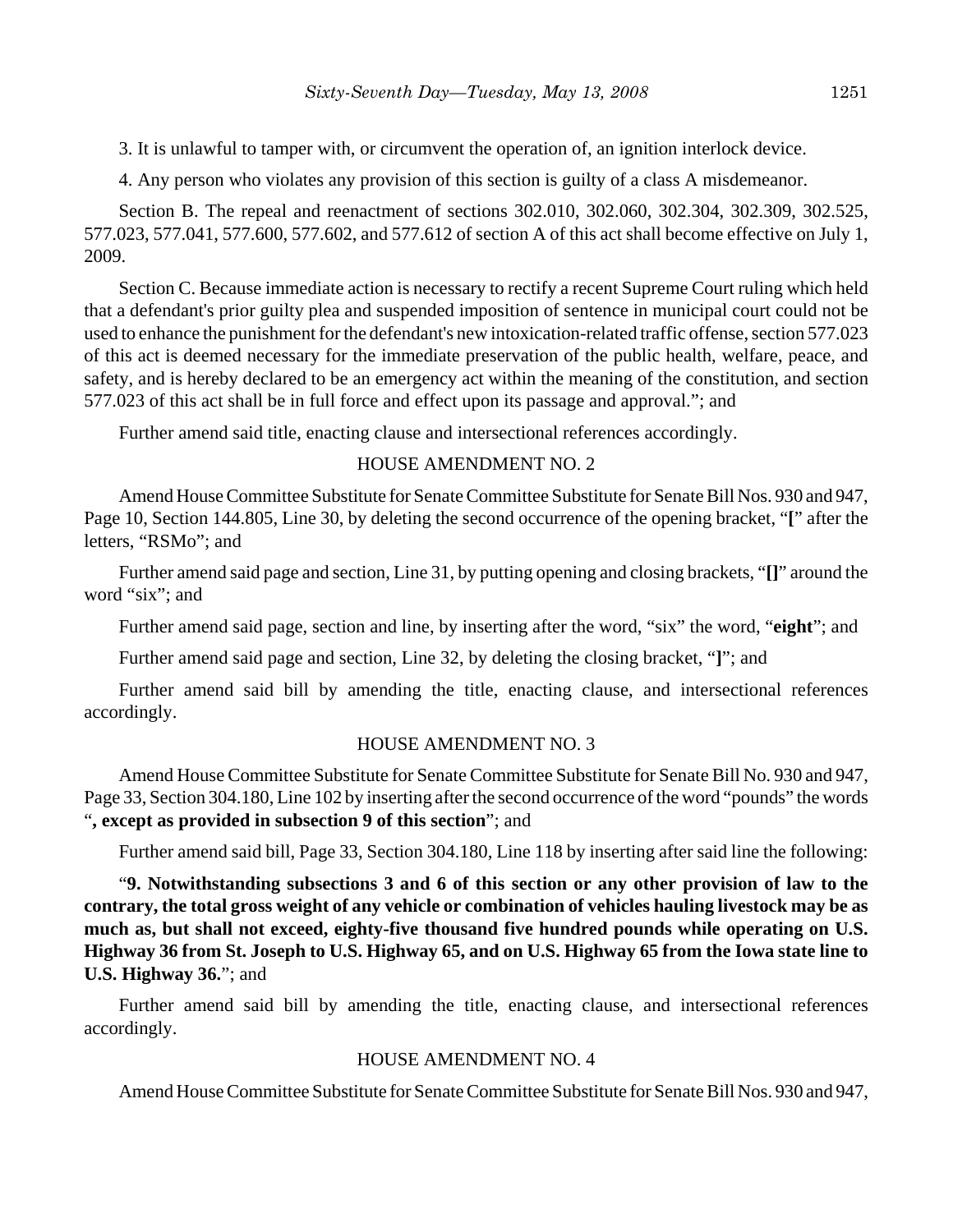3. It is unlawful to tamper with, or circumvent the operation of, an ignition interlock device.

4. Any person who violates any provision of this section is guilty of a class A misdemeanor.

Section B. The repeal and reenactment of sections 302.010, 302.060, 302.304, 302.309, 302.525, 577.023, 577.041, 577.600, 577.602, and 577.612 of section A of this act shall become effective on July 1, 2009.

Section C. Because immediate action is necessary to rectify a recent Supreme Court ruling which held that a defendant's prior guilty plea and suspended imposition of sentence in municipal court could not be used to enhance the punishment for the defendant's new intoxication-related traffic offense, section 577.023 of this act is deemed necessary for the immediate preservation of the public health, welfare, peace, and safety, and is hereby declared to be an emergency act within the meaning of the constitution, and section 577.023 of this act shall be in full force and effect upon its passage and approval."; and

Further amend said title, enacting clause and intersectional references accordingly.

## HOUSE AMENDMENT NO. 2

Amend House Committee Substitute for Senate Committee Substitute for Senate Bill Nos. 930 and 947, Page 10, Section 144.805, Line 30, by deleting the second occurrence of the opening bracket, "**[**" after the letters, "RSMo"; and

Further amend said page and section, Line 31, by putting opening and closing brackets, "**[]**" around the word "six"; and

Further amend said page, section and line, by inserting after the word, "six" the word, "**eight**"; and

Further amend said page and section, Line 32, by deleting the closing bracket, "**]**"; and

Further amend said bill by amending the title, enacting clause, and intersectional references accordingly.

# HOUSE AMENDMENT NO. 3

Amend House Committee Substitute for Senate Committee Substitute for Senate Bill No. 930 and 947, Page 33, Section 304.180, Line 102 by inserting after the second occurrence of the word "pounds" the words "**, except as provided in subsection 9 of this section**"; and

Further amend said bill, Page 33, Section 304.180, Line 118 by inserting after said line the following:

"**9. Notwithstanding subsections 3 and 6 of this section or any other provision of law to the contrary, the total gross weight of any vehicle or combination of vehicles hauling livestock may be as much as, but shall not exceed, eighty-five thousand five hundred pounds while operating on U.S. Highway 36 from St. Joseph to U.S. Highway 65, and on U.S. Highway 65 from the Iowa state line to U.S. Highway 36.**"; and

Further amend said bill by amending the title, enacting clause, and intersectional references accordingly.

## HOUSE AMENDMENT NO. 4

Amend House Committee Substitute for Senate Committee Substitute for Senate Bill Nos. 930 and 947,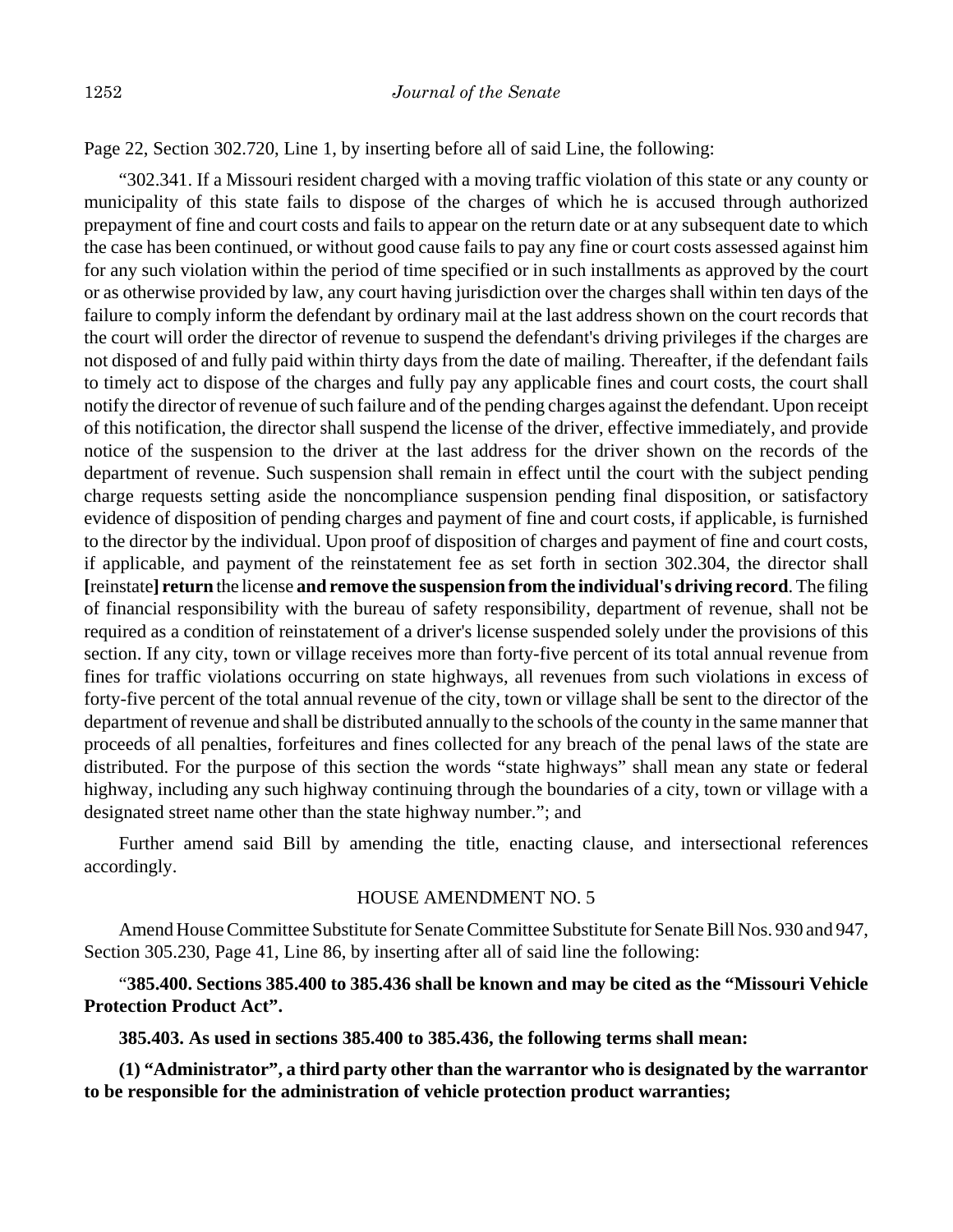Page 22, Section 302.720, Line 1, by inserting before all of said Line, the following:

"302.341. If a Missouri resident charged with a moving traffic violation of this state or any county or municipality of this state fails to dispose of the charges of which he is accused through authorized prepayment of fine and court costs and fails to appear on the return date or at any subsequent date to which the case has been continued, or without good cause fails to pay any fine or court costs assessed against him for any such violation within the period of time specified or in such installments as approved by the court or as otherwise provided by law, any court having jurisdiction over the charges shall within ten days of the failure to comply inform the defendant by ordinary mail at the last address shown on the court records that the court will order the director of revenue to suspend the defendant's driving privileges if the charges are not disposed of and fully paid within thirty days from the date of mailing. Thereafter, if the defendant fails to timely act to dispose of the charges and fully pay any applicable fines and court costs, the court shall notify the director of revenue of such failure and of the pending charges against the defendant. Upon receipt of this notification, the director shall suspend the license of the driver, effective immediately, and provide notice of the suspension to the driver at the last address for the driver shown on the records of the department of revenue. Such suspension shall remain in effect until the court with the subject pending charge requests setting aside the noncompliance suspension pending final disposition, or satisfactory evidence of disposition of pending charges and payment of fine and court costs, if applicable, is furnished to the director by the individual. Upon proof of disposition of charges and payment of fine and court costs, if applicable, and payment of the reinstatement fee as set forth in section 302.304, the director shall **[**reinstate**] return** the license **and remove the suspension from the individual's driving record**. The filing of financial responsibility with the bureau of safety responsibility, department of revenue, shall not be required as a condition of reinstatement of a driver's license suspended solely under the provisions of this section. If any city, town or village receives more than forty-five percent of its total annual revenue from fines for traffic violations occurring on state highways, all revenues from such violations in excess of forty-five percent of the total annual revenue of the city, town or village shall be sent to the director of the department of revenue and shall be distributed annually to the schools of the county in the same manner that proceeds of all penalties, forfeitures and fines collected for any breach of the penal laws of the state are distributed. For the purpose of this section the words "state highways" shall mean any state or federal highway, including any such highway continuing through the boundaries of a city, town or village with a designated street name other than the state highway number."; and

Further amend said Bill by amending the title, enacting clause, and intersectional references accordingly.

## HOUSE AMENDMENT NO. 5

Amend House Committee Substitute for Senate Committee Substitute for Senate Bill Nos. 930 and 947, Section 305.230, Page 41, Line 86, by inserting after all of said line the following:

"**385.400. Sections 385.400 to 385.436 shall be known and may be cited as the "Missouri Vehicle Protection Product Act".**

**385.403. As used in sections 385.400 to 385.436, the following terms shall mean:**

**(1) "Administrator", a third party other than the warrantor who is designated by the warrantor to be responsible for the administration of vehicle protection product warranties;**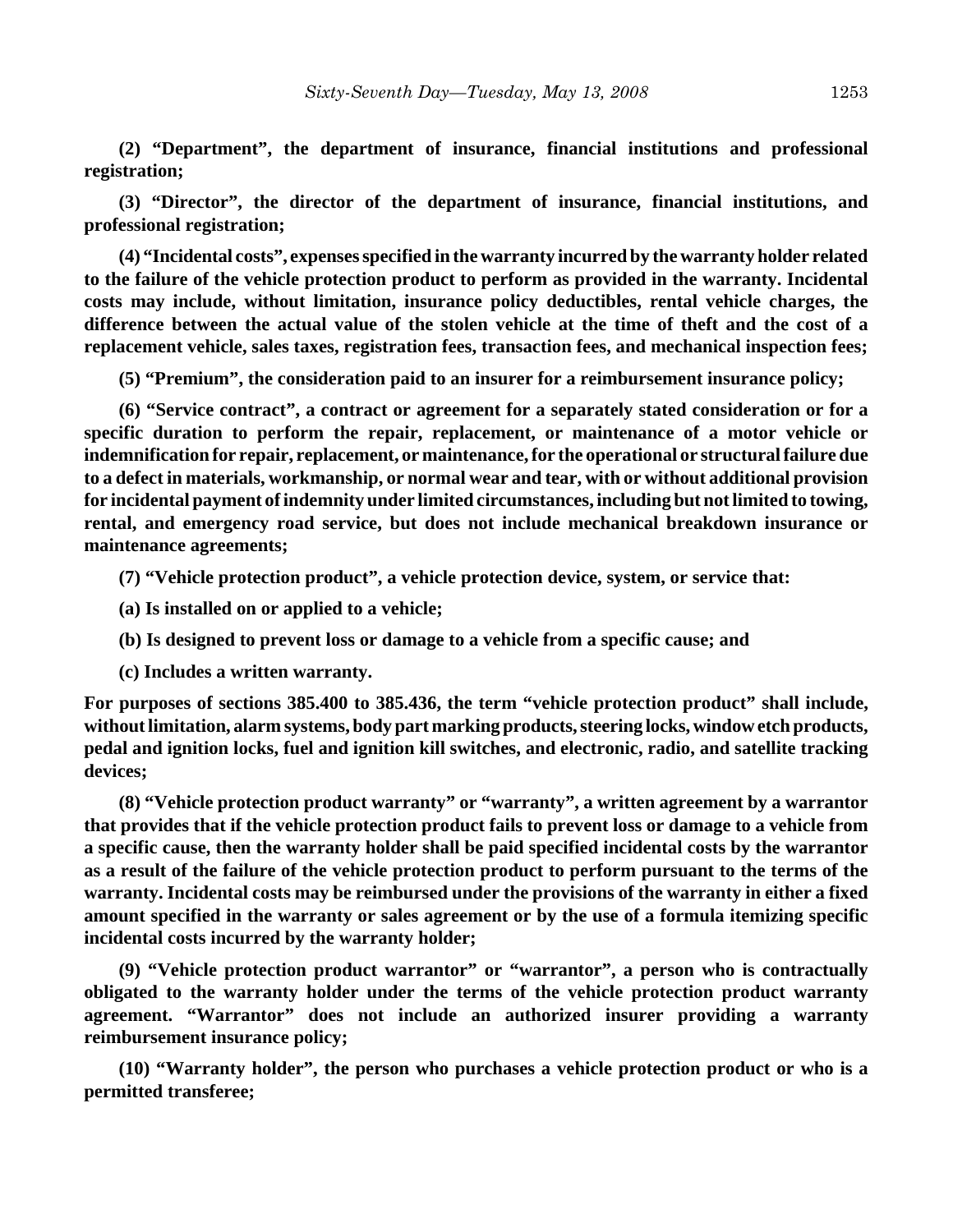**(2) "Department", the department of insurance, financial institutions and professional registration;**

**(3) "Director", the director of the department of insurance, financial institutions, and professional registration;**

**(4) "Incidental costs", expenses specified in the warranty incurred by the warranty holder related to the failure of the vehicle protection product to perform as provided in the warranty. Incidental costs may include, without limitation, insurance policy deductibles, rental vehicle charges, the difference between the actual value of the stolen vehicle at the time of theft and the cost of a replacement vehicle, sales taxes, registration fees, transaction fees, and mechanical inspection fees;**

**(5) "Premium", the consideration paid to an insurer for a reimbursement insurance policy;**

**(6) "Service contract", a contract or agreement for a separately stated consideration or for a specific duration to perform the repair, replacement, or maintenance of a motor vehicle or indemnification for repair, replacement, or maintenance, for the operational or structural failure due to a defect in materials, workmanship, or normal wear and tear, with or without additional provision for incidental payment of indemnity under limited circumstances, including but not limited to towing, rental, and emergency road service, but does not include mechanical breakdown insurance or maintenance agreements;**

**(7) "Vehicle protection product", a vehicle protection device, system, or service that:**

**(a) Is installed on or applied to a vehicle;**

**(b) Is designed to prevent loss or damage to a vehicle from a specific cause; and**

**(c) Includes a written warranty.**

**For purposes of sections 385.400 to 385.436, the term "vehicle protection product" shall include, without limitation, alarm systems, body part marking products, steering locks, window etch products, pedal and ignition locks, fuel and ignition kill switches, and electronic, radio, and satellite tracking devices;**

**(8) "Vehicle protection product warranty" or "warranty", a written agreement by a warrantor that provides that if the vehicle protection product fails to prevent loss or damage to a vehicle from a specific cause, then the warranty holder shall be paid specified incidental costs by the warrantor as a result of the failure of the vehicle protection product to perform pursuant to the terms of the warranty. Incidental costs may be reimbursed under the provisions of the warranty in either a fixed amount specified in the warranty or sales agreement or by the use of a formula itemizing specific incidental costs incurred by the warranty holder;**

**(9) "Vehicle protection product warrantor" or "warrantor", a person who is contractually obligated to the warranty holder under the terms of the vehicle protection product warranty agreement. "Warrantor" does not include an authorized insurer providing a warranty reimbursement insurance policy;**

**(10) "Warranty holder", the person who purchases a vehicle protection product or who is a permitted transferee;**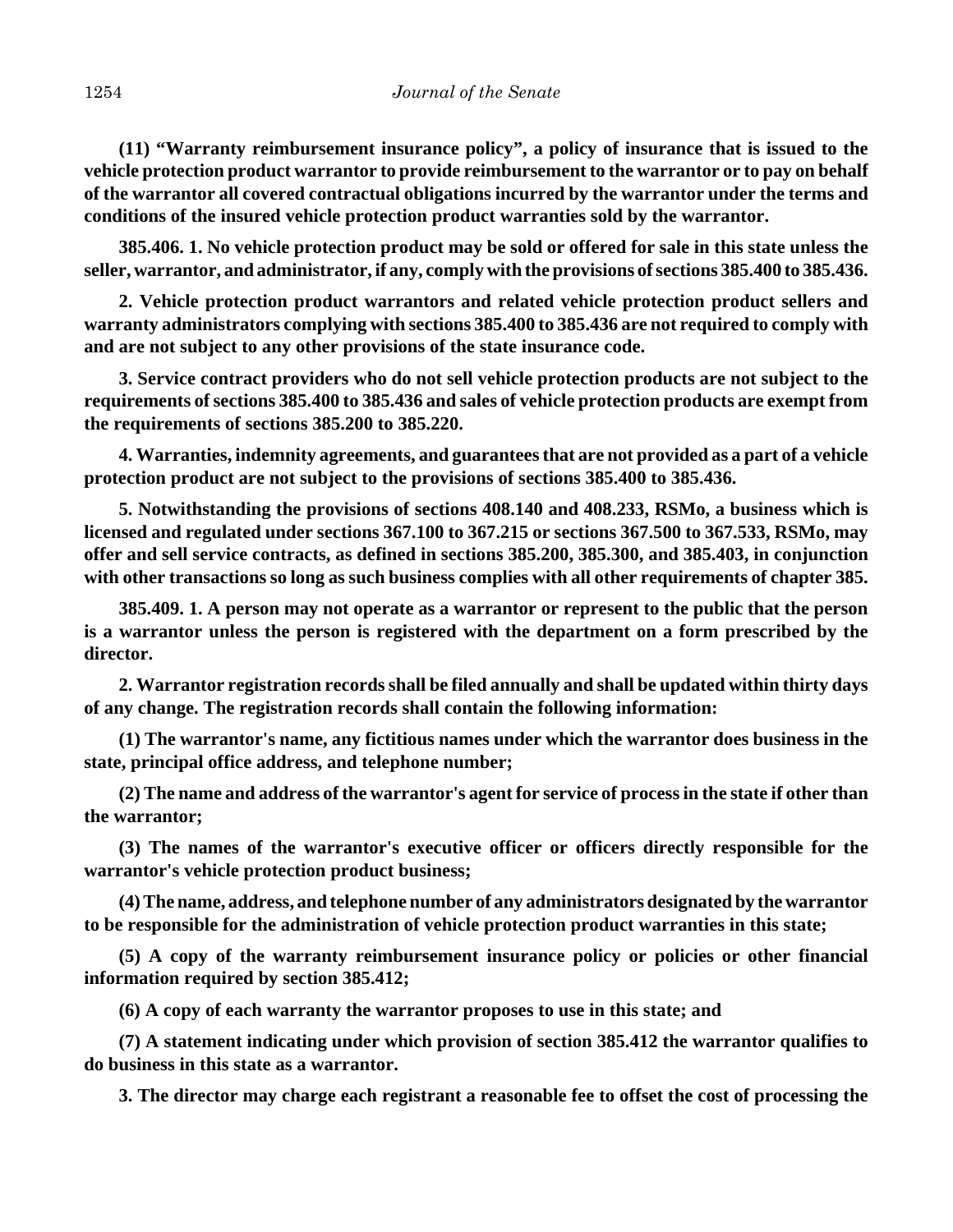**(11) "Warranty reimbursement insurance policy", a policy of insurance that is issued to the vehicle protection product warrantor to provide reimbursement to the warrantor or to pay on behalf of the warrantor all covered contractual obligations incurred by the warrantor under the terms and conditions of the insured vehicle protection product warranties sold by the warrantor.**

**385.406. 1. No vehicle protection product may be sold or offered for sale in this state unless the seller, warrantor, and administrator, if any, comply with the provisions of sections 385.400 to 385.436.**

**2. Vehicle protection product warrantors and related vehicle protection product sellers and warranty administrators complying with sections 385.400 to 385.436 are not required to comply with and are not subject to any other provisions of the state insurance code.**

**3. Service contract providers who do not sell vehicle protection products are not subject to the requirements of sections 385.400 to 385.436 and sales of vehicle protection products are exempt from the requirements of sections 385.200 to 385.220.**

**4. Warranties, indemnity agreements, and guarantees that are not provided as a part of a vehicle protection product are not subject to the provisions of sections 385.400 to 385.436.**

**5. Notwithstanding the provisions of sections 408.140 and 408.233, RSMo, a business which is licensed and regulated under sections 367.100 to 367.215 or sections 367.500 to 367.533, RSMo, may offer and sell service contracts, as defined in sections 385.200, 385.300, and 385.403, in conjunction with other transactions so long as such business complies with all other requirements of chapter 385.**

**385.409. 1. A person may not operate as a warrantor or represent to the public that the person is a warrantor unless the person is registered with the department on a form prescribed by the director.**

**2. Warrantor registration records shall be filed annually and shall be updated within thirty days of any change. The registration records shall contain the following information:**

**(1) The warrantor's name, any fictitious names under which the warrantor does business in the state, principal office address, and telephone number;**

**(2) The name and address of the warrantor's agent for service of process in the state if other than the warrantor;**

**(3) The names of the warrantor's executive officer or officers directly responsible for the warrantor's vehicle protection product business;**

**(4) The name, address, and telephone number of any administrators designated by the warrantor to be responsible for the administration of vehicle protection product warranties in this state;**

**(5) A copy of the warranty reimbursement insurance policy or policies or other financial information required by section 385.412;**

**(6) A copy of each warranty the warrantor proposes to use in this state; and**

**(7) A statement indicating under which provision of section 385.412 the warrantor qualifies to do business in this state as a warrantor.**

**3. The director may charge each registrant a reasonable fee to offset the cost of processing the**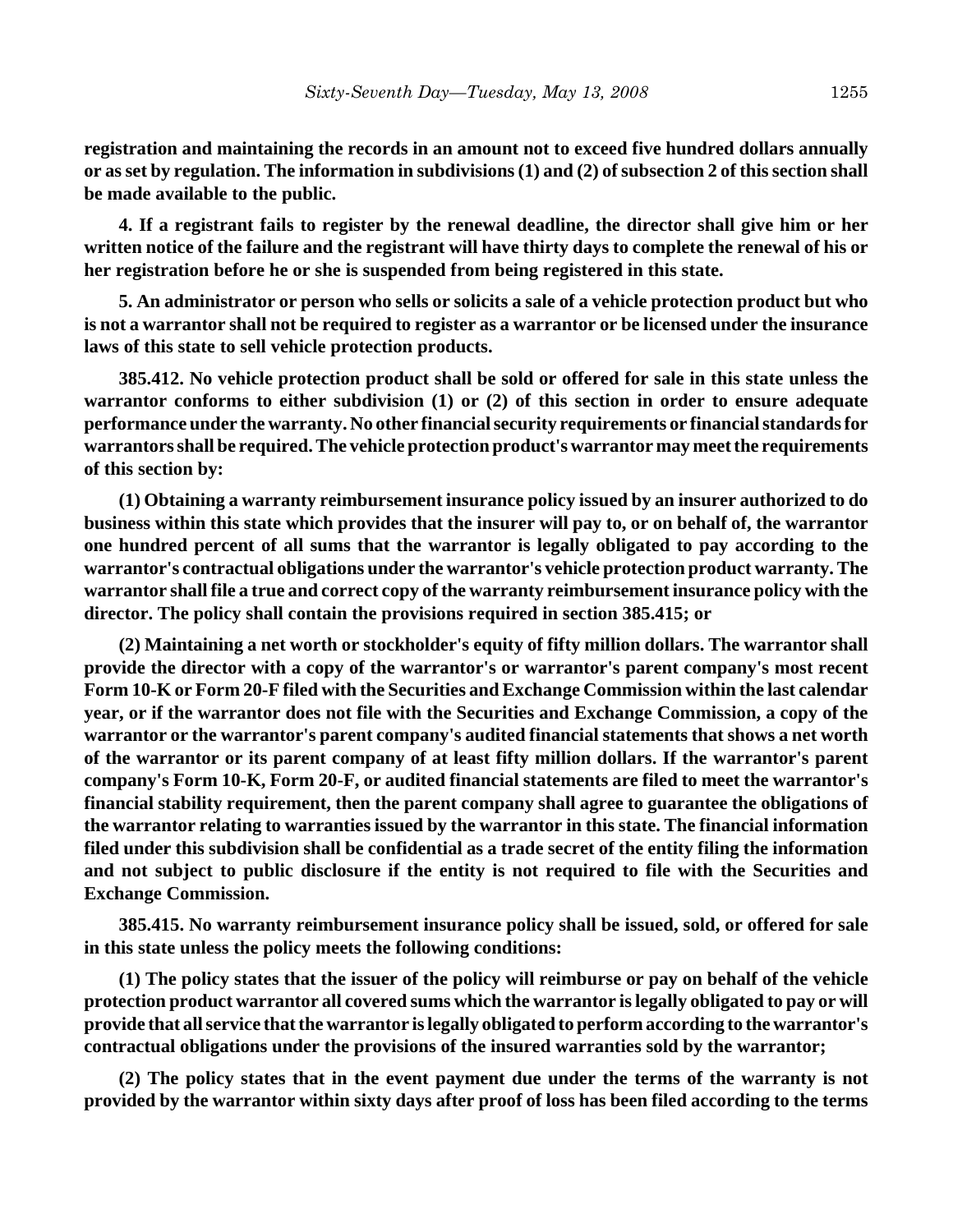**registration and maintaining the records in an amount not to exceed five hundred dollars annually or as set by regulation. The information in subdivisions (1) and (2) of subsection 2 of this section shall be made available to the public.**

**4. If a registrant fails to register by the renewal deadline, the director shall give him or her written notice of the failure and the registrant will have thirty days to complete the renewal of his or her registration before he or she is suspended from being registered in this state.**

**5. An administrator or person who sells or solicits a sale of a vehicle protection product but who is not a warrantor shall not be required to register as a warrantor or be licensed under the insurance laws of this state to sell vehicle protection products.**

**385.412. No vehicle protection product shall be sold or offered for sale in this state unless the warrantor conforms to either subdivision (1) or (2) of this section in order to ensure adequate performance under the warranty. No other financial security requirements or financial standards for warrantors shall be required. The vehicle protection product's warrantor may meet the requirements of this section by:**

**(1) Obtaining a warranty reimbursement insurance policy issued by an insurer authorized to do business within this state which provides that the insurer will pay to, or on behalf of, the warrantor one hundred percent of all sums that the warrantor is legally obligated to pay according to the warrantor's contractual obligations under the warrantor's vehicle protection product warranty. The warrantor shall file a true and correct copy of the warranty reimbursement insurance policy with the director. The policy shall contain the provisions required in section 385.415; or**

**(2) Maintaining a net worth or stockholder's equity of fifty million dollars. The warrantor shall provide the director with a copy of the warrantor's or warrantor's parent company's most recent Form 10-K or Form 20-F filed with the Securities and Exchange Commission within the last calendar year, or if the warrantor does not file with the Securities and Exchange Commission, a copy of the warrantor or the warrantor's parent company's audited financial statements that shows a net worth of the warrantor or its parent company of at least fifty million dollars. If the warrantor's parent company's Form 10-K, Form 20-F, or audited financial statements are filed to meet the warrantor's financial stability requirement, then the parent company shall agree to guarantee the obligations of the warrantor relating to warranties issued by the warrantor in this state. The financial information filed under this subdivision shall be confidential as a trade secret of the entity filing the information and not subject to public disclosure if the entity is not required to file with the Securities and Exchange Commission.**

**385.415. No warranty reimbursement insurance policy shall be issued, sold, or offered for sale in this state unless the policy meets the following conditions:**

**(1) The policy states that the issuer of the policy will reimburse or pay on behalf of the vehicle protection product warrantor all covered sums which the warrantor is legally obligated to pay or will provide that all service that the warrantor is legally obligated to perform according to the warrantor's contractual obligations under the provisions of the insured warranties sold by the warrantor;**

**(2) The policy states that in the event payment due under the terms of the warranty is not provided by the warrantor within sixty days after proof of loss has been filed according to the terms**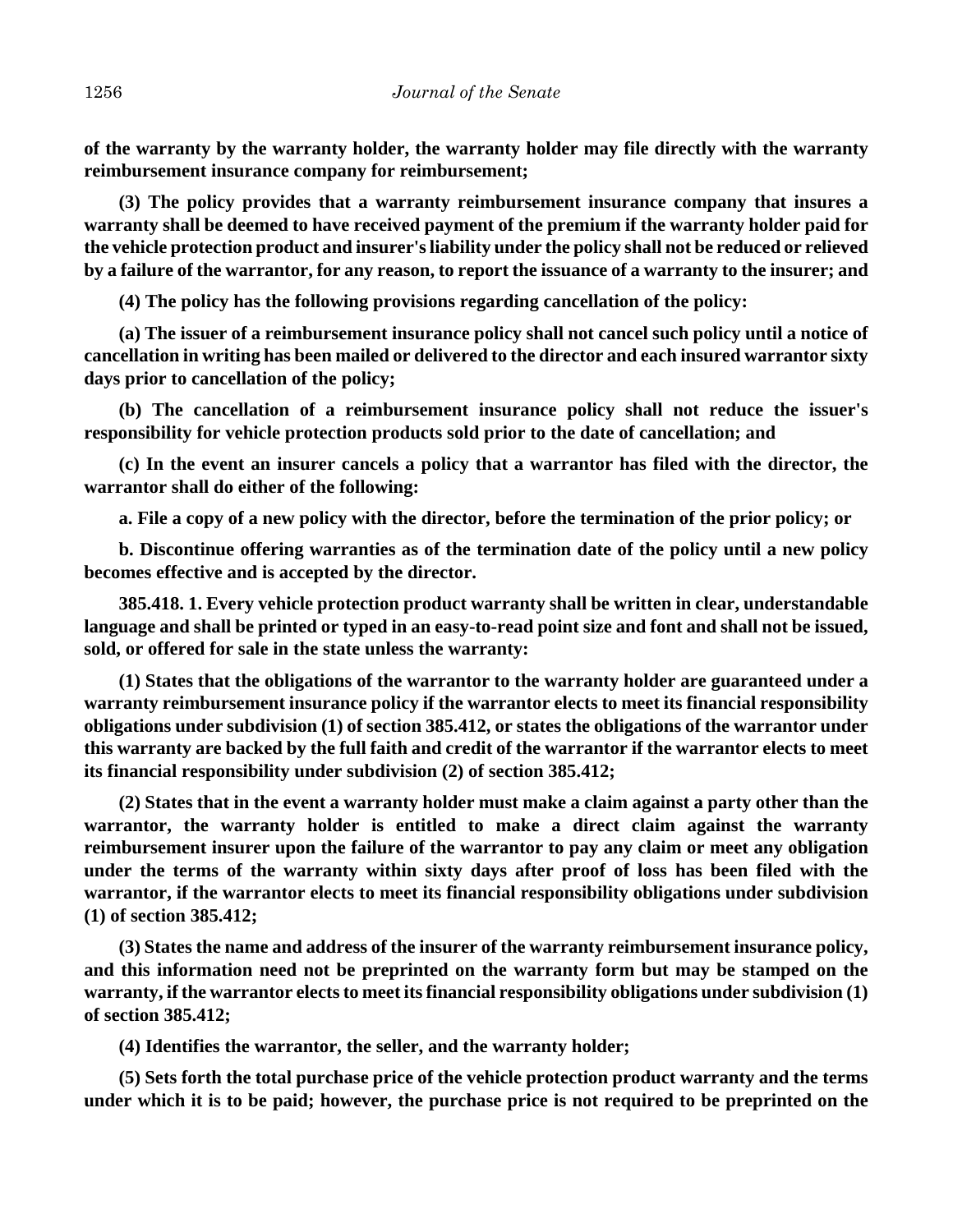**of the warranty by the warranty holder, the warranty holder may file directly with the warranty reimbursement insurance company for reimbursement;**

**(3) The policy provides that a warranty reimbursement insurance company that insures a warranty shall be deemed to have received payment of the premium if the warranty holder paid for the vehicle protection product and insurer's liability under the policy shall not be reduced or relieved by a failure of the warrantor, for any reason, to report the issuance of a warranty to the insurer; and**

**(4) The policy has the following provisions regarding cancellation of the policy:**

**(a) The issuer of a reimbursement insurance policy shall not cancel such policy until a notice of cancellation in writing has been mailed or delivered to the director and each insured warrantor sixty days prior to cancellation of the policy;**

**(b) The cancellation of a reimbursement insurance policy shall not reduce the issuer's responsibility for vehicle protection products sold prior to the date of cancellation; and**

**(c) In the event an insurer cancels a policy that a warrantor has filed with the director, the warrantor shall do either of the following:**

**a. File a copy of a new policy with the director, before the termination of the prior policy; or**

**b. Discontinue offering warranties as of the termination date of the policy until a new policy becomes effective and is accepted by the director.**

**385.418. 1. Every vehicle protection product warranty shall be written in clear, understandable language and shall be printed or typed in an easy-to-read point size and font and shall not be issued, sold, or offered for sale in the state unless the warranty:**

**(1) States that the obligations of the warrantor to the warranty holder are guaranteed under a warranty reimbursement insurance policy if the warrantor elects to meet its financial responsibility obligations under subdivision (1) of section 385.412, or states the obligations of the warrantor under this warranty are backed by the full faith and credit of the warrantor if the warrantor elects to meet its financial responsibility under subdivision (2) of section 385.412;**

**(2) States that in the event a warranty holder must make a claim against a party other than the warrantor, the warranty holder is entitled to make a direct claim against the warranty reimbursement insurer upon the failure of the warrantor to pay any claim or meet any obligation under the terms of the warranty within sixty days after proof of loss has been filed with the warrantor, if the warrantor elects to meet its financial responsibility obligations under subdivision (1) of section 385.412;**

**(3) States the name and address of the insurer of the warranty reimbursement insurance policy, and this information need not be preprinted on the warranty form but may be stamped on the warranty, if the warrantor elects to meet its financial responsibility obligations under subdivision (1) of section 385.412;**

**(4) Identifies the warrantor, the seller, and the warranty holder;**

**(5) Sets forth the total purchase price of the vehicle protection product warranty and the terms under which it is to be paid; however, the purchase price is not required to be preprinted on the**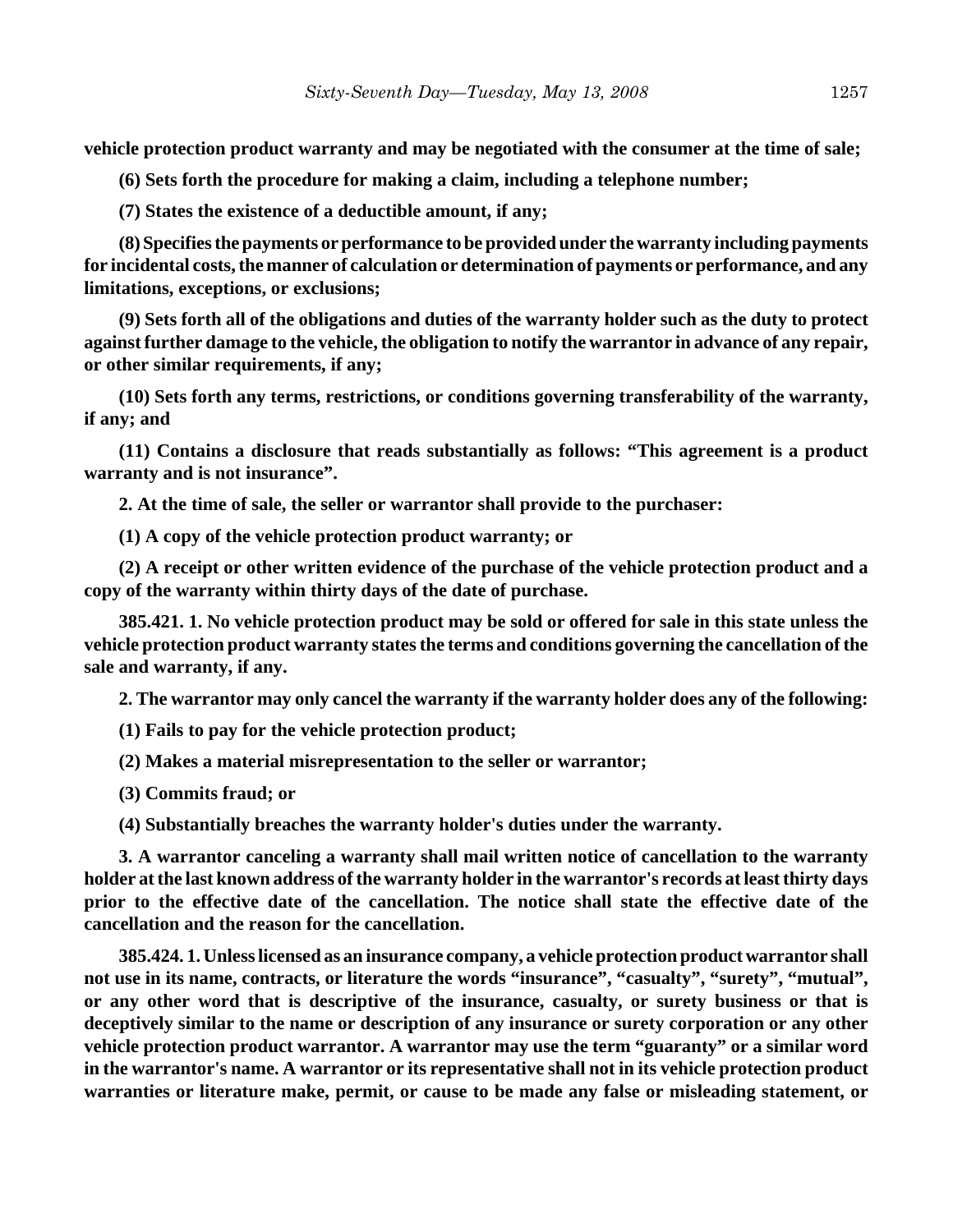**vehicle protection product warranty and may be negotiated with the consumer at the time of sale;**

**(6) Sets forth the procedure for making a claim, including a telephone number;**

**(7) States the existence of a deductible amount, if any;**

**(8) Specifies the payments or performance to be provided under the warranty including payments for incidental costs, the manner of calculation or determination of payments or performance, and any limitations, exceptions, or exclusions;**

**(9) Sets forth all of the obligations and duties of the warranty holder such as the duty to protect against further damage to the vehicle, the obligation to notify the warrantor in advance of any repair, or other similar requirements, if any;**

**(10) Sets forth any terms, restrictions, or conditions governing transferability of the warranty, if any; and**

**(11) Contains a disclosure that reads substantially as follows: "This agreement is a product warranty and is not insurance".**

**2. At the time of sale, the seller or warrantor shall provide to the purchaser:**

**(1) A copy of the vehicle protection product warranty; or**

**(2) A receipt or other written evidence of the purchase of the vehicle protection product and a copy of the warranty within thirty days of the date of purchase.**

**385.421. 1. No vehicle protection product may be sold or offered for sale in this state unless the vehicle protection product warranty states the terms and conditions governing the cancellation of the sale and warranty, if any.**

**2. The warrantor may only cancel the warranty if the warranty holder does any of the following:**

**(1) Fails to pay for the vehicle protection product;**

**(2) Makes a material misrepresentation to the seller or warrantor;**

**(3) Commits fraud; or**

**(4) Substantially breaches the warranty holder's duties under the warranty.**

**3. A warrantor canceling a warranty shall mail written notice of cancellation to the warranty holder at the last known address of the warranty holder in the warrantor's records at least thirty days prior to the effective date of the cancellation. The notice shall state the effective date of the cancellation and the reason for the cancellation.**

**385.424. 1. Unless licensed as an insurance company, a vehicle protection product warrantor shall not use in its name, contracts, or literature the words "insurance", "casualty", "surety", "mutual", or any other word that is descriptive of the insurance, casualty, or surety business or that is deceptively similar to the name or description of any insurance or surety corporation or any other vehicle protection product warrantor. A warrantor may use the term "guaranty" or a similar word in the warrantor's name. A warrantor or its representative shall not in its vehicle protection product warranties or literature make, permit, or cause to be made any false or misleading statement, or**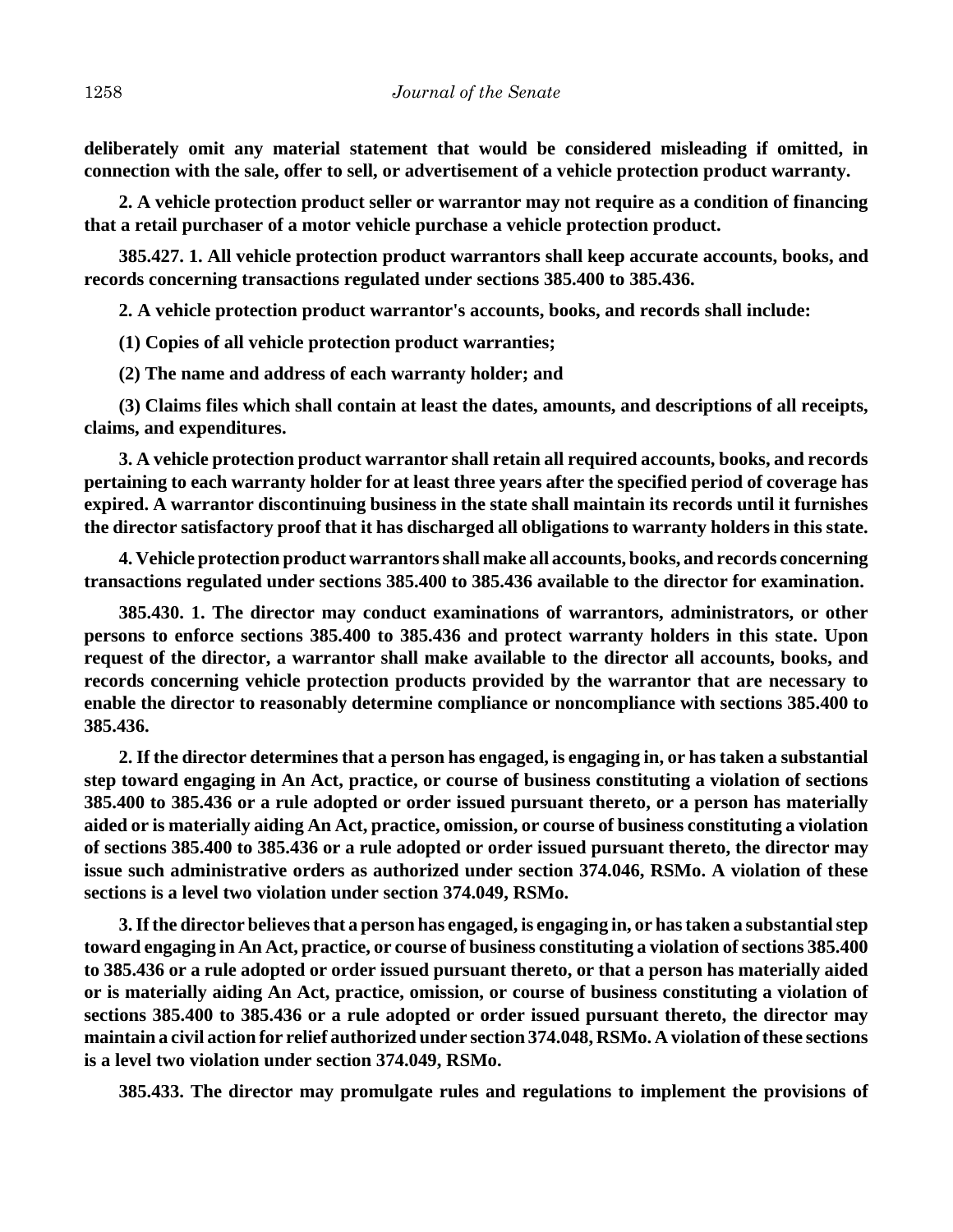**deliberately omit any material statement that would be considered misleading if omitted, in connection with the sale, offer to sell, or advertisement of a vehicle protection product warranty.**

**2. A vehicle protection product seller or warrantor may not require as a condition of financing that a retail purchaser of a motor vehicle purchase a vehicle protection product.**

**385.427. 1. All vehicle protection product warrantors shall keep accurate accounts, books, and records concerning transactions regulated under sections 385.400 to 385.436.**

**2. A vehicle protection product warrantor's accounts, books, and records shall include:**

**(1) Copies of all vehicle protection product warranties;**

**(2) The name and address of each warranty holder; and**

**(3) Claims files which shall contain at least the dates, amounts, and descriptions of all receipts, claims, and expenditures.**

**3. A vehicle protection product warrantor shall retain all required accounts, books, and records pertaining to each warranty holder for at least three years after the specified period of coverage has expired. A warrantor discontinuing business in the state shall maintain its records until it furnishes the director satisfactory proof that it has discharged all obligations to warranty holders in this state.**

**4. Vehicle protection product warrantors shall make all accounts, books, and records concerning transactions regulated under sections 385.400 to 385.436 available to the director for examination.**

**385.430. 1. The director may conduct examinations of warrantors, administrators, or other persons to enforce sections 385.400 to 385.436 and protect warranty holders in this state. Upon request of the director, a warrantor shall make available to the director all accounts, books, and records concerning vehicle protection products provided by the warrantor that are necessary to enable the director to reasonably determine compliance or noncompliance with sections 385.400 to 385.436.**

**2. If the director determines that a person has engaged, is engaging in, or has taken a substantial step toward engaging in An Act, practice, or course of business constituting a violation of sections 385.400 to 385.436 or a rule adopted or order issued pursuant thereto, or a person has materially aided or is materially aiding An Act, practice, omission, or course of business constituting a violation of sections 385.400 to 385.436 or a rule adopted or order issued pursuant thereto, the director may issue such administrative orders as authorized under section 374.046, RSMo. A violation of these sections is a level two violation under section 374.049, RSMo.**

**3. If the director believes that a person has engaged, is engaging in, or has taken a substantial step toward engaging in An Act, practice, or course of business constituting a violation of sections 385.400 to 385.436 or a rule adopted or order issued pursuant thereto, or that a person has materially aided or is materially aiding An Act, practice, omission, or course of business constituting a violation of sections 385.400 to 385.436 or a rule adopted or order issued pursuant thereto, the director may maintain a civil action for relief authorized under section 374.048, RSMo. A violation of these sections is a level two violation under section 374.049, RSMo.**

**385.433. The director may promulgate rules and regulations to implement the provisions of**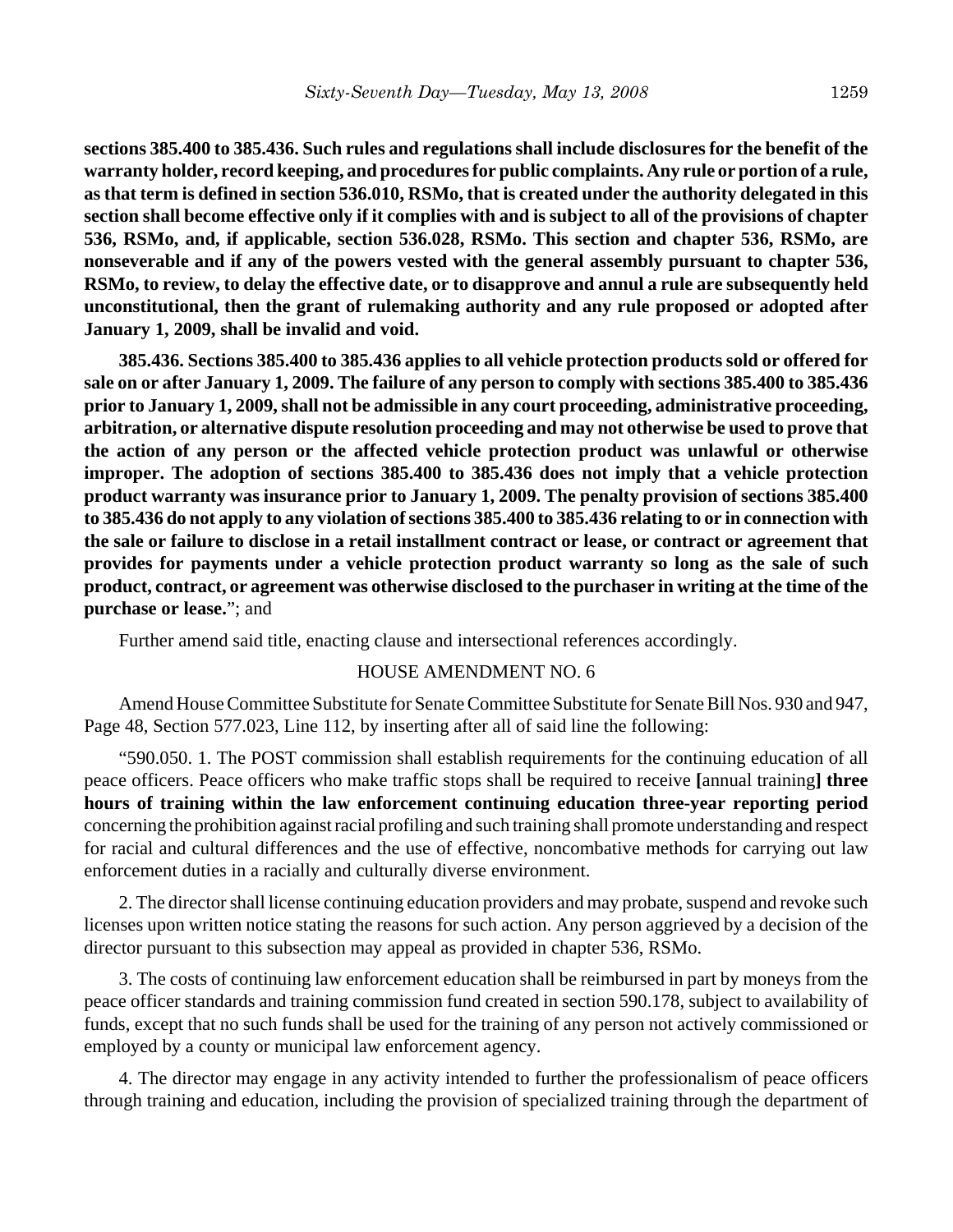**sections 385.400 to 385.436. Such rules and regulations shall include disclosures for the benefit of the warranty holder, record keeping, and procedures for public complaints. Any rule or portion of a rule, as that term is defined in section 536.010, RSMo, that is created under the authority delegated in this section shall become effective only if it complies with and is subject to all of the provisions of chapter 536, RSMo, and, if applicable, section 536.028, RSMo. This section and chapter 536, RSMo, are nonseverable and if any of the powers vested with the general assembly pursuant to chapter 536, RSMo, to review, to delay the effective date, or to disapprove and annul a rule are subsequently held unconstitutional, then the grant of rulemaking authority and any rule proposed or adopted after January 1, 2009, shall be invalid and void.**

**385.436. Sections 385.400 to 385.436 applies to all vehicle protection products sold or offered for sale on or after January 1, 2009. The failure of any person to comply with sections 385.400 to 385.436 prior to January 1, 2009, shall not be admissible in any court proceeding, administrative proceeding, arbitration, or alternative dispute resolution proceeding and may not otherwise be used to prove that the action of any person or the affected vehicle protection product was unlawful or otherwise improper. The adoption of sections 385.400 to 385.436 does not imply that a vehicle protection product warranty was insurance prior to January 1, 2009. The penalty provision of sections 385.400 to 385.436 do not apply to any violation of sections 385.400 to 385.436 relating to or in connection with the sale or failure to disclose in a retail installment contract or lease, or contract or agreement that provides for payments under a vehicle protection product warranty so long as the sale of such product, contract, or agreement was otherwise disclosed to the purchaser in writing at the time of the purchase or lease.**"; and

Further amend said title, enacting clause and intersectional references accordingly.

#### HOUSE AMENDMENT NO. 6

Amend House Committee Substitute for Senate Committee Substitute for Senate Bill Nos. 930 and 947, Page 48, Section 577.023, Line 112, by inserting after all of said line the following:

"590.050. 1. The POST commission shall establish requirements for the continuing education of all peace officers. Peace officers who make traffic stops shall be required to receive **[**annual training**] three hours of training within the law enforcement continuing education three-year reporting period** concerning the prohibition against racial profiling and such training shall promote understanding and respect for racial and cultural differences and the use of effective, noncombative methods for carrying out law enforcement duties in a racially and culturally diverse environment.

2. The director shall license continuing education providers and may probate, suspend and revoke such licenses upon written notice stating the reasons for such action. Any person aggrieved by a decision of the director pursuant to this subsection may appeal as provided in chapter 536, RSMo.

3. The costs of continuing law enforcement education shall be reimbursed in part by moneys from the peace officer standards and training commission fund created in section 590.178, subject to availability of funds, except that no such funds shall be used for the training of any person not actively commissioned or employed by a county or municipal law enforcement agency.

4. The director may engage in any activity intended to further the professionalism of peace officers through training and education, including the provision of specialized training through the department of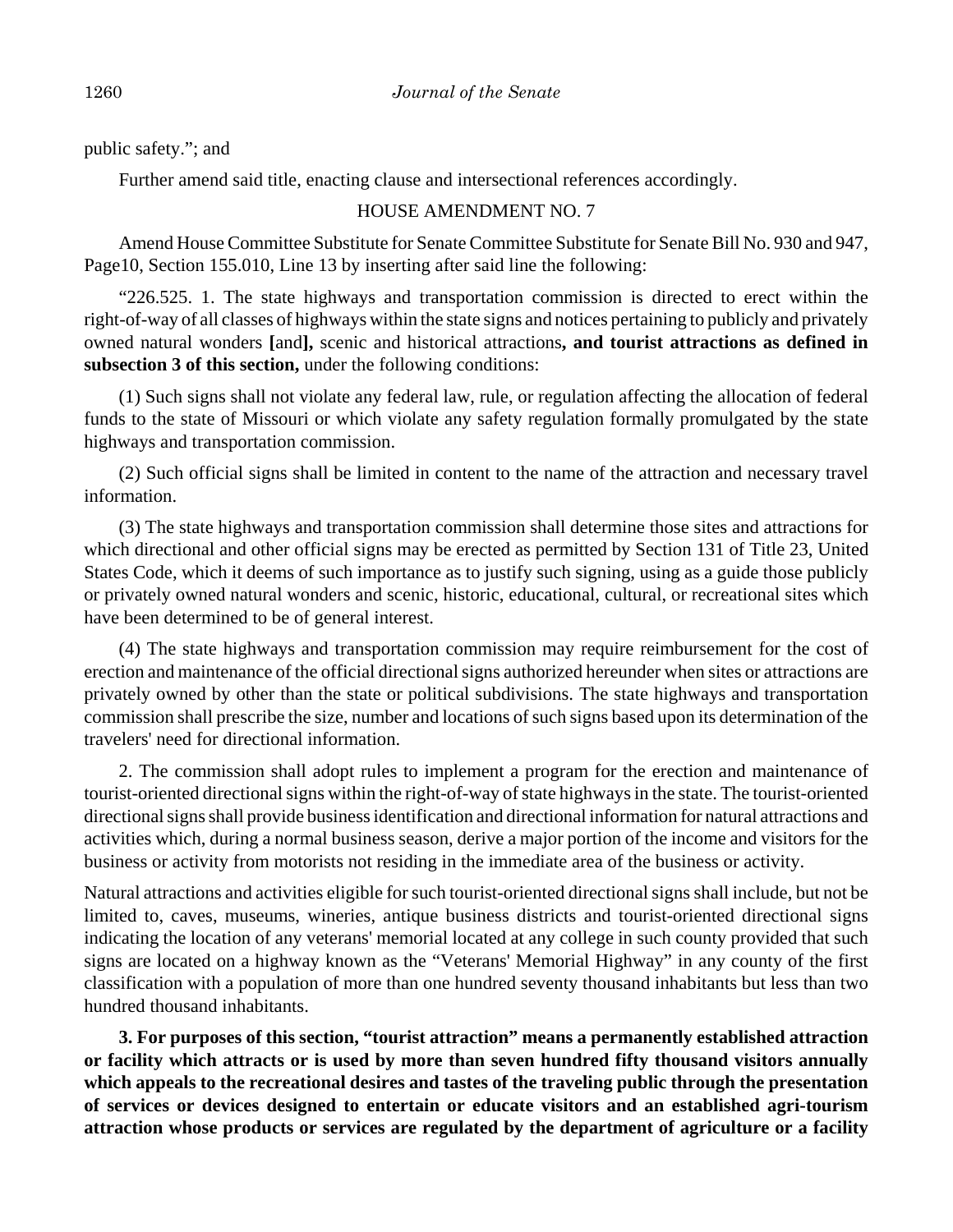public safety."; and

Further amend said title, enacting clause and intersectional references accordingly.

## HOUSE AMENDMENT NO. 7

Amend House Committee Substitute for Senate Committee Substitute for Senate Bill No. 930 and 947, Page10, Section 155.010, Line 13 by inserting after said line the following:

"226.525. 1. The state highways and transportation commission is directed to erect within the right-of-way of all classes of highways within the state signs and notices pertaining to publicly and privately owned natural wonders **[**and**],** scenic and historical attractions**, and tourist attractions as defined in subsection 3 of this section,** under the following conditions:

(1) Such signs shall not violate any federal law, rule, or regulation affecting the allocation of federal funds to the state of Missouri or which violate any safety regulation formally promulgated by the state highways and transportation commission.

(2) Such official signs shall be limited in content to the name of the attraction and necessary travel information.

(3) The state highways and transportation commission shall determine those sites and attractions for which directional and other official signs may be erected as permitted by Section 131 of Title 23, United States Code, which it deems of such importance as to justify such signing, using as a guide those publicly or privately owned natural wonders and scenic, historic, educational, cultural, or recreational sites which have been determined to be of general interest.

(4) The state highways and transportation commission may require reimbursement for the cost of erection and maintenance of the official directional signs authorized hereunder when sites or attractions are privately owned by other than the state or political subdivisions. The state highways and transportation commission shall prescribe the size, number and locations of such signs based upon its determination of the travelers' need for directional information.

2. The commission shall adopt rules to implement a program for the erection and maintenance of tourist-oriented directional signs within the right-of-way of state highways in the state. The tourist-oriented directional signs shall provide business identification and directional information for natural attractions and activities which, during a normal business season, derive a major portion of the income and visitors for the business or activity from motorists not residing in the immediate area of the business or activity.

Natural attractions and activities eligible for such tourist-oriented directional signs shall include, but not be limited to, caves, museums, wineries, antique business districts and tourist-oriented directional signs indicating the location of any veterans' memorial located at any college in such county provided that such signs are located on a highway known as the "Veterans' Memorial Highway" in any county of the first classification with a population of more than one hundred seventy thousand inhabitants but less than two hundred thousand inhabitants.

**3. For purposes of this section, "tourist attraction" means a permanently established attraction or facility which attracts or is used by more than seven hundred fifty thousand visitors annually which appeals to the recreational desires and tastes of the traveling public through the presentation of services or devices designed to entertain or educate visitors and an established agri-tourism attraction whose products or services are regulated by the department of agriculture or a facility**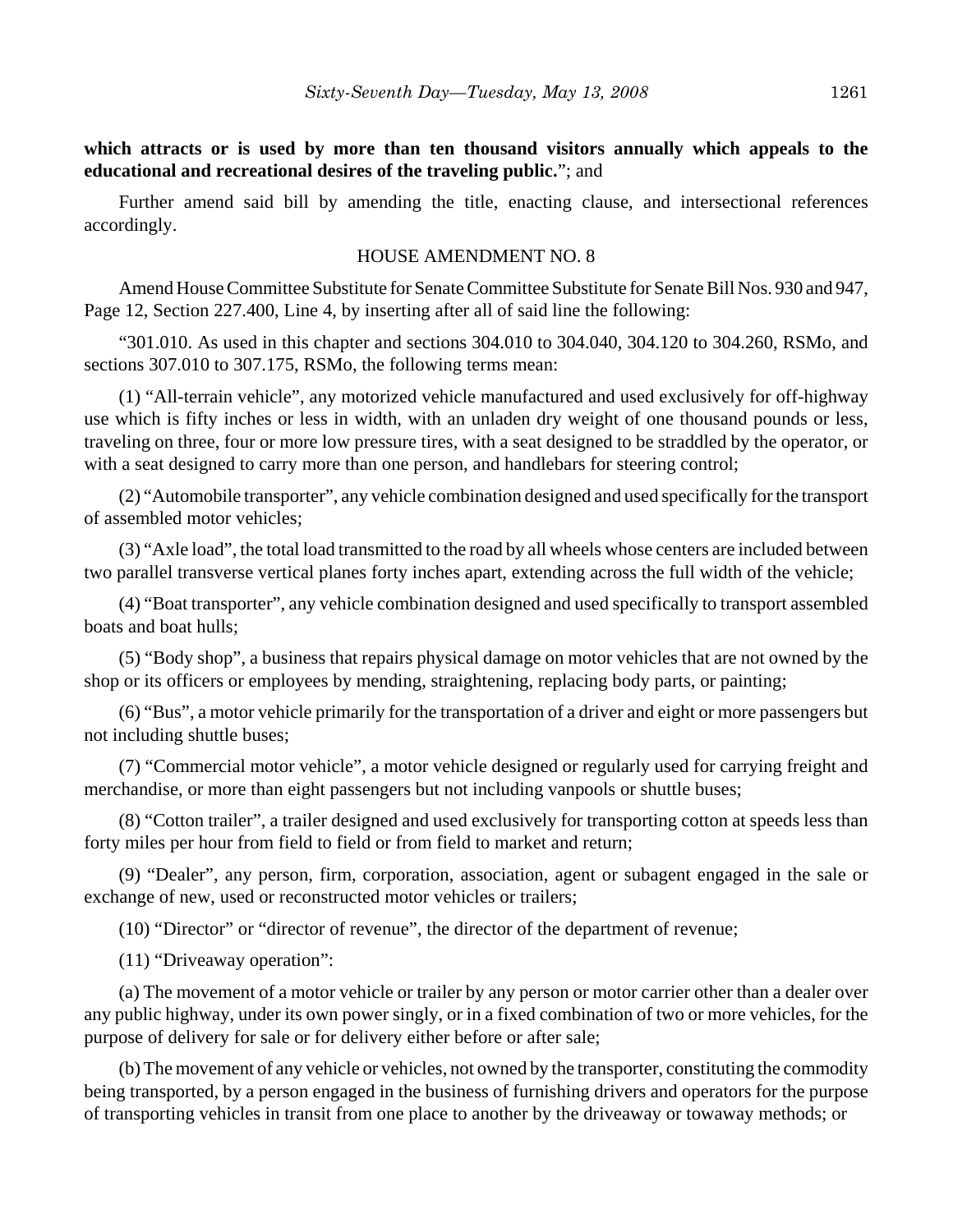**which attracts or is used by more than ten thousand visitors annually which appeals to the educational and recreational desires of the traveling public.**"; and

Further amend said bill by amending the title, enacting clause, and intersectional references accordingly.

#### HOUSE AMENDMENT NO. 8

Amend House Committee Substitute for Senate Committee Substitute for Senate Bill Nos. 930 and 947, Page 12, Section 227.400, Line 4, by inserting after all of said line the following:

"301.010. As used in this chapter and sections 304.010 to 304.040, 304.120 to 304.260, RSMo, and sections 307.010 to 307.175, RSMo, the following terms mean:

(1) "All-terrain vehicle", any motorized vehicle manufactured and used exclusively for off-highway use which is fifty inches or less in width, with an unladen dry weight of one thousand pounds or less, traveling on three, four or more low pressure tires, with a seat designed to be straddled by the operator, or with a seat designed to carry more than one person, and handlebars for steering control;

(2) "Automobile transporter", any vehicle combination designed and used specifically for the transport of assembled motor vehicles;

(3) "Axle load", the total load transmitted to the road by all wheels whose centers are included between two parallel transverse vertical planes forty inches apart, extending across the full width of the vehicle;

(4) "Boat transporter", any vehicle combination designed and used specifically to transport assembled boats and boat hulls;

(5) "Body shop", a business that repairs physical damage on motor vehicles that are not owned by the shop or its officers or employees by mending, straightening, replacing body parts, or painting;

(6) "Bus", a motor vehicle primarily for the transportation of a driver and eight or more passengers but not including shuttle buses;

(7) "Commercial motor vehicle", a motor vehicle designed or regularly used for carrying freight and merchandise, or more than eight passengers but not including vanpools or shuttle buses;

(8) "Cotton trailer", a trailer designed and used exclusively for transporting cotton at speeds less than forty miles per hour from field to field or from field to market and return;

(9) "Dealer", any person, firm, corporation, association, agent or subagent engaged in the sale or exchange of new, used or reconstructed motor vehicles or trailers;

(10) "Director" or "director of revenue", the director of the department of revenue;

(11) "Driveaway operation":

(a) The movement of a motor vehicle or trailer by any person or motor carrier other than a dealer over any public highway, under its own power singly, or in a fixed combination of two or more vehicles, for the purpose of delivery for sale or for delivery either before or after sale;

(b) The movement of any vehicle or vehicles, not owned by the transporter, constituting the commodity being transported, by a person engaged in the business of furnishing drivers and operators for the purpose of transporting vehicles in transit from one place to another by the driveaway or towaway methods; or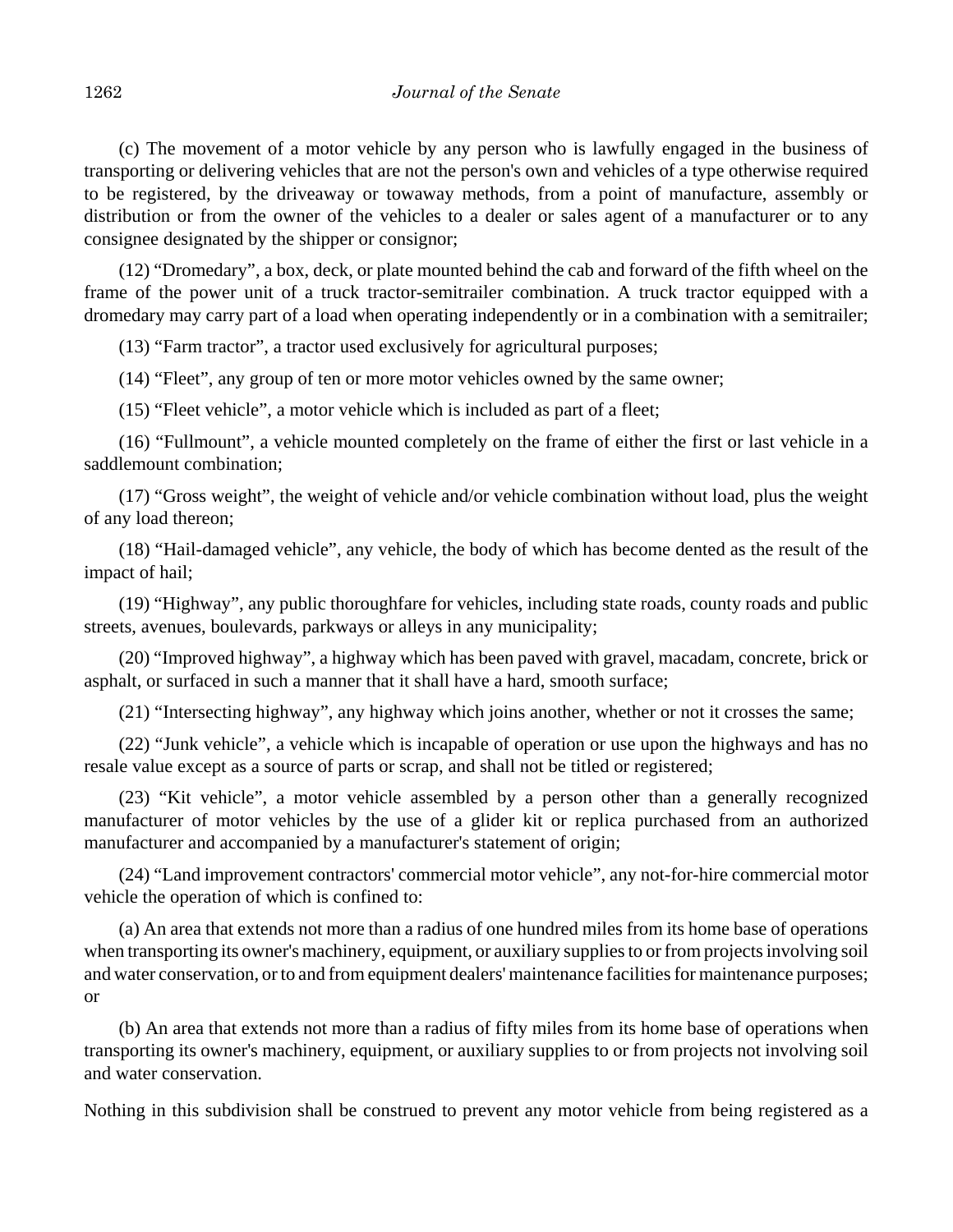(c) The movement of a motor vehicle by any person who is lawfully engaged in the business of transporting or delivering vehicles that are not the person's own and vehicles of a type otherwise required to be registered, by the driveaway or towaway methods, from a point of manufacture, assembly or distribution or from the owner of the vehicles to a dealer or sales agent of a manufacturer or to any consignee designated by the shipper or consignor;

(12) "Dromedary", a box, deck, or plate mounted behind the cab and forward of the fifth wheel on the frame of the power unit of a truck tractor-semitrailer combination. A truck tractor equipped with a dromedary may carry part of a load when operating independently or in a combination with a semitrailer;

(13) "Farm tractor", a tractor used exclusively for agricultural purposes;

(14) "Fleet", any group of ten or more motor vehicles owned by the same owner;

(15) "Fleet vehicle", a motor vehicle which is included as part of a fleet;

(16) "Fullmount", a vehicle mounted completely on the frame of either the first or last vehicle in a saddlemount combination;

(17) "Gross weight", the weight of vehicle and/or vehicle combination without load, plus the weight of any load thereon;

(18) "Hail-damaged vehicle", any vehicle, the body of which has become dented as the result of the impact of hail;

(19) "Highway", any public thoroughfare for vehicles, including state roads, county roads and public streets, avenues, boulevards, parkways or alleys in any municipality;

(20) "Improved highway", a highway which has been paved with gravel, macadam, concrete, brick or asphalt, or surfaced in such a manner that it shall have a hard, smooth surface;

(21) "Intersecting highway", any highway which joins another, whether or not it crosses the same;

(22) "Junk vehicle", a vehicle which is incapable of operation or use upon the highways and has no resale value except as a source of parts or scrap, and shall not be titled or registered;

(23) "Kit vehicle", a motor vehicle assembled by a person other than a generally recognized manufacturer of motor vehicles by the use of a glider kit or replica purchased from an authorized manufacturer and accompanied by a manufacturer's statement of origin;

(24) "Land improvement contractors' commercial motor vehicle", any not-for-hire commercial motor vehicle the operation of which is confined to:

(a) An area that extends not more than a radius of one hundred miles from its home base of operations when transporting its owner's machinery, equipment, or auxiliary supplies to or from projects involving soil and water conservation, or to and from equipment dealers' maintenance facilities for maintenance purposes; or

(b) An area that extends not more than a radius of fifty miles from its home base of operations when transporting its owner's machinery, equipment, or auxiliary supplies to or from projects not involving soil and water conservation.

Nothing in this subdivision shall be construed to prevent any motor vehicle from being registered as a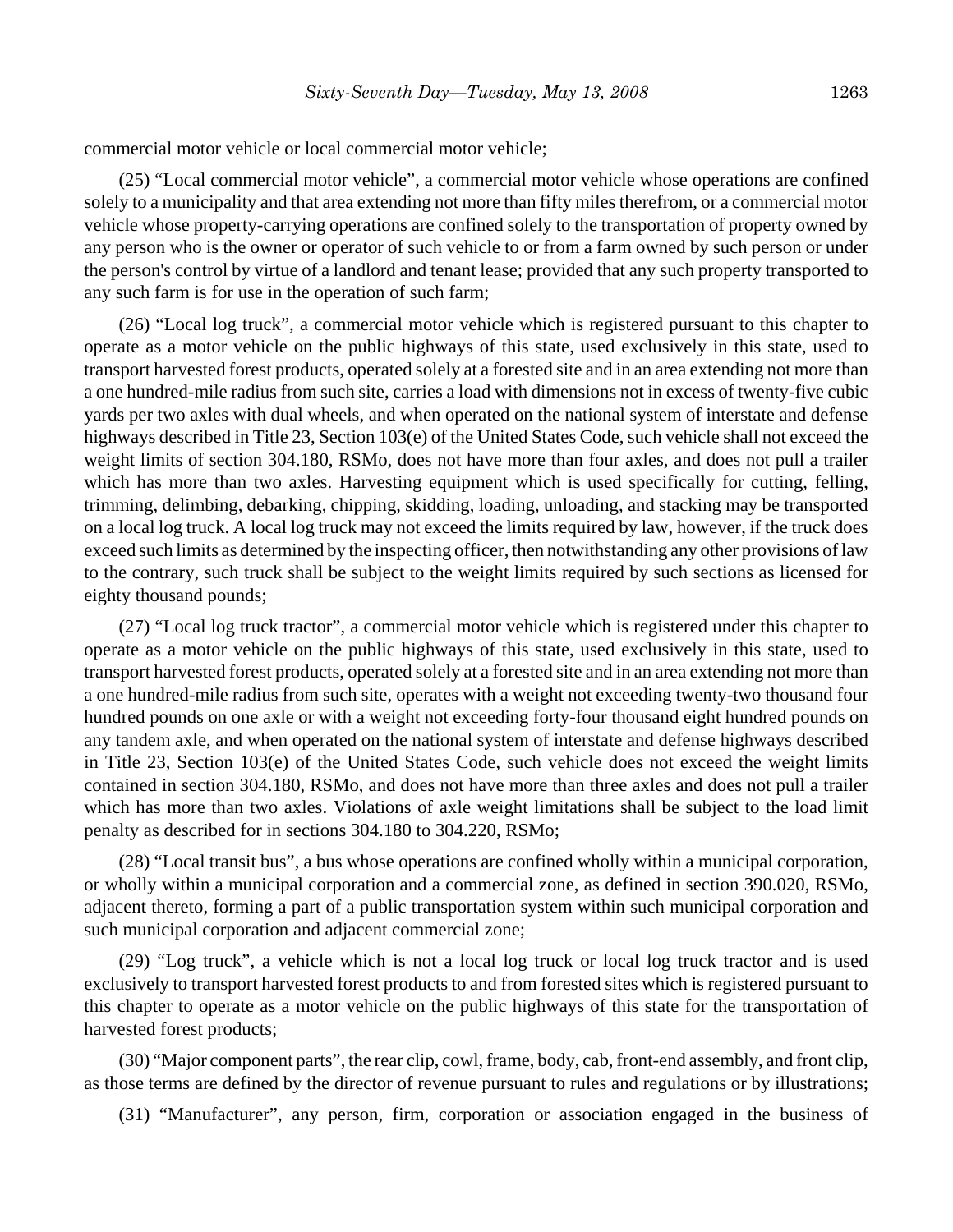commercial motor vehicle or local commercial motor vehicle;

(25) "Local commercial motor vehicle", a commercial motor vehicle whose operations are confined solely to a municipality and that area extending not more than fifty miles therefrom, or a commercial motor vehicle whose property-carrying operations are confined solely to the transportation of property owned by any person who is the owner or operator of such vehicle to or from a farm owned by such person or under the person's control by virtue of a landlord and tenant lease; provided that any such property transported to any such farm is for use in the operation of such farm;

(26) "Local log truck", a commercial motor vehicle which is registered pursuant to this chapter to operate as a motor vehicle on the public highways of this state, used exclusively in this state, used to transport harvested forest products, operated solely at a forested site and in an area extending not more than a one hundred-mile radius from such site, carries a load with dimensions not in excess of twenty-five cubic yards per two axles with dual wheels, and when operated on the national system of interstate and defense highways described in Title 23, Section 103(e) of the United States Code, such vehicle shall not exceed the weight limits of section 304.180, RSMo, does not have more than four axles, and does not pull a trailer which has more than two axles. Harvesting equipment which is used specifically for cutting, felling, trimming, delimbing, debarking, chipping, skidding, loading, unloading, and stacking may be transported on a local log truck. A local log truck may not exceed the limits required by law, however, if the truck does exceed such limits as determined by the inspecting officer, then notwithstanding any other provisions of law to the contrary, such truck shall be subject to the weight limits required by such sections as licensed for eighty thousand pounds;

(27) "Local log truck tractor", a commercial motor vehicle which is registered under this chapter to operate as a motor vehicle on the public highways of this state, used exclusively in this state, used to transport harvested forest products, operated solely at a forested site and in an area extending not more than a one hundred-mile radius from such site, operates with a weight not exceeding twenty-two thousand four hundred pounds on one axle or with a weight not exceeding forty-four thousand eight hundred pounds on any tandem axle, and when operated on the national system of interstate and defense highways described in Title 23, Section 103(e) of the United States Code, such vehicle does not exceed the weight limits contained in section 304.180, RSMo, and does not have more than three axles and does not pull a trailer which has more than two axles. Violations of axle weight limitations shall be subject to the load limit penalty as described for in sections 304.180 to 304.220, RSMo;

(28) "Local transit bus", a bus whose operations are confined wholly within a municipal corporation, or wholly within a municipal corporation and a commercial zone, as defined in section 390.020, RSMo, adjacent thereto, forming a part of a public transportation system within such municipal corporation and such municipal corporation and adjacent commercial zone;

(29) "Log truck", a vehicle which is not a local log truck or local log truck tractor and is used exclusively to transport harvested forest products to and from forested sites which is registered pursuant to this chapter to operate as a motor vehicle on the public highways of this state for the transportation of harvested forest products;

(30) "Major component parts", the rear clip, cowl, frame, body, cab, front-end assembly, and front clip, as those terms are defined by the director of revenue pursuant to rules and regulations or by illustrations;

(31) "Manufacturer", any person, firm, corporation or association engaged in the business of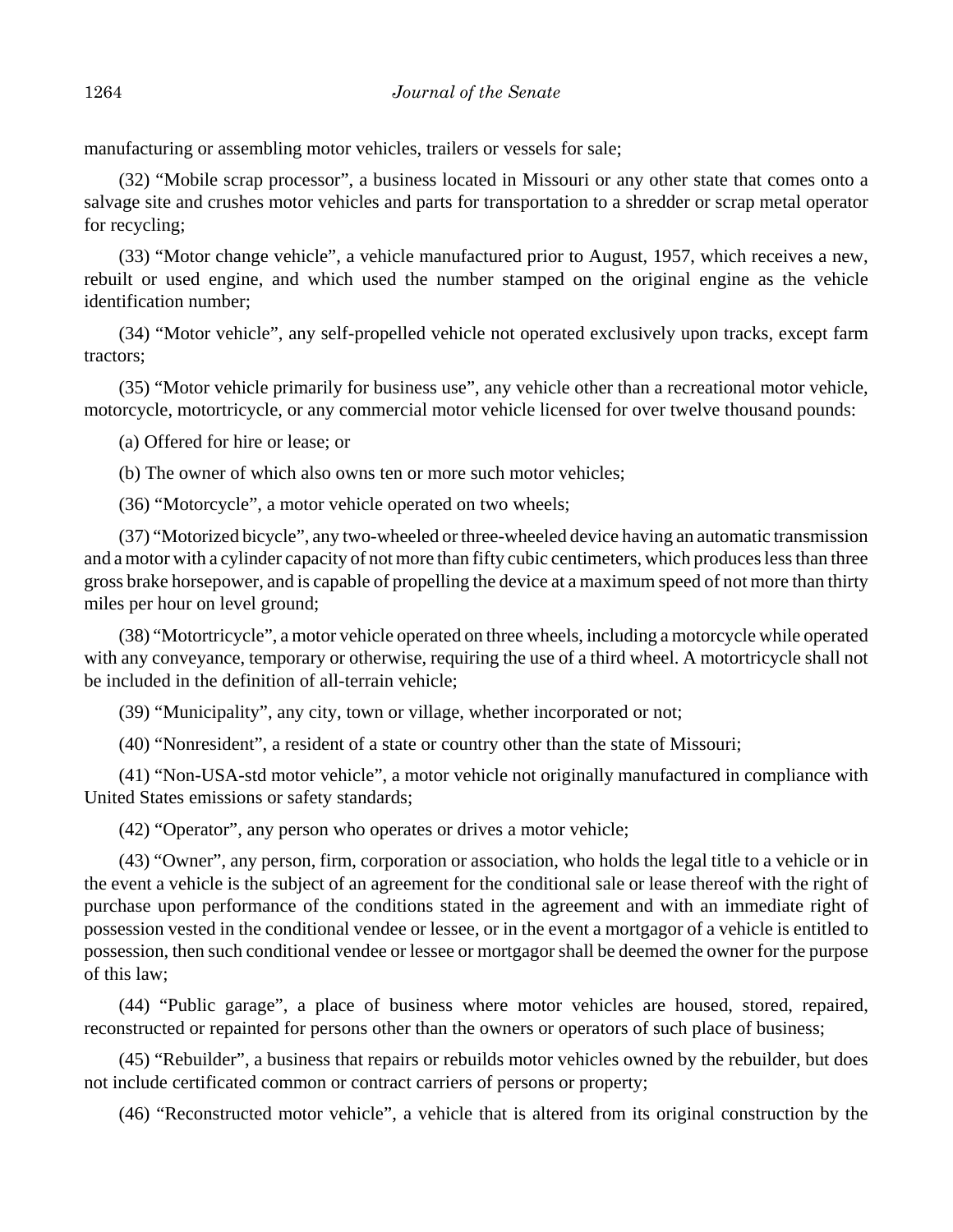manufacturing or assembling motor vehicles, trailers or vessels for sale;

(32) "Mobile scrap processor", a business located in Missouri or any other state that comes onto a salvage site and crushes motor vehicles and parts for transportation to a shredder or scrap metal operator for recycling;

(33) "Motor change vehicle", a vehicle manufactured prior to August, 1957, which receives a new, rebuilt or used engine, and which used the number stamped on the original engine as the vehicle identification number;

(34) "Motor vehicle", any self-propelled vehicle not operated exclusively upon tracks, except farm tractors;

(35) "Motor vehicle primarily for business use", any vehicle other than a recreational motor vehicle, motorcycle, motortricycle, or any commercial motor vehicle licensed for over twelve thousand pounds:

(a) Offered for hire or lease; or

(b) The owner of which also owns ten or more such motor vehicles;

(36) "Motorcycle", a motor vehicle operated on two wheels;

(37) "Motorized bicycle", any two-wheeled or three-wheeled device having an automatic transmission and a motor with a cylinder capacity of not more than fifty cubic centimeters, which produces less than three gross brake horsepower, and is capable of propelling the device at a maximum speed of not more than thirty miles per hour on level ground;

(38) "Motortricycle", a motor vehicle operated on three wheels, including a motorcycle while operated with any conveyance, temporary or otherwise, requiring the use of a third wheel. A motortricycle shall not be included in the definition of all-terrain vehicle;

(39) "Municipality", any city, town or village, whether incorporated or not;

(40) "Nonresident", a resident of a state or country other than the state of Missouri;

(41) "Non-USA-std motor vehicle", a motor vehicle not originally manufactured in compliance with United States emissions or safety standards;

(42) "Operator", any person who operates or drives a motor vehicle;

(43) "Owner", any person, firm, corporation or association, who holds the legal title to a vehicle or in the event a vehicle is the subject of an agreement for the conditional sale or lease thereof with the right of purchase upon performance of the conditions stated in the agreement and with an immediate right of possession vested in the conditional vendee or lessee, or in the event a mortgagor of a vehicle is entitled to possession, then such conditional vendee or lessee or mortgagor shall be deemed the owner for the purpose of this law;

(44) "Public garage", a place of business where motor vehicles are housed, stored, repaired, reconstructed or repainted for persons other than the owners or operators of such place of business;

(45) "Rebuilder", a business that repairs or rebuilds motor vehicles owned by the rebuilder, but does not include certificated common or contract carriers of persons or property;

(46) "Reconstructed motor vehicle", a vehicle that is altered from its original construction by the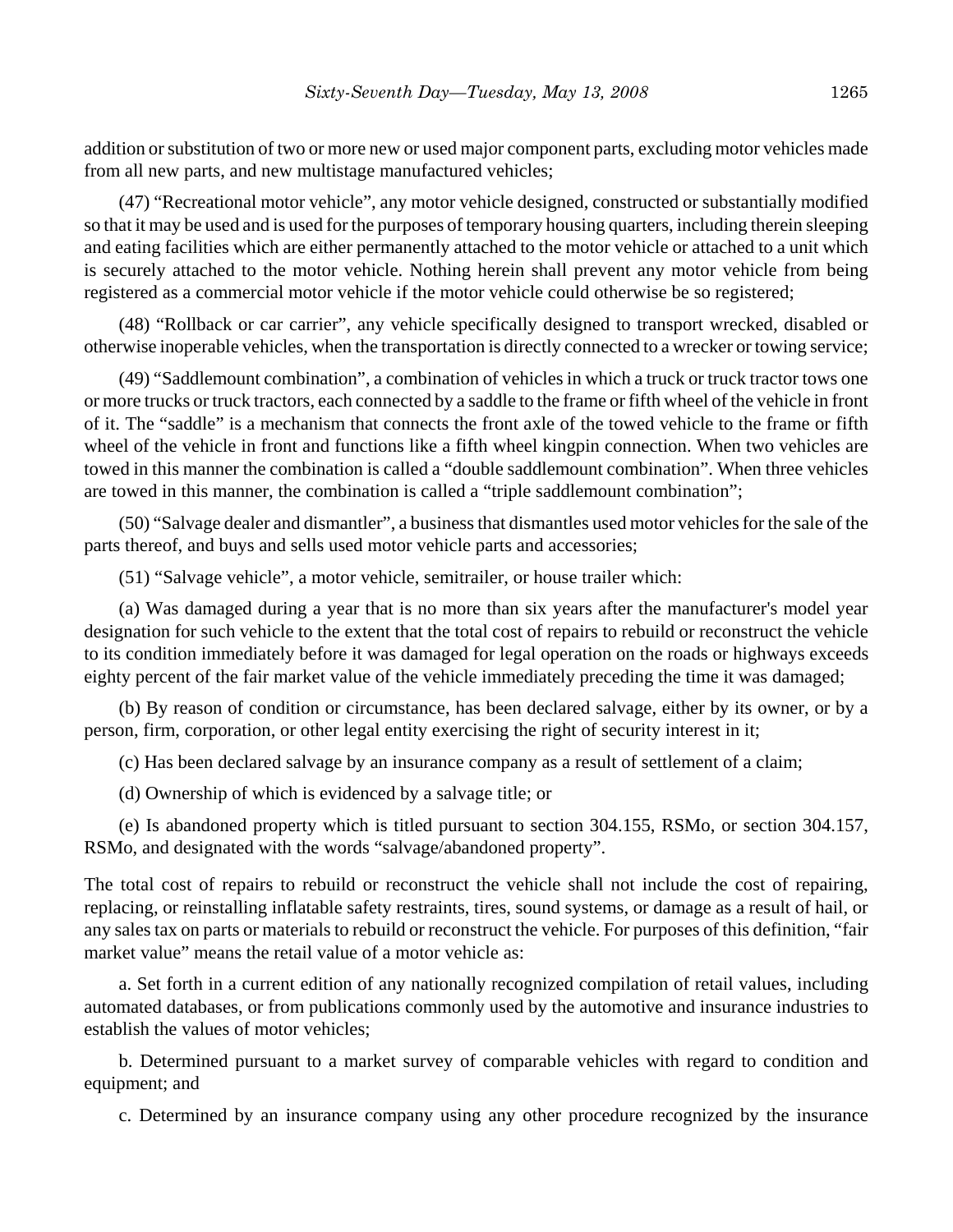addition or substitution of two or more new or used major component parts, excluding motor vehicles made from all new parts, and new multistage manufactured vehicles;

(47) "Recreational motor vehicle", any motor vehicle designed, constructed or substantially modified so that it may be used and is used for the purposes of temporary housing quarters, including therein sleeping and eating facilities which are either permanently attached to the motor vehicle or attached to a unit which is securely attached to the motor vehicle. Nothing herein shall prevent any motor vehicle from being registered as a commercial motor vehicle if the motor vehicle could otherwise be so registered;

(48) "Rollback or car carrier", any vehicle specifically designed to transport wrecked, disabled or otherwise inoperable vehicles, when the transportation is directly connected to a wrecker or towing service;

(49) "Saddlemount combination", a combination of vehicles in which a truck or truck tractor tows one or more trucks or truck tractors, each connected by a saddle to the frame or fifth wheel of the vehicle in front of it. The "saddle" is a mechanism that connects the front axle of the towed vehicle to the frame or fifth wheel of the vehicle in front and functions like a fifth wheel kingpin connection. When two vehicles are towed in this manner the combination is called a "double saddlemount combination". When three vehicles are towed in this manner, the combination is called a "triple saddlemount combination";

(50) "Salvage dealer and dismantler", a business that dismantles used motor vehicles for the sale of the parts thereof, and buys and sells used motor vehicle parts and accessories;

(51) "Salvage vehicle", a motor vehicle, semitrailer, or house trailer which:

(a) Was damaged during a year that is no more than six years after the manufacturer's model year designation for such vehicle to the extent that the total cost of repairs to rebuild or reconstruct the vehicle to its condition immediately before it was damaged for legal operation on the roads or highways exceeds eighty percent of the fair market value of the vehicle immediately preceding the time it was damaged;

(b) By reason of condition or circumstance, has been declared salvage, either by its owner, or by a person, firm, corporation, or other legal entity exercising the right of security interest in it;

(c) Has been declared salvage by an insurance company as a result of settlement of a claim;

(d) Ownership of which is evidenced by a salvage title; or

(e) Is abandoned property which is titled pursuant to section 304.155, RSMo, or section 304.157, RSMo, and designated with the words "salvage/abandoned property".

The total cost of repairs to rebuild or reconstruct the vehicle shall not include the cost of repairing, replacing, or reinstalling inflatable safety restraints, tires, sound systems, or damage as a result of hail, or any sales tax on parts or materials to rebuild or reconstruct the vehicle. For purposes of this definition, "fair market value" means the retail value of a motor vehicle as:

a. Set forth in a current edition of any nationally recognized compilation of retail values, including automated databases, or from publications commonly used by the automotive and insurance industries to establish the values of motor vehicles;

b. Determined pursuant to a market survey of comparable vehicles with regard to condition and equipment; and

c. Determined by an insurance company using any other procedure recognized by the insurance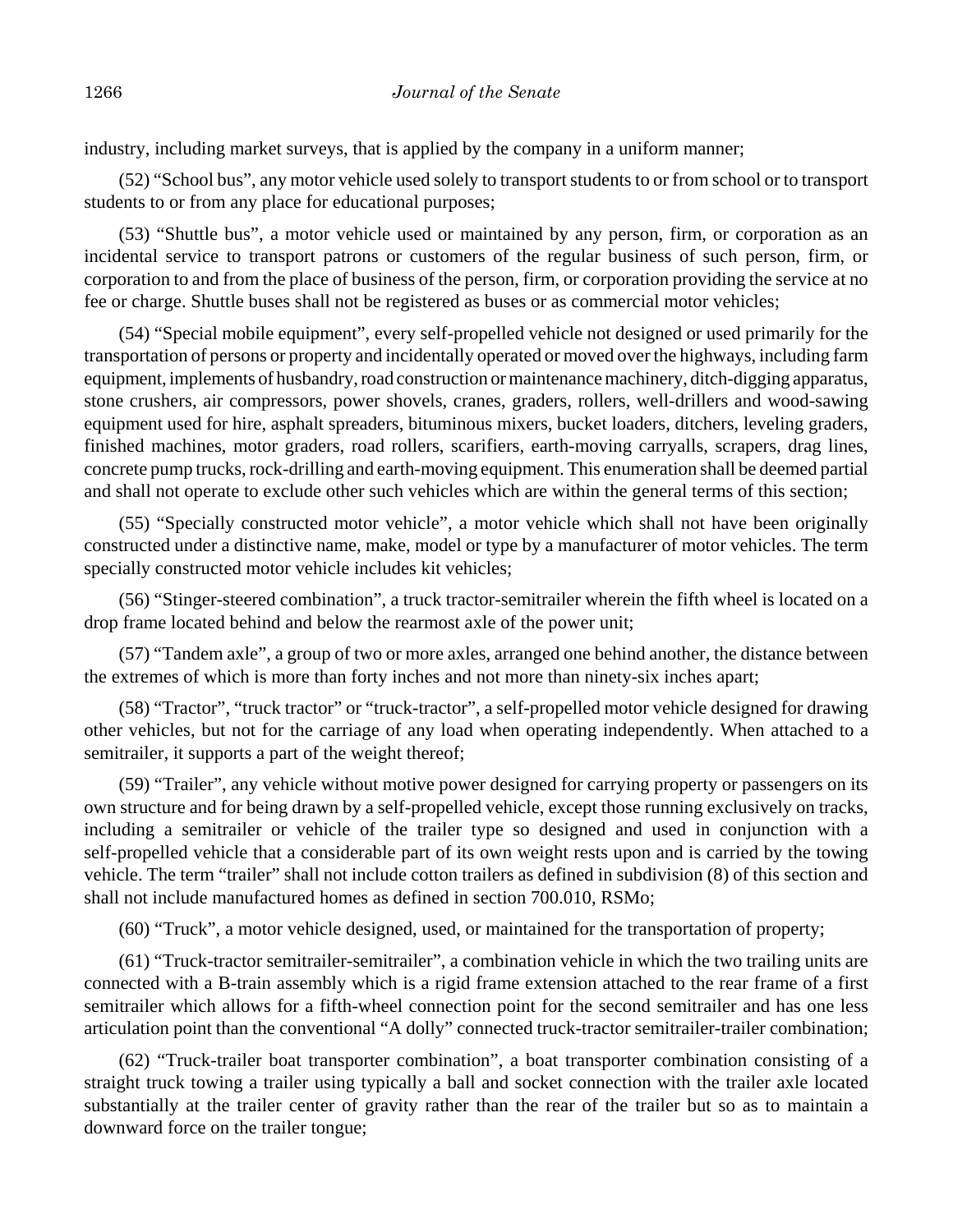industry, including market surveys, that is applied by the company in a uniform manner;

(52) "School bus", any motor vehicle used solely to transport students to or from school or to transport students to or from any place for educational purposes;

(53) "Shuttle bus", a motor vehicle used or maintained by any person, firm, or corporation as an incidental service to transport patrons or customers of the regular business of such person, firm, or corporation to and from the place of business of the person, firm, or corporation providing the service at no fee or charge. Shuttle buses shall not be registered as buses or as commercial motor vehicles;

(54) "Special mobile equipment", every self-propelled vehicle not designed or used primarily for the transportation of persons or property and incidentally operated or moved over the highways, including farm equipment, implements of husbandry, road construction or maintenance machinery, ditch-digging apparatus, stone crushers, air compressors, power shovels, cranes, graders, rollers, well-drillers and wood-sawing equipment used for hire, asphalt spreaders, bituminous mixers, bucket loaders, ditchers, leveling graders, finished machines, motor graders, road rollers, scarifiers, earth-moving carryalls, scrapers, drag lines, concrete pump trucks, rock-drilling and earth-moving equipment. This enumeration shall be deemed partial and shall not operate to exclude other such vehicles which are within the general terms of this section;

(55) "Specially constructed motor vehicle", a motor vehicle which shall not have been originally constructed under a distinctive name, make, model or type by a manufacturer of motor vehicles. The term specially constructed motor vehicle includes kit vehicles;

(56) "Stinger-steered combination", a truck tractor-semitrailer wherein the fifth wheel is located on a drop frame located behind and below the rearmost axle of the power unit;

(57) "Tandem axle", a group of two or more axles, arranged one behind another, the distance between the extremes of which is more than forty inches and not more than ninety-six inches apart;

(58) "Tractor", "truck tractor" or "truck-tractor", a self-propelled motor vehicle designed for drawing other vehicles, but not for the carriage of any load when operating independently. When attached to a semitrailer, it supports a part of the weight thereof;

(59) "Trailer", any vehicle without motive power designed for carrying property or passengers on its own structure and for being drawn by a self-propelled vehicle, except those running exclusively on tracks, including a semitrailer or vehicle of the trailer type so designed and used in conjunction with a self-propelled vehicle that a considerable part of its own weight rests upon and is carried by the towing vehicle. The term "trailer" shall not include cotton trailers as defined in subdivision (8) of this section and shall not include manufactured homes as defined in section 700.010, RSMo;

(60) "Truck", a motor vehicle designed, used, or maintained for the transportation of property;

(61) "Truck-tractor semitrailer-semitrailer", a combination vehicle in which the two trailing units are connected with a B-train assembly which is a rigid frame extension attached to the rear frame of a first semitrailer which allows for a fifth-wheel connection point for the second semitrailer and has one less articulation point than the conventional "A dolly" connected truck-tractor semitrailer-trailer combination;

(62) "Truck-trailer boat transporter combination", a boat transporter combination consisting of a straight truck towing a trailer using typically a ball and socket connection with the trailer axle located substantially at the trailer center of gravity rather than the rear of the trailer but so as to maintain a downward force on the trailer tongue;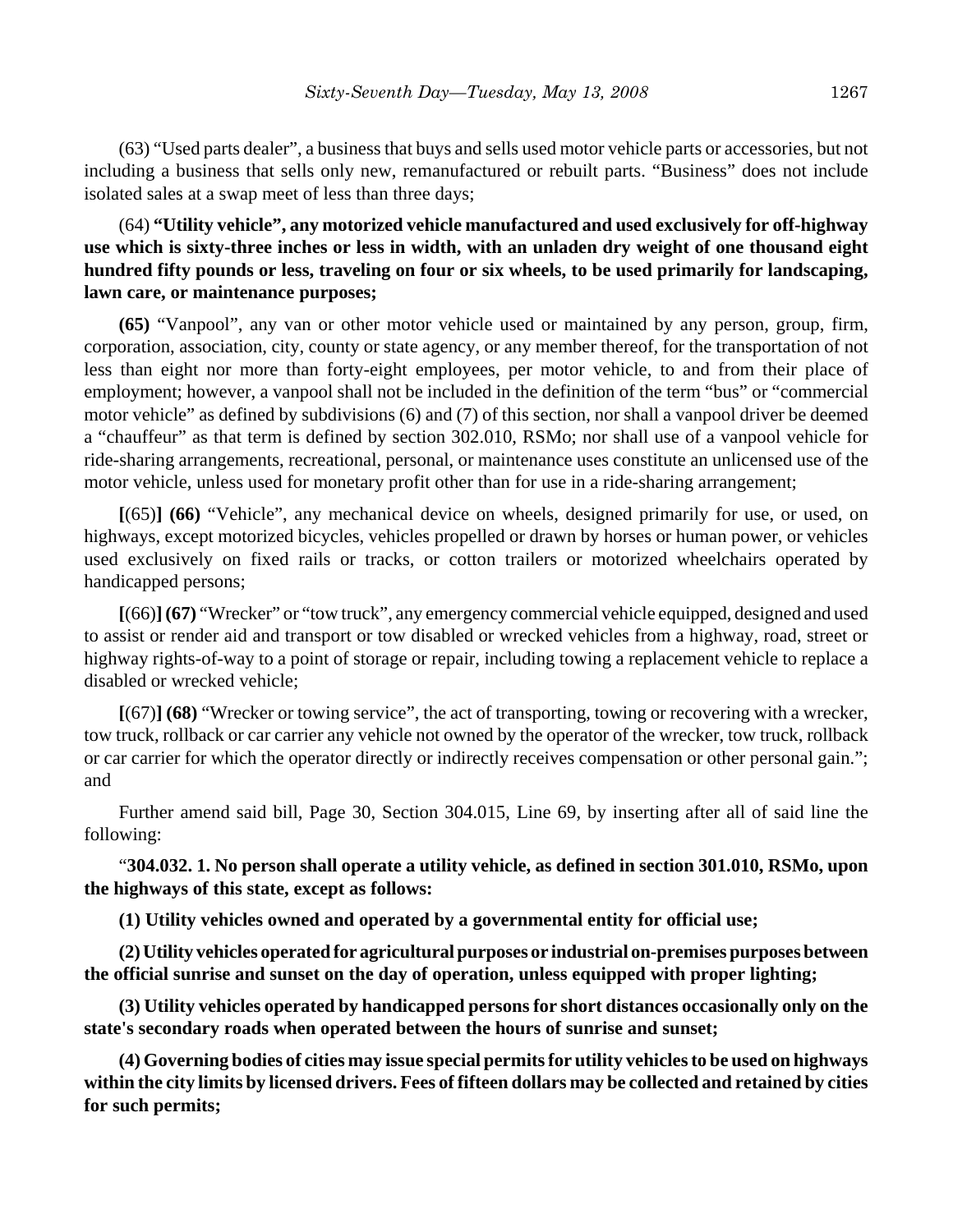(63) "Used parts dealer", a business that buys and sells used motor vehicle parts or accessories, but not including a business that sells only new, remanufactured or rebuilt parts. "Business" does not include isolated sales at a swap meet of less than three days;

# (64) **"Utility vehicle", any motorized vehicle manufactured and used exclusively for off-highway use which is sixty-three inches or less in width, with an unladen dry weight of one thousand eight hundred fifty pounds or less, traveling on four or six wheels, to be used primarily for landscaping, lawn care, or maintenance purposes;**

**(65)** "Vanpool", any van or other motor vehicle used or maintained by any person, group, firm, corporation, association, city, county or state agency, or any member thereof, for the transportation of not less than eight nor more than forty-eight employees, per motor vehicle, to and from their place of employment; however, a vanpool shall not be included in the definition of the term "bus" or "commercial motor vehicle" as defined by subdivisions (6) and (7) of this section, nor shall a vanpool driver be deemed a "chauffeur" as that term is defined by section 302.010, RSMo; nor shall use of a vanpool vehicle for ride-sharing arrangements, recreational, personal, or maintenance uses constitute an unlicensed use of the motor vehicle, unless used for monetary profit other than for use in a ride-sharing arrangement;

**[**(65)**] (66)** "Vehicle", any mechanical device on wheels, designed primarily for use, or used, on highways, except motorized bicycles, vehicles propelled or drawn by horses or human power, or vehicles used exclusively on fixed rails or tracks, or cotton trailers or motorized wheelchairs operated by handicapped persons;

**[**(66)**](67)** "Wrecker" or "tow truck", any emergency commercial vehicle equipped, designed and used to assist or render aid and transport or tow disabled or wrecked vehicles from a highway, road, street or highway rights-of-way to a point of storage or repair, including towing a replacement vehicle to replace a disabled or wrecked vehicle;

**[**(67)**] (68)** "Wrecker or towing service", the act of transporting, towing or recovering with a wrecker, tow truck, rollback or car carrier any vehicle not owned by the operator of the wrecker, tow truck, rollback or car carrier for which the operator directly or indirectly receives compensation or other personal gain."; and

Further amend said bill, Page 30, Section 304.015, Line 69, by inserting after all of said line the following:

"**304.032. 1. No person shall operate a utility vehicle, as defined in section 301.010, RSMo, upon the highways of this state, except as follows:**

**(1) Utility vehicles owned and operated by a governmental entity for official use;**

**(2) Utility vehicles operated for agricultural purposes or industrial on-premises purposes between the official sunrise and sunset on the day of operation, unless equipped with proper lighting;**

**(3) Utility vehicles operated by handicapped persons for short distances occasionally only on the state's secondary roads when operated between the hours of sunrise and sunset;**

**(4) Governing bodies of cities may issue special permits for utility vehicles to be used on highways within the city limits by licensed drivers. Fees of fifteen dollars may be collected and retained by cities for such permits;**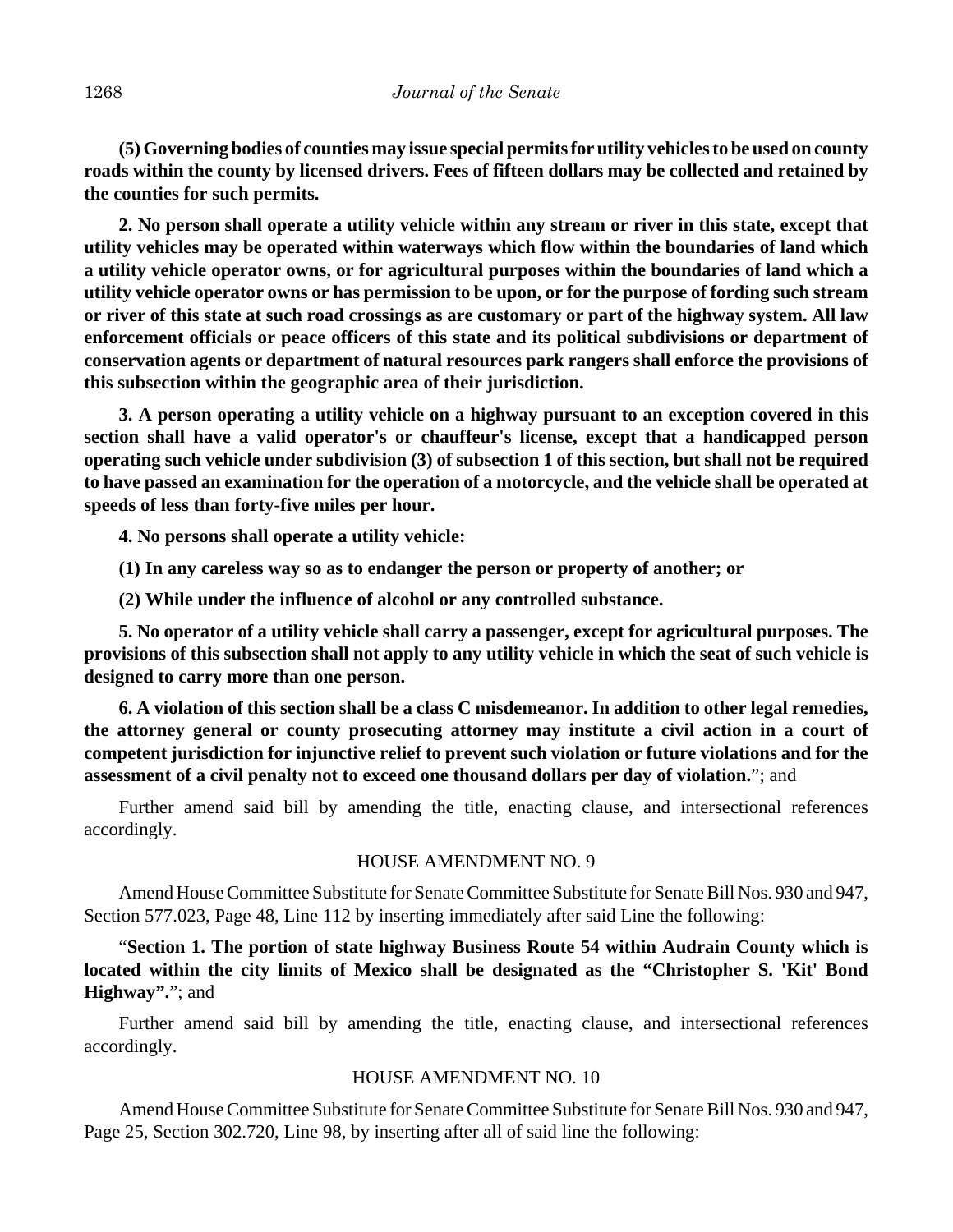**(5) Governing bodies of counties may issue special permits for utility vehicles to be used on county roads within the county by licensed drivers. Fees of fifteen dollars may be collected and retained by the counties for such permits.**

**2. No person shall operate a utility vehicle within any stream or river in this state, except that utility vehicles may be operated within waterways which flow within the boundaries of land which a utility vehicle operator owns, or for agricultural purposes within the boundaries of land which a utility vehicle operator owns or has permission to be upon, or for the purpose of fording such stream or river of this state at such road crossings as are customary or part of the highway system. All law enforcement officials or peace officers of this state and its political subdivisions or department of conservation agents or department of natural resources park rangers shall enforce the provisions of this subsection within the geographic area of their jurisdiction.**

**3. A person operating a utility vehicle on a highway pursuant to an exception covered in this section shall have a valid operator's or chauffeur's license, except that a handicapped person operating such vehicle under subdivision (3) of subsection 1 of this section, but shall not be required to have passed an examination for the operation of a motorcycle, and the vehicle shall be operated at speeds of less than forty-five miles per hour.**

**4. No persons shall operate a utility vehicle:**

**(1) In any careless way so as to endanger the person or property of another; or**

**(2) While under the influence of alcohol or any controlled substance.**

**5. No operator of a utility vehicle shall carry a passenger, except for agricultural purposes. The provisions of this subsection shall not apply to any utility vehicle in which the seat of such vehicle is designed to carry more than one person.**

**6. A violation of this section shall be a class C misdemeanor. In addition to other legal remedies, the attorney general or county prosecuting attorney may institute a civil action in a court of competent jurisdiction for injunctive relief to prevent such violation or future violations and for the assessment of a civil penalty not to exceed one thousand dollars per day of violation.**"; and

Further amend said bill by amending the title, enacting clause, and intersectional references accordingly.

#### HOUSE AMENDMENT NO. 9

Amend House Committee Substitute for Senate Committee Substitute for Senate Bill Nos. 930 and 947, Section 577.023, Page 48, Line 112 by inserting immediately after said Line the following:

"**Section 1. The portion of state highway Business Route 54 within Audrain County which is located within the city limits of Mexico shall be designated as the "Christopher S. 'Kit' Bond Highway".**"; and

Further amend said bill by amending the title, enacting clause, and intersectional references accordingly.

## HOUSE AMENDMENT NO. 10

Amend House Committee Substitute for Senate Committee Substitute for Senate Bill Nos. 930 and 947, Page 25, Section 302.720, Line 98, by inserting after all of said line the following: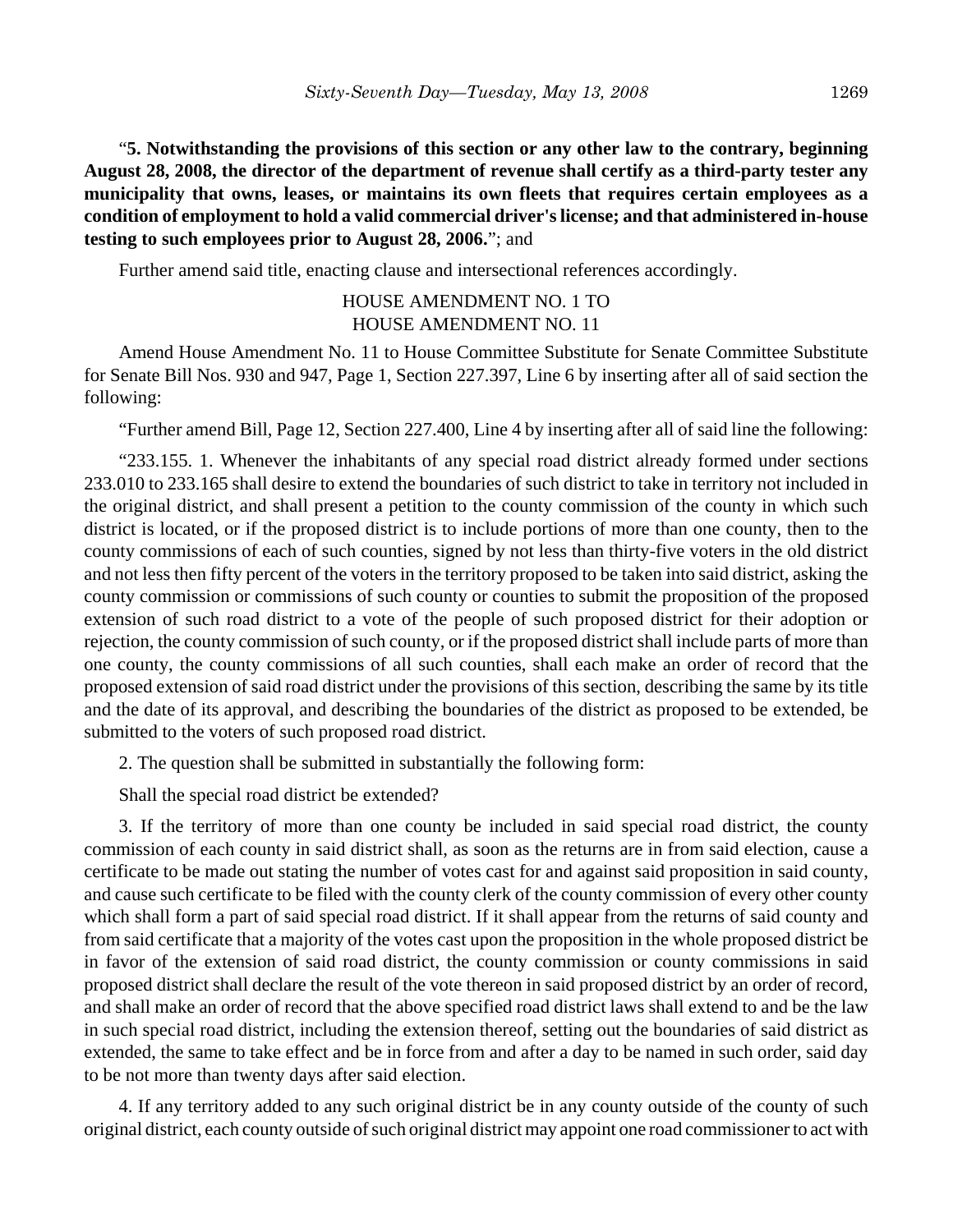"**5. Notwithstanding the provisions of this section or any other law to the contrary, beginning August 28, 2008, the director of the department of revenue shall certify as a third-party tester any municipality that owns, leases, or maintains its own fleets that requires certain employees as a condition of employment to hold a valid commercial driver's license; and that administered in-house testing to such employees prior to August 28, 2006.**"; and

Further amend said title, enacting clause and intersectional references accordingly.

# HOUSE AMENDMENT NO. 1 TO HOUSE AMENDMENT NO. 11

Amend House Amendment No. 11 to House Committee Substitute for Senate Committee Substitute for Senate Bill Nos. 930 and 947, Page 1, Section 227.397, Line 6 by inserting after all of said section the following:

"Further amend Bill, Page 12, Section 227.400, Line 4 by inserting after all of said line the following:

"233.155. 1. Whenever the inhabitants of any special road district already formed under sections 233.010 to 233.165 shall desire to extend the boundaries of such district to take in territory not included in the original district, and shall present a petition to the county commission of the county in which such district is located, or if the proposed district is to include portions of more than one county, then to the county commissions of each of such counties, signed by not less than thirty-five voters in the old district and not less then fifty percent of the voters in the territory proposed to be taken into said district, asking the county commission or commissions of such county or counties to submit the proposition of the proposed extension of such road district to a vote of the people of such proposed district for their adoption or rejection, the county commission of such county, or if the proposed district shall include parts of more than one county, the county commissions of all such counties, shall each make an order of record that the proposed extension of said road district under the provisions of this section, describing the same by its title and the date of its approval, and describing the boundaries of the district as proposed to be extended, be submitted to the voters of such proposed road district.

2. The question shall be submitted in substantially the following form:

Shall the special road district be extended?

3. If the territory of more than one county be included in said special road district, the county commission of each county in said district shall, as soon as the returns are in from said election, cause a certificate to be made out stating the number of votes cast for and against said proposition in said county, and cause such certificate to be filed with the county clerk of the county commission of every other county which shall form a part of said special road district. If it shall appear from the returns of said county and from said certificate that a majority of the votes cast upon the proposition in the whole proposed district be in favor of the extension of said road district, the county commission or county commissions in said proposed district shall declare the result of the vote thereon in said proposed district by an order of record, and shall make an order of record that the above specified road district laws shall extend to and be the law in such special road district, including the extension thereof, setting out the boundaries of said district as extended, the same to take effect and be in force from and after a day to be named in such order, said day to be not more than twenty days after said election.

4. If any territory added to any such original district be in any county outside of the county of such original district, each county outside of such original district may appoint one road commissioner to act with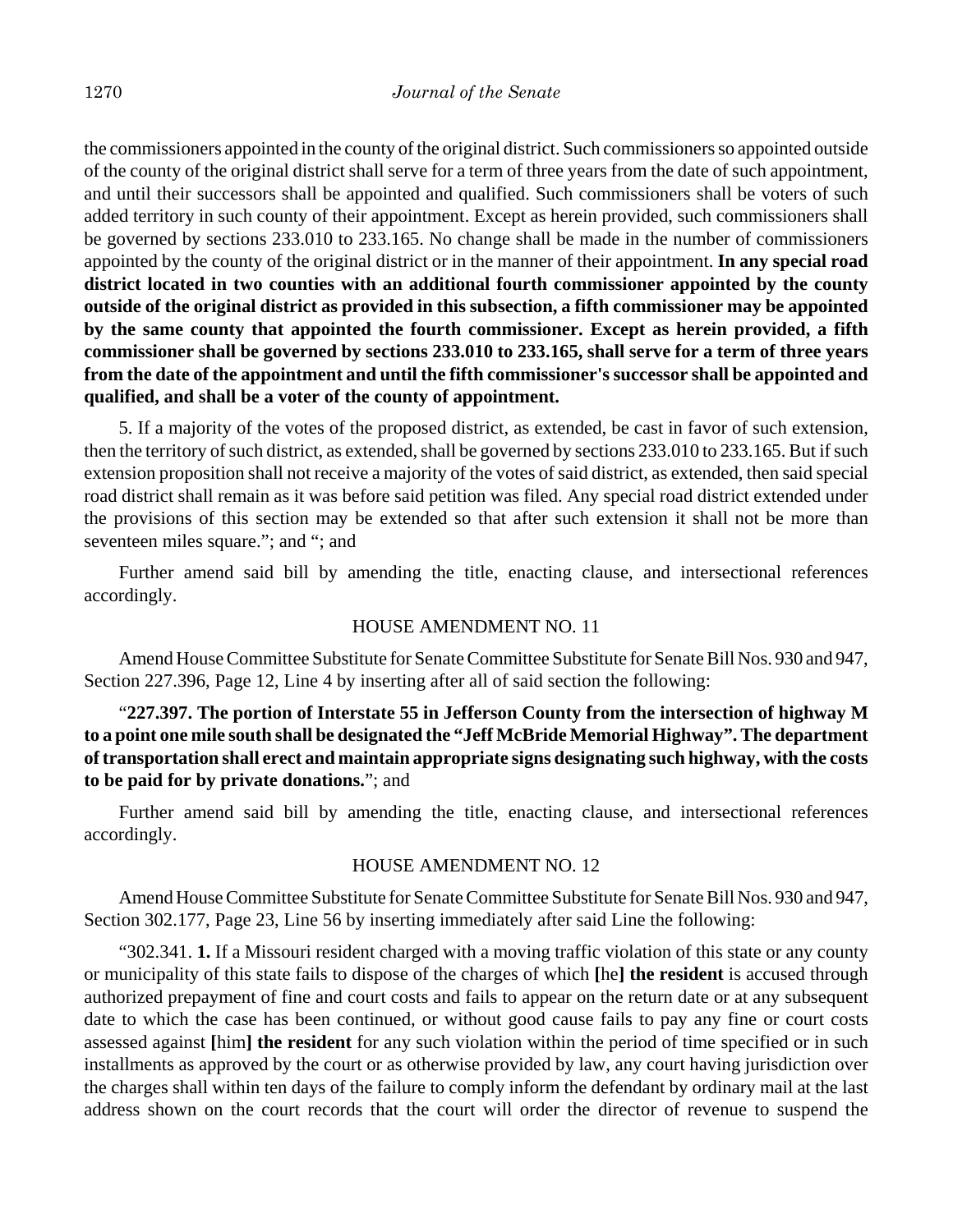the commissioners appointed in the county of the original district. Such commissioners so appointed outside of the county of the original district shall serve for a term of three years from the date of such appointment, and until their successors shall be appointed and qualified. Such commissioners shall be voters of such added territory in such county of their appointment. Except as herein provided, such commissioners shall be governed by sections 233.010 to 233.165. No change shall be made in the number of commissioners appointed by the county of the original district or in the manner of their appointment. **In any special road district located in two counties with an additional fourth commissioner appointed by the county outside of the original district as provided in this subsection, a fifth commissioner may be appointed by the same county that appointed the fourth commissioner. Except as herein provided, a fifth commissioner shall be governed by sections 233.010 to 233.165, shall serve for a term of three years from the date of the appointment and until the fifth commissioner's successor shall be appointed and qualified, and shall be a voter of the county of appointment.**

5. If a majority of the votes of the proposed district, as extended, be cast in favor of such extension, then the territory of such district, as extended, shall be governed by sections 233.010 to 233.165. But if such extension proposition shall not receive a majority of the votes of said district, as extended, then said special road district shall remain as it was before said petition was filed. Any special road district extended under the provisions of this section may be extended so that after such extension it shall not be more than seventeen miles square."; and "; and

Further amend said bill by amending the title, enacting clause, and intersectional references accordingly.

#### HOUSE AMENDMENT NO. 11

Amend House Committee Substitute for Senate Committee Substitute for Senate Bill Nos. 930 and 947, Section 227.396, Page 12, Line 4 by inserting after all of said section the following:

"**227.397. The portion of Interstate 55 in Jefferson County from the intersection of highway M to a point one mile south shall be designated the "Jeff McBride Memorial Highway". The department of transportation shall erect and maintain appropriate signs designating such highway, with the costs to be paid for by private donations.**"; and

Further amend said bill by amending the title, enacting clause, and intersectional references accordingly.

#### HOUSE AMENDMENT NO. 12

Amend House Committee Substitute for Senate Committee Substitute for Senate Bill Nos. 930 and 947, Section 302.177, Page 23, Line 56 by inserting immediately after said Line the following:

"302.341. **1.** If a Missouri resident charged with a moving traffic violation of this state or any county or municipality of this state fails to dispose of the charges of which **[**he**] the resident** is accused through authorized prepayment of fine and court costs and fails to appear on the return date or at any subsequent date to which the case has been continued, or without good cause fails to pay any fine or court costs assessed against **[**him**] the resident** for any such violation within the period of time specified or in such installments as approved by the court or as otherwise provided by law, any court having jurisdiction over the charges shall within ten days of the failure to comply inform the defendant by ordinary mail at the last address shown on the court records that the court will order the director of revenue to suspend the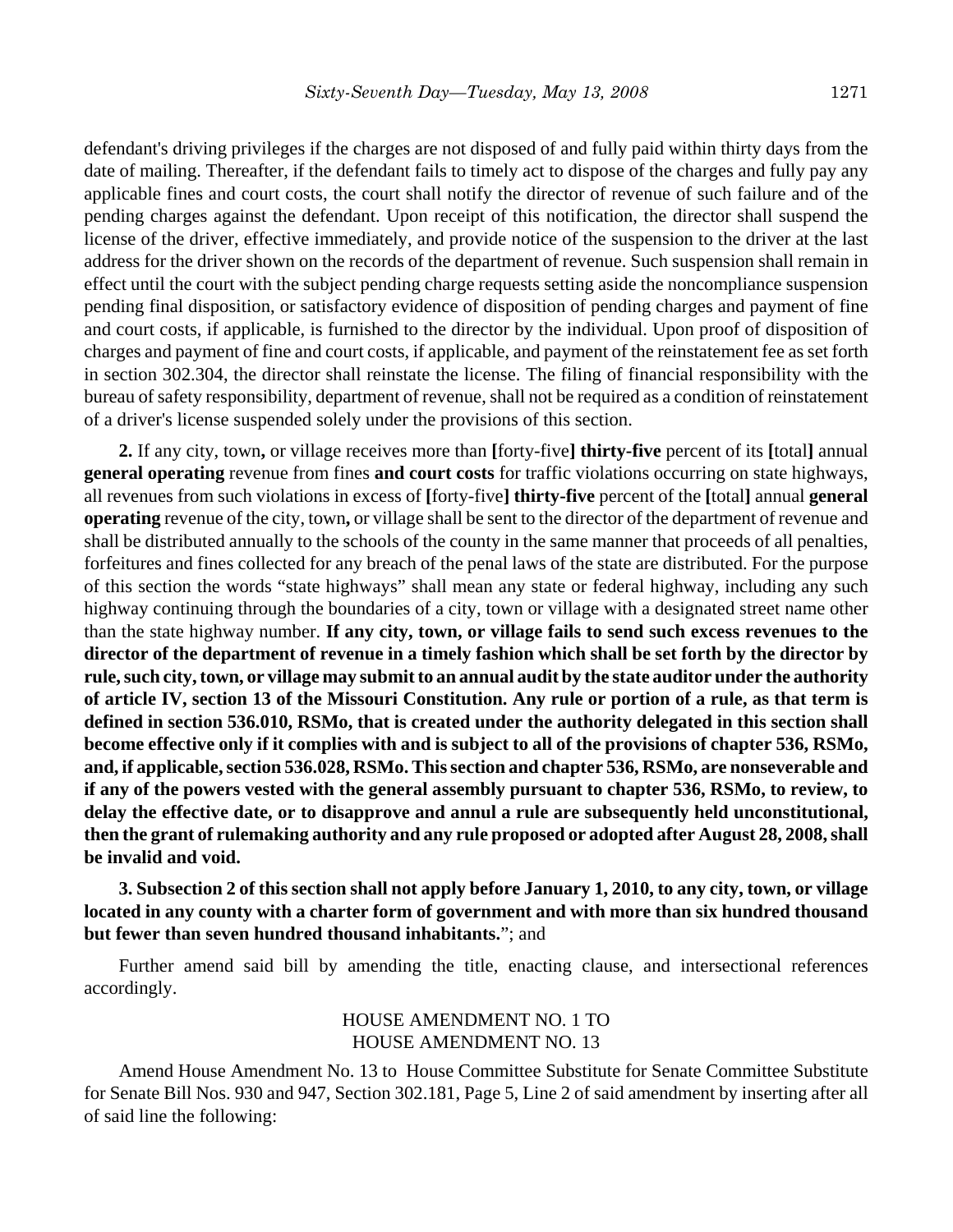defendant's driving privileges if the charges are not disposed of and fully paid within thirty days from the date of mailing. Thereafter, if the defendant fails to timely act to dispose of the charges and fully pay any applicable fines and court costs, the court shall notify the director of revenue of such failure and of the pending charges against the defendant. Upon receipt of this notification, the director shall suspend the license of the driver, effective immediately, and provide notice of the suspension to the driver at the last address for the driver shown on the records of the department of revenue. Such suspension shall remain in effect until the court with the subject pending charge requests setting aside the noncompliance suspension pending final disposition, or satisfactory evidence of disposition of pending charges and payment of fine and court costs, if applicable, is furnished to the director by the individual. Upon proof of disposition of charges and payment of fine and court costs, if applicable, and payment of the reinstatement fee as set forth in section 302.304, the director shall reinstate the license. The filing of financial responsibility with the bureau of safety responsibility, department of revenue, shall not be required as a condition of reinstatement of a driver's license suspended solely under the provisions of this section.

**2.** If any city, town**,** or village receives more than **[**forty-five**] thirty-five** percent of its **[**total**]** annual **general operating** revenue from fines **and court costs** for traffic violations occurring on state highways, all revenues from such violations in excess of **[**forty-five**] thirty-five** percent of the **[**total**]** annual **general operating** revenue of the city, town**,** or village shall be sent to the director of the department of revenue and shall be distributed annually to the schools of the county in the same manner that proceeds of all penalties, forfeitures and fines collected for any breach of the penal laws of the state are distributed. For the purpose of this section the words "state highways" shall mean any state or federal highway, including any such highway continuing through the boundaries of a city, town or village with a designated street name other than the state highway number. **If any city, town, or village fails to send such excess revenues to the director of the department of revenue in a timely fashion which shall be set forth by the director by rule, such city, town, or village may submit to an annual audit by the state auditor under the authority of article IV, section 13 of the Missouri Constitution. Any rule or portion of a rule, as that term is defined in section 536.010, RSMo, that is created under the authority delegated in this section shall become effective only if it complies with and is subject to all of the provisions of chapter 536, RSMo, and, if applicable, section 536.028, RSMo. This section and chapter 536, RSMo, are nonseverable and if any of the powers vested with the general assembly pursuant to chapter 536, RSMo, to review, to delay the effective date, or to disapprove and annul a rule are subsequently held unconstitutional, then the grant of rulemaking authority and any rule proposed or adopted after August 28, 2008, shall be invalid and void.**

**3. Subsection 2 of this section shall not apply before January 1, 2010, to any city, town, or village located in any county with a charter form of government and with more than six hundred thousand but fewer than seven hundred thousand inhabitants.**"; and

Further amend said bill by amending the title, enacting clause, and intersectional references accordingly.

# HOUSE AMENDMENT NO. 1 TO HOUSE AMENDMENT NO. 13

Amend House Amendment No. 13 to House Committee Substitute for Senate Committee Substitute for Senate Bill Nos. 930 and 947, Section 302.181, Page 5, Line 2 of said amendment by inserting after all of said line the following: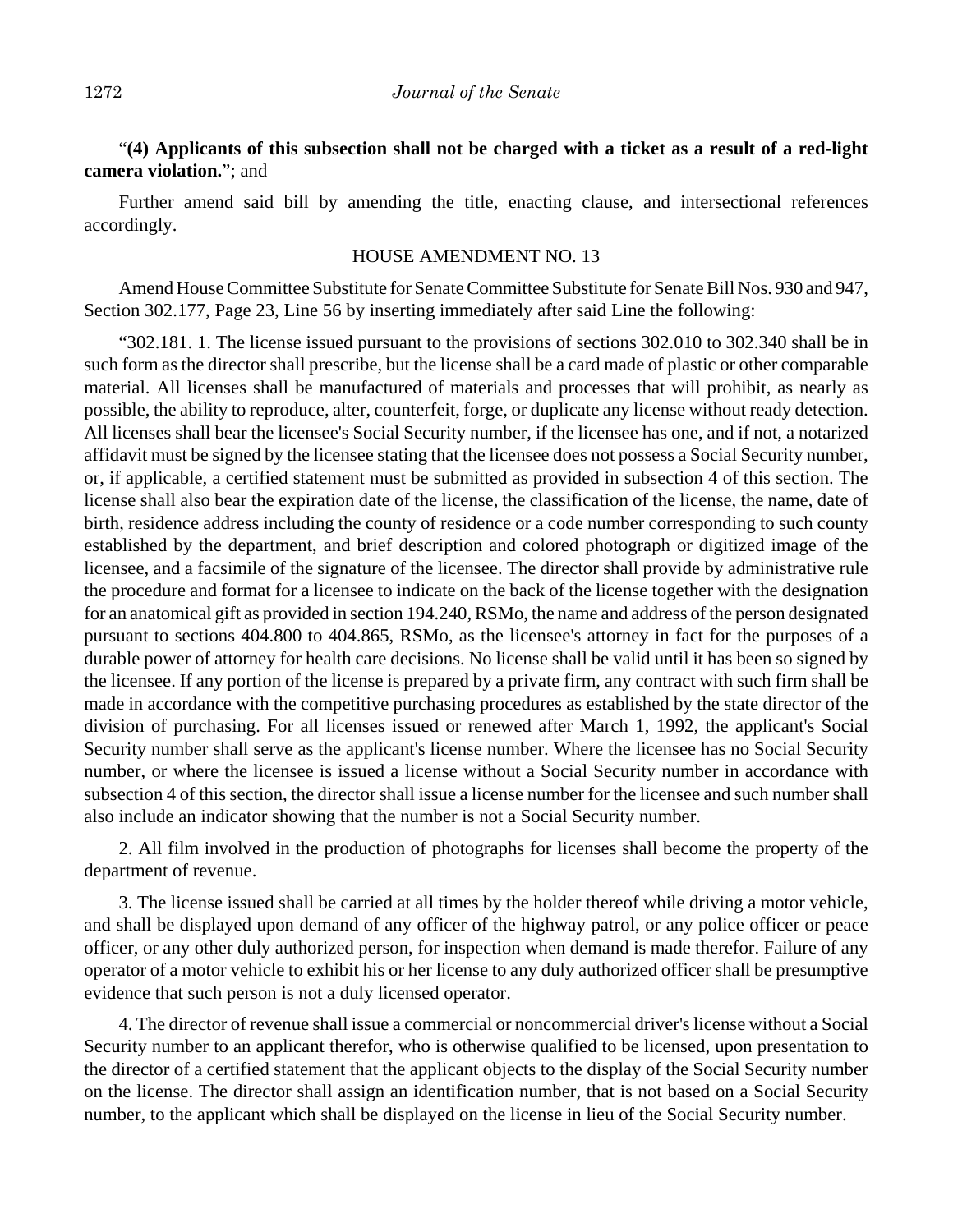# "**(4) Applicants of this subsection shall not be charged with a ticket as a result of a red-light camera violation.**"; and

Further amend said bill by amending the title, enacting clause, and intersectional references accordingly.

## HOUSE AMENDMENT NO. 13

Amend House Committee Substitute for Senate Committee Substitute for Senate Bill Nos. 930 and 947, Section 302.177, Page 23, Line 56 by inserting immediately after said Line the following:

"302.181. 1. The license issued pursuant to the provisions of sections 302.010 to 302.340 shall be in such form as the director shall prescribe, but the license shall be a card made of plastic or other comparable material. All licenses shall be manufactured of materials and processes that will prohibit, as nearly as possible, the ability to reproduce, alter, counterfeit, forge, or duplicate any license without ready detection. All licenses shall bear the licensee's Social Security number, if the licensee has one, and if not, a notarized affidavit must be signed by the licensee stating that the licensee does not possess a Social Security number, or, if applicable, a certified statement must be submitted as provided in subsection 4 of this section. The license shall also bear the expiration date of the license, the classification of the license, the name, date of birth, residence address including the county of residence or a code number corresponding to such county established by the department, and brief description and colored photograph or digitized image of the licensee, and a facsimile of the signature of the licensee. The director shall provide by administrative rule the procedure and format for a licensee to indicate on the back of the license together with the designation for an anatomical gift as provided in section 194.240, RSMo, the name and address of the person designated pursuant to sections 404.800 to 404.865, RSMo, as the licensee's attorney in fact for the purposes of a durable power of attorney for health care decisions. No license shall be valid until it has been so signed by the licensee. If any portion of the license is prepared by a private firm, any contract with such firm shall be made in accordance with the competitive purchasing procedures as established by the state director of the division of purchasing. For all licenses issued or renewed after March 1, 1992, the applicant's Social Security number shall serve as the applicant's license number. Where the licensee has no Social Security number, or where the licensee is issued a license without a Social Security number in accordance with subsection 4 of this section, the director shall issue a license number for the licensee and such number shall also include an indicator showing that the number is not a Social Security number.

2. All film involved in the production of photographs for licenses shall become the property of the department of revenue.

3. The license issued shall be carried at all times by the holder thereof while driving a motor vehicle, and shall be displayed upon demand of any officer of the highway patrol, or any police officer or peace officer, or any other duly authorized person, for inspection when demand is made therefor. Failure of any operator of a motor vehicle to exhibit his or her license to any duly authorized officer shall be presumptive evidence that such person is not a duly licensed operator.

4. The director of revenue shall issue a commercial or noncommercial driver's license without a Social Security number to an applicant therefor, who is otherwise qualified to be licensed, upon presentation to the director of a certified statement that the applicant objects to the display of the Social Security number on the license. The director shall assign an identification number, that is not based on a Social Security number, to the applicant which shall be displayed on the license in lieu of the Social Security number.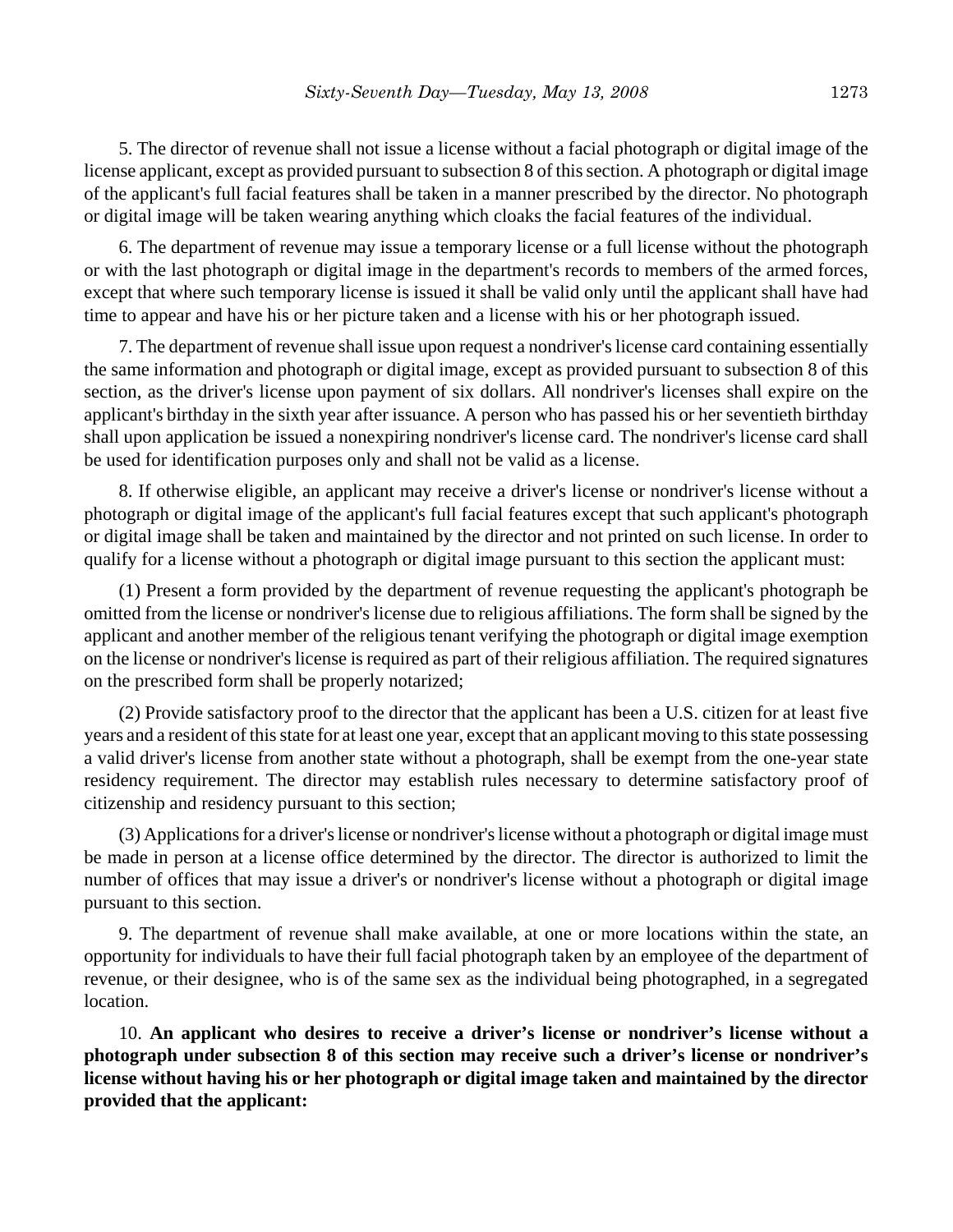5. The director of revenue shall not issue a license without a facial photograph or digital image of the license applicant, except as provided pursuant to subsection 8 of this section. A photograph or digital image of the applicant's full facial features shall be taken in a manner prescribed by the director. No photograph or digital image will be taken wearing anything which cloaks the facial features of the individual.

6. The department of revenue may issue a temporary license or a full license without the photograph or with the last photograph or digital image in the department's records to members of the armed forces, except that where such temporary license is issued it shall be valid only until the applicant shall have had time to appear and have his or her picture taken and a license with his or her photograph issued.

7. The department of revenue shall issue upon request a nondriver's license card containing essentially the same information and photograph or digital image, except as provided pursuant to subsection 8 of this section, as the driver's license upon payment of six dollars. All nondriver's licenses shall expire on the applicant's birthday in the sixth year after issuance. A person who has passed his or her seventieth birthday shall upon application be issued a nonexpiring nondriver's license card. The nondriver's license card shall be used for identification purposes only and shall not be valid as a license.

8. If otherwise eligible, an applicant may receive a driver's license or nondriver's license without a photograph or digital image of the applicant's full facial features except that such applicant's photograph or digital image shall be taken and maintained by the director and not printed on such license. In order to qualify for a license without a photograph or digital image pursuant to this section the applicant must:

(1) Present a form provided by the department of revenue requesting the applicant's photograph be omitted from the license or nondriver's license due to religious affiliations. The form shall be signed by the applicant and another member of the religious tenant verifying the photograph or digital image exemption on the license or nondriver's license is required as part of their religious affiliation. The required signatures on the prescribed form shall be properly notarized;

(2) Provide satisfactory proof to the director that the applicant has been a U.S. citizen for at least five years and a resident of this state for at least one year, except that an applicant moving to this state possessing a valid driver's license from another state without a photograph, shall be exempt from the one-year state residency requirement. The director may establish rules necessary to determine satisfactory proof of citizenship and residency pursuant to this section;

(3) Applications for a driver's license or nondriver's license without a photograph or digital image must be made in person at a license office determined by the director. The director is authorized to limit the number of offices that may issue a driver's or nondriver's license without a photograph or digital image pursuant to this section.

9. The department of revenue shall make available, at one or more locations within the state, an opportunity for individuals to have their full facial photograph taken by an employee of the department of revenue, or their designee, who is of the same sex as the individual being photographed, in a segregated location.

10. **An applicant who desires to receive a driver's license or nondriver's license without a photograph under subsection 8 of this section may receive such a driver's license or nondriver's license without having his or her photograph or digital image taken and maintained by the director provided that the applicant:**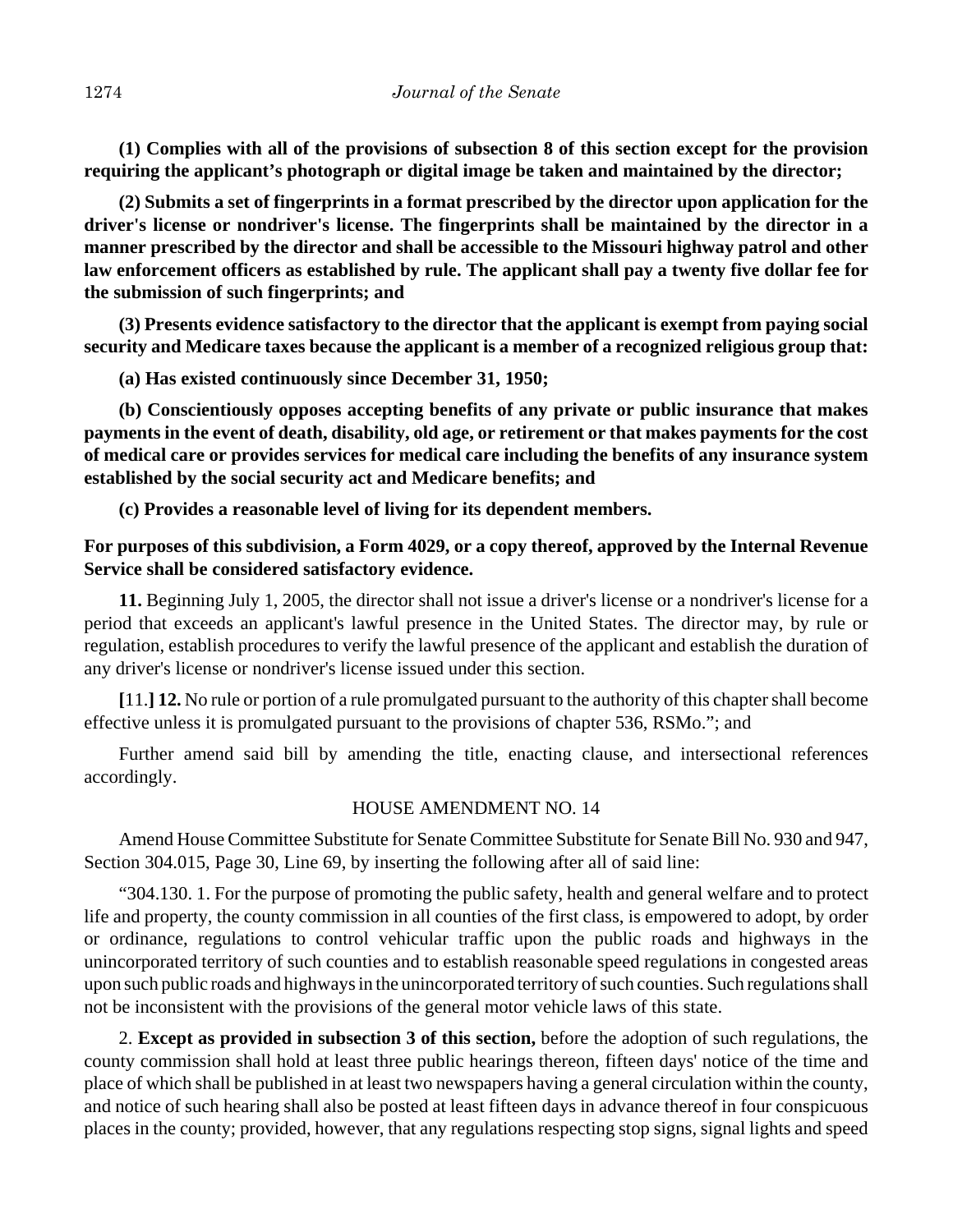**(1) Complies with all of the provisions of subsection 8 of this section except for the provision requiring the applicant's photograph or digital image be taken and maintained by the director;**

**(2) Submits a set of fingerprints in a format prescribed by the director upon application for the driver's license or nondriver's license. The fingerprints shall be maintained by the director in a manner prescribed by the director and shall be accessible to the Missouri highway patrol and other law enforcement officers as established by rule. The applicant shall pay a twenty five dollar fee for the submission of such fingerprints; and** 

**(3) Presents evidence satisfactory to the director that the applicant is exempt from paying social security and Medicare taxes because the applicant is a member of a recognized religious group that:**

**(a) Has existed continuously since December 31, 1950;** 

**(b) Conscientiously opposes accepting benefits of any private or public insurance that makes payments in the event of death, disability, old age, or retirement or that makes payments for the cost of medical care or provides services for medical care including the benefits of any insurance system established by the social security act and Medicare benefits; and**

**(c) Provides a reasonable level of living for its dependent members.**

# **For purposes of this subdivision, a Form 4029, or a copy thereof, approved by the Internal Revenue Service shall be considered satisfactory evidence.**

**11.** Beginning July 1, 2005, the director shall not issue a driver's license or a nondriver's license for a period that exceeds an applicant's lawful presence in the United States. The director may, by rule or regulation, establish procedures to verify the lawful presence of the applicant and establish the duration of any driver's license or nondriver's license issued under this section.

**[**11.**] 12.** No rule or portion of a rule promulgated pursuant to the authority of this chapter shall become effective unless it is promulgated pursuant to the provisions of chapter 536, RSMo."; and

Further amend said bill by amending the title, enacting clause, and intersectional references accordingly.

## HOUSE AMENDMENT NO. 14

Amend House Committee Substitute for Senate Committee Substitute for Senate Bill No. 930 and 947, Section 304.015, Page 30, Line 69, by inserting the following after all of said line:

"304.130. 1. For the purpose of promoting the public safety, health and general welfare and to protect life and property, the county commission in all counties of the first class, is empowered to adopt, by order or ordinance, regulations to control vehicular traffic upon the public roads and highways in the unincorporated territory of such counties and to establish reasonable speed regulations in congested areas upon such public roads and highways in the unincorporated territory of such counties. Such regulations shall not be inconsistent with the provisions of the general motor vehicle laws of this state.

2. **Except as provided in subsection 3 of this section,** before the adoption of such regulations, the county commission shall hold at least three public hearings thereon, fifteen days' notice of the time and place of which shall be published in at least two newspapers having a general circulation within the county, and notice of such hearing shall also be posted at least fifteen days in advance thereof in four conspicuous places in the county; provided, however, that any regulations respecting stop signs, signal lights and speed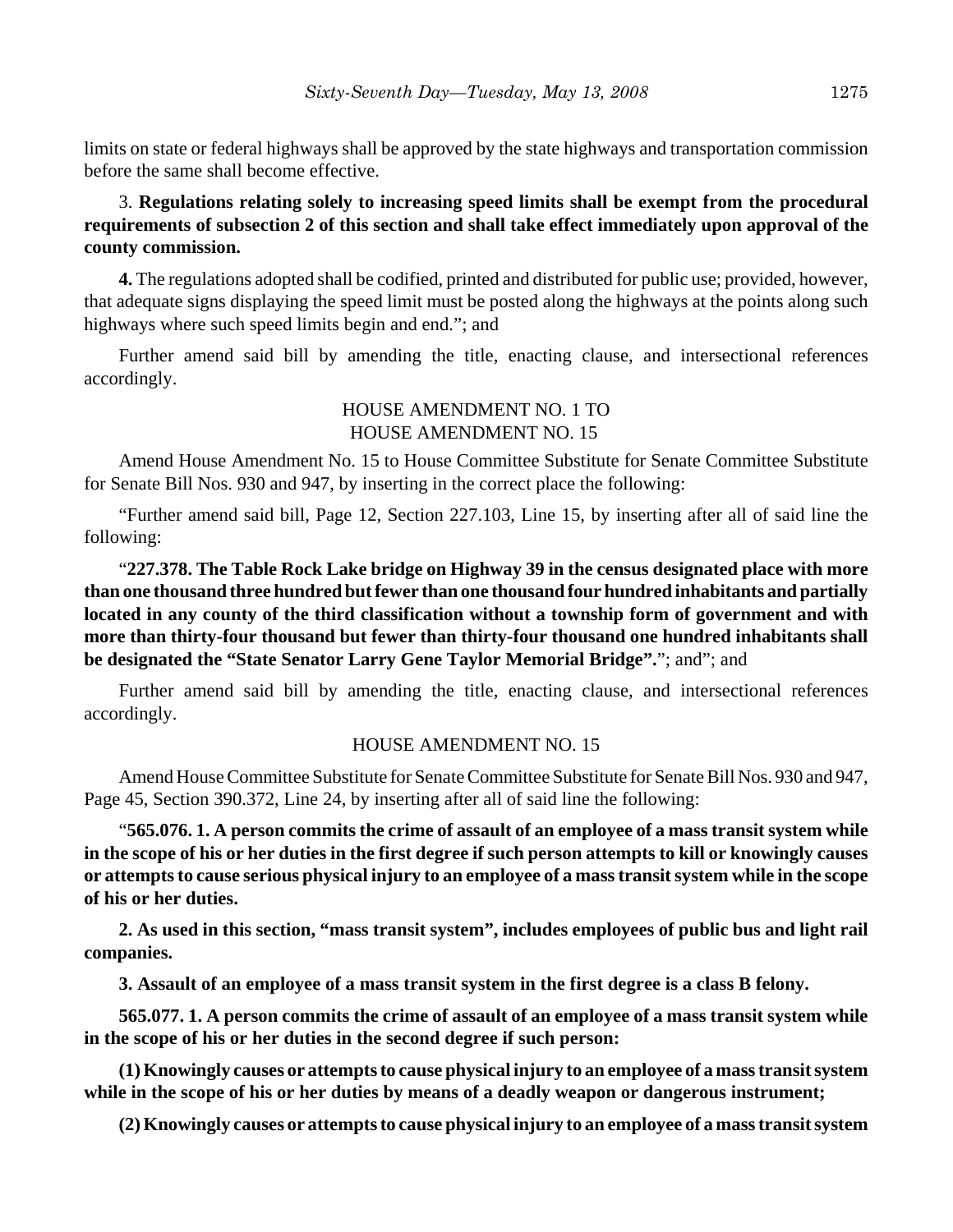limits on state or federal highways shall be approved by the state highways and transportation commission before the same shall become effective.

# 3. **Regulations relating solely to increasing speed limits shall be exempt from the procedural requirements of subsection 2 of this section and shall take effect immediately upon approval of the county commission.**

**4.** The regulations adopted shall be codified, printed and distributed for public use; provided, however, that adequate signs displaying the speed limit must be posted along the highways at the points along such highways where such speed limits begin and end."; and

Further amend said bill by amending the title, enacting clause, and intersectional references accordingly.

## HOUSE AMENDMENT NO. 1 TO HOUSE AMENDMENT NO. 15

Amend House Amendment No. 15 to House Committee Substitute for Senate Committee Substitute for Senate Bill Nos. 930 and 947, by inserting in the correct place the following:

"Further amend said bill, Page 12, Section 227.103, Line 15, by inserting after all of said line the following:

"**227.378. The Table Rock Lake bridge on Highway 39 in the census designated place with more than one thousand three hundred but fewer than one thousand four hundred inhabitants and partially located in any county of the third classification without a township form of government and with more than thirty-four thousand but fewer than thirty-four thousand one hundred inhabitants shall be designated the "State Senator Larry Gene Taylor Memorial Bridge".**"; and"; and

Further amend said bill by amending the title, enacting clause, and intersectional references accordingly.

## HOUSE AMENDMENT NO. 15

Amend House Committee Substitute for Senate Committee Substitute for Senate Bill Nos. 930 and 947, Page 45, Section 390.372, Line 24, by inserting after all of said line the following:

"**565.076. 1. A person commits the crime of assault of an employee of a mass transit system while in the scope of his or her duties in the first degree if such person attempts to kill or knowingly causes or attempts to cause serious physical injury to an employee of a mass transit system while in the scope of his or her duties.**

**2. As used in this section, "mass transit system", includes employees of public bus and light rail companies.**

**3. Assault of an employee of a mass transit system in the first degree is a class B felony.**

**565.077. 1. A person commits the crime of assault of an employee of a mass transit system while in the scope of his or her duties in the second degree if such person:**

**(1) Knowingly causes or attempts to cause physical injury to an employee of a mass transit system while in the scope of his or her duties by means of a deadly weapon or dangerous instrument;**

**(2) Knowingly causes or attempts to cause physical injury to an employee of a mass transit system**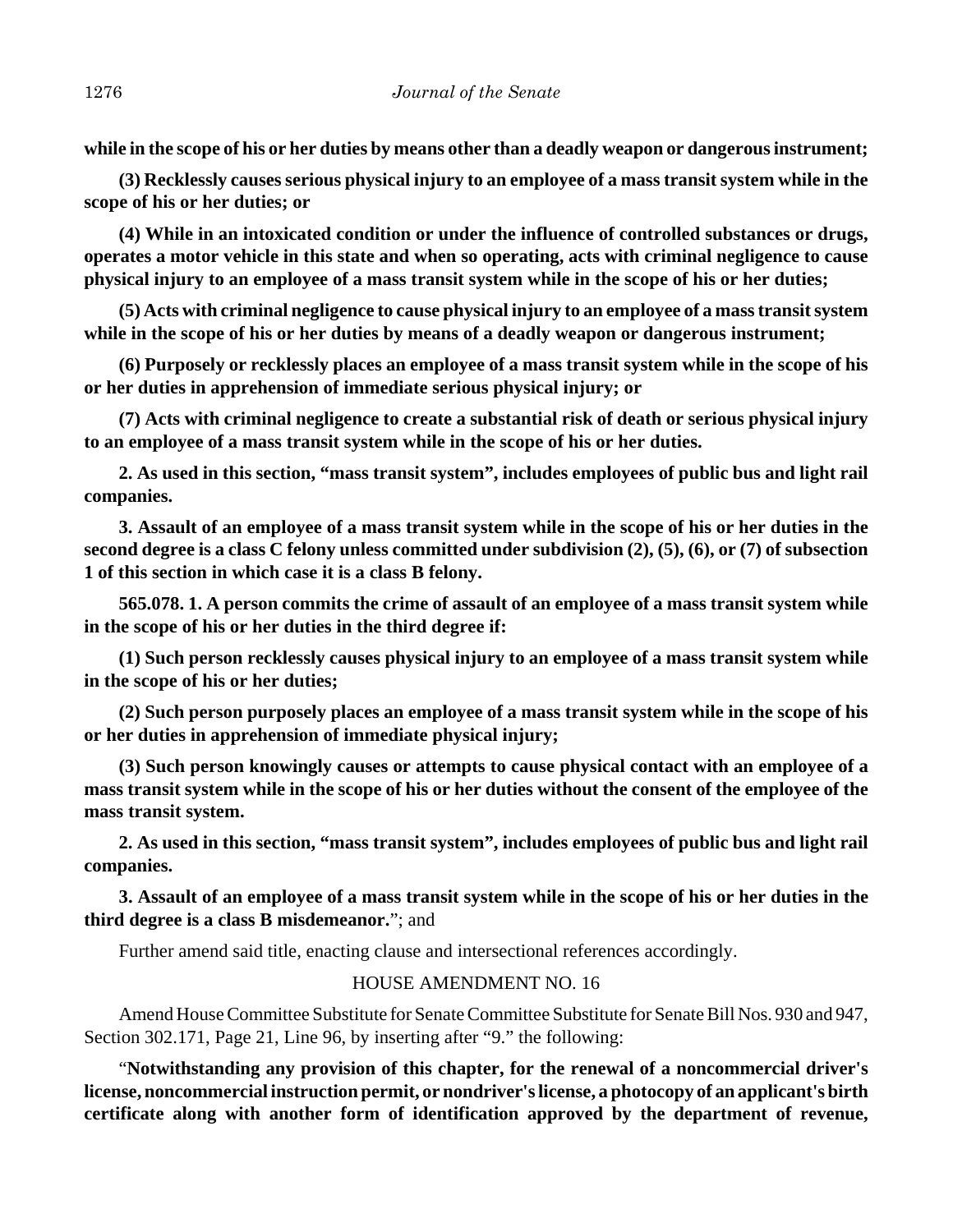**while in the scope of his or her duties by means other than a deadly weapon or dangerous instrument;**

**(3) Recklessly causes serious physical injury to an employee of a mass transit system while in the scope of his or her duties; or**

**(4) While in an intoxicated condition or under the influence of controlled substances or drugs, operates a motor vehicle in this state and when so operating, acts with criminal negligence to cause physical injury to an employee of a mass transit system while in the scope of his or her duties;**

**(5) Acts with criminal negligence to cause physical injury to an employee of a mass transit system while in the scope of his or her duties by means of a deadly weapon or dangerous instrument;**

**(6) Purposely or recklessly places an employee of a mass transit system while in the scope of his or her duties in apprehension of immediate serious physical injury; or**

**(7) Acts with criminal negligence to create a substantial risk of death or serious physical injury to an employee of a mass transit system while in the scope of his or her duties.**

**2. As used in this section, "mass transit system", includes employees of public bus and light rail companies.**

**3. Assault of an employee of a mass transit system while in the scope of his or her duties in the second degree is a class C felony unless committed under subdivision (2), (5), (6), or (7) of subsection 1 of this section in which case it is a class B felony.**

**565.078. 1. A person commits the crime of assault of an employee of a mass transit system while in the scope of his or her duties in the third degree if:**

**(1) Such person recklessly causes physical injury to an employee of a mass transit system while in the scope of his or her duties;**

**(2) Such person purposely places an employee of a mass transit system while in the scope of his or her duties in apprehension of immediate physical injury;**

**(3) Such person knowingly causes or attempts to cause physical contact with an employee of a mass transit system while in the scope of his or her duties without the consent of the employee of the mass transit system.**

**2. As used in this section, "mass transit system", includes employees of public bus and light rail companies.**

**3. Assault of an employee of a mass transit system while in the scope of his or her duties in the third degree is a class B misdemeanor.**"; and

Further amend said title, enacting clause and intersectional references accordingly.

## HOUSE AMENDMENT NO. 16

Amend House Committee Substitute for Senate Committee Substitute for Senate Bill Nos. 930 and 947, Section 302.171, Page 21, Line 96, by inserting after "9." the following:

"**Notwithstanding any provision of this chapter, for the renewal of a noncommercial driver's license, noncommercial instruction permit, or nondriver's license, a photocopy of an applicant's birth certificate along with another form of identification approved by the department of revenue,**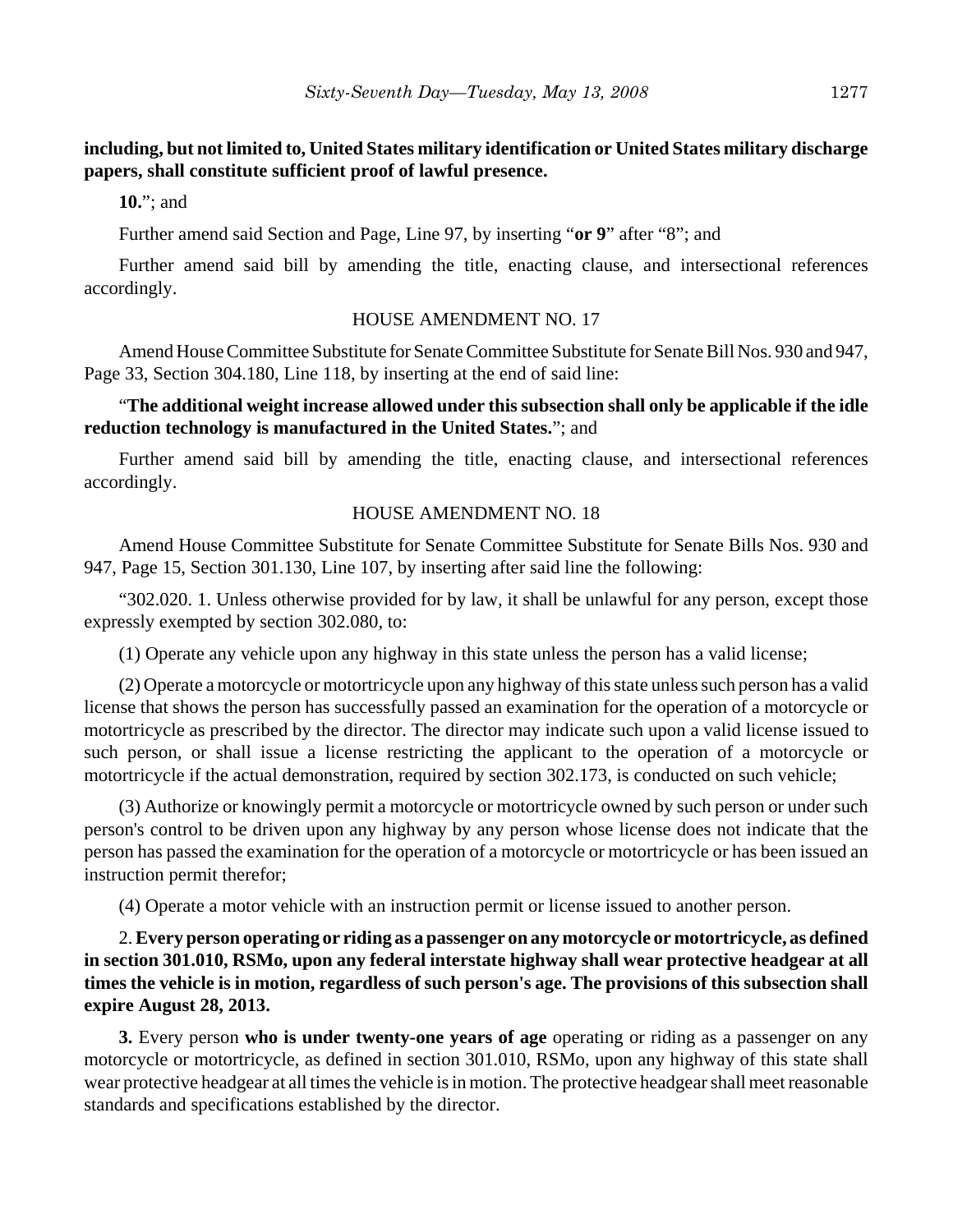**including, but not limited to, United States military identification or United States military discharge papers, shall constitute sufficient proof of lawful presence.**

**10.**"; and

Further amend said Section and Page, Line 97, by inserting "**or 9**" after "8"; and

Further amend said bill by amending the title, enacting clause, and intersectional references accordingly.

## HOUSE AMENDMENT NO. 17

Amend House Committee Substitute for Senate Committee Substitute for Senate Bill Nos. 930 and 947, Page 33, Section 304.180, Line 118, by inserting at the end of said line:

# "**The additional weight increase allowed under this subsection shall only be applicable if the idle reduction technology is manufactured in the United States.**"; and

Further amend said bill by amending the title, enacting clause, and intersectional references accordingly.

#### HOUSE AMENDMENT NO. 18

Amend House Committee Substitute for Senate Committee Substitute for Senate Bills Nos. 930 and 947, Page 15, Section 301.130, Line 107, by inserting after said line the following:

"302.020. 1. Unless otherwise provided for by law, it shall be unlawful for any person, except those expressly exempted by section 302.080, to:

(1) Operate any vehicle upon any highway in this state unless the person has a valid license;

(2) Operate a motorcycle or motortricycle upon any highway of this state unless such person has a valid license that shows the person has successfully passed an examination for the operation of a motorcycle or motortricycle as prescribed by the director. The director may indicate such upon a valid license issued to such person, or shall issue a license restricting the applicant to the operation of a motorcycle or motortricycle if the actual demonstration, required by section 302.173, is conducted on such vehicle;

(3) Authorize or knowingly permit a motorcycle or motortricycle owned by such person or under such person's control to be driven upon any highway by any person whose license does not indicate that the person has passed the examination for the operation of a motorcycle or motortricycle or has been issued an instruction permit therefor;

(4) Operate a motor vehicle with an instruction permit or license issued to another person.

2. **Every person operating or riding as a passenger on any motorcycle or motortricycle, as defined in section 301.010, RSMo, upon any federal interstate highway shall wear protective headgear at all times the vehicle is in motion, regardless of such person's age. The provisions of this subsection shall expire August 28, 2013.**

**3.** Every person **who is under twenty-one years of age** operating or riding as a passenger on any motorcycle or motortricycle, as defined in section 301.010, RSMo, upon any highway of this state shall wear protective headgear at all times the vehicle is in motion. The protective headgear shall meet reasonable standards and specifications established by the director.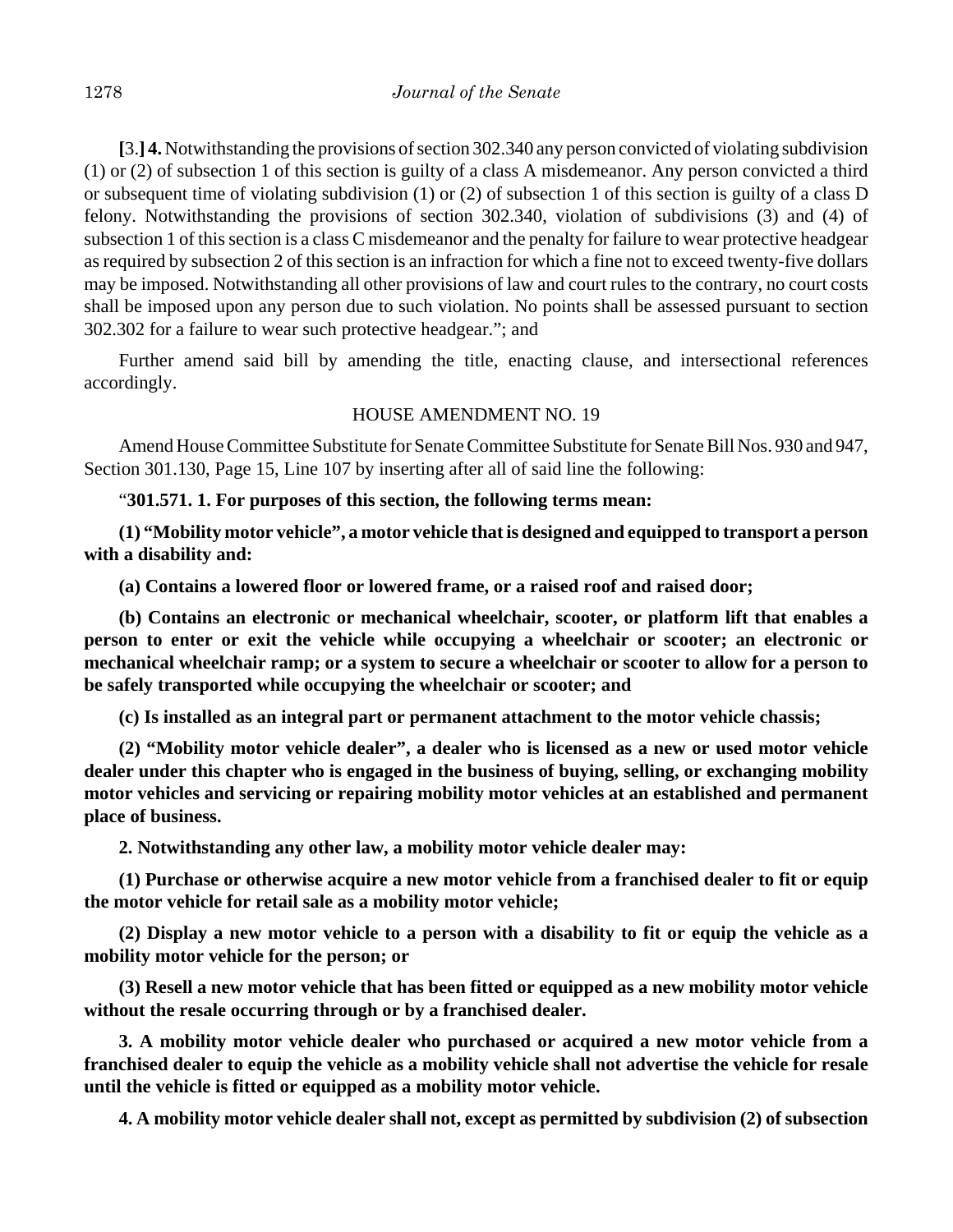**[**3.**] 4.** Notwithstanding the provisions of section 302.340 any person convicted of violating subdivision (1) or (2) of subsection 1 of this section is guilty of a class A misdemeanor. Any person convicted a third or subsequent time of violating subdivision (1) or (2) of subsection 1 of this section is guilty of a class D felony. Notwithstanding the provisions of section 302.340, violation of subdivisions (3) and (4) of subsection 1 of this section is a class C misdemeanor and the penalty for failure to wear protective headgear as required by subsection 2 of this section is an infraction for which a fine not to exceed twenty-five dollars may be imposed. Notwithstanding all other provisions of law and court rules to the contrary, no court costs shall be imposed upon any person due to such violation. No points shall be assessed pursuant to section 302.302 for a failure to wear such protective headgear."; and

Further amend said bill by amending the title, enacting clause, and intersectional references accordingly.

## HOUSE AMENDMENT NO. 19

Amend House Committee Substitute for Senate Committee Substitute for Senate Bill Nos. 930 and 947, Section 301.130, Page 15, Line 107 by inserting after all of said line the following:

"**301.571. 1. For purposes of this section, the following terms mean:**

**(1) "Mobility motor vehicle", a motor vehicle that is designed and equipped to transport a person with a disability and:**

**(a) Contains a lowered floor or lowered frame, or a raised roof and raised door;**

**(b) Contains an electronic or mechanical wheelchair, scooter, or platform lift that enables a person to enter or exit the vehicle while occupying a wheelchair or scooter; an electronic or mechanical wheelchair ramp; or a system to secure a wheelchair or scooter to allow for a person to be safely transported while occupying the wheelchair or scooter; and**

**(c) Is installed as an integral part or permanent attachment to the motor vehicle chassis;**

**(2) "Mobility motor vehicle dealer", a dealer who is licensed as a new or used motor vehicle dealer under this chapter who is engaged in the business of buying, selling, or exchanging mobility motor vehicles and servicing or repairing mobility motor vehicles at an established and permanent place of business.**

**2. Notwithstanding any other law, a mobility motor vehicle dealer may:**

**(1) Purchase or otherwise acquire a new motor vehicle from a franchised dealer to fit or equip the motor vehicle for retail sale as a mobility motor vehicle;**

**(2) Display a new motor vehicle to a person with a disability to fit or equip the vehicle as a mobility motor vehicle for the person; or**

**(3) Resell a new motor vehicle that has been fitted or equipped as a new mobility motor vehicle without the resale occurring through or by a franchised dealer.**

**3. A mobility motor vehicle dealer who purchased or acquired a new motor vehicle from a franchised dealer to equip the vehicle as a mobility vehicle shall not advertise the vehicle for resale until the vehicle is fitted or equipped as a mobility motor vehicle.**

**4. A mobility motor vehicle dealer shall not, except as permitted by subdivision (2) of subsection**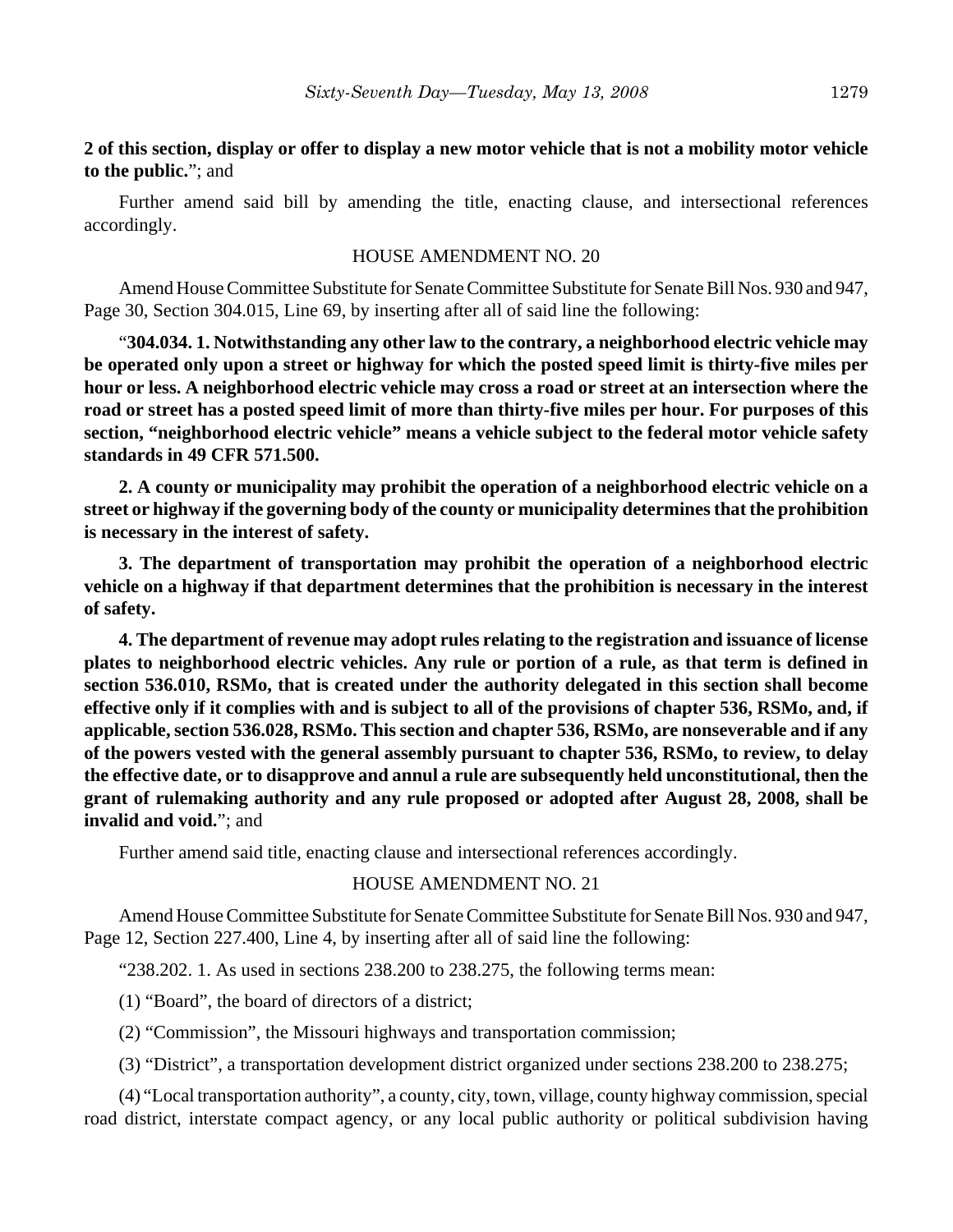# **2 of this section, display or offer to display a new motor vehicle that is not a mobility motor vehicle to the public.**"; and

Further amend said bill by amending the title, enacting clause, and intersectional references accordingly.

## HOUSE AMENDMENT NO. 20

Amend House Committee Substitute for Senate Committee Substitute for Senate Bill Nos. 930 and 947, Page 30, Section 304.015, Line 69, by inserting after all of said line the following:

"**304.034. 1. Notwithstanding any other law to the contrary, a neighborhood electric vehicle may be operated only upon a street or highway for which the posted speed limit is thirty-five miles per hour or less. A neighborhood electric vehicle may cross a road or street at an intersection where the road or street has a posted speed limit of more than thirty-five miles per hour. For purposes of this section, "neighborhood electric vehicle" means a vehicle subject to the federal motor vehicle safety standards in 49 CFR 571.500.**

**2. A county or municipality may prohibit the operation of a neighborhood electric vehicle on a street or highway if the governing body of the county or municipality determines that the prohibition is necessary in the interest of safety.**

**3. The department of transportation may prohibit the operation of a neighborhood electric vehicle on a highway if that department determines that the prohibition is necessary in the interest of safety.**

**4. The department of revenue may adopt rules relating to the registration and issuance of license plates to neighborhood electric vehicles. Any rule or portion of a rule, as that term is defined in section 536.010, RSMo, that is created under the authority delegated in this section shall become effective only if it complies with and is subject to all of the provisions of chapter 536, RSMo, and, if applicable, section 536.028, RSMo. This section and chapter 536, RSMo, are nonseverable and if any of the powers vested with the general assembly pursuant to chapter 536, RSMo, to review, to delay the effective date, or to disapprove and annul a rule are subsequently held unconstitutional, then the grant of rulemaking authority and any rule proposed or adopted after August 28, 2008, shall be invalid and void.**"; and

Further amend said title, enacting clause and intersectional references accordingly.

#### HOUSE AMENDMENT NO. 21

Amend House Committee Substitute for Senate Committee Substitute for Senate Bill Nos. 930 and 947, Page 12, Section 227.400, Line 4, by inserting after all of said line the following:

" $238.202$ . 1. As used in sections  $238.200$  to  $238.275$ , the following terms mean:

(1) "Board", the board of directors of a district;

(2) "Commission", the Missouri highways and transportation commission;

(3) "District", a transportation development district organized under sections 238.200 to 238.275;

(4) "Local transportation authority", a county, city, town, village, county highway commission, special road district, interstate compact agency, or any local public authority or political subdivision having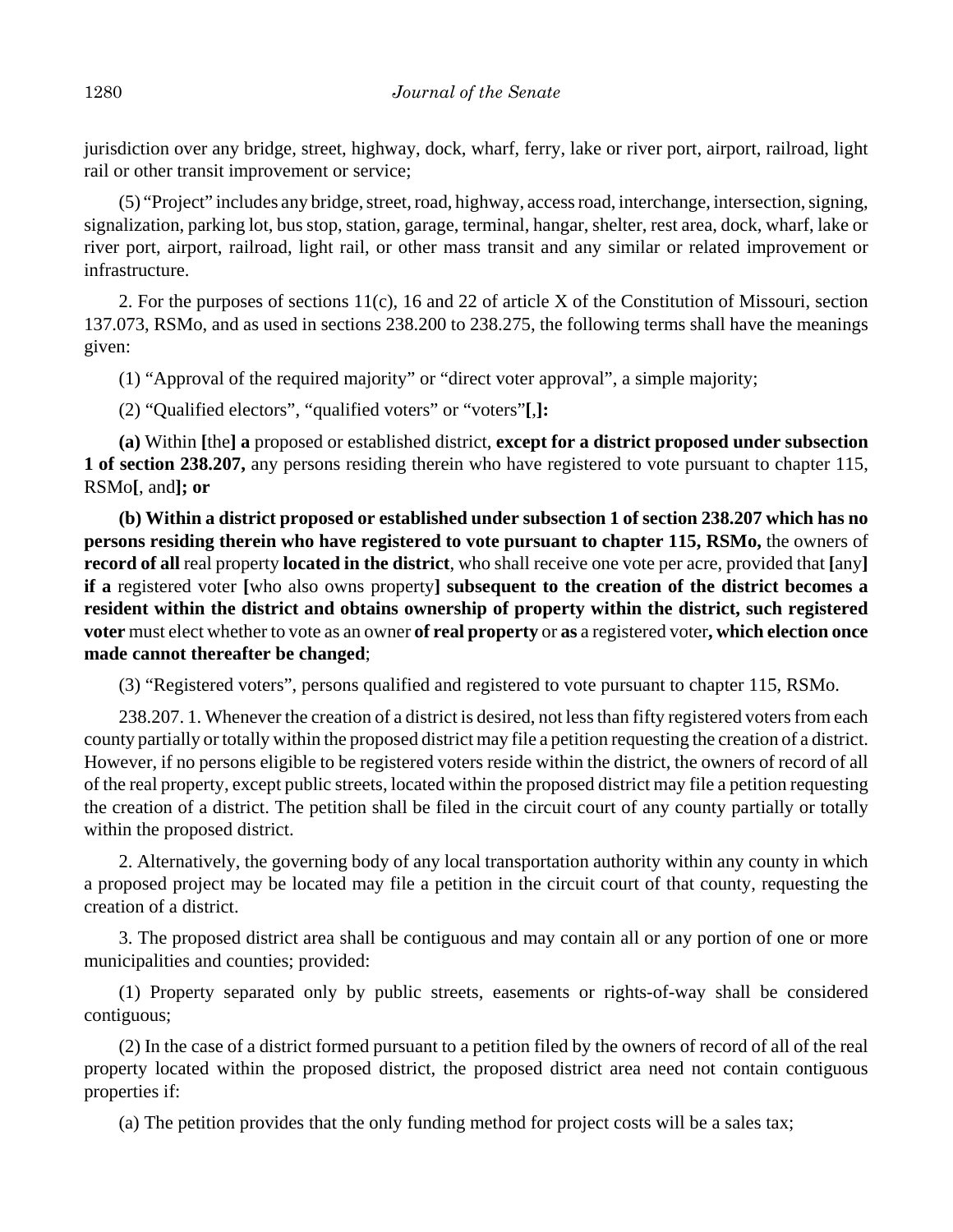jurisdiction over any bridge, street, highway, dock, wharf, ferry, lake or river port, airport, railroad, light rail or other transit improvement or service;

(5) "Project" includes any bridge, street, road, highway, access road, interchange, intersection, signing, signalization, parking lot, bus stop, station, garage, terminal, hangar, shelter, rest area, dock, wharf, lake or river port, airport, railroad, light rail, or other mass transit and any similar or related improvement or infrastructure.

2. For the purposes of sections 11(c), 16 and 22 of article X of the Constitution of Missouri, section 137.073, RSMo, and as used in sections 238.200 to 238.275, the following terms shall have the meanings given:

(1) "Approval of the required majority" or "direct voter approval", a simple majority;

(2) "Qualified electors", "qualified voters" or "voters"**[**,**]:**

**(a)** Within **[**the**] a** proposed or established district, **except for a district proposed under subsection 1 of section 238.207,** any persons residing therein who have registered to vote pursuant to chapter 115, RSMo**[**, and**]; or**

**(b) Within a district proposed or established under subsection 1 of section 238.207 which has no persons residing therein who have registered to vote pursuant to chapter 115, RSMo,** the owners of **record of all** real property **located in the district**, who shall receive one vote per acre, provided that **[**any**] if a** registered voter **[**who also owns property**] subsequent to the creation of the district becomes a resident within the district and obtains ownership of property within the district, such registered voter** must elect whether to vote as an owner **of real property** or **as** a registered voter**, which election once made cannot thereafter be changed**;

(3) "Registered voters", persons qualified and registered to vote pursuant to chapter 115, RSMo.

238.207. 1. Whenever the creation of a district is desired, not less than fifty registered voters from each county partially or totally within the proposed district may file a petition requesting the creation of a district. However, if no persons eligible to be registered voters reside within the district, the owners of record of all of the real property, except public streets, located within the proposed district may file a petition requesting the creation of a district. The petition shall be filed in the circuit court of any county partially or totally within the proposed district.

2. Alternatively, the governing body of any local transportation authority within any county in which a proposed project may be located may file a petition in the circuit court of that county, requesting the creation of a district.

3. The proposed district area shall be contiguous and may contain all or any portion of one or more municipalities and counties; provided:

(1) Property separated only by public streets, easements or rights-of-way shall be considered contiguous;

(2) In the case of a district formed pursuant to a petition filed by the owners of record of all of the real property located within the proposed district, the proposed district area need not contain contiguous properties if:

(a) The petition provides that the only funding method for project costs will be a sales tax;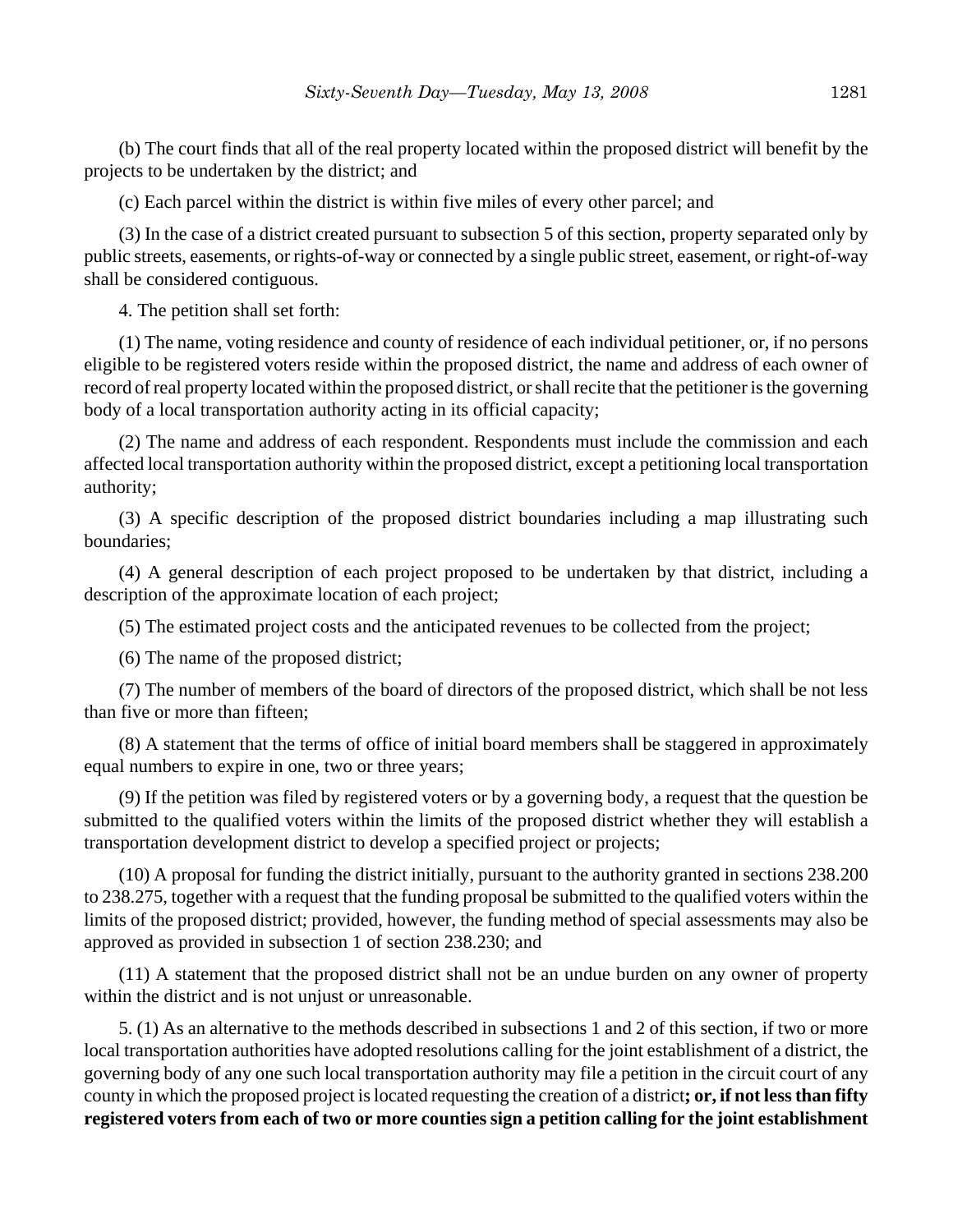(b) The court finds that all of the real property located within the proposed district will benefit by the projects to be undertaken by the district; and

(c) Each parcel within the district is within five miles of every other parcel; and

(3) In the case of a district created pursuant to subsection 5 of this section, property separated only by public streets, easements, or rights-of-way or connected by a single public street, easement, or right-of-way shall be considered contiguous.

4. The petition shall set forth:

(1) The name, voting residence and county of residence of each individual petitioner, or, if no persons eligible to be registered voters reside within the proposed district, the name and address of each owner of record of real property located within the proposed district, or shall recite that the petitioner is the governing body of a local transportation authority acting in its official capacity;

(2) The name and address of each respondent. Respondents must include the commission and each affected local transportation authority within the proposed district, except a petitioning local transportation authority;

(3) A specific description of the proposed district boundaries including a map illustrating such boundaries;

(4) A general description of each project proposed to be undertaken by that district, including a description of the approximate location of each project;

(5) The estimated project costs and the anticipated revenues to be collected from the project;

(6) The name of the proposed district;

(7) The number of members of the board of directors of the proposed district, which shall be not less than five or more than fifteen;

(8) A statement that the terms of office of initial board members shall be staggered in approximately equal numbers to expire in one, two or three years;

(9) If the petition was filed by registered voters or by a governing body, a request that the question be submitted to the qualified voters within the limits of the proposed district whether they will establish a transportation development district to develop a specified project or projects;

(10) A proposal for funding the district initially, pursuant to the authority granted in sections 238.200 to 238.275, together with a request that the funding proposal be submitted to the qualified voters within the limits of the proposed district; provided, however, the funding method of special assessments may also be approved as provided in subsection 1 of section 238.230; and

(11) A statement that the proposed district shall not be an undue burden on any owner of property within the district and is not unjust or unreasonable.

5. (1) As an alternative to the methods described in subsections 1 and 2 of this section, if two or more local transportation authorities have adopted resolutions calling for the joint establishment of a district, the governing body of any one such local transportation authority may file a petition in the circuit court of any county in which the proposed project is located requesting the creation of a district**; or, if not less than fifty registered voters from each of two or more counties sign a petition calling for the joint establishment**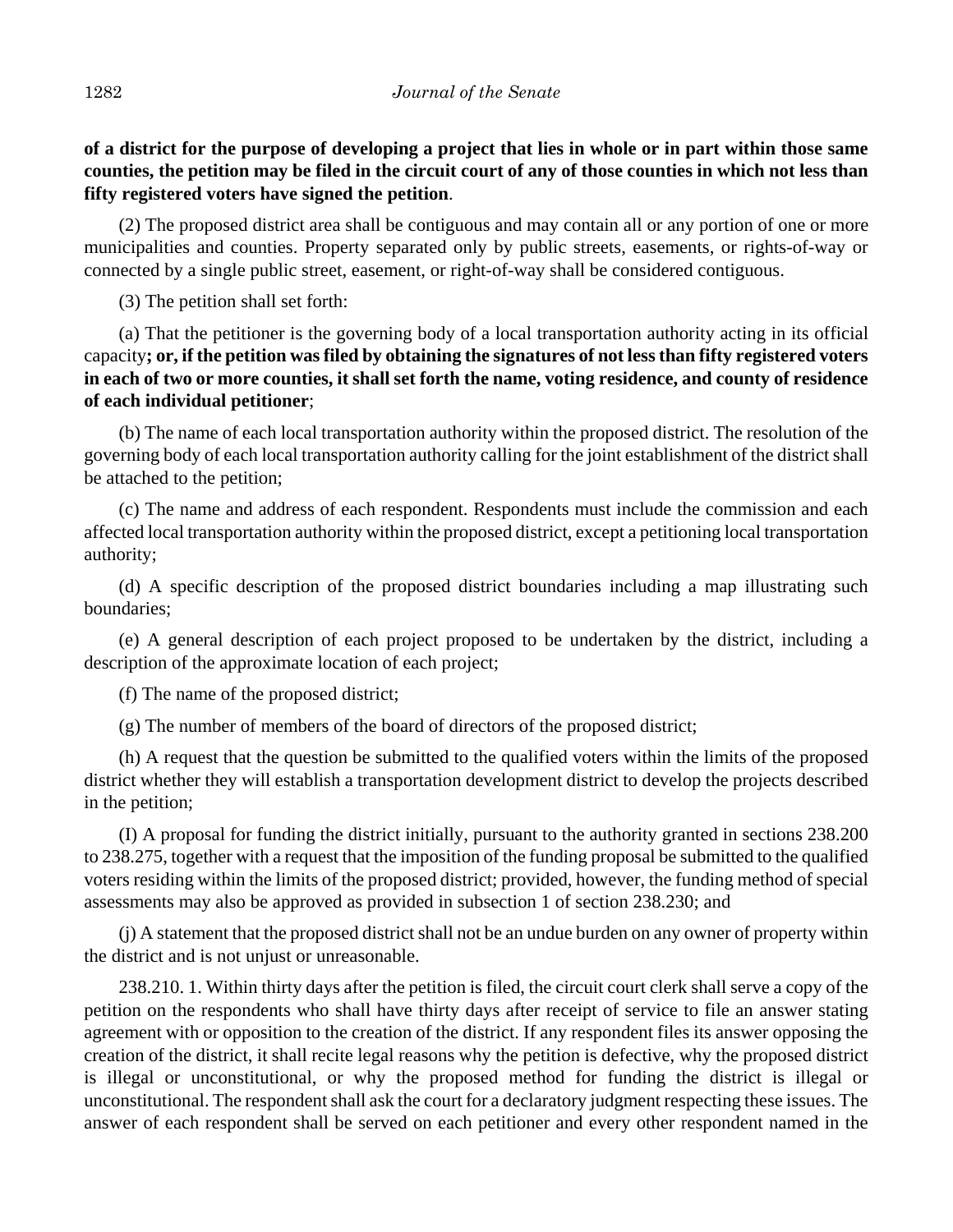**of a district for the purpose of developing a project that lies in whole or in part within those same counties, the petition may be filed in the circuit court of any of those counties in which not less than fifty registered voters have signed the petition**.

(2) The proposed district area shall be contiguous and may contain all or any portion of one or more municipalities and counties. Property separated only by public streets, easements, or rights-of-way or connected by a single public street, easement, or right-of-way shall be considered contiguous.

(3) The petition shall set forth:

(a) That the petitioner is the governing body of a local transportation authority acting in its official capacity**; or, if the petition was filed by obtaining the signatures of not less than fifty registered voters in each of two or more counties, it shall set forth the name, voting residence, and county of residence of each individual petitioner**;

(b) The name of each local transportation authority within the proposed district. The resolution of the governing body of each local transportation authority calling for the joint establishment of the district shall be attached to the petition;

(c) The name and address of each respondent. Respondents must include the commission and each affected local transportation authority within the proposed district, except a petitioning local transportation authority;

(d) A specific description of the proposed district boundaries including a map illustrating such boundaries;

(e) A general description of each project proposed to be undertaken by the district, including a description of the approximate location of each project;

(f) The name of the proposed district;

(g) The number of members of the board of directors of the proposed district;

(h) A request that the question be submitted to the qualified voters within the limits of the proposed district whether they will establish a transportation development district to develop the projects described in the petition;

(I) A proposal for funding the district initially, pursuant to the authority granted in sections 238.200 to 238.275, together with a request that the imposition of the funding proposal be submitted to the qualified voters residing within the limits of the proposed district; provided, however, the funding method of special assessments may also be approved as provided in subsection 1 of section 238.230; and

(j) A statement that the proposed district shall not be an undue burden on any owner of property within the district and is not unjust or unreasonable.

238.210. 1. Within thirty days after the petition is filed, the circuit court clerk shall serve a copy of the petition on the respondents who shall have thirty days after receipt of service to file an answer stating agreement with or opposition to the creation of the district. If any respondent files its answer opposing the creation of the district, it shall recite legal reasons why the petition is defective, why the proposed district is illegal or unconstitutional, or why the proposed method for funding the district is illegal or unconstitutional. The respondent shall ask the court for a declaratory judgment respecting these issues. The answer of each respondent shall be served on each petitioner and every other respondent named in the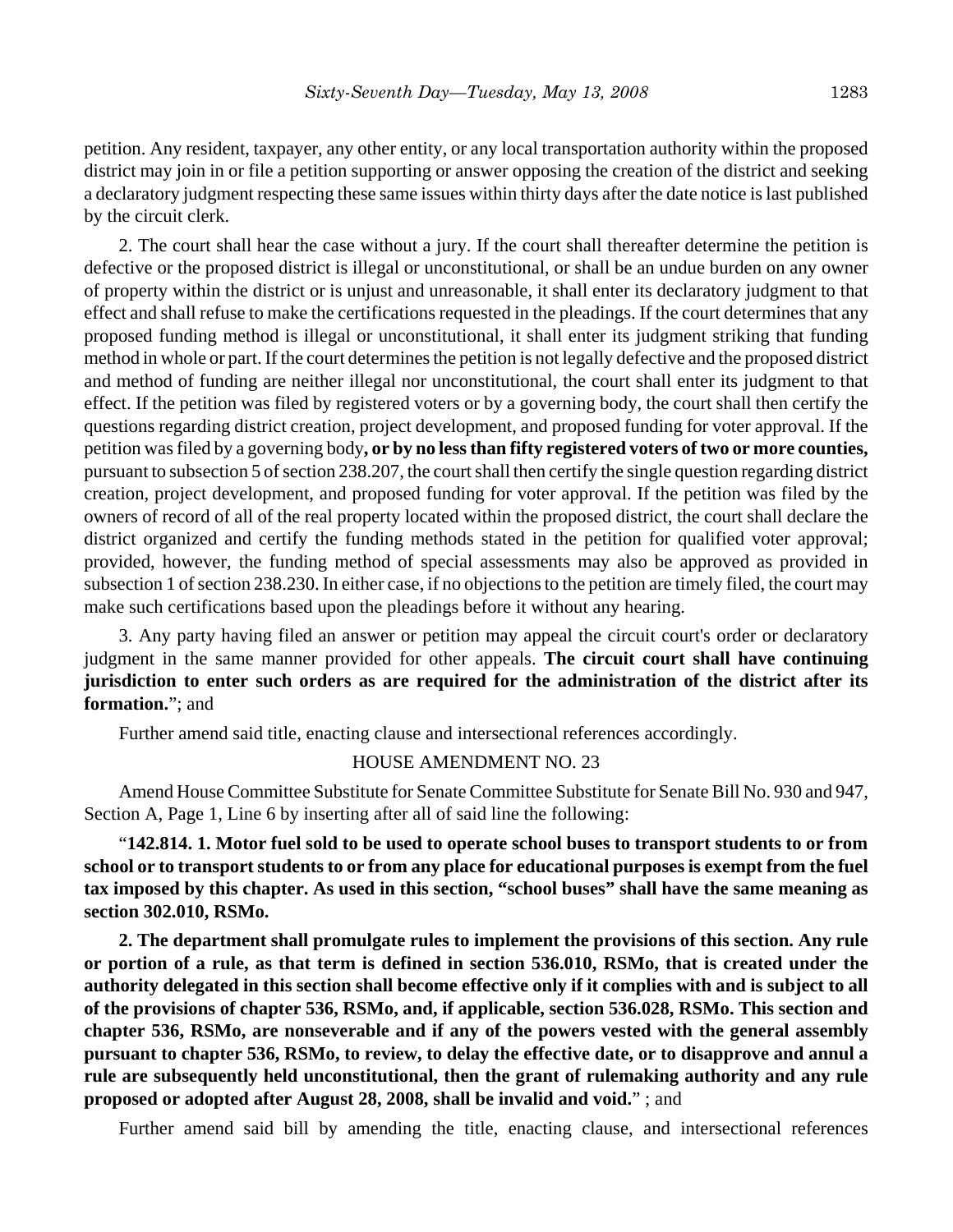petition. Any resident, taxpayer, any other entity, or any local transportation authority within the proposed district may join in or file a petition supporting or answer opposing the creation of the district and seeking a declaratory judgment respecting these same issues within thirty days after the date notice is last published by the circuit clerk.

2. The court shall hear the case without a jury. If the court shall thereafter determine the petition is defective or the proposed district is illegal or unconstitutional, or shall be an undue burden on any owner of property within the district or is unjust and unreasonable, it shall enter its declaratory judgment to that effect and shall refuse to make the certifications requested in the pleadings. If the court determines that any proposed funding method is illegal or unconstitutional, it shall enter its judgment striking that funding method in whole or part. If the court determines the petition is not legally defective and the proposed district and method of funding are neither illegal nor unconstitutional, the court shall enter its judgment to that effect. If the petition was filed by registered voters or by a governing body, the court shall then certify the questions regarding district creation, project development, and proposed funding for voter approval. If the petition was filed by a governing body**, or by no less than fifty registered voters of two or more counties,** pursuant to subsection 5 of section 238.207, the court shall then certify the single question regarding district creation, project development, and proposed funding for voter approval. If the petition was filed by the owners of record of all of the real property located within the proposed district, the court shall declare the district organized and certify the funding methods stated in the petition for qualified voter approval; provided, however, the funding method of special assessments may also be approved as provided in subsection 1 of section 238.230. In either case, if no objections to the petition are timely filed, the court may make such certifications based upon the pleadings before it without any hearing.

3. Any party having filed an answer or petition may appeal the circuit court's order or declaratory judgment in the same manner provided for other appeals. **The circuit court shall have continuing jurisdiction to enter such orders as are required for the administration of the district after its formation.**"; and

Further amend said title, enacting clause and intersectional references accordingly.

#### HOUSE AMENDMENT NO. 23

Amend House Committee Substitute for Senate Committee Substitute for Senate Bill No. 930 and 947, Section A, Page 1, Line 6 by inserting after all of said line the following:

"**142.814. 1. Motor fuel sold to be used to operate school buses to transport students to or from school or to transport students to or from any place for educational purposes is exempt from the fuel tax imposed by this chapter. As used in this section, "school buses" shall have the same meaning as section 302.010, RSMo.**

**2. The department shall promulgate rules to implement the provisions of this section. Any rule or portion of a rule, as that term is defined in section 536.010, RSMo, that is created under the authority delegated in this section shall become effective only if it complies with and is subject to all of the provisions of chapter 536, RSMo, and, if applicable, section 536.028, RSMo. This section and chapter 536, RSMo, are nonseverable and if any of the powers vested with the general assembly pursuant to chapter 536, RSMo, to review, to delay the effective date, or to disapprove and annul a rule are subsequently held unconstitutional, then the grant of rulemaking authority and any rule proposed or adopted after August 28, 2008, shall be invalid and void.**" ; and

Further amend said bill by amending the title, enacting clause, and intersectional references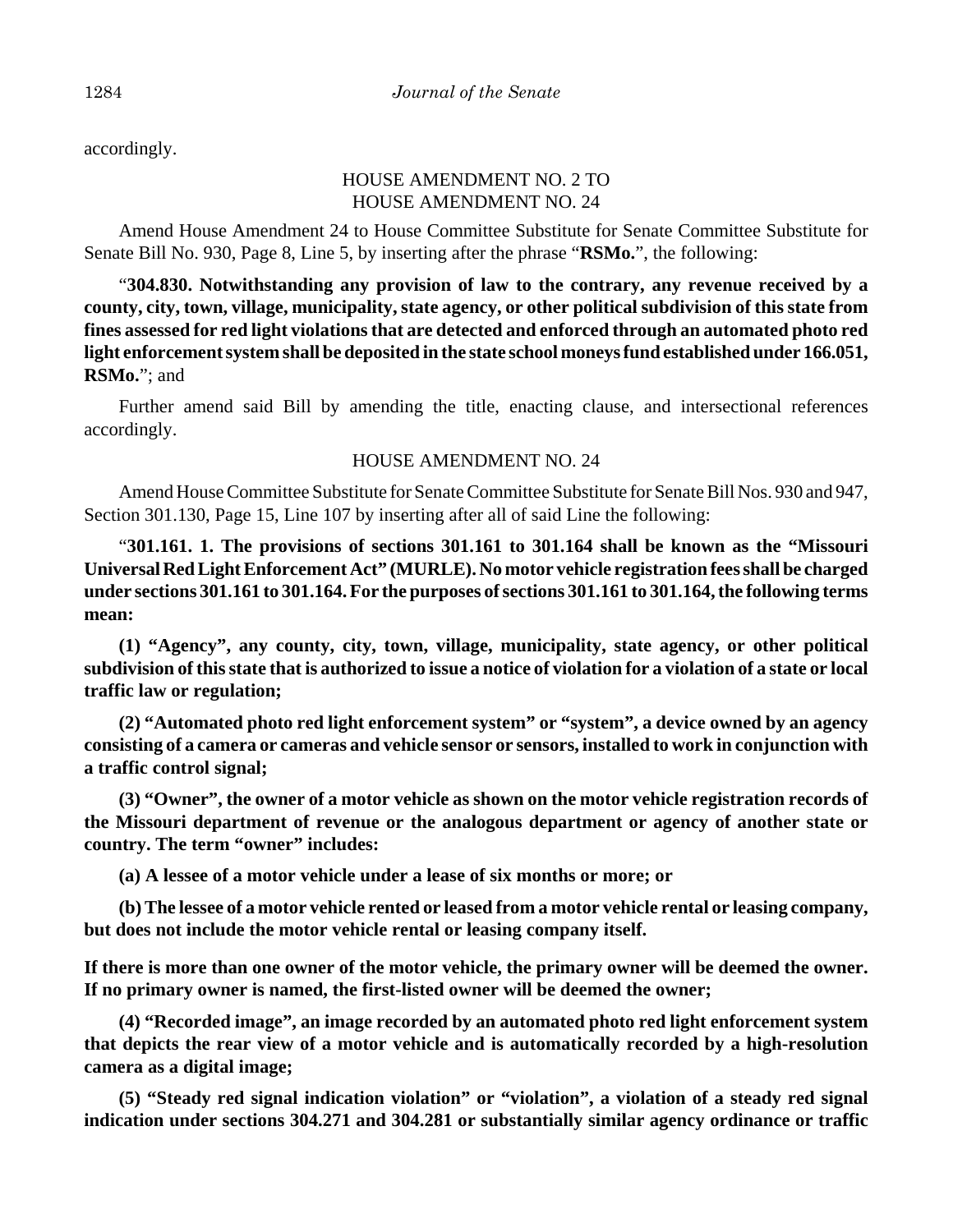accordingly.

# HOUSE AMENDMENT NO. 2 TO HOUSE AMENDMENT NO. 24

Amend House Amendment 24 to House Committee Substitute for Senate Committee Substitute for Senate Bill No. 930, Page 8, Line 5, by inserting after the phrase "**RSMo.**", the following:

"**304.830. Notwithstanding any provision of law to the contrary, any revenue received by a county, city, town, village, municipality, state agency, or other political subdivision of this state from fines assessed for red light violations that are detected and enforced through an automated photo red light enforcement system shall be deposited in the state school moneys fund established under 166.051, RSMo.**"; and

Further amend said Bill by amending the title, enacting clause, and intersectional references accordingly.

# HOUSE AMENDMENT NO. 24

Amend House Committee Substitute for Senate Committee Substitute for Senate Bill Nos. 930 and 947, Section 301.130, Page 15, Line 107 by inserting after all of said Line the following:

"**301.161. 1. The provisions of sections 301.161 to 301.164 shall be known as the "Missouri Universal Red Light Enforcement Act" (MURLE). No motor vehicle registration fees shall be charged under sections 301.161 to 301.164. For the purposes of sections 301.161 to 301.164, the following terms mean:**

**(1) "Agency", any county, city, town, village, municipality, state agency, or other political subdivision of this state that is authorized to issue a notice of violation for a violation of a state or local traffic law or regulation;**

**(2) "Automated photo red light enforcement system" or "system", a device owned by an agency consisting of a camera or cameras and vehicle sensor or sensors, installed to work in conjunction with a traffic control signal;**

**(3) "Owner", the owner of a motor vehicle as shown on the motor vehicle registration records of the Missouri department of revenue or the analogous department or agency of another state or country. The term "owner" includes:**

**(a) A lessee of a motor vehicle under a lease of six months or more; or**

**(b) The lessee of a motor vehicle rented or leased from a motor vehicle rental or leasing company, but does not include the motor vehicle rental or leasing company itself.**

**If there is more than one owner of the motor vehicle, the primary owner will be deemed the owner. If no primary owner is named, the first-listed owner will be deemed the owner;**

**(4) "Recorded image", an image recorded by an automated photo red light enforcement system that depicts the rear view of a motor vehicle and is automatically recorded by a high-resolution camera as a digital image;**

**(5) "Steady red signal indication violation" or "violation", a violation of a steady red signal indication under sections 304.271 and 304.281 or substantially similar agency ordinance or traffic**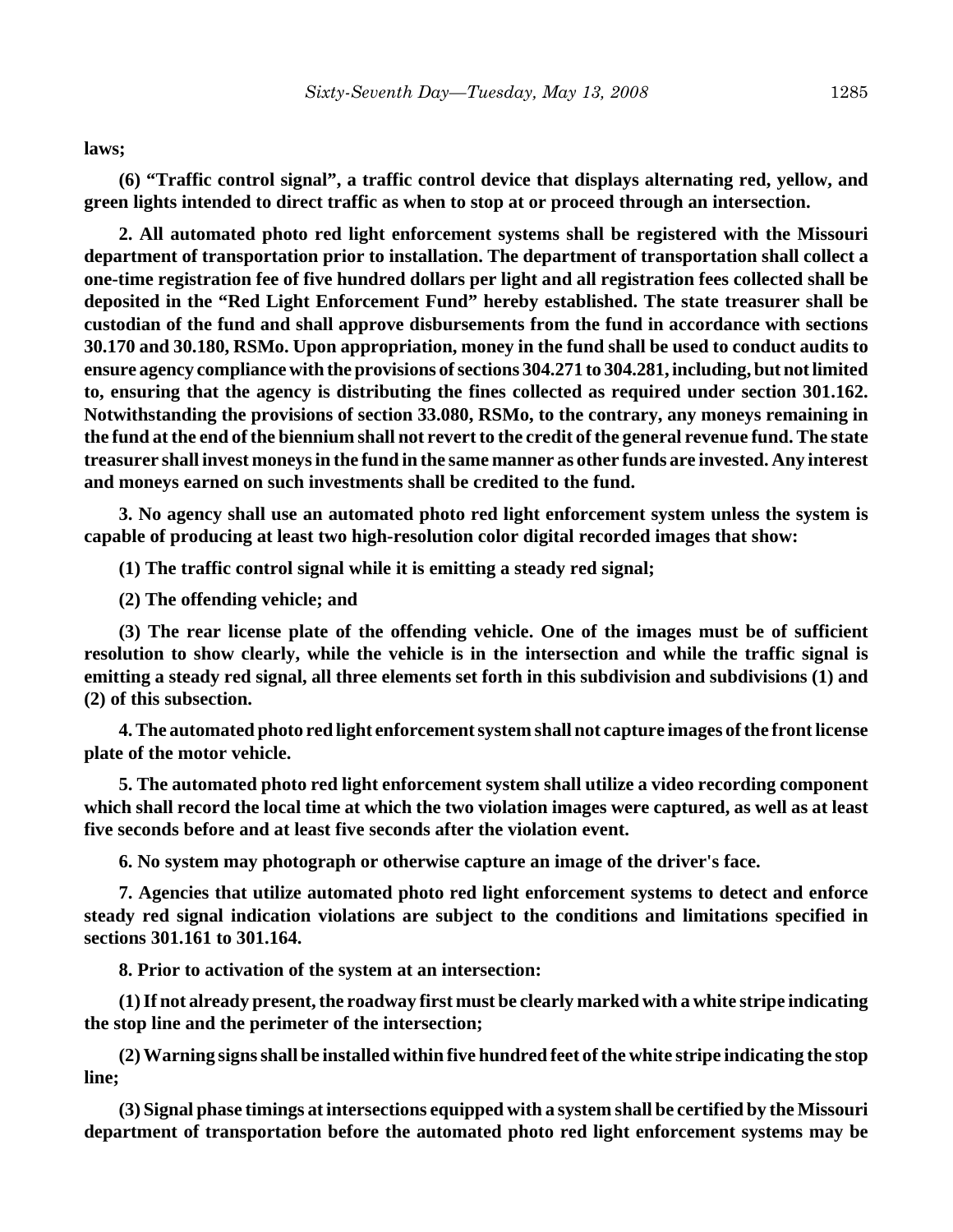**laws;**

**(6) "Traffic control signal", a traffic control device that displays alternating red, yellow, and green lights intended to direct traffic as when to stop at or proceed through an intersection.**

**2. All automated photo red light enforcement systems shall be registered with the Missouri department of transportation prior to installation. The department of transportation shall collect a one-time registration fee of five hundred dollars per light and all registration fees collected shall be deposited in the "Red Light Enforcement Fund" hereby established. The state treasurer shall be custodian of the fund and shall approve disbursements from the fund in accordance with sections 30.170 and 30.180, RSMo. Upon appropriation, money in the fund shall be used to conduct audits to ensure agency compliance with the provisions of sections 304.271 to 304.281, including, but not limited to, ensuring that the agency is distributing the fines collected as required under section 301.162. Notwithstanding the provisions of section 33.080, RSMo, to the contrary, any moneys remaining in the fund at the end of the biennium shall not revert to the credit of the general revenue fund. The state treasurer shall invest moneys in the fund in the same manner as other funds are invested. Any interest and moneys earned on such investments shall be credited to the fund.**

**3. No agency shall use an automated photo red light enforcement system unless the system is capable of producing at least two high-resolution color digital recorded images that show:**

**(1) The traffic control signal while it is emitting a steady red signal;**

**(2) The offending vehicle; and**

**(3) The rear license plate of the offending vehicle. One of the images must be of sufficient resolution to show clearly, while the vehicle is in the intersection and while the traffic signal is emitting a steady red signal, all three elements set forth in this subdivision and subdivisions (1) and (2) of this subsection.**

**4. The automated photo red light enforcement system shall not capture images of the front license plate of the motor vehicle.**

**5. The automated photo red light enforcement system shall utilize a video recording component which shall record the local time at which the two violation images were captured, as well as at least five seconds before and at least five seconds after the violation event.**

**6. No system may photograph or otherwise capture an image of the driver's face.**

**7. Agencies that utilize automated photo red light enforcement systems to detect and enforce steady red signal indication violations are subject to the conditions and limitations specified in sections 301.161 to 301.164.**

**8. Prior to activation of the system at an intersection:**

**(1) If not already present, the roadway first must be clearly marked with a white stripe indicating the stop line and the perimeter of the intersection;**

**(2) Warning signs shall be installed within five hundred feet of the white stripe indicating the stop line;**

**(3) Signal phase timings at intersections equipped with a system shall be certified by the Missouri department of transportation before the automated photo red light enforcement systems may be**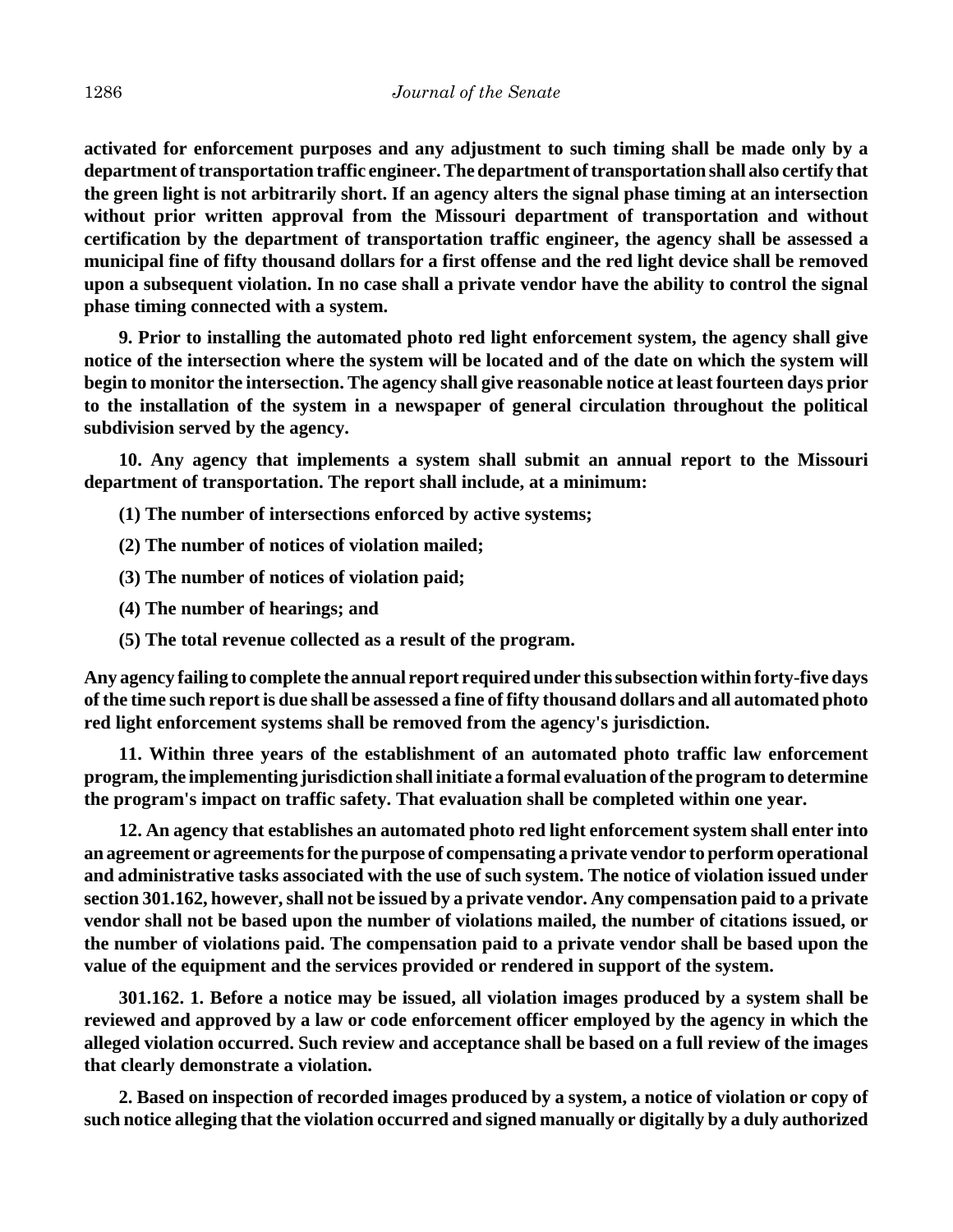**activated for enforcement purposes and any adjustment to such timing shall be made only by a department of transportation traffic engineer. The department of transportation shall also certify that the green light is not arbitrarily short. If an agency alters the signal phase timing at an intersection without prior written approval from the Missouri department of transportation and without certification by the department of transportation traffic engineer, the agency shall be assessed a municipal fine of fifty thousand dollars for a first offense and the red light device shall be removed upon a subsequent violation. In no case shall a private vendor have the ability to control the signal phase timing connected with a system.**

**9. Prior to installing the automated photo red light enforcement system, the agency shall give notice of the intersection where the system will be located and of the date on which the system will begin to monitor the intersection. The agency shall give reasonable notice at least fourteen days prior to the installation of the system in a newspaper of general circulation throughout the political subdivision served by the agency.**

**10. Any agency that implements a system shall submit an annual report to the Missouri department of transportation. The report shall include, at a minimum:**

- **(1) The number of intersections enforced by active systems;**
- **(2) The number of notices of violation mailed;**
- **(3) The number of notices of violation paid;**
- **(4) The number of hearings; and**
- **(5) The total revenue collected as a result of the program.**

**Any agency failing to complete the annual report required under this subsection within forty-five days of the time such report is due shall be assessed a fine of fifty thousand dollars and all automated photo red light enforcement systems shall be removed from the agency's jurisdiction.**

**11. Within three years of the establishment of an automated photo traffic law enforcement program, the implementing jurisdiction shall initiate a formal evaluation of the program to determine the program's impact on traffic safety. That evaluation shall be completed within one year.**

**12. An agency that establishes an automated photo red light enforcement system shall enter into an agreement or agreements for the purpose of compensating a private vendor to perform operational and administrative tasks associated with the use of such system. The notice of violation issued under section 301.162, however, shall not be issued by a private vendor. Any compensation paid to a private vendor shall not be based upon the number of violations mailed, the number of citations issued, or the number of violations paid. The compensation paid to a private vendor shall be based upon the value of the equipment and the services provided or rendered in support of the system.**

**301.162. 1. Before a notice may be issued, all violation images produced by a system shall be reviewed and approved by a law or code enforcement officer employed by the agency in which the alleged violation occurred. Such review and acceptance shall be based on a full review of the images that clearly demonstrate a violation.**

**2. Based on inspection of recorded images produced by a system, a notice of violation or copy of such notice alleging that the violation occurred and signed manually or digitally by a duly authorized**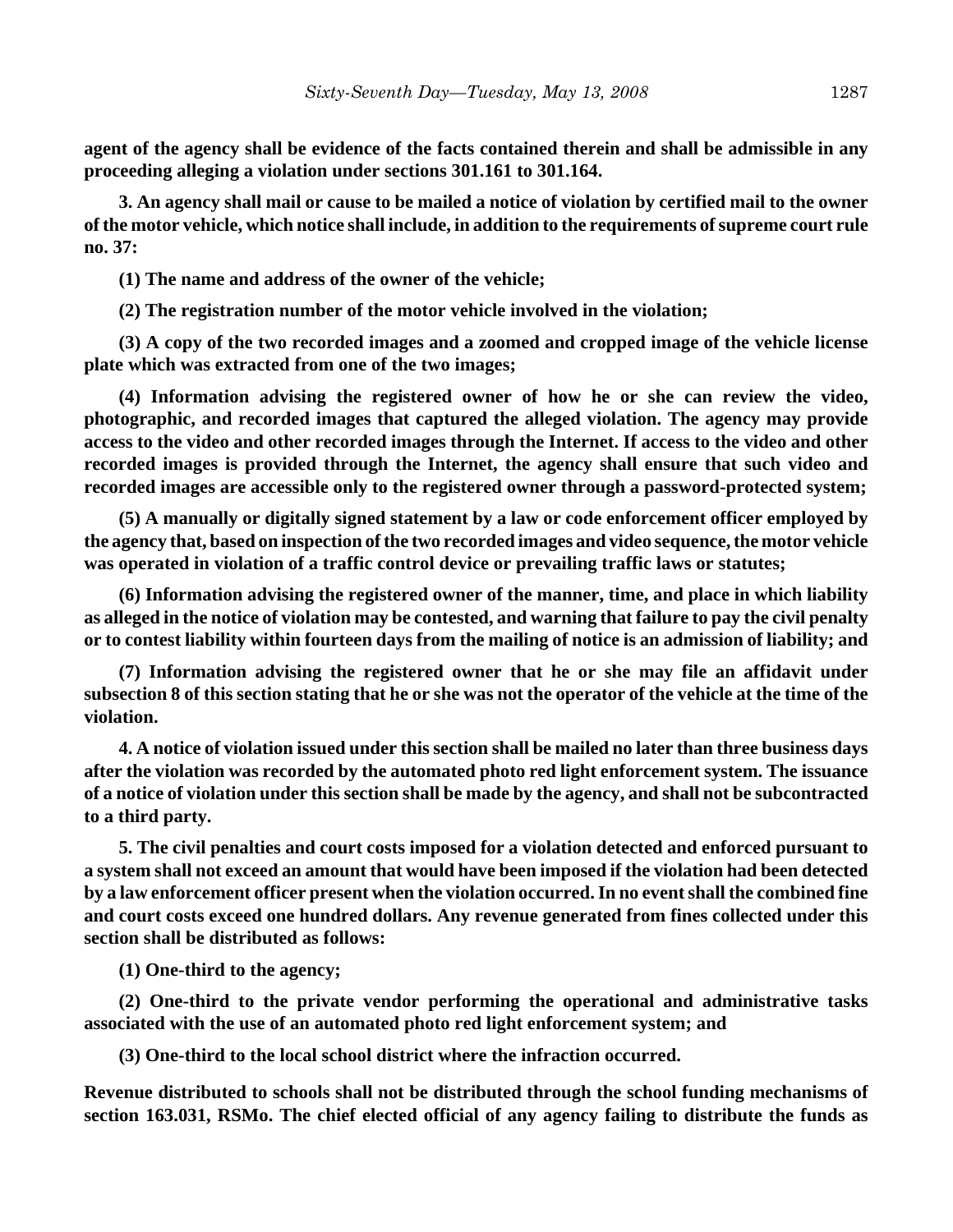**agent of the agency shall be evidence of the facts contained therein and shall be admissible in any proceeding alleging a violation under sections 301.161 to 301.164.**

**3. An agency shall mail or cause to be mailed a notice of violation by certified mail to the owner of the motor vehicle, which notice shall include, in addition to the requirements of supreme court rule no. 37:**

**(1) The name and address of the owner of the vehicle;**

**(2) The registration number of the motor vehicle involved in the violation;**

**(3) A copy of the two recorded images and a zoomed and cropped image of the vehicle license plate which was extracted from one of the two images;**

**(4) Information advising the registered owner of how he or she can review the video, photographic, and recorded images that captured the alleged violation. The agency may provide access to the video and other recorded images through the Internet. If access to the video and other recorded images is provided through the Internet, the agency shall ensure that such video and recorded images are accessible only to the registered owner through a password-protected system;**

**(5) A manually or digitally signed statement by a law or code enforcement officer employed by the agency that, based on inspection of the two recorded images and video sequence, the motor vehicle was operated in violation of a traffic control device or prevailing traffic laws or statutes;**

**(6) Information advising the registered owner of the manner, time, and place in which liability as alleged in the notice of violation may be contested, and warning that failure to pay the civil penalty or to contest liability within fourteen days from the mailing of notice is an admission of liability; and**

**(7) Information advising the registered owner that he or she may file an affidavit under subsection 8 of this section stating that he or she was not the operator of the vehicle at the time of the violation.**

**4. A notice of violation issued under this section shall be mailed no later than three business days after the violation was recorded by the automated photo red light enforcement system. The issuance of a notice of violation under this section shall be made by the agency, and shall not be subcontracted to a third party.**

**5. The civil penalties and court costs imposed for a violation detected and enforced pursuant to a system shall not exceed an amount that would have been imposed if the violation had been detected by a law enforcement officer present when the violation occurred. In no event shall the combined fine and court costs exceed one hundred dollars. Any revenue generated from fines collected under this section shall be distributed as follows:**

**(1) One-third to the agency;**

**(2) One-third to the private vendor performing the operational and administrative tasks associated with the use of an automated photo red light enforcement system; and**

**(3) One-third to the local school district where the infraction occurred.**

**Revenue distributed to schools shall not be distributed through the school funding mechanisms of section 163.031, RSMo. The chief elected official of any agency failing to distribute the funds as**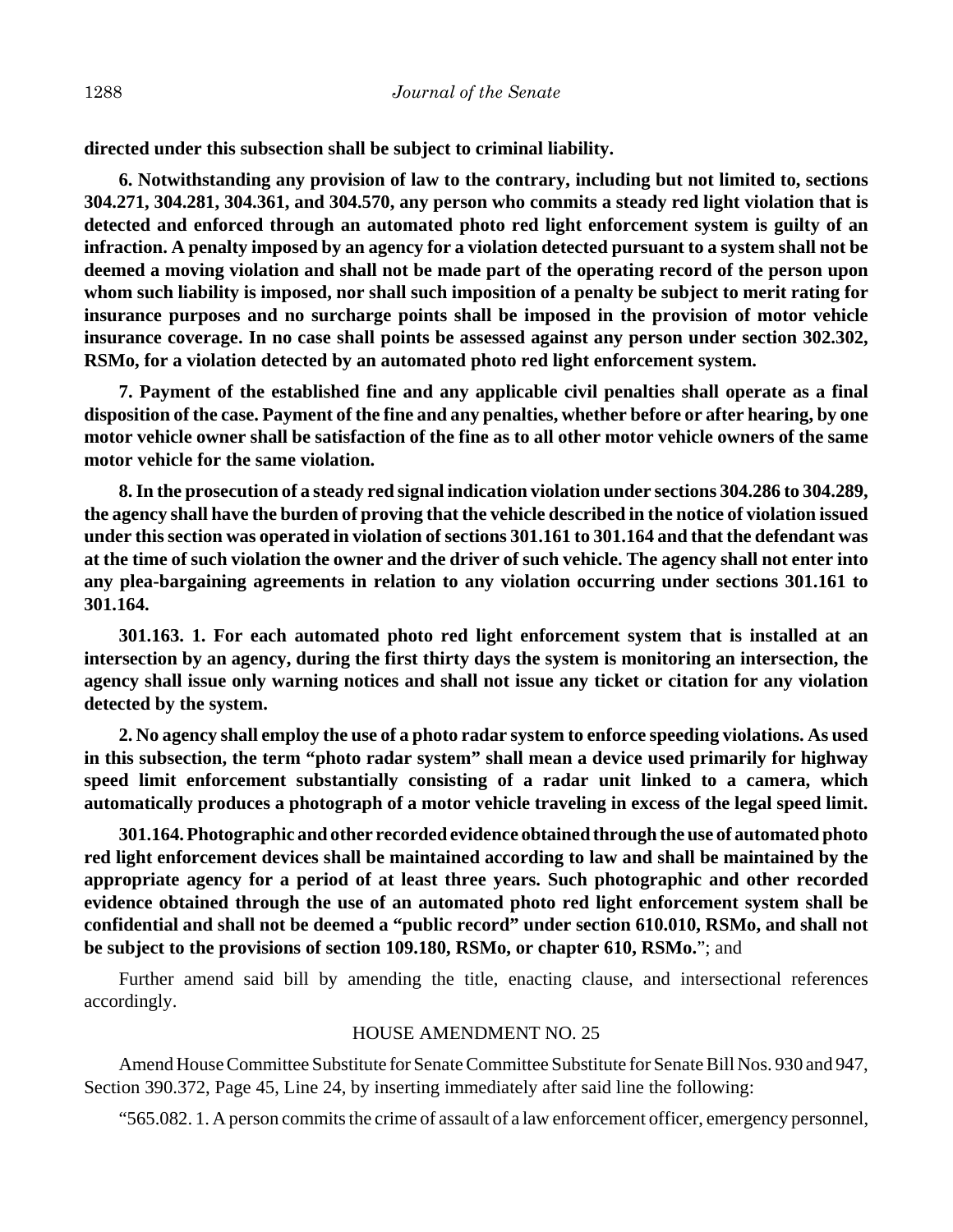**directed under this subsection shall be subject to criminal liability.**

**6. Notwithstanding any provision of law to the contrary, including but not limited to, sections 304.271, 304.281, 304.361, and 304.570, any person who commits a steady red light violation that is detected and enforced through an automated photo red light enforcement system is guilty of an infraction. A penalty imposed by an agency for a violation detected pursuant to a system shall not be deemed a moving violation and shall not be made part of the operating record of the person upon whom such liability is imposed, nor shall such imposition of a penalty be subject to merit rating for insurance purposes and no surcharge points shall be imposed in the provision of motor vehicle insurance coverage. In no case shall points be assessed against any person under section 302.302, RSMo, for a violation detected by an automated photo red light enforcement system.**

**7. Payment of the established fine and any applicable civil penalties shall operate as a final disposition of the case. Payment of the fine and any penalties, whether before or after hearing, by one motor vehicle owner shall be satisfaction of the fine as to all other motor vehicle owners of the same motor vehicle for the same violation.**

**8. In the prosecution of a steady red signal indication violation under sections 304.286 to 304.289, the agency shall have the burden of proving that the vehicle described in the notice of violation issued under this section was operated in violation of sections 301.161 to 301.164 and that the defendant was at the time of such violation the owner and the driver of such vehicle. The agency shall not enter into any plea-bargaining agreements in relation to any violation occurring under sections 301.161 to 301.164.**

**301.163. 1. For each automated photo red light enforcement system that is installed at an intersection by an agency, during the first thirty days the system is monitoring an intersection, the agency shall issue only warning notices and shall not issue any ticket or citation for any violation detected by the system.**

**2. No agency shall employ the use of a photo radar system to enforce speeding violations. As used in this subsection, the term "photo radar system" shall mean a device used primarily for highway speed limit enforcement substantially consisting of a radar unit linked to a camera, which automatically produces a photograph of a motor vehicle traveling in excess of the legal speed limit.**

**301.164. Photographic and other recorded evidence obtained through the use of automated photo red light enforcement devices shall be maintained according to law and shall be maintained by the appropriate agency for a period of at least three years. Such photographic and other recorded evidence obtained through the use of an automated photo red light enforcement system shall be confidential and shall not be deemed a "public record" under section 610.010, RSMo, and shall not be subject to the provisions of section 109.180, RSMo, or chapter 610, RSMo.**"; and

Further amend said bill by amending the title, enacting clause, and intersectional references accordingly.

## HOUSE AMENDMENT NO. 25

Amend House Committee Substitute for Senate Committee Substitute for Senate Bill Nos. 930 and 947, Section 390.372, Page 45, Line 24, by inserting immediately after said line the following:

"565.082. 1. A person commits the crime of assault of a law enforcement officer, emergency personnel,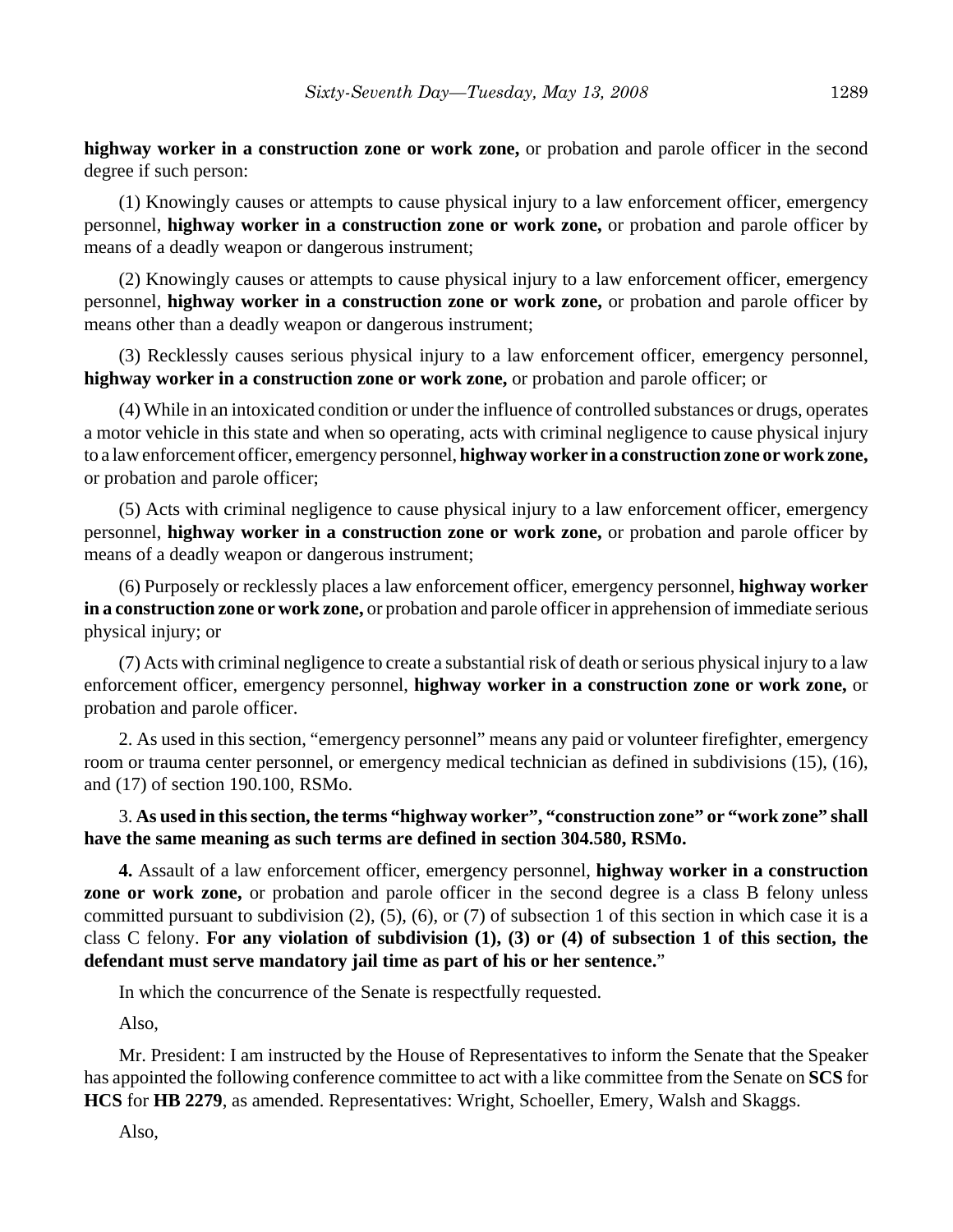**highway worker in a construction zone or work zone,** or probation and parole officer in the second degree if such person:

(1) Knowingly causes or attempts to cause physical injury to a law enforcement officer, emergency personnel, **highway worker in a construction zone or work zone,** or probation and parole officer by means of a deadly weapon or dangerous instrument;

(2) Knowingly causes or attempts to cause physical injury to a law enforcement officer, emergency personnel, **highway worker in a construction zone or work zone,** or probation and parole officer by means other than a deadly weapon or dangerous instrument;

(3) Recklessly causes serious physical injury to a law enforcement officer, emergency personnel, **highway worker in a construction zone or work zone,** or probation and parole officer; or

(4) While in an intoxicated condition or under the influence of controlled substances or drugs, operates a motor vehicle in this state and when so operating, acts with criminal negligence to cause physical injury to a law enforcement officer, emergency personnel, **highway worker in a construction zone or work zone,** or probation and parole officer;

(5) Acts with criminal negligence to cause physical injury to a law enforcement officer, emergency personnel, **highway worker in a construction zone or work zone,** or probation and parole officer by means of a deadly weapon or dangerous instrument;

(6) Purposely or recklessly places a law enforcement officer, emergency personnel, **highway worker in a construction zone or work zone,** or probation and parole officer in apprehension of immediate serious physical injury; or

(7) Acts with criminal negligence to create a substantial risk of death or serious physical injury to a law enforcement officer, emergency personnel, **highway worker in a construction zone or work zone,** or probation and parole officer.

2. As used in this section, "emergency personnel" means any paid or volunteer firefighter, emergency room or trauma center personnel, or emergency medical technician as defined in subdivisions (15), (16), and (17) of section 190.100, RSMo.

3. **As used in this section, the terms "highway worker", "construction zone" or "work zone" shall have the same meaning as such terms are defined in section 304.580, RSMo.**

**4.** Assault of a law enforcement officer, emergency personnel, **highway worker in a construction zone or work zone,** or probation and parole officer in the second degree is a class B felony unless committed pursuant to subdivision (2), (5), (6), or (7) of subsection 1 of this section in which case it is a class C felony. **For any violation of subdivision (1), (3) or (4) of subsection 1 of this section, the defendant must serve mandatory jail time as part of his or her sentence.**"

In which the concurrence of the Senate is respectfully requested.

Also,

Mr. President: I am instructed by the House of Representatives to inform the Senate that the Speaker has appointed the following conference committee to act with a like committee from the Senate on **SCS** for **HCS** for **HB 2279**, as amended. Representatives: Wright, Schoeller, Emery, Walsh and Skaggs.

Also,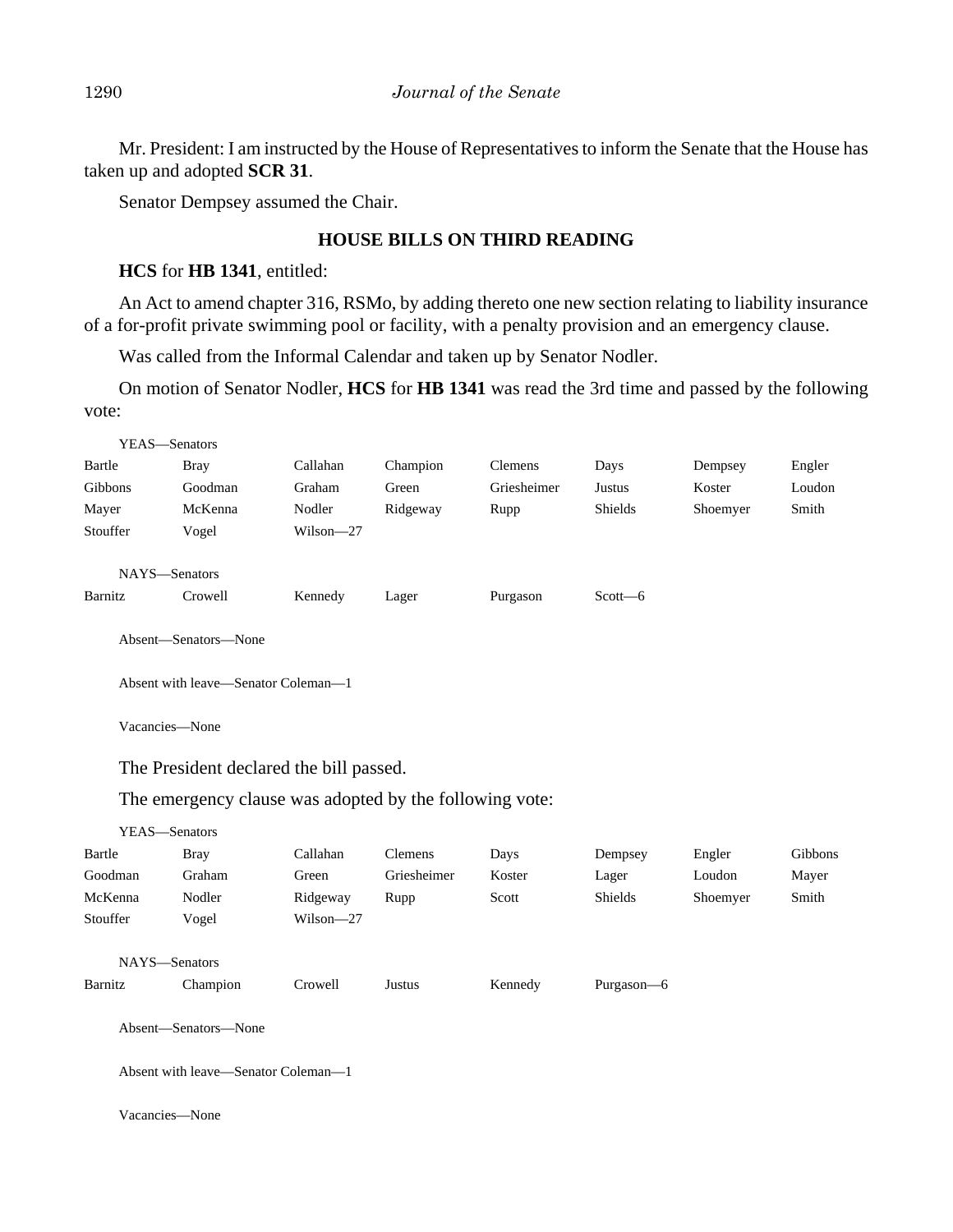Mr. President: I am instructed by the House of Representatives to inform the Senate that the House has taken up and adopted **SCR 31**.

Senator Dempsey assumed the Chair.

## **HOUSE BILLS ON THIRD READING**

## **HCS** for **HB 1341**, entitled:

An Act to amend chapter 316, RSMo, by adding thereto one new section relating to liability insurance of a for-profit private swimming pool or facility, with a penalty provision and an emergency clause.

Was called from the Informal Calendar and taken up by Senator Nodler.

On motion of Senator Nodler, **HCS** for **HB 1341** was read the 3rd time and passed by the following vote:

| YEAS-Senators                                           |                      |           |             |             |               |          |         |
|---------------------------------------------------------|----------------------|-----------|-------------|-------------|---------------|----------|---------|
| Bartle                                                  | <b>Bray</b>          | Callahan  | Champion    | Clemens     | Days          | Dempsey  | Engler  |
| Gibbons                                                 | Goodman              | Graham    | Green       | Griesheimer | <b>Justus</b> | Koster   | Loudon  |
| Mayer                                                   | McKenna              | Nodler    | Ridgeway    | Rupp        | Shields       | Shoemyer | Smith   |
| Stouffer                                                | Vogel                | Wilson-27 |             |             |               |          |         |
| NAYS-Senators                                           |                      |           |             |             |               |          |         |
| Barnitz                                                 | Crowell              | Kennedy   | Lager       | Purgason    | Scott-6       |          |         |
|                                                         | Absent-Senators-None |           |             |             |               |          |         |
| Absent with leave-Senator Coleman-1                     |                      |           |             |             |               |          |         |
| Vacancies-None                                          |                      |           |             |             |               |          |         |
| The President declared the bill passed.                 |                      |           |             |             |               |          |         |
| The emergency clause was adopted by the following vote: |                      |           |             |             |               |          |         |
| YEAS-Senators                                           |                      |           |             |             |               |          |         |
| Bartle                                                  | <b>Bray</b>          | Callahan  | Clemens     | Days        | Dempsey       | Engler   | Gibbons |
| Goodman                                                 | Graham               | Green     | Griesheimer | Koster      | Lager         | Loudon   | Mayer   |
| McKenna                                                 | Nodler               | Ridgeway  | Rupp        | Scott       | Shields       | Shoemyer | Smith   |
| Stouffer                                                | Vogel                | Wilson-27 |             |             |               |          |         |
| NAYS-Senators                                           |                      |           |             |             |               |          |         |
| Barnitz                                                 | Champion             | Crowell   | Justus      | Kennedy     | Purgason-6    |          |         |
| Absent-Senators-None                                    |                      |           |             |             |               |          |         |
| Absent with leave-Senator Coleman-1                     |                      |           |             |             |               |          |         |
| Vacancies-None                                          |                      |           |             |             |               |          |         |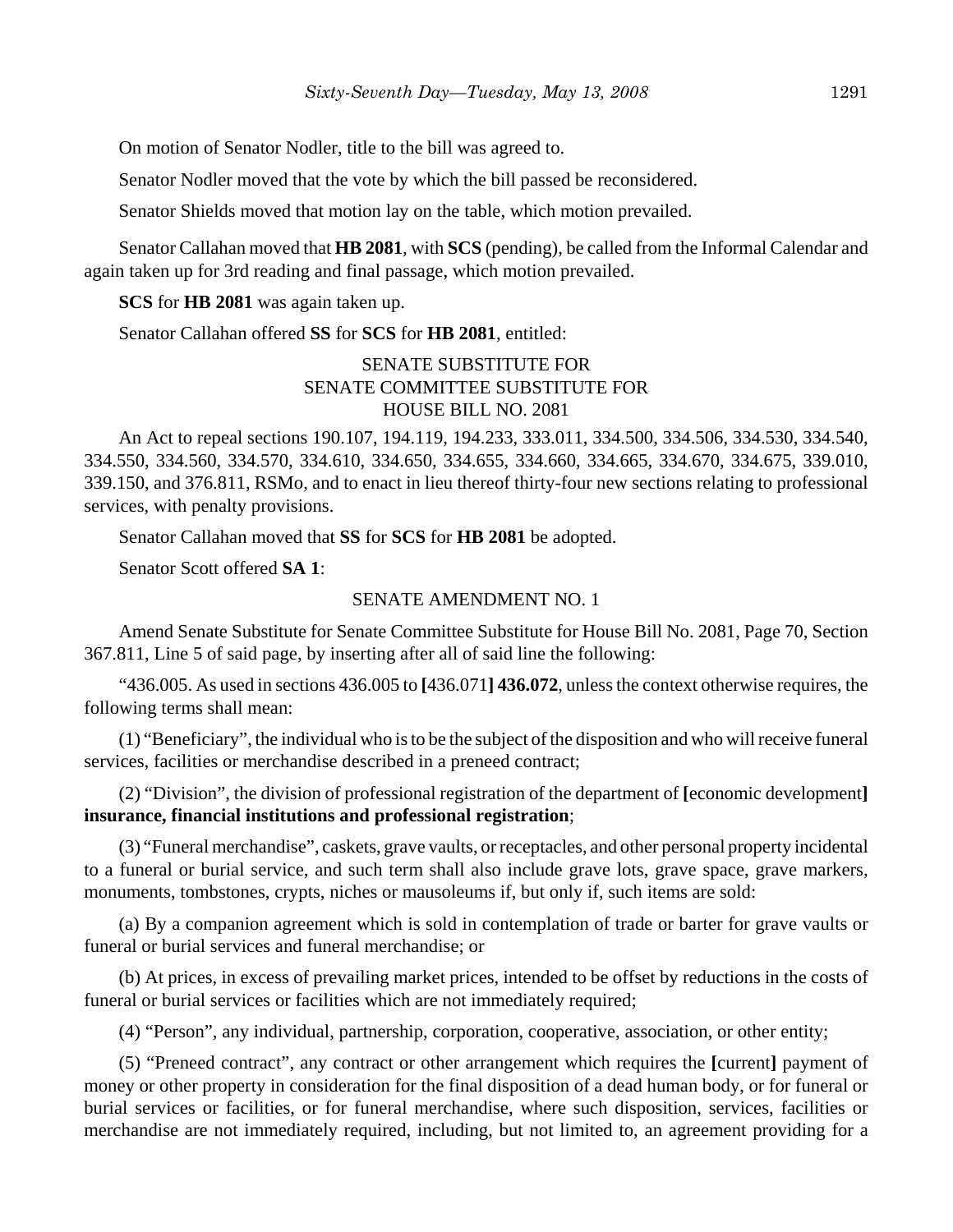On motion of Senator Nodler, title to the bill was agreed to.

Senator Nodler moved that the vote by which the bill passed be reconsidered.

Senator Shields moved that motion lay on the table, which motion prevailed.

Senator Callahan moved that **HB 2081**, with **SCS** (pending), be called from the Informal Calendar and again taken up for 3rd reading and final passage, which motion prevailed.

**SCS** for **HB 2081** was again taken up.

Senator Callahan offered **SS** for **SCS** for **HB 2081**, entitled:

# SENATE SUBSTITUTE FOR SENATE COMMITTEE SUBSTITUTE FOR HOUSE BILL NO. 2081

An Act to repeal sections 190.107, 194.119, 194.233, 333.011, 334.500, 334.506, 334.530, 334.540, 334.550, 334.560, 334.570, 334.610, 334.650, 334.655, 334.660, 334.665, 334.670, 334.675, 339.010, 339.150, and 376.811, RSMo, and to enact in lieu thereof thirty-four new sections relating to professional services, with penalty provisions.

Senator Callahan moved that **SS** for **SCS** for **HB 2081** be adopted.

Senator Scott offered **SA 1**:

#### SENATE AMENDMENT NO. 1

Amend Senate Substitute for Senate Committee Substitute for House Bill No. 2081, Page 70, Section 367.811, Line 5 of said page, by inserting after all of said line the following:

"436.005. As used in sections 436.005 to **[**436.071**] 436.072**, unless the context otherwise requires, the following terms shall mean:

(1) "Beneficiary", the individual who is to be the subject of the disposition and who will receive funeral services, facilities or merchandise described in a preneed contract;

(2) "Division", the division of professional registration of the department of **[**economic development**] insurance, financial institutions and professional registration**;

(3) "Funeral merchandise", caskets, grave vaults, or receptacles, and other personal property incidental to a funeral or burial service, and such term shall also include grave lots, grave space, grave markers, monuments, tombstones, crypts, niches or mausoleums if, but only if, such items are sold:

(a) By a companion agreement which is sold in contemplation of trade or barter for grave vaults or funeral or burial services and funeral merchandise; or

(b) At prices, in excess of prevailing market prices, intended to be offset by reductions in the costs of funeral or burial services or facilities which are not immediately required;

(4) "Person", any individual, partnership, corporation, cooperative, association, or other entity;

(5) "Preneed contract", any contract or other arrangement which requires the **[**current**]** payment of money or other property in consideration for the final disposition of a dead human body, or for funeral or burial services or facilities, or for funeral merchandise, where such disposition, services, facilities or merchandise are not immediately required, including, but not limited to, an agreement providing for a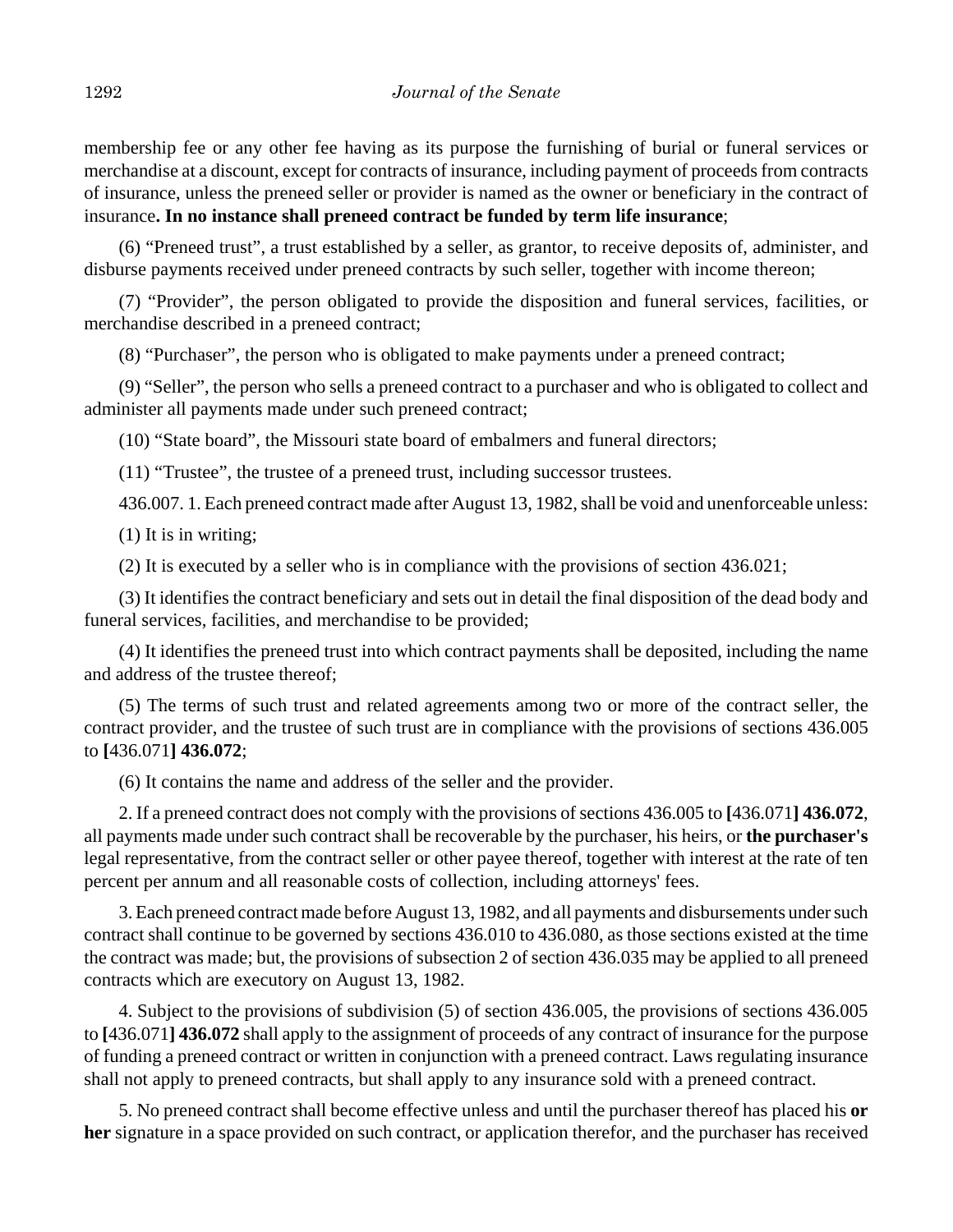membership fee or any other fee having as its purpose the furnishing of burial or funeral services or merchandise at a discount, except for contracts of insurance, including payment of proceeds from contracts of insurance, unless the preneed seller or provider is named as the owner or beneficiary in the contract of insurance**. In no instance shall preneed contract be funded by term life insurance**;

(6) "Preneed trust", a trust established by a seller, as grantor, to receive deposits of, administer, and disburse payments received under preneed contracts by such seller, together with income thereon;

(7) "Provider", the person obligated to provide the disposition and funeral services, facilities, or merchandise described in a preneed contract;

(8) "Purchaser", the person who is obligated to make payments under a preneed contract;

(9) "Seller", the person who sells a preneed contract to a purchaser and who is obligated to collect and administer all payments made under such preneed contract;

(10) "State board", the Missouri state board of embalmers and funeral directors;

(11) "Trustee", the trustee of a preneed trust, including successor trustees.

436.007. 1. Each preneed contract made after August 13, 1982, shall be void and unenforceable unless:

(1) It is in writing;

(2) It is executed by a seller who is in compliance with the provisions of section 436.021;

(3) It identifies the contract beneficiary and sets out in detail the final disposition of the dead body and funeral services, facilities, and merchandise to be provided;

(4) It identifies the preneed trust into which contract payments shall be deposited, including the name and address of the trustee thereof;

(5) The terms of such trust and related agreements among two or more of the contract seller, the contract provider, and the trustee of such trust are in compliance with the provisions of sections 436.005 to **[**436.071**] 436.072**;

(6) It contains the name and address of the seller and the provider.

2. If a preneed contract does not comply with the provisions of sections 436.005 to **[**436.071**] 436.072**, all payments made under such contract shall be recoverable by the purchaser, his heirs, or **the purchaser's** legal representative, from the contract seller or other payee thereof, together with interest at the rate of ten percent per annum and all reasonable costs of collection, including attorneys' fees.

3. Each preneed contract made before August 13, 1982, and all payments and disbursements under such contract shall continue to be governed by sections 436.010 to 436.080, as those sections existed at the time the contract was made; but, the provisions of subsection 2 of section 436.035 may be applied to all preneed contracts which are executory on August 13, 1982.

4. Subject to the provisions of subdivision (5) of section 436.005, the provisions of sections 436.005 to **[**436.071**] 436.072** shall apply to the assignment of proceeds of any contract of insurance for the purpose of funding a preneed contract or written in conjunction with a preneed contract. Laws regulating insurance shall not apply to preneed contracts, but shall apply to any insurance sold with a preneed contract.

5. No preneed contract shall become effective unless and until the purchaser thereof has placed his **or her** signature in a space provided on such contract, or application therefor, and the purchaser has received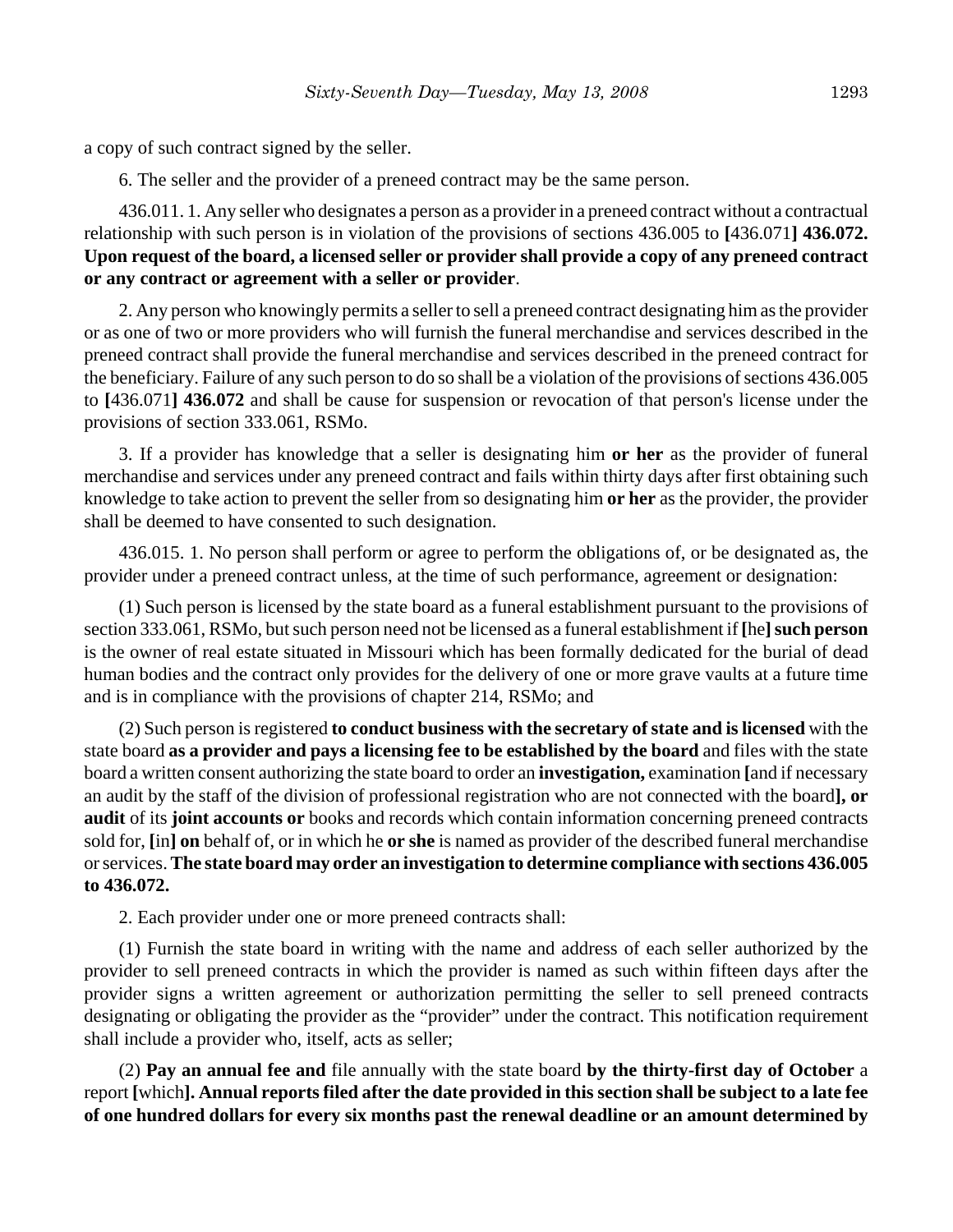a copy of such contract signed by the seller.

6. The seller and the provider of a preneed contract may be the same person.

436.011. 1. Any seller who designates a person as a provider in a preneed contract without a contractual relationship with such person is in violation of the provisions of sections 436.005 to **[**436.071**] 436.072. Upon request of the board, a licensed seller or provider shall provide a copy of any preneed contract or any contract or agreement with a seller or provider**.

2. Any person who knowingly permits a seller to sell a preneed contract designating him as the provider or as one of two or more providers who will furnish the funeral merchandise and services described in the preneed contract shall provide the funeral merchandise and services described in the preneed contract for the beneficiary. Failure of any such person to do so shall be a violation of the provisions of sections 436.005 to **[**436.071**] 436.072** and shall be cause for suspension or revocation of that person's license under the provisions of section 333.061, RSMo.

3. If a provider has knowledge that a seller is designating him **or her** as the provider of funeral merchandise and services under any preneed contract and fails within thirty days after first obtaining such knowledge to take action to prevent the seller from so designating him **or her** as the provider, the provider shall be deemed to have consented to such designation.

436.015. 1. No person shall perform or agree to perform the obligations of, or be designated as, the provider under a preneed contract unless, at the time of such performance, agreement or designation:

(1) Such person is licensed by the state board as a funeral establishment pursuant to the provisions of section 333.061, RSMo, but such person need not be licensed as a funeral establishment if [he] such person is the owner of real estate situated in Missouri which has been formally dedicated for the burial of dead human bodies and the contract only provides for the delivery of one or more grave vaults at a future time and is in compliance with the provisions of chapter 214, RSMo; and

(2) Such person is registered **to conduct business with the secretary of state and is licensed** with the state board **as a provider and pays a licensing fee to be established by the board** and files with the state board a written consent authorizing the state board to order an **investigation,** examination **[**and if necessary an audit by the staff of the division of professional registration who are not connected with the board**], or audit** of its **joint accounts or** books and records which contain information concerning preneed contracts sold for, **[**in**] on** behalf of, or in which he **or she** is named as provider of the described funeral merchandise or services. **The state board may order an investigation to determine compliance with sections 436.005 to 436.072.**

2. Each provider under one or more preneed contracts shall:

(1) Furnish the state board in writing with the name and address of each seller authorized by the provider to sell preneed contracts in which the provider is named as such within fifteen days after the provider signs a written agreement or authorization permitting the seller to sell preneed contracts designating or obligating the provider as the "provider" under the contract. This notification requirement shall include a provider who, itself, acts as seller;

(2) **Pay an annual fee and** file annually with the state board **by the thirty-first day of October** a report **[**which**]. Annual reports filed after the date provided in this section shall be subject to a late fee of one hundred dollars for every six months past the renewal deadline or an amount determined by**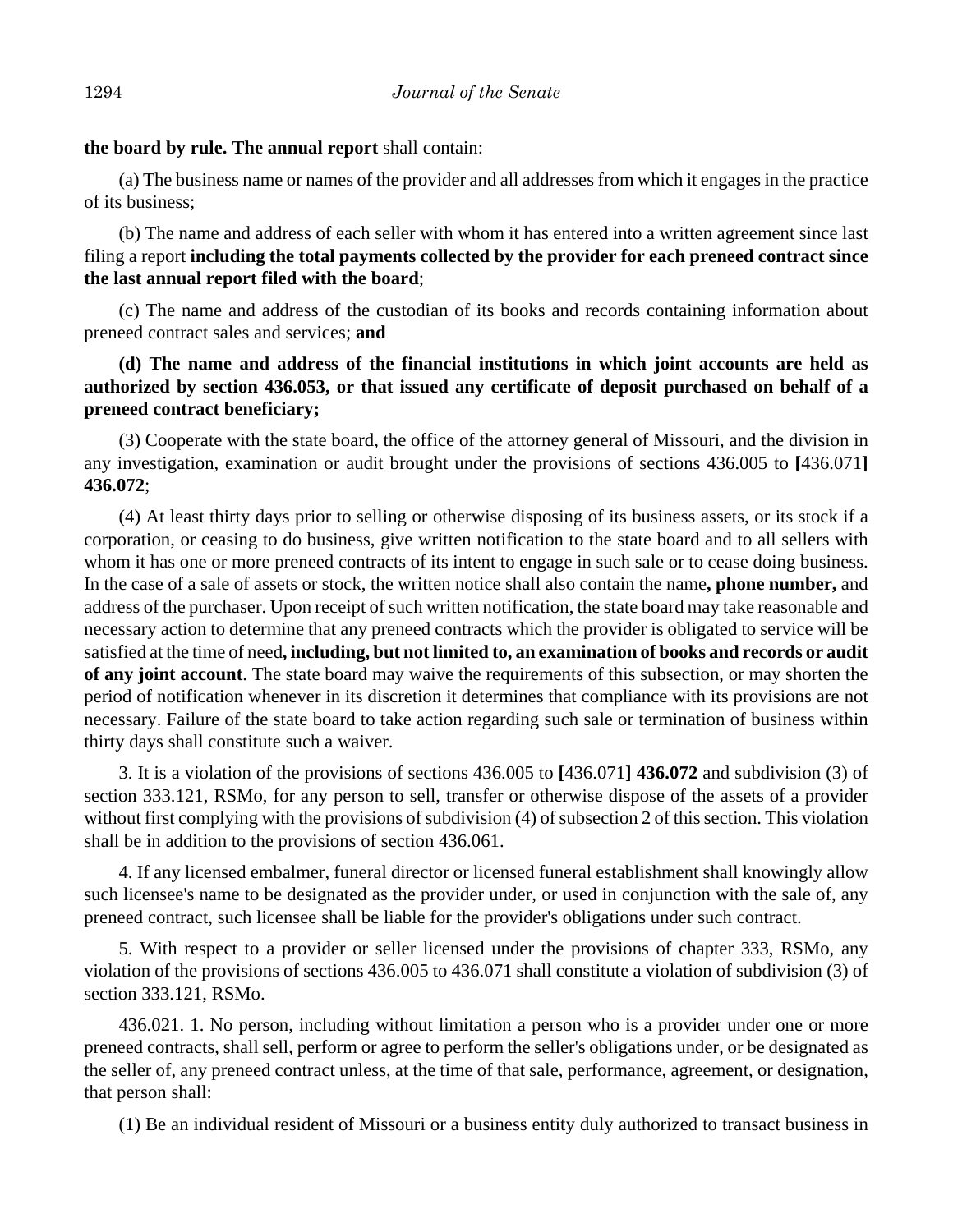# **the board by rule. The annual report** shall contain:

(a) The business name or names of the provider and all addresses from which it engages in the practice of its business;

(b) The name and address of each seller with whom it has entered into a written agreement since last filing a report **including the total payments collected by the provider for each preneed contract since the last annual report filed with the board**;

(c) The name and address of the custodian of its books and records containing information about preneed contract sales and services; **and**

# **(d) The name and address of the financial institutions in which joint accounts are held as authorized by section 436.053, or that issued any certificate of deposit purchased on behalf of a preneed contract beneficiary;**

(3) Cooperate with the state board, the office of the attorney general of Missouri, and the division in any investigation, examination or audit brought under the provisions of sections 436.005 to **[**436.071**] 436.072**;

(4) At least thirty days prior to selling or otherwise disposing of its business assets, or its stock if a corporation, or ceasing to do business, give written notification to the state board and to all sellers with whom it has one or more preneed contracts of its intent to engage in such sale or to cease doing business. In the case of a sale of assets or stock, the written notice shall also contain the name**, phone number,** and address of the purchaser. Upon receipt of such written notification, the state board may take reasonable and necessary action to determine that any preneed contracts which the provider is obligated to service will be satisfied at the time of need**, including, but not limited to, an examination of books and records or audit of any joint account**. The state board may waive the requirements of this subsection, or may shorten the period of notification whenever in its discretion it determines that compliance with its provisions are not necessary. Failure of the state board to take action regarding such sale or termination of business within thirty days shall constitute such a waiver.

3. It is a violation of the provisions of sections 436.005 to **[**436.071**] 436.072** and subdivision (3) of section 333.121, RSMo, for any person to sell, transfer or otherwise dispose of the assets of a provider without first complying with the provisions of subdivision (4) of subsection 2 of this section. This violation shall be in addition to the provisions of section 436.061.

4. If any licensed embalmer, funeral director or licensed funeral establishment shall knowingly allow such licensee's name to be designated as the provider under, or used in conjunction with the sale of, any preneed contract, such licensee shall be liable for the provider's obligations under such contract.

5. With respect to a provider or seller licensed under the provisions of chapter 333, RSMo, any violation of the provisions of sections 436.005 to 436.071 shall constitute a violation of subdivision (3) of section 333.121, RSMo.

436.021. 1. No person, including without limitation a person who is a provider under one or more preneed contracts, shall sell, perform or agree to perform the seller's obligations under, or be designated as the seller of, any preneed contract unless, at the time of that sale, performance, agreement, or designation, that person shall:

(1) Be an individual resident of Missouri or a business entity duly authorized to transact business in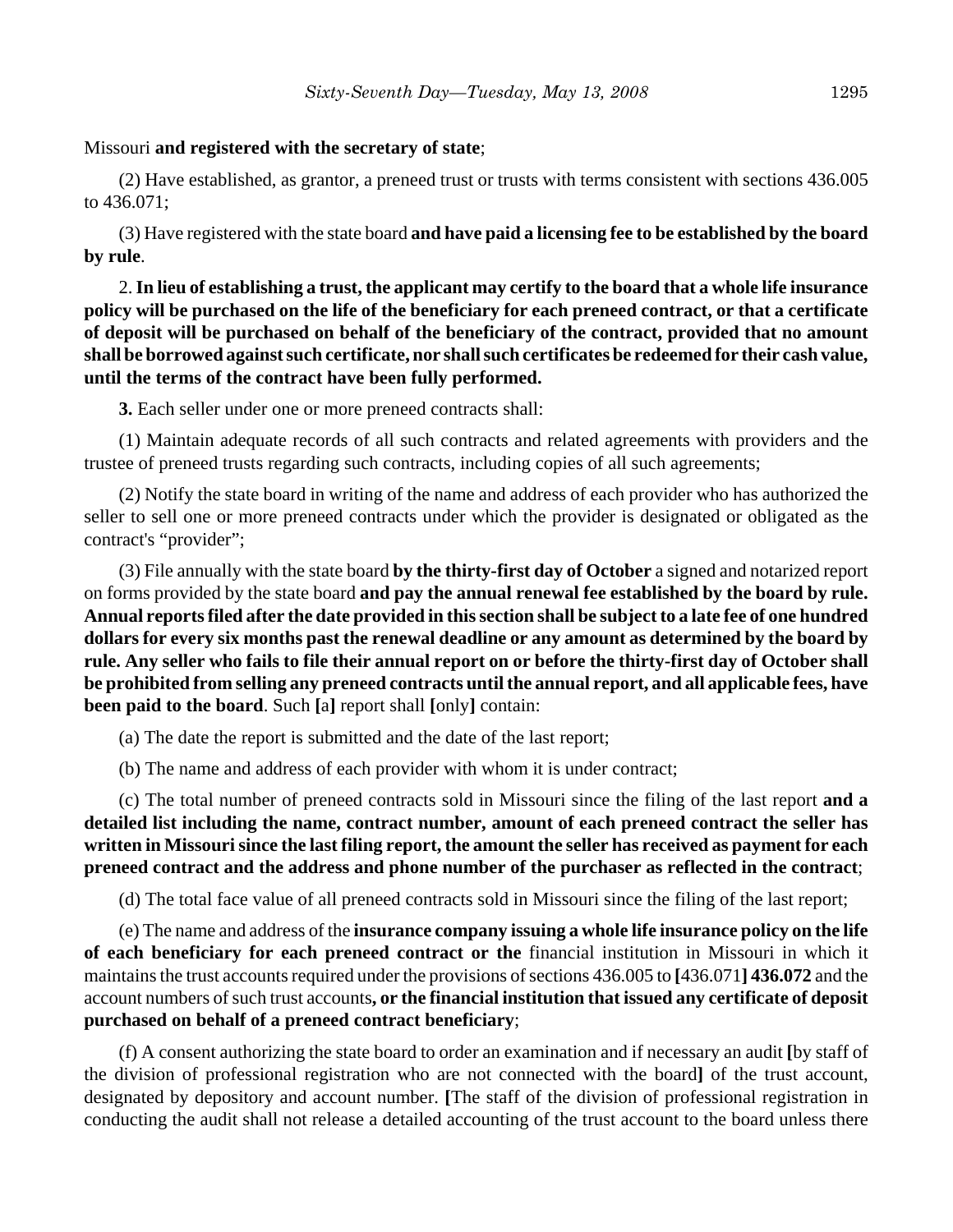## Missouri **and registered with the secretary of state**;

(2) Have established, as grantor, a preneed trust or trusts with terms consistent with sections 436.005 to 436.071;

(3) Have registered with the state board **and have paid a licensing fee to be established by the board by rule**.

2. **In lieu of establishing a trust, the applicant may certify to the board that a whole life insurance policy will be purchased on the life of the beneficiary for each preneed contract, or that a certificate of deposit will be purchased on behalf of the beneficiary of the contract, provided that no amount shall be borrowed against such certificate, nor shall such certificates be redeemed for their cash value, until the terms of the contract have been fully performed.**

**3.** Each seller under one or more preneed contracts shall:

(1) Maintain adequate records of all such contracts and related agreements with providers and the trustee of preneed trusts regarding such contracts, including copies of all such agreements;

(2) Notify the state board in writing of the name and address of each provider who has authorized the seller to sell one or more preneed contracts under which the provider is designated or obligated as the contract's "provider";

(3) File annually with the state board **by the thirty-first day of October** a signed and notarized report on forms provided by the state board **and pay the annual renewal fee established by the board by rule. Annual reports filed after the date provided in this section shall be subject to a late fee of one hundred dollars for every six months past the renewal deadline or any amount as determined by the board by rule. Any seller who fails to file their annual report on or before the thirty-first day of October shall be prohibited from selling any preneed contracts until the annual report, and all applicable fees, have been paid to the board**. Such **[**a**]** report shall **[**only**]** contain:

(a) The date the report is submitted and the date of the last report;

(b) The name and address of each provider with whom it is under contract;

(c) The total number of preneed contracts sold in Missouri since the filing of the last report **and a detailed list including the name, contract number, amount of each preneed contract the seller has written in Missouri since the last filing report, the amount the seller has received as payment for each preneed contract and the address and phone number of the purchaser as reflected in the contract**;

(d) The total face value of all preneed contracts sold in Missouri since the filing of the last report;

(e) The name and address of the **insurance company issuing a whole life insurance policy on the life of each beneficiary for each preneed contract or the** financial institution in Missouri in which it maintains the trust accounts required under the provisions of sections 436.005 to **[**436.071**] 436.072** and the account numbers of such trust accounts**, or the financial institution that issued any certificate of deposit purchased on behalf of a preneed contract beneficiary**;

(f) A consent authorizing the state board to order an examination and if necessary an audit **[**by staff of the division of professional registration who are not connected with the board**]** of the trust account, designated by depository and account number. **[**The staff of the division of professional registration in conducting the audit shall not release a detailed accounting of the trust account to the board unless there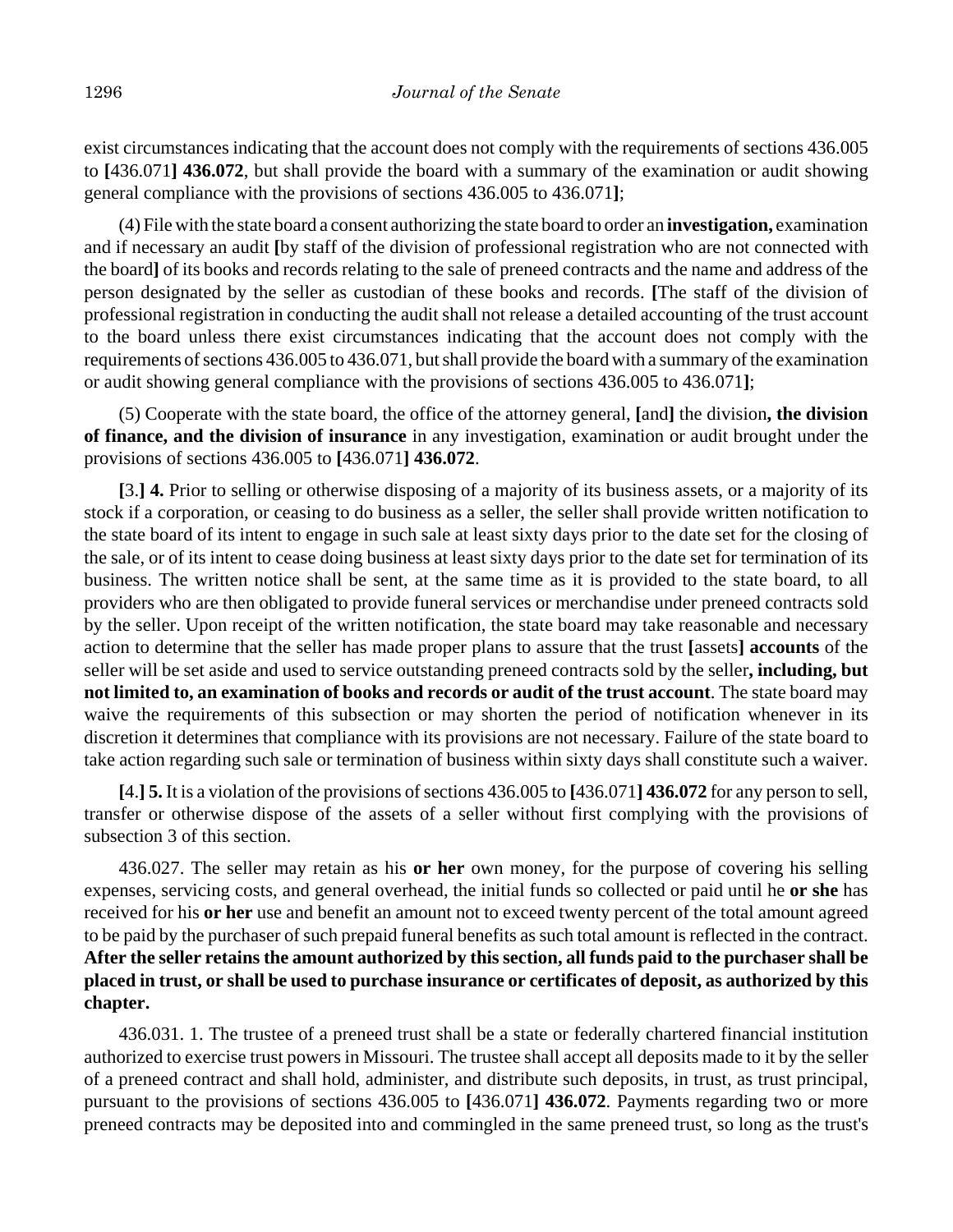exist circumstances indicating that the account does not comply with the requirements of sections 436.005 to **[**436.071**] 436.072**, but shall provide the board with a summary of the examination or audit showing general compliance with the provisions of sections 436.005 to 436.071**]**;

(4) File with the state board a consent authorizing the state board to order an **investigation,** examination and if necessary an audit **[**by staff of the division of professional registration who are not connected with the board**]** of its books and records relating to the sale of preneed contracts and the name and address of the person designated by the seller as custodian of these books and records. **[**The staff of the division of professional registration in conducting the audit shall not release a detailed accounting of the trust account to the board unless there exist circumstances indicating that the account does not comply with the requirements of sections 436.005 to 436.071, but shall provide the board with a summary of the examination or audit showing general compliance with the provisions of sections 436.005 to 436.071**]**;

(5) Cooperate with the state board, the office of the attorney general, **[**and**]** the division**, the division of finance, and the division of insurance** in any investigation, examination or audit brought under the provisions of sections 436.005 to **[**436.071**] 436.072**.

**[**3.**] 4.** Prior to selling or otherwise disposing of a majority of its business assets, or a majority of its stock if a corporation, or ceasing to do business as a seller, the seller shall provide written notification to the state board of its intent to engage in such sale at least sixty days prior to the date set for the closing of the sale, or of its intent to cease doing business at least sixty days prior to the date set for termination of its business. The written notice shall be sent, at the same time as it is provided to the state board, to all providers who are then obligated to provide funeral services or merchandise under preneed contracts sold by the seller. Upon receipt of the written notification, the state board may take reasonable and necessary action to determine that the seller has made proper plans to assure that the trust **[**assets**] accounts** of the seller will be set aside and used to service outstanding preneed contracts sold by the seller**, including, but not limited to, an examination of books and records or audit of the trust account**. The state board may waive the requirements of this subsection or may shorten the period of notification whenever in its discretion it determines that compliance with its provisions are not necessary. Failure of the state board to take action regarding such sale or termination of business within sixty days shall constitute such a waiver.

**[**4.**] 5.** It is a violation of the provisions of sections 436.005 to **[**436.071**] 436.072** for any person to sell, transfer or otherwise dispose of the assets of a seller without first complying with the provisions of subsection 3 of this section.

436.027. The seller may retain as his **or her** own money, for the purpose of covering his selling expenses, servicing costs, and general overhead, the initial funds so collected or paid until he **or she** has received for his **or her** use and benefit an amount not to exceed twenty percent of the total amount agreed to be paid by the purchaser of such prepaid funeral benefits as such total amount is reflected in the contract. **After the seller retains the amount authorized by this section, all funds paid to the purchaser shall be placed in trust, or shall be used to purchase insurance or certificates of deposit, as authorized by this chapter.**

436.031. 1. The trustee of a preneed trust shall be a state or federally chartered financial institution authorized to exercise trust powers in Missouri. The trustee shall accept all deposits made to it by the seller of a preneed contract and shall hold, administer, and distribute such deposits, in trust, as trust principal, pursuant to the provisions of sections 436.005 to **[**436.071**] 436.072**. Payments regarding two or more preneed contracts may be deposited into and commingled in the same preneed trust, so long as the trust's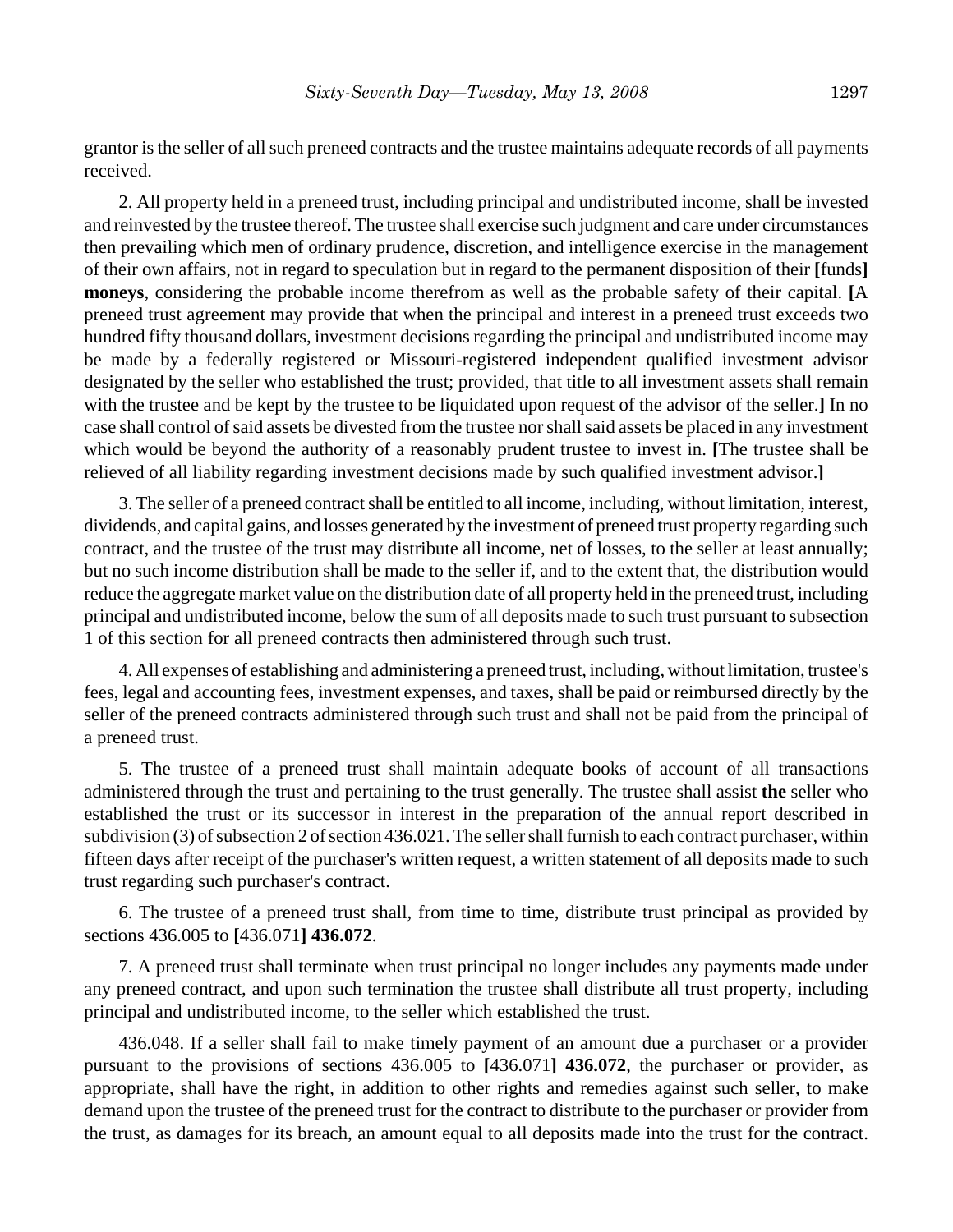grantor is the seller of all such preneed contracts and the trustee maintains adequate records of all payments received.

2. All property held in a preneed trust, including principal and undistributed income, shall be invested and reinvested by the trustee thereof. The trustee shall exercise such judgment and care under circumstances then prevailing which men of ordinary prudence, discretion, and intelligence exercise in the management of their own affairs, not in regard to speculation but in regard to the permanent disposition of their **[**funds**] moneys**, considering the probable income therefrom as well as the probable safety of their capital. **[**A preneed trust agreement may provide that when the principal and interest in a preneed trust exceeds two hundred fifty thousand dollars, investment decisions regarding the principal and undistributed income may be made by a federally registered or Missouri-registered independent qualified investment advisor designated by the seller who established the trust; provided, that title to all investment assets shall remain with the trustee and be kept by the trustee to be liquidated upon request of the advisor of the seller.**]** In no case shall control of said assets be divested from the trustee nor shall said assets be placed in any investment which would be beyond the authority of a reasonably prudent trustee to invest in. **[**The trustee shall be relieved of all liability regarding investment decisions made by such qualified investment advisor.**]**

3. The seller of a preneed contract shall be entitled to all income, including, without limitation, interest, dividends, and capital gains, and losses generated by the investment of preneed trust property regarding such contract, and the trustee of the trust may distribute all income, net of losses, to the seller at least annually; but no such income distribution shall be made to the seller if, and to the extent that, the distribution would reduce the aggregate market value on the distribution date of all property held in the preneed trust, including principal and undistributed income, below the sum of all deposits made to such trust pursuant to subsection 1 of this section for all preneed contracts then administered through such trust.

4. All expenses of establishing and administering a preneed trust, including, without limitation, trustee's fees, legal and accounting fees, investment expenses, and taxes, shall be paid or reimbursed directly by the seller of the preneed contracts administered through such trust and shall not be paid from the principal of a preneed trust.

5. The trustee of a preneed trust shall maintain adequate books of account of all transactions administered through the trust and pertaining to the trust generally. The trustee shall assist **the** seller who established the trust or its successor in interest in the preparation of the annual report described in subdivision (3) of subsection 2 of section 436.021. The seller shall furnish to each contract purchaser, within fifteen days after receipt of the purchaser's written request, a written statement of all deposits made to such trust regarding such purchaser's contract.

6. The trustee of a preneed trust shall, from time to time, distribute trust principal as provided by sections 436.005 to **[**436.071**] 436.072**.

7. A preneed trust shall terminate when trust principal no longer includes any payments made under any preneed contract, and upon such termination the trustee shall distribute all trust property, including principal and undistributed income, to the seller which established the trust.

436.048. If a seller shall fail to make timely payment of an amount due a purchaser or a provider pursuant to the provisions of sections 436.005 to **[**436.071**] 436.072**, the purchaser or provider, as appropriate, shall have the right, in addition to other rights and remedies against such seller, to make demand upon the trustee of the preneed trust for the contract to distribute to the purchaser or provider from the trust, as damages for its breach, an amount equal to all deposits made into the trust for the contract.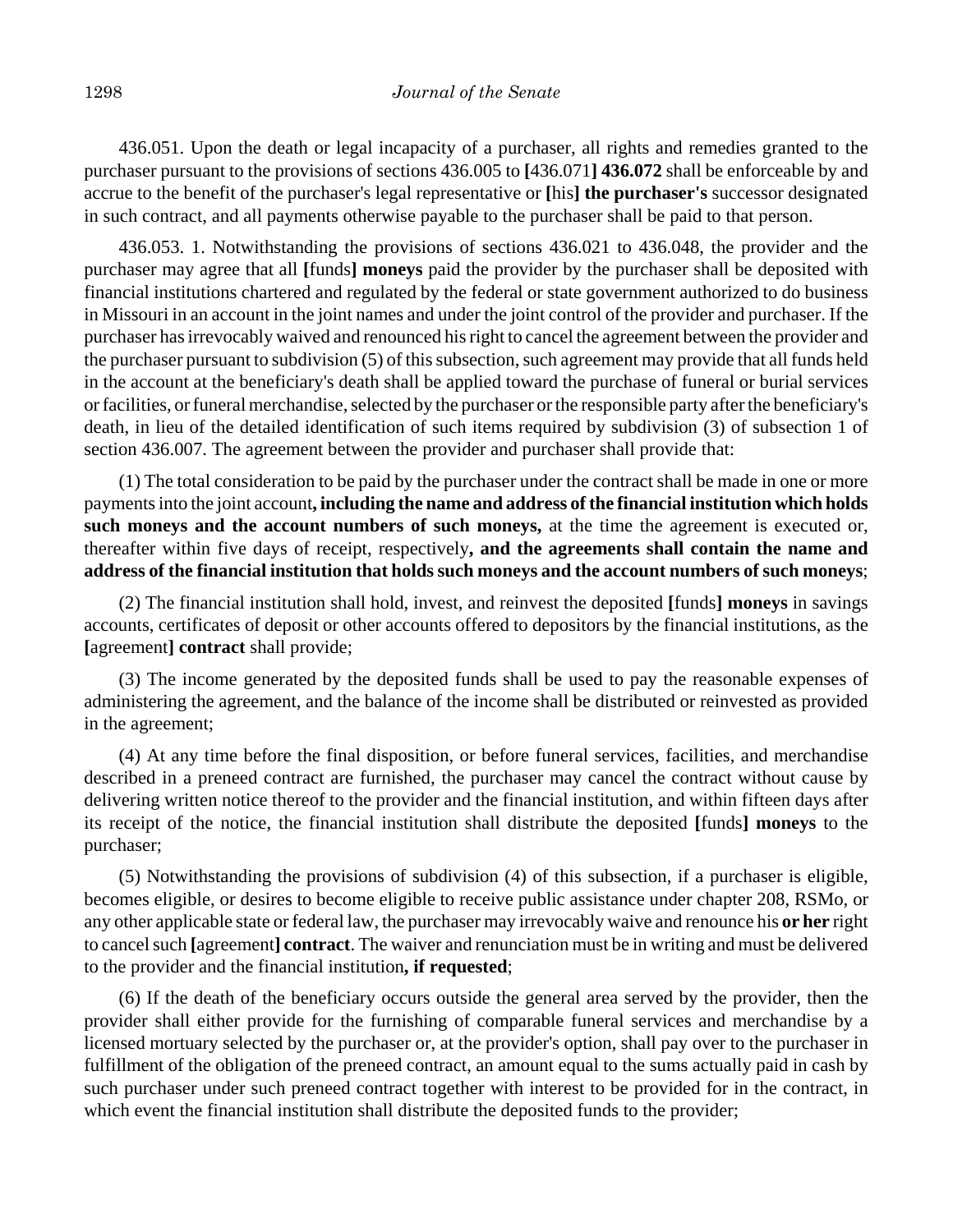436.051. Upon the death or legal incapacity of a purchaser, all rights and remedies granted to the purchaser pursuant to the provisions of sections 436.005 to **[**436.071**] 436.072** shall be enforceable by and accrue to the benefit of the purchaser's legal representative or **[**his**] the purchaser's** successor designated in such contract, and all payments otherwise payable to the purchaser shall be paid to that person.

436.053. 1. Notwithstanding the provisions of sections 436.021 to 436.048, the provider and the purchaser may agree that all **[**funds**] moneys** paid the provider by the purchaser shall be deposited with financial institutions chartered and regulated by the federal or state government authorized to do business in Missouri in an account in the joint names and under the joint control of the provider and purchaser. If the purchaser has irrevocably waived and renounced his right to cancel the agreement between the provider and the purchaser pursuant to subdivision (5) of this subsection, such agreement may provide that all funds held in the account at the beneficiary's death shall be applied toward the purchase of funeral or burial services or facilities, or funeral merchandise, selected by the purchaser or the responsible party after the beneficiary's death, in lieu of the detailed identification of such items required by subdivision (3) of subsection 1 of section 436.007. The agreement between the provider and purchaser shall provide that:

(1) The total consideration to be paid by the purchaser under the contract shall be made in one or more payments into the joint account**, including the name and address of the financial institution which holds such moneys and the account numbers of such moneys,** at the time the agreement is executed or, thereafter within five days of receipt, respectively**, and the agreements shall contain the name and address of the financial institution that holds such moneys and the account numbers of such moneys**;

(2) The financial institution shall hold, invest, and reinvest the deposited **[**funds**] moneys** in savings accounts, certificates of deposit or other accounts offered to depositors by the financial institutions, as the **[**agreement**] contract** shall provide;

(3) The income generated by the deposited funds shall be used to pay the reasonable expenses of administering the agreement, and the balance of the income shall be distributed or reinvested as provided in the agreement;

(4) At any time before the final disposition, or before funeral services, facilities, and merchandise described in a preneed contract are furnished, the purchaser may cancel the contract without cause by delivering written notice thereof to the provider and the financial institution, and within fifteen days after its receipt of the notice, the financial institution shall distribute the deposited **[**funds**] moneys** to the purchaser;

(5) Notwithstanding the provisions of subdivision (4) of this subsection, if a purchaser is eligible, becomes eligible, or desires to become eligible to receive public assistance under chapter 208, RSMo, or any other applicable state or federal law, the purchaser may irrevocably waive and renounce his **or her** right to cancel such **[**agreement**] contract**. The waiver and renunciation must be in writing and must be delivered to the provider and the financial institution**, if requested**;

(6) If the death of the beneficiary occurs outside the general area served by the provider, then the provider shall either provide for the furnishing of comparable funeral services and merchandise by a licensed mortuary selected by the purchaser or, at the provider's option, shall pay over to the purchaser in fulfillment of the obligation of the preneed contract, an amount equal to the sums actually paid in cash by such purchaser under such preneed contract together with interest to be provided for in the contract, in which event the financial institution shall distribute the deposited funds to the provider;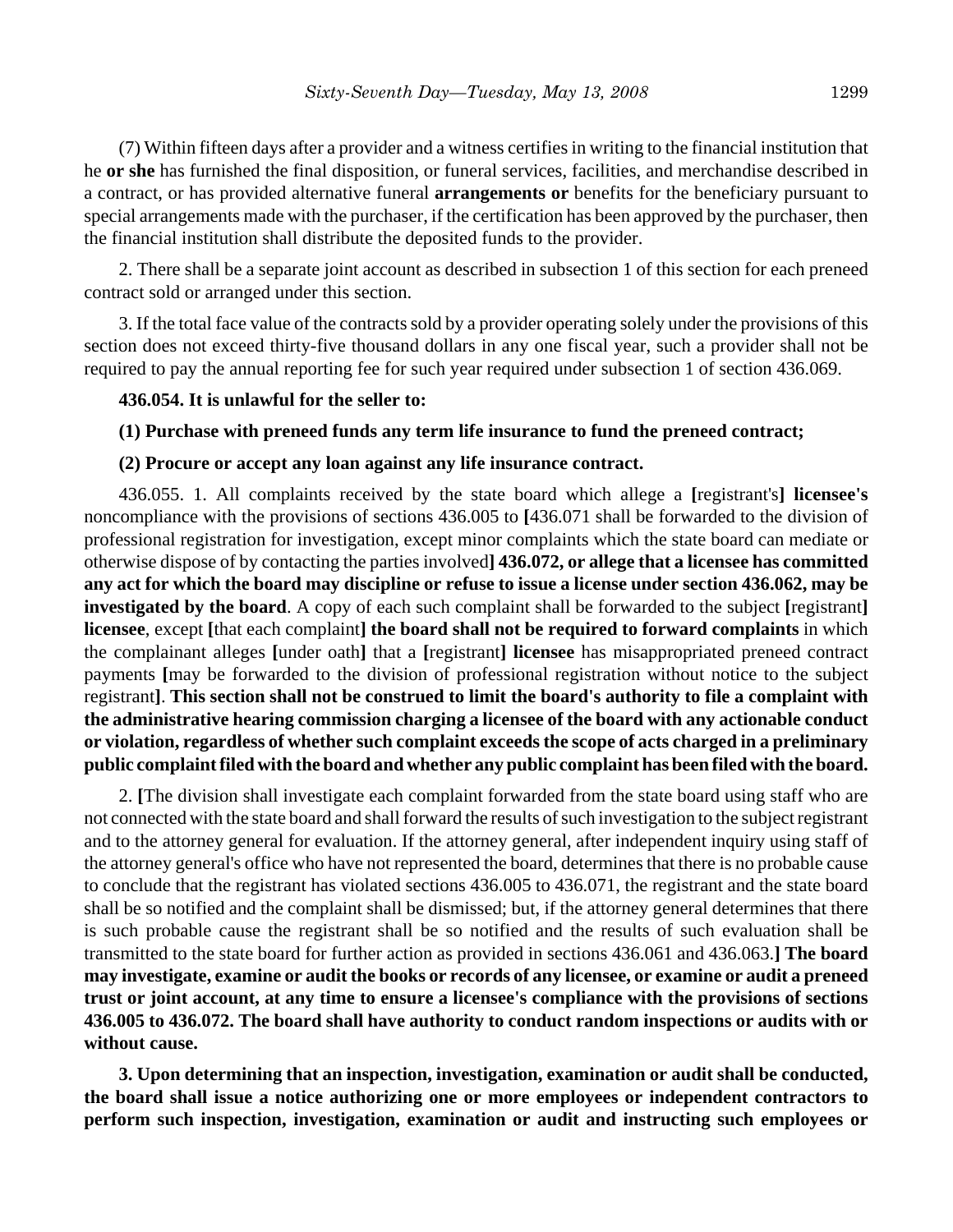(7) Within fifteen days after a provider and a witness certifies in writing to the financial institution that he **or she** has furnished the final disposition, or funeral services, facilities, and merchandise described in a contract, or has provided alternative funeral **arrangements or** benefits for the beneficiary pursuant to special arrangements made with the purchaser, if the certification has been approved by the purchaser, then the financial institution shall distribute the deposited funds to the provider.

2. There shall be a separate joint account as described in subsection 1 of this section for each preneed contract sold or arranged under this section.

3. If the total face value of the contracts sold by a provider operating solely under the provisions of this section does not exceed thirty-five thousand dollars in any one fiscal year, such a provider shall not be required to pay the annual reporting fee for such year required under subsection 1 of section 436.069.

#### **436.054. It is unlawful for the seller to:**

## **(1) Purchase with preneed funds any term life insurance to fund the preneed contract;**

## **(2) Procure or accept any loan against any life insurance contract.**

436.055. 1. All complaints received by the state board which allege a **[**registrant's**] licensee's** noncompliance with the provisions of sections 436.005 to **[**436.071 shall be forwarded to the division of professional registration for investigation, except minor complaints which the state board can mediate or otherwise dispose of by contacting the parties involved**] 436.072, or allege that a licensee has committed any act for which the board may discipline or refuse to issue a license under section 436.062, may be investigated by the board**. A copy of each such complaint shall be forwarded to the subject **[**registrant**] licensee**, except **[**that each complaint**] the board shall not be required to forward complaints** in which the complainant alleges **[**under oath**]** that a **[**registrant**] licensee** has misappropriated preneed contract payments **[**may be forwarded to the division of professional registration without notice to the subject registrant**]**. **This section shall not be construed to limit the board's authority to file a complaint with the administrative hearing commission charging a licensee of the board with any actionable conduct or violation, regardless of whether such complaint exceeds the scope of acts charged in a preliminary public complaint filed with the board and whether any public complaint has been filed with the board.**

2. **[**The division shall investigate each complaint forwarded from the state board using staff who are not connected with the state board and shall forward the results of such investigation to the subject registrant and to the attorney general for evaluation. If the attorney general, after independent inquiry using staff of the attorney general's office who have not represented the board, determines that there is no probable cause to conclude that the registrant has violated sections 436.005 to 436.071, the registrant and the state board shall be so notified and the complaint shall be dismissed; but, if the attorney general determines that there is such probable cause the registrant shall be so notified and the results of such evaluation shall be transmitted to the state board for further action as provided in sections 436.061 and 436.063.**] The board may investigate, examine or audit the books or records of any licensee, or examine or audit a preneed trust or joint account, at any time to ensure a licensee's compliance with the provisions of sections 436.005 to 436.072. The board shall have authority to conduct random inspections or audits with or without cause.**

**3. Upon determining that an inspection, investigation, examination or audit shall be conducted, the board shall issue a notice authorizing one or more employees or independent contractors to perform such inspection, investigation, examination or audit and instructing such employees or**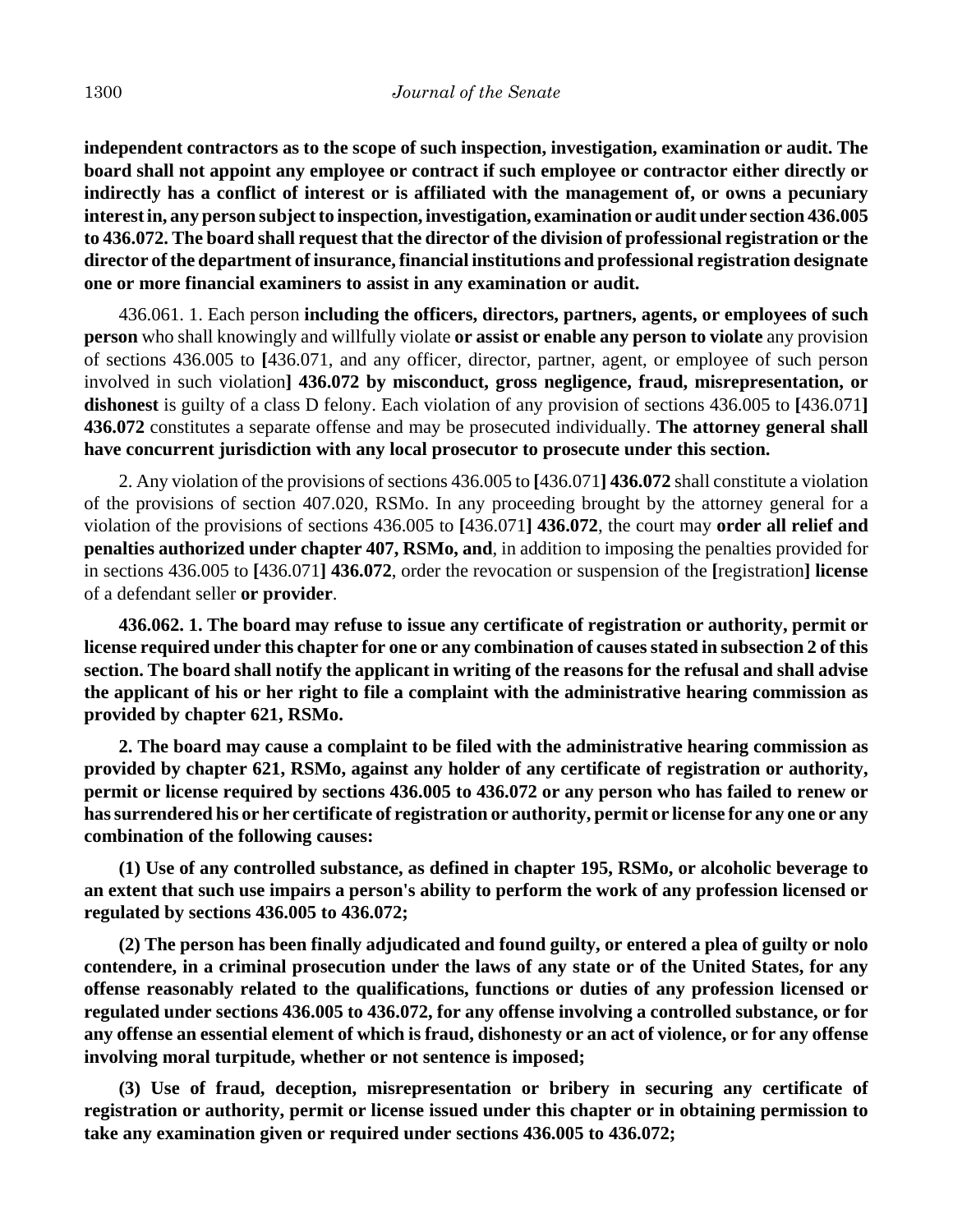**independent contractors as to the scope of such inspection, investigation, examination or audit. The board shall not appoint any employee or contract if such employee or contractor either directly or indirectly has a conflict of interest or is affiliated with the management of, or owns a pecuniary interest in, any person subject to inspection, investigation, examination or audit under section 436.005 to 436.072. The board shall request that the director of the division of professional registration or the director of the department of insurance, financial institutions and professional registration designate one or more financial examiners to assist in any examination or audit.**

436.061. 1. Each person **including the officers, directors, partners, agents, or employees of such person** who shall knowingly and willfully violate **or assist or enable any person to violate** any provision of sections 436.005 to **[**436.071, and any officer, director, partner, agent, or employee of such person involved in such violation**] 436.072 by misconduct, gross negligence, fraud, misrepresentation, or dishonest** is guilty of a class D felony. Each violation of any provision of sections 436.005 to **[**436.071**] 436.072** constitutes a separate offense and may be prosecuted individually. **The attorney general shall have concurrent jurisdiction with any local prosecutor to prosecute under this section.**

2. Any violation of the provisions of sections 436.005 to **[**436.071**] 436.072** shall constitute a violation of the provisions of section 407.020, RSMo. In any proceeding brought by the attorney general for a violation of the provisions of sections 436.005 to **[**436.071**] 436.072**, the court may **order all relief and penalties authorized under chapter 407, RSMo, and**, in addition to imposing the penalties provided for in sections 436.005 to **[**436.071**] 436.072**, order the revocation or suspension of the **[**registration**] license** of a defendant seller **or provider**.

**436.062. 1. The board may refuse to issue any certificate of registration or authority, permit or license required under this chapter for one or any combination of causes stated in subsection 2 of this section. The board shall notify the applicant in writing of the reasons for the refusal and shall advise the applicant of his or her right to file a complaint with the administrative hearing commission as provided by chapter 621, RSMo.**

**2. The board may cause a complaint to be filed with the administrative hearing commission as provided by chapter 621, RSMo, against any holder of any certificate of registration or authority, permit or license required by sections 436.005 to 436.072 or any person who has failed to renew or has surrendered his or her certificate of registration or authority, permit or license for any one or any combination of the following causes:**

**(1) Use of any controlled substance, as defined in chapter 195, RSMo, or alcoholic beverage to an extent that such use impairs a person's ability to perform the work of any profession licensed or regulated by sections 436.005 to 436.072;**

**(2) The person has been finally adjudicated and found guilty, or entered a plea of guilty or nolo contendere, in a criminal prosecution under the laws of any state or of the United States, for any offense reasonably related to the qualifications, functions or duties of any profession licensed or regulated under sections 436.005 to 436.072, for any offense involving a controlled substance, or for any offense an essential element of which is fraud, dishonesty or an act of violence, or for any offense involving moral turpitude, whether or not sentence is imposed;**

**(3) Use of fraud, deception, misrepresentation or bribery in securing any certificate of registration or authority, permit or license issued under this chapter or in obtaining permission to take any examination given or required under sections 436.005 to 436.072;**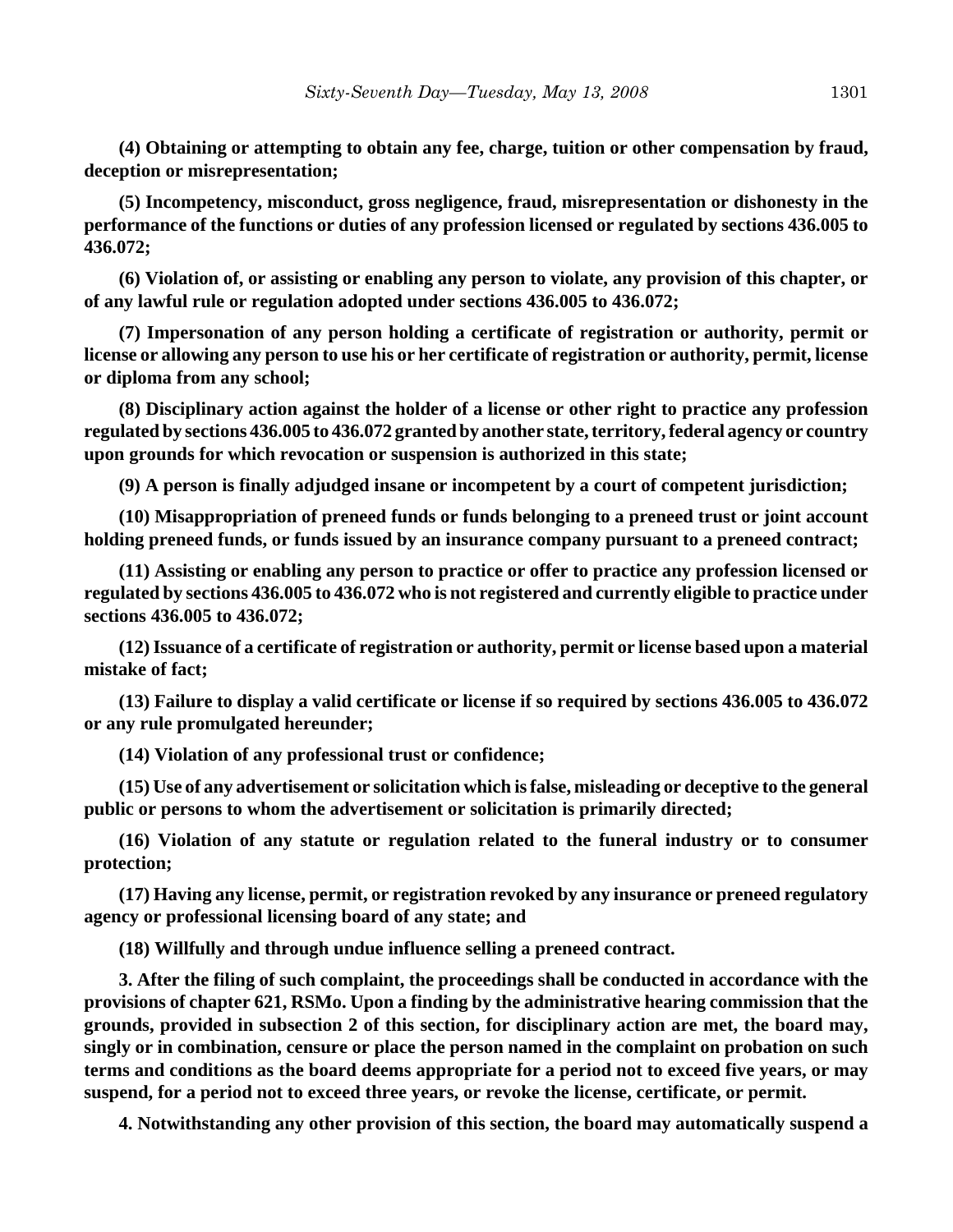**(4) Obtaining or attempting to obtain any fee, charge, tuition or other compensation by fraud, deception or misrepresentation;**

**(5) Incompetency, misconduct, gross negligence, fraud, misrepresentation or dishonesty in the performance of the functions or duties of any profession licensed or regulated by sections 436.005 to 436.072;**

**(6) Violation of, or assisting or enabling any person to violate, any provision of this chapter, or of any lawful rule or regulation adopted under sections 436.005 to 436.072;**

**(7) Impersonation of any person holding a certificate of registration or authority, permit or license or allowing any person to use his or her certificate of registration or authority, permit, license or diploma from any school;**

**(8) Disciplinary action against the holder of a license or other right to practice any profession regulated by sections 436.005 to 436.072 granted by another state, territory, federal agency or country upon grounds for which revocation or suspension is authorized in this state;**

**(9) A person is finally adjudged insane or incompetent by a court of competent jurisdiction;**

**(10) Misappropriation of preneed funds or funds belonging to a preneed trust or joint account holding preneed funds, or funds issued by an insurance company pursuant to a preneed contract;**

**(11) Assisting or enabling any person to practice or offer to practice any profession licensed or regulated by sections 436.005 to 436.072 who is not registered and currently eligible to practice under sections 436.005 to 436.072;**

**(12) Issuance of a certificate of registration or authority, permit or license based upon a material mistake of fact;**

**(13) Failure to display a valid certificate or license if so required by sections 436.005 to 436.072 or any rule promulgated hereunder;**

**(14) Violation of any professional trust or confidence;**

**(15) Use of any advertisement or solicitation which is false, misleading or deceptive to the general public or persons to whom the advertisement or solicitation is primarily directed;**

**(16) Violation of any statute or regulation related to the funeral industry or to consumer protection;**

**(17) Having any license, permit, or registration revoked by any insurance or preneed regulatory agency or professional licensing board of any state; and**

**(18) Willfully and through undue influence selling a preneed contract.**

**3. After the filing of such complaint, the proceedings shall be conducted in accordance with the provisions of chapter 621, RSMo. Upon a finding by the administrative hearing commission that the grounds, provided in subsection 2 of this section, for disciplinary action are met, the board may, singly or in combination, censure or place the person named in the complaint on probation on such terms and conditions as the board deems appropriate for a period not to exceed five years, or may suspend, for a period not to exceed three years, or revoke the license, certificate, or permit.**

**4. Notwithstanding any other provision of this section, the board may automatically suspend a**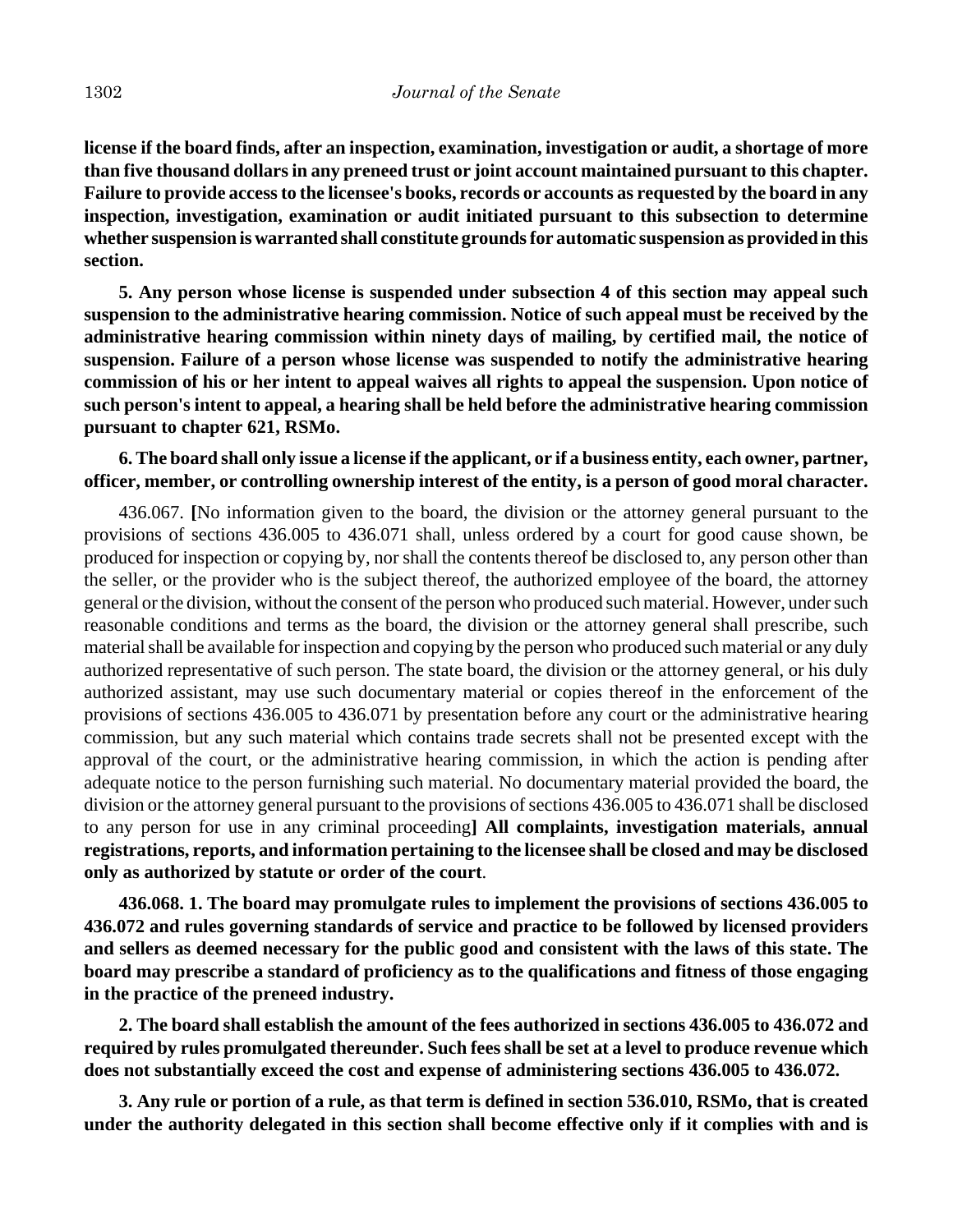**license if the board finds, after an inspection, examination, investigation or audit, a shortage of more than five thousand dollars in any preneed trust or joint account maintained pursuant to this chapter. Failure to provide access to the licensee's books, records or accounts as requested by the board in any inspection, investigation, examination or audit initiated pursuant to this subsection to determine whether suspension is warranted shall constitute grounds for automatic suspension as provided in this section.**

**5. Any person whose license is suspended under subsection 4 of this section may appeal such suspension to the administrative hearing commission. Notice of such appeal must be received by the administrative hearing commission within ninety days of mailing, by certified mail, the notice of suspension. Failure of a person whose license was suspended to notify the administrative hearing commission of his or her intent to appeal waives all rights to appeal the suspension. Upon notice of such person's intent to appeal, a hearing shall be held before the administrative hearing commission pursuant to chapter 621, RSMo.**

# **6. The board shall only issue a license if the applicant, or if a business entity, each owner, partner, officer, member, or controlling ownership interest of the entity, is a person of good moral character.**

436.067. **[**No information given to the board, the division or the attorney general pursuant to the provisions of sections 436.005 to 436.071 shall, unless ordered by a court for good cause shown, be produced for inspection or copying by, nor shall the contents thereof be disclosed to, any person other than the seller, or the provider who is the subject thereof, the authorized employee of the board, the attorney general or the division, without the consent of the person who produced such material. However, under such reasonable conditions and terms as the board, the division or the attorney general shall prescribe, such material shall be available for inspection and copying by the person who produced such material or any duly authorized representative of such person. The state board, the division or the attorney general, or his duly authorized assistant, may use such documentary material or copies thereof in the enforcement of the provisions of sections 436.005 to 436.071 by presentation before any court or the administrative hearing commission, but any such material which contains trade secrets shall not be presented except with the approval of the court, or the administrative hearing commission, in which the action is pending after adequate notice to the person furnishing such material. No documentary material provided the board, the division or the attorney general pursuant to the provisions of sections 436.005 to 436.071 shall be disclosed to any person for use in any criminal proceeding**] All complaints, investigation materials, annual registrations, reports, and information pertaining to the licensee shall be closed and may be disclosed only as authorized by statute or order of the court**.

**436.068. 1. The board may promulgate rules to implement the provisions of sections 436.005 to 436.072 and rules governing standards of service and practice to be followed by licensed providers and sellers as deemed necessary for the public good and consistent with the laws of this state. The board may prescribe a standard of proficiency as to the qualifications and fitness of those engaging in the practice of the preneed industry.**

**2. The board shall establish the amount of the fees authorized in sections 436.005 to 436.072 and required by rules promulgated thereunder. Such fees shall be set at a level to produce revenue which does not substantially exceed the cost and expense of administering sections 436.005 to 436.072.**

**3. Any rule or portion of a rule, as that term is defined in section 536.010, RSMo, that is created under the authority delegated in this section shall become effective only if it complies with and is**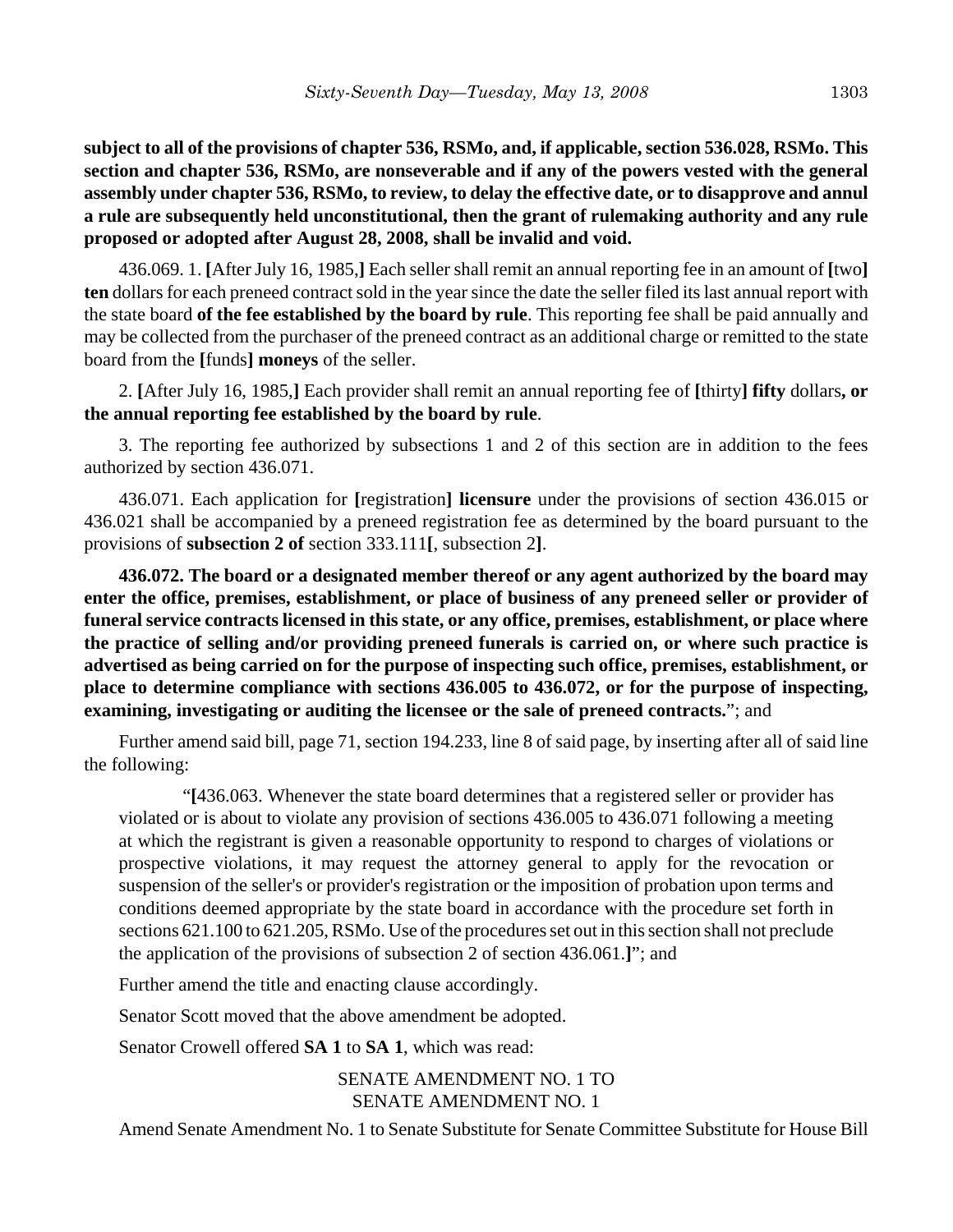**subject to all of the provisions of chapter 536, RSMo, and, if applicable, section 536.028, RSMo. This section and chapter 536, RSMo, are nonseverable and if any of the powers vested with the general assembly under chapter 536, RSMo, to review, to delay the effective date, or to disapprove and annul a rule are subsequently held unconstitutional, then the grant of rulemaking authority and any rule proposed or adopted after August 28, 2008, shall be invalid and void.**

436.069. 1. **[**After July 16, 1985,**]** Each seller shall remit an annual reporting fee in an amount of **[**two**] ten** dollars for each preneed contract sold in the year since the date the seller filed its last annual report with the state board **of the fee established by the board by rule**. This reporting fee shall be paid annually and may be collected from the purchaser of the preneed contract as an additional charge or remitted to the state board from the **[**funds**] moneys** of the seller.

2. **[**After July 16, 1985,**]** Each provider shall remit an annual reporting fee of **[**thirty**] fifty** dollars**, or the annual reporting fee established by the board by rule**.

3. The reporting fee authorized by subsections 1 and 2 of this section are in addition to the fees authorized by section 436.071.

436.071. Each application for **[**registration**] licensure** under the provisions of section 436.015 or 436.021 shall be accompanied by a preneed registration fee as determined by the board pursuant to the provisions of **subsection 2 of** section 333.111**[**, subsection 2**]**.

**436.072. The board or a designated member thereof or any agent authorized by the board may enter the office, premises, establishment, or place of business of any preneed seller or provider of funeral service contracts licensed in this state, or any office, premises, establishment, or place where the practice of selling and/or providing preneed funerals is carried on, or where such practice is advertised as being carried on for the purpose of inspecting such office, premises, establishment, or place to determine compliance with sections 436.005 to 436.072, or for the purpose of inspecting, examining, investigating or auditing the licensee or the sale of preneed contracts.**"; and

Further amend said bill, page 71, section 194.233, line 8 of said page, by inserting after all of said line the following:

"**[**436.063. Whenever the state board determines that a registered seller or provider has violated or is about to violate any provision of sections 436.005 to 436.071 following a meeting at which the registrant is given a reasonable opportunity to respond to charges of violations or prospective violations, it may request the attorney general to apply for the revocation or suspension of the seller's or provider's registration or the imposition of probation upon terms and conditions deemed appropriate by the state board in accordance with the procedure set forth in sections 621.100 to 621.205, RSMo. Use of the procedures set out in this section shall not preclude the application of the provisions of subsection 2 of section 436.061.**]**"; and

Further amend the title and enacting clause accordingly.

Senator Scott moved that the above amendment be adopted.

Senator Crowell offered **SA 1** to **SA 1**, which was read:

SENATE AMENDMENT NO. 1 TO SENATE AMENDMENT NO. 1

Amend Senate Amendment No. 1 to Senate Substitute for Senate Committee Substitute for House Bill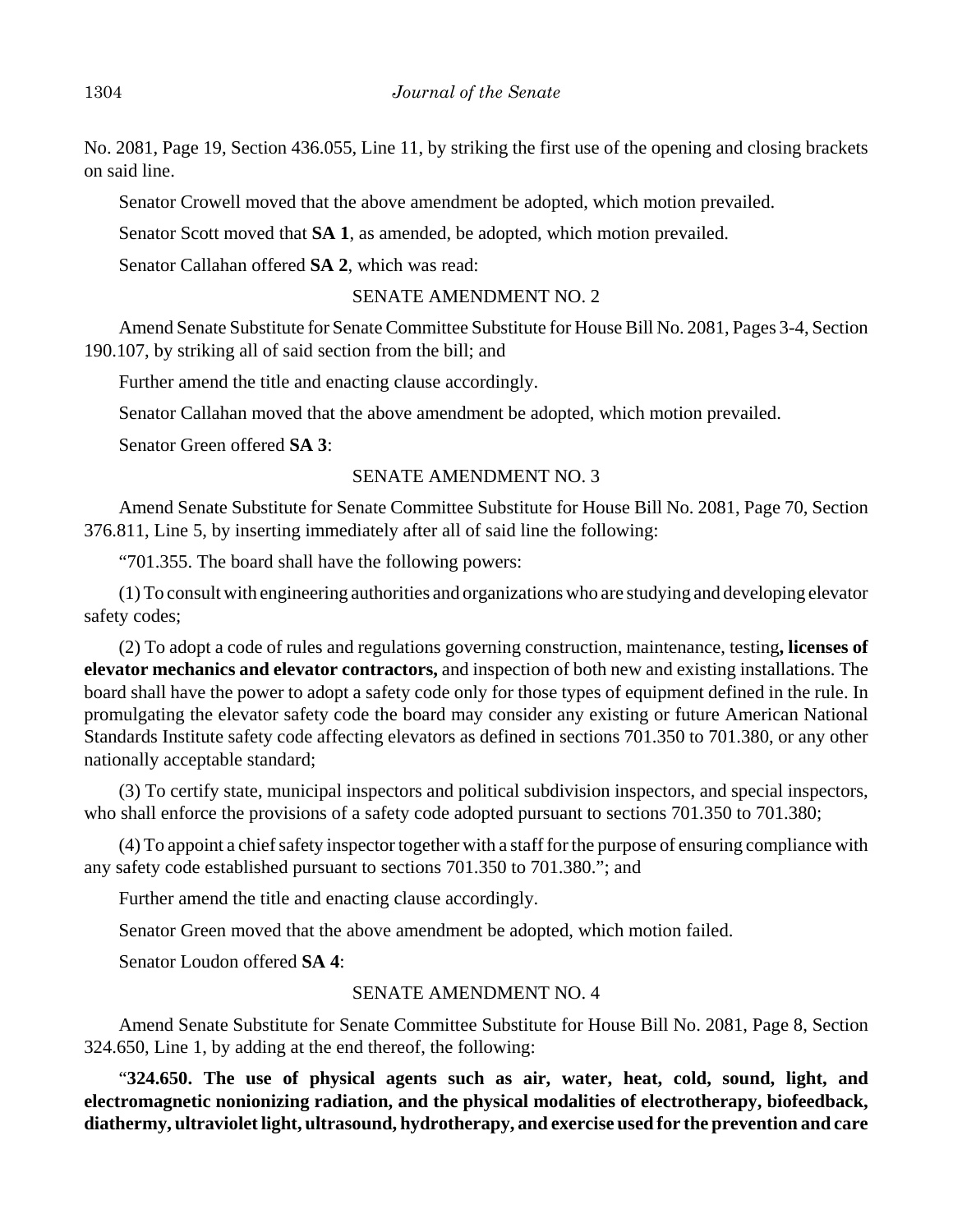No. 2081, Page 19, Section 436.055, Line 11, by striking the first use of the opening and closing brackets on said line.

Senator Crowell moved that the above amendment be adopted, which motion prevailed.

Senator Scott moved that **SA 1**, as amended, be adopted, which motion prevailed.

Senator Callahan offered **SA 2**, which was read:

#### SENATE AMENDMENT NO. 2

Amend Senate Substitute for Senate Committee Substitute for House Bill No. 2081, Pages 3-4, Section 190.107, by striking all of said section from the bill; and

Further amend the title and enacting clause accordingly.

Senator Callahan moved that the above amendment be adopted, which motion prevailed.

Senator Green offered **SA 3**:

#### SENATE AMENDMENT NO. 3

Amend Senate Substitute for Senate Committee Substitute for House Bill No. 2081, Page 70, Section 376.811, Line 5, by inserting immediately after all of said line the following:

"701.355. The board shall have the following powers:

(1) To consult with engineering authorities and organizations who are studying and developing elevator safety codes;

(2) To adopt a code of rules and regulations governing construction, maintenance, testing**, licenses of elevator mechanics and elevator contractors,** and inspection of both new and existing installations. The board shall have the power to adopt a safety code only for those types of equipment defined in the rule. In promulgating the elevator safety code the board may consider any existing or future American National Standards Institute safety code affecting elevators as defined in sections 701.350 to 701.380, or any other nationally acceptable standard;

(3) To certify state, municipal inspectors and political subdivision inspectors, and special inspectors, who shall enforce the provisions of a safety code adopted pursuant to sections 701.350 to 701.380;

(4) To appoint a chief safety inspector together with a staff for the purpose of ensuring compliance with any safety code established pursuant to sections 701.350 to 701.380."; and

Further amend the title and enacting clause accordingly.

Senator Green moved that the above amendment be adopted, which motion failed.

Senator Loudon offered **SA 4**:

## SENATE AMENDMENT NO. 4

Amend Senate Substitute for Senate Committee Substitute for House Bill No. 2081, Page 8, Section 324.650, Line 1, by adding at the end thereof, the following:

"**324.650. The use of physical agents such as air, water, heat, cold, sound, light, and electromagnetic nonionizing radiation, and the physical modalities of electrotherapy, biofeedback, diathermy, ultraviolet light, ultrasound, hydrotherapy, and exercise used for the prevention and care**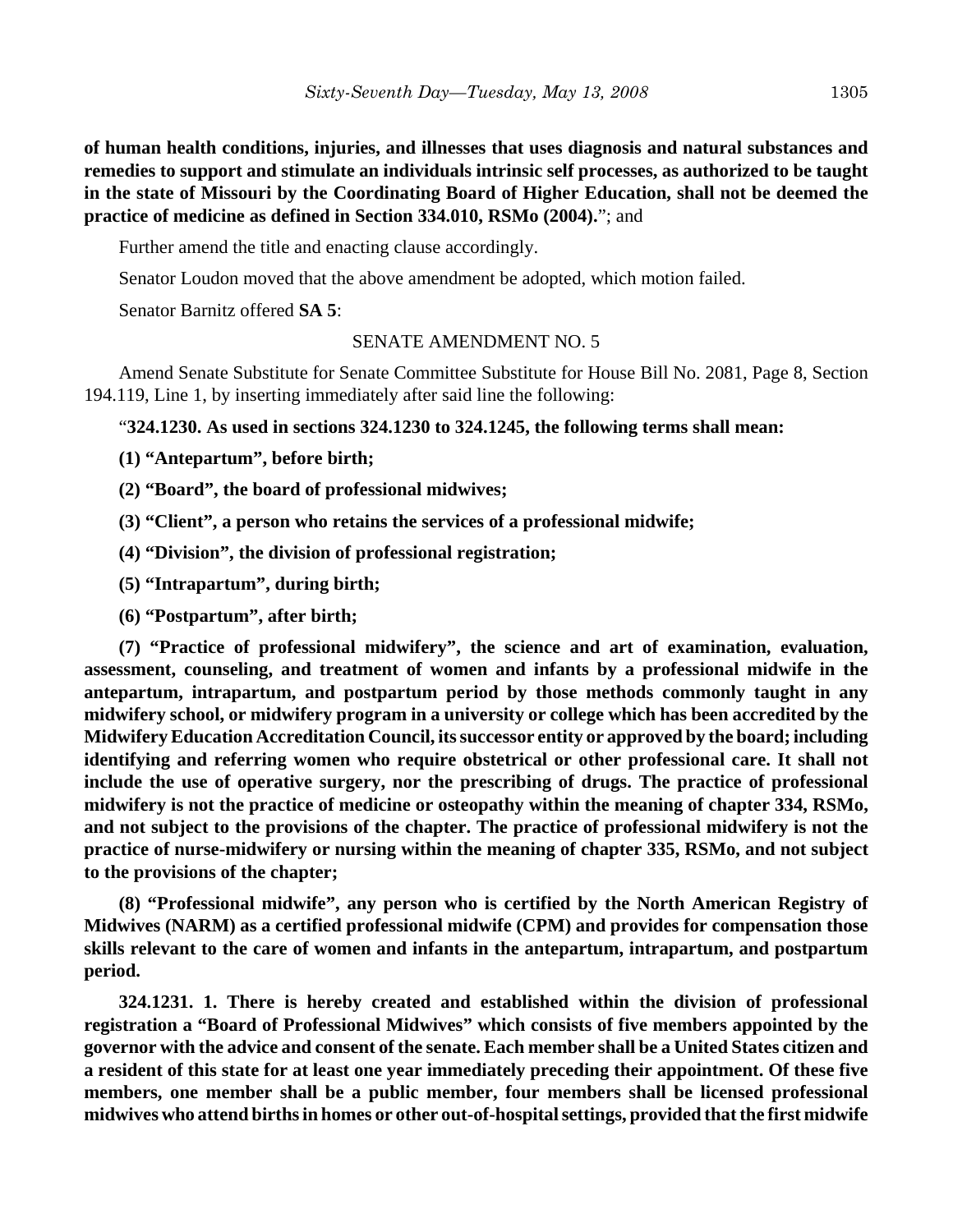**of human health conditions, injuries, and illnesses that uses diagnosis and natural substances and remedies to support and stimulate an individuals intrinsic self processes, as authorized to be taught in the state of Missouri by the Coordinating Board of Higher Education, shall not be deemed the practice of medicine as defined in Section 334.010, RSMo (2004).**"; and

Further amend the title and enacting clause accordingly.

Senator Loudon moved that the above amendment be adopted, which motion failed.

Senator Barnitz offered **SA 5**:

## SENATE AMENDMENT NO. 5

Amend Senate Substitute for Senate Committee Substitute for House Bill No. 2081, Page 8, Section 194.119, Line 1, by inserting immediately after said line the following:

"**324.1230. As used in sections 324.1230 to 324.1245, the following terms shall mean:**

**(1) "Antepartum", before birth;**

**(2) "Board", the board of professional midwives;**

**(3) "Client", a person who retains the services of a professional midwife;**

**(4) "Division", the division of professional registration;**

**(5) "Intrapartum", during birth;**

**(6) "Postpartum", after birth;**

**(7) "Practice of professional midwifery", the science and art of examination, evaluation, assessment, counseling, and treatment of women and infants by a professional midwife in the antepartum, intrapartum, and postpartum period by those methods commonly taught in any midwifery school, or midwifery program in a university or college which has been accredited by the Midwifery Education Accreditation Council, its successor entity or approved by the board; including identifying and referring women who require obstetrical or other professional care. It shall not include the use of operative surgery, nor the prescribing of drugs. The practice of professional midwifery is not the practice of medicine or osteopathy within the meaning of chapter 334, RSMo, and not subject to the provisions of the chapter. The practice of professional midwifery is not the practice of nurse-midwifery or nursing within the meaning of chapter 335, RSMo, and not subject to the provisions of the chapter;**

**(8) "Professional midwife", any person who is certified by the North American Registry of Midwives (NARM) as a certified professional midwife (CPM) and provides for compensation those skills relevant to the care of women and infants in the antepartum, intrapartum, and postpartum period.**

**324.1231. 1. There is hereby created and established within the division of professional registration a "Board of Professional Midwives" which consists of five members appointed by the governor with the advice and consent of the senate. Each member shall be a United States citizen and a resident of this state for at least one year immediately preceding their appointment. Of these five members, one member shall be a public member, four members shall be licensed professional midwives who attend births in homes or other out-of-hospital settings, provided that the first midwife**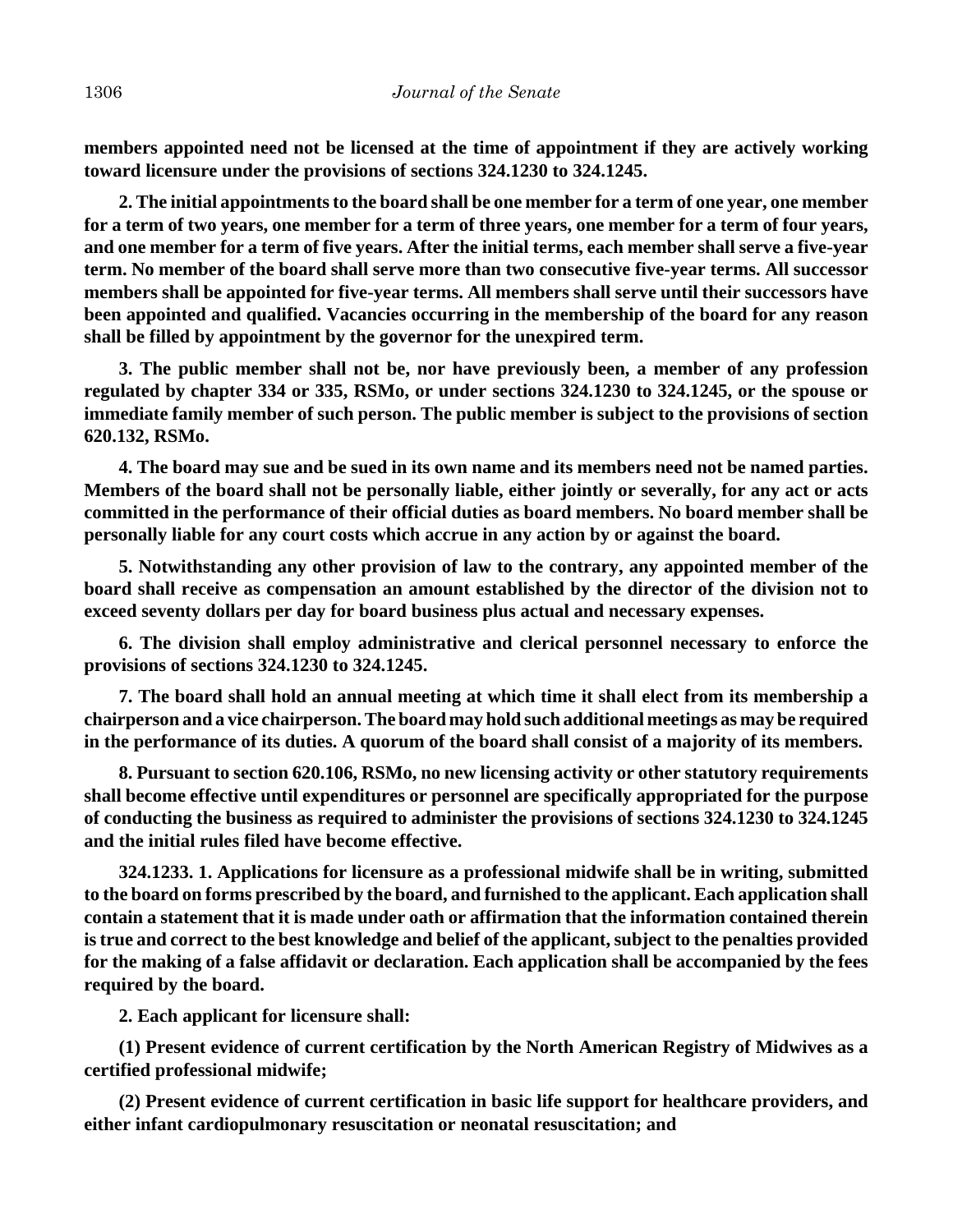**members appointed need not be licensed at the time of appointment if they are actively working toward licensure under the provisions of sections 324.1230 to 324.1245.**

**2. The initial appointments to the board shall be one member for a term of one year, one member for a term of two years, one member for a term of three years, one member for a term of four years, and one member for a term of five years. After the initial terms, each member shall serve a five-year term. No member of the board shall serve more than two consecutive five-year terms. All successor members shall be appointed for five-year terms. All members shall serve until their successors have been appointed and qualified. Vacancies occurring in the membership of the board for any reason shall be filled by appointment by the governor for the unexpired term.**

**3. The public member shall not be, nor have previously been, a member of any profession regulated by chapter 334 or 335, RSMo, or under sections 324.1230 to 324.1245, or the spouse or immediate family member of such person. The public member is subject to the provisions of section 620.132, RSMo.**

**4. The board may sue and be sued in its own name and its members need not be named parties. Members of the board shall not be personally liable, either jointly or severally, for any act or acts committed in the performance of their official duties as board members. No board member shall be personally liable for any court costs which accrue in any action by or against the board.**

**5. Notwithstanding any other provision of law to the contrary, any appointed member of the board shall receive as compensation an amount established by the director of the division not to exceed seventy dollars per day for board business plus actual and necessary expenses.**

**6. The division shall employ administrative and clerical personnel necessary to enforce the provisions of sections 324.1230 to 324.1245.**

**7. The board shall hold an annual meeting at which time it shall elect from its membership a chairperson and a vice chairperson. The board may hold such additional meetings as may be required in the performance of its duties. A quorum of the board shall consist of a majority of its members.**

**8. Pursuant to section 620.106, RSMo, no new licensing activity or other statutory requirements shall become effective until expenditures or personnel are specifically appropriated for the purpose of conducting the business as required to administer the provisions of sections 324.1230 to 324.1245 and the initial rules filed have become effective.**

**324.1233. 1. Applications for licensure as a professional midwife shall be in writing, submitted to the board on forms prescribed by the board, and furnished to the applicant. Each application shall contain a statement that it is made under oath or affirmation that the information contained therein is true and correct to the best knowledge and belief of the applicant, subject to the penalties provided for the making of a false affidavit or declaration. Each application shall be accompanied by the fees required by the board.**

**2. Each applicant for licensure shall:**

**(1) Present evidence of current certification by the North American Registry of Midwives as a certified professional midwife;**

**(2) Present evidence of current certification in basic life support for healthcare providers, and either infant cardiopulmonary resuscitation or neonatal resuscitation; and**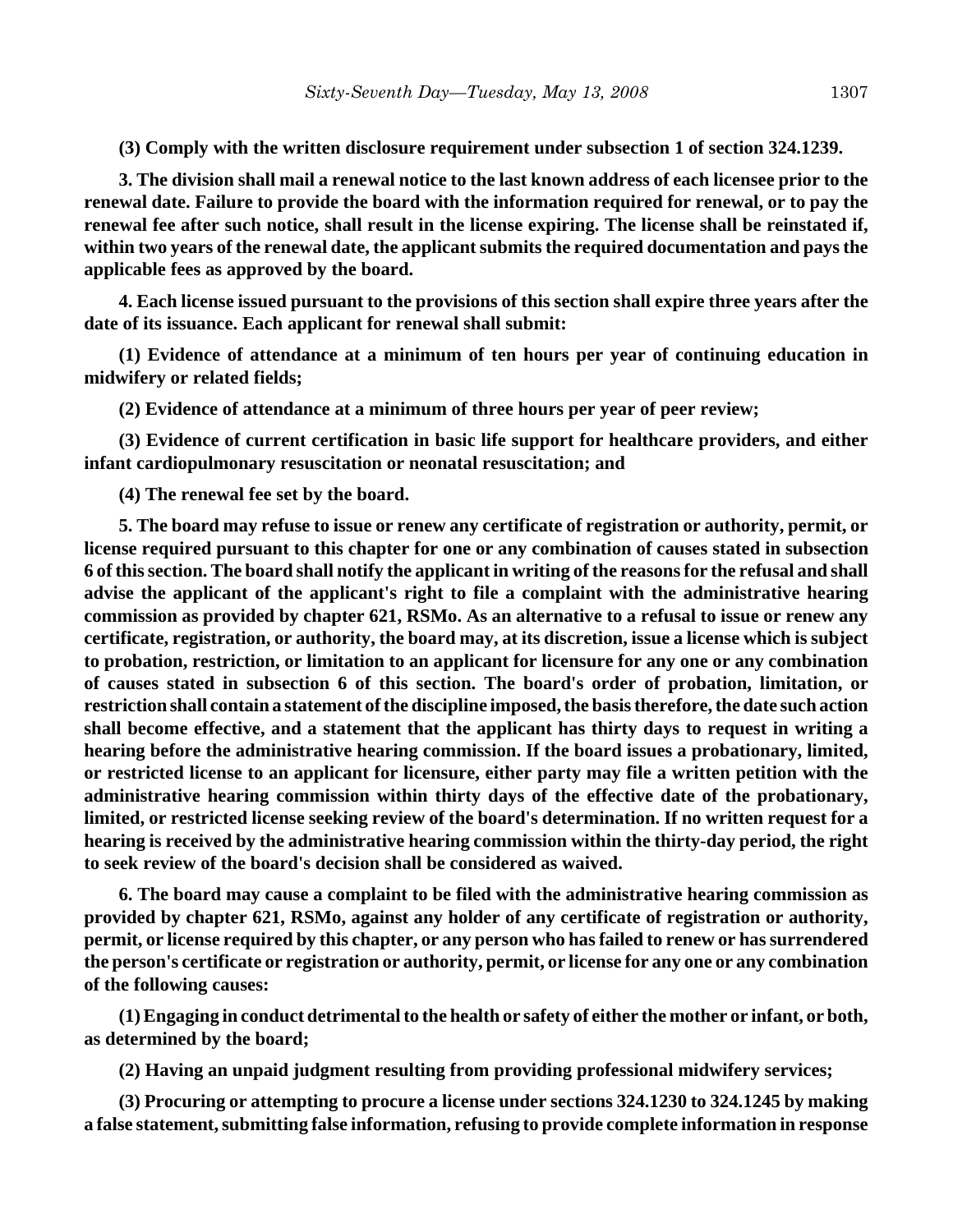**(3) Comply with the written disclosure requirement under subsection 1 of section 324.1239.**

**3. The division shall mail a renewal notice to the last known address of each licensee prior to the renewal date. Failure to provide the board with the information required for renewal, or to pay the renewal fee after such notice, shall result in the license expiring. The license shall be reinstated if, within two years of the renewal date, the applicant submits the required documentation and pays the applicable fees as approved by the board.**

**4. Each license issued pursuant to the provisions of this section shall expire three years after the date of its issuance. Each applicant for renewal shall submit:**

**(1) Evidence of attendance at a minimum of ten hours per year of continuing education in midwifery or related fields;**

**(2) Evidence of attendance at a minimum of three hours per year of peer review;**

**(3) Evidence of current certification in basic life support for healthcare providers, and either infant cardiopulmonary resuscitation or neonatal resuscitation; and**

**(4) The renewal fee set by the board.**

**5. The board may refuse to issue or renew any certificate of registration or authority, permit, or license required pursuant to this chapter for one or any combination of causes stated in subsection 6 of this section. The board shall notify the applicant in writing of the reasons for the refusal and shall advise the applicant of the applicant's right to file a complaint with the administrative hearing commission as provided by chapter 621, RSMo. As an alternative to a refusal to issue or renew any certificate, registration, or authority, the board may, at its discretion, issue a license which is subject to probation, restriction, or limitation to an applicant for licensure for any one or any combination of causes stated in subsection 6 of this section. The board's order of probation, limitation, or restriction shall contain a statement of the discipline imposed, the basis therefore, the date such action shall become effective, and a statement that the applicant has thirty days to request in writing a hearing before the administrative hearing commission. If the board issues a probationary, limited, or restricted license to an applicant for licensure, either party may file a written petition with the administrative hearing commission within thirty days of the effective date of the probationary, limited, or restricted license seeking review of the board's determination. If no written request for a hearing is received by the administrative hearing commission within the thirty-day period, the right to seek review of the board's decision shall be considered as waived.**

**6. The board may cause a complaint to be filed with the administrative hearing commission as provided by chapter 621, RSMo, against any holder of any certificate of registration or authority, permit, or license required by this chapter, or any person who has failed to renew or has surrendered the person's certificate or registration or authority, permit, or license for any one or any combination of the following causes:**

**(1) Engaging in conduct detrimental to the health or safety of either the mother or infant, or both, as determined by the board;**

**(2) Having an unpaid judgment resulting from providing professional midwifery services;**

**(3) Procuring or attempting to procure a license under sections 324.1230 to 324.1245 by making a false statement, submitting false information, refusing to provide complete information in response**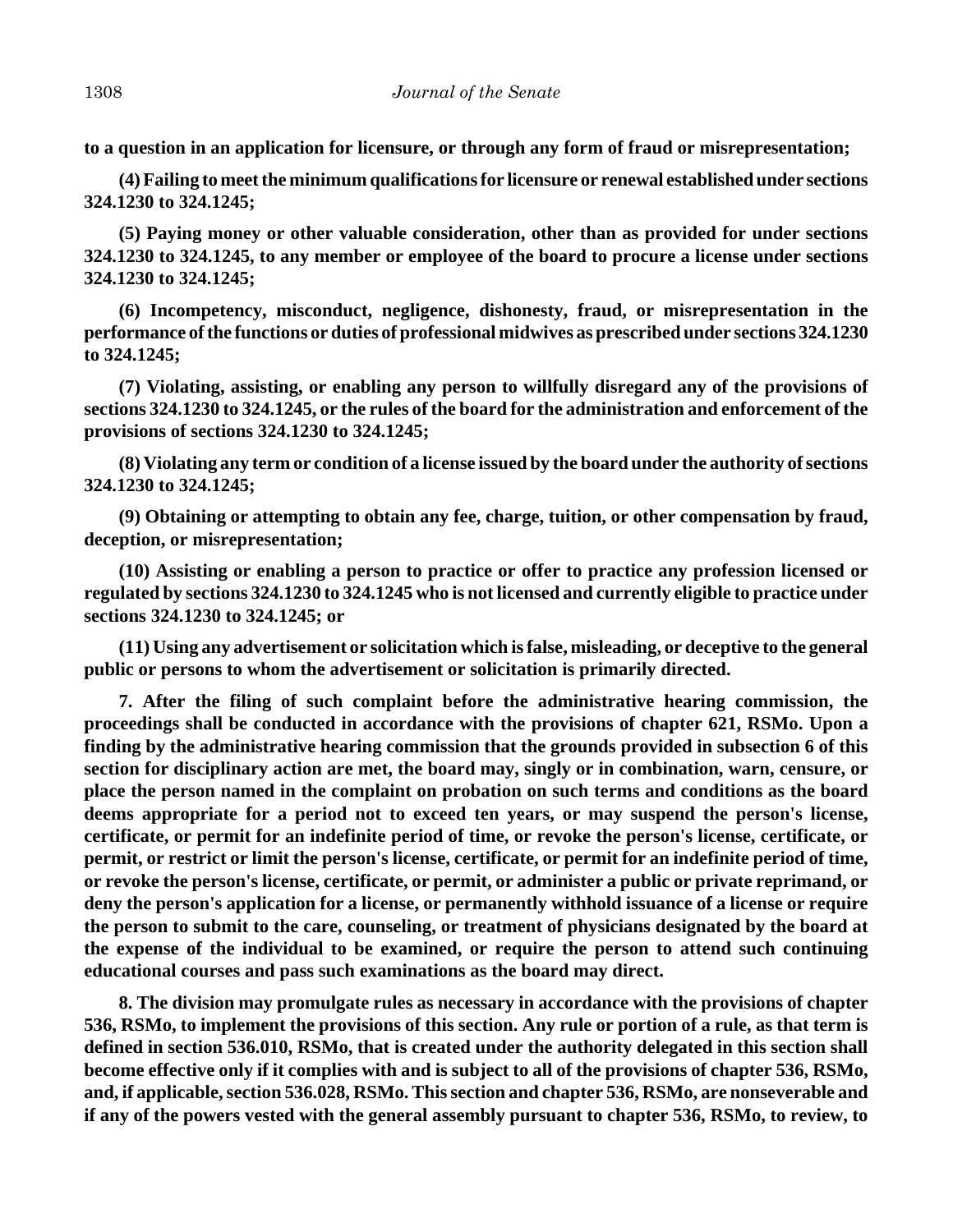**to a question in an application for licensure, or through any form of fraud or misrepresentation;**

**(4) Failing to meet the minimum qualifications for licensure or renewal established under sections 324.1230 to 324.1245;**

**(5) Paying money or other valuable consideration, other than as provided for under sections 324.1230 to 324.1245, to any member or employee of the board to procure a license under sections 324.1230 to 324.1245;**

**(6) Incompetency, misconduct, negligence, dishonesty, fraud, or misrepresentation in the performance of the functions or duties of professional midwives as prescribed under sections 324.1230 to 324.1245;**

**(7) Violating, assisting, or enabling any person to willfully disregard any of the provisions of sections 324.1230 to 324.1245, or the rules of the board for the administration and enforcement of the provisions of sections 324.1230 to 324.1245;**

**(8) Violating any term or condition of a license issued by the board under the authority of sections 324.1230 to 324.1245;**

**(9) Obtaining or attempting to obtain any fee, charge, tuition, or other compensation by fraud, deception, or misrepresentation;**

**(10) Assisting or enabling a person to practice or offer to practice any profession licensed or regulated by sections 324.1230 to 324.1245 who is not licensed and currently eligible to practice under sections 324.1230 to 324.1245; or**

**(11) Using any advertisement or solicitation which is false, misleading, or deceptive to the general public or persons to whom the advertisement or solicitation is primarily directed.**

**7. After the filing of such complaint before the administrative hearing commission, the proceedings shall be conducted in accordance with the provisions of chapter 621, RSMo. Upon a finding by the administrative hearing commission that the grounds provided in subsection 6 of this section for disciplinary action are met, the board may, singly or in combination, warn, censure, or place the person named in the complaint on probation on such terms and conditions as the board deems appropriate for a period not to exceed ten years, or may suspend the person's license, certificate, or permit for an indefinite period of time, or revoke the person's license, certificate, or permit, or restrict or limit the person's license, certificate, or permit for an indefinite period of time, or revoke the person's license, certificate, or permit, or administer a public or private reprimand, or deny the person's application for a license, or permanently withhold issuance of a license or require the person to submit to the care, counseling, or treatment of physicians designated by the board at the expense of the individual to be examined, or require the person to attend such continuing educational courses and pass such examinations as the board may direct.**

**8. The division may promulgate rules as necessary in accordance with the provisions of chapter 536, RSMo, to implement the provisions of this section. Any rule or portion of a rule, as that term is defined in section 536.010, RSMo, that is created under the authority delegated in this section shall become effective only if it complies with and is subject to all of the provisions of chapter 536, RSMo, and, if applicable, section 536.028, RSMo. This section and chapter 536, RSMo, are nonseverable and if any of the powers vested with the general assembly pursuant to chapter 536, RSMo, to review, to**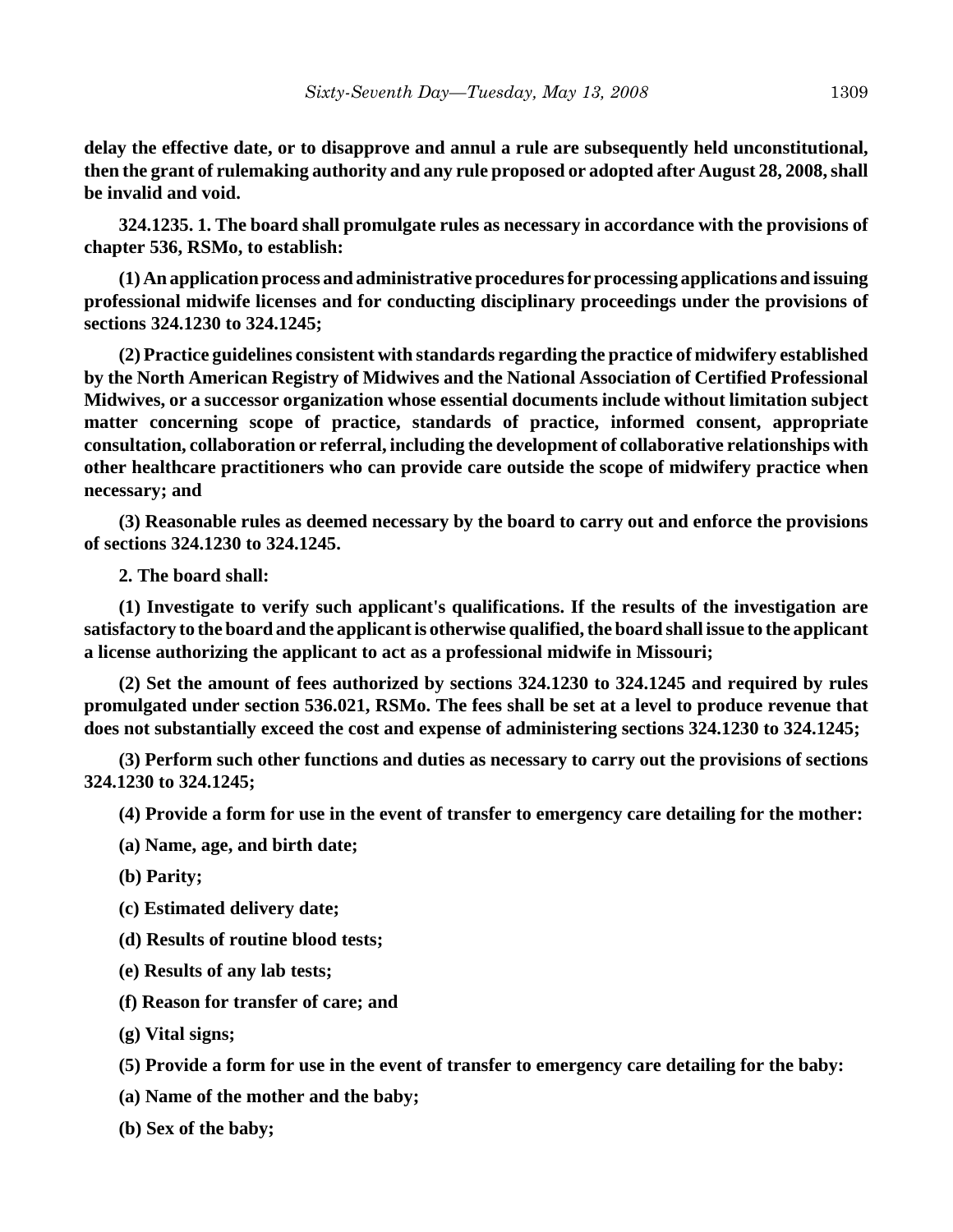**delay the effective date, or to disapprove and annul a rule are subsequently held unconstitutional, then the grant of rulemaking authority and any rule proposed or adopted after August 28, 2008, shall be invalid and void.**

**324.1235. 1. The board shall promulgate rules as necessary in accordance with the provisions of chapter 536, RSMo, to establish:**

**(1) An application process and administrative procedures for processing applications and issuing professional midwife licenses and for conducting disciplinary proceedings under the provisions of sections 324.1230 to 324.1245;**

**(2) Practice guidelines consistent with standards regarding the practice of midwifery established by the North American Registry of Midwives and the National Association of Certified Professional Midwives, or a successor organization whose essential documents include without limitation subject matter concerning scope of practice, standards of practice, informed consent, appropriate consultation, collaboration or referral, including the development of collaborative relationships with other healthcare practitioners who can provide care outside the scope of midwifery practice when necessary; and**

**(3) Reasonable rules as deemed necessary by the board to carry out and enforce the provisions of sections 324.1230 to 324.1245.**

**2. The board shall:**

**(1) Investigate to verify such applicant's qualifications. If the results of the investigation are satisfactory to the board and the applicant is otherwise qualified, the board shall issue to the applicant a license authorizing the applicant to act as a professional midwife in Missouri;**

**(2) Set the amount of fees authorized by sections 324.1230 to 324.1245 and required by rules promulgated under section 536.021, RSMo. The fees shall be set at a level to produce revenue that does not substantially exceed the cost and expense of administering sections 324.1230 to 324.1245;**

**(3) Perform such other functions and duties as necessary to carry out the provisions of sections 324.1230 to 324.1245;**

**(4) Provide a form for use in the event of transfer to emergency care detailing for the mother:**

**(a) Name, age, and birth date;**

**(b) Parity;**

**(c) Estimated delivery date;**

**(d) Results of routine blood tests;**

**(e) Results of any lab tests;**

**(f) Reason for transfer of care; and**

**(g) Vital signs;**

**(5) Provide a form for use in the event of transfer to emergency care detailing for the baby:**

**(a) Name of the mother and the baby;**

**(b) Sex of the baby;**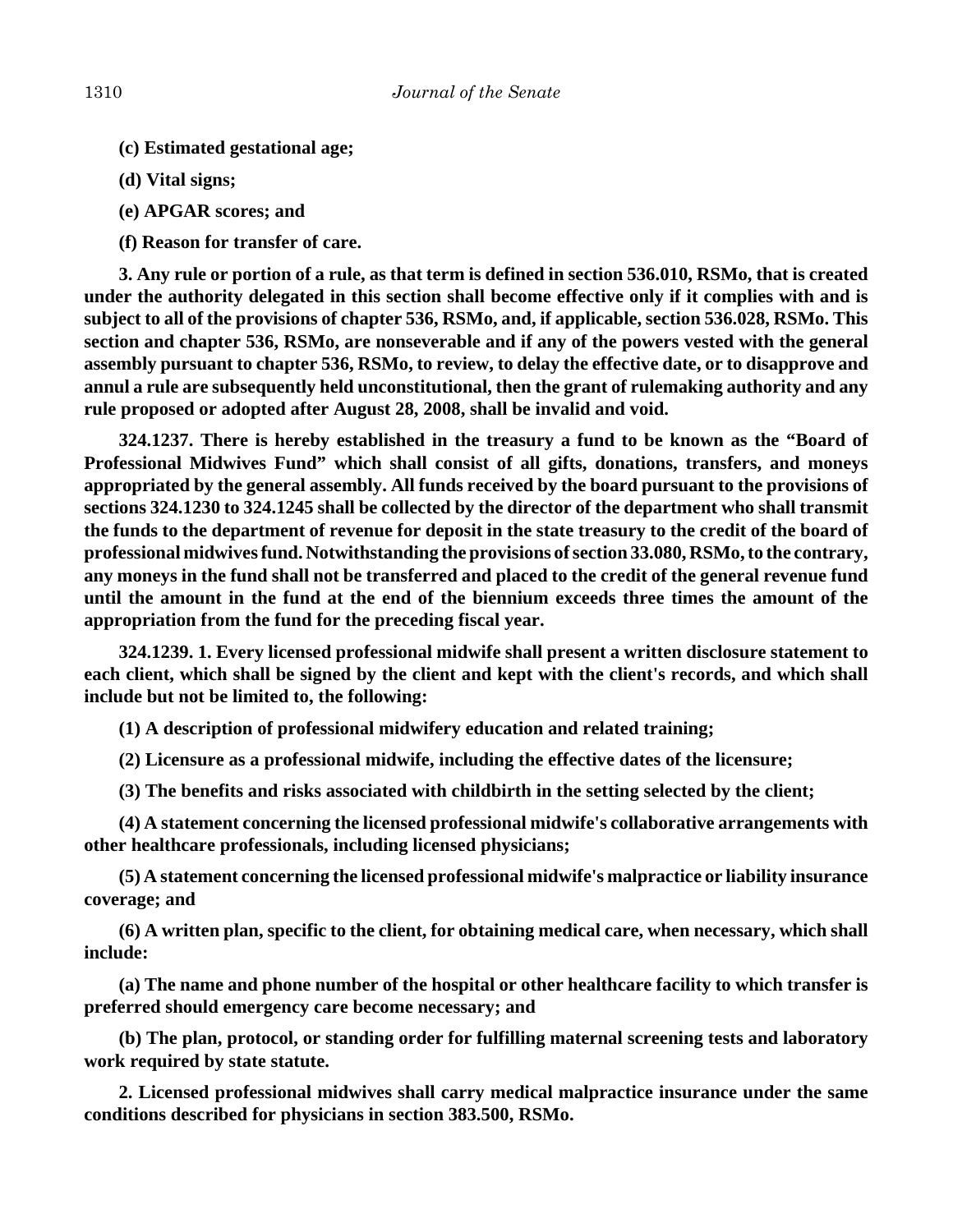- **(c) Estimated gestational age;**
- **(d) Vital signs;**
- **(e) APGAR scores; and**
- **(f) Reason for transfer of care.**

**3. Any rule or portion of a rule, as that term is defined in section 536.010, RSMo, that is created under the authority delegated in this section shall become effective only if it complies with and is subject to all of the provisions of chapter 536, RSMo, and, if applicable, section 536.028, RSMo. This section and chapter 536, RSMo, are nonseverable and if any of the powers vested with the general assembly pursuant to chapter 536, RSMo, to review, to delay the effective date, or to disapprove and annul a rule are subsequently held unconstitutional, then the grant of rulemaking authority and any rule proposed or adopted after August 28, 2008, shall be invalid and void.**

**324.1237. There is hereby established in the treasury a fund to be known as the "Board of Professional Midwives Fund" which shall consist of all gifts, donations, transfers, and moneys appropriated by the general assembly. All funds received by the board pursuant to the provisions of sections 324.1230 to 324.1245 shall be collected by the director of the department who shall transmit the funds to the department of revenue for deposit in the state treasury to the credit of the board of professional midwives fund. Notwithstanding the provisions of section 33.080, RSMo, to the contrary, any moneys in the fund shall not be transferred and placed to the credit of the general revenue fund until the amount in the fund at the end of the biennium exceeds three times the amount of the appropriation from the fund for the preceding fiscal year.**

**324.1239. 1. Every licensed professional midwife shall present a written disclosure statement to each client, which shall be signed by the client and kept with the client's records, and which shall include but not be limited to, the following:**

**(1) A description of professional midwifery education and related training;**

**(2) Licensure as a professional midwife, including the effective dates of the licensure;**

**(3) The benefits and risks associated with childbirth in the setting selected by the client;**

**(4) A statement concerning the licensed professional midwife's collaborative arrangements with other healthcare professionals, including licensed physicians;**

**(5) A statement concerning the licensed professional midwife's malpractice or liability insurance coverage; and**

**(6) A written plan, specific to the client, for obtaining medical care, when necessary, which shall include:**

**(a) The name and phone number of the hospital or other healthcare facility to which transfer is preferred should emergency care become necessary; and**

**(b) The plan, protocol, or standing order for fulfilling maternal screening tests and laboratory work required by state statute.**

**2. Licensed professional midwives shall carry medical malpractice insurance under the same conditions described for physicians in section 383.500, RSMo.**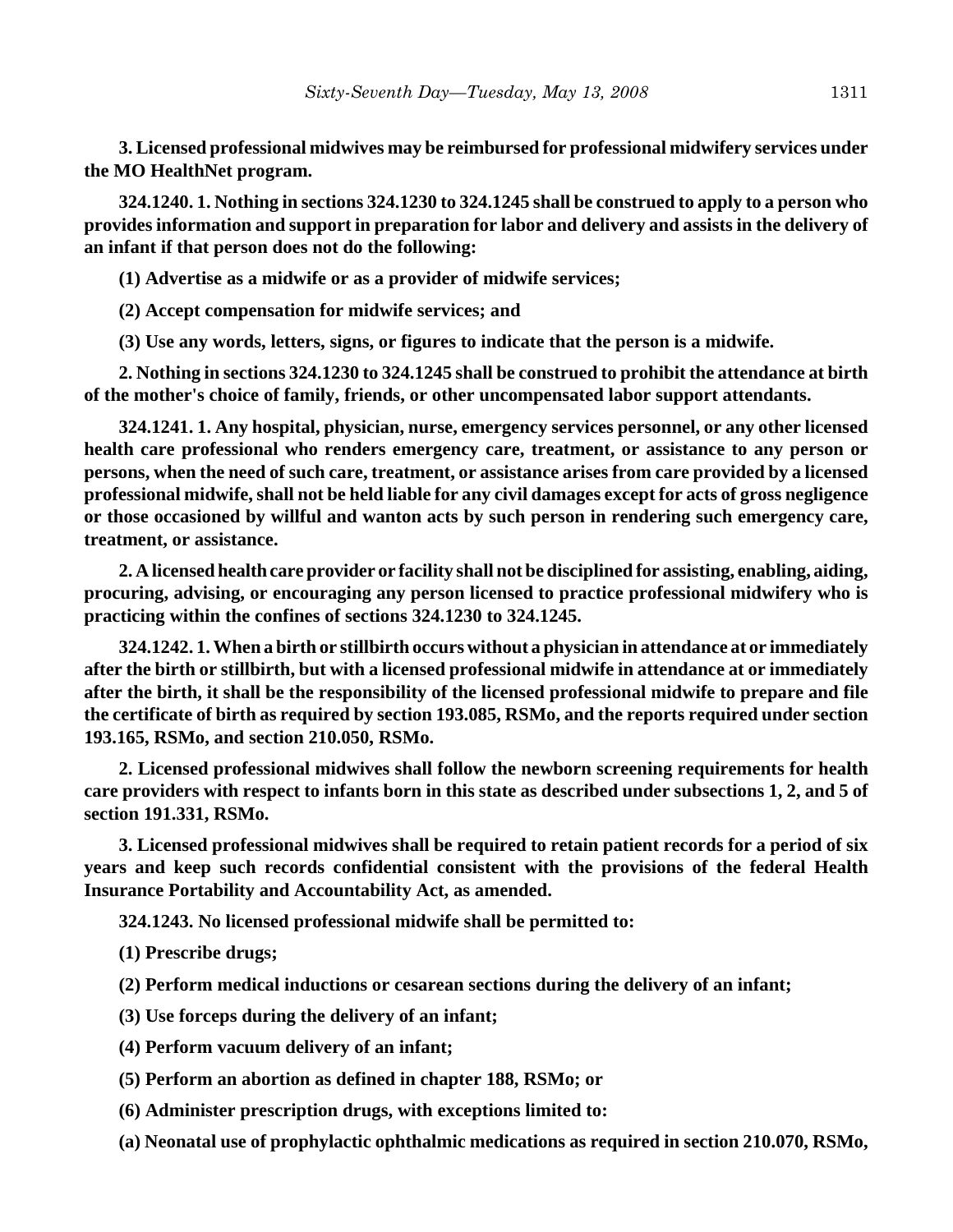**3. Licensed professional midwives may be reimbursed for professional midwifery services under the MO HealthNet program.**

**324.1240. 1. Nothing in sections 324.1230 to 324.1245 shall be construed to apply to a person who provides information and support in preparation for labor and delivery and assists in the delivery of an infant if that person does not do the following:**

**(1) Advertise as a midwife or as a provider of midwife services;**

**(2) Accept compensation for midwife services; and**

**(3) Use any words, letters, signs, or figures to indicate that the person is a midwife.**

**2. Nothing in sections 324.1230 to 324.1245 shall be construed to prohibit the attendance at birth of the mother's choice of family, friends, or other uncompensated labor support attendants.**

**324.1241. 1. Any hospital, physician, nurse, emergency services personnel, or any other licensed health care professional who renders emergency care, treatment, or assistance to any person or persons, when the need of such care, treatment, or assistance arises from care provided by a licensed professional midwife, shall not be held liable for any civil damages except for acts of gross negligence or those occasioned by willful and wanton acts by such person in rendering such emergency care, treatment, or assistance.**

**2. A licensed health care provider or facility shall not be disciplined for assisting, enabling, aiding, procuring, advising, or encouraging any person licensed to practice professional midwifery who is practicing within the confines of sections 324.1230 to 324.1245.**

**324.1242. 1. When a birth or stillbirth occurs without a physician in attendance at or immediately after the birth or stillbirth, but with a licensed professional midwife in attendance at or immediately after the birth, it shall be the responsibility of the licensed professional midwife to prepare and file the certificate of birth as required by section 193.085, RSMo, and the reports required under section 193.165, RSMo, and section 210.050, RSMo.**

**2. Licensed professional midwives shall follow the newborn screening requirements for health care providers with respect to infants born in this state as described under subsections 1, 2, and 5 of section 191.331, RSMo.**

**3. Licensed professional midwives shall be required to retain patient records for a period of six years and keep such records confidential consistent with the provisions of the federal Health Insurance Portability and Accountability Act, as amended.**

**324.1243. No licensed professional midwife shall be permitted to:**

**(1) Prescribe drugs;**

**(2) Perform medical inductions or cesarean sections during the delivery of an infant;**

- **(3) Use forceps during the delivery of an infant;**
- **(4) Perform vacuum delivery of an infant;**
- **(5) Perform an abortion as defined in chapter 188, RSMo; or**
- **(6) Administer prescription drugs, with exceptions limited to:**
- **(a) Neonatal use of prophylactic ophthalmic medications as required in section 210.070, RSMo,**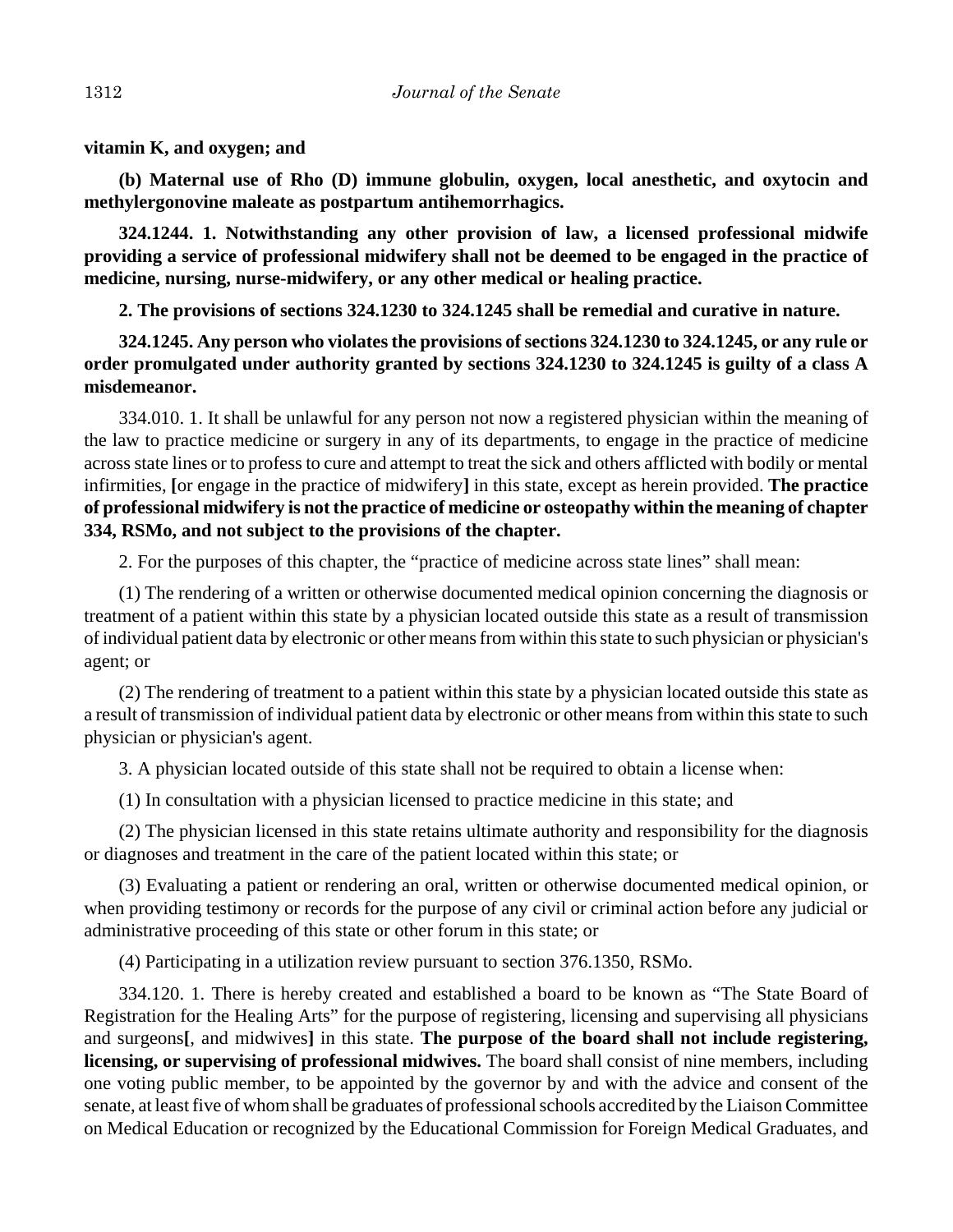**vitamin K, and oxygen; and**

**(b) Maternal use of Rho (D) immune globulin, oxygen, local anesthetic, and oxytocin and methylergonovine maleate as postpartum antihemorrhagics.**

**324.1244. 1. Notwithstanding any other provision of law, a licensed professional midwife providing a service of professional midwifery shall not be deemed to be engaged in the practice of medicine, nursing, nurse-midwifery, or any other medical or healing practice.**

**2. The provisions of sections 324.1230 to 324.1245 shall be remedial and curative in nature.**

**324.1245. Any person who violates the provisions of sections 324.1230 to 324.1245, or any rule or order promulgated under authority granted by sections 324.1230 to 324.1245 is guilty of a class A misdemeanor.**

334.010. 1. It shall be unlawful for any person not now a registered physician within the meaning of the law to practice medicine or surgery in any of its departments, to engage in the practice of medicine across state lines or to profess to cure and attempt to treat the sick and others afflicted with bodily or mental infirmities, **[**or engage in the practice of midwifery**]** in this state, except as herein provided. **The practice of professional midwifery is not the practice of medicine or osteopathy within the meaning of chapter 334, RSMo, and not subject to the provisions of the chapter.**

2. For the purposes of this chapter, the "practice of medicine across state lines" shall mean:

(1) The rendering of a written or otherwise documented medical opinion concerning the diagnosis or treatment of a patient within this state by a physician located outside this state as a result of transmission of individual patient data by electronic or other means from within this state to such physician or physician's agent; or

(2) The rendering of treatment to a patient within this state by a physician located outside this state as a result of transmission of individual patient data by electronic or other means from within this state to such physician or physician's agent.

3. A physician located outside of this state shall not be required to obtain a license when:

(1) In consultation with a physician licensed to practice medicine in this state; and

(2) The physician licensed in this state retains ultimate authority and responsibility for the diagnosis or diagnoses and treatment in the care of the patient located within this state; or

(3) Evaluating a patient or rendering an oral, written or otherwise documented medical opinion, or when providing testimony or records for the purpose of any civil or criminal action before any judicial or administrative proceeding of this state or other forum in this state; or

(4) Participating in a utilization review pursuant to section 376.1350, RSMo.

334.120. 1. There is hereby created and established a board to be known as "The State Board of Registration for the Healing Arts" for the purpose of registering, licensing and supervising all physicians and surgeons**[**, and midwives**]** in this state. **The purpose of the board shall not include registering, licensing, or supervising of professional midwives.** The board shall consist of nine members, including one voting public member, to be appointed by the governor by and with the advice and consent of the senate, at least five of whom shall be graduates of professional schools accredited by the Liaison Committee on Medical Education or recognized by the Educational Commission for Foreign Medical Graduates, and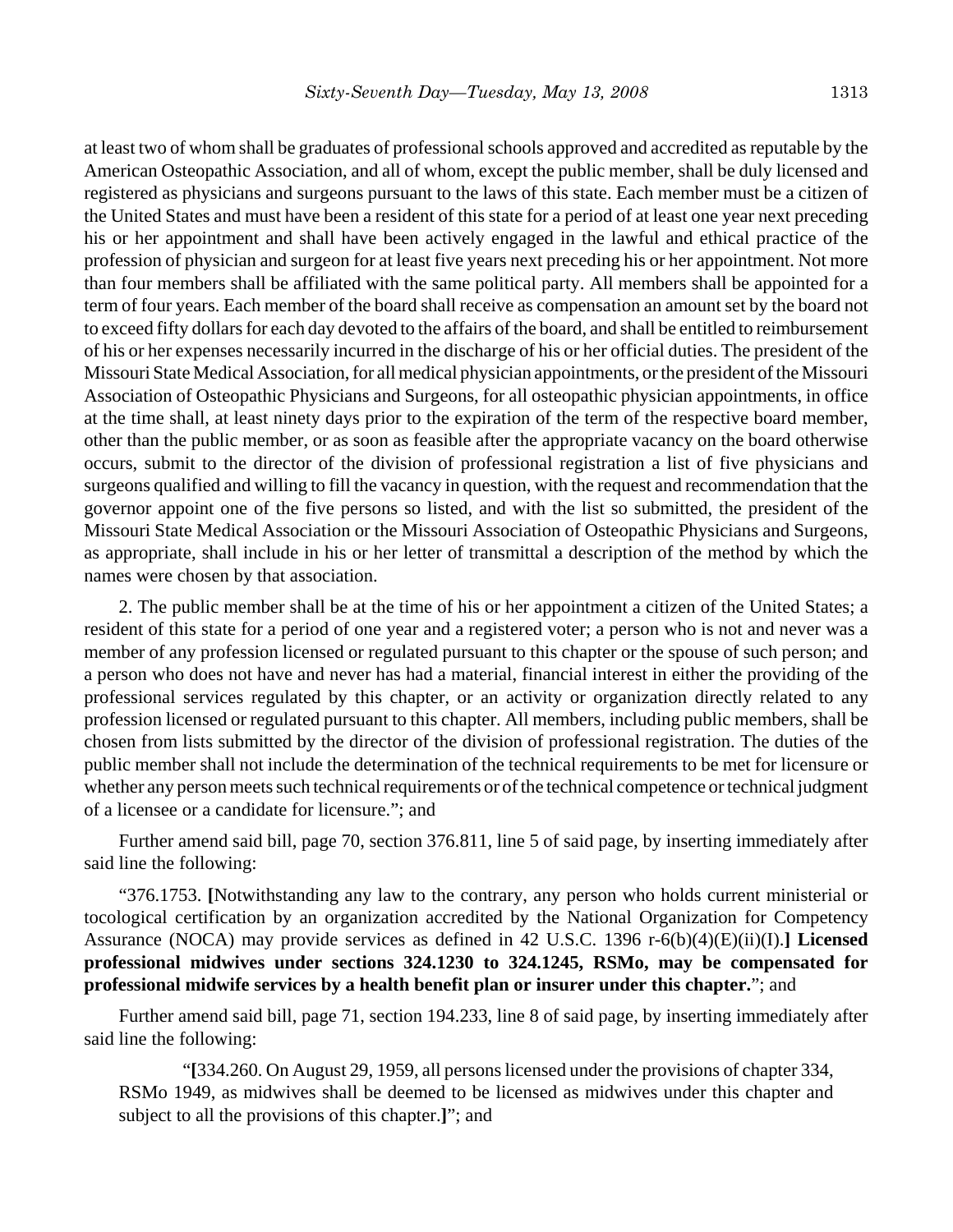at least two of whom shall be graduates of professional schools approved and accredited as reputable by the American Osteopathic Association, and all of whom, except the public member, shall be duly licensed and registered as physicians and surgeons pursuant to the laws of this state. Each member must be a citizen of the United States and must have been a resident of this state for a period of at least one year next preceding his or her appointment and shall have been actively engaged in the lawful and ethical practice of the profession of physician and surgeon for at least five years next preceding his or her appointment. Not more than four members shall be affiliated with the same political party. All members shall be appointed for a term of four years. Each member of the board shall receive as compensation an amount set by the board not to exceed fifty dollars for each day devoted to the affairs of the board, and shall be entitled to reimbursement of his or her expenses necessarily incurred in the discharge of his or her official duties. The president of the Missouri State Medical Association, for all medical physician appointments, or the president of the Missouri Association of Osteopathic Physicians and Surgeons, for all osteopathic physician appointments, in office at the time shall, at least ninety days prior to the expiration of the term of the respective board member, other than the public member, or as soon as feasible after the appropriate vacancy on the board otherwise occurs, submit to the director of the division of professional registration a list of five physicians and surgeons qualified and willing to fill the vacancy in question, with the request and recommendation that the governor appoint one of the five persons so listed, and with the list so submitted, the president of the Missouri State Medical Association or the Missouri Association of Osteopathic Physicians and Surgeons, as appropriate, shall include in his or her letter of transmittal a description of the method by which the names were chosen by that association.

2. The public member shall be at the time of his or her appointment a citizen of the United States; a resident of this state for a period of one year and a registered voter; a person who is not and never was a member of any profession licensed or regulated pursuant to this chapter or the spouse of such person; and a person who does not have and never has had a material, financial interest in either the providing of the professional services regulated by this chapter, or an activity or organization directly related to any profession licensed or regulated pursuant to this chapter. All members, including public members, shall be chosen from lists submitted by the director of the division of professional registration. The duties of the public member shall not include the determination of the technical requirements to be met for licensure or whether any person meets such technical requirements or of the technical competence or technical judgment of a licensee or a candidate for licensure."; and

Further amend said bill, page 70, section 376.811, line 5 of said page, by inserting immediately after said line the following:

"376.1753. **[**Notwithstanding any law to the contrary, any person who holds current ministerial or tocological certification by an organization accredited by the National Organization for Competency Assurance (NOCA) may provide services as defined in 42 U.S.C. 1396 r-6(b)(4)(E)(ii)(I).**] Licensed professional midwives under sections 324.1230 to 324.1245, RSMo, may be compensated for professional midwife services by a health benefit plan or insurer under this chapter.**"; and

Further amend said bill, page 71, section 194.233, line 8 of said page, by inserting immediately after said line the following:

"**[**334.260. On August 29, 1959, all persons licensed under the provisions of chapter 334, RSMo 1949, as midwives shall be deemed to be licensed as midwives under this chapter and subject to all the provisions of this chapter.**]**"; and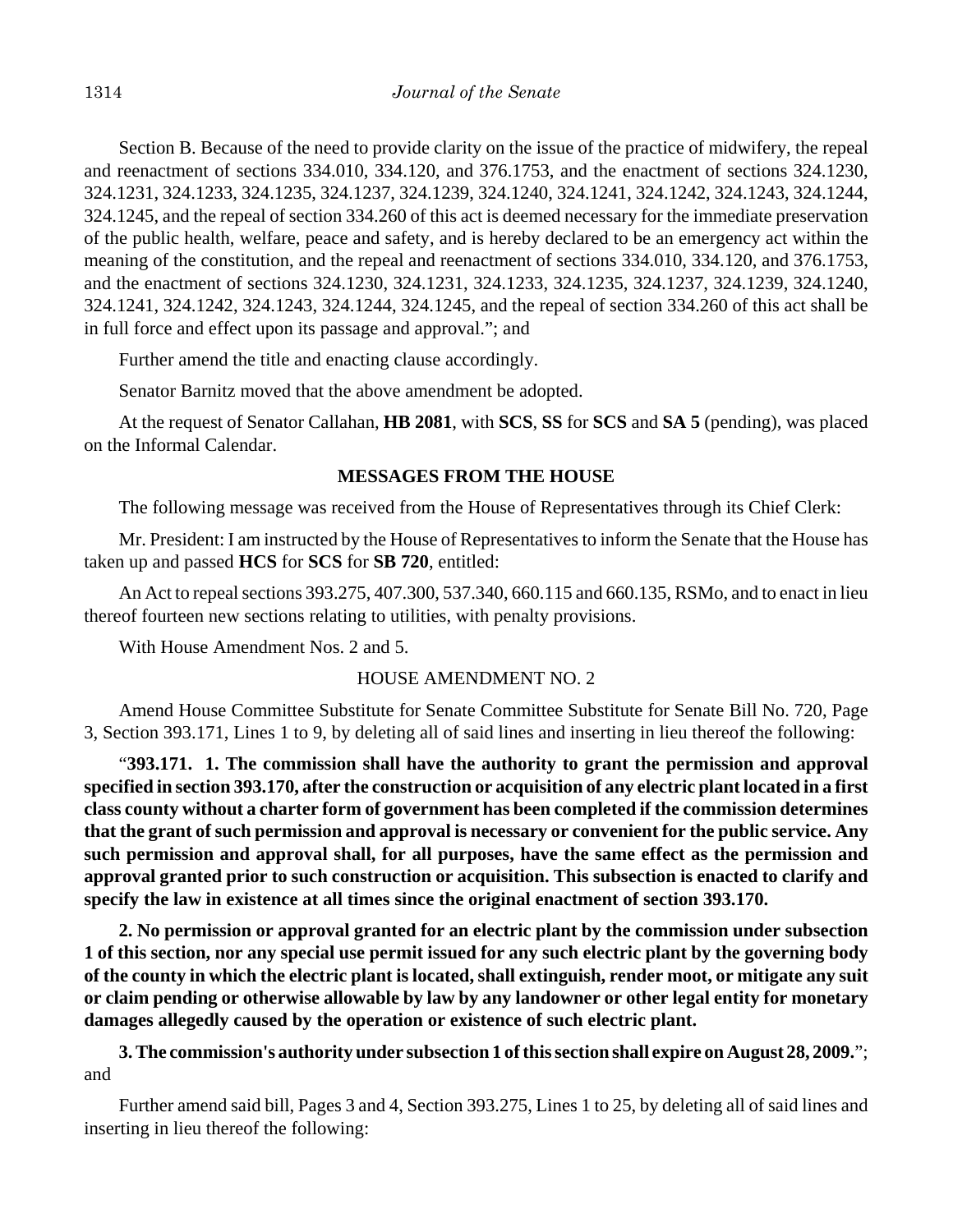Section B. Because of the need to provide clarity on the issue of the practice of midwifery, the repeal and reenactment of sections 334.010, 334.120, and 376.1753, and the enactment of sections 324.1230, 324.1231, 324.1233, 324.1235, 324.1237, 324.1239, 324.1240, 324.1241, 324.1242, 324.1243, 324.1244, 324.1245, and the repeal of section 334.260 of this act is deemed necessary for the immediate preservation of the public health, welfare, peace and safety, and is hereby declared to be an emergency act within the meaning of the constitution, and the repeal and reenactment of sections 334.010, 334.120, and 376.1753, and the enactment of sections 324.1230, 324.1231, 324.1233, 324.1235, 324.1237, 324.1239, 324.1240, 324.1241, 324.1242, 324.1243, 324.1244, 324.1245, and the repeal of section 334.260 of this act shall be in full force and effect upon its passage and approval."; and

Further amend the title and enacting clause accordingly.

Senator Barnitz moved that the above amendment be adopted.

At the request of Senator Callahan, **HB 2081**, with **SCS**, **SS** for **SCS** and **SA 5** (pending), was placed on the Informal Calendar.

# **MESSAGES FROM THE HOUSE**

The following message was received from the House of Representatives through its Chief Clerk:

Mr. President: I am instructed by the House of Representatives to inform the Senate that the House has taken up and passed **HCS** for **SCS** for **SB 720**, entitled:

An Act to repeal sections 393.275, 407.300, 537.340, 660.115 and 660.135, RSMo, and to enact in lieu thereof fourteen new sections relating to utilities, with penalty provisions.

With House Amendment Nos. 2 and 5.

# HOUSE AMENDMENT NO. 2

Amend House Committee Substitute for Senate Committee Substitute for Senate Bill No. 720, Page 3, Section 393.171, Lines 1 to 9, by deleting all of said lines and inserting in lieu thereof the following:

"**393.171. 1. The commission shall have the authority to grant the permission and approval specified in section 393.170, after the construction or acquisition of any electric plant located in a first class county without a charter form of government has been completed if the commission determines that the grant of such permission and approval is necessary or convenient for the public service. Any such permission and approval shall, for all purposes, have the same effect as the permission and approval granted prior to such construction or acquisition. This subsection is enacted to clarify and specify the law in existence at all times since the original enactment of section 393.170.**

**2. No permission or approval granted for an electric plant by the commission under subsection 1 of this section, nor any special use permit issued for any such electric plant by the governing body of the county in which the electric plant is located, shall extinguish, render moot, or mitigate any suit or claim pending or otherwise allowable by law by any landowner or other legal entity for monetary damages allegedly caused by the operation or existence of such electric plant.**

**3. The commission's authority under subsection 1 of this section shall expire on August 28, 2009.**"; and

Further amend said bill, Pages 3 and 4, Section 393.275, Lines 1 to 25, by deleting all of said lines and inserting in lieu thereof the following: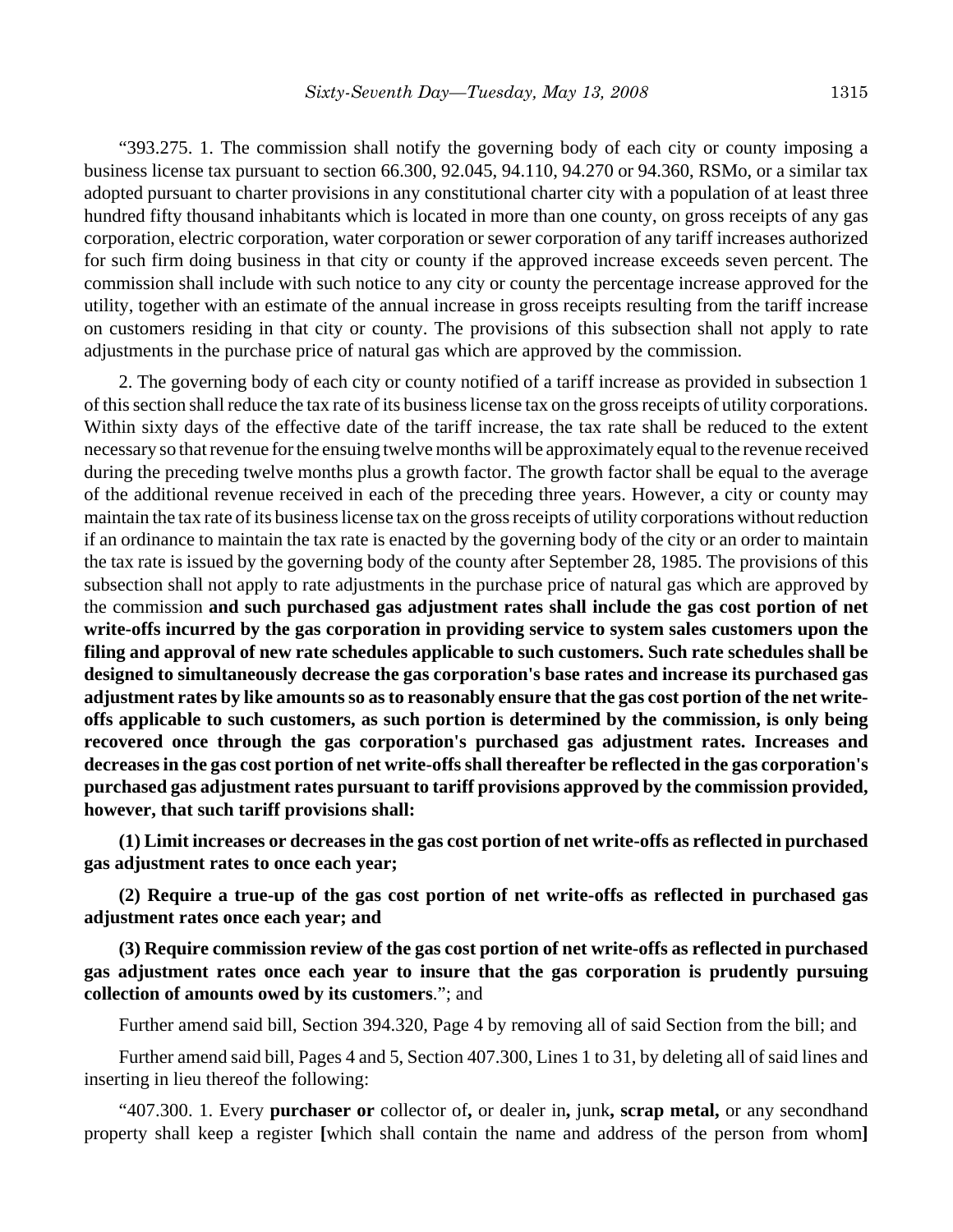"393.275. 1. The commission shall notify the governing body of each city or county imposing a business license tax pursuant to section 66.300, 92.045, 94.110, 94.270 or 94.360, RSMo, or a similar tax adopted pursuant to charter provisions in any constitutional charter city with a population of at least three hundred fifty thousand inhabitants which is located in more than one county, on gross receipts of any gas corporation, electric corporation, water corporation or sewer corporation of any tariff increases authorized for such firm doing business in that city or county if the approved increase exceeds seven percent. The commission shall include with such notice to any city or county the percentage increase approved for the utility, together with an estimate of the annual increase in gross receipts resulting from the tariff increase on customers residing in that city or county. The provisions of this subsection shall not apply to rate adjustments in the purchase price of natural gas which are approved by the commission.

2. The governing body of each city or county notified of a tariff increase as provided in subsection 1 of this section shall reduce the tax rate of its business license tax on the gross receipts of utility corporations. Within sixty days of the effective date of the tariff increase, the tax rate shall be reduced to the extent necessary so that revenue for the ensuing twelve months will be approximately equal to the revenue received during the preceding twelve months plus a growth factor. The growth factor shall be equal to the average of the additional revenue received in each of the preceding three years. However, a city or county may maintain the tax rate of its business license tax on the gross receipts of utility corporations without reduction if an ordinance to maintain the tax rate is enacted by the governing body of the city or an order to maintain the tax rate is issued by the governing body of the county after September 28, 1985. The provisions of this subsection shall not apply to rate adjustments in the purchase price of natural gas which are approved by the commission **and such purchased gas adjustment rates shall include the gas cost portion of net write-offs incurred by the gas corporation in providing service to system sales customers upon the filing and approval of new rate schedules applicable to such customers. Such rate schedules shall be designed to simultaneously decrease the gas corporation's base rates and increase its purchased gas adjustment rates by like amounts so as to reasonably ensure that the gas cost portion of the net writeoffs applicable to such customers, as such portion is determined by the commission, is only being recovered once through the gas corporation's purchased gas adjustment rates. Increases and decreases in the gas cost portion of net write-offs shall thereafter be reflected in the gas corporation's purchased gas adjustment rates pursuant to tariff provisions approved by the commission provided, however, that such tariff provisions shall:**

**(1) Limit increases or decreases in the gas cost portion of net write-offs as reflected in purchased gas adjustment rates to once each year;**

**(2) Require a true-up of the gas cost portion of net write-offs as reflected in purchased gas adjustment rates once each year; and**

**(3) Require commission review of the gas cost portion of net write-offs as reflected in purchased gas adjustment rates once each year to insure that the gas corporation is prudently pursuing collection of amounts owed by its customers**."; and

Further amend said bill, Section 394.320, Page 4 by removing all of said Section from the bill; and

Further amend said bill, Pages 4 and 5, Section 407.300, Lines 1 to 31, by deleting all of said lines and inserting in lieu thereof the following:

"407.300. 1. Every **purchaser or** collector of**,** or dealer in**,** junk**, scrap metal,** or any secondhand property shall keep a register **[**which shall contain the name and address of the person from whom**]**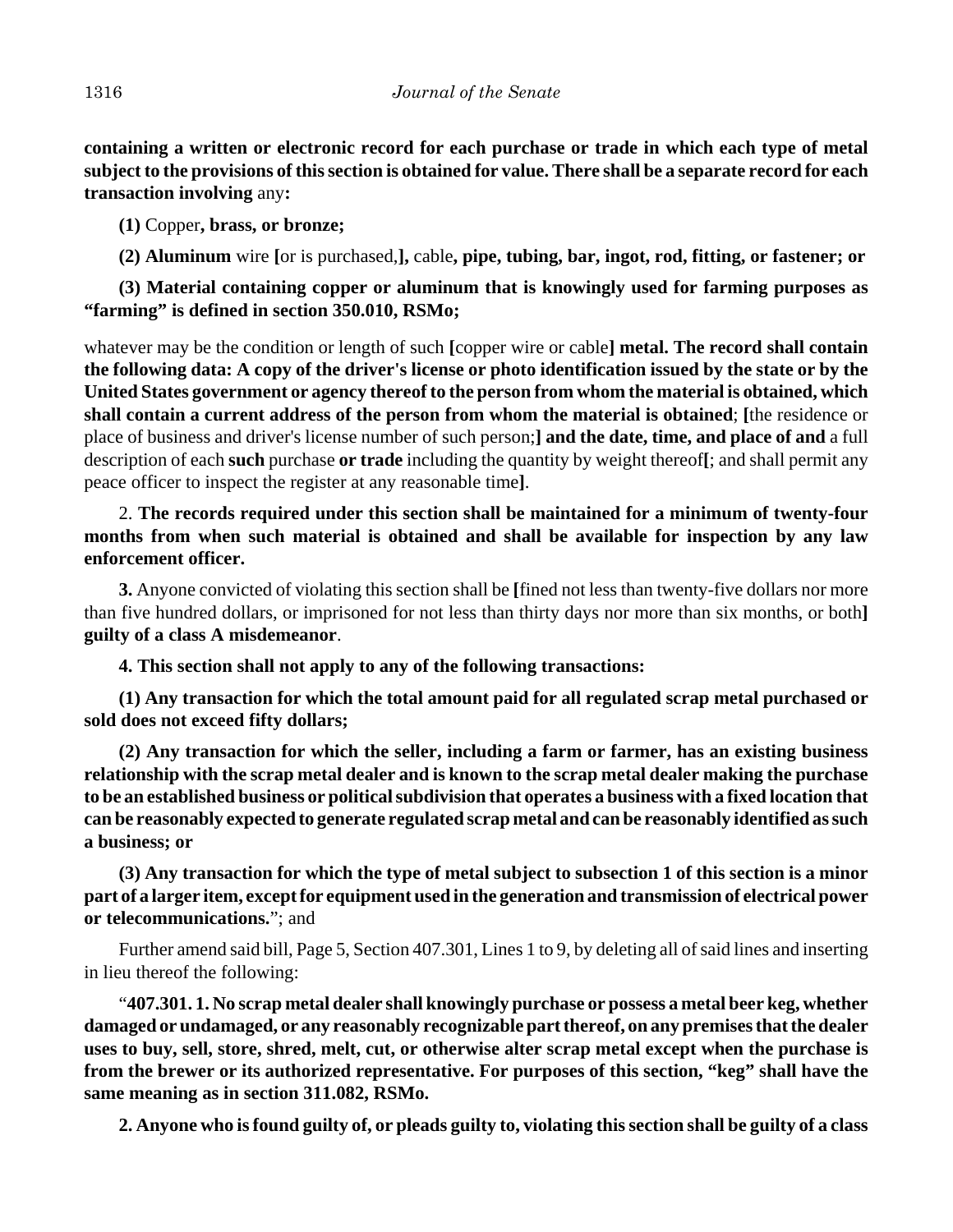**containing a written or electronic record for each purchase or trade in which each type of metal subject to the provisions of this section is obtained for value. There shall be a separate record for each transaction involving** any**:**

**(1)** Copper**, brass, or bronze;**

**(2) Aluminum** wire **[**or is purchased,**],** cable**, pipe, tubing, bar, ingot, rod, fitting, or fastener; or**

**(3) Material containing copper or aluminum that is knowingly used for farming purposes as "farming" is defined in section 350.010, RSMo;**

whatever may be the condition or length of such **[**copper wire or cable**] metal. The record shall contain the following data: A copy of the driver's license or photo identification issued by the state or by the United States government or agency thereof to the person from whom the material is obtained, which shall contain a current address of the person from whom the material is obtained**; **[**the residence or place of business and driver's license number of such person;**] and the date, time, and place of and** a full description of each **such** purchase **or trade** including the quantity by weight thereof**[**; and shall permit any peace officer to inspect the register at any reasonable time**]**.

2. **The records required under this section shall be maintained for a minimum of twenty-four months from when such material is obtained and shall be available for inspection by any law enforcement officer.**

**3.** Anyone convicted of violating this section shall be **[**fined not less than twenty-five dollars nor more than five hundred dollars, or imprisoned for not less than thirty days nor more than six months, or both**] guilty of a class A misdemeanor**.

**4. This section shall not apply to any of the following transactions:**

**(1) Any transaction for which the total amount paid for all regulated scrap metal purchased or sold does not exceed fifty dollars;**

**(2) Any transaction for which the seller, including a farm or farmer, has an existing business relationship with the scrap metal dealer and is known to the scrap metal dealer making the purchase to be an established business or political subdivision that operates a business with a fixed location that can be reasonably expected to generate regulated scrap metal and can be reasonably identified as such a business; or**

**(3) Any transaction for which the type of metal subject to subsection 1 of this section is a minor part of a larger item, except for equipment used in the generation and transmission of electrical power or telecommunications.**"; and

Further amend said bill, Page 5, Section 407.301, Lines 1 to 9, by deleting all of said lines and inserting in lieu thereof the following:

"**407.301. 1. No scrap metal dealer shall knowingly purchase or possess a metal beer keg, whether damaged or undamaged, or any reasonably recognizable part thereof, on any premises that the dealer uses to buy, sell, store, shred, melt, cut, or otherwise alter scrap metal except when the purchase is from the brewer or its authorized representative. For purposes of this section, "keg" shall have the same meaning as in section 311.082, RSMo.**

**2. Anyone who is found guilty of, or pleads guilty to, violating this section shall be guilty of a class**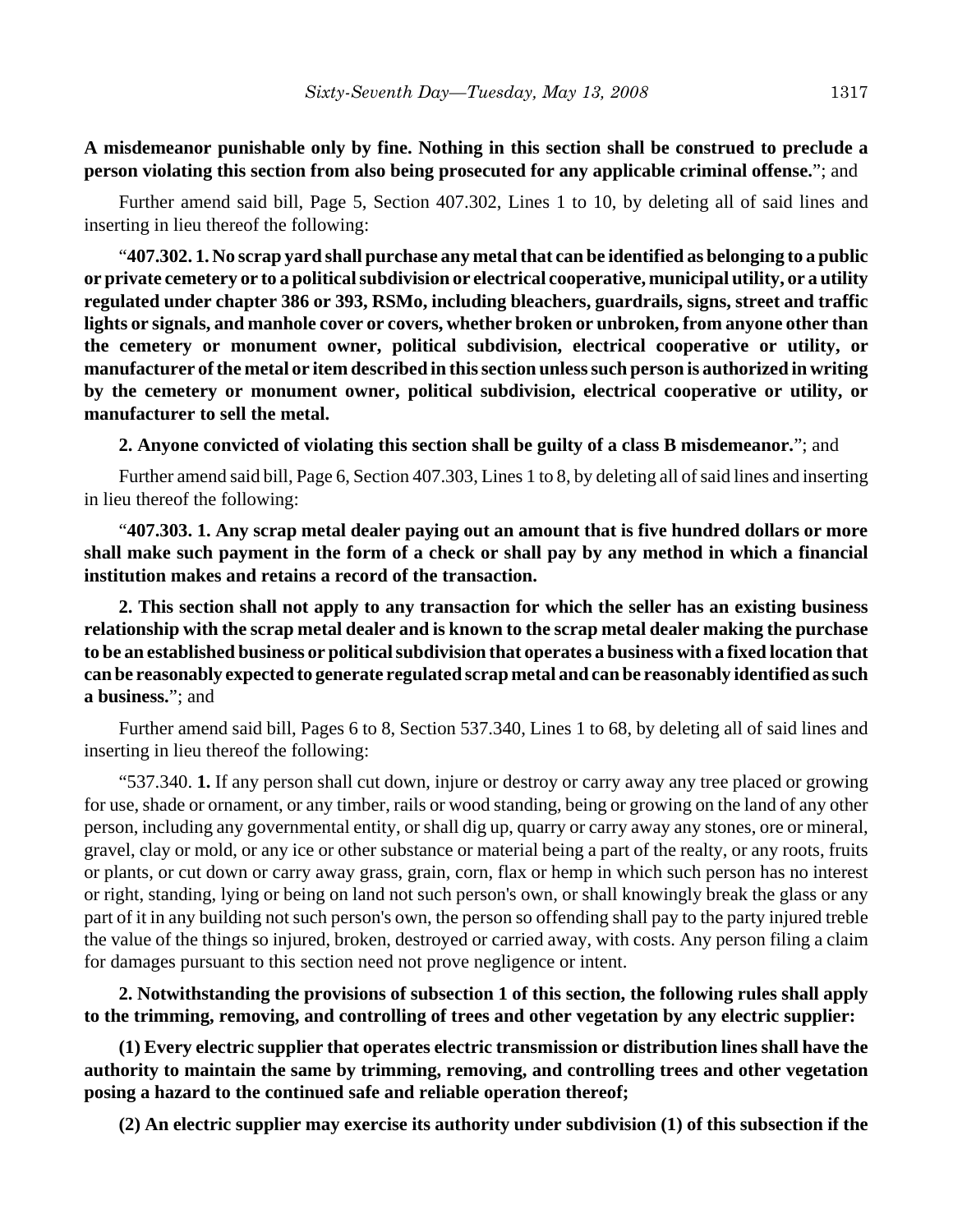**A misdemeanor punishable only by fine. Nothing in this section shall be construed to preclude a person violating this section from also being prosecuted for any applicable criminal offense.**"; and

Further amend said bill, Page 5, Section 407.302, Lines 1 to 10, by deleting all of said lines and inserting in lieu thereof the following:

"**407.302. 1. No scrap yard shall purchase any metal that can be identified as belonging to a public or private cemetery or to a political subdivision or electrical cooperative, municipal utility, or a utility regulated under chapter 386 or 393, RSMo, including bleachers, guardrails, signs, street and traffic lights or signals, and manhole cover or covers, whether broken or unbroken, from anyone other than the cemetery or monument owner, political subdivision, electrical cooperative or utility, or manufacturer of the metal or item described in this section unless such person is authorized in writing by the cemetery or monument owner, political subdivision, electrical cooperative or utility, or manufacturer to sell the metal.**

**2. Anyone convicted of violating this section shall be guilty of a class B misdemeanor.**"; and

Further amend said bill, Page 6, Section 407.303, Lines 1 to 8, by deleting all of said lines and inserting in lieu thereof the following:

"**407.303. 1. Any scrap metal dealer paying out an amount that is five hundred dollars or more shall make such payment in the form of a check or shall pay by any method in which a financial institution makes and retains a record of the transaction.**

**2. This section shall not apply to any transaction for which the seller has an existing business relationship with the scrap metal dealer and is known to the scrap metal dealer making the purchase to be an established business or political subdivision that operates a business with a fixed location that can be reasonably expected to generate regulated scrap metal and can be reasonably identified as such a business.**"; and

Further amend said bill, Pages 6 to 8, Section 537.340, Lines 1 to 68, by deleting all of said lines and inserting in lieu thereof the following:

"537.340. **1.** If any person shall cut down, injure or destroy or carry away any tree placed or growing for use, shade or ornament, or any timber, rails or wood standing, being or growing on the land of any other person, including any governmental entity, or shall dig up, quarry or carry away any stones, ore or mineral, gravel, clay or mold, or any ice or other substance or material being a part of the realty, or any roots, fruits or plants, or cut down or carry away grass, grain, corn, flax or hemp in which such person has no interest or right, standing, lying or being on land not such person's own, or shall knowingly break the glass or any part of it in any building not such person's own, the person so offending shall pay to the party injured treble the value of the things so injured, broken, destroyed or carried away, with costs. Any person filing a claim for damages pursuant to this section need not prove negligence or intent.

**2. Notwithstanding the provisions of subsection 1 of this section, the following rules shall apply to the trimming, removing, and controlling of trees and other vegetation by any electric supplier:**

**(1) Every electric supplier that operates electric transmission or distribution lines shall have the authority to maintain the same by trimming, removing, and controlling trees and other vegetation posing a hazard to the continued safe and reliable operation thereof;**

**(2) An electric supplier may exercise its authority under subdivision (1) of this subsection if the**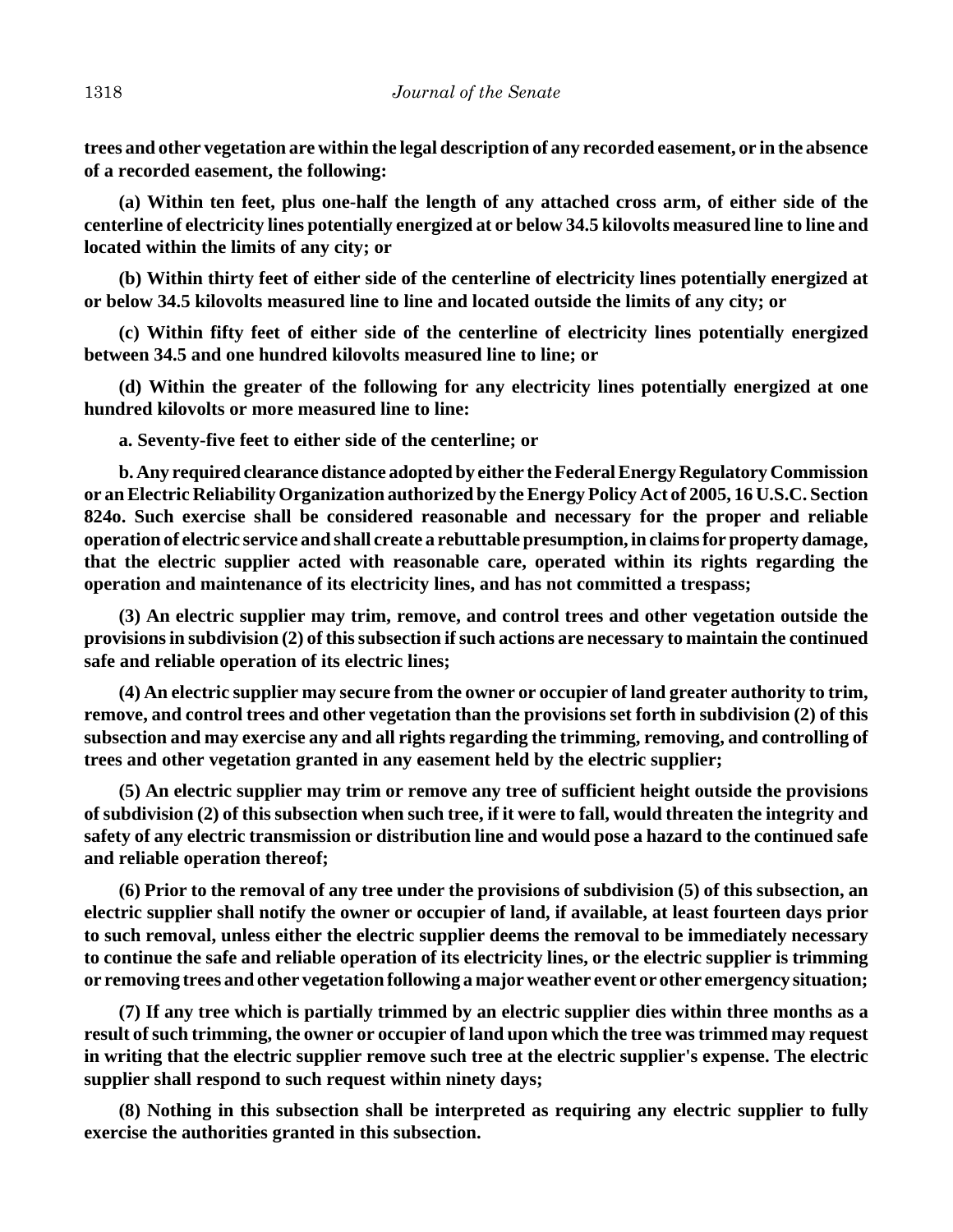**trees and other vegetation are within the legal description of any recorded easement, or in the absence of a recorded easement, the following:**

**(a) Within ten feet, plus one-half the length of any attached cross arm, of either side of the centerline of electricity lines potentially energized at or below 34.5 kilovolts measured line to line and located within the limits of any city; or**

**(b) Within thirty feet of either side of the centerline of electricity lines potentially energized at or below 34.5 kilovolts measured line to line and located outside the limits of any city; or**

**(c) Within fifty feet of either side of the centerline of electricity lines potentially energized between 34.5 and one hundred kilovolts measured line to line; or**

**(d) Within the greater of the following for any electricity lines potentially energized at one hundred kilovolts or more measured line to line:**

**a. Seventy-five feet to either side of the centerline; or**

**b. Any required clearance distance adopted by either the Federal Energy Regulatory Commission or an Electric Reliability Organization authorized by the Energy Policy Act of 2005, 16 U.S.C. Section 824o. Such exercise shall be considered reasonable and necessary for the proper and reliable operation of electric service and shall create a rebuttable presumption, in claims for property damage, that the electric supplier acted with reasonable care, operated within its rights regarding the operation and maintenance of its electricity lines, and has not committed a trespass;**

**(3) An electric supplier may trim, remove, and control trees and other vegetation outside the provisions in subdivision (2) of this subsection if such actions are necessary to maintain the continued safe and reliable operation of its electric lines;**

**(4) An electric supplier may secure from the owner or occupier of land greater authority to trim, remove, and control trees and other vegetation than the provisions set forth in subdivision (2) of this subsection and may exercise any and all rights regarding the trimming, removing, and controlling of trees and other vegetation granted in any easement held by the electric supplier;**

**(5) An electric supplier may trim or remove any tree of sufficient height outside the provisions of subdivision (2) of this subsection when such tree, if it were to fall, would threaten the integrity and safety of any electric transmission or distribution line and would pose a hazard to the continued safe and reliable operation thereof;**

**(6) Prior to the removal of any tree under the provisions of subdivision (5) of this subsection, an electric supplier shall notify the owner or occupier of land, if available, at least fourteen days prior to such removal, unless either the electric supplier deems the removal to be immediately necessary to continue the safe and reliable operation of its electricity lines, or the electric supplier is trimming or removing trees and other vegetation following a major weather event or other emergency situation;**

**(7) If any tree which is partially trimmed by an electric supplier dies within three months as a result of such trimming, the owner or occupier of land upon which the tree was trimmed may request in writing that the electric supplier remove such tree at the electric supplier's expense. The electric supplier shall respond to such request within ninety days;**

**(8) Nothing in this subsection shall be interpreted as requiring any electric supplier to fully exercise the authorities granted in this subsection.**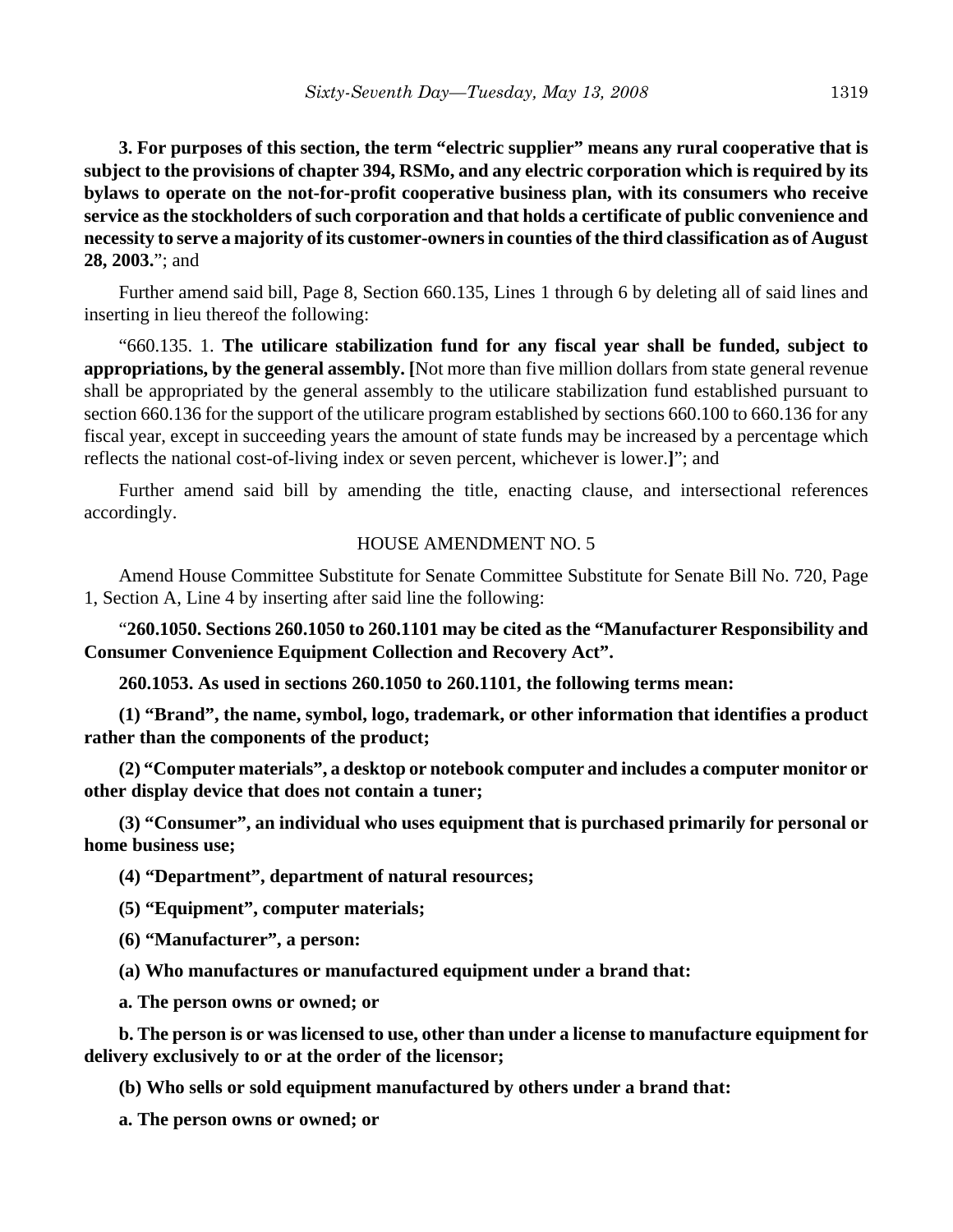**3. For purposes of this section, the term "electric supplier" means any rural cooperative that is subject to the provisions of chapter 394, RSMo, and any electric corporation which is required by its bylaws to operate on the not-for-profit cooperative business plan, with its consumers who receive service as the stockholders of such corporation and that holds a certificate of public convenience and necessity to serve a majority of its customer-owners in counties of the third classification as of August 28, 2003.**"; and

Further amend said bill, Page 8, Section 660.135, Lines 1 through 6 by deleting all of said lines and inserting in lieu thereof the following:

"660.135. 1. **The utilicare stabilization fund for any fiscal year shall be funded, subject to appropriations, by the general assembly. [**Not more than five million dollars from state general revenue shall be appropriated by the general assembly to the utilicare stabilization fund established pursuant to section 660.136 for the support of the utilicare program established by sections 660.100 to 660.136 for any fiscal year, except in succeeding years the amount of state funds may be increased by a percentage which reflects the national cost-of-living index or seven percent, whichever is lower.**]**"; and

Further amend said bill by amending the title, enacting clause, and intersectional references accordingly.

#### HOUSE AMENDMENT NO. 5

Amend House Committee Substitute for Senate Committee Substitute for Senate Bill No. 720, Page 1, Section A, Line 4 by inserting after said line the following:

"**260.1050. Sections 260.1050 to 260.1101 may be cited as the "Manufacturer Responsibility and Consumer Convenience Equipment Collection and Recovery Act".**

**260.1053. As used in sections 260.1050 to 260.1101, the following terms mean:**

**(1) "Brand", the name, symbol, logo, trademark, or other information that identifies a product rather than the components of the product;**

**(2) "Computer materials", a desktop or notebook computer and includes a computer monitor or other display device that does not contain a tuner;**

**(3) "Consumer", an individual who uses equipment that is purchased primarily for personal or home business use;**

**(4) "Department", department of natural resources;**

**(5) "Equipment", computer materials;**

**(6) "Manufacturer", a person:**

**(a) Who manufactures or manufactured equipment under a brand that:**

**a. The person owns or owned; or**

**b. The person is or was licensed to use, other than under a license to manufacture equipment for delivery exclusively to or at the order of the licensor;**

**(b) Who sells or sold equipment manufactured by others under a brand that:**

**a. The person owns or owned; or**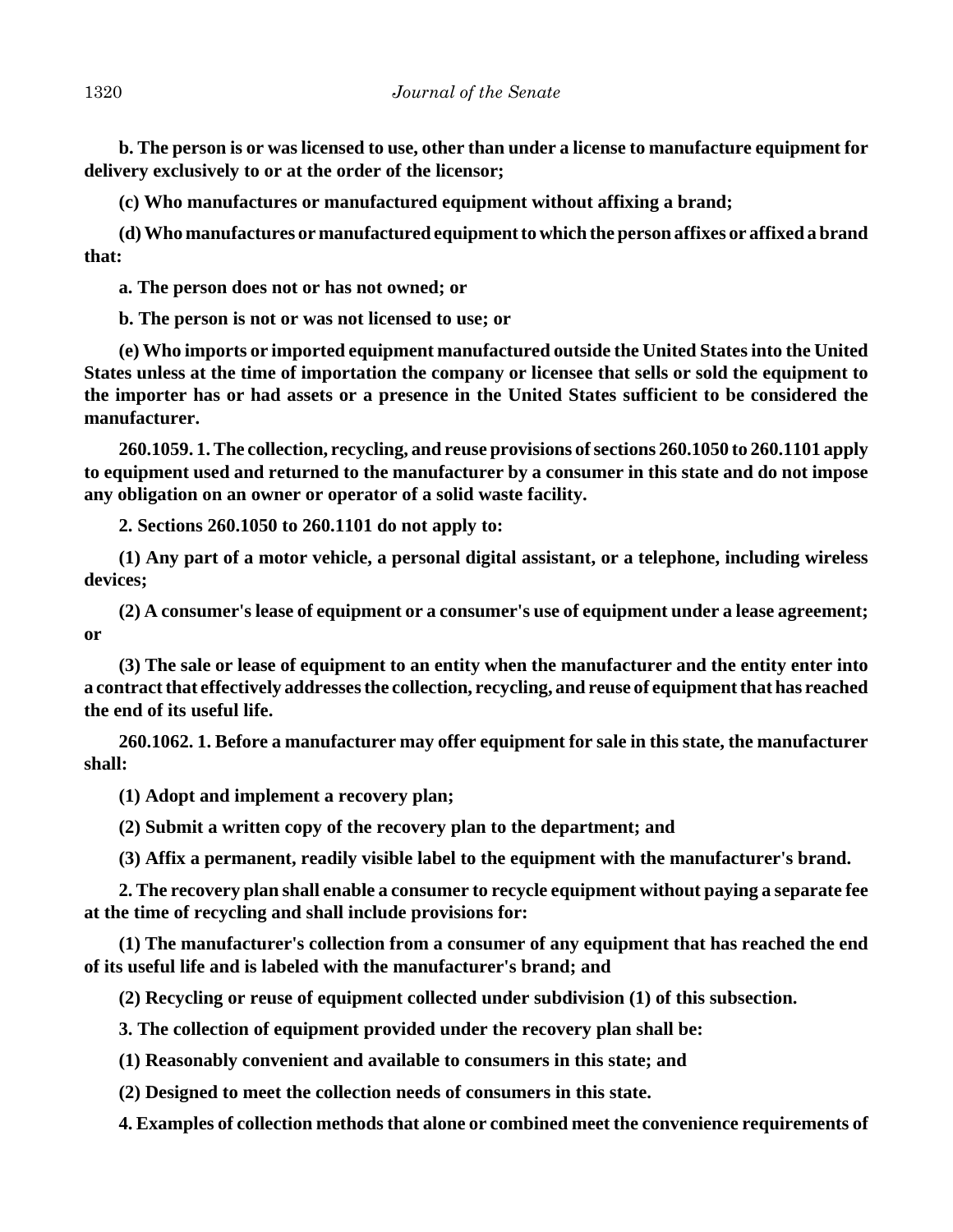**b. The person is or was licensed to use, other than under a license to manufacture equipment for delivery exclusively to or at the order of the licensor;**

**(c) Who manufactures or manufactured equipment without affixing a brand;**

**(d) Who manufactures or manufactured equipment to which the person affixes or affixed a brand that:**

**a. The person does not or has not owned; or**

**b. The person is not or was not licensed to use; or**

**(e) Who imports or imported equipment manufactured outside the United States into the United States unless at the time of importation the company or licensee that sells or sold the equipment to the importer has or had assets or a presence in the United States sufficient to be considered the manufacturer.**

**260.1059. 1. The collection, recycling, and reuse provisions of sections 260.1050 to 260.1101 apply to equipment used and returned to the manufacturer by a consumer in this state and do not impose any obligation on an owner or operator of a solid waste facility.**

**2. Sections 260.1050 to 260.1101 do not apply to:**

**(1) Any part of a motor vehicle, a personal digital assistant, or a telephone, including wireless devices;**

**(2) A consumer's lease of equipment or a consumer's use of equipment under a lease agreement; or**

**(3) The sale or lease of equipment to an entity when the manufacturer and the entity enter into a contract that effectively addresses the collection, recycling, and reuse of equipment that has reached the end of its useful life.**

**260.1062. 1. Before a manufacturer may offer equipment for sale in this state, the manufacturer shall:**

**(1) Adopt and implement a recovery plan;**

**(2) Submit a written copy of the recovery plan to the department; and**

**(3) Affix a permanent, readily visible label to the equipment with the manufacturer's brand.**

**2. The recovery plan shall enable a consumer to recycle equipment without paying a separate fee at the time of recycling and shall include provisions for:**

**(1) The manufacturer's collection from a consumer of any equipment that has reached the end of its useful life and is labeled with the manufacturer's brand; and**

**(2) Recycling or reuse of equipment collected under subdivision (1) of this subsection.**

**3. The collection of equipment provided under the recovery plan shall be:**

**(1) Reasonably convenient and available to consumers in this state; and**

**(2) Designed to meet the collection needs of consumers in this state.**

**4. Examples of collection methods that alone or combined meet the convenience requirements of**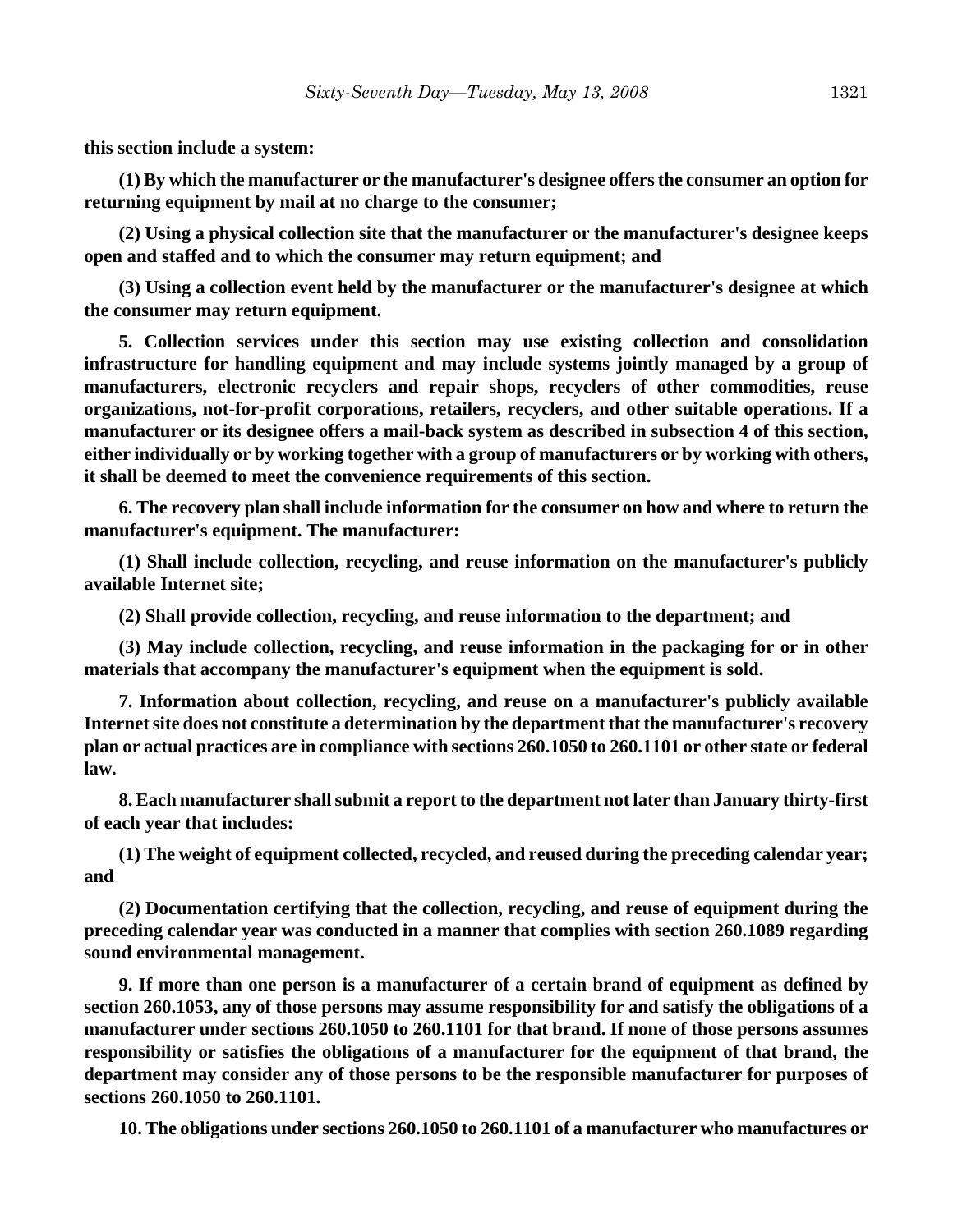**this section include a system:**

**(1) By which the manufacturer or the manufacturer's designee offers the consumer an option for returning equipment by mail at no charge to the consumer;**

**(2) Using a physical collection site that the manufacturer or the manufacturer's designee keeps open and staffed and to which the consumer may return equipment; and**

**(3) Using a collection event held by the manufacturer or the manufacturer's designee at which the consumer may return equipment.**

**5. Collection services under this section may use existing collection and consolidation infrastructure for handling equipment and may include systems jointly managed by a group of manufacturers, electronic recyclers and repair shops, recyclers of other commodities, reuse organizations, not-for-profit corporations, retailers, recyclers, and other suitable operations. If a manufacturer or its designee offers a mail-back system as described in subsection 4 of this section, either individually or by working together with a group of manufacturers or by working with others, it shall be deemed to meet the convenience requirements of this section.** 

**6. The recovery plan shall include information for the consumer on how and where to return the manufacturer's equipment. The manufacturer:**

**(1) Shall include collection, recycling, and reuse information on the manufacturer's publicly available Internet site;**

**(2) Shall provide collection, recycling, and reuse information to the department; and**

**(3) May include collection, recycling, and reuse information in the packaging for or in other materials that accompany the manufacturer's equipment when the equipment is sold.**

**7. Information about collection, recycling, and reuse on a manufacturer's publicly available Internet site does not constitute a determination by the department that the manufacturer's recovery plan or actual practices are in compliance with sections 260.1050 to 260.1101 or other state or federal law.**

**8. Each manufacturer shall submit a report to the department not later than January thirty-first of each year that includes:**

**(1) The weight of equipment collected, recycled, and reused during the preceding calendar year; and**

**(2) Documentation certifying that the collection, recycling, and reuse of equipment during the preceding calendar year was conducted in a manner that complies with section 260.1089 regarding sound environmental management.**

**9. If more than one person is a manufacturer of a certain brand of equipment as defined by section 260.1053, any of those persons may assume responsibility for and satisfy the obligations of a manufacturer under sections 260.1050 to 260.1101 for that brand. If none of those persons assumes responsibility or satisfies the obligations of a manufacturer for the equipment of that brand, the department may consider any of those persons to be the responsible manufacturer for purposes of sections 260.1050 to 260.1101.**

**10. The obligations under sections 260.1050 to 260.1101 of a manufacturer who manufactures or**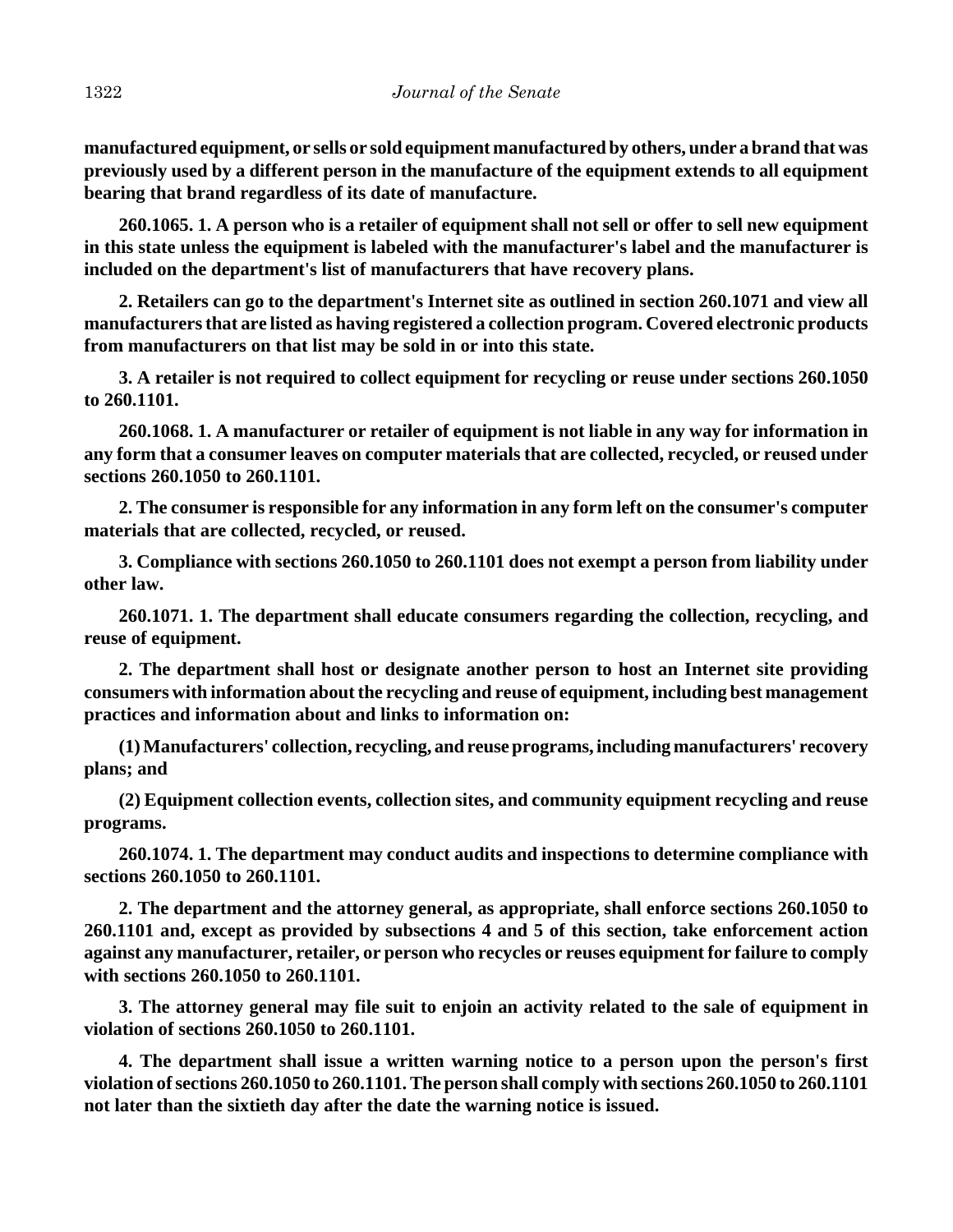**manufactured equipment, or sells or sold equipment manufactured by others, under a brand that was previously used by a different person in the manufacture of the equipment extends to all equipment bearing that brand regardless of its date of manufacture.**

**260.1065. 1. A person who is a retailer of equipment shall not sell or offer to sell new equipment in this state unless the equipment is labeled with the manufacturer's label and the manufacturer is included on the department's list of manufacturers that have recovery plans.**

**2. Retailers can go to the department's Internet site as outlined in section 260.1071 and view all manufacturers that are listed as having registered a collection program. Covered electronic products from manufacturers on that list may be sold in or into this state.**

**3. A retailer is not required to collect equipment for recycling or reuse under sections 260.1050 to 260.1101.**

**260.1068. 1. A manufacturer or retailer of equipment is not liable in any way for information in any form that a consumer leaves on computer materials that are collected, recycled, or reused under sections 260.1050 to 260.1101.**

**2. The consumer is responsible for any information in any form left on the consumer's computer materials that are collected, recycled, or reused.**

**3. Compliance with sections 260.1050 to 260.1101 does not exempt a person from liability under other law.**

**260.1071. 1. The department shall educate consumers regarding the collection, recycling, and reuse of equipment.**

**2. The department shall host or designate another person to host an Internet site providing consumers with information about the recycling and reuse of equipment, including best management practices and information about and links to information on:**

**(1) Manufacturers' collection, recycling, and reuse programs, including manufacturers' recovery plans; and**

**(2) Equipment collection events, collection sites, and community equipment recycling and reuse programs.**

**260.1074. 1. The department may conduct audits and inspections to determine compliance with sections 260.1050 to 260.1101.**

**2. The department and the attorney general, as appropriate, shall enforce sections 260.1050 to 260.1101 and, except as provided by subsections 4 and 5 of this section, take enforcement action against any manufacturer, retailer, or person who recycles or reuses equipment for failure to comply with sections 260.1050 to 260.1101.**

**3. The attorney general may file suit to enjoin an activity related to the sale of equipment in violation of sections 260.1050 to 260.1101.**

**4. The department shall issue a written warning notice to a person upon the person's first violation of sections 260.1050 to 260.1101. The person shall comply with sections 260.1050 to 260.1101 not later than the sixtieth day after the date the warning notice is issued.**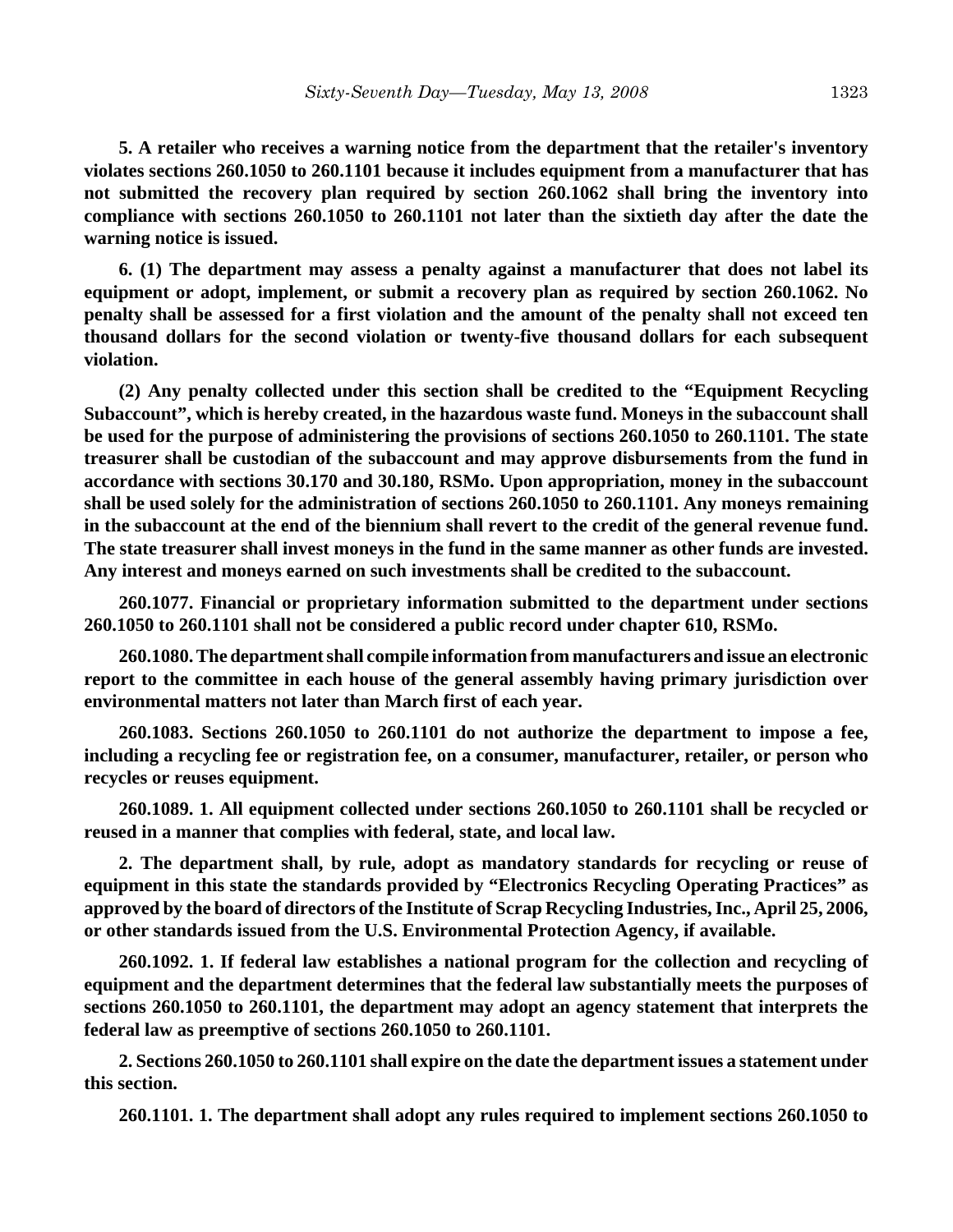**5. A retailer who receives a warning notice from the department that the retailer's inventory violates sections 260.1050 to 260.1101 because it includes equipment from a manufacturer that has not submitted the recovery plan required by section 260.1062 shall bring the inventory into compliance with sections 260.1050 to 260.1101 not later than the sixtieth day after the date the warning notice is issued.**

**6. (1) The department may assess a penalty against a manufacturer that does not label its equipment or adopt, implement, or submit a recovery plan as required by section 260.1062. No penalty shall be assessed for a first violation and the amount of the penalty shall not exceed ten thousand dollars for the second violation or twenty-five thousand dollars for each subsequent violation.**

**(2) Any penalty collected under this section shall be credited to the "Equipment Recycling Subaccount", which is hereby created, in the hazardous waste fund. Moneys in the subaccount shall be used for the purpose of administering the provisions of sections 260.1050 to 260.1101. The state treasurer shall be custodian of the subaccount and may approve disbursements from the fund in accordance with sections 30.170 and 30.180, RSMo. Upon appropriation, money in the subaccount shall be used solely for the administration of sections 260.1050 to 260.1101. Any moneys remaining in the subaccount at the end of the biennium shall revert to the credit of the general revenue fund. The state treasurer shall invest moneys in the fund in the same manner as other funds are invested. Any interest and moneys earned on such investments shall be credited to the subaccount.**

**260.1077. Financial or proprietary information submitted to the department under sections 260.1050 to 260.1101 shall not be considered a public record under chapter 610, RSMo.**

**260.1080. The department shall compile information from manufacturers and issue an electronic report to the committee in each house of the general assembly having primary jurisdiction over environmental matters not later than March first of each year.**

**260.1083. Sections 260.1050 to 260.1101 do not authorize the department to impose a fee, including a recycling fee or registration fee, on a consumer, manufacturer, retailer, or person who recycles or reuses equipment.**

**260.1089. 1. All equipment collected under sections 260.1050 to 260.1101 shall be recycled or reused in a manner that complies with federal, state, and local law.**

**2. The department shall, by rule, adopt as mandatory standards for recycling or reuse of equipment in this state the standards provided by "Electronics Recycling Operating Practices" as approved by the board of directors of the Institute of Scrap Recycling Industries, Inc., April 25, 2006, or other standards issued from the U.S. Environmental Protection Agency, if available.**

**260.1092. 1. If federal law establishes a national program for the collection and recycling of equipment and the department determines that the federal law substantially meets the purposes of sections 260.1050 to 260.1101, the department may adopt an agency statement that interprets the federal law as preemptive of sections 260.1050 to 260.1101.**

**2. Sections 260.1050 to 260.1101 shall expire on the date the department issues a statement under this section.**

**260.1101. 1. The department shall adopt any rules required to implement sections 260.1050 to**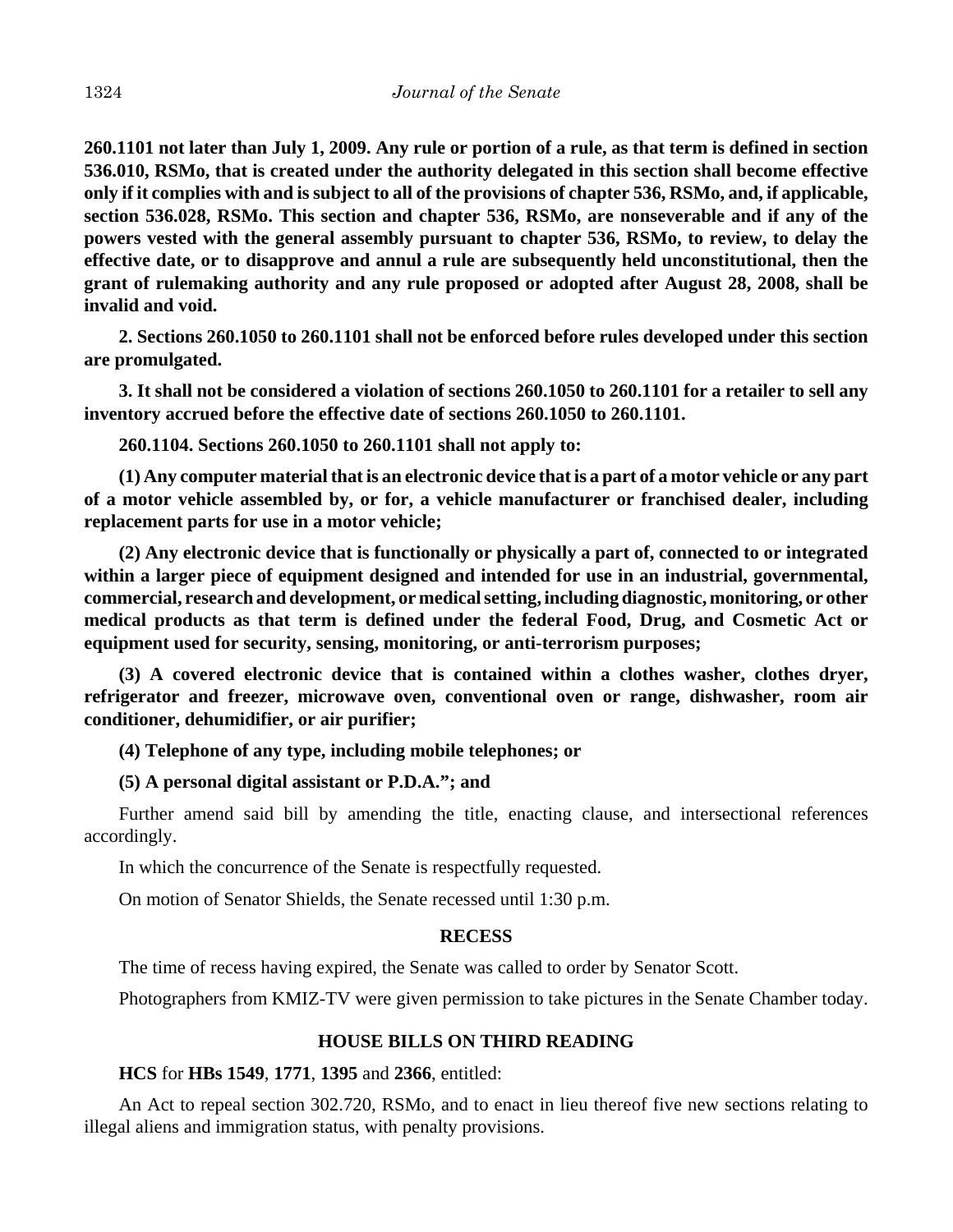**260.1101 not later than July 1, 2009. Any rule or portion of a rule, as that term is defined in section 536.010, RSMo, that is created under the authority delegated in this section shall become effective only if it complies with and is subject to all of the provisions of chapter 536, RSMo, and, if applicable, section 536.028, RSMo. This section and chapter 536, RSMo, are nonseverable and if any of the powers vested with the general assembly pursuant to chapter 536, RSMo, to review, to delay the effective date, or to disapprove and annul a rule are subsequently held unconstitutional, then the grant of rulemaking authority and any rule proposed or adopted after August 28, 2008, shall be invalid and void.**

**2. Sections 260.1050 to 260.1101 shall not be enforced before rules developed under this section are promulgated.**

**3. It shall not be considered a violation of sections 260.1050 to 260.1101 for a retailer to sell any inventory accrued before the effective date of sections 260.1050 to 260.1101.**

**260.1104. Sections 260.1050 to 260.1101 shall not apply to:**

**(1) Any computer material that is an electronic device that is a part of a motor vehicle or any part of a motor vehicle assembled by, or for, a vehicle manufacturer or franchised dealer, including replacement parts for use in a motor vehicle;**

**(2) Any electronic device that is functionally or physically a part of, connected to or integrated within a larger piece of equipment designed and intended for use in an industrial, governmental, commercial, research and development, or medical setting, including diagnostic, monitoring, or other medical products as that term is defined under the federal Food, Drug, and Cosmetic Act or equipment used for security, sensing, monitoring, or anti-terrorism purposes;**

**(3) A covered electronic device that is contained within a clothes washer, clothes dryer, refrigerator and freezer, microwave oven, conventional oven or range, dishwasher, room air conditioner, dehumidifier, or air purifier;**

### **(4) Telephone of any type, including mobile telephones; or**

#### **(5) A personal digital assistant or P.D.A."; and**

Further amend said bill by amending the title, enacting clause, and intersectional references accordingly.

In which the concurrence of the Senate is respectfully requested.

On motion of Senator Shields, the Senate recessed until 1:30 p.m.

#### **RECESS**

The time of recess having expired, the Senate was called to order by Senator Scott.

Photographers from KMIZ-TV were given permission to take pictures in the Senate Chamber today.

### **HOUSE BILLS ON THIRD READING**

#### **HCS** for **HBs 1549**, **1771**, **1395** and **2366**, entitled:

An Act to repeal section 302.720, RSMo, and to enact in lieu thereof five new sections relating to illegal aliens and immigration status, with penalty provisions.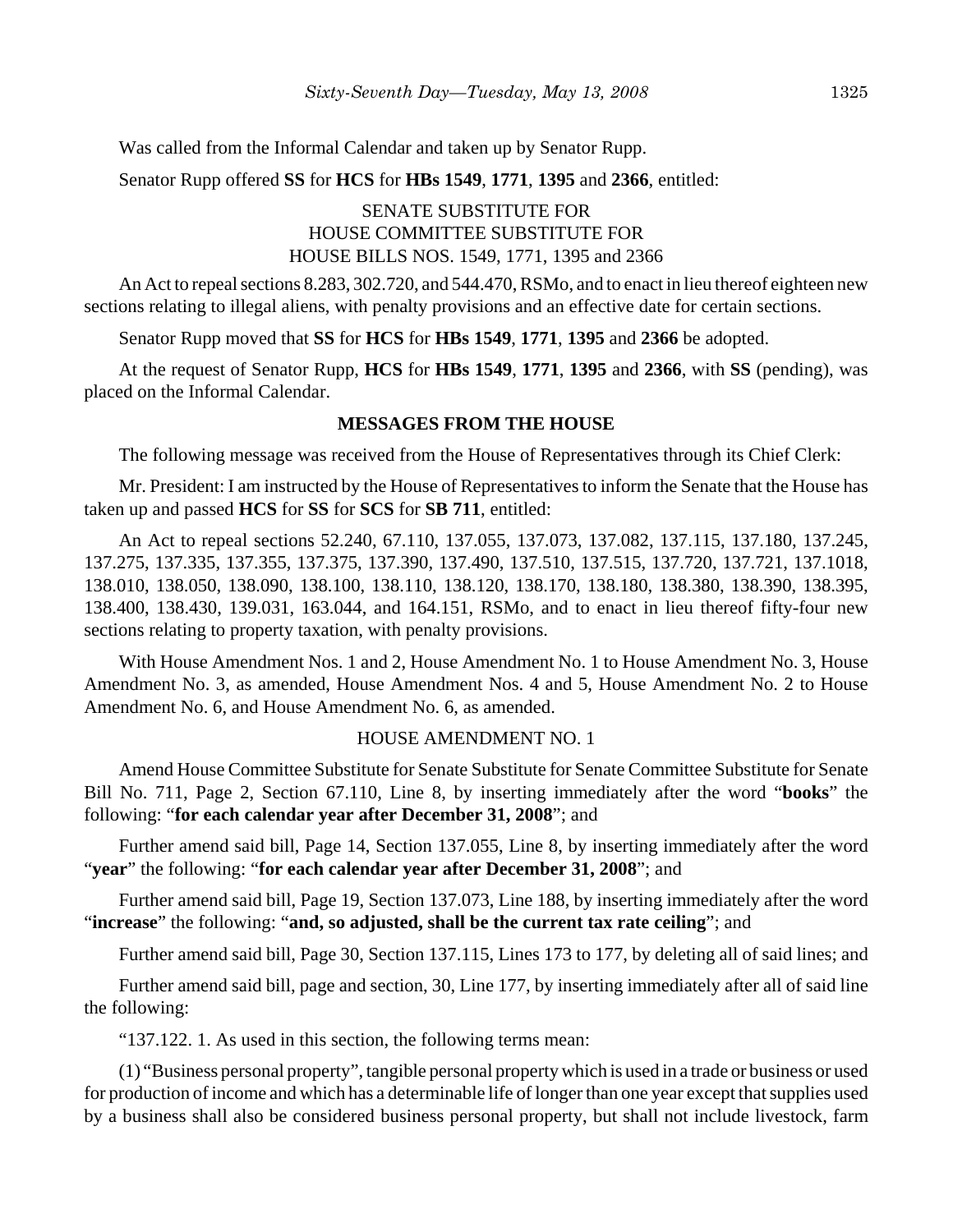Was called from the Informal Calendar and taken up by Senator Rupp.

Senator Rupp offered **SS** for **HCS** for **HBs 1549**, **1771**, **1395** and **2366**, entitled:

## SENATE SUBSTITUTE FOR HOUSE COMMITTEE SUBSTITUTE FOR HOUSE BILLS NOS. 1549, 1771, 1395 and 2366

An Act to repeal sections 8.283, 302.720, and 544.470, RSMo, and to enact in lieu thereof eighteen new sections relating to illegal aliens, with penalty provisions and an effective date for certain sections.

Senator Rupp moved that **SS** for **HCS** for **HBs 1549**, **1771**, **1395** and **2366** be adopted.

At the request of Senator Rupp, **HCS** for **HBs 1549**, **1771**, **1395** and **2366**, with **SS** (pending), was placed on the Informal Calendar.

#### **MESSAGES FROM THE HOUSE**

The following message was received from the House of Representatives through its Chief Clerk:

Mr. President: I am instructed by the House of Representatives to inform the Senate that the House has taken up and passed **HCS** for **SS** for **SCS** for **SB 711**, entitled:

An Act to repeal sections 52.240, 67.110, 137.055, 137.073, 137.082, 137.115, 137.180, 137.245, 137.275, 137.335, 137.355, 137.375, 137.390, 137.490, 137.510, 137.515, 137.720, 137.721, 137.1018, 138.010, 138.050, 138.090, 138.100, 138.110, 138.120, 138.170, 138.180, 138.380, 138.390, 138.395, 138.400, 138.430, 139.031, 163.044, and 164.151, RSMo, and to enact in lieu thereof fifty-four new sections relating to property taxation, with penalty provisions.

With House Amendment Nos. 1 and 2, House Amendment No. 1 to House Amendment No. 3, House Amendment No. 3, as amended, House Amendment Nos. 4 and 5, House Amendment No. 2 to House Amendment No. 6, and House Amendment No. 6, as amended.

### HOUSE AMENDMENT NO. 1

Amend House Committee Substitute for Senate Substitute for Senate Committee Substitute for Senate Bill No. 711, Page 2, Section 67.110, Line 8, by inserting immediately after the word "**books**" the following: "**for each calendar year after December 31, 2008**"; and

Further amend said bill, Page 14, Section 137.055, Line 8, by inserting immediately after the word "**year**" the following: "**for each calendar year after December 31, 2008**"; and

Further amend said bill, Page 19, Section 137.073, Line 188, by inserting immediately after the word "**increase**" the following: "**and, so adjusted, shall be the current tax rate ceiling**"; and

Further amend said bill, Page 30, Section 137.115, Lines 173 to 177, by deleting all of said lines; and

Further amend said bill, page and section, 30, Line 177, by inserting immediately after all of said line the following:

"137.122. 1. As used in this section, the following terms mean:

(1) "Business personal property", tangible personal property which is used in a trade or business or used for production of income and which has a determinable life of longer than one year except that supplies used by a business shall also be considered business personal property, but shall not include livestock, farm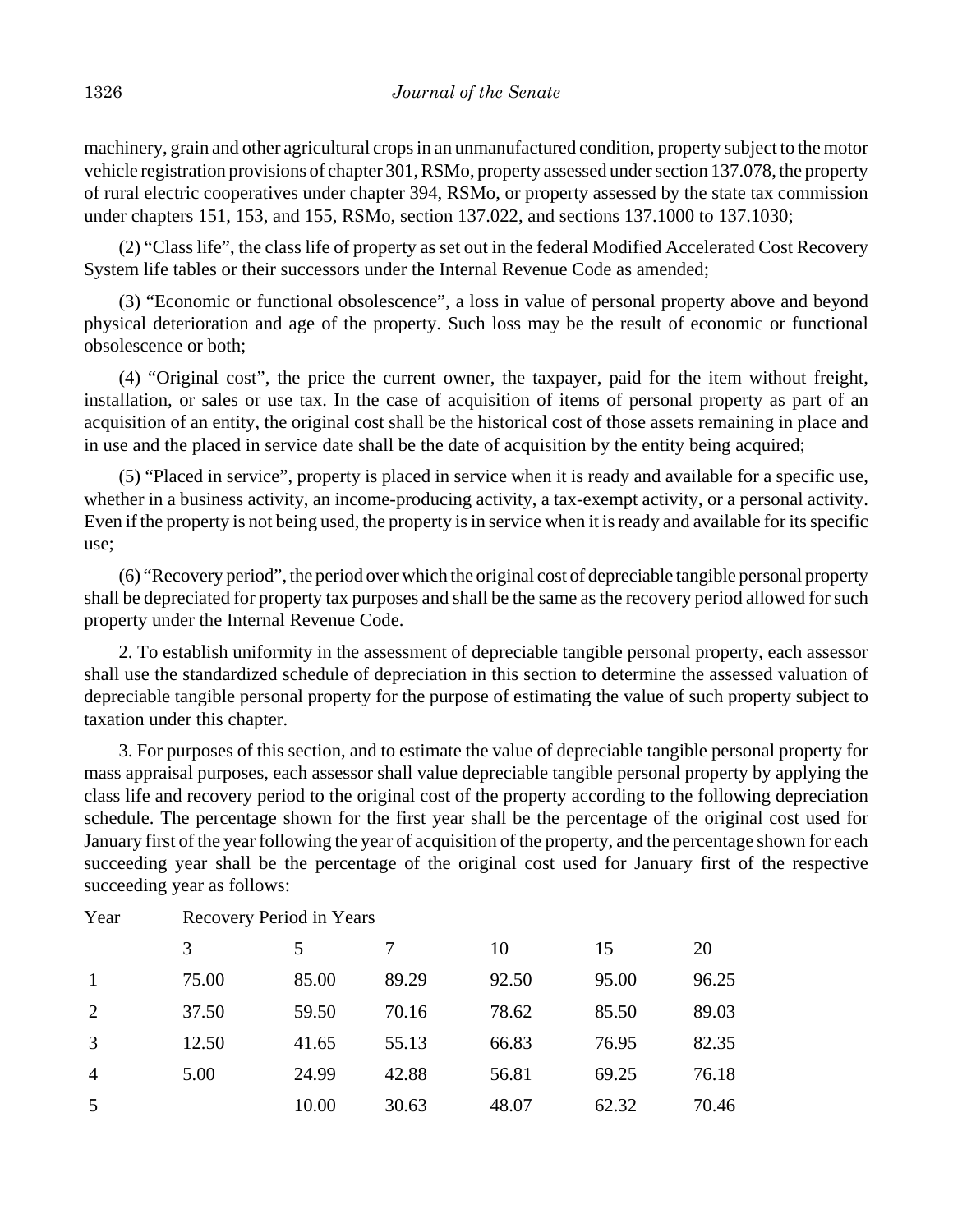machinery, grain and other agricultural crops in an unmanufactured condition, property subject to the motor vehicle registration provisions of chapter 301, RSMo, property assessed under section 137.078, the property of rural electric cooperatives under chapter 394, RSMo, or property assessed by the state tax commission under chapters 151, 153, and 155, RSMo, section 137.022, and sections 137.1000 to 137.1030;

(2) "Class life", the class life of property as set out in the federal Modified Accelerated Cost Recovery System life tables or their successors under the Internal Revenue Code as amended;

(3) "Economic or functional obsolescence", a loss in value of personal property above and beyond physical deterioration and age of the property. Such loss may be the result of economic or functional obsolescence or both;

(4) "Original cost", the price the current owner, the taxpayer, paid for the item without freight, installation, or sales or use tax. In the case of acquisition of items of personal property as part of an acquisition of an entity, the original cost shall be the historical cost of those assets remaining in place and in use and the placed in service date shall be the date of acquisition by the entity being acquired;

(5) "Placed in service", property is placed in service when it is ready and available for a specific use, whether in a business activity, an income-producing activity, a tax-exempt activity, or a personal activity. Even if the property is not being used, the property is in service when it is ready and available for its specific use;

(6) "Recovery period", the period over which the original cost of depreciable tangible personal property shall be depreciated for property tax purposes and shall be the same as the recovery period allowed for such property under the Internal Revenue Code.

2. To establish uniformity in the assessment of depreciable tangible personal property, each assessor shall use the standardized schedule of depreciation in this section to determine the assessed valuation of depreciable tangible personal property for the purpose of estimating the value of such property subject to taxation under this chapter.

3. For purposes of this section, and to estimate the value of depreciable tangible personal property for mass appraisal purposes, each assessor shall value depreciable tangible personal property by applying the class life and recovery period to the original cost of the property according to the following depreciation schedule. The percentage shown for the first year shall be the percentage of the original cost used for January first of the year following the year of acquisition of the property, and the percentage shown for each succeeding year shall be the percentage of the original cost used for January first of the respective succeeding year as follows:

|                | 3     | 5     |       | 10    | 15    | 20    |
|----------------|-------|-------|-------|-------|-------|-------|
| -1             | 75.00 | 85.00 | 89.29 | 92.50 | 95.00 | 96.25 |
| 2              | 37.50 | 59.50 | 70.16 | 78.62 | 85.50 | 89.03 |
| 3              | 12.50 | 41.65 | 55.13 | 66.83 | 76.95 | 82.35 |
| $\overline{4}$ | 5.00  | 24.99 | 42.88 | 56.81 | 69.25 | 76.18 |
| 5              |       | 10.00 | 30.63 | 48.07 | 62.32 | 70.46 |

Year Recovery Period in Years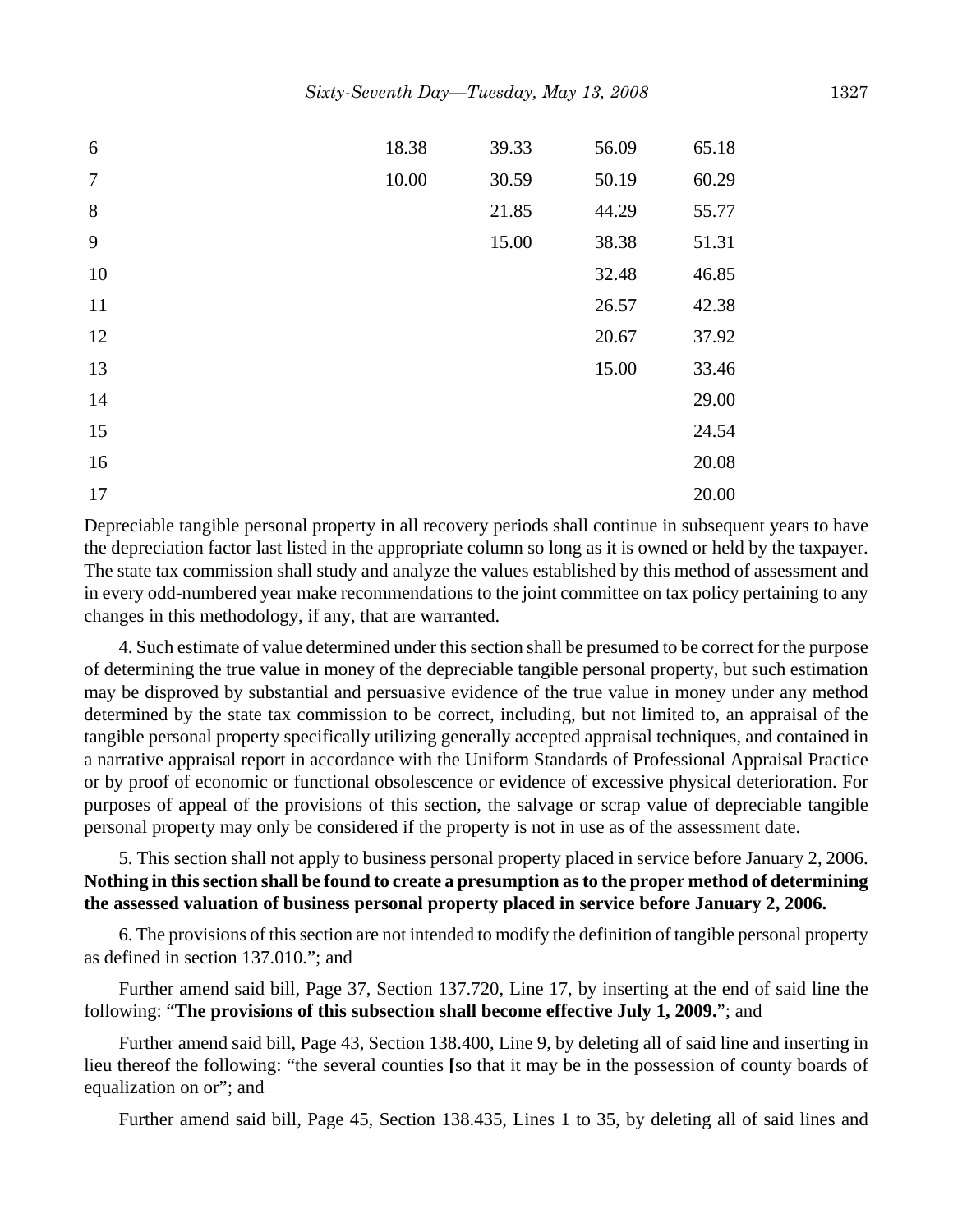| 6      | 18.38 | 39.33 | 56.09 | 65.18 |
|--------|-------|-------|-------|-------|
| $\tau$ | 10.00 | 30.59 | 50.19 | 60.29 |
| 8      |       | 21.85 | 44.29 | 55.77 |
| 9      |       | 15.00 | 38.38 | 51.31 |
| 10     |       |       | 32.48 | 46.85 |
| 11     |       |       | 26.57 | 42.38 |
| 12     |       |       | 20.67 | 37.92 |
| 13     |       |       | 15.00 | 33.46 |
| 14     |       |       |       | 29.00 |
| 15     |       |       |       | 24.54 |
| 16     |       |       |       | 20.08 |
| 17     |       |       |       | 20.00 |

Depreciable tangible personal property in all recovery periods shall continue in subsequent years to have the depreciation factor last listed in the appropriate column so long as it is owned or held by the taxpayer. The state tax commission shall study and analyze the values established by this method of assessment and in every odd-numbered year make recommendations to the joint committee on tax policy pertaining to any changes in this methodology, if any, that are warranted.

4. Such estimate of value determined under this section shall be presumed to be correct for the purpose of determining the true value in money of the depreciable tangible personal property, but such estimation may be disproved by substantial and persuasive evidence of the true value in money under any method determined by the state tax commission to be correct, including, but not limited to, an appraisal of the tangible personal property specifically utilizing generally accepted appraisal techniques, and contained in a narrative appraisal report in accordance with the Uniform Standards of Professional Appraisal Practice or by proof of economic or functional obsolescence or evidence of excessive physical deterioration. For purposes of appeal of the provisions of this section, the salvage or scrap value of depreciable tangible personal property may only be considered if the property is not in use as of the assessment date.

# 5. This section shall not apply to business personal property placed in service before January 2, 2006. **Nothing in this section shall be found to create a presumption as to the proper method of determining the assessed valuation of business personal property placed in service before January 2, 2006.**

6. The provisions of this section are not intended to modify the definition of tangible personal property as defined in section 137.010."; and

Further amend said bill, Page 37, Section 137.720, Line 17, by inserting at the end of said line the following: "**The provisions of this subsection shall become effective July 1, 2009.**"; and

Further amend said bill, Page 43, Section 138.400, Line 9, by deleting all of said line and inserting in lieu thereof the following: "the several counties **[**so that it may be in the possession of county boards of equalization on or"; and

Further amend said bill, Page 45, Section 138.435, Lines 1 to 35, by deleting all of said lines and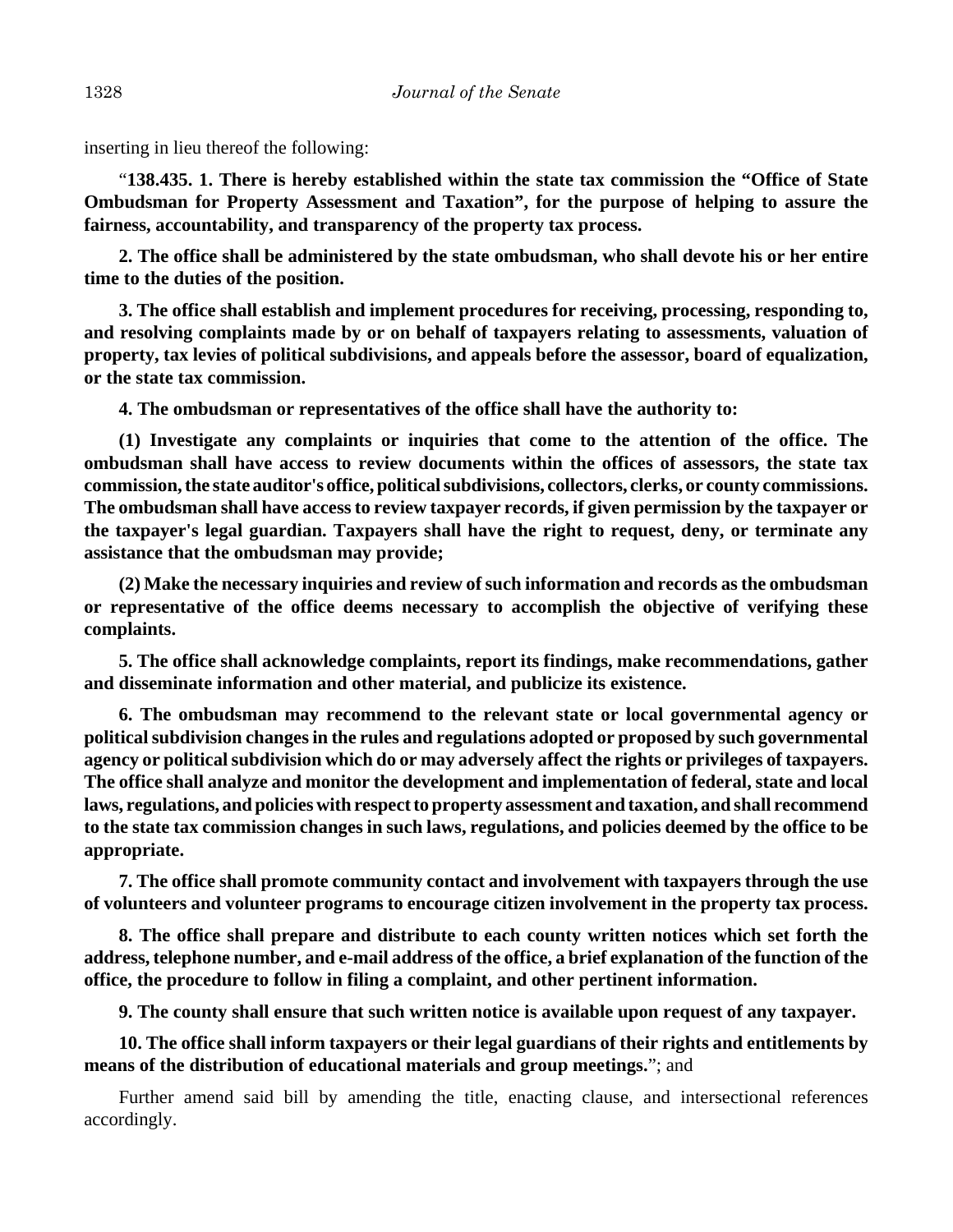inserting in lieu thereof the following:

"**138.435. 1. There is hereby established within the state tax commission the "Office of State Ombudsman for Property Assessment and Taxation", for the purpose of helping to assure the fairness, accountability, and transparency of the property tax process.**

**2. The office shall be administered by the state ombudsman, who shall devote his or her entire time to the duties of the position.**

**3. The office shall establish and implement procedures for receiving, processing, responding to, and resolving complaints made by or on behalf of taxpayers relating to assessments, valuation of property, tax levies of political subdivisions, and appeals before the assessor, board of equalization, or the state tax commission.**

**4. The ombudsman or representatives of the office shall have the authority to:**

**(1) Investigate any complaints or inquiries that come to the attention of the office. The ombudsman shall have access to review documents within the offices of assessors, the state tax commission, the state auditor's office, political subdivisions, collectors, clerks, or county commissions. The ombudsman shall have access to review taxpayer records, if given permission by the taxpayer or the taxpayer's legal guardian. Taxpayers shall have the right to request, deny, or terminate any assistance that the ombudsman may provide;**

**(2) Make the necessary inquiries and review of such information and records as the ombudsman or representative of the office deems necessary to accomplish the objective of verifying these complaints.**

**5. The office shall acknowledge complaints, report its findings, make recommendations, gather and disseminate information and other material, and publicize its existence.**

**6. The ombudsman may recommend to the relevant state or local governmental agency or political subdivision changes in the rules and regulations adopted or proposed by such governmental agency or political subdivision which do or may adversely affect the rights or privileges of taxpayers. The office shall analyze and monitor the development and implementation of federal, state and local laws, regulations, and policies with respect to property assessment and taxation, and shall recommend to the state tax commission changes in such laws, regulations, and policies deemed by the office to be appropriate.**

**7. The office shall promote community contact and involvement with taxpayers through the use of volunteers and volunteer programs to encourage citizen involvement in the property tax process.**

**8. The office shall prepare and distribute to each county written notices which set forth the address, telephone number, and e-mail address of the office, a brief explanation of the function of the office, the procedure to follow in filing a complaint, and other pertinent information.**

**9. The county shall ensure that such written notice is available upon request of any taxpayer.**

**10. The office shall inform taxpayers or their legal guardians of their rights and entitlements by means of the distribution of educational materials and group meetings.**"; and

Further amend said bill by amending the title, enacting clause, and intersectional references accordingly.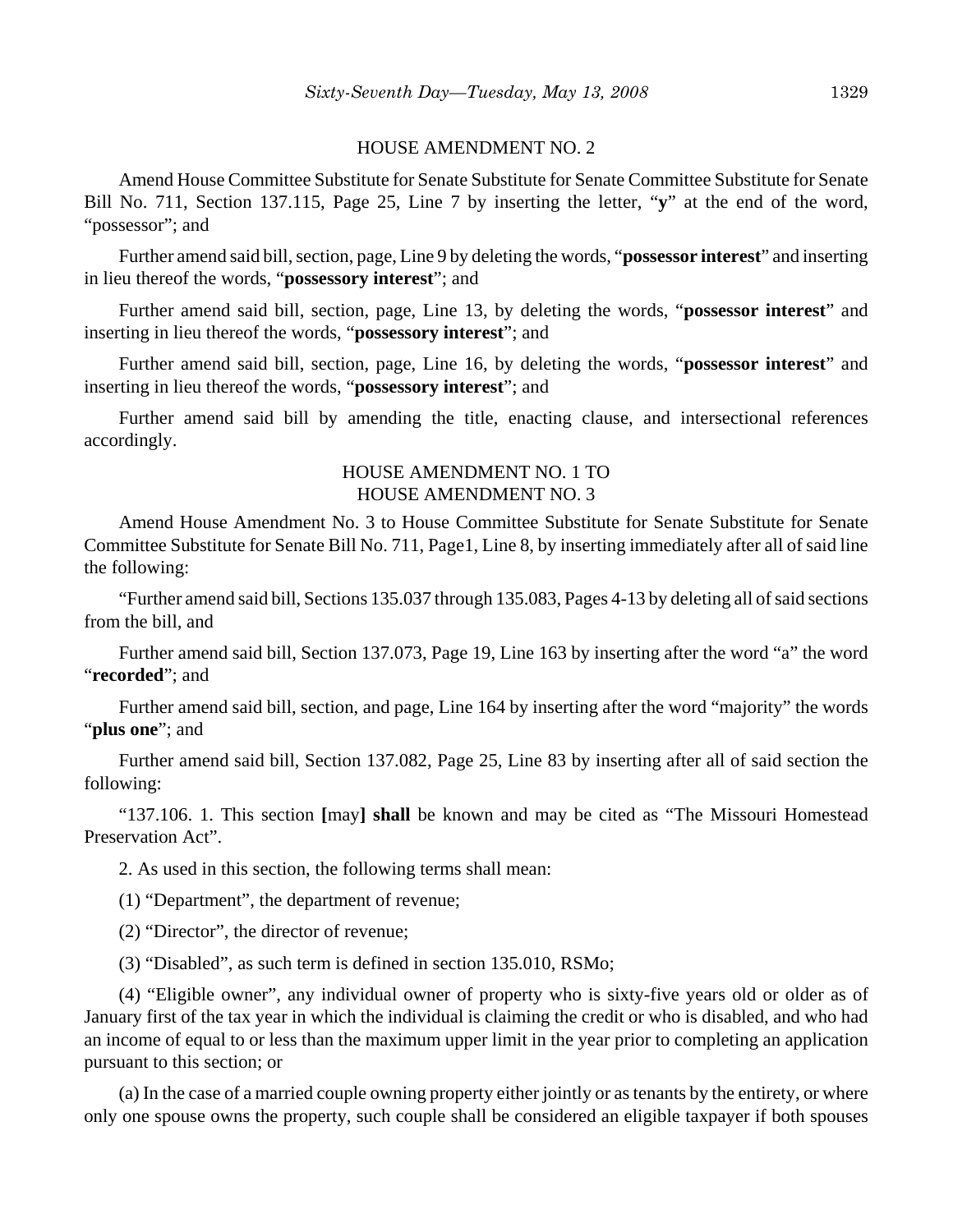#### HOUSE AMENDMENT NO. 2

Amend House Committee Substitute for Senate Substitute for Senate Committee Substitute for Senate Bill No. 711, Section 137.115, Page 25, Line 7 by inserting the letter, "**y**" at the end of the word, "possessor"; and

Further amend said bill, section, page, Line 9 by deleting the words, "**possessor interest**" and inserting in lieu thereof the words, "**possessory interest**"; and

Further amend said bill, section, page, Line 13, by deleting the words, "**possessor interest**" and inserting in lieu thereof the words, "**possessory interest**"; and

Further amend said bill, section, page, Line 16, by deleting the words, "**possessor interest**" and inserting in lieu thereof the words, "**possessory interest**"; and

Further amend said bill by amending the title, enacting clause, and intersectional references accordingly.

### HOUSE AMENDMENT NO. 1 TO HOUSE AMENDMENT NO. 3

Amend House Amendment No. 3 to House Committee Substitute for Senate Substitute for Senate Committee Substitute for Senate Bill No. 711, Page1, Line 8, by inserting immediately after all of said line the following:

"Further amend said bill, Sections 135.037 through 135.083, Pages 4-13 by deleting all of said sections from the bill, and

Further amend said bill, Section 137.073, Page 19, Line 163 by inserting after the word "a" the word "**recorded**"; and

Further amend said bill, section, and page, Line 164 by inserting after the word "majority" the words "**plus one**"; and

Further amend said bill, Section 137.082, Page 25, Line 83 by inserting after all of said section the following:

"137.106. 1. This section **[**may**] shall** be known and may be cited as "The Missouri Homestead Preservation Act".

2. As used in this section, the following terms shall mean:

(1) "Department", the department of revenue;

(2) "Director", the director of revenue;

(3) "Disabled", as such term is defined in section 135.010, RSMo;

(4) "Eligible owner", any individual owner of property who is sixty-five years old or older as of January first of the tax year in which the individual is claiming the credit or who is disabled, and who had an income of equal to or less than the maximum upper limit in the year prior to completing an application pursuant to this section; or

(a) In the case of a married couple owning property either jointly or as tenants by the entirety, or where only one spouse owns the property, such couple shall be considered an eligible taxpayer if both spouses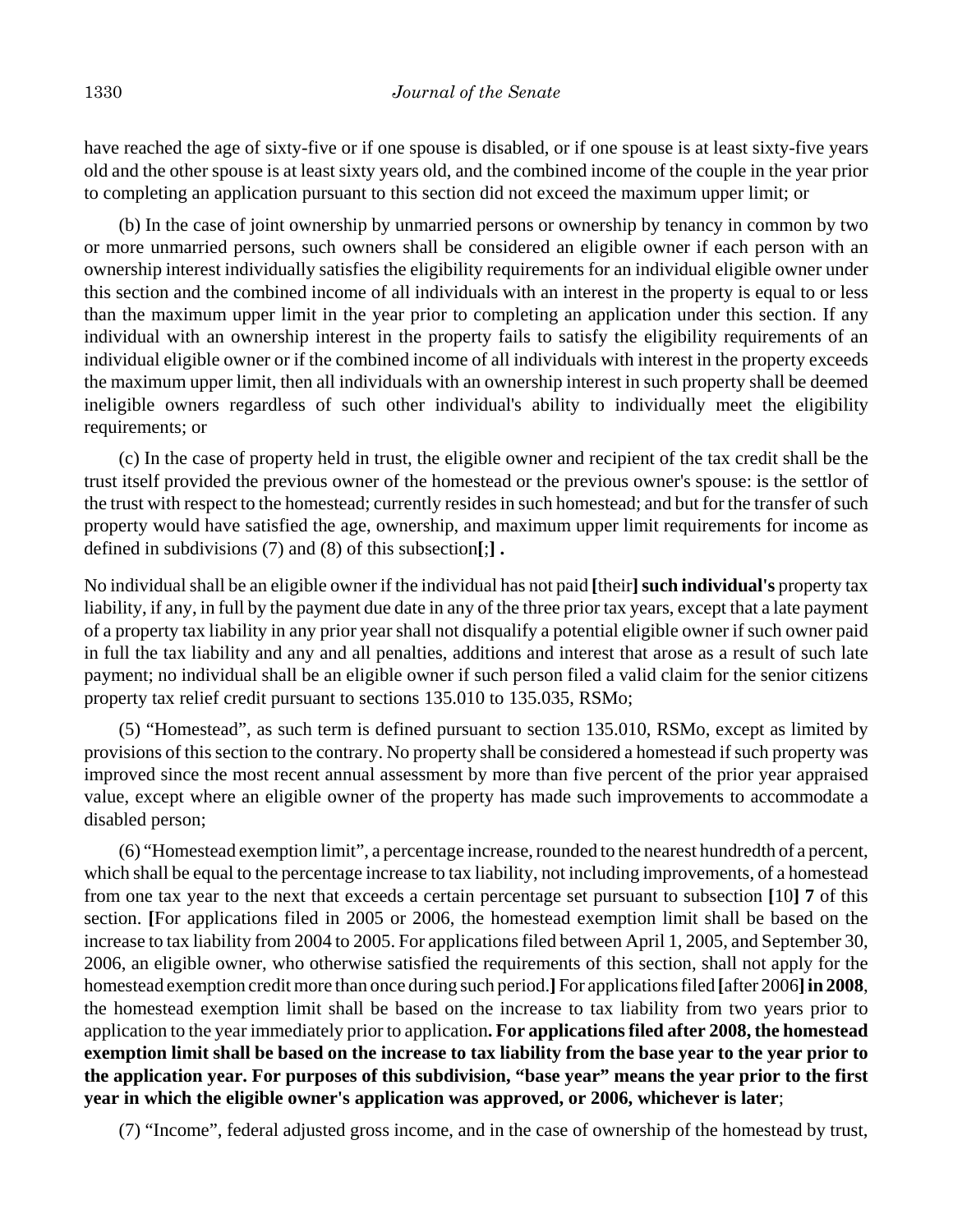have reached the age of sixty-five or if one spouse is disabled, or if one spouse is at least sixty-five years old and the other spouse is at least sixty years old, and the combined income of the couple in the year prior to completing an application pursuant to this section did not exceed the maximum upper limit; or

(b) In the case of joint ownership by unmarried persons or ownership by tenancy in common by two or more unmarried persons, such owners shall be considered an eligible owner if each person with an ownership interest individually satisfies the eligibility requirements for an individual eligible owner under this section and the combined income of all individuals with an interest in the property is equal to or less than the maximum upper limit in the year prior to completing an application under this section. If any individual with an ownership interest in the property fails to satisfy the eligibility requirements of an individual eligible owner or if the combined income of all individuals with interest in the property exceeds the maximum upper limit, then all individuals with an ownership interest in such property shall be deemed ineligible owners regardless of such other individual's ability to individually meet the eligibility requirements; or

(c) In the case of property held in trust, the eligible owner and recipient of the tax credit shall be the trust itself provided the previous owner of the homestead or the previous owner's spouse: is the settlor of the trust with respect to the homestead; currently resides in such homestead; and but for the transfer of such property would have satisfied the age, ownership, and maximum upper limit requirements for income as defined in subdivisions (7) and (8) of this subsection**[**;**] .**

No individual shall be an eligible owner if the individual has not paid [their] such individual's property tax liability, if any, in full by the payment due date in any of the three prior tax years, except that a late payment of a property tax liability in any prior year shall not disqualify a potential eligible owner if such owner paid in full the tax liability and any and all penalties, additions and interest that arose as a result of such late payment; no individual shall be an eligible owner if such person filed a valid claim for the senior citizens property tax relief credit pursuant to sections 135.010 to 135.035, RSMo;

(5) "Homestead", as such term is defined pursuant to section 135.010, RSMo, except as limited by provisions of this section to the contrary. No property shall be considered a homestead if such property was improved since the most recent annual assessment by more than five percent of the prior year appraised value, except where an eligible owner of the property has made such improvements to accommodate a disabled person;

(6) "Homestead exemption limit", a percentage increase, rounded to the nearest hundredth of a percent, which shall be equal to the percentage increase to tax liability, not including improvements, of a homestead from one tax year to the next that exceeds a certain percentage set pursuant to subsection **[**10**] 7** of this section. **[**For applications filed in 2005 or 2006, the homestead exemption limit shall be based on the increase to tax liability from 2004 to 2005. For applications filed between April 1, 2005, and September 30, 2006, an eligible owner, who otherwise satisfied the requirements of this section, shall not apply for the homestead exemption credit more than once during such period.**]** For applications filed **[**after 2006**]in 2008**, the homestead exemption limit shall be based on the increase to tax liability from two years prior to application to the year immediately prior to application**. For applications filed after 2008, the homestead exemption limit shall be based on the increase to tax liability from the base year to the year prior to the application year. For purposes of this subdivision, "base year" means the year prior to the first year in which the eligible owner's application was approved, or 2006, whichever is later**;

(7) "Income", federal adjusted gross income, and in the case of ownership of the homestead by trust,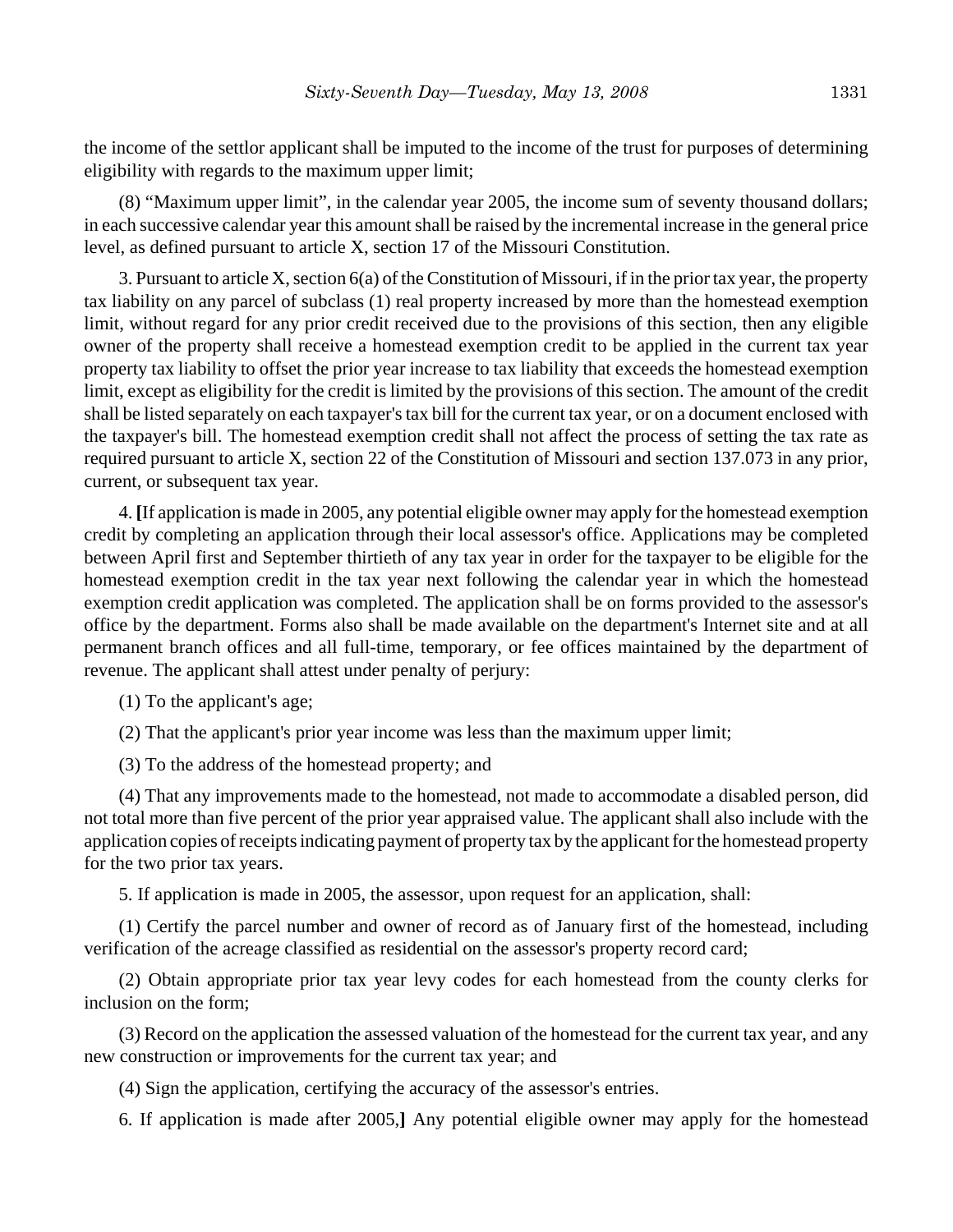the income of the settlor applicant shall be imputed to the income of the trust for purposes of determining eligibility with regards to the maximum upper limit;

(8) "Maximum upper limit", in the calendar year 2005, the income sum of seventy thousand dollars; in each successive calendar year this amount shall be raised by the incremental increase in the general price level, as defined pursuant to article X, section 17 of the Missouri Constitution.

3. Pursuant to article X, section 6(a) of the Constitution of Missouri, if in the prior tax year, the property tax liability on any parcel of subclass (1) real property increased by more than the homestead exemption limit, without regard for any prior credit received due to the provisions of this section, then any eligible owner of the property shall receive a homestead exemption credit to be applied in the current tax year property tax liability to offset the prior year increase to tax liability that exceeds the homestead exemption limit, except as eligibility for the credit is limited by the provisions of this section. The amount of the credit shall be listed separately on each taxpayer's tax bill for the current tax year, or on a document enclosed with the taxpayer's bill. The homestead exemption credit shall not affect the process of setting the tax rate as required pursuant to article X, section 22 of the Constitution of Missouri and section 137.073 in any prior, current, or subsequent tax year.

4. **[**If application is made in 2005, any potential eligible owner may apply for the homestead exemption credit by completing an application through their local assessor's office. Applications may be completed between April first and September thirtieth of any tax year in order for the taxpayer to be eligible for the homestead exemption credit in the tax year next following the calendar year in which the homestead exemption credit application was completed. The application shall be on forms provided to the assessor's office by the department. Forms also shall be made available on the department's Internet site and at all permanent branch offices and all full-time, temporary, or fee offices maintained by the department of revenue. The applicant shall attest under penalty of perjury:

- (1) To the applicant's age;
- (2) That the applicant's prior year income was less than the maximum upper limit;
- (3) To the address of the homestead property; and

(4) That any improvements made to the homestead, not made to accommodate a disabled person, did not total more than five percent of the prior year appraised value. The applicant shall also include with the application copies of receipts indicating payment of property tax by the applicant for the homestead property for the two prior tax years.

5. If application is made in 2005, the assessor, upon request for an application, shall:

(1) Certify the parcel number and owner of record as of January first of the homestead, including verification of the acreage classified as residential on the assessor's property record card;

(2) Obtain appropriate prior tax year levy codes for each homestead from the county clerks for inclusion on the form;

(3) Record on the application the assessed valuation of the homestead for the current tax year, and any new construction or improvements for the current tax year; and

(4) Sign the application, certifying the accuracy of the assessor's entries.

6. If application is made after 2005,**]** Any potential eligible owner may apply for the homestead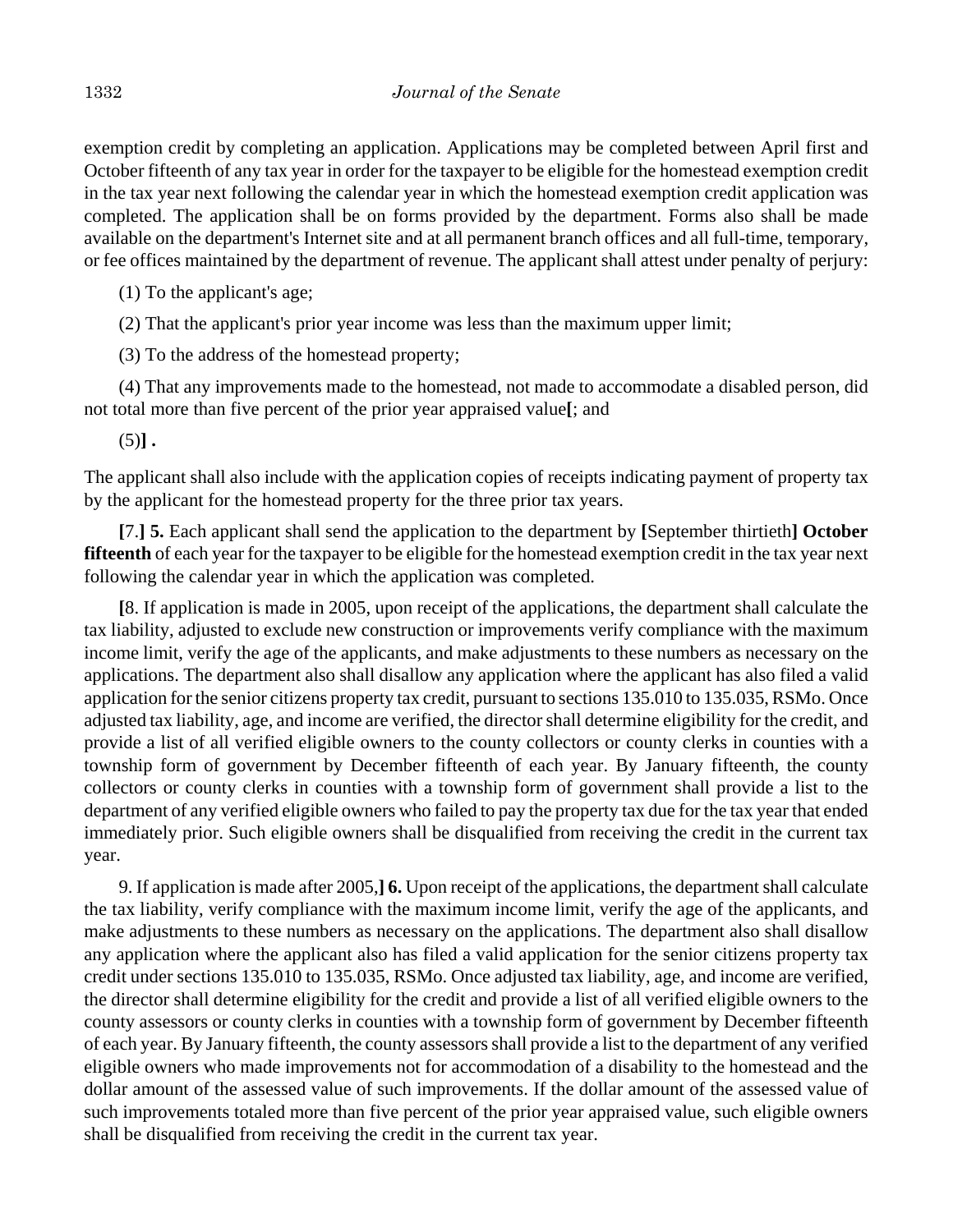exemption credit by completing an application. Applications may be completed between April first and October fifteenth of any tax year in order for the taxpayer to be eligible for the homestead exemption credit in the tax year next following the calendar year in which the homestead exemption credit application was completed. The application shall be on forms provided by the department. Forms also shall be made available on the department's Internet site and at all permanent branch offices and all full-time, temporary, or fee offices maintained by the department of revenue. The applicant shall attest under penalty of perjury:

(1) To the applicant's age;

(2) That the applicant's prior year income was less than the maximum upper limit;

(3) To the address of the homestead property;

(4) That any improvements made to the homestead, not made to accommodate a disabled person, did not total more than five percent of the prior year appraised value**[**; and

 $(5)$ ].

The applicant shall also include with the application copies of receipts indicating payment of property tax by the applicant for the homestead property for the three prior tax years.

**[**7.**] 5.** Each applicant shall send the application to the department by **[**September thirtieth**] October fifteenth** of each year for the taxpayer to be eligible for the homestead exemption credit in the tax year next following the calendar year in which the application was completed.

**[**8. If application is made in 2005, upon receipt of the applications, the department shall calculate the tax liability, adjusted to exclude new construction or improvements verify compliance with the maximum income limit, verify the age of the applicants, and make adjustments to these numbers as necessary on the applications. The department also shall disallow any application where the applicant has also filed a valid application for the senior citizens property tax credit, pursuant to sections 135.010 to 135.035, RSMo. Once adjusted tax liability, age, and income are verified, the director shall determine eligibility for the credit, and provide a list of all verified eligible owners to the county collectors or county clerks in counties with a township form of government by December fifteenth of each year. By January fifteenth, the county collectors or county clerks in counties with a township form of government shall provide a list to the department of any verified eligible owners who failed to pay the property tax due for the tax year that ended immediately prior. Such eligible owners shall be disqualified from receiving the credit in the current tax year.

9. If application is made after 2005,**] 6.** Upon receipt of the applications, the department shall calculate the tax liability, verify compliance with the maximum income limit, verify the age of the applicants, and make adjustments to these numbers as necessary on the applications. The department also shall disallow any application where the applicant also has filed a valid application for the senior citizens property tax credit under sections 135.010 to 135.035, RSMo. Once adjusted tax liability, age, and income are verified, the director shall determine eligibility for the credit and provide a list of all verified eligible owners to the county assessors or county clerks in counties with a township form of government by December fifteenth of each year. By January fifteenth, the county assessors shall provide a list to the department of any verified eligible owners who made improvements not for accommodation of a disability to the homestead and the dollar amount of the assessed value of such improvements. If the dollar amount of the assessed value of such improvements totaled more than five percent of the prior year appraised value, such eligible owners shall be disqualified from receiving the credit in the current tax year.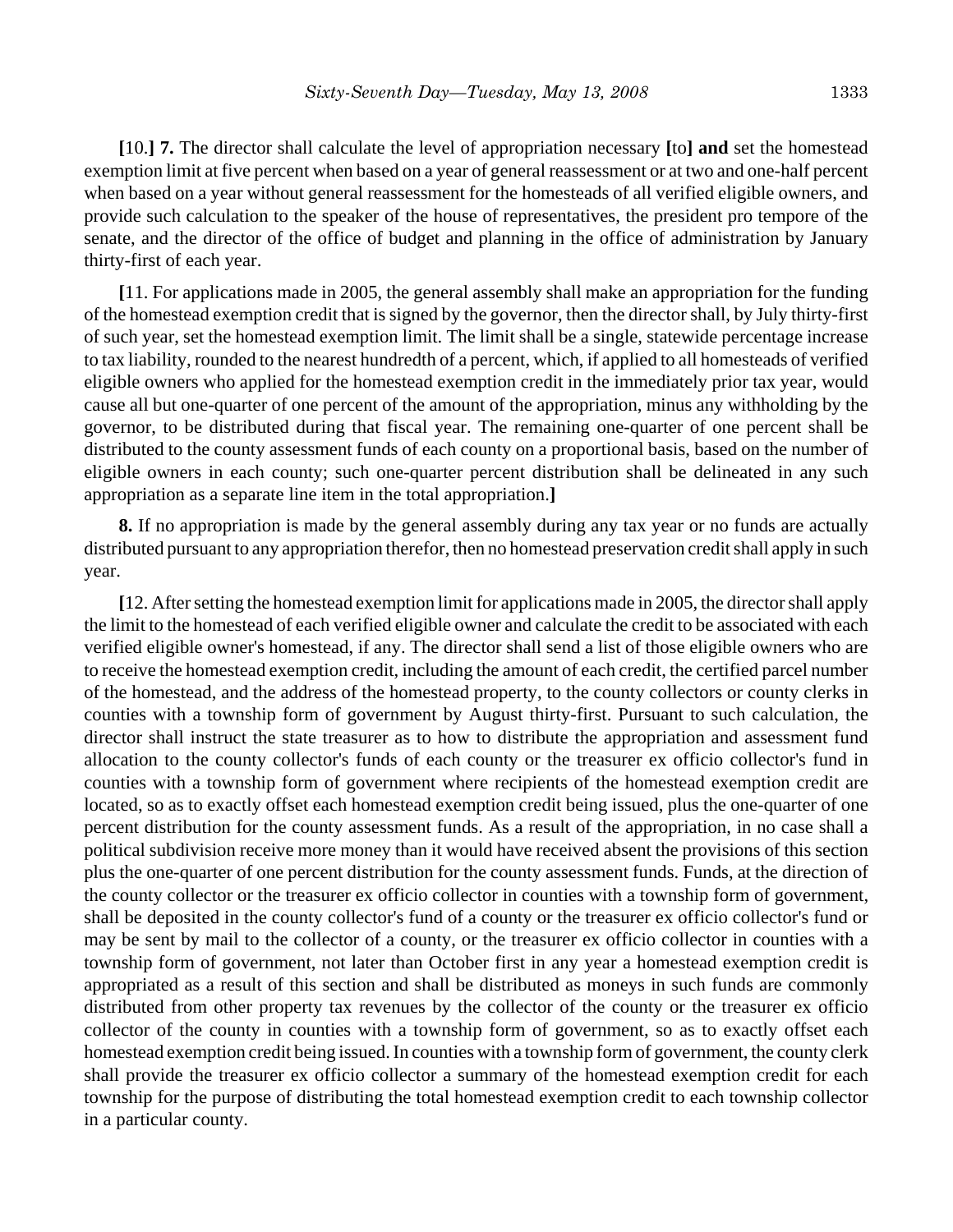**[**10.**] 7.** The director shall calculate the level of appropriation necessary **[**to**] and** set the homestead exemption limit at five percent when based on a year of general reassessment or at two and one-half percent when based on a year without general reassessment for the homesteads of all verified eligible owners, and provide such calculation to the speaker of the house of representatives, the president pro tempore of the senate, and the director of the office of budget and planning in the office of administration by January thirty-first of each year.

**[**11. For applications made in 2005, the general assembly shall make an appropriation for the funding of the homestead exemption credit that is signed by the governor, then the director shall, by July thirty-first of such year, set the homestead exemption limit. The limit shall be a single, statewide percentage increase to tax liability, rounded to the nearest hundredth of a percent, which, if applied to all homesteads of verified eligible owners who applied for the homestead exemption credit in the immediately prior tax year, would cause all but one-quarter of one percent of the amount of the appropriation, minus any withholding by the governor, to be distributed during that fiscal year. The remaining one-quarter of one percent shall be distributed to the county assessment funds of each county on a proportional basis, based on the number of eligible owners in each county; such one-quarter percent distribution shall be delineated in any such appropriation as a separate line item in the total appropriation.**]**

**8.** If no appropriation is made by the general assembly during any tax year or no funds are actually distributed pursuant to any appropriation therefor, then no homestead preservation credit shall apply in such year.

**[**12. After setting the homestead exemption limit for applications made in 2005, the director shall apply the limit to the homestead of each verified eligible owner and calculate the credit to be associated with each verified eligible owner's homestead, if any. The director shall send a list of those eligible owners who are to receive the homestead exemption credit, including the amount of each credit, the certified parcel number of the homestead, and the address of the homestead property, to the county collectors or county clerks in counties with a township form of government by August thirty-first. Pursuant to such calculation, the director shall instruct the state treasurer as to how to distribute the appropriation and assessment fund allocation to the county collector's funds of each county or the treasurer ex officio collector's fund in counties with a township form of government where recipients of the homestead exemption credit are located, so as to exactly offset each homestead exemption credit being issued, plus the one-quarter of one percent distribution for the county assessment funds. As a result of the appropriation, in no case shall a political subdivision receive more money than it would have received absent the provisions of this section plus the one-quarter of one percent distribution for the county assessment funds. Funds, at the direction of the county collector or the treasurer ex officio collector in counties with a township form of government, shall be deposited in the county collector's fund of a county or the treasurer ex officio collector's fund or may be sent by mail to the collector of a county, or the treasurer ex officio collector in counties with a township form of government, not later than October first in any year a homestead exemption credit is appropriated as a result of this section and shall be distributed as moneys in such funds are commonly distributed from other property tax revenues by the collector of the county or the treasurer ex officio collector of the county in counties with a township form of government, so as to exactly offset each homestead exemption credit being issued. In counties with a township form of government, the county clerk shall provide the treasurer ex officio collector a summary of the homestead exemption credit for each township for the purpose of distributing the total homestead exemption credit to each township collector in a particular county.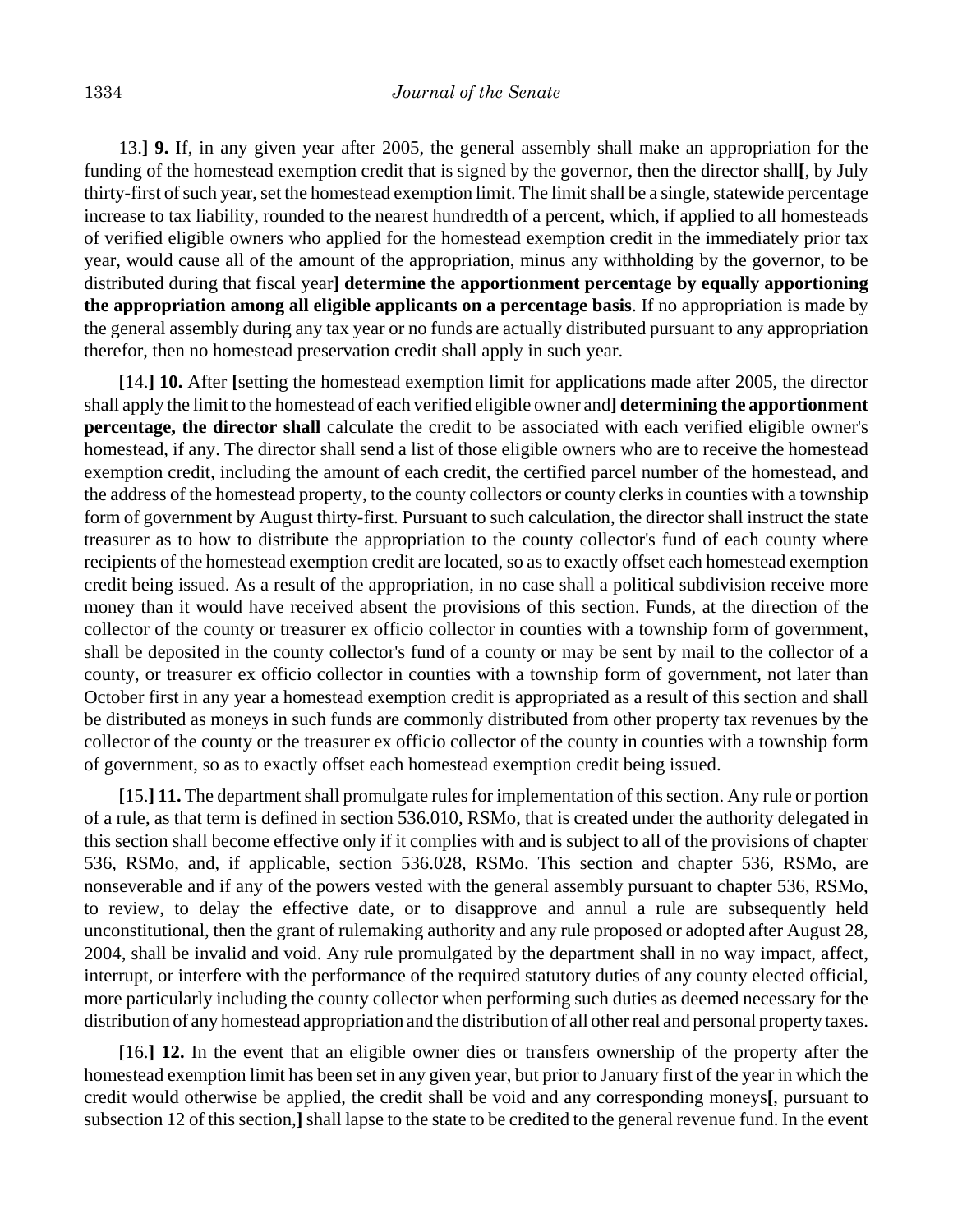13.**] 9.** If, in any given year after 2005, the general assembly shall make an appropriation for the funding of the homestead exemption credit that is signed by the governor, then the director shall**[**, by July thirty-first of such year, set the homestead exemption limit. The limit shall be a single, statewide percentage increase to tax liability, rounded to the nearest hundredth of a percent, which, if applied to all homesteads of verified eligible owners who applied for the homestead exemption credit in the immediately prior tax year, would cause all of the amount of the appropriation, minus any withholding by the governor, to be distributed during that fiscal year**] determine the apportionment percentage by equally apportioning the appropriation among all eligible applicants on a percentage basis**. If no appropriation is made by the general assembly during any tax year or no funds are actually distributed pursuant to any appropriation therefor, then no homestead preservation credit shall apply in such year.

**[**14.**] 10.** After **[**setting the homestead exemption limit for applications made after 2005, the director shall apply the limit to the homestead of each verified eligible owner and**] determining the apportionment percentage, the director shall** calculate the credit to be associated with each verified eligible owner's homestead, if any. The director shall send a list of those eligible owners who are to receive the homestead exemption credit, including the amount of each credit, the certified parcel number of the homestead, and the address of the homestead property, to the county collectors or county clerks in counties with a township form of government by August thirty-first. Pursuant to such calculation, the director shall instruct the state treasurer as to how to distribute the appropriation to the county collector's fund of each county where recipients of the homestead exemption credit are located, so as to exactly offset each homestead exemption credit being issued. As a result of the appropriation, in no case shall a political subdivision receive more money than it would have received absent the provisions of this section. Funds, at the direction of the collector of the county or treasurer ex officio collector in counties with a township form of government, shall be deposited in the county collector's fund of a county or may be sent by mail to the collector of a county, or treasurer ex officio collector in counties with a township form of government, not later than October first in any year a homestead exemption credit is appropriated as a result of this section and shall be distributed as moneys in such funds are commonly distributed from other property tax revenues by the collector of the county or the treasurer ex officio collector of the county in counties with a township form of government, so as to exactly offset each homestead exemption credit being issued.

**[**15.**] 11.** The department shall promulgate rules for implementation of this section. Any rule or portion of a rule, as that term is defined in section 536.010, RSMo, that is created under the authority delegated in this section shall become effective only if it complies with and is subject to all of the provisions of chapter 536, RSMo, and, if applicable, section 536.028, RSMo. This section and chapter 536, RSMo, are nonseverable and if any of the powers vested with the general assembly pursuant to chapter 536, RSMo, to review, to delay the effective date, or to disapprove and annul a rule are subsequently held unconstitutional, then the grant of rulemaking authority and any rule proposed or adopted after August 28, 2004, shall be invalid and void. Any rule promulgated by the department shall in no way impact, affect, interrupt, or interfere with the performance of the required statutory duties of any county elected official, more particularly including the county collector when performing such duties as deemed necessary for the distribution of any homestead appropriation and the distribution of all other real and personal property taxes.

**[**16.**] 12.** In the event that an eligible owner dies or transfers ownership of the property after the homestead exemption limit has been set in any given year, but prior to January first of the year in which the credit would otherwise be applied, the credit shall be void and any corresponding moneys**[**, pursuant to subsection 12 of this section,**]** shall lapse to the state to be credited to the general revenue fund. In the event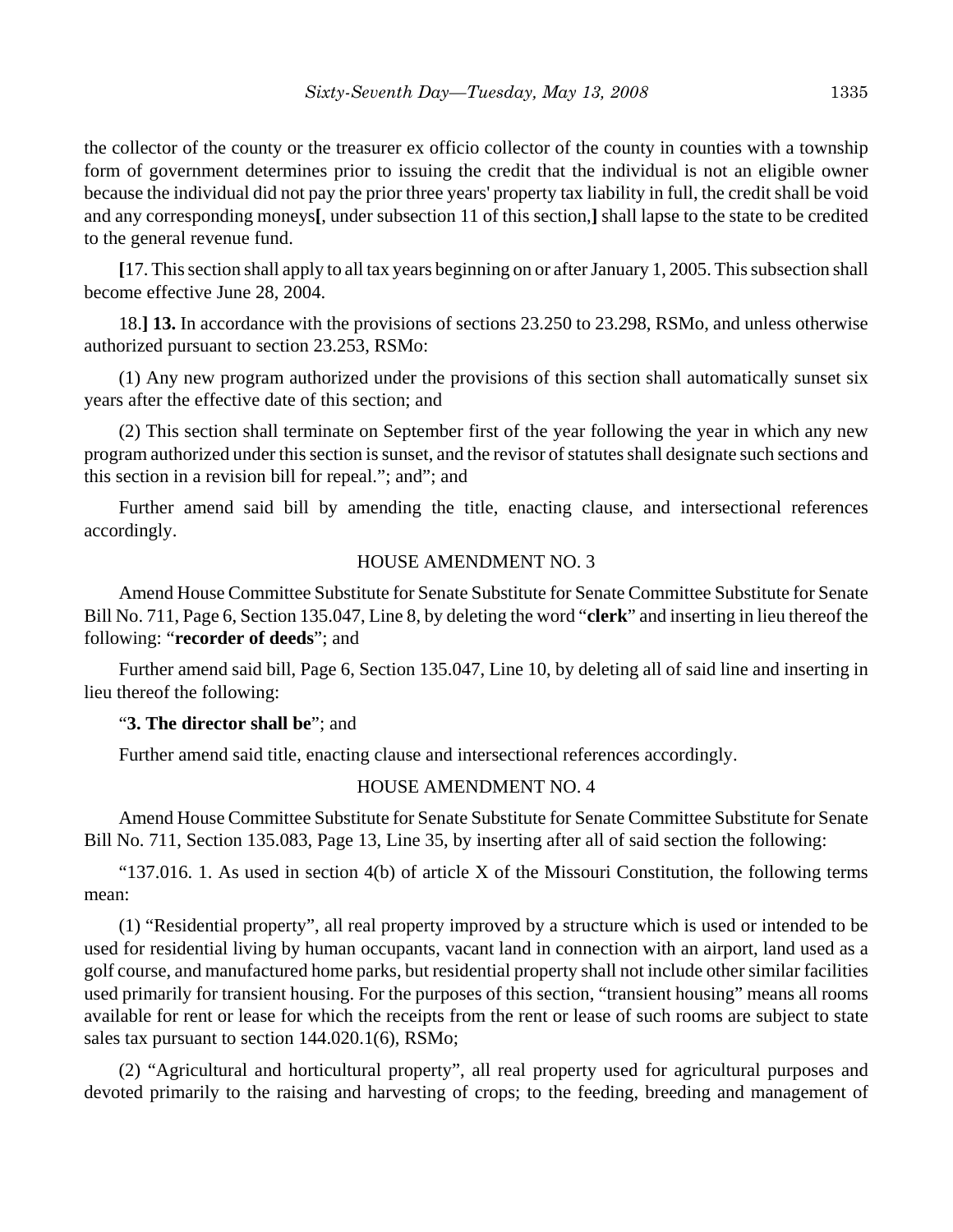the collector of the county or the treasurer ex officio collector of the county in counties with a township form of government determines prior to issuing the credit that the individual is not an eligible owner because the individual did not pay the prior three years' property tax liability in full, the credit shall be void and any corresponding moneys**[**, under subsection 11 of this section,**]** shall lapse to the state to be credited to the general revenue fund.

**[**17. This section shall apply to all tax years beginning on or after January 1, 2005. This subsection shall become effective June 28, 2004.

18.**] 13.** In accordance with the provisions of sections 23.250 to 23.298, RSMo, and unless otherwise authorized pursuant to section 23.253, RSMo:

(1) Any new program authorized under the provisions of this section shall automatically sunset six years after the effective date of this section; and

(2) This section shall terminate on September first of the year following the year in which any new program authorized under this section is sunset, and the revisor of statutes shall designate such sections and this section in a revision bill for repeal."; and"; and

Further amend said bill by amending the title, enacting clause, and intersectional references accordingly.

### HOUSE AMENDMENT NO. 3

Amend House Committee Substitute for Senate Substitute for Senate Committee Substitute for Senate Bill No. 711, Page 6, Section 135.047, Line 8, by deleting the word "**clerk**" and inserting in lieu thereof the following: "**recorder of deeds**"; and

Further amend said bill, Page 6, Section 135.047, Line 10, by deleting all of said line and inserting in lieu thereof the following:

# "**3. The director shall be**"; and

Further amend said title, enacting clause and intersectional references accordingly.

# HOUSE AMENDMENT NO. 4

Amend House Committee Substitute for Senate Substitute for Senate Committee Substitute for Senate Bill No. 711, Section 135.083, Page 13, Line 35, by inserting after all of said section the following:

"137.016. 1. As used in section  $4(b)$  of article X of the Missouri Constitution, the following terms mean:

(1) "Residential property", all real property improved by a structure which is used or intended to be used for residential living by human occupants, vacant land in connection with an airport, land used as a golf course, and manufactured home parks, but residential property shall not include other similar facilities used primarily for transient housing. For the purposes of this section, "transient housing" means all rooms available for rent or lease for which the receipts from the rent or lease of such rooms are subject to state sales tax pursuant to section 144.020.1(6), RSMo;

(2) "Agricultural and horticultural property", all real property used for agricultural purposes and devoted primarily to the raising and harvesting of crops; to the feeding, breeding and management of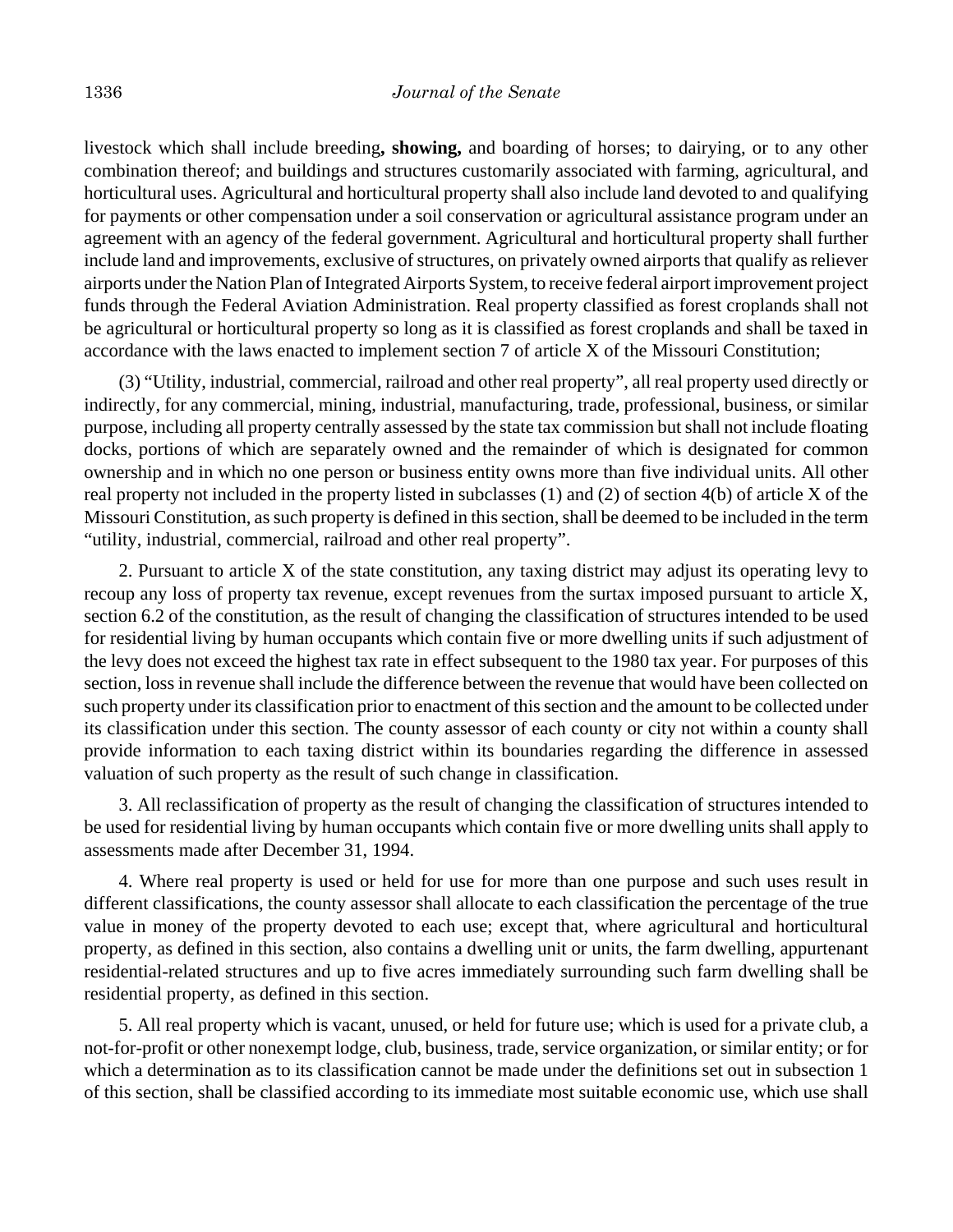livestock which shall include breeding**, showing,** and boarding of horses; to dairying, or to any other combination thereof; and buildings and structures customarily associated with farming, agricultural, and horticultural uses. Agricultural and horticultural property shall also include land devoted to and qualifying for payments or other compensation under a soil conservation or agricultural assistance program under an agreement with an agency of the federal government. Agricultural and horticultural property shall further include land and improvements, exclusive of structures, on privately owned airports that qualify as reliever airports under the Nation Plan of Integrated Airports System, to receive federal airport improvement project funds through the Federal Aviation Administration. Real property classified as forest croplands shall not be agricultural or horticultural property so long as it is classified as forest croplands and shall be taxed in accordance with the laws enacted to implement section 7 of article X of the Missouri Constitution;

(3) "Utility, industrial, commercial, railroad and other real property", all real property used directly or indirectly, for any commercial, mining, industrial, manufacturing, trade, professional, business, or similar purpose, including all property centrally assessed by the state tax commission but shall not include floating docks, portions of which are separately owned and the remainder of which is designated for common ownership and in which no one person or business entity owns more than five individual units. All other real property not included in the property listed in subclasses (1) and (2) of section 4(b) of article X of the Missouri Constitution, as such property is defined in this section, shall be deemed to be included in the term "utility, industrial, commercial, railroad and other real property".

2. Pursuant to article X of the state constitution, any taxing district may adjust its operating levy to recoup any loss of property tax revenue, except revenues from the surtax imposed pursuant to article X, section 6.2 of the constitution, as the result of changing the classification of structures intended to be used for residential living by human occupants which contain five or more dwelling units if such adjustment of the levy does not exceed the highest tax rate in effect subsequent to the 1980 tax year. For purposes of this section, loss in revenue shall include the difference between the revenue that would have been collected on such property under its classification prior to enactment of this section and the amount to be collected under its classification under this section. The county assessor of each county or city not within a county shall provide information to each taxing district within its boundaries regarding the difference in assessed valuation of such property as the result of such change in classification.

3. All reclassification of property as the result of changing the classification of structures intended to be used for residential living by human occupants which contain five or more dwelling units shall apply to assessments made after December 31, 1994.

4. Where real property is used or held for use for more than one purpose and such uses result in different classifications, the county assessor shall allocate to each classification the percentage of the true value in money of the property devoted to each use; except that, where agricultural and horticultural property, as defined in this section, also contains a dwelling unit or units, the farm dwelling, appurtenant residential-related structures and up to five acres immediately surrounding such farm dwelling shall be residential property, as defined in this section.

5. All real property which is vacant, unused, or held for future use; which is used for a private club, a not-for-profit or other nonexempt lodge, club, business, trade, service organization, or similar entity; or for which a determination as to its classification cannot be made under the definitions set out in subsection 1 of this section, shall be classified according to its immediate most suitable economic use, which use shall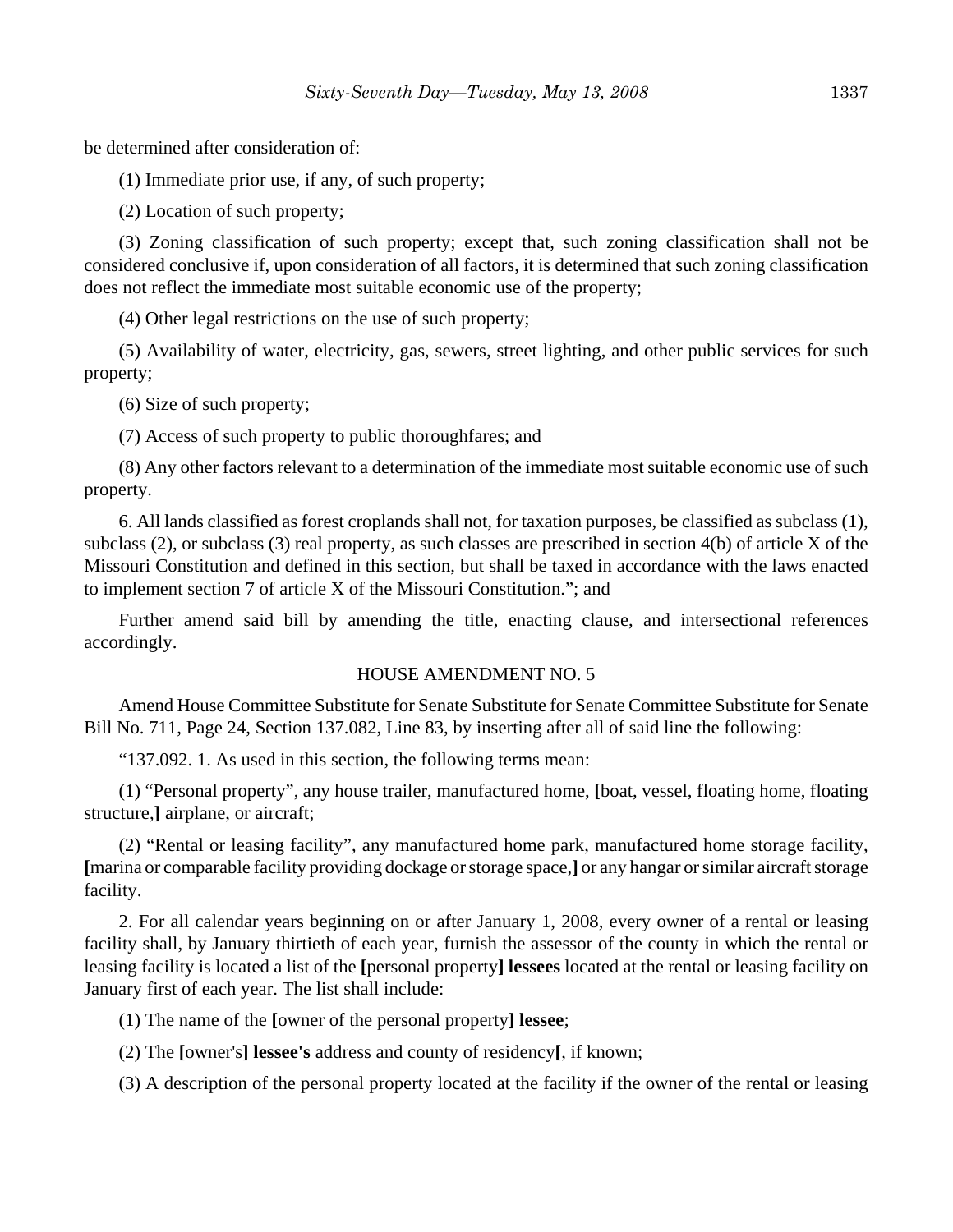be determined after consideration of:

(1) Immediate prior use, if any, of such property;

(2) Location of such property;

(3) Zoning classification of such property; except that, such zoning classification shall not be considered conclusive if, upon consideration of all factors, it is determined that such zoning classification does not reflect the immediate most suitable economic use of the property;

(4) Other legal restrictions on the use of such property;

(5) Availability of water, electricity, gas, sewers, street lighting, and other public services for such property;

(6) Size of such property;

(7) Access of such property to public thoroughfares; and

(8) Any other factors relevant to a determination of the immediate most suitable economic use of such property.

6. All lands classified as forest croplands shall not, for taxation purposes, be classified as subclass (1), subclass (2), or subclass (3) real property, as such classes are prescribed in section 4(b) of article X of the Missouri Constitution and defined in this section, but shall be taxed in accordance with the laws enacted to implement section 7 of article X of the Missouri Constitution."; and

Further amend said bill by amending the title, enacting clause, and intersectional references accordingly.

#### HOUSE AMENDMENT NO. 5

Amend House Committee Substitute for Senate Substitute for Senate Committee Substitute for Senate Bill No. 711, Page 24, Section 137.082, Line 83, by inserting after all of said line the following:

"137.092. 1. As used in this section, the following terms mean:

(1) "Personal property", any house trailer, manufactured home, **[**boat, vessel, floating home, floating structure,**]** airplane, or aircraft;

(2) "Rental or leasing facility", any manufactured home park, manufactured home storage facility, **[**marina or comparable facility providing dockage or storage space,**]** or any hangar or similar aircraft storage facility.

2. For all calendar years beginning on or after January 1, 2008, every owner of a rental or leasing facility shall, by January thirtieth of each year, furnish the assessor of the county in which the rental or leasing facility is located a list of the **[**personal property**] lessees** located at the rental or leasing facility on January first of each year. The list shall include:

(1) The name of the **[**owner of the personal property**] lessee**;

(2) The **[**owner's**] lessee's** address and county of residency**[**, if known;

(3) A description of the personal property located at the facility if the owner of the rental or leasing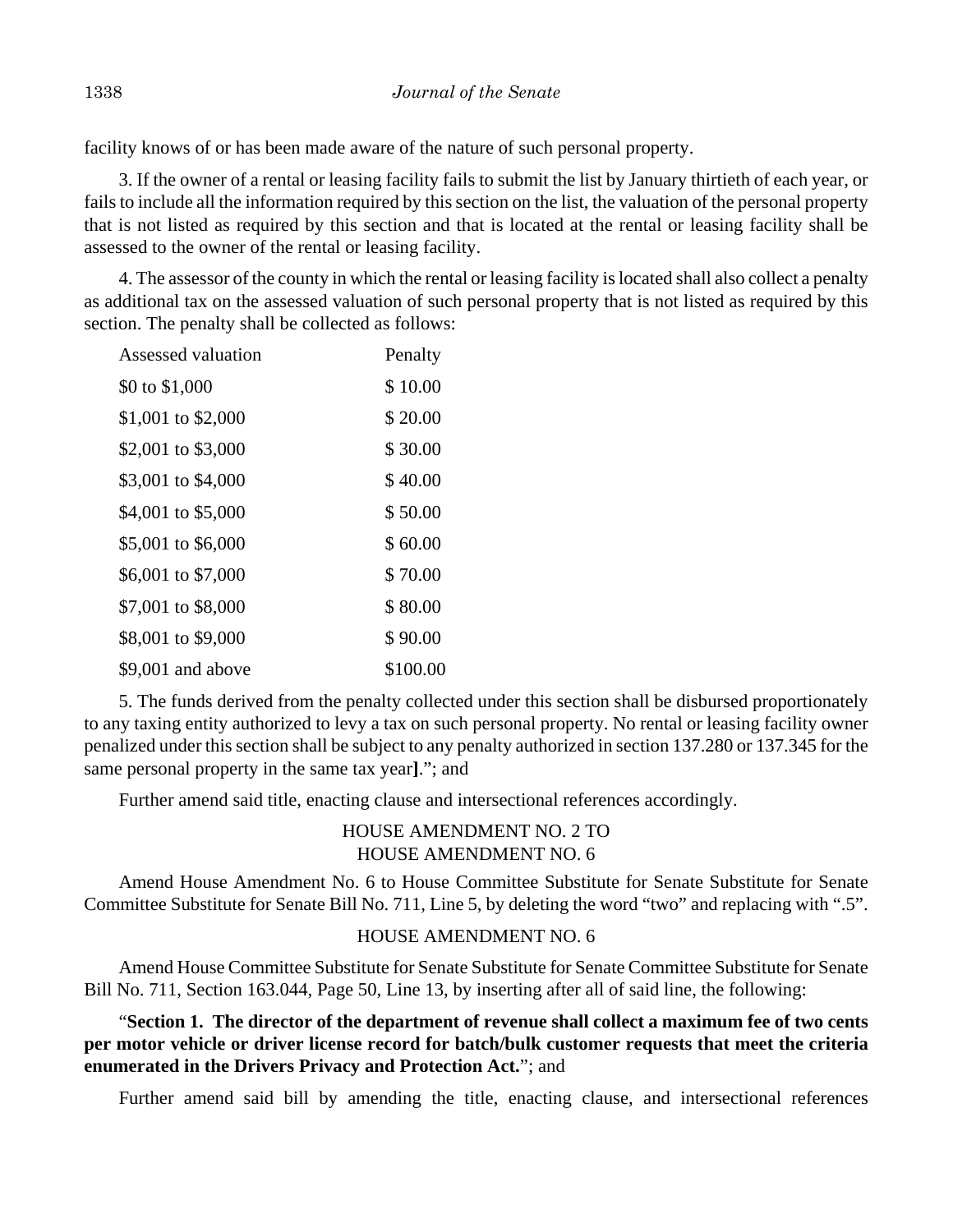facility knows of or has been made aware of the nature of such personal property.

3. If the owner of a rental or leasing facility fails to submit the list by January thirtieth of each year, or fails to include all the information required by this section on the list, the valuation of the personal property that is not listed as required by this section and that is located at the rental or leasing facility shall be assessed to the owner of the rental or leasing facility.

4. The assessor of the county in which the rental or leasing facility is located shall also collect a penalty as additional tax on the assessed valuation of such personal property that is not listed as required by this section. The penalty shall be collected as follows:

| Assessed valuation | Penalty  |
|--------------------|----------|
| \$0 to \$1,000     | \$10.00  |
| \$1,001 to \$2,000 | \$20.00  |
| \$2,001 to \$3,000 | \$30.00  |
| \$3,001 to \$4,000 | \$40.00  |
| \$4,001 to \$5,000 | \$50.00  |
| \$5,001 to \$6,000 | \$60.00  |
| \$6,001 to \$7,000 | \$70.00  |
| \$7,001 to \$8,000 | \$80.00  |
| \$8,001 to \$9,000 | \$90.00  |
| \$9,001 and above  | \$100.00 |

5. The funds derived from the penalty collected under this section shall be disbursed proportionately to any taxing entity authorized to levy a tax on such personal property. No rental or leasing facility owner penalized under this section shall be subject to any penalty authorized in section 137.280 or 137.345 for the same personal property in the same tax year**]**."; and

Further amend said title, enacting clause and intersectional references accordingly.

HOUSE AMENDMENT NO. 2 TO HOUSE AMENDMENT NO. 6

Amend House Amendment No. 6 to House Committee Substitute for Senate Substitute for Senate Committee Substitute for Senate Bill No. 711, Line 5, by deleting the word "two" and replacing with ".5".

### HOUSE AMENDMENT NO. 6

Amend House Committee Substitute for Senate Substitute for Senate Committee Substitute for Senate Bill No. 711, Section 163.044, Page 50, Line 13, by inserting after all of said line, the following:

"**Section 1. The director of the department of revenue shall collect a maximum fee of two cents per motor vehicle or driver license record for batch/bulk customer requests that meet the criteria enumerated in the Drivers Privacy and Protection Act.**"; and

Further amend said bill by amending the title, enacting clause, and intersectional references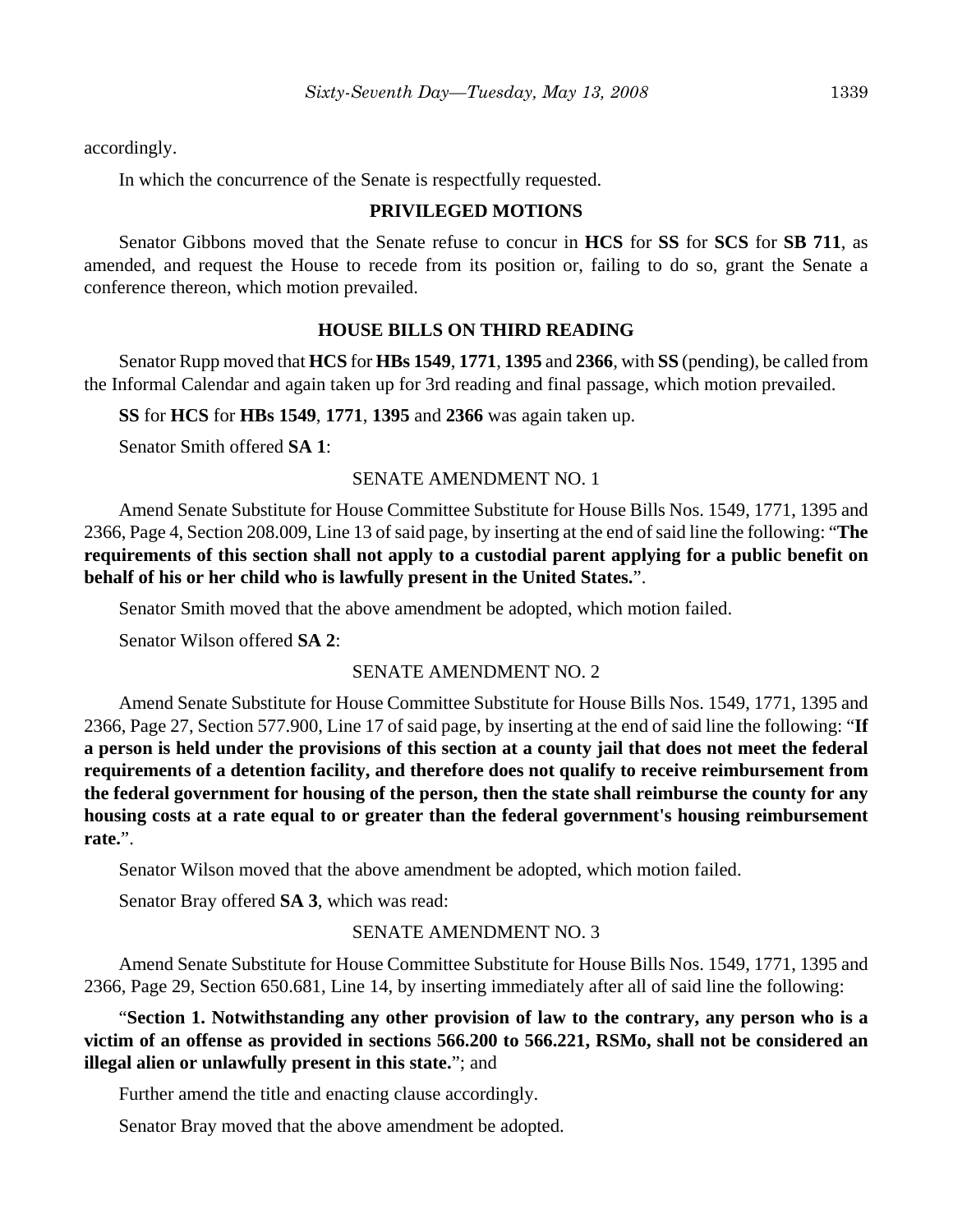accordingly.

In which the concurrence of the Senate is respectfully requested.

### **PRIVILEGED MOTIONS**

Senator Gibbons moved that the Senate refuse to concur in **HCS** for **SS** for **SCS** for **SB 711**, as amended, and request the House to recede from its position or, failing to do so, grant the Senate a conference thereon, which motion prevailed.

### **HOUSE BILLS ON THIRD READING**

Senator Rupp moved that **HCS** for **HBs 1549**, **1771**, **1395** and **2366**, with **SS** (pending), be called from the Informal Calendar and again taken up for 3rd reading and final passage, which motion prevailed.

**SS** for **HCS** for **HBs 1549**, **1771**, **1395** and **2366** was again taken up.

Senator Smith offered **SA 1**:

### SENATE AMENDMENT NO. 1

Amend Senate Substitute for House Committee Substitute for House Bills Nos. 1549, 1771, 1395 and 2366, Page 4, Section 208.009, Line 13 of said page, by inserting at the end of said line the following: "**The requirements of this section shall not apply to a custodial parent applying for a public benefit on behalf of his or her child who is lawfully present in the United States.**".

Senator Smith moved that the above amendment be adopted, which motion failed.

Senator Wilson offered **SA 2**:

### SENATE AMENDMENT NO. 2

Amend Senate Substitute for House Committee Substitute for House Bills Nos. 1549, 1771, 1395 and 2366, Page 27, Section 577.900, Line 17 of said page, by inserting at the end of said line the following: "**If a person is held under the provisions of this section at a county jail that does not meet the federal requirements of a detention facility, and therefore does not qualify to receive reimbursement from the federal government for housing of the person, then the state shall reimburse the county for any housing costs at a rate equal to or greater than the federal government's housing reimbursement rate.**".

Senator Wilson moved that the above amendment be adopted, which motion failed.

Senator Bray offered **SA 3**, which was read:

### SENATE AMENDMENT NO. 3

Amend Senate Substitute for House Committee Substitute for House Bills Nos. 1549, 1771, 1395 and 2366, Page 29, Section 650.681, Line 14, by inserting immediately after all of said line the following:

"**Section 1. Notwithstanding any other provision of law to the contrary, any person who is a victim of an offense as provided in sections 566.200 to 566.221, RSMo, shall not be considered an illegal alien or unlawfully present in this state.**"; and

Further amend the title and enacting clause accordingly.

Senator Bray moved that the above amendment be adopted.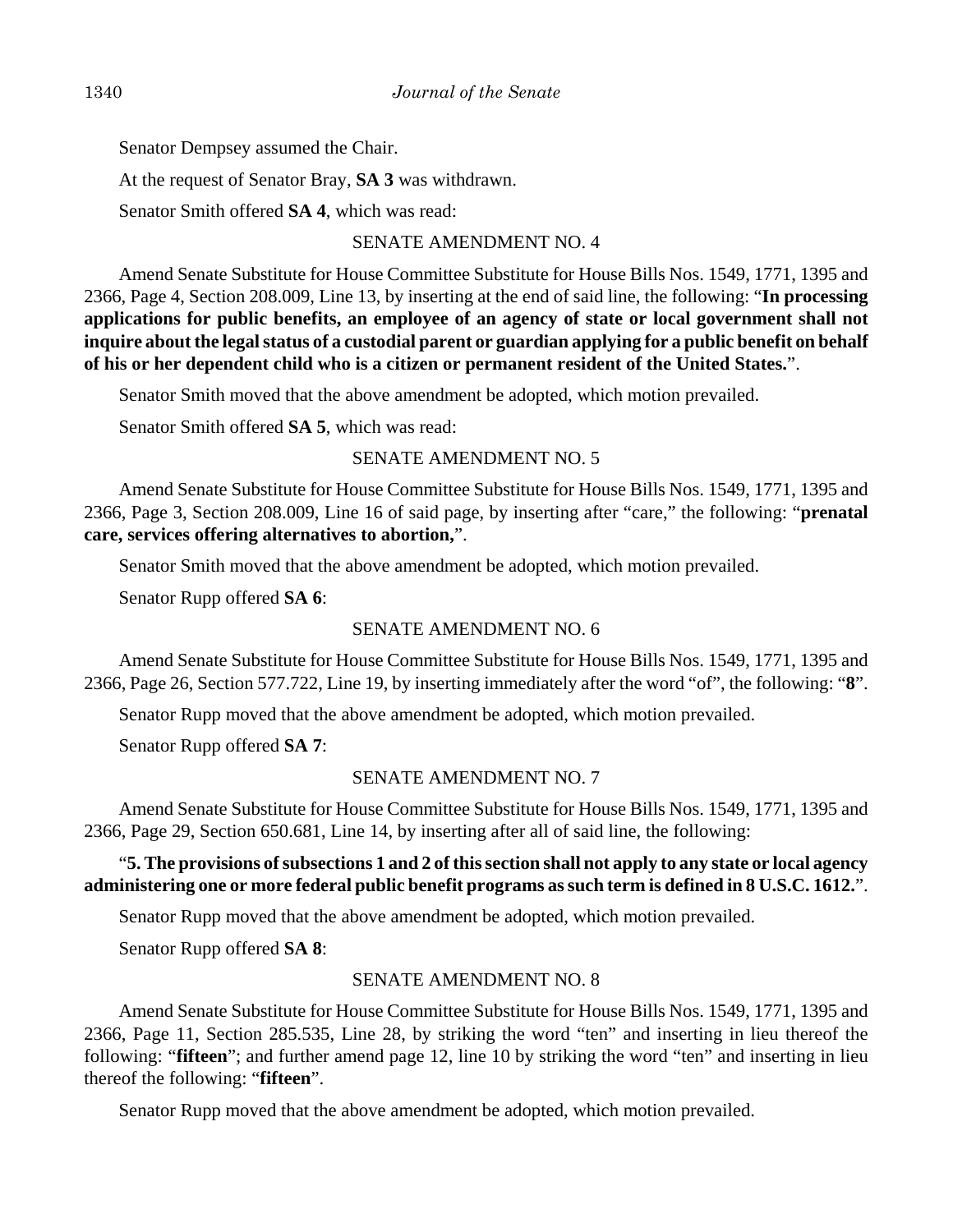Senator Dempsey assumed the Chair.

At the request of Senator Bray, **SA 3** was withdrawn.

Senator Smith offered **SA 4**, which was read:

### SENATE AMENDMENT NO. 4

Amend Senate Substitute for House Committee Substitute for House Bills Nos. 1549, 1771, 1395 and 2366, Page 4, Section 208.009, Line 13, by inserting at the end of said line, the following: "**In processing applications for public benefits, an employee of an agency of state or local government shall not inquire about the legal status of a custodial parent or guardian applying for a public benefit on behalf of his or her dependent child who is a citizen or permanent resident of the United States.**".

Senator Smith moved that the above amendment be adopted, which motion prevailed.

Senator Smith offered **SA 5**, which was read:

### SENATE AMENDMENT NO. 5

Amend Senate Substitute for House Committee Substitute for House Bills Nos. 1549, 1771, 1395 and 2366, Page 3, Section 208.009, Line 16 of said page, by inserting after "care," the following: "**prenatal care, services offering alternatives to abortion,**".

Senator Smith moved that the above amendment be adopted, which motion prevailed.

Senator Rupp offered **SA 6**:

### SENATE AMENDMENT NO. 6

Amend Senate Substitute for House Committee Substitute for House Bills Nos. 1549, 1771, 1395 and 2366, Page 26, Section 577.722, Line 19, by inserting immediately after the word "of", the following: "**8**".

Senator Rupp moved that the above amendment be adopted, which motion prevailed.

Senator Rupp offered **SA 7**:

### SENATE AMENDMENT NO. 7

Amend Senate Substitute for House Committee Substitute for House Bills Nos. 1549, 1771, 1395 and 2366, Page 29, Section 650.681, Line 14, by inserting after all of said line, the following:

## "**5. The provisions of subsections 1 and 2 of this section shall not apply to any state or local agency administering one or more federal public benefit programs as such term is defined in 8 U.S.C. 1612.**".

Senator Rupp moved that the above amendment be adopted, which motion prevailed.

Senator Rupp offered **SA 8**:

### SENATE AMENDMENT NO. 8

Amend Senate Substitute for House Committee Substitute for House Bills Nos. 1549, 1771, 1395 and 2366, Page 11, Section 285.535, Line 28, by striking the word "ten" and inserting in lieu thereof the following: "**fifteen**"; and further amend page 12, line 10 by striking the word "ten" and inserting in lieu thereof the following: "**fifteen**".

Senator Rupp moved that the above amendment be adopted, which motion prevailed.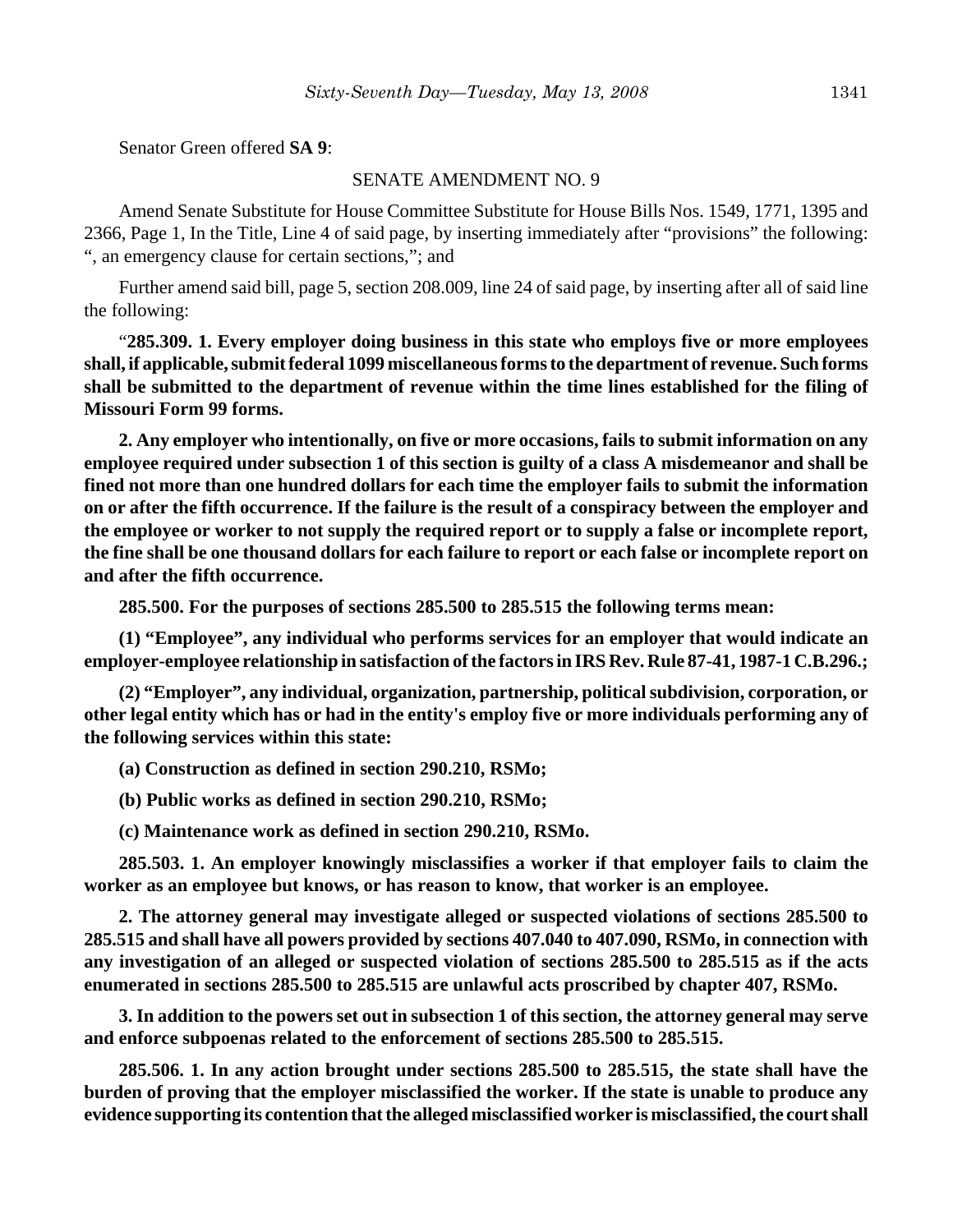Senator Green offered **SA 9**:

### SENATE AMENDMENT NO. 9

Amend Senate Substitute for House Committee Substitute for House Bills Nos. 1549, 1771, 1395 and 2366, Page 1, In the Title, Line 4 of said page, by inserting immediately after "provisions" the following: ", an emergency clause for certain sections,"; and

Further amend said bill, page 5, section 208.009, line 24 of said page, by inserting after all of said line the following:

"**285.309. 1. Every employer doing business in this state who employs five or more employees shall, if applicable, submit federal 1099 miscellaneous forms to the department of revenue. Such forms shall be submitted to the department of revenue within the time lines established for the filing of Missouri Form 99 forms.**

**2. Any employer who intentionally, on five or more occasions, fails to submit information on any employee required under subsection 1 of this section is guilty of a class A misdemeanor and shall be fined not more than one hundred dollars for each time the employer fails to submit the information on or after the fifth occurrence. If the failure is the result of a conspiracy between the employer and the employee or worker to not supply the required report or to supply a false or incomplete report, the fine shall be one thousand dollars for each failure to report or each false or incomplete report on and after the fifth occurrence.**

**285.500. For the purposes of sections 285.500 to 285.515 the following terms mean:**

**(1) "Employee", any individual who performs services for an employer that would indicate an employer-employee relationship in satisfaction of the factors in IRS Rev. Rule 87-41, 1987-1 C.B.296.;**

**(2) "Employer", any individual, organization, partnership, political subdivision, corporation, or other legal entity which has or had in the entity's employ five or more individuals performing any of the following services within this state:**

**(a) Construction as defined in section 290.210, RSMo;**

**(b) Public works as defined in section 290.210, RSMo;**

**(c) Maintenance work as defined in section 290.210, RSMo.**

**285.503. 1. An employer knowingly misclassifies a worker if that employer fails to claim the worker as an employee but knows, or has reason to know, that worker is an employee.**

**2. The attorney general may investigate alleged or suspected violations of sections 285.500 to 285.515 and shall have all powers provided by sections 407.040 to 407.090, RSMo, in connection with any investigation of an alleged or suspected violation of sections 285.500 to 285.515 as if the acts enumerated in sections 285.500 to 285.515 are unlawful acts proscribed by chapter 407, RSMo.**

**3. In addition to the powers set out in subsection 1 of this section, the attorney general may serve and enforce subpoenas related to the enforcement of sections 285.500 to 285.515.**

**285.506. 1. In any action brought under sections 285.500 to 285.515, the state shall have the burden of proving that the employer misclassified the worker. If the state is unable to produce any evidence supporting its contention that the alleged misclassified worker is misclassified, the court shall**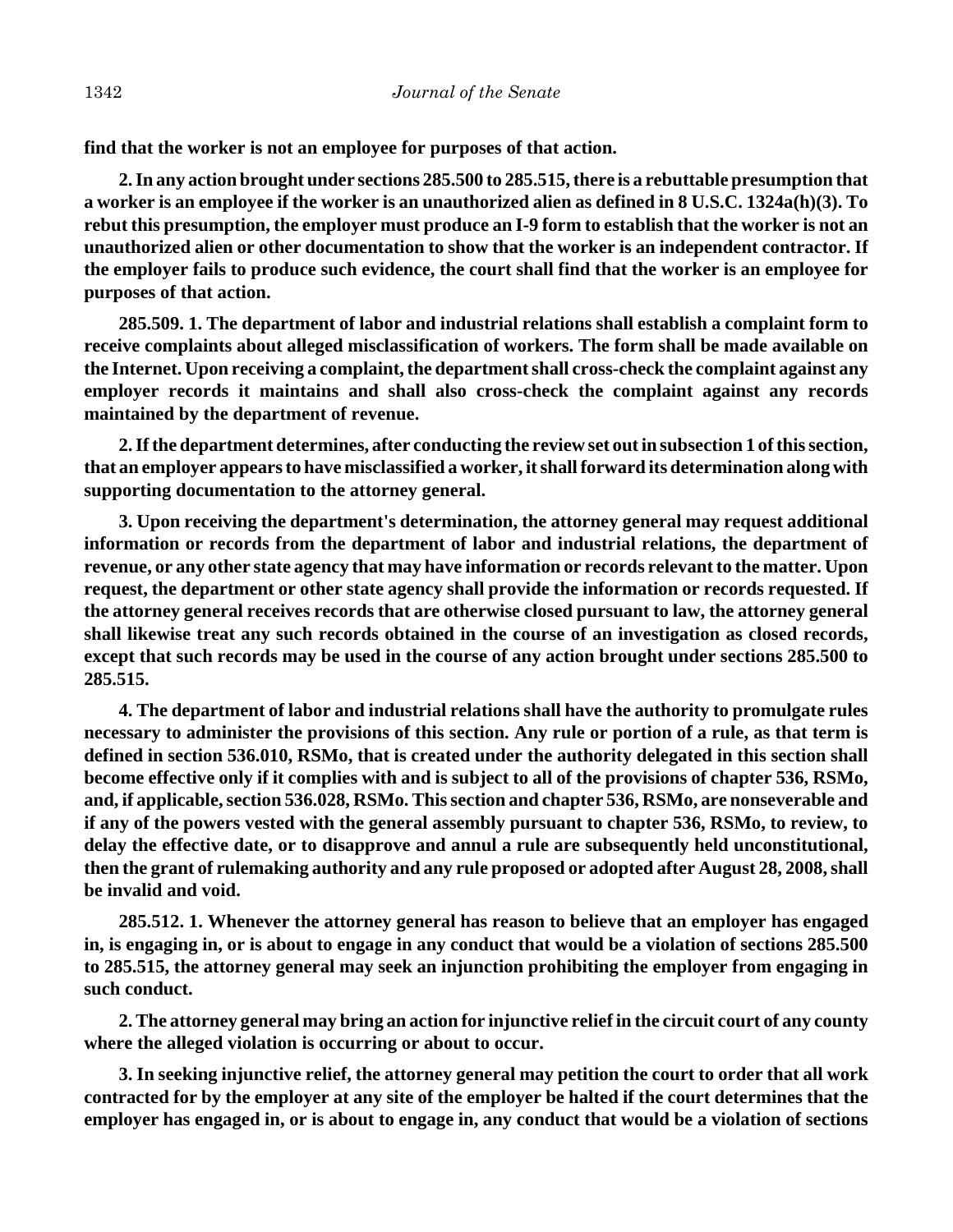**find that the worker is not an employee for purposes of that action.**

**2. In any action brought under sections 285.500 to 285.515, there is a rebuttable presumption that a worker is an employee if the worker is an unauthorized alien as defined in 8 U.S.C. 1324a(h)(3). To rebut this presumption, the employer must produce an I-9 form to establish that the worker is not an unauthorized alien or other documentation to show that the worker is an independent contractor. If the employer fails to produce such evidence, the court shall find that the worker is an employee for purposes of that action.**

**285.509. 1. The department of labor and industrial relations shall establish a complaint form to receive complaints about alleged misclassification of workers. The form shall be made available on the Internet. Upon receiving a complaint, the department shall cross-check the complaint against any employer records it maintains and shall also cross-check the complaint against any records maintained by the department of revenue.**

**2. If the department determines, after conducting the review set out in subsection 1 of this section, that an employer appears to have misclassified a worker, it shall forward its determination along with supporting documentation to the attorney general.**

**3. Upon receiving the department's determination, the attorney general may request additional information or records from the department of labor and industrial relations, the department of revenue, or any other state agency that may have information or records relevant to the matter. Upon request, the department or other state agency shall provide the information or records requested. If the attorney general receives records that are otherwise closed pursuant to law, the attorney general shall likewise treat any such records obtained in the course of an investigation as closed records, except that such records may be used in the course of any action brought under sections 285.500 to 285.515.**

**4. The department of labor and industrial relations shall have the authority to promulgate rules necessary to administer the provisions of this section. Any rule or portion of a rule, as that term is defined in section 536.010, RSMo, that is created under the authority delegated in this section shall become effective only if it complies with and is subject to all of the provisions of chapter 536, RSMo, and, if applicable, section 536.028, RSMo. This section and chapter 536, RSMo, are nonseverable and if any of the powers vested with the general assembly pursuant to chapter 536, RSMo, to review, to delay the effective date, or to disapprove and annul a rule are subsequently held unconstitutional, then the grant of rulemaking authority and any rule proposed or adopted after August 28, 2008, shall be invalid and void.**

**285.512. 1. Whenever the attorney general has reason to believe that an employer has engaged in, is engaging in, or is about to engage in any conduct that would be a violation of sections 285.500 to 285.515, the attorney general may seek an injunction prohibiting the employer from engaging in such conduct.**

**2. The attorney general may bring an action for injunctive relief in the circuit court of any county where the alleged violation is occurring or about to occur.**

**3. In seeking injunctive relief, the attorney general may petition the court to order that all work contracted for by the employer at any site of the employer be halted if the court determines that the employer has engaged in, or is about to engage in, any conduct that would be a violation of sections**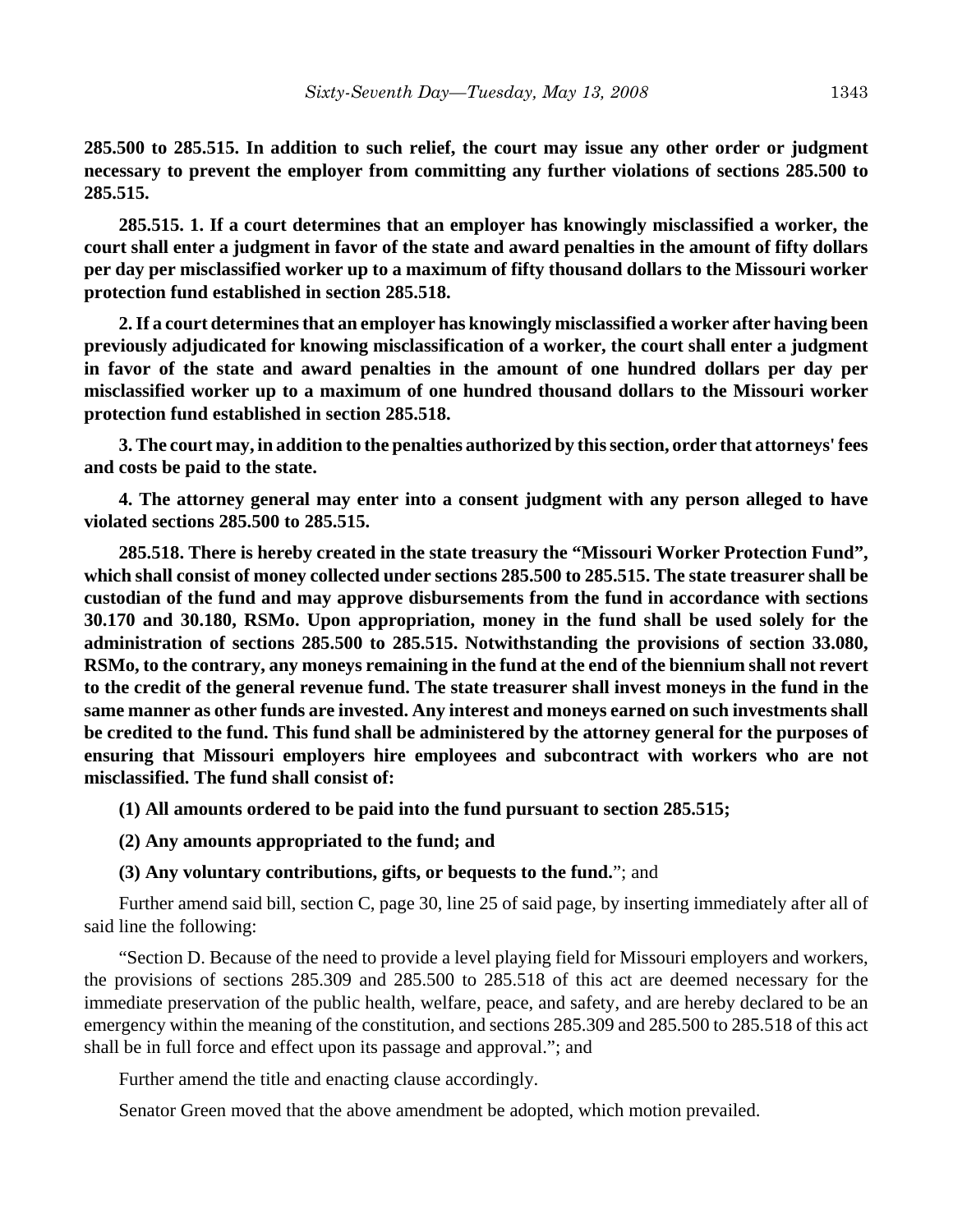**285.500 to 285.515. In addition to such relief, the court may issue any other order or judgment necessary to prevent the employer from committing any further violations of sections 285.500 to 285.515.**

**285.515. 1. If a court determines that an employer has knowingly misclassified a worker, the court shall enter a judgment in favor of the state and award penalties in the amount of fifty dollars per day per misclassified worker up to a maximum of fifty thousand dollars to the Missouri worker protection fund established in section 285.518.**

**2. If a court determines that an employer has knowingly misclassified a worker after having been previously adjudicated for knowing misclassification of a worker, the court shall enter a judgment in favor of the state and award penalties in the amount of one hundred dollars per day per misclassified worker up to a maximum of one hundred thousand dollars to the Missouri worker protection fund established in section 285.518.**

**3. The court may, in addition to the penalties authorized by this section, order that attorneys' fees and costs be paid to the state.**

**4. The attorney general may enter into a consent judgment with any person alleged to have violated sections 285.500 to 285.515.**

**285.518. There is hereby created in the state treasury the "Missouri Worker Protection Fund", which shall consist of money collected under sections 285.500 to 285.515. The state treasurer shall be custodian of the fund and may approve disbursements from the fund in accordance with sections 30.170 and 30.180, RSMo. Upon appropriation, money in the fund shall be used solely for the administration of sections 285.500 to 285.515. Notwithstanding the provisions of section 33.080, RSMo, to the contrary, any moneys remaining in the fund at the end of the biennium shall not revert to the credit of the general revenue fund. The state treasurer shall invest moneys in the fund in the same manner as other funds are invested. Any interest and moneys earned on such investments shall be credited to the fund. This fund shall be administered by the attorney general for the purposes of ensuring that Missouri employers hire employees and subcontract with workers who are not misclassified. The fund shall consist of:**

**(1) All amounts ordered to be paid into the fund pursuant to section 285.515;**

#### **(2) Any amounts appropriated to the fund; and**

#### **(3) Any voluntary contributions, gifts, or bequests to the fund.**"; and

Further amend said bill, section C, page 30, line 25 of said page, by inserting immediately after all of said line the following:

"Section D. Because of the need to provide a level playing field for Missouri employers and workers, the provisions of sections 285.309 and 285.500 to 285.518 of this act are deemed necessary for the immediate preservation of the public health, welfare, peace, and safety, and are hereby declared to be an emergency within the meaning of the constitution, and sections 285.309 and 285.500 to 285.518 of this act shall be in full force and effect upon its passage and approval."; and

Further amend the title and enacting clause accordingly.

Senator Green moved that the above amendment be adopted, which motion prevailed.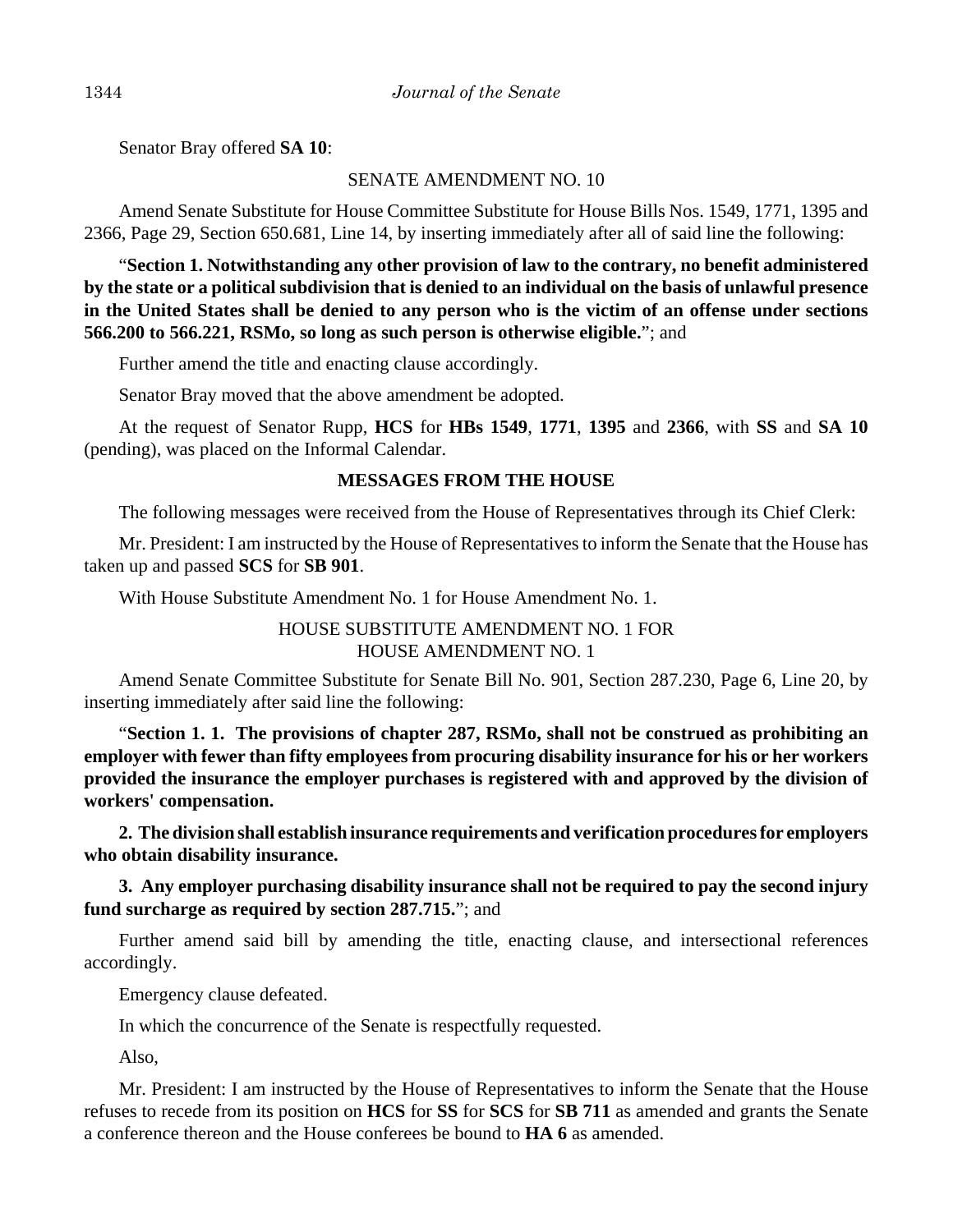Senator Bray offered **SA 10**:

## SENATE AMENDMENT NO. 10

Amend Senate Substitute for House Committee Substitute for House Bills Nos. 1549, 1771, 1395 and 2366, Page 29, Section 650.681, Line 14, by inserting immediately after all of said line the following:

"**Section 1. Notwithstanding any other provision of law to the contrary, no benefit administered by the state or a political subdivision that is denied to an individual on the basis of unlawful presence in the United States shall be denied to any person who is the victim of an offense under sections 566.200 to 566.221, RSMo, so long as such person is otherwise eligible.**"; and

Further amend the title and enacting clause accordingly.

Senator Bray moved that the above amendment be adopted.

At the request of Senator Rupp, **HCS** for **HBs 1549**, **1771**, **1395** and **2366**, with **SS** and **SA 10** (pending), was placed on the Informal Calendar.

### **MESSAGES FROM THE HOUSE**

The following messages were received from the House of Representatives through its Chief Clerk:

Mr. President: I am instructed by the House of Representatives to inform the Senate that the House has taken up and passed **SCS** for **SB 901**.

With House Substitute Amendment No. 1 for House Amendment No. 1.

HOUSE SUBSTITUTE AMENDMENT NO. 1 FOR HOUSE AMENDMENT NO. 1

Amend Senate Committee Substitute for Senate Bill No. 901, Section 287.230, Page 6, Line 20, by inserting immediately after said line the following:

"**Section 1. 1. The provisions of chapter 287, RSMo, shall not be construed as prohibiting an employer with fewer than fifty employees from procuring disability insurance for his or her workers provided the insurance the employer purchases is registered with and approved by the division of workers' compensation.**

**2. The division shall establish insurance requirements and verification procedures for employers who obtain disability insurance.**

**3. Any employer purchasing disability insurance shall not be required to pay the second injury fund surcharge as required by section 287.715.**"; and

Further amend said bill by amending the title, enacting clause, and intersectional references accordingly.

Emergency clause defeated.

In which the concurrence of the Senate is respectfully requested.

Also,

Mr. President: I am instructed by the House of Representatives to inform the Senate that the House refuses to recede from its position on **HCS** for **SS** for **SCS** for **SB 711** as amended and grants the Senate a conference thereon and the House conferees be bound to **HA 6** as amended.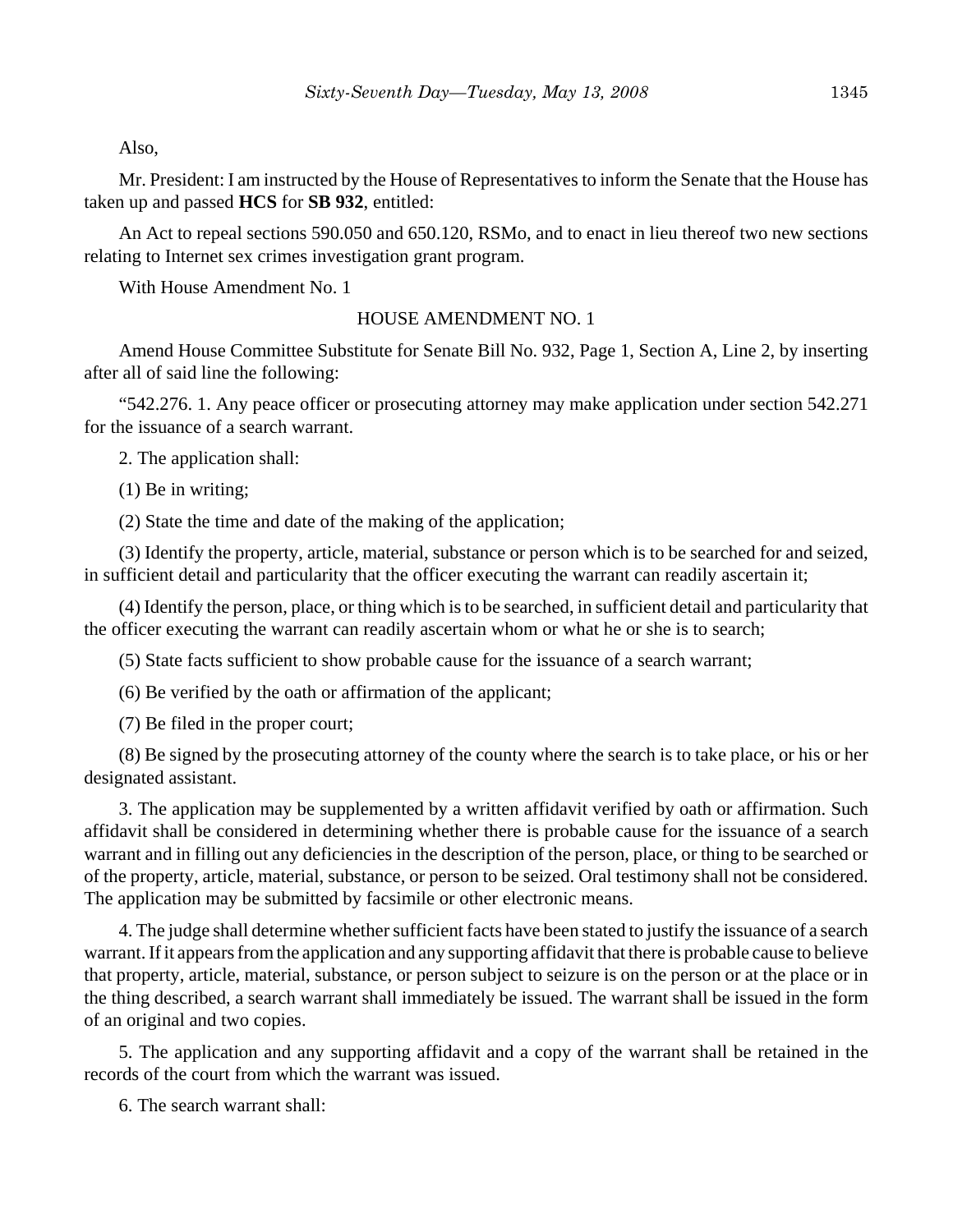Also,

Mr. President: I am instructed by the House of Representatives to inform the Senate that the House has taken up and passed **HCS** for **SB 932**, entitled:

An Act to repeal sections 590.050 and 650.120, RSMo, and to enact in lieu thereof two new sections relating to Internet sex crimes investigation grant program.

With House Amendment No. 1

### HOUSE AMENDMENT NO. 1

Amend House Committee Substitute for Senate Bill No. 932, Page 1, Section A, Line 2, by inserting after all of said line the following:

"542.276. 1. Any peace officer or prosecuting attorney may make application under section 542.271 for the issuance of a search warrant.

2. The application shall:

(1) Be in writing;

(2) State the time and date of the making of the application;

(3) Identify the property, article, material, substance or person which is to be searched for and seized, in sufficient detail and particularity that the officer executing the warrant can readily ascertain it;

(4) Identify the person, place, or thing which is to be searched, in sufficient detail and particularity that the officer executing the warrant can readily ascertain whom or what he or she is to search;

(5) State facts sufficient to show probable cause for the issuance of a search warrant;

(6) Be verified by the oath or affirmation of the applicant;

(7) Be filed in the proper court;

(8) Be signed by the prosecuting attorney of the county where the search is to take place, or his or her designated assistant.

3. The application may be supplemented by a written affidavit verified by oath or affirmation. Such affidavit shall be considered in determining whether there is probable cause for the issuance of a search warrant and in filling out any deficiencies in the description of the person, place, or thing to be searched or of the property, article, material, substance, or person to be seized. Oral testimony shall not be considered. The application may be submitted by facsimile or other electronic means.

4. The judge shall determine whether sufficient facts have been stated to justify the issuance of a search warrant. If it appears from the application and any supporting affidavit that there is probable cause to believe that property, article, material, substance, or person subject to seizure is on the person or at the place or in the thing described, a search warrant shall immediately be issued. The warrant shall be issued in the form of an original and two copies.

5. The application and any supporting affidavit and a copy of the warrant shall be retained in the records of the court from which the warrant was issued.

6. The search warrant shall: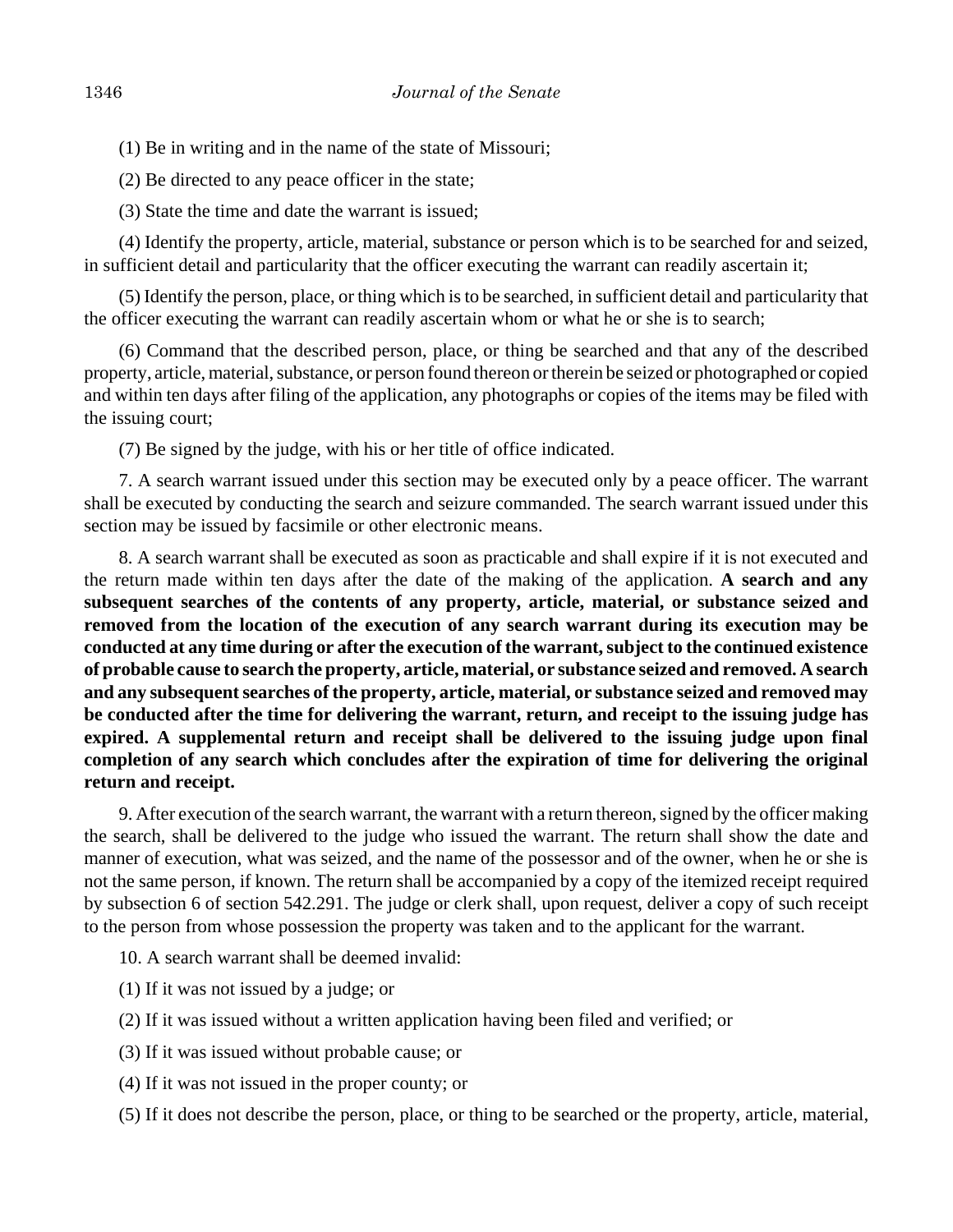- (1) Be in writing and in the name of the state of Missouri;
- (2) Be directed to any peace officer in the state;
- (3) State the time and date the warrant is issued;

(4) Identify the property, article, material, substance or person which is to be searched for and seized, in sufficient detail and particularity that the officer executing the warrant can readily ascertain it;

(5) Identify the person, place, or thing which is to be searched, in sufficient detail and particularity that the officer executing the warrant can readily ascertain whom or what he or she is to search;

(6) Command that the described person, place, or thing be searched and that any of the described property, article, material, substance, or person found thereon or therein be seized or photographed or copied and within ten days after filing of the application, any photographs or copies of the items may be filed with the issuing court;

(7) Be signed by the judge, with his or her title of office indicated.

7. A search warrant issued under this section may be executed only by a peace officer. The warrant shall be executed by conducting the search and seizure commanded. The search warrant issued under this section may be issued by facsimile or other electronic means.

8. A search warrant shall be executed as soon as practicable and shall expire if it is not executed and the return made within ten days after the date of the making of the application. **A search and any subsequent searches of the contents of any property, article, material, or substance seized and removed from the location of the execution of any search warrant during its execution may be conducted at any time during or after the execution of the warrant, subject to the continued existence of probable cause to search the property, article, material, or substance seized and removed. A search and any subsequent searches of the property, article, material, or substance seized and removed may be conducted after the time for delivering the warrant, return, and receipt to the issuing judge has expired. A supplemental return and receipt shall be delivered to the issuing judge upon final completion of any search which concludes after the expiration of time for delivering the original return and receipt.**

9. After execution of the search warrant, the warrant with a return thereon, signed by the officer making the search, shall be delivered to the judge who issued the warrant. The return shall show the date and manner of execution, what was seized, and the name of the possessor and of the owner, when he or she is not the same person, if known. The return shall be accompanied by a copy of the itemized receipt required by subsection 6 of section 542.291. The judge or clerk shall, upon request, deliver a copy of such receipt to the person from whose possession the property was taken and to the applicant for the warrant.

- 10. A search warrant shall be deemed invalid:
- (1) If it was not issued by a judge; or
- (2) If it was issued without a written application having been filed and verified; or
- (3) If it was issued without probable cause; or
- (4) If it was not issued in the proper county; or
- (5) If it does not describe the person, place, or thing to be searched or the property, article, material,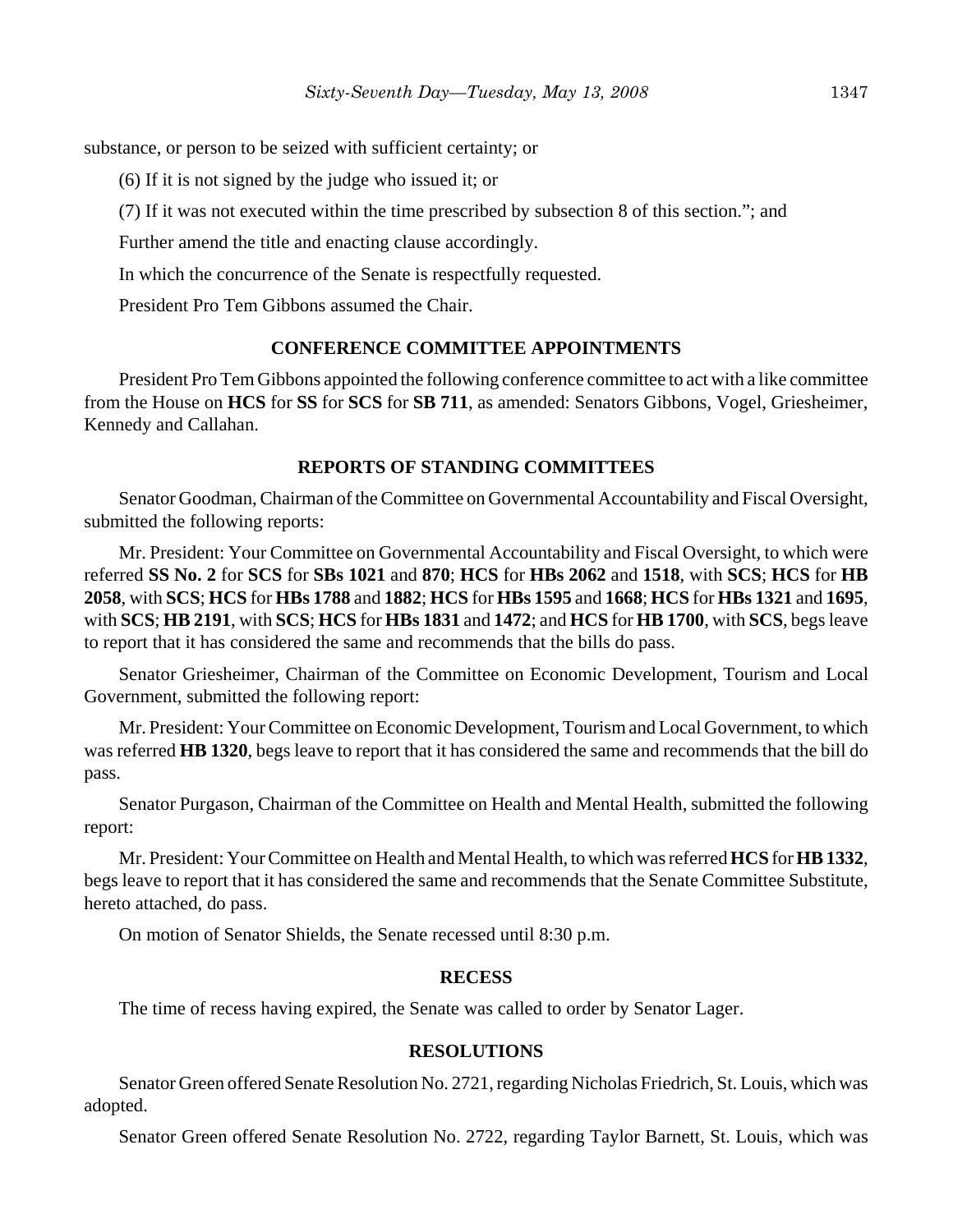substance, or person to be seized with sufficient certainty; or

(6) If it is not signed by the judge who issued it; or

(7) If it was not executed within the time prescribed by subsection 8 of this section."; and

Further amend the title and enacting clause accordingly.

In which the concurrence of the Senate is respectfully requested.

President Pro Tem Gibbons assumed the Chair.

### **CONFERENCE COMMITTEE APPOINTMENTS**

President Pro Tem Gibbons appointed the following conference committee to act with a like committee from the House on **HCS** for **SS** for **SCS** for **SB 711**, as amended: Senators Gibbons, Vogel, Griesheimer, Kennedy and Callahan.

### **REPORTS OF STANDING COMMITTEES**

Senator Goodman, Chairman of the Committee on Governmental Accountability and Fiscal Oversight, submitted the following reports:

Mr. President: Your Committee on Governmental Accountability and Fiscal Oversight, to which were referred **SS No. 2** for **SCS** for **SBs 1021** and **870**; **HCS** for **HBs 2062** and **1518**, with **SCS**; **HCS** for **HB 2058**, with **SCS**; **HCS** for **HBs 1788** and **1882**; **HCS** for **HBs 1595** and **1668**; **HCS** for **HBs 1321** and **1695**, with **SCS**; **HB 2191**, with **SCS**; **HCS** for **HBs 1831** and **1472**; and **HCS** for **HB 1700**, with **SCS**, begs leave to report that it has considered the same and recommends that the bills do pass.

Senator Griesheimer, Chairman of the Committee on Economic Development, Tourism and Local Government, submitted the following report:

Mr. President: Your Committee on Economic Development, Tourism and Local Government, to which was referred **HB 1320**, begs leave to report that it has considered the same and recommends that the bill do pass.

Senator Purgason, Chairman of the Committee on Health and Mental Health, submitted the following report:

Mr. President: Your Committee on Health and Mental Health, to which was referred **HCS** for **HB 1332**, begs leave to report that it has considered the same and recommends that the Senate Committee Substitute, hereto attached, do pass.

On motion of Senator Shields, the Senate recessed until 8:30 p.m.

#### **RECESS**

The time of recess having expired, the Senate was called to order by Senator Lager.

#### **RESOLUTIONS**

Senator Green offered Senate Resolution No. 2721, regarding Nicholas Friedrich, St. Louis, which was adopted.

Senator Green offered Senate Resolution No. 2722, regarding Taylor Barnett, St. Louis, which was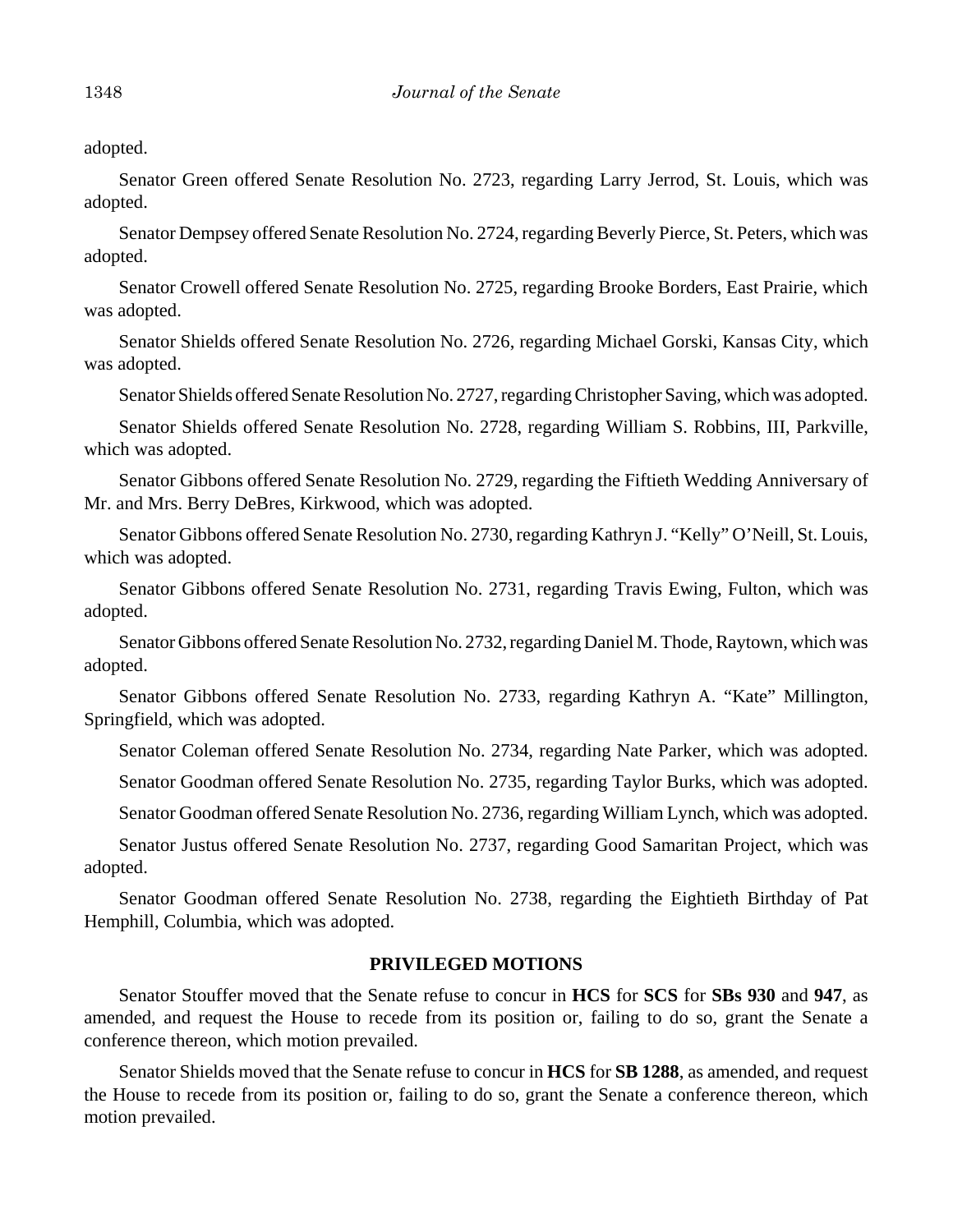adopted.

Senator Green offered Senate Resolution No. 2723, regarding Larry Jerrod, St. Louis, which was adopted.

Senator Dempsey offered Senate Resolution No. 2724, regarding Beverly Pierce, St. Peters, which was adopted.

Senator Crowell offered Senate Resolution No. 2725, regarding Brooke Borders, East Prairie, which was adopted.

Senator Shields offered Senate Resolution No. 2726, regarding Michael Gorski, Kansas City, which was adopted.

Senator Shields offered Senate Resolution No. 2727, regarding Christopher Saving, which was adopted.

Senator Shields offered Senate Resolution No. 2728, regarding William S. Robbins, III, Parkville, which was adopted.

Senator Gibbons offered Senate Resolution No. 2729, regarding the Fiftieth Wedding Anniversary of Mr. and Mrs. Berry DeBres, Kirkwood, which was adopted.

Senator Gibbons offered Senate Resolution No. 2730, regarding Kathryn J. "Kelly" O'Neill, St. Louis, which was adopted.

Senator Gibbons offered Senate Resolution No. 2731, regarding Travis Ewing, Fulton, which was adopted.

Senator Gibbons offered Senate Resolution No. 2732, regarding Daniel M. Thode, Raytown, which was adopted.

Senator Gibbons offered Senate Resolution No. 2733, regarding Kathryn A. "Kate" Millington, Springfield, which was adopted.

Senator Coleman offered Senate Resolution No. 2734, regarding Nate Parker, which was adopted.

Senator Goodman offered Senate Resolution No. 2735, regarding Taylor Burks, which was adopted.

Senator Goodman offered Senate Resolution No. 2736, regarding William Lynch, which was adopted.

Senator Justus offered Senate Resolution No. 2737, regarding Good Samaritan Project, which was adopted.

Senator Goodman offered Senate Resolution No. 2738, regarding the Eightieth Birthday of Pat Hemphill, Columbia, which was adopted.

#### **PRIVILEGED MOTIONS**

Senator Stouffer moved that the Senate refuse to concur in **HCS** for **SCS** for **SBs 930** and **947**, as amended, and request the House to recede from its position or, failing to do so, grant the Senate a conference thereon, which motion prevailed.

Senator Shields moved that the Senate refuse to concur in **HCS** for **SB 1288**, as amended, and request the House to recede from its position or, failing to do so, grant the Senate a conference thereon, which motion prevailed.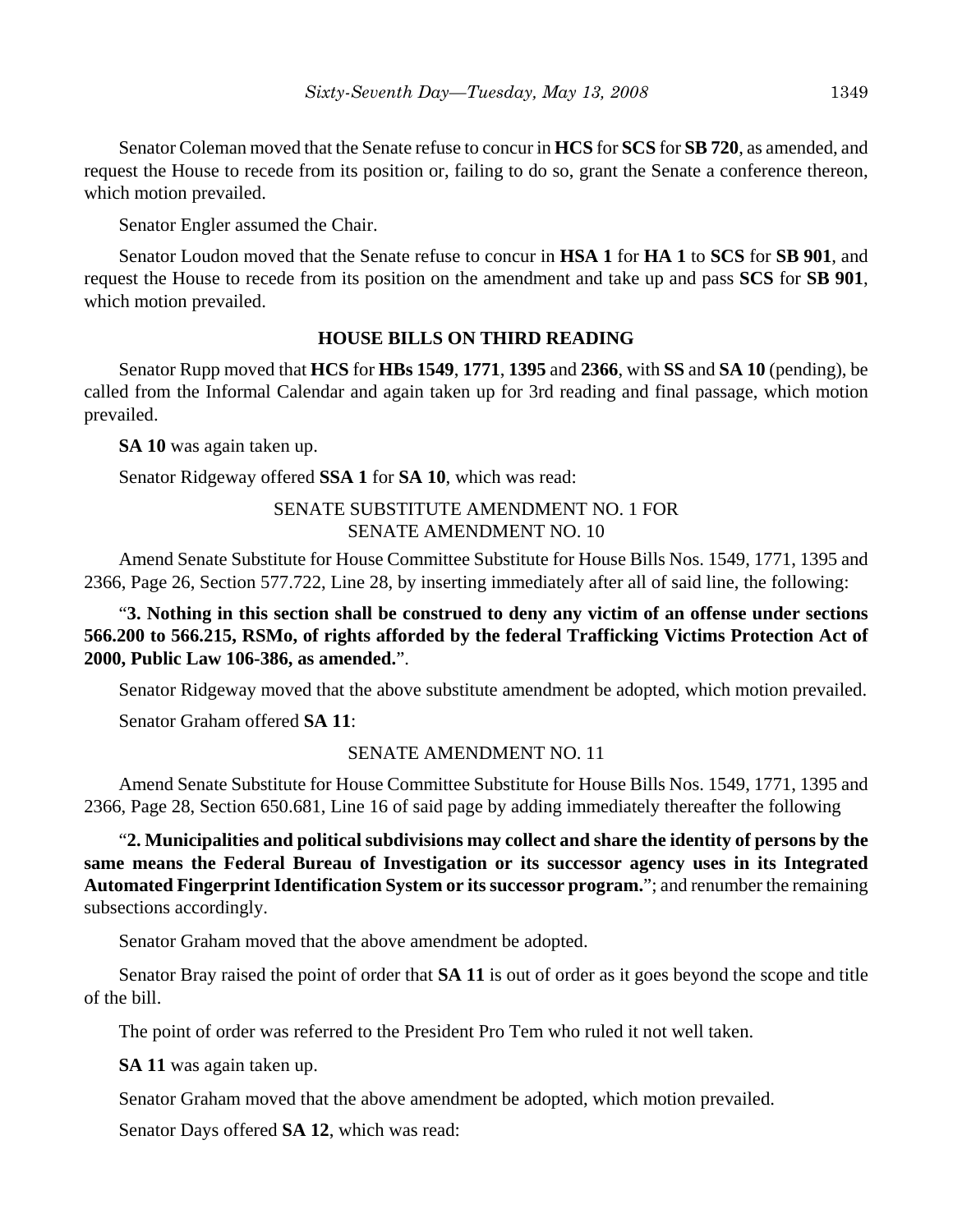Senator Coleman moved that the Senate refuse to concur in **HCS** for **SCS** for **SB 720**, as amended, and request the House to recede from its position or, failing to do so, grant the Senate a conference thereon, which motion prevailed.

Senator Engler assumed the Chair.

Senator Loudon moved that the Senate refuse to concur in **HSA 1** for **HA 1** to **SCS** for **SB 901**, and request the House to recede from its position on the amendment and take up and pass **SCS** for **SB 901**, which motion prevailed.

# **HOUSE BILLS ON THIRD READING**

Senator Rupp moved that **HCS** for **HBs 1549**, **1771**, **1395** and **2366**, with **SS** and **SA 10** (pending), be called from the Informal Calendar and again taken up for 3rd reading and final passage, which motion prevailed.

**SA 10** was again taken up.

Senator Ridgeway offered **SSA 1** for **SA 10**, which was read:

# SENATE SUBSTITUTE AMENDMENT NO. 1 FOR SENATE AMENDMENT NO. 10

Amend Senate Substitute for House Committee Substitute for House Bills Nos. 1549, 1771, 1395 and 2366, Page 26, Section 577.722, Line 28, by inserting immediately after all of said line, the following:

"**3. Nothing in this section shall be construed to deny any victim of an offense under sections 566.200 to 566.215, RSMo, of rights afforded by the federal Trafficking Victims Protection Act of 2000, Public Law 106-386, as amended.**".

Senator Ridgeway moved that the above substitute amendment be adopted, which motion prevailed.

Senator Graham offered **SA 11**:

# SENATE AMENDMENT NO. 11

Amend Senate Substitute for House Committee Substitute for House Bills Nos. 1549, 1771, 1395 and 2366, Page 28, Section 650.681, Line 16 of said page by adding immediately thereafter the following

"**2. Municipalities and political subdivisions may collect and share the identity of persons by the same means the Federal Bureau of Investigation or its successor agency uses in its Integrated Automated Fingerprint Identification System or its successor program.**"; and renumber the remaining subsections accordingly.

Senator Graham moved that the above amendment be adopted.

Senator Bray raised the point of order that **SA 11** is out of order as it goes beyond the scope and title of the bill.

The point of order was referred to the President Pro Tem who ruled it not well taken.

**SA 11** was again taken up.

Senator Graham moved that the above amendment be adopted, which motion prevailed.

Senator Days offered **SA 12**, which was read: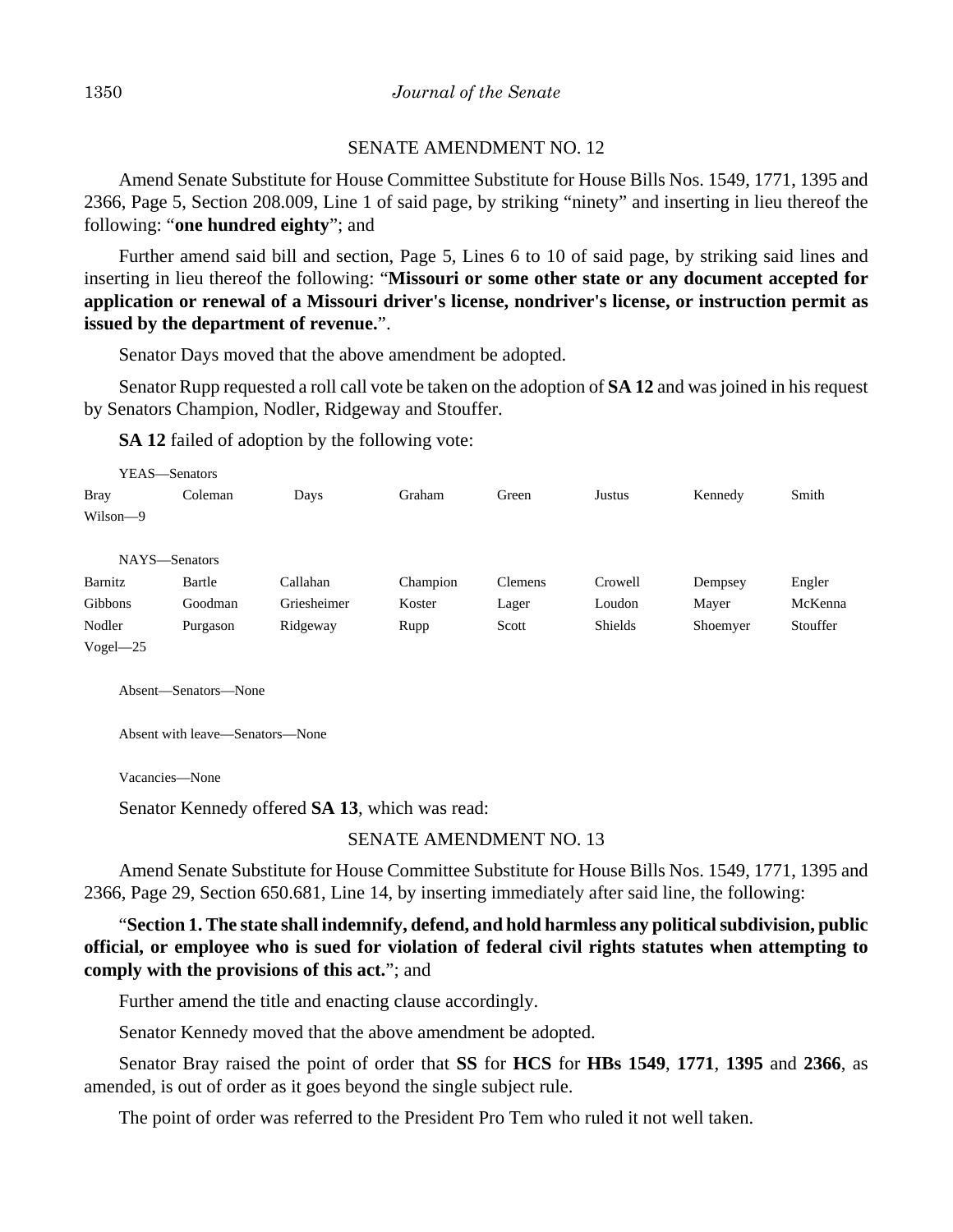### SENATE AMENDMENT NO. 12

Amend Senate Substitute for House Committee Substitute for House Bills Nos. 1549, 1771, 1395 and 2366, Page 5, Section 208.009, Line 1 of said page, by striking "ninety" and inserting in lieu thereof the following: "**one hundred eighty**"; and

Further amend said bill and section, Page 5, Lines 6 to 10 of said page, by striking said lines and inserting in lieu thereof the following: "**Missouri or some other state or any document accepted for application or renewal of a Missouri driver's license, nondriver's license, or instruction permit as issued by the department of revenue.**".

Senator Days moved that the above amendment be adopted.

Senator Rupp requested a roll call vote be taken on the adoption of **SA 12** and was joined in his request by Senators Champion, Nodler, Ridgeway and Stouffer.

**SA 12** failed of adoption by the following vote:

| YEAS—Senators |          |             |          |         |         |          |          |
|---------------|----------|-------------|----------|---------|---------|----------|----------|
| <b>Bray</b>   | Coleman  | Days        | Graham   | Green   | Justus  | Kennedy  | Smith    |
| Wilson-9      |          |             |          |         |         |          |          |
|               |          |             |          |         |         |          |          |
| NAYS-Senators |          |             |          |         |         |          |          |
| Barnitz       | Bartle   | Callahan    | Champion | Clemens | Crowell | Dempsey  | Engler   |
| Gibbons       | Goodman  | Griesheimer | Koster   | Lager   | Loudon  | Mayer    | McKenna  |
| Nodler        | Purgason | Ridgeway    | Rupp     | Scott   | Shields | Shoemyer | Stouffer |
| $Vogel - 25$  |          |             |          |         |         |          |          |

Absent—Senators—None

Absent with leave—Senators—None

Vacancies—None

Senator Kennedy offered **SA 13**, which was read:

# SENATE AMENDMENT NO. 13

Amend Senate Substitute for House Committee Substitute for House Bills Nos. 1549, 1771, 1395 and 2366, Page 29, Section 650.681, Line 14, by inserting immediately after said line, the following:

"**Section 1. The state shall indemnify, defend, and hold harmless any political subdivision, public official, or employee who is sued for violation of federal civil rights statutes when attempting to comply with the provisions of this act.**"; and

Further amend the title and enacting clause accordingly.

Senator Kennedy moved that the above amendment be adopted.

Senator Bray raised the point of order that **SS** for **HCS** for **HBs 1549**, **1771**, **1395** and **2366**, as amended, is out of order as it goes beyond the single subject rule.

The point of order was referred to the President Pro Tem who ruled it not well taken.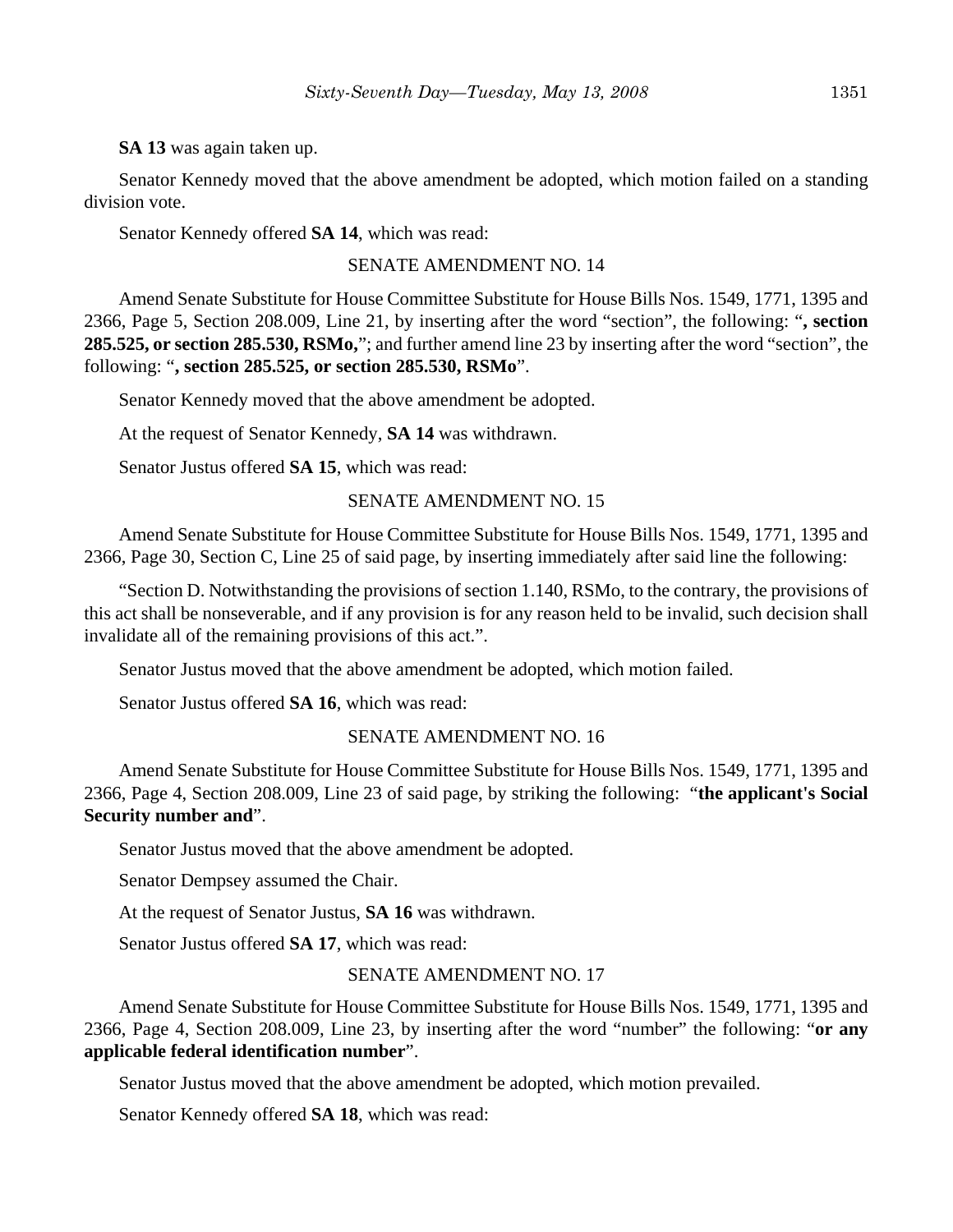**SA 13** was again taken up.

Senator Kennedy moved that the above amendment be adopted, which motion failed on a standing division vote.

Senator Kennedy offered **SA 14**, which was read:

#### SENATE AMENDMENT NO. 14

Amend Senate Substitute for House Committee Substitute for House Bills Nos. 1549, 1771, 1395 and 2366, Page 5, Section 208.009, Line 21, by inserting after the word "section", the following: "**, section 285.525, or section 285.530, RSMo,**"; and further amend line 23 by inserting after the word "section", the following: "**, section 285.525, or section 285.530, RSMo**".

Senator Kennedy moved that the above amendment be adopted.

At the request of Senator Kennedy, **SA 14** was withdrawn.

Senator Justus offered **SA 15**, which was read:

#### SENATE AMENDMENT NO. 15

Amend Senate Substitute for House Committee Substitute for House Bills Nos. 1549, 1771, 1395 and 2366, Page 30, Section C, Line 25 of said page, by inserting immediately after said line the following:

"Section D. Notwithstanding the provisions of section 1.140, RSMo, to the contrary, the provisions of this act shall be nonseverable, and if any provision is for any reason held to be invalid, such decision shall invalidate all of the remaining provisions of this act.".

Senator Justus moved that the above amendment be adopted, which motion failed.

Senator Justus offered **SA 16**, which was read:

### SENATE AMENDMENT NO. 16

Amend Senate Substitute for House Committee Substitute for House Bills Nos. 1549, 1771, 1395 and 2366, Page 4, Section 208.009, Line 23 of said page, by striking the following: "**the applicant's Social Security number and**".

Senator Justus moved that the above amendment be adopted.

Senator Dempsey assumed the Chair.

At the request of Senator Justus, **SA 16** was withdrawn.

Senator Justus offered **SA 17**, which was read:

### SENATE AMENDMENT NO. 17

Amend Senate Substitute for House Committee Substitute for House Bills Nos. 1549, 1771, 1395 and 2366, Page 4, Section 208.009, Line 23, by inserting after the word "number" the following: "**or any applicable federal identification number**".

Senator Justus moved that the above amendment be adopted, which motion prevailed.

Senator Kennedy offered **SA 18**, which was read: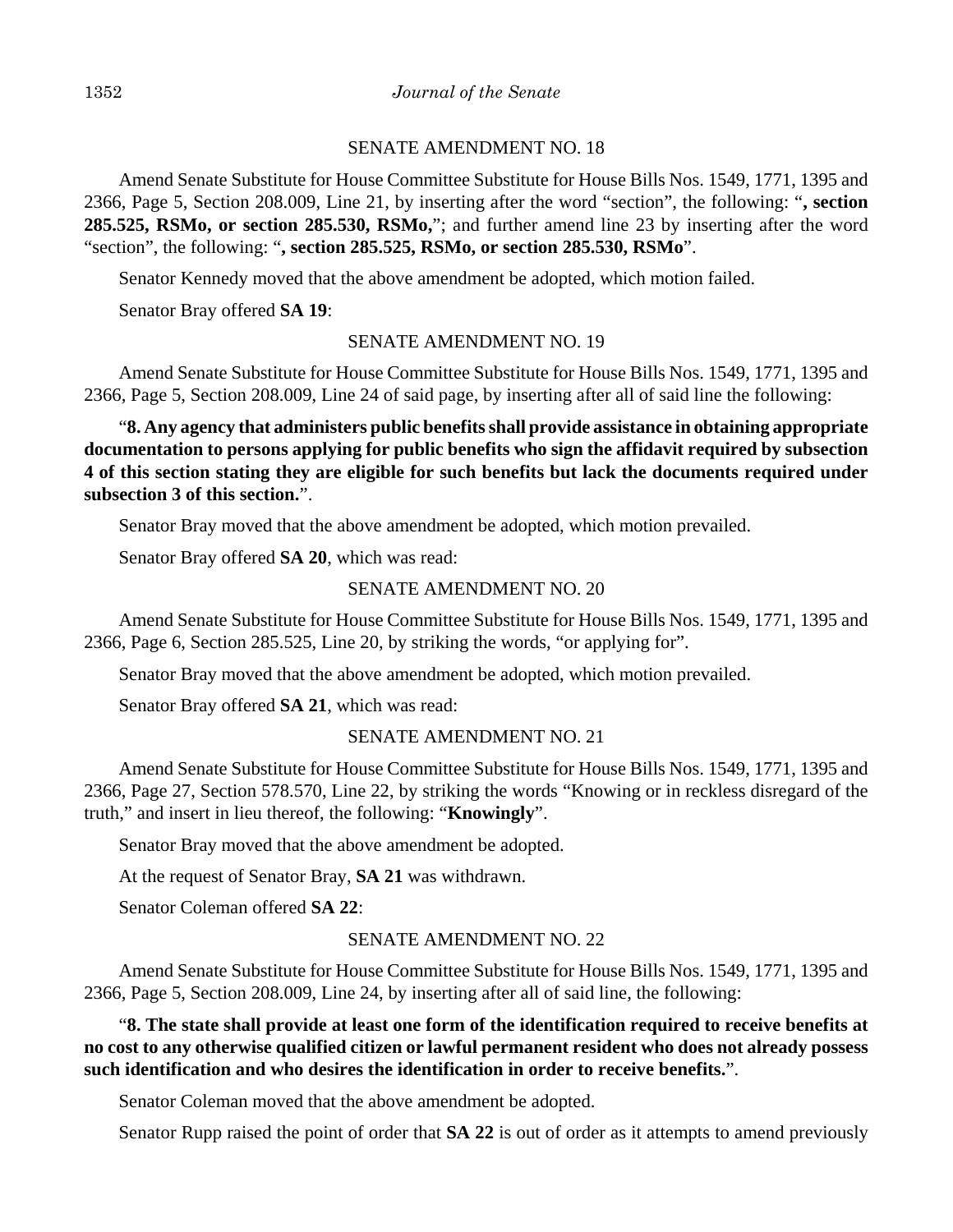#### SENATE AMENDMENT NO. 18

Amend Senate Substitute for House Committee Substitute for House Bills Nos. 1549, 1771, 1395 and 2366, Page 5, Section 208.009, Line 21, by inserting after the word "section", the following: "**, section 285.525, RSMo, or section 285.530, RSMo,**"; and further amend line 23 by inserting after the word "section", the following: "**, section 285.525, RSMo, or section 285.530, RSMo**".

Senator Kennedy moved that the above amendment be adopted, which motion failed.

Senator Bray offered **SA 19**:

### SENATE AMENDMENT NO. 19

Amend Senate Substitute for House Committee Substitute for House Bills Nos. 1549, 1771, 1395 and 2366, Page 5, Section 208.009, Line 24 of said page, by inserting after all of said line the following:

"**8. Any agency that administers public benefits shall provide assistance in obtaining appropriate documentation to persons applying for public benefits who sign the affidavit required by subsection 4 of this section stating they are eligible for such benefits but lack the documents required under subsection 3 of this section.**".

Senator Bray moved that the above amendment be adopted, which motion prevailed.

Senator Bray offered **SA 20**, which was read:

#### SENATE AMENDMENT NO. 20

Amend Senate Substitute for House Committee Substitute for House Bills Nos. 1549, 1771, 1395 and 2366, Page 6, Section 285.525, Line 20, by striking the words, "or applying for".

Senator Bray moved that the above amendment be adopted, which motion prevailed.

Senator Bray offered **SA 21**, which was read:

### SENATE AMENDMENT NO. 21

Amend Senate Substitute for House Committee Substitute for House Bills Nos. 1549, 1771, 1395 and 2366, Page 27, Section 578.570, Line 22, by striking the words "Knowing or in reckless disregard of the truth," and insert in lieu thereof, the following: "**Knowingly**".

Senator Bray moved that the above amendment be adopted.

At the request of Senator Bray, **SA 21** was withdrawn.

Senator Coleman offered **SA 22**:

#### SENATE AMENDMENT NO. 22

Amend Senate Substitute for House Committee Substitute for House Bills Nos. 1549, 1771, 1395 and 2366, Page 5, Section 208.009, Line 24, by inserting after all of said line, the following:

# "**8. The state shall provide at least one form of the identification required to receive benefits at no cost to any otherwise qualified citizen or lawful permanent resident who does not already possess such identification and who desires the identification in order to receive benefits.**".

Senator Coleman moved that the above amendment be adopted.

Senator Rupp raised the point of order that **SA 22** is out of order as it attempts to amend previously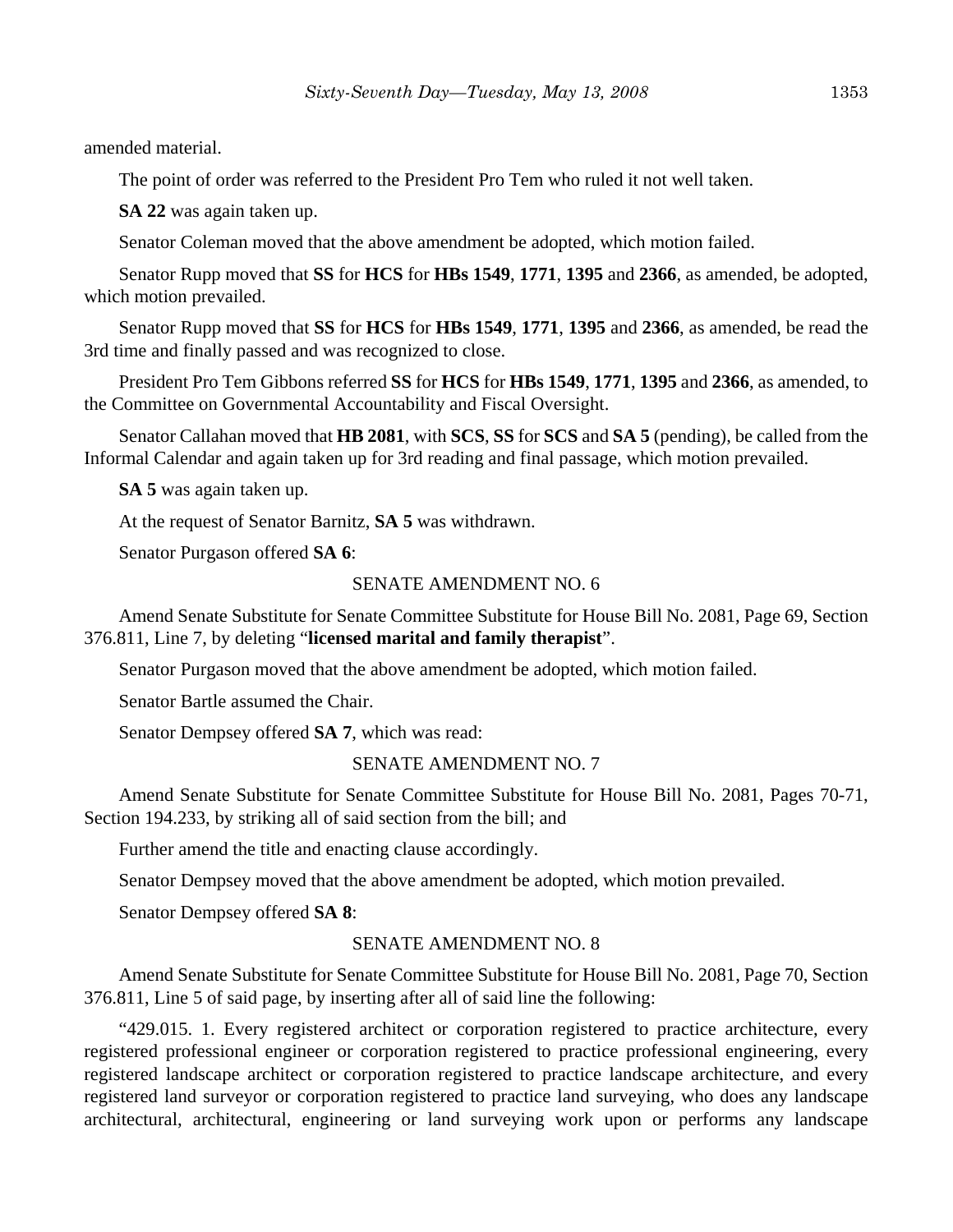amended material.

The point of order was referred to the President Pro Tem who ruled it not well taken.

**SA 22** was again taken up.

Senator Coleman moved that the above amendment be adopted, which motion failed.

Senator Rupp moved that **SS** for **HCS** for **HBs 1549**, **1771**, **1395** and **2366**, as amended, be adopted, which motion prevailed.

Senator Rupp moved that **SS** for **HCS** for **HBs 1549**, **1771**, **1395** and **2366**, as amended, be read the 3rd time and finally passed and was recognized to close.

President Pro Tem Gibbons referred **SS** for **HCS** for **HBs 1549**, **1771**, **1395** and **2366**, as amended, to the Committee on Governmental Accountability and Fiscal Oversight.

Senator Callahan moved that **HB 2081**, with **SCS**, **SS** for **SCS** and **SA 5** (pending), be called from the Informal Calendar and again taken up for 3rd reading and final passage, which motion prevailed.

**SA 5** was again taken up.

At the request of Senator Barnitz, **SA 5** was withdrawn.

Senator Purgason offered **SA 6**:

#### SENATE AMENDMENT NO. 6

Amend Senate Substitute for Senate Committee Substitute for House Bill No. 2081, Page 69, Section 376.811, Line 7, by deleting "**licensed marital and family therapist**".

Senator Purgason moved that the above amendment be adopted, which motion failed.

Senator Bartle assumed the Chair.

Senator Dempsey offered **SA 7**, which was read:

#### SENATE AMENDMENT NO. 7

Amend Senate Substitute for Senate Committee Substitute for House Bill No. 2081, Pages 70-71, Section 194.233, by striking all of said section from the bill; and

Further amend the title and enacting clause accordingly.

Senator Dempsey moved that the above amendment be adopted, which motion prevailed.

Senator Dempsey offered **SA 8**:

### SENATE AMENDMENT NO. 8

Amend Senate Substitute for Senate Committee Substitute for House Bill No. 2081, Page 70, Section 376.811, Line 5 of said page, by inserting after all of said line the following:

"429.015. 1. Every registered architect or corporation registered to practice architecture, every registered professional engineer or corporation registered to practice professional engineering, every registered landscape architect or corporation registered to practice landscape architecture, and every registered land surveyor or corporation registered to practice land surveying, who does any landscape architectural, architectural, engineering or land surveying work upon or performs any landscape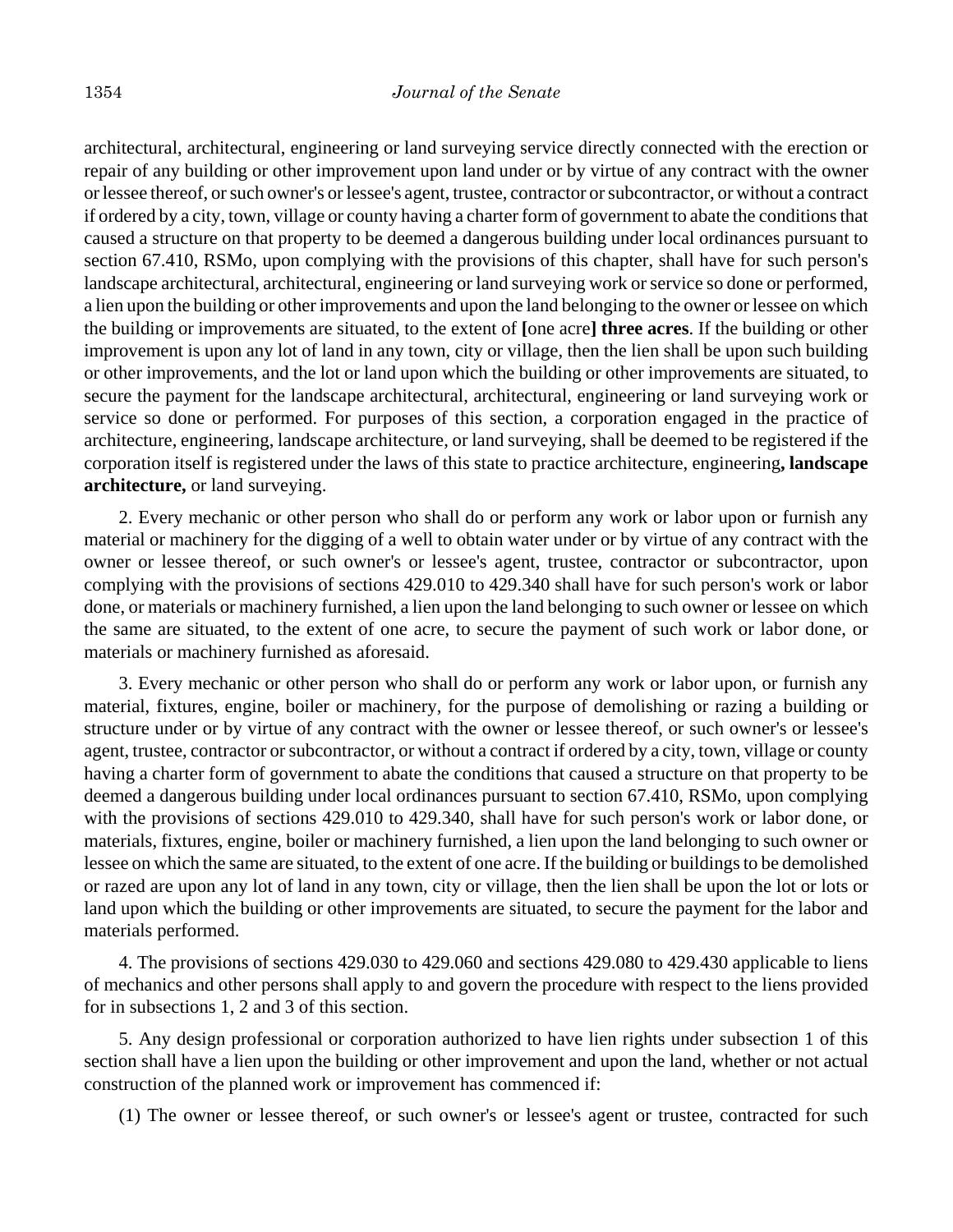architectural, architectural, engineering or land surveying service directly connected with the erection or repair of any building or other improvement upon land under or by virtue of any contract with the owner or lessee thereof, or such owner's or lessee's agent, trustee, contractor or subcontractor, or without a contract if ordered by a city, town, village or county having a charter form of government to abate the conditions that caused a structure on that property to be deemed a dangerous building under local ordinances pursuant to section 67.410, RSMo, upon complying with the provisions of this chapter, shall have for such person's landscape architectural, architectural, engineering or land surveying work or service so done or performed, a lien upon the building or other improvements and upon the land belonging to the owner or lessee on which the building or improvements are situated, to the extent of **[**one acre**] three acres**. If the building or other improvement is upon any lot of land in any town, city or village, then the lien shall be upon such building or other improvements, and the lot or land upon which the building or other improvements are situated, to secure the payment for the landscape architectural, architectural, engineering or land surveying work or service so done or performed. For purposes of this section, a corporation engaged in the practice of architecture, engineering, landscape architecture, or land surveying, shall be deemed to be registered if the corporation itself is registered under the laws of this state to practice architecture, engineering**, landscape architecture,** or land surveying.

2. Every mechanic or other person who shall do or perform any work or labor upon or furnish any material or machinery for the digging of a well to obtain water under or by virtue of any contract with the owner or lessee thereof, or such owner's or lessee's agent, trustee, contractor or subcontractor, upon complying with the provisions of sections 429.010 to 429.340 shall have for such person's work or labor done, or materials or machinery furnished, a lien upon the land belonging to such owner or lessee on which the same are situated, to the extent of one acre, to secure the payment of such work or labor done, or materials or machinery furnished as aforesaid.

3. Every mechanic or other person who shall do or perform any work or labor upon, or furnish any material, fixtures, engine, boiler or machinery, for the purpose of demolishing or razing a building or structure under or by virtue of any contract with the owner or lessee thereof, or such owner's or lessee's agent, trustee, contractor or subcontractor, or without a contract if ordered by a city, town, village or county having a charter form of government to abate the conditions that caused a structure on that property to be deemed a dangerous building under local ordinances pursuant to section 67.410, RSMo, upon complying with the provisions of sections 429.010 to 429.340, shall have for such person's work or labor done, or materials, fixtures, engine, boiler or machinery furnished, a lien upon the land belonging to such owner or lessee on which the same are situated, to the extent of one acre. If the building or buildings to be demolished or razed are upon any lot of land in any town, city or village, then the lien shall be upon the lot or lots or land upon which the building or other improvements are situated, to secure the payment for the labor and materials performed.

4. The provisions of sections 429.030 to 429.060 and sections 429.080 to 429.430 applicable to liens of mechanics and other persons shall apply to and govern the procedure with respect to the liens provided for in subsections 1, 2 and 3 of this section.

5. Any design professional or corporation authorized to have lien rights under subsection 1 of this section shall have a lien upon the building or other improvement and upon the land, whether or not actual construction of the planned work or improvement has commenced if:

(1) The owner or lessee thereof, or such owner's or lessee's agent or trustee, contracted for such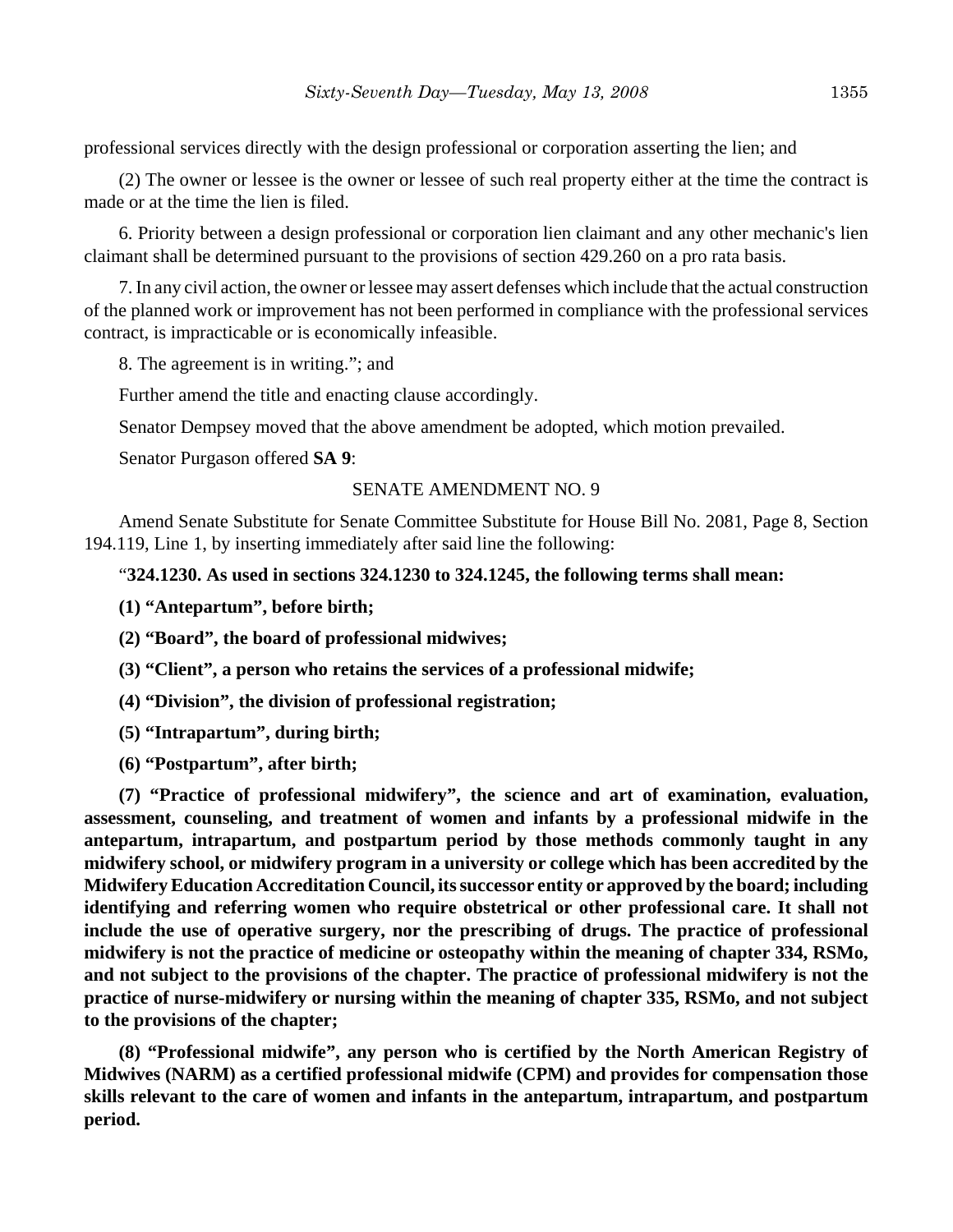professional services directly with the design professional or corporation asserting the lien; and

(2) The owner or lessee is the owner or lessee of such real property either at the time the contract is made or at the time the lien is filed.

6. Priority between a design professional or corporation lien claimant and any other mechanic's lien claimant shall be determined pursuant to the provisions of section 429.260 on a pro rata basis.

7. In any civil action, the owner or lessee may assert defenses which include that the actual construction of the planned work or improvement has not been performed in compliance with the professional services contract, is impracticable or is economically infeasible.

8. The agreement is in writing."; and

Further amend the title and enacting clause accordingly.

Senator Dempsey moved that the above amendment be adopted, which motion prevailed.

Senator Purgason offered **SA 9**:

### SENATE AMENDMENT NO. 9

Amend Senate Substitute for Senate Committee Substitute for House Bill No. 2081, Page 8, Section 194.119, Line 1, by inserting immediately after said line the following:

### "**324.1230. As used in sections 324.1230 to 324.1245, the following terms shall mean:**

**(1) "Antepartum", before birth;**

**(2) "Board", the board of professional midwives;**

**(3) "Client", a person who retains the services of a professional midwife;**

**(4) "Division", the division of professional registration;**

**(5) "Intrapartum", during birth;**

**(6) "Postpartum", after birth;**

**(7) "Practice of professional midwifery", the science and art of examination, evaluation, assessment, counseling, and treatment of women and infants by a professional midwife in the antepartum, intrapartum, and postpartum period by those methods commonly taught in any midwifery school, or midwifery program in a university or college which has been accredited by the Midwifery Education Accreditation Council, its successor entity or approved by the board; including identifying and referring women who require obstetrical or other professional care. It shall not include the use of operative surgery, nor the prescribing of drugs. The practice of professional midwifery is not the practice of medicine or osteopathy within the meaning of chapter 334, RSMo, and not subject to the provisions of the chapter. The practice of professional midwifery is not the practice of nurse-midwifery or nursing within the meaning of chapter 335, RSMo, and not subject to the provisions of the chapter;**

**(8) "Professional midwife", any person who is certified by the North American Registry of Midwives (NARM) as a certified professional midwife (CPM) and provides for compensation those skills relevant to the care of women and infants in the antepartum, intrapartum, and postpartum period.**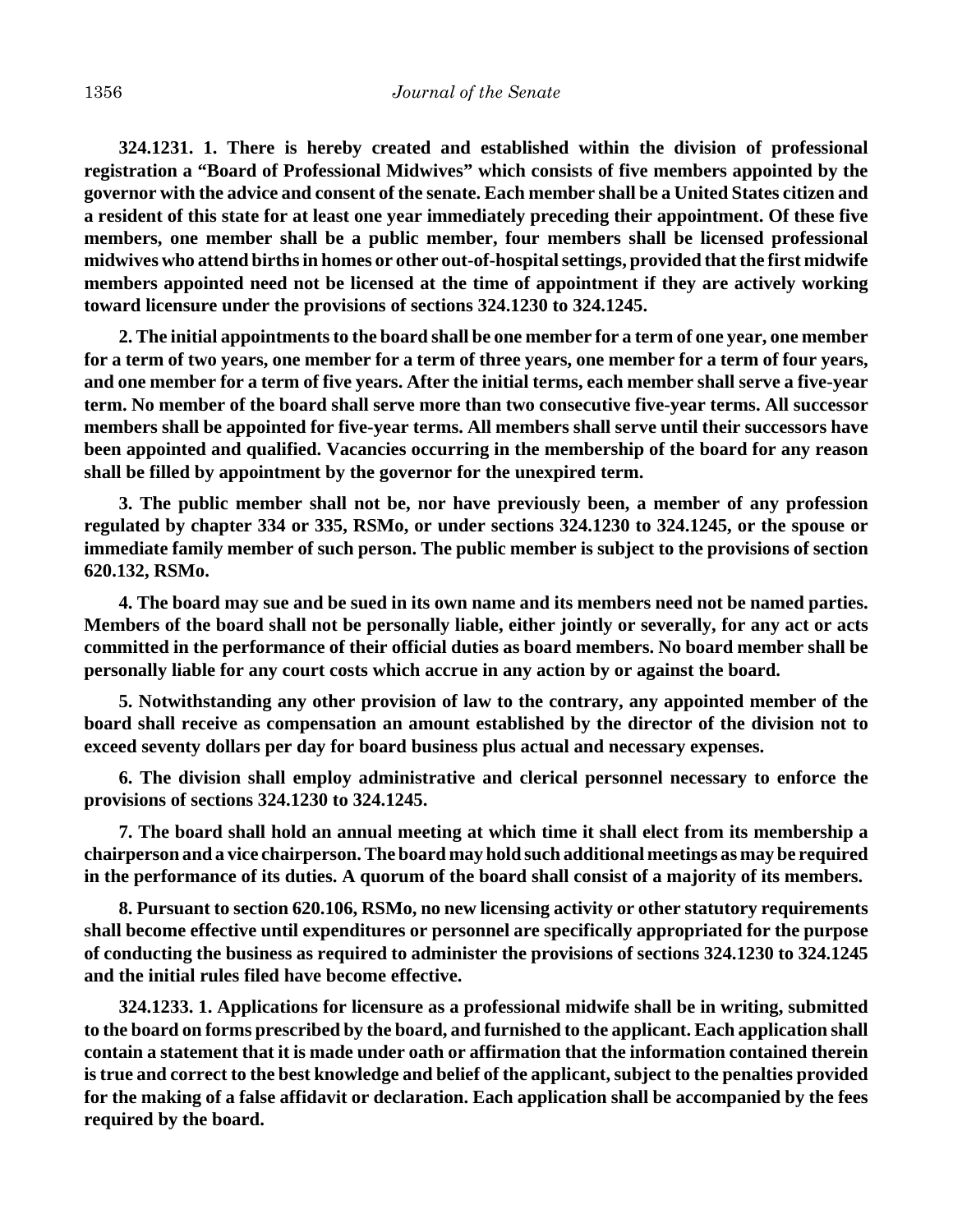**324.1231. 1. There is hereby created and established within the division of professional registration a "Board of Professional Midwives" which consists of five members appointed by the governor with the advice and consent of the senate. Each member shall be a United States citizen and a resident of this state for at least one year immediately preceding their appointment. Of these five members, one member shall be a public member, four members shall be licensed professional midwives who attend births in homes or other out-of-hospital settings, provided that the first midwife members appointed need not be licensed at the time of appointment if they are actively working toward licensure under the provisions of sections 324.1230 to 324.1245.**

**2. The initial appointments to the board shall be one member for a term of one year, one member for a term of two years, one member for a term of three years, one member for a term of four years, and one member for a term of five years. After the initial terms, each member shall serve a five-year term. No member of the board shall serve more than two consecutive five-year terms. All successor members shall be appointed for five-year terms. All members shall serve until their successors have been appointed and qualified. Vacancies occurring in the membership of the board for any reason shall be filled by appointment by the governor for the unexpired term.**

**3. The public member shall not be, nor have previously been, a member of any profession regulated by chapter 334 or 335, RSMo, or under sections 324.1230 to 324.1245, or the spouse or immediate family member of such person. The public member is subject to the provisions of section 620.132, RSMo.**

**4. The board may sue and be sued in its own name and its members need not be named parties. Members of the board shall not be personally liable, either jointly or severally, for any act or acts committed in the performance of their official duties as board members. No board member shall be personally liable for any court costs which accrue in any action by or against the board.**

**5. Notwithstanding any other provision of law to the contrary, any appointed member of the board shall receive as compensation an amount established by the director of the division not to exceed seventy dollars per day for board business plus actual and necessary expenses.**

**6. The division shall employ administrative and clerical personnel necessary to enforce the provisions of sections 324.1230 to 324.1245.**

**7. The board shall hold an annual meeting at which time it shall elect from its membership a chairperson and a vice chairperson. The board may hold such additional meetings as may be required in the performance of its duties. A quorum of the board shall consist of a majority of its members.**

**8. Pursuant to section 620.106, RSMo, no new licensing activity or other statutory requirements shall become effective until expenditures or personnel are specifically appropriated for the purpose of conducting the business as required to administer the provisions of sections 324.1230 to 324.1245 and the initial rules filed have become effective.**

**324.1233. 1. Applications for licensure as a professional midwife shall be in writing, submitted to the board on forms prescribed by the board, and furnished to the applicant. Each application shall contain a statement that it is made under oath or affirmation that the information contained therein is true and correct to the best knowledge and belief of the applicant, subject to the penalties provided for the making of a false affidavit or declaration. Each application shall be accompanied by the fees required by the board.**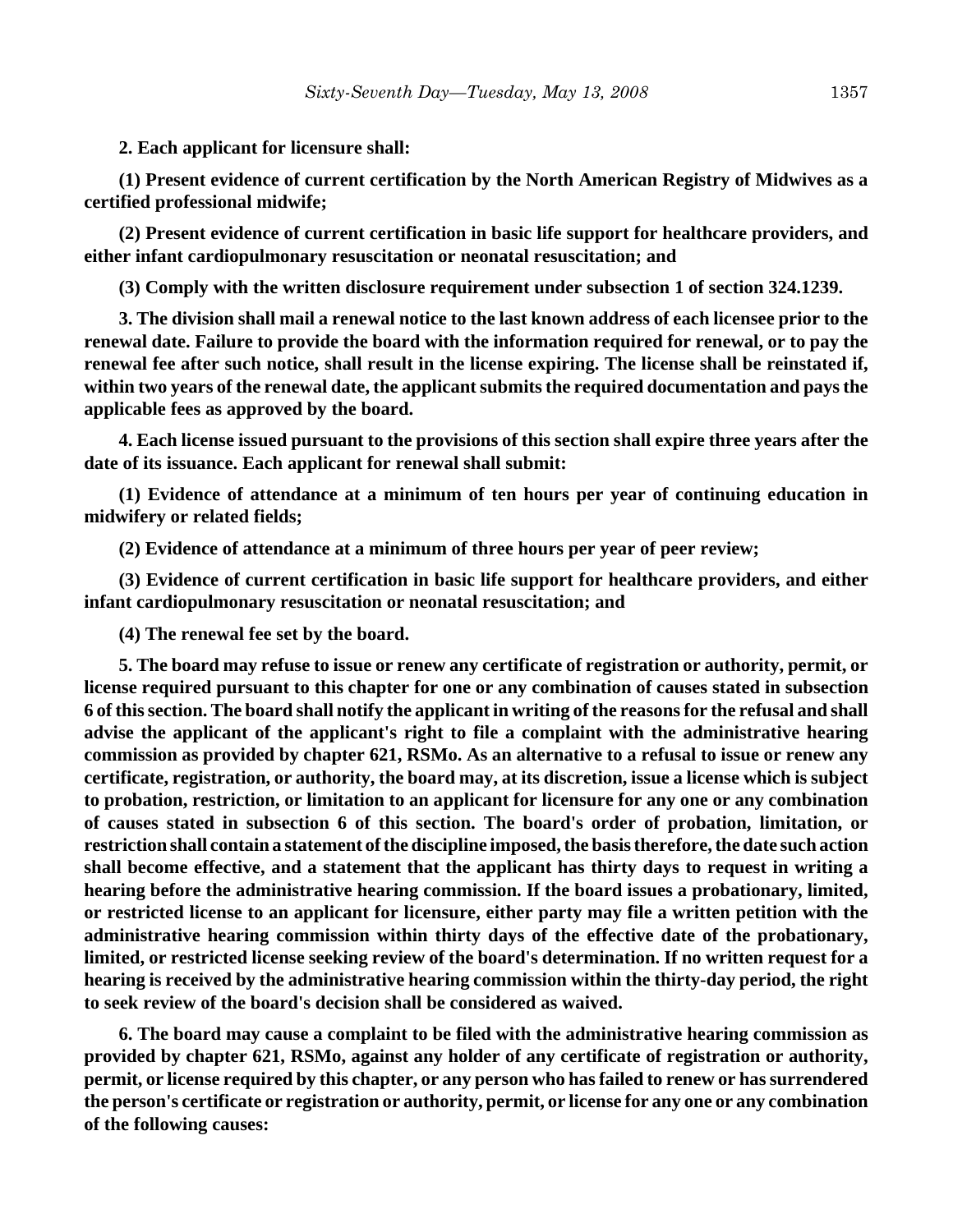**2. Each applicant for licensure shall:**

**(1) Present evidence of current certification by the North American Registry of Midwives as a certified professional midwife;**

**(2) Present evidence of current certification in basic life support for healthcare providers, and either infant cardiopulmonary resuscitation or neonatal resuscitation; and**

**(3) Comply with the written disclosure requirement under subsection 1 of section 324.1239.**

**3. The division shall mail a renewal notice to the last known address of each licensee prior to the renewal date. Failure to provide the board with the information required for renewal, or to pay the renewal fee after such notice, shall result in the license expiring. The license shall be reinstated if, within two years of the renewal date, the applicant submits the required documentation and pays the applicable fees as approved by the board.**

**4. Each license issued pursuant to the provisions of this section shall expire three years after the date of its issuance. Each applicant for renewal shall submit:**

**(1) Evidence of attendance at a minimum of ten hours per year of continuing education in midwifery or related fields;**

**(2) Evidence of attendance at a minimum of three hours per year of peer review;**

**(3) Evidence of current certification in basic life support for healthcare providers, and either infant cardiopulmonary resuscitation or neonatal resuscitation; and**

**(4) The renewal fee set by the board.**

**5. The board may refuse to issue or renew any certificate of registration or authority, permit, or license required pursuant to this chapter for one or any combination of causes stated in subsection 6 of this section. The board shall notify the applicant in writing of the reasons for the refusal and shall advise the applicant of the applicant's right to file a complaint with the administrative hearing commission as provided by chapter 621, RSMo. As an alternative to a refusal to issue or renew any certificate, registration, or authority, the board may, at its discretion, issue a license which is subject to probation, restriction, or limitation to an applicant for licensure for any one or any combination of causes stated in subsection 6 of this section. The board's order of probation, limitation, or restriction shall contain a statement of the discipline imposed, the basis therefore, the date such action shall become effective, and a statement that the applicant has thirty days to request in writing a hearing before the administrative hearing commission. If the board issues a probationary, limited, or restricted license to an applicant for licensure, either party may file a written petition with the administrative hearing commission within thirty days of the effective date of the probationary, limited, or restricted license seeking review of the board's determination. If no written request for a hearing is received by the administrative hearing commission within the thirty-day period, the right to seek review of the board's decision shall be considered as waived.**

**6. The board may cause a complaint to be filed with the administrative hearing commission as provided by chapter 621, RSMo, against any holder of any certificate of registration or authority, permit, or license required by this chapter, or any person who has failed to renew or has surrendered the person's certificate or registration or authority, permit, or license for any one or any combination of the following causes:**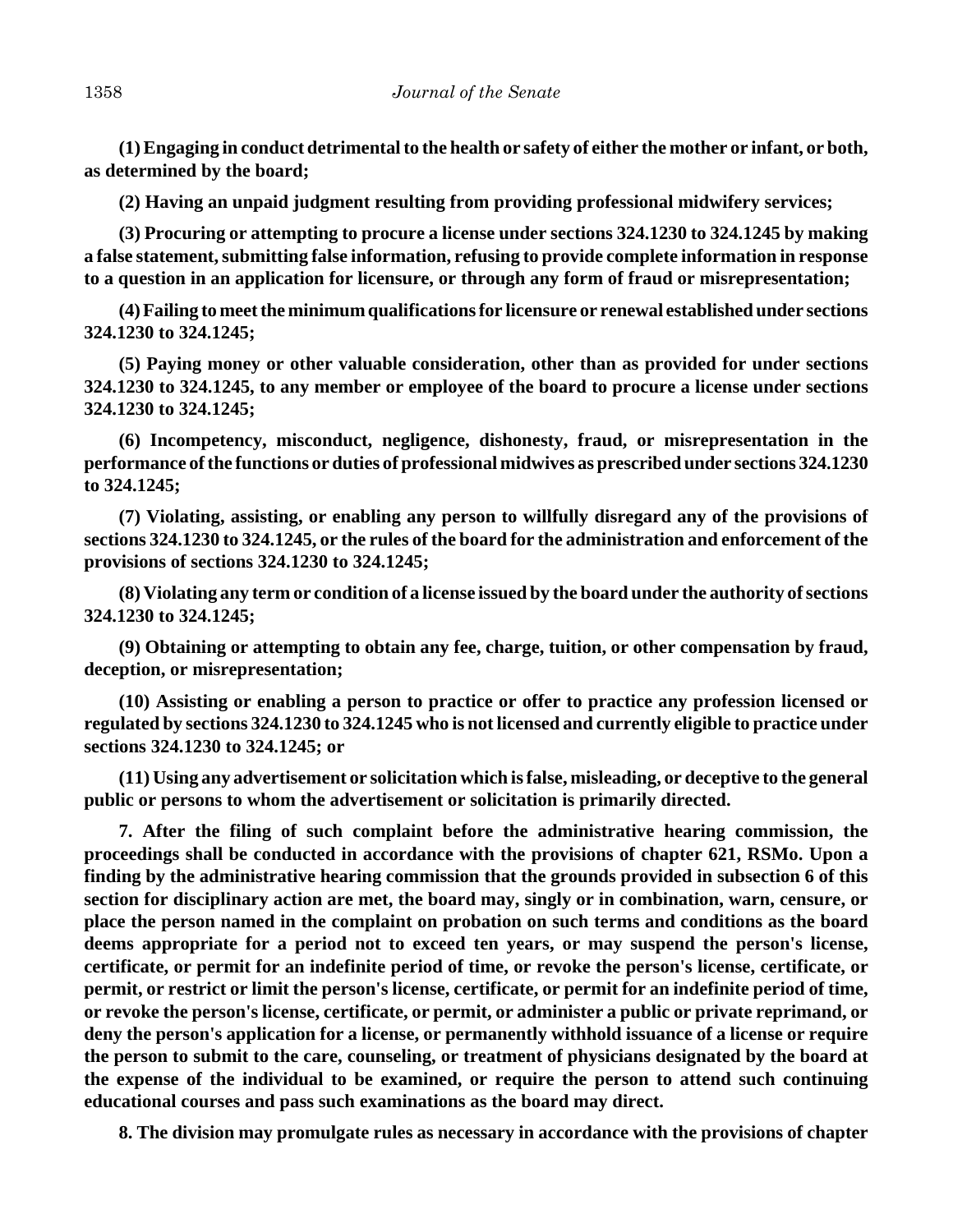**(1) Engaging in conduct detrimental to the health or safety of either the mother or infant, or both, as determined by the board;**

**(2) Having an unpaid judgment resulting from providing professional midwifery services;**

**(3) Procuring or attempting to procure a license under sections 324.1230 to 324.1245 by making a false statement, submitting false information, refusing to provide complete information in response to a question in an application for licensure, or through any form of fraud or misrepresentation;**

**(4) Failing to meet the minimum qualifications for licensure or renewal established under sections 324.1230 to 324.1245;**

**(5) Paying money or other valuable consideration, other than as provided for under sections 324.1230 to 324.1245, to any member or employee of the board to procure a license under sections 324.1230 to 324.1245;**

**(6) Incompetency, misconduct, negligence, dishonesty, fraud, or misrepresentation in the performance of the functions or duties of professional midwives as prescribed under sections 324.1230 to 324.1245;**

**(7) Violating, assisting, or enabling any person to willfully disregard any of the provisions of sections 324.1230 to 324.1245, or the rules of the board for the administration and enforcement of the provisions of sections 324.1230 to 324.1245;**

**(8) Violating any term or condition of a license issued by the board under the authority of sections 324.1230 to 324.1245;**

**(9) Obtaining or attempting to obtain any fee, charge, tuition, or other compensation by fraud, deception, or misrepresentation;**

**(10) Assisting or enabling a person to practice or offer to practice any profession licensed or regulated by sections 324.1230 to 324.1245 who is not licensed and currently eligible to practice under sections 324.1230 to 324.1245; or**

**(11) Using any advertisement or solicitation which is false, misleading, or deceptive to the general public or persons to whom the advertisement or solicitation is primarily directed.**

**7. After the filing of such complaint before the administrative hearing commission, the proceedings shall be conducted in accordance with the provisions of chapter 621, RSMo. Upon a finding by the administrative hearing commission that the grounds provided in subsection 6 of this section for disciplinary action are met, the board may, singly or in combination, warn, censure, or place the person named in the complaint on probation on such terms and conditions as the board deems appropriate for a period not to exceed ten years, or may suspend the person's license, certificate, or permit for an indefinite period of time, or revoke the person's license, certificate, or permit, or restrict or limit the person's license, certificate, or permit for an indefinite period of time, or revoke the person's license, certificate, or permit, or administer a public or private reprimand, or deny the person's application for a license, or permanently withhold issuance of a license or require the person to submit to the care, counseling, or treatment of physicians designated by the board at the expense of the individual to be examined, or require the person to attend such continuing educational courses and pass such examinations as the board may direct.**

**8. The division may promulgate rules as necessary in accordance with the provisions of chapter**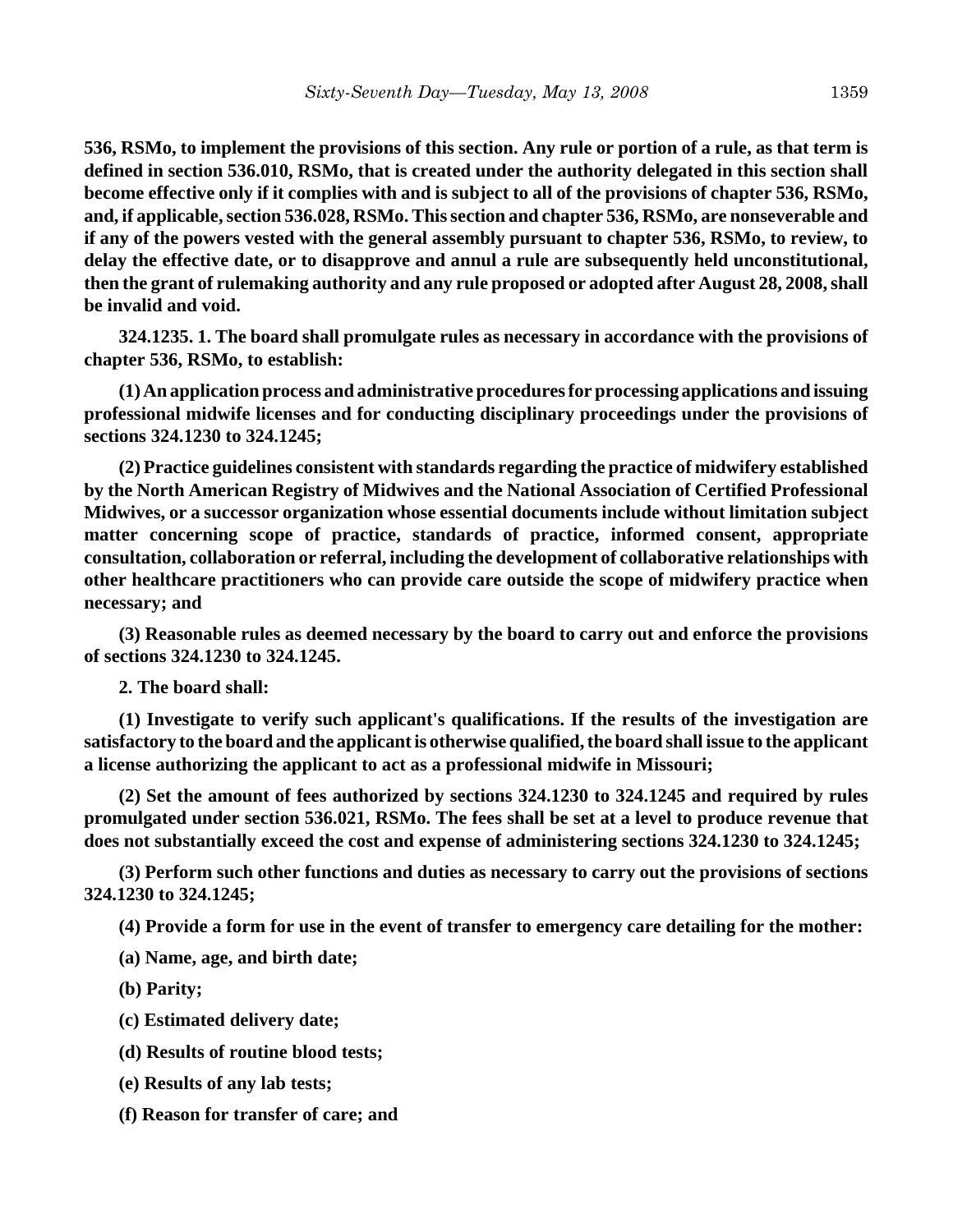**536, RSMo, to implement the provisions of this section. Any rule or portion of a rule, as that term is defined in section 536.010, RSMo, that is created under the authority delegated in this section shall become effective only if it complies with and is subject to all of the provisions of chapter 536, RSMo, and, if applicable, section 536.028, RSMo. This section and chapter 536, RSMo, are nonseverable and if any of the powers vested with the general assembly pursuant to chapter 536, RSMo, to review, to delay the effective date, or to disapprove and annul a rule are subsequently held unconstitutional, then the grant of rulemaking authority and any rule proposed or adopted after August 28, 2008, shall be invalid and void.**

**324.1235. 1. The board shall promulgate rules as necessary in accordance with the provisions of chapter 536, RSMo, to establish:**

**(1) An application process and administrative procedures for processing applications and issuing professional midwife licenses and for conducting disciplinary proceedings under the provisions of sections 324.1230 to 324.1245;**

**(2) Practice guidelines consistent with standards regarding the practice of midwifery established by the North American Registry of Midwives and the National Association of Certified Professional Midwives, or a successor organization whose essential documents include without limitation subject matter concerning scope of practice, standards of practice, informed consent, appropriate consultation, collaboration or referral, including the development of collaborative relationships with other healthcare practitioners who can provide care outside the scope of midwifery practice when necessary; and**

**(3) Reasonable rules as deemed necessary by the board to carry out and enforce the provisions of sections 324.1230 to 324.1245.**

**2. The board shall:**

**(1) Investigate to verify such applicant's qualifications. If the results of the investigation are satisfactory to the board and the applicant is otherwise qualified, the board shall issue to the applicant a license authorizing the applicant to act as a professional midwife in Missouri;**

**(2) Set the amount of fees authorized by sections 324.1230 to 324.1245 and required by rules promulgated under section 536.021, RSMo. The fees shall be set at a level to produce revenue that does not substantially exceed the cost and expense of administering sections 324.1230 to 324.1245;**

**(3) Perform such other functions and duties as necessary to carry out the provisions of sections 324.1230 to 324.1245;**

**(4) Provide a form for use in the event of transfer to emergency care detailing for the mother:**

**(a) Name, age, and birth date;**

**(b) Parity;**

**(c) Estimated delivery date;**

**(d) Results of routine blood tests;**

**(e) Results of any lab tests;**

**(f) Reason for transfer of care; and**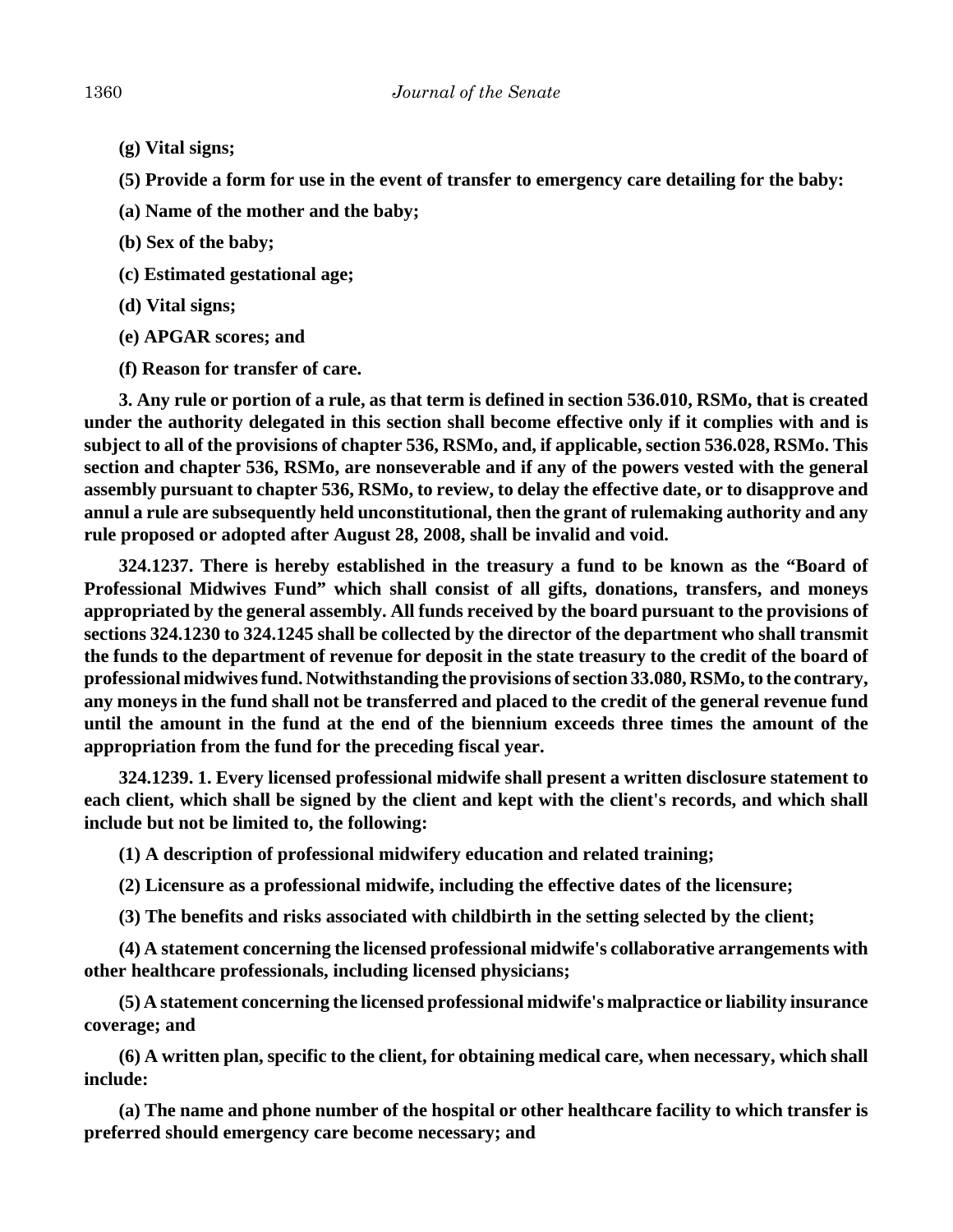- **(g) Vital signs;**
- **(5) Provide a form for use in the event of transfer to emergency care detailing for the baby:**
- **(a) Name of the mother and the baby;**
- **(b) Sex of the baby;**
- **(c) Estimated gestational age;**
- **(d) Vital signs;**
- **(e) APGAR scores; and**
- **(f) Reason for transfer of care.**

**3. Any rule or portion of a rule, as that term is defined in section 536.010, RSMo, that is created under the authority delegated in this section shall become effective only if it complies with and is subject to all of the provisions of chapter 536, RSMo, and, if applicable, section 536.028, RSMo. This section and chapter 536, RSMo, are nonseverable and if any of the powers vested with the general assembly pursuant to chapter 536, RSMo, to review, to delay the effective date, or to disapprove and annul a rule are subsequently held unconstitutional, then the grant of rulemaking authority and any rule proposed or adopted after August 28, 2008, shall be invalid and void.**

**324.1237. There is hereby established in the treasury a fund to be known as the "Board of Professional Midwives Fund" which shall consist of all gifts, donations, transfers, and moneys appropriated by the general assembly. All funds received by the board pursuant to the provisions of sections 324.1230 to 324.1245 shall be collected by the director of the department who shall transmit the funds to the department of revenue for deposit in the state treasury to the credit of the board of professional midwives fund. Notwithstanding the provisions of section 33.080, RSMo, to the contrary, any moneys in the fund shall not be transferred and placed to the credit of the general revenue fund until the amount in the fund at the end of the biennium exceeds three times the amount of the appropriation from the fund for the preceding fiscal year.**

**324.1239. 1. Every licensed professional midwife shall present a written disclosure statement to each client, which shall be signed by the client and kept with the client's records, and which shall include but not be limited to, the following:**

**(1) A description of professional midwifery education and related training;**

**(2) Licensure as a professional midwife, including the effective dates of the licensure;**

**(3) The benefits and risks associated with childbirth in the setting selected by the client;**

**(4) A statement concerning the licensed professional midwife's collaborative arrangements with other healthcare professionals, including licensed physicians;**

**(5) A statement concerning the licensed professional midwife's malpractice or liability insurance coverage; and**

**(6) A written plan, specific to the client, for obtaining medical care, when necessary, which shall include:**

**(a) The name and phone number of the hospital or other healthcare facility to which transfer is preferred should emergency care become necessary; and**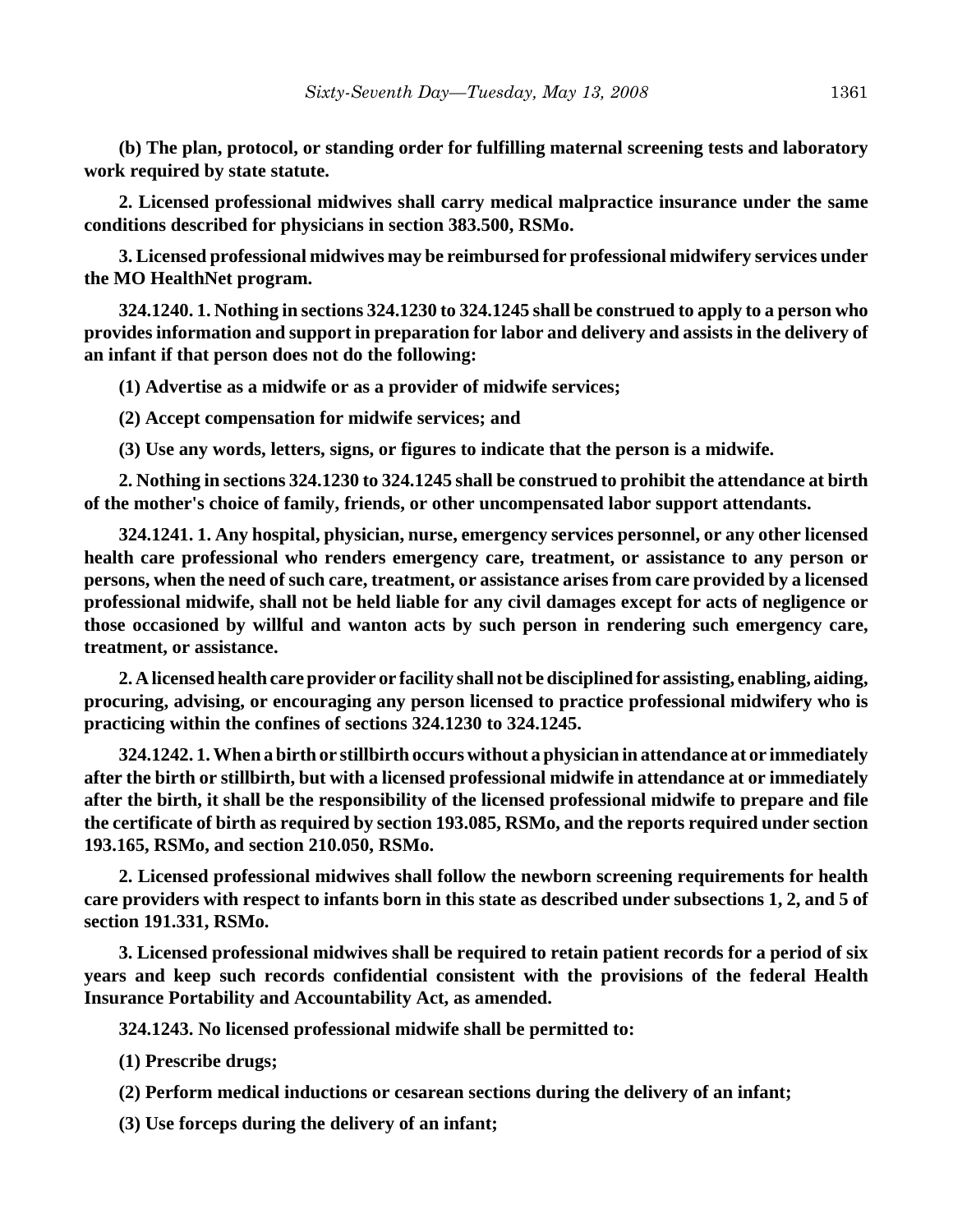**(b) The plan, protocol, or standing order for fulfilling maternal screening tests and laboratory work required by state statute.**

**2. Licensed professional midwives shall carry medical malpractice insurance under the same conditions described for physicians in section 383.500, RSMo.**

**3. Licensed professional midwives may be reimbursed for professional midwifery services under the MO HealthNet program.**

**324.1240. 1. Nothing in sections 324.1230 to 324.1245 shall be construed to apply to a person who provides information and support in preparation for labor and delivery and assists in the delivery of an infant if that person does not do the following:**

**(1) Advertise as a midwife or as a provider of midwife services;**

**(2) Accept compensation for midwife services; and**

**(3) Use any words, letters, signs, or figures to indicate that the person is a midwife.**

**2. Nothing in sections 324.1230 to 324.1245 shall be construed to prohibit the attendance at birth of the mother's choice of family, friends, or other uncompensated labor support attendants.**

**324.1241. 1. Any hospital, physician, nurse, emergency services personnel, or any other licensed health care professional who renders emergency care, treatment, or assistance to any person or persons, when the need of such care, treatment, or assistance arises from care provided by a licensed professional midwife, shall not be held liable for any civil damages except for acts of negligence or those occasioned by willful and wanton acts by such person in rendering such emergency care, treatment, or assistance.**

**2. A licensed health care provider or facility shall not be disciplined for assisting, enabling, aiding, procuring, advising, or encouraging any person licensed to practice professional midwifery who is practicing within the confines of sections 324.1230 to 324.1245.**

**324.1242. 1. When a birth or stillbirth occurs without a physician in attendance at or immediately after the birth or stillbirth, but with a licensed professional midwife in attendance at or immediately after the birth, it shall be the responsibility of the licensed professional midwife to prepare and file the certificate of birth as required by section 193.085, RSMo, and the reports required under section 193.165, RSMo, and section 210.050, RSMo.**

**2. Licensed professional midwives shall follow the newborn screening requirements for health care providers with respect to infants born in this state as described under subsections 1, 2, and 5 of section 191.331, RSMo.**

**3. Licensed professional midwives shall be required to retain patient records for a period of six years and keep such records confidential consistent with the provisions of the federal Health Insurance Portability and Accountability Act, as amended.**

**324.1243. No licensed professional midwife shall be permitted to:**

**(1) Prescribe drugs;**

**(2) Perform medical inductions or cesarean sections during the delivery of an infant;**

**(3) Use forceps during the delivery of an infant;**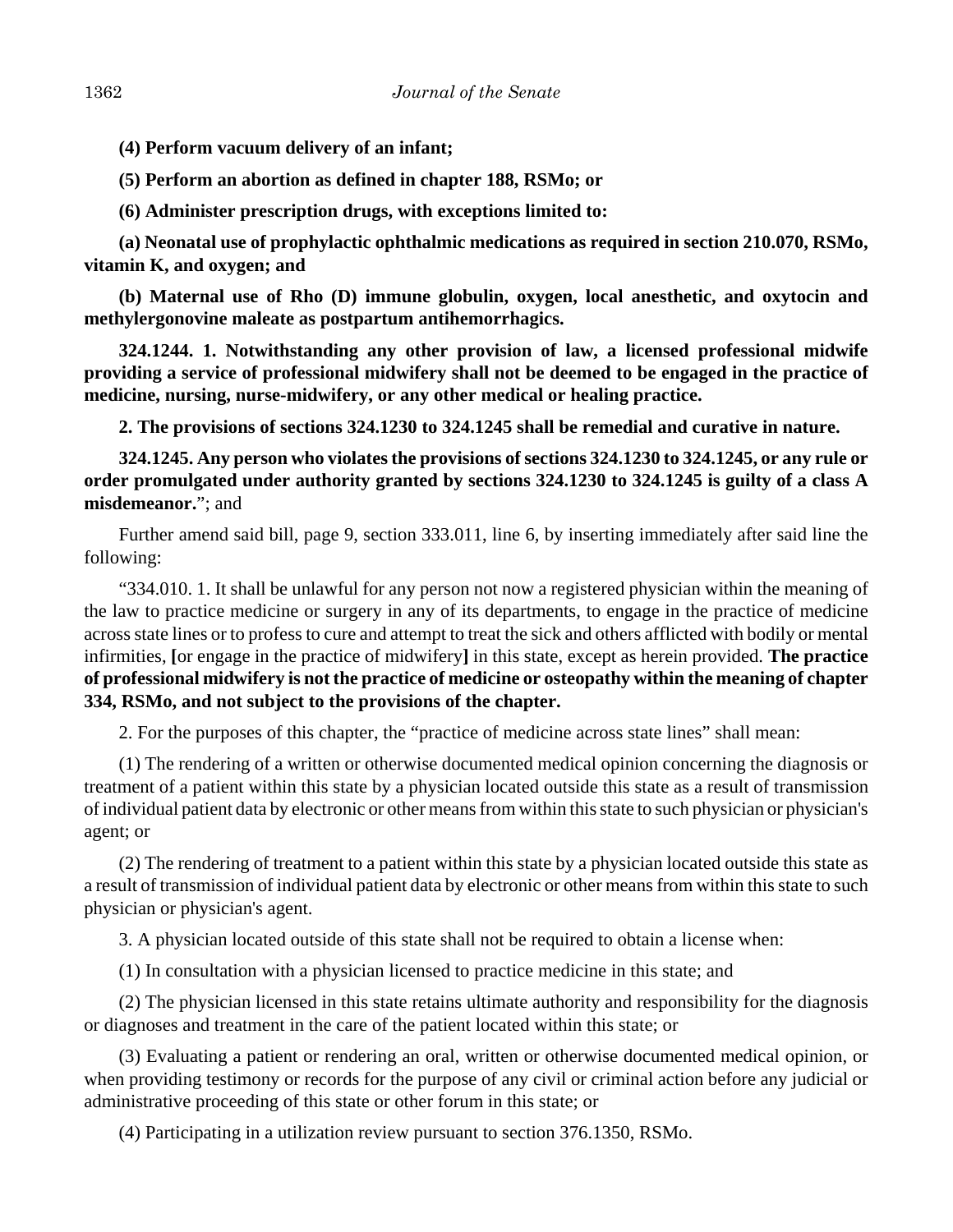**(4) Perform vacuum delivery of an infant;**

**(5) Perform an abortion as defined in chapter 188, RSMo; or**

**(6) Administer prescription drugs, with exceptions limited to:**

**(a) Neonatal use of prophylactic ophthalmic medications as required in section 210.070, RSMo, vitamin K, and oxygen; and**

**(b) Maternal use of Rho (D) immune globulin, oxygen, local anesthetic, and oxytocin and methylergonovine maleate as postpartum antihemorrhagics.**

**324.1244. 1. Notwithstanding any other provision of law, a licensed professional midwife providing a service of professional midwifery shall not be deemed to be engaged in the practice of medicine, nursing, nurse-midwifery, or any other medical or healing practice.**

**2. The provisions of sections 324.1230 to 324.1245 shall be remedial and curative in nature.**

**324.1245. Any person who violates the provisions of sections 324.1230 to 324.1245, or any rule or order promulgated under authority granted by sections 324.1230 to 324.1245 is guilty of a class A misdemeanor.**"; and

Further amend said bill, page 9, section 333.011, line 6, by inserting immediately after said line the following:

"334.010. 1. It shall be unlawful for any person not now a registered physician within the meaning of the law to practice medicine or surgery in any of its departments, to engage in the practice of medicine across state lines or to profess to cure and attempt to treat the sick and others afflicted with bodily or mental infirmities, **[**or engage in the practice of midwifery**]** in this state, except as herein provided. **The practice of professional midwifery is not the practice of medicine or osteopathy within the meaning of chapter 334, RSMo, and not subject to the provisions of the chapter.**

2. For the purposes of this chapter, the "practice of medicine across state lines" shall mean:

(1) The rendering of a written or otherwise documented medical opinion concerning the diagnosis or treatment of a patient within this state by a physician located outside this state as a result of transmission of individual patient data by electronic or other means from within this state to such physician or physician's agent; or

(2) The rendering of treatment to a patient within this state by a physician located outside this state as a result of transmission of individual patient data by electronic or other means from within this state to such physician or physician's agent.

3. A physician located outside of this state shall not be required to obtain a license when:

(1) In consultation with a physician licensed to practice medicine in this state; and

(2) The physician licensed in this state retains ultimate authority and responsibility for the diagnosis or diagnoses and treatment in the care of the patient located within this state; or

(3) Evaluating a patient or rendering an oral, written or otherwise documented medical opinion, or when providing testimony or records for the purpose of any civil or criminal action before any judicial or administrative proceeding of this state or other forum in this state; or

(4) Participating in a utilization review pursuant to section 376.1350, RSMo.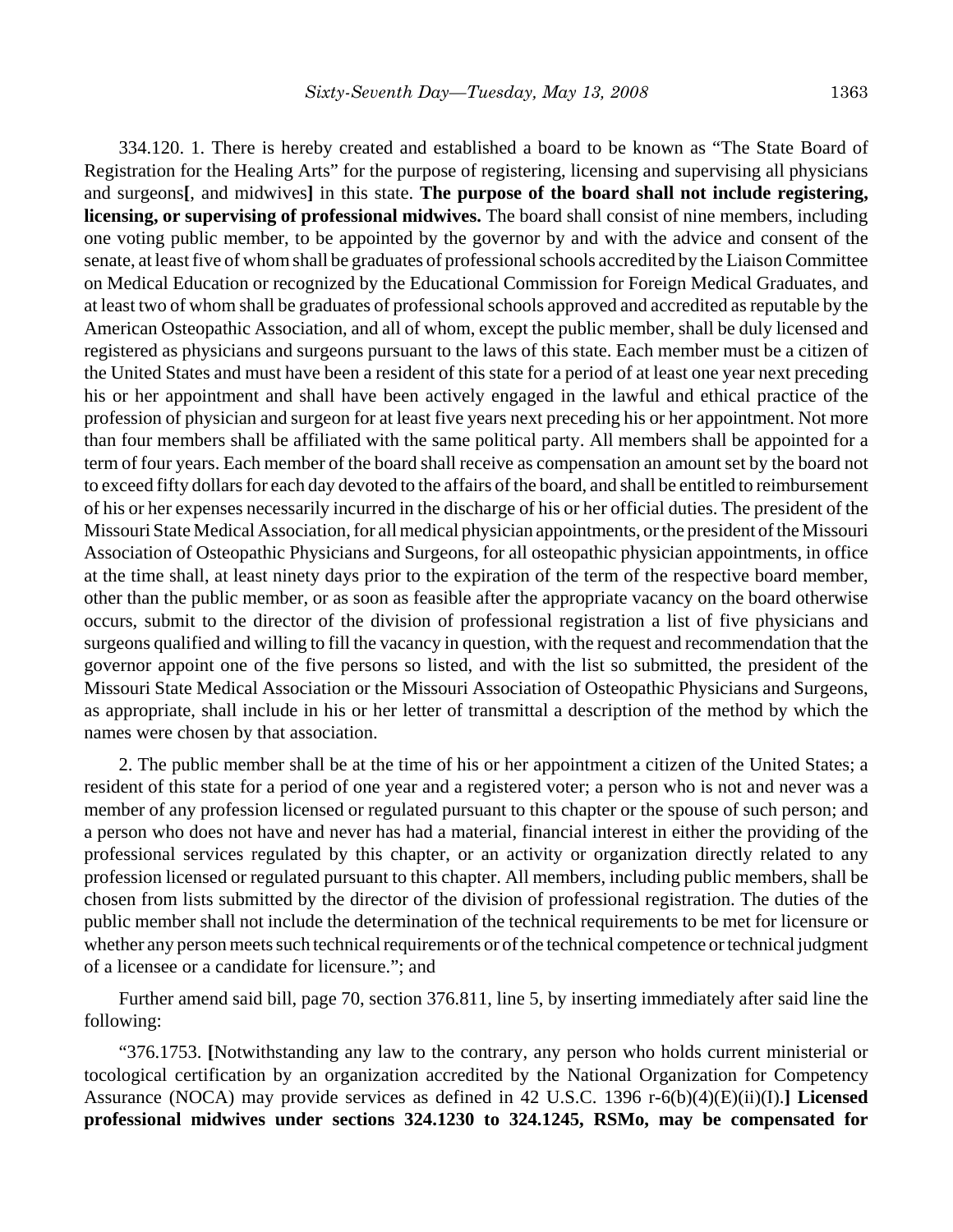334.120. 1. There is hereby created and established a board to be known as "The State Board of Registration for the Healing Arts" for the purpose of registering, licensing and supervising all physicians and surgeons**[**, and midwives**]** in this state. **The purpose of the board shall not include registering, licensing, or supervising of professional midwives.** The board shall consist of nine members, including one voting public member, to be appointed by the governor by and with the advice and consent of the senate, at least five of whom shall be graduates of professional schools accredited by the Liaison Committee on Medical Education or recognized by the Educational Commission for Foreign Medical Graduates, and at least two of whom shall be graduates of professional schools approved and accredited as reputable by the American Osteopathic Association, and all of whom, except the public member, shall be duly licensed and registered as physicians and surgeons pursuant to the laws of this state. Each member must be a citizen of the United States and must have been a resident of this state for a period of at least one year next preceding his or her appointment and shall have been actively engaged in the lawful and ethical practice of the profession of physician and surgeon for at least five years next preceding his or her appointment. Not more than four members shall be affiliated with the same political party. All members shall be appointed for a term of four years. Each member of the board shall receive as compensation an amount set by the board not to exceed fifty dollars for each day devoted to the affairs of the board, and shall be entitled to reimbursement of his or her expenses necessarily incurred in the discharge of his or her official duties. The president of the Missouri State Medical Association, for all medical physician appointments, or the president of the Missouri Association of Osteopathic Physicians and Surgeons, for all osteopathic physician appointments, in office at the time shall, at least ninety days prior to the expiration of the term of the respective board member, other than the public member, or as soon as feasible after the appropriate vacancy on the board otherwise occurs, submit to the director of the division of professional registration a list of five physicians and surgeons qualified and willing to fill the vacancy in question, with the request and recommendation that the governor appoint one of the five persons so listed, and with the list so submitted, the president of the Missouri State Medical Association or the Missouri Association of Osteopathic Physicians and Surgeons, as appropriate, shall include in his or her letter of transmittal a description of the method by which the names were chosen by that association.

2. The public member shall be at the time of his or her appointment a citizen of the United States; a resident of this state for a period of one year and a registered voter; a person who is not and never was a member of any profession licensed or regulated pursuant to this chapter or the spouse of such person; and a person who does not have and never has had a material, financial interest in either the providing of the professional services regulated by this chapter, or an activity or organization directly related to any profession licensed or regulated pursuant to this chapter. All members, including public members, shall be chosen from lists submitted by the director of the division of professional registration. The duties of the public member shall not include the determination of the technical requirements to be met for licensure or whether any person meets such technical requirements or of the technical competence or technical judgment of a licensee or a candidate for licensure."; and

Further amend said bill, page 70, section 376.811, line 5, by inserting immediately after said line the following:

"376.1753. **[**Notwithstanding any law to the contrary, any person who holds current ministerial or tocological certification by an organization accredited by the National Organization for Competency Assurance (NOCA) may provide services as defined in 42 U.S.C. 1396 r-6(b)(4)(E)(ii)(I).**] Licensed professional midwives under sections 324.1230 to 324.1245, RSMo, may be compensated for**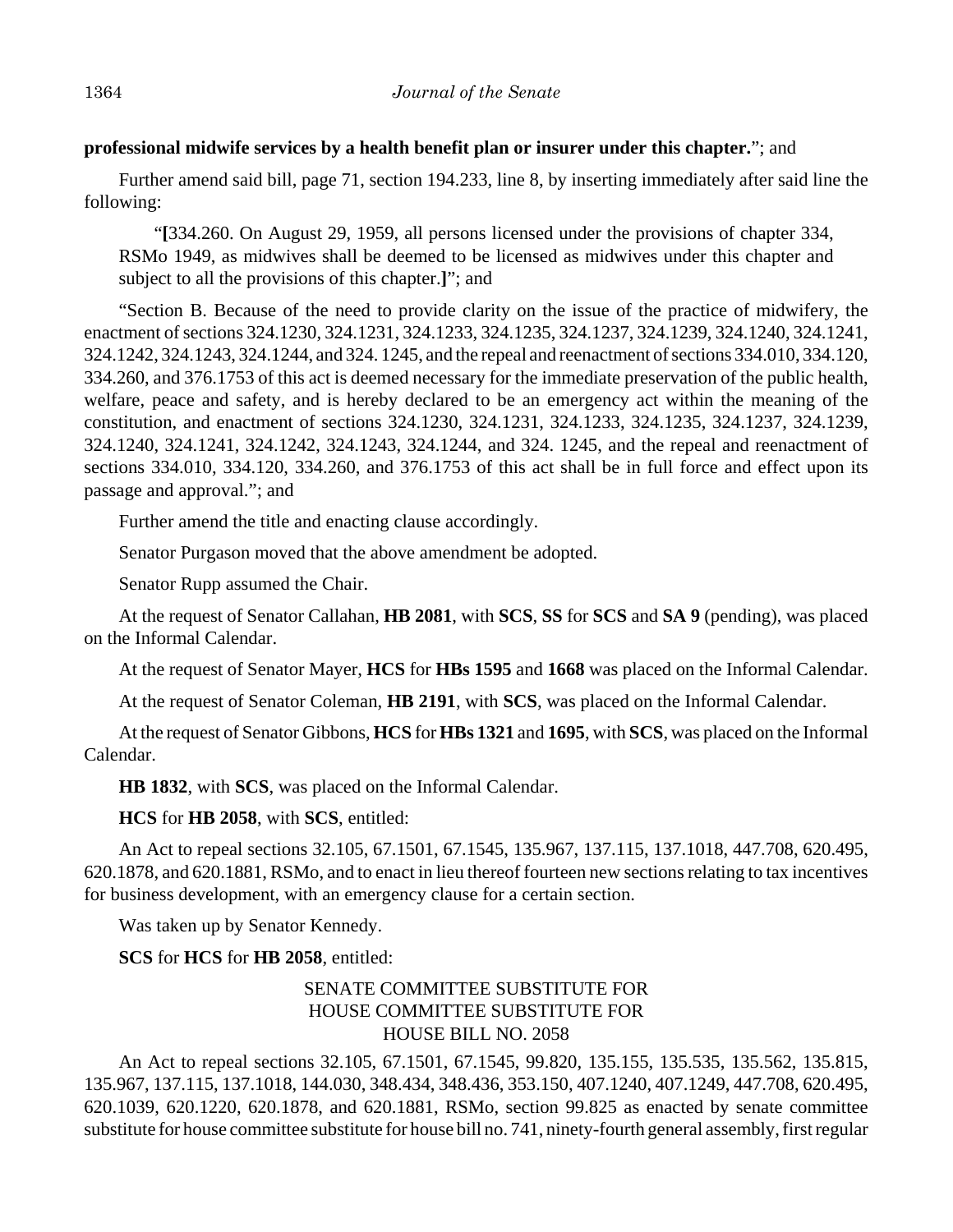## **professional midwife services by a health benefit plan or insurer under this chapter.**"; and

Further amend said bill, page 71, section 194.233, line 8, by inserting immediately after said line the following:

"**[**334.260. On August 29, 1959, all persons licensed under the provisions of chapter 334, RSMo 1949, as midwives shall be deemed to be licensed as midwives under this chapter and subject to all the provisions of this chapter.**]**"; and

"Section B. Because of the need to provide clarity on the issue of the practice of midwifery, the enactment of sections 324.1230, 324.1231, 324.1233, 324.1235, 324.1237, 324.1239, 324.1240, 324.1241, 324.1242, 324.1243, 324.1244, and 324. 1245, and the repeal and reenactment of sections 334.010, 334.120, 334.260, and 376.1753 of this act is deemed necessary for the immediate preservation of the public health, welfare, peace and safety, and is hereby declared to be an emergency act within the meaning of the constitution, and enactment of sections 324.1230, 324.1231, 324.1233, 324.1235, 324.1237, 324.1239, 324.1240, 324.1241, 324.1242, 324.1243, 324.1244, and 324. 1245, and the repeal and reenactment of sections 334.010, 334.120, 334.260, and 376.1753 of this act shall be in full force and effect upon its passage and approval."; and

Further amend the title and enacting clause accordingly.

Senator Purgason moved that the above amendment be adopted.

Senator Rupp assumed the Chair.

At the request of Senator Callahan, **HB 2081**, with **SCS**, **SS** for **SCS** and **SA 9** (pending), was placed on the Informal Calendar.

At the request of Senator Mayer, **HCS** for **HBs 1595** and **1668** was placed on the Informal Calendar.

At the request of Senator Coleman, **HB 2191**, with **SCS**, was placed on the Informal Calendar.

At the request of Senator Gibbons, **HCS** for **HBs 1321** and **1695**, with **SCS**, was placed on the Informal Calendar.

**HB 1832**, with **SCS**, was placed on the Informal Calendar.

**HCS** for **HB 2058**, with **SCS**, entitled:

An Act to repeal sections 32.105, 67.1501, 67.1545, 135.967, 137.115, 137.1018, 447.708, 620.495, 620.1878, and 620.1881, RSMo, and to enact in lieu thereof fourteen new sections relating to tax incentives for business development, with an emergency clause for a certain section.

Was taken up by Senator Kennedy.

# **SCS** for **HCS** for **HB 2058**, entitled:

## SENATE COMMITTEE SUBSTITUTE FOR HOUSE COMMITTEE SUBSTITUTE FOR HOUSE BILL NO. 2058

An Act to repeal sections 32.105, 67.1501, 67.1545, 99.820, 135.155, 135.535, 135.562, 135.815, 135.967, 137.115, 137.1018, 144.030, 348.434, 348.436, 353.150, 407.1240, 407.1249, 447.708, 620.495, 620.1039, 620.1220, 620.1878, and 620.1881, RSMo, section 99.825 as enacted by senate committee substitute for house committee substitute for house bill no. 741, ninety-fourth general assembly, first regular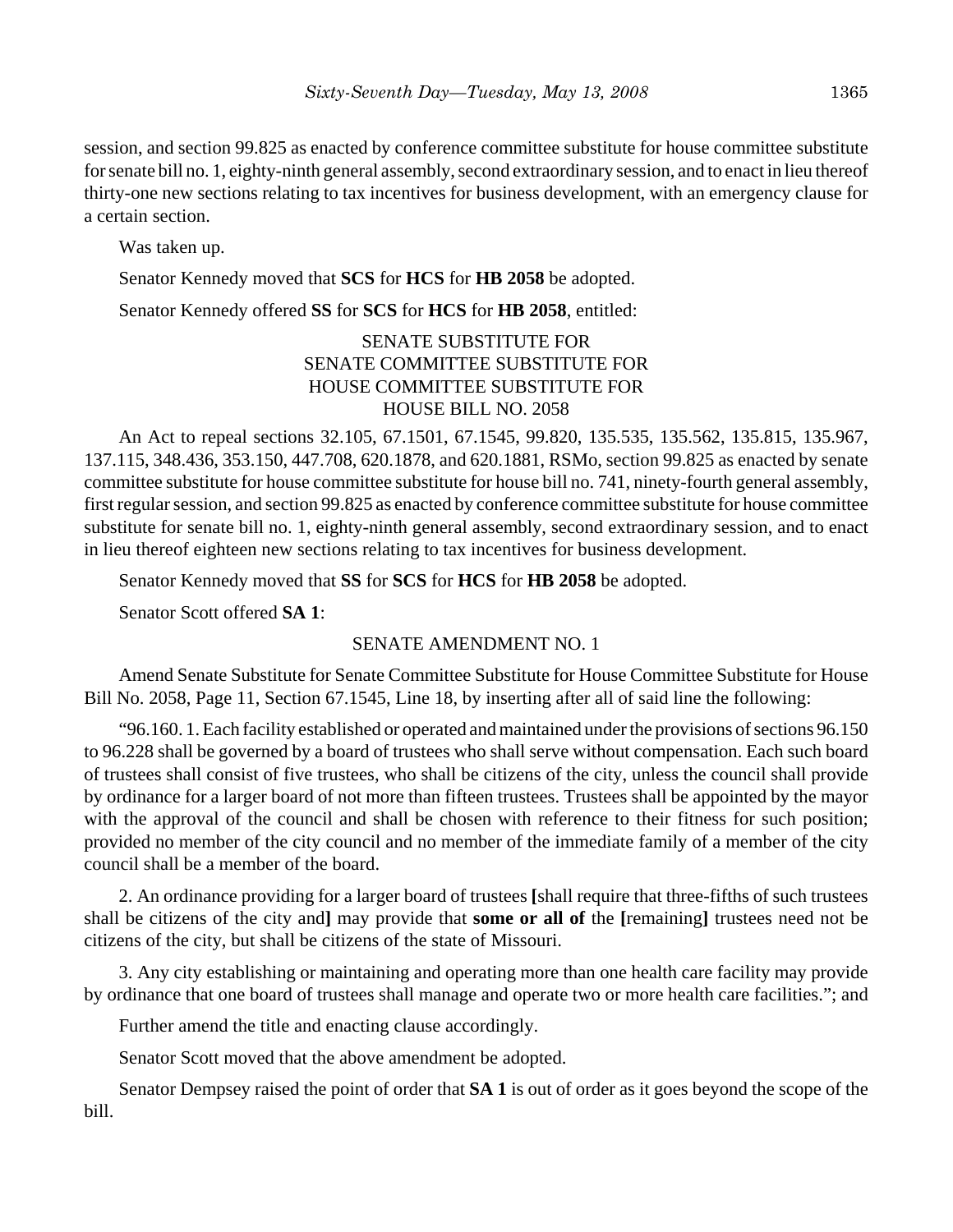session, and section 99.825 as enacted by conference committee substitute for house committee substitute for senate bill no. 1, eighty-ninth general assembly, second extraordinary session, and to enact in lieu thereof thirty-one new sections relating to tax incentives for business development, with an emergency clause for a certain section.

Was taken up.

Senator Kennedy moved that **SCS** for **HCS** for **HB 2058** be adopted.

Senator Kennedy offered **SS** for **SCS** for **HCS** for **HB 2058**, entitled:

## SENATE SUBSTITUTE FOR SENATE COMMITTEE SUBSTITUTE FOR HOUSE COMMITTEE SUBSTITUTE FOR HOUSE BILL NO. 2058

An Act to repeal sections 32.105, 67.1501, 67.1545, 99.820, 135.535, 135.562, 135.815, 135.967, 137.115, 348.436, 353.150, 447.708, 620.1878, and 620.1881, RSMo, section 99.825 as enacted by senate committee substitute for house committee substitute for house bill no. 741, ninety-fourth general assembly, first regular session, and section 99.825 as enacted by conference committee substitute for house committee substitute for senate bill no. 1, eighty-ninth general assembly, second extraordinary session, and to enact in lieu thereof eighteen new sections relating to tax incentives for business development.

Senator Kennedy moved that **SS** for **SCS** for **HCS** for **HB 2058** be adopted.

Senator Scott offered **SA 1**:

# SENATE AMENDMENT NO. 1

Amend Senate Substitute for Senate Committee Substitute for House Committee Substitute for House Bill No. 2058, Page 11, Section 67.1545, Line 18, by inserting after all of said line the following:

"96.160. 1. Each facility established or operated and maintained under the provisions of sections 96.150 to 96.228 shall be governed by a board of trustees who shall serve without compensation. Each such board of trustees shall consist of five trustees, who shall be citizens of the city, unless the council shall provide by ordinance for a larger board of not more than fifteen trustees. Trustees shall be appointed by the mayor with the approval of the council and shall be chosen with reference to their fitness for such position; provided no member of the city council and no member of the immediate family of a member of the city council shall be a member of the board.

2. An ordinance providing for a larger board of trustees **[**shall require that three-fifths of such trustees shall be citizens of the city and**]** may provide that **some or all of** the **[**remaining**]** trustees need not be citizens of the city, but shall be citizens of the state of Missouri.

3. Any city establishing or maintaining and operating more than one health care facility may provide by ordinance that one board of trustees shall manage and operate two or more health care facilities."; and

Further amend the title and enacting clause accordingly.

Senator Scott moved that the above amendment be adopted.

Senator Dempsey raised the point of order that **SA 1** is out of order as it goes beyond the scope of the bill.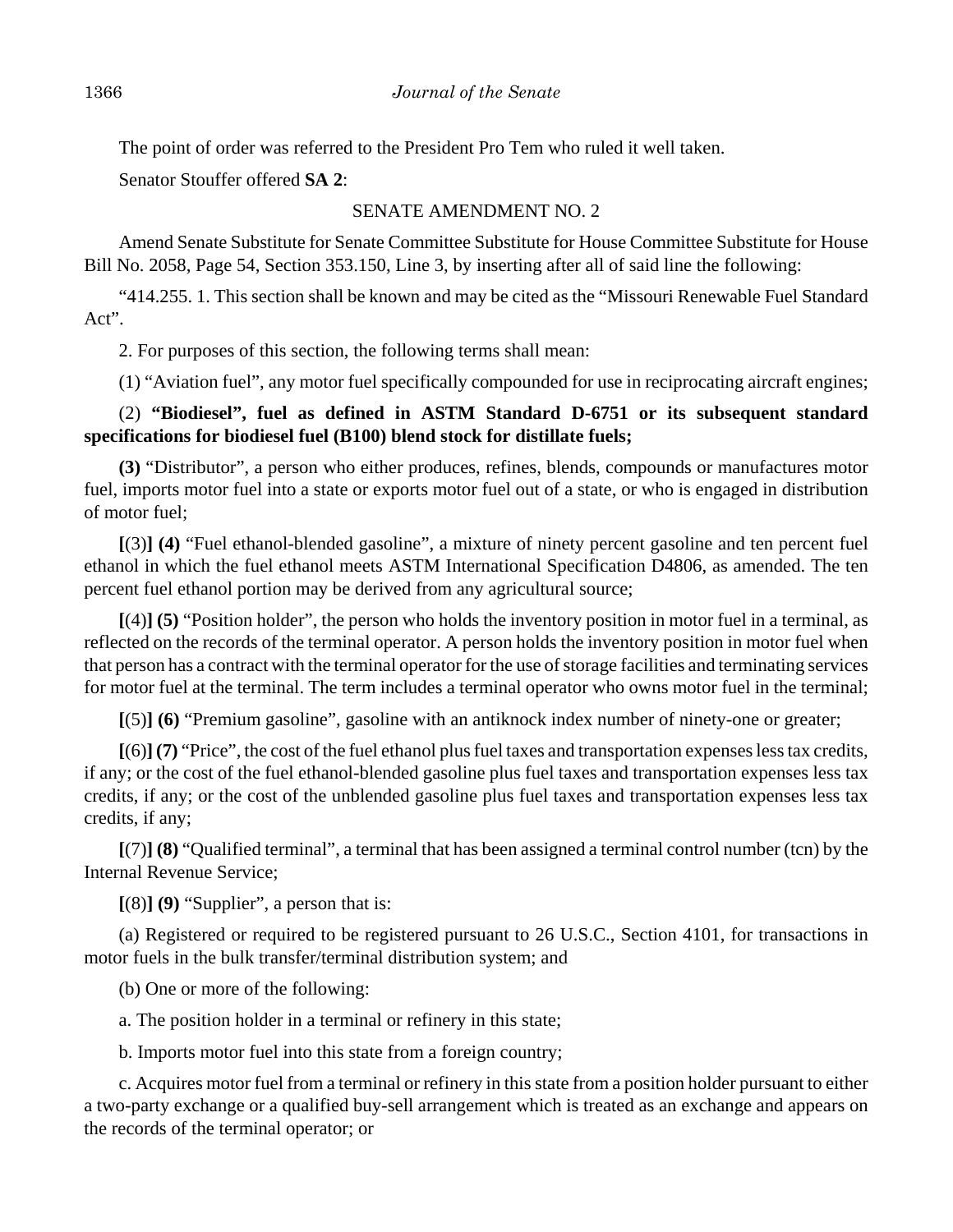The point of order was referred to the President Pro Tem who ruled it well taken.

Senator Stouffer offered **SA 2**:

## SENATE AMENDMENT NO. 2

Amend Senate Substitute for Senate Committee Substitute for House Committee Substitute for House Bill No. 2058, Page 54, Section 353.150, Line 3, by inserting after all of said line the following:

"414.255. 1. This section shall be known and may be cited as the "Missouri Renewable Fuel Standard Act".

2. For purposes of this section, the following terms shall mean:

(1) "Aviation fuel", any motor fuel specifically compounded for use in reciprocating aircraft engines;

## (2) **"Biodiesel", fuel as defined in ASTM Standard D-6751 or its subsequent standard specifications for biodiesel fuel (B100) blend stock for distillate fuels;**

**(3)** "Distributor", a person who either produces, refines, blends, compounds or manufactures motor fuel, imports motor fuel into a state or exports motor fuel out of a state, or who is engaged in distribution of motor fuel;

**[**(3)**] (4)** "Fuel ethanol-blended gasoline", a mixture of ninety percent gasoline and ten percent fuel ethanol in which the fuel ethanol meets ASTM International Specification D4806, as amended. The ten percent fuel ethanol portion may be derived from any agricultural source;

**[**(4)**] (5)** "Position holder", the person who holds the inventory position in motor fuel in a terminal, as reflected on the records of the terminal operator. A person holds the inventory position in motor fuel when that person has a contract with the terminal operator for the use of storage facilities and terminating services for motor fuel at the terminal. The term includes a terminal operator who owns motor fuel in the terminal;

**[**(5)**] (6)** "Premium gasoline", gasoline with an antiknock index number of ninety-one or greater;

**[**(6)**] (7)** "Price", the cost of the fuel ethanol plus fuel taxes and transportation expenses less tax credits, if any; or the cost of the fuel ethanol-blended gasoline plus fuel taxes and transportation expenses less tax credits, if any; or the cost of the unblended gasoline plus fuel taxes and transportation expenses less tax credits, if any;

**[**(7)**] (8)** "Qualified terminal", a terminal that has been assigned a terminal control number (tcn) by the Internal Revenue Service;

**[**(8)**] (9)** "Supplier", a person that is:

(a) Registered or required to be registered pursuant to 26 U.S.C., Section 4101, for transactions in motor fuels in the bulk transfer/terminal distribution system; and

(b) One or more of the following:

a. The position holder in a terminal or refinery in this state;

b. Imports motor fuel into this state from a foreign country;

c. Acquires motor fuel from a terminal or refinery in this state from a position holder pursuant to either a two-party exchange or a qualified buy-sell arrangement which is treated as an exchange and appears on the records of the terminal operator; or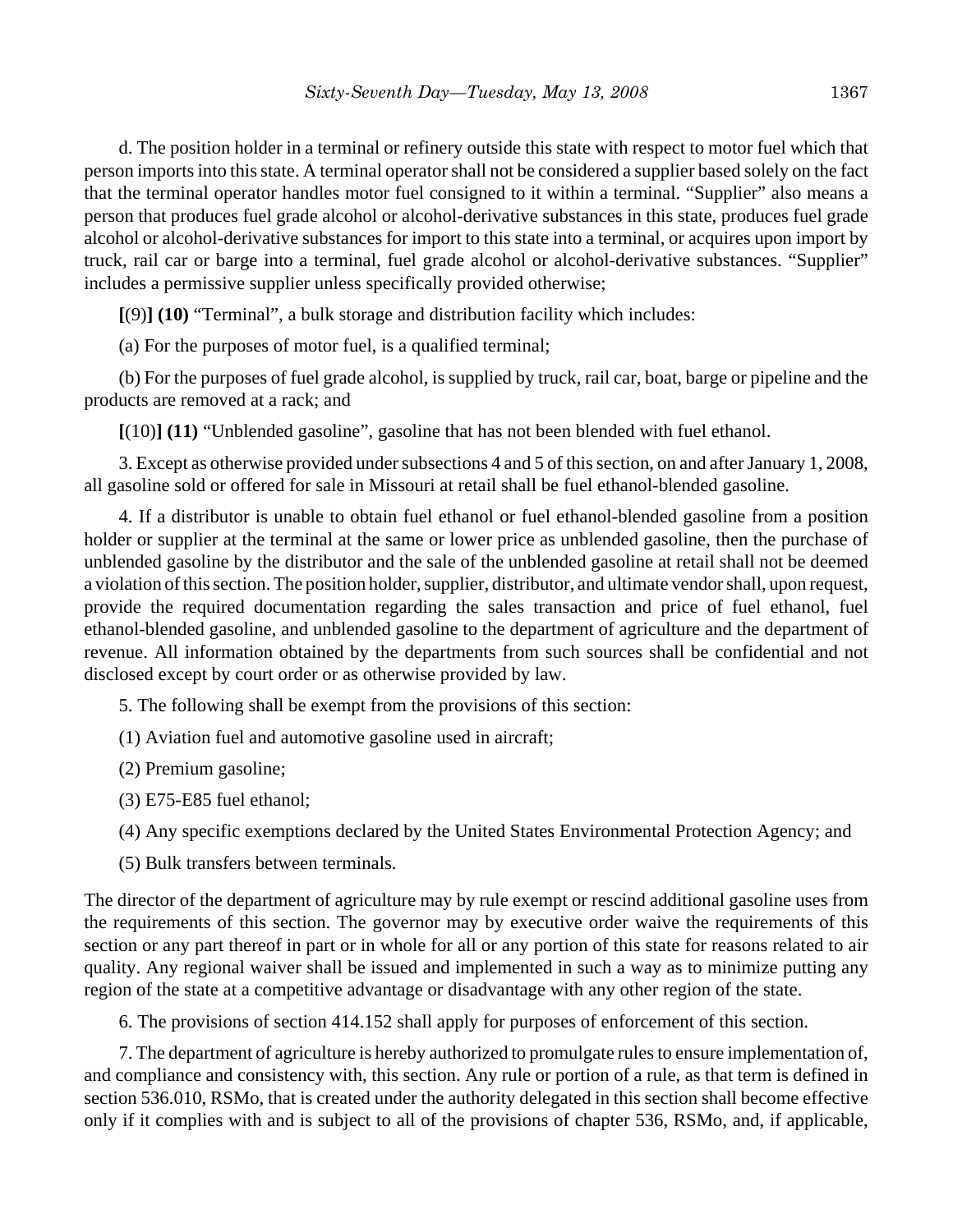d. The position holder in a terminal or refinery outside this state with respect to motor fuel which that person imports into this state. A terminal operator shall not be considered a supplier based solely on the fact that the terminal operator handles motor fuel consigned to it within a terminal. "Supplier" also means a person that produces fuel grade alcohol or alcohol-derivative substances in this state, produces fuel grade alcohol or alcohol-derivative substances for import to this state into a terminal, or acquires upon import by truck, rail car or barge into a terminal, fuel grade alcohol or alcohol-derivative substances. "Supplier" includes a permissive supplier unless specifically provided otherwise;

**[**(9)**] (10)** "Terminal", a bulk storage and distribution facility which includes:

(a) For the purposes of motor fuel, is a qualified terminal;

(b) For the purposes of fuel grade alcohol, is supplied by truck, rail car, boat, barge or pipeline and the products are removed at a rack; and

**[**(10)**] (11)** "Unblended gasoline", gasoline that has not been blended with fuel ethanol.

3. Except as otherwise provided under subsections 4 and 5 of this section, on and after January 1, 2008, all gasoline sold or offered for sale in Missouri at retail shall be fuel ethanol-blended gasoline.

4. If a distributor is unable to obtain fuel ethanol or fuel ethanol-blended gasoline from a position holder or supplier at the terminal at the same or lower price as unblended gasoline, then the purchase of unblended gasoline by the distributor and the sale of the unblended gasoline at retail shall not be deemed a violation of this section. The position holder, supplier, distributor, and ultimate vendor shall, upon request, provide the required documentation regarding the sales transaction and price of fuel ethanol, fuel ethanol-blended gasoline, and unblended gasoline to the department of agriculture and the department of revenue. All information obtained by the departments from such sources shall be confidential and not disclosed except by court order or as otherwise provided by law.

5. The following shall be exempt from the provisions of this section:

(1) Aviation fuel and automotive gasoline used in aircraft;

(2) Premium gasoline;

(3) E75-E85 fuel ethanol;

(4) Any specific exemptions declared by the United States Environmental Protection Agency; and

(5) Bulk transfers between terminals.

The director of the department of agriculture may by rule exempt or rescind additional gasoline uses from the requirements of this section. The governor may by executive order waive the requirements of this section or any part thereof in part or in whole for all or any portion of this state for reasons related to air quality. Any regional waiver shall be issued and implemented in such a way as to minimize putting any region of the state at a competitive advantage or disadvantage with any other region of the state.

6. The provisions of section 414.152 shall apply for purposes of enforcement of this section.

7. The department of agriculture is hereby authorized to promulgate rules to ensure implementation of, and compliance and consistency with, this section. Any rule or portion of a rule, as that term is defined in section 536.010, RSMo, that is created under the authority delegated in this section shall become effective only if it complies with and is subject to all of the provisions of chapter 536, RSMo, and, if applicable,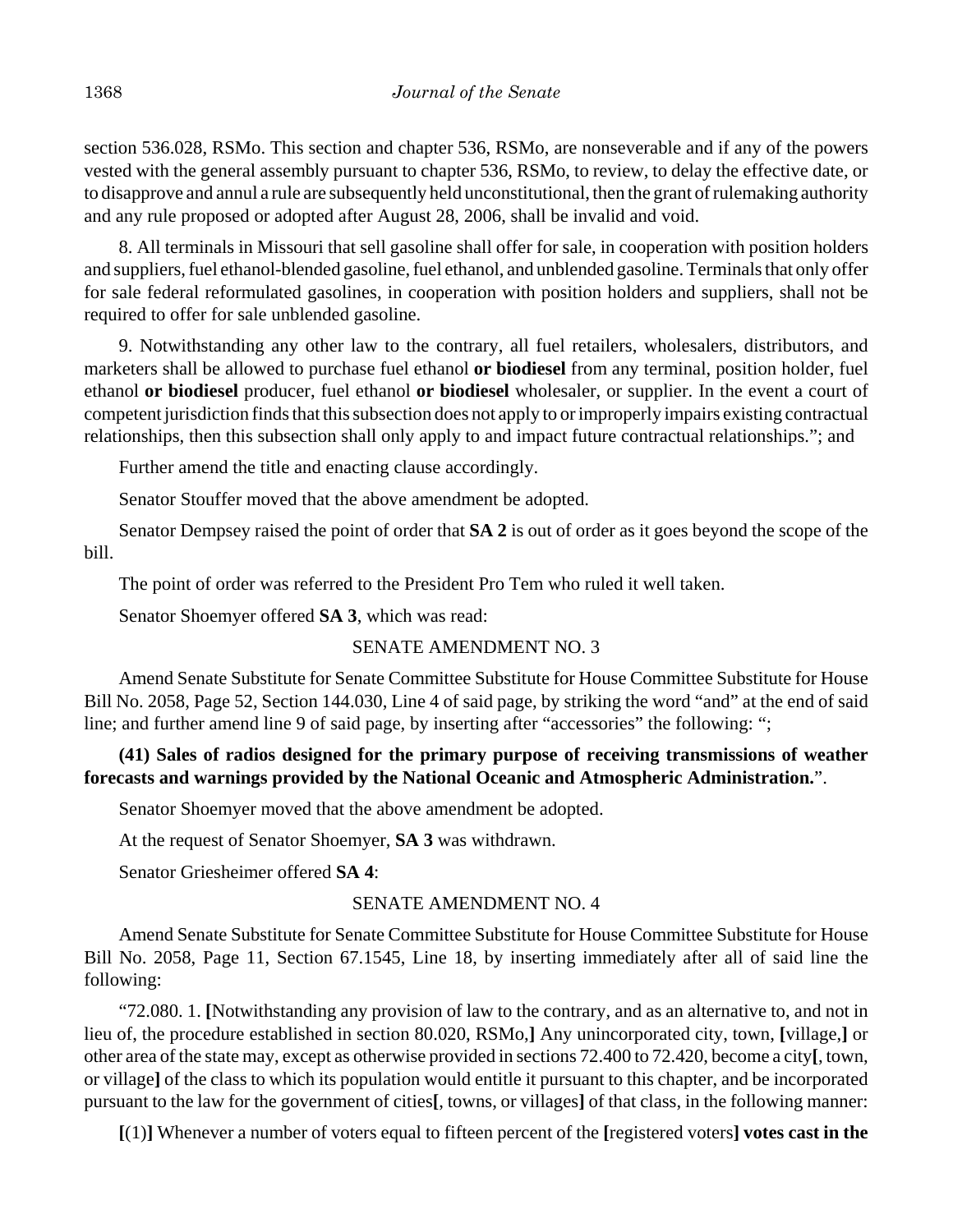section 536.028, RSMo. This section and chapter 536, RSMo, are nonseverable and if any of the powers vested with the general assembly pursuant to chapter 536, RSMo, to review, to delay the effective date, or to disapprove and annul a rule are subsequently held unconstitutional, then the grant of rulemaking authority and any rule proposed or adopted after August 28, 2006, shall be invalid and void.

8. All terminals in Missouri that sell gasoline shall offer for sale, in cooperation with position holders and suppliers, fuel ethanol-blended gasoline, fuel ethanol, and unblended gasoline. Terminals that only offer for sale federal reformulated gasolines, in cooperation with position holders and suppliers, shall not be required to offer for sale unblended gasoline.

9. Notwithstanding any other law to the contrary, all fuel retailers, wholesalers, distributors, and marketers shall be allowed to purchase fuel ethanol **or biodiesel** from any terminal, position holder, fuel ethanol **or biodiesel** producer, fuel ethanol **or biodiesel** wholesaler, or supplier. In the event a court of competent jurisdiction finds that this subsection does not apply to or improperly impairs existing contractual relationships, then this subsection shall only apply to and impact future contractual relationships."; and

Further amend the title and enacting clause accordingly.

Senator Stouffer moved that the above amendment be adopted.

Senator Dempsey raised the point of order that **SA 2** is out of order as it goes beyond the scope of the bill.

The point of order was referred to the President Pro Tem who ruled it well taken.

Senator Shoemyer offered **SA 3**, which was read:

# SENATE AMENDMENT NO. 3

Amend Senate Substitute for Senate Committee Substitute for House Committee Substitute for House Bill No. 2058, Page 52, Section 144.030, Line 4 of said page, by striking the word "and" at the end of said line; and further amend line 9 of said page, by inserting after "accessories" the following: ";

# **(41) Sales of radios designed for the primary purpose of receiving transmissions of weather forecasts and warnings provided by the National Oceanic and Atmospheric Administration.**".

Senator Shoemyer moved that the above amendment be adopted.

At the request of Senator Shoemyer, **SA 3** was withdrawn.

Senator Griesheimer offered **SA 4**:

# SENATE AMENDMENT NO. 4

Amend Senate Substitute for Senate Committee Substitute for House Committee Substitute for House Bill No. 2058, Page 11, Section 67.1545, Line 18, by inserting immediately after all of said line the following:

"72.080. 1. **[**Notwithstanding any provision of law to the contrary, and as an alternative to, and not in lieu of, the procedure established in section 80.020, RSMo,**]** Any unincorporated city, town, **[**village,**]** or other area of the state may, except as otherwise provided in sections 72.400 to 72.420, become a city**[**, town, or village**]** of the class to which its population would entitle it pursuant to this chapter, and be incorporated pursuant to the law for the government of cities**[**, towns, or villages**]** of that class, in the following manner:

**[**(1)**]** Whenever a number of voters equal to fifteen percent of the **[**registered voters**] votes cast in the**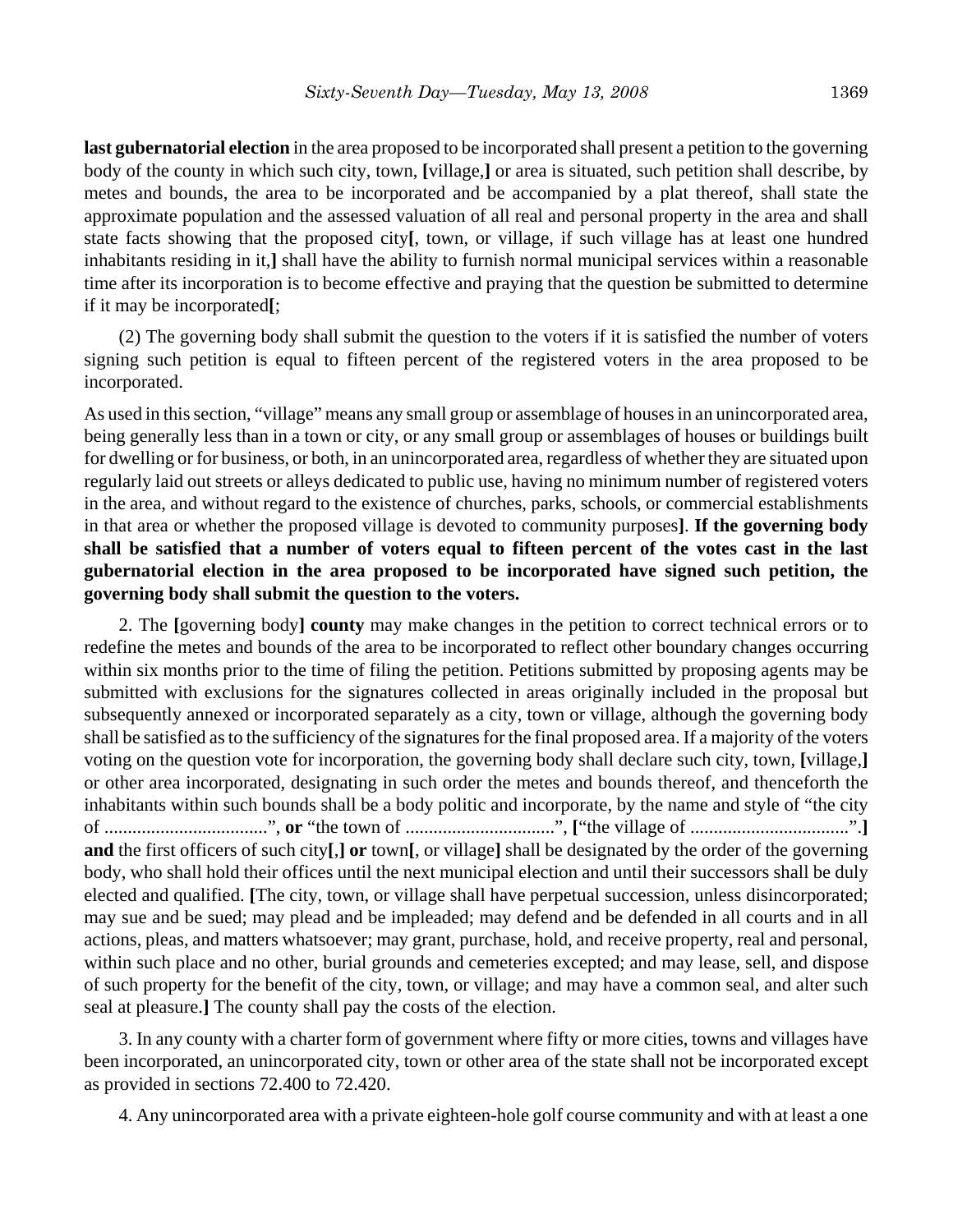**last gubernatorial election** in the area proposed to be incorporated shall present a petition to the governing body of the county in which such city, town, **[**village,**]** or area is situated, such petition shall describe, by metes and bounds, the area to be incorporated and be accompanied by a plat thereof, shall state the approximate population and the assessed valuation of all real and personal property in the area and shall state facts showing that the proposed city**[**, town, or village, if such village has at least one hundred inhabitants residing in it,**]** shall have the ability to furnish normal municipal services within a reasonable time after its incorporation is to become effective and praying that the question be submitted to determine if it may be incorporated**[**;

(2) The governing body shall submit the question to the voters if it is satisfied the number of voters signing such petition is equal to fifteen percent of the registered voters in the area proposed to be incorporated.

As used in this section, "village" means any small group or assemblage of houses in an unincorporated area, being generally less than in a town or city, or any small group or assemblages of houses or buildings built for dwelling or for business, or both, in an unincorporated area, regardless of whether they are situated upon regularly laid out streets or alleys dedicated to public use, having no minimum number of registered voters in the area, and without regard to the existence of churches, parks, schools, or commercial establishments in that area or whether the proposed village is devoted to community purposes**]**. **If the governing body shall be satisfied that a number of voters equal to fifteen percent of the votes cast in the last gubernatorial election in the area proposed to be incorporated have signed such petition, the governing body shall submit the question to the voters.**

2. The **[**governing body**] county** may make changes in the petition to correct technical errors or to redefine the metes and bounds of the area to be incorporated to reflect other boundary changes occurring within six months prior to the time of filing the petition. Petitions submitted by proposing agents may be submitted with exclusions for the signatures collected in areas originally included in the proposal but subsequently annexed or incorporated separately as a city, town or village, although the governing body shall be satisfied as to the sufficiency of the signatures for the final proposed area. If a majority of the voters voting on the question vote for incorporation, the governing body shall declare such city, town, **[**village,**]** or other area incorporated, designating in such order the metes and bounds thereof, and thenceforth the inhabitants within such bounds shall be a body politic and incorporate, by the name and style of "the city of ...................................", **or** "the town of ................................", **[**"the village of ..................................".**] and** the first officers of such city**[**,**] or** town**[**, or village**]** shall be designated by the order of the governing body, who shall hold their offices until the next municipal election and until their successors shall be duly elected and qualified. **[**The city, town, or village shall have perpetual succession, unless disincorporated; may sue and be sued; may plead and be impleaded; may defend and be defended in all courts and in all actions, pleas, and matters whatsoever; may grant, purchase, hold, and receive property, real and personal, within such place and no other, burial grounds and cemeteries excepted; and may lease, sell, and dispose of such property for the benefit of the city, town, or village; and may have a common seal, and alter such seal at pleasure.**]** The county shall pay the costs of the election.

3. In any county with a charter form of government where fifty or more cities, towns and villages have been incorporated, an unincorporated city, town or other area of the state shall not be incorporated except as provided in sections 72.400 to 72.420.

4. Any unincorporated area with a private eighteen-hole golf course community and with at least a one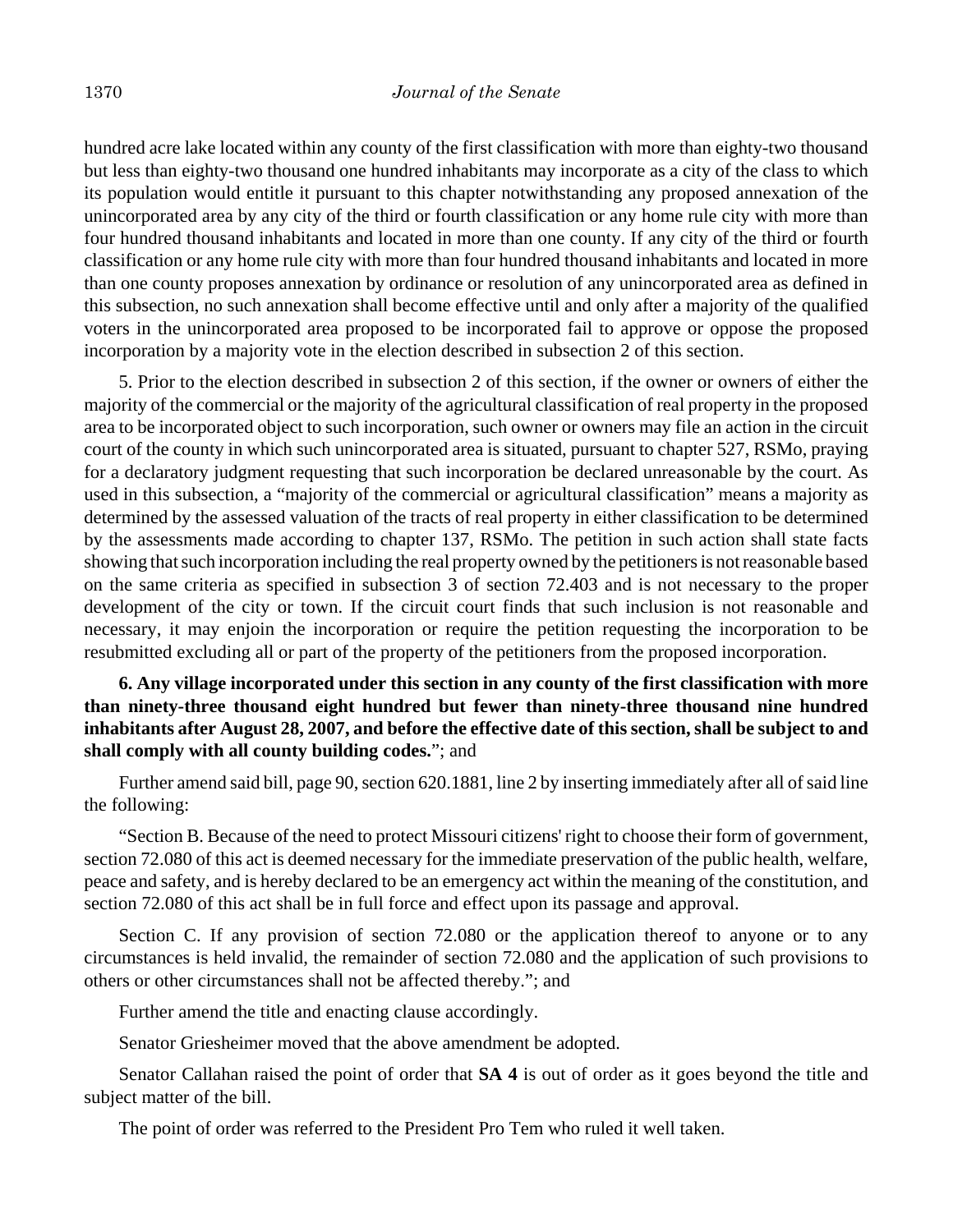hundred acre lake located within any county of the first classification with more than eighty-two thousand but less than eighty-two thousand one hundred inhabitants may incorporate as a city of the class to which its population would entitle it pursuant to this chapter notwithstanding any proposed annexation of the unincorporated area by any city of the third or fourth classification or any home rule city with more than four hundred thousand inhabitants and located in more than one county. If any city of the third or fourth classification or any home rule city with more than four hundred thousand inhabitants and located in more than one county proposes annexation by ordinance or resolution of any unincorporated area as defined in this subsection, no such annexation shall become effective until and only after a majority of the qualified voters in the unincorporated area proposed to be incorporated fail to approve or oppose the proposed incorporation by a majority vote in the election described in subsection 2 of this section.

5. Prior to the election described in subsection 2 of this section, if the owner or owners of either the majority of the commercial or the majority of the agricultural classification of real property in the proposed area to be incorporated object to such incorporation, such owner or owners may file an action in the circuit court of the county in which such unincorporated area is situated, pursuant to chapter 527, RSMo, praying for a declaratory judgment requesting that such incorporation be declared unreasonable by the court. As used in this subsection, a "majority of the commercial or agricultural classification" means a majority as determined by the assessed valuation of the tracts of real property in either classification to be determined by the assessments made according to chapter 137, RSMo. The petition in such action shall state facts showing that such incorporation including the real property owned by the petitioners is not reasonable based on the same criteria as specified in subsection 3 of section 72.403 and is not necessary to the proper development of the city or town. If the circuit court finds that such inclusion is not reasonable and necessary, it may enjoin the incorporation or require the petition requesting the incorporation to be resubmitted excluding all or part of the property of the petitioners from the proposed incorporation.

# **6. Any village incorporated under this section in any county of the first classification with more than ninety-three thousand eight hundred but fewer than ninety-three thousand nine hundred inhabitants after August 28, 2007, and before the effective date of this section, shall be subject to and shall comply with all county building codes.**"; and

Further amend said bill, page 90, section 620.1881, line 2 by inserting immediately after all of said line the following:

"Section B. Because of the need to protect Missouri citizens' right to choose their form of government, section 72.080 of this act is deemed necessary for the immediate preservation of the public health, welfare, peace and safety, and is hereby declared to be an emergency act within the meaning of the constitution, and section 72.080 of this act shall be in full force and effect upon its passage and approval.

Section C. If any provision of section 72.080 or the application thereof to anyone or to any circumstances is held invalid, the remainder of section 72.080 and the application of such provisions to others or other circumstances shall not be affected thereby."; and

Further amend the title and enacting clause accordingly.

Senator Griesheimer moved that the above amendment be adopted.

Senator Callahan raised the point of order that **SA 4** is out of order as it goes beyond the title and subject matter of the bill.

The point of order was referred to the President Pro Tem who ruled it well taken.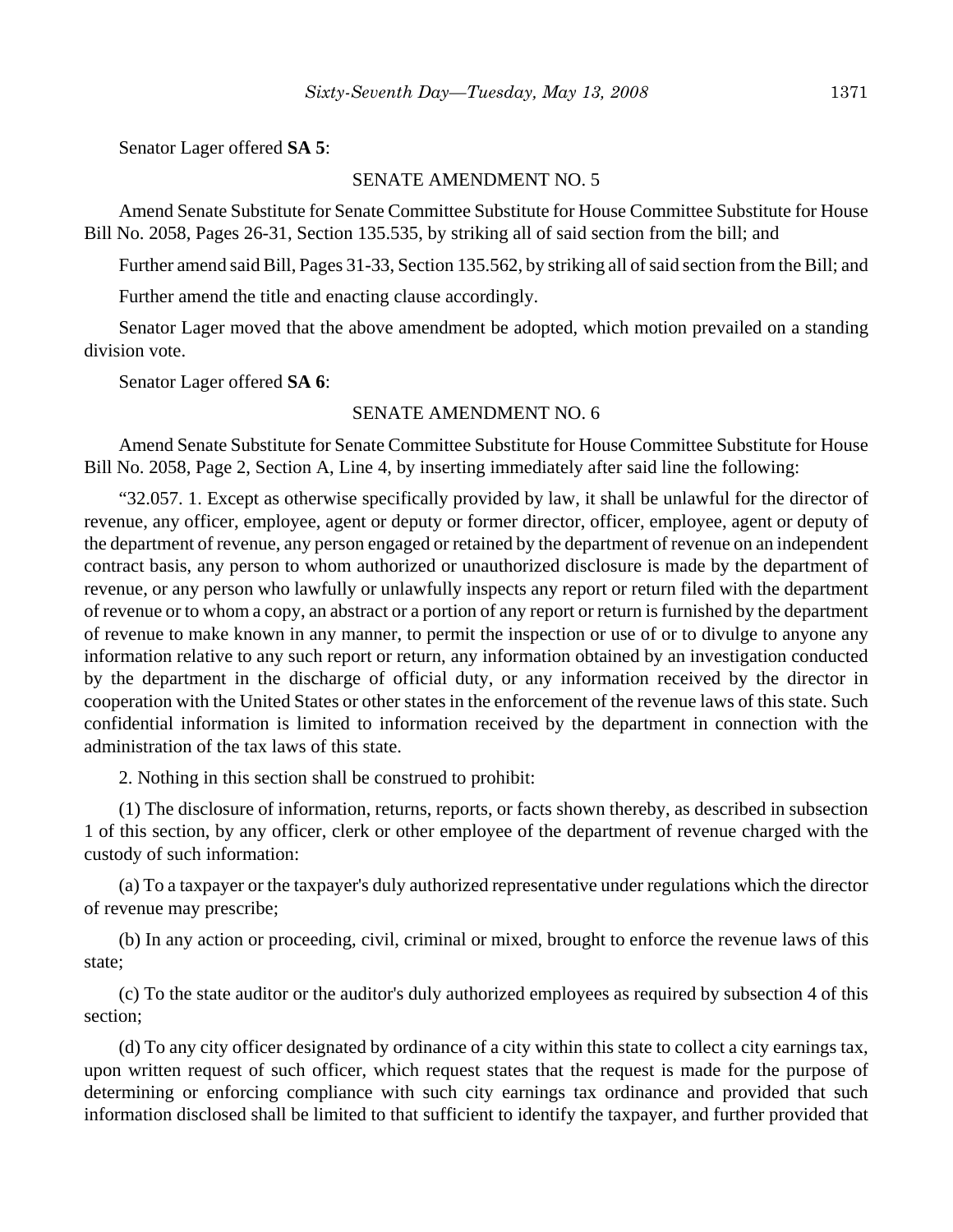Senator Lager offered **SA 5**:

### SENATE AMENDMENT NO. 5

Amend Senate Substitute for Senate Committee Substitute for House Committee Substitute for House Bill No. 2058, Pages 26-31, Section 135.535, by striking all of said section from the bill; and

Further amend said Bill, Pages 31-33, Section 135.562, by striking all of said section from the Bill; and

Further amend the title and enacting clause accordingly.

Senator Lager moved that the above amendment be adopted, which motion prevailed on a standing division vote.

Senator Lager offered **SA 6**:

### SENATE AMENDMENT NO. 6

Amend Senate Substitute for Senate Committee Substitute for House Committee Substitute for House Bill No. 2058, Page 2, Section A, Line 4, by inserting immediately after said line the following:

"32.057. 1. Except as otherwise specifically provided by law, it shall be unlawful for the director of revenue, any officer, employee, agent or deputy or former director, officer, employee, agent or deputy of the department of revenue, any person engaged or retained by the department of revenue on an independent contract basis, any person to whom authorized or unauthorized disclosure is made by the department of revenue, or any person who lawfully or unlawfully inspects any report or return filed with the department of revenue or to whom a copy, an abstract or a portion of any report or return is furnished by the department of revenue to make known in any manner, to permit the inspection or use of or to divulge to anyone any information relative to any such report or return, any information obtained by an investigation conducted by the department in the discharge of official duty, or any information received by the director in cooperation with the United States or other states in the enforcement of the revenue laws of this state. Such confidential information is limited to information received by the department in connection with the administration of the tax laws of this state.

2. Nothing in this section shall be construed to prohibit:

(1) The disclosure of information, returns, reports, or facts shown thereby, as described in subsection 1 of this section, by any officer, clerk or other employee of the department of revenue charged with the custody of such information:

(a) To a taxpayer or the taxpayer's duly authorized representative under regulations which the director of revenue may prescribe;

(b) In any action or proceeding, civil, criminal or mixed, brought to enforce the revenue laws of this state;

(c) To the state auditor or the auditor's duly authorized employees as required by subsection 4 of this section;

(d) To any city officer designated by ordinance of a city within this state to collect a city earnings tax, upon written request of such officer, which request states that the request is made for the purpose of determining or enforcing compliance with such city earnings tax ordinance and provided that such information disclosed shall be limited to that sufficient to identify the taxpayer, and further provided that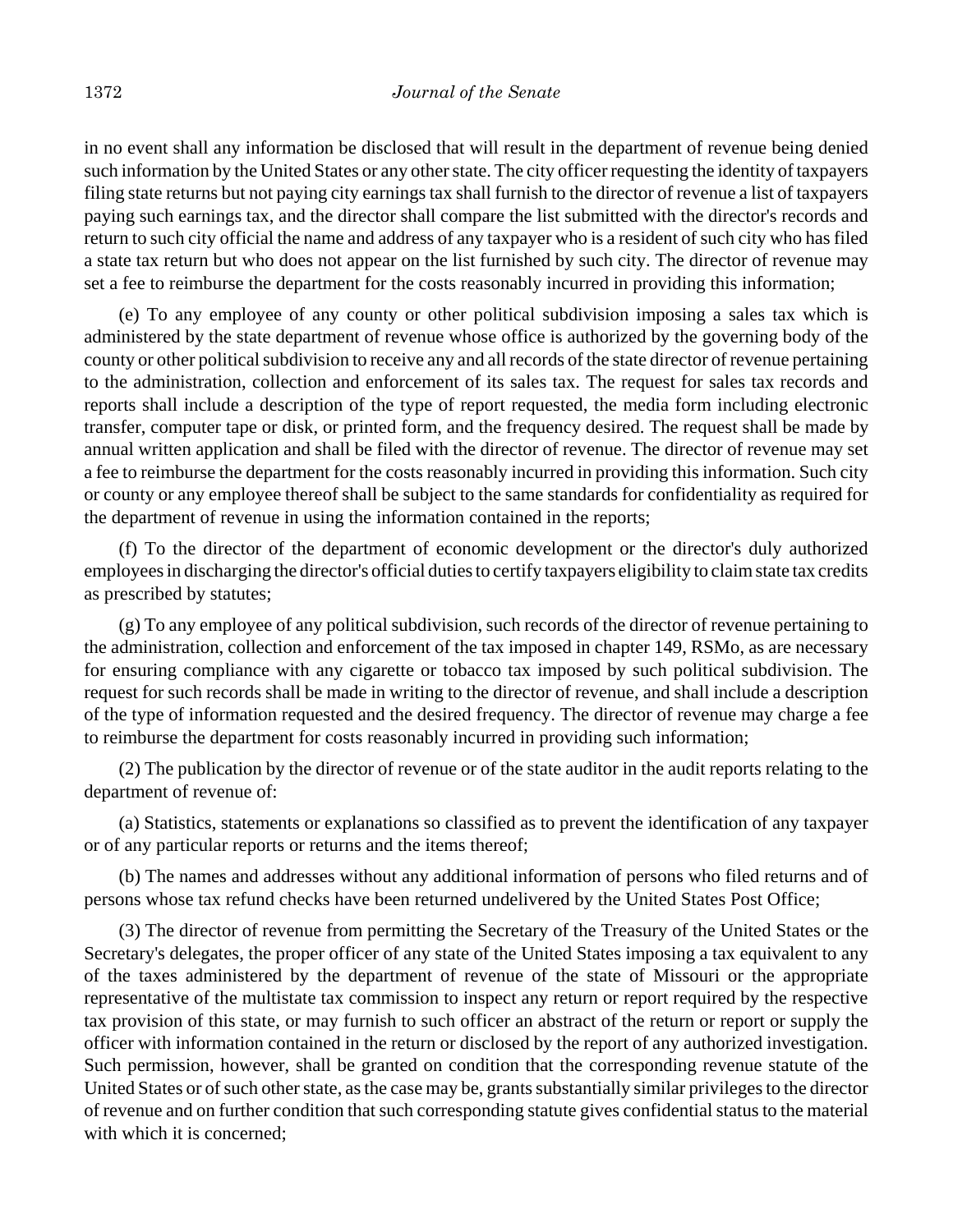in no event shall any information be disclosed that will result in the department of revenue being denied such information by the United States or any other state. The city officer requesting the identity of taxpayers filing state returns but not paying city earnings tax shall furnish to the director of revenue a list of taxpayers paying such earnings tax, and the director shall compare the list submitted with the director's records and return to such city official the name and address of any taxpayer who is a resident of such city who has filed a state tax return but who does not appear on the list furnished by such city. The director of revenue may set a fee to reimburse the department for the costs reasonably incurred in providing this information;

(e) To any employee of any county or other political subdivision imposing a sales tax which is administered by the state department of revenue whose office is authorized by the governing body of the county or other political subdivision to receive any and all records of the state director of revenue pertaining to the administration, collection and enforcement of its sales tax. The request for sales tax records and reports shall include a description of the type of report requested, the media form including electronic transfer, computer tape or disk, or printed form, and the frequency desired. The request shall be made by annual written application and shall be filed with the director of revenue. The director of revenue may set a fee to reimburse the department for the costs reasonably incurred in providing this information. Such city or county or any employee thereof shall be subject to the same standards for confidentiality as required for the department of revenue in using the information contained in the reports;

(f) To the director of the department of economic development or the director's duly authorized employees in discharging the director's official duties to certify taxpayers eligibility to claim state tax credits as prescribed by statutes;

(g) To any employee of any political subdivision, such records of the director of revenue pertaining to the administration, collection and enforcement of the tax imposed in chapter 149, RSMo, as are necessary for ensuring compliance with any cigarette or tobacco tax imposed by such political subdivision. The request for such records shall be made in writing to the director of revenue, and shall include a description of the type of information requested and the desired frequency. The director of revenue may charge a fee to reimburse the department for costs reasonably incurred in providing such information;

(2) The publication by the director of revenue or of the state auditor in the audit reports relating to the department of revenue of:

(a) Statistics, statements or explanations so classified as to prevent the identification of any taxpayer or of any particular reports or returns and the items thereof;

(b) The names and addresses without any additional information of persons who filed returns and of persons whose tax refund checks have been returned undelivered by the United States Post Office;

(3) The director of revenue from permitting the Secretary of the Treasury of the United States or the Secretary's delegates, the proper officer of any state of the United States imposing a tax equivalent to any of the taxes administered by the department of revenue of the state of Missouri or the appropriate representative of the multistate tax commission to inspect any return or report required by the respective tax provision of this state, or may furnish to such officer an abstract of the return or report or supply the officer with information contained in the return or disclosed by the report of any authorized investigation. Such permission, however, shall be granted on condition that the corresponding revenue statute of the United States or of such other state, as the case may be, grants substantially similar privileges to the director of revenue and on further condition that such corresponding statute gives confidential status to the material with which it is concerned;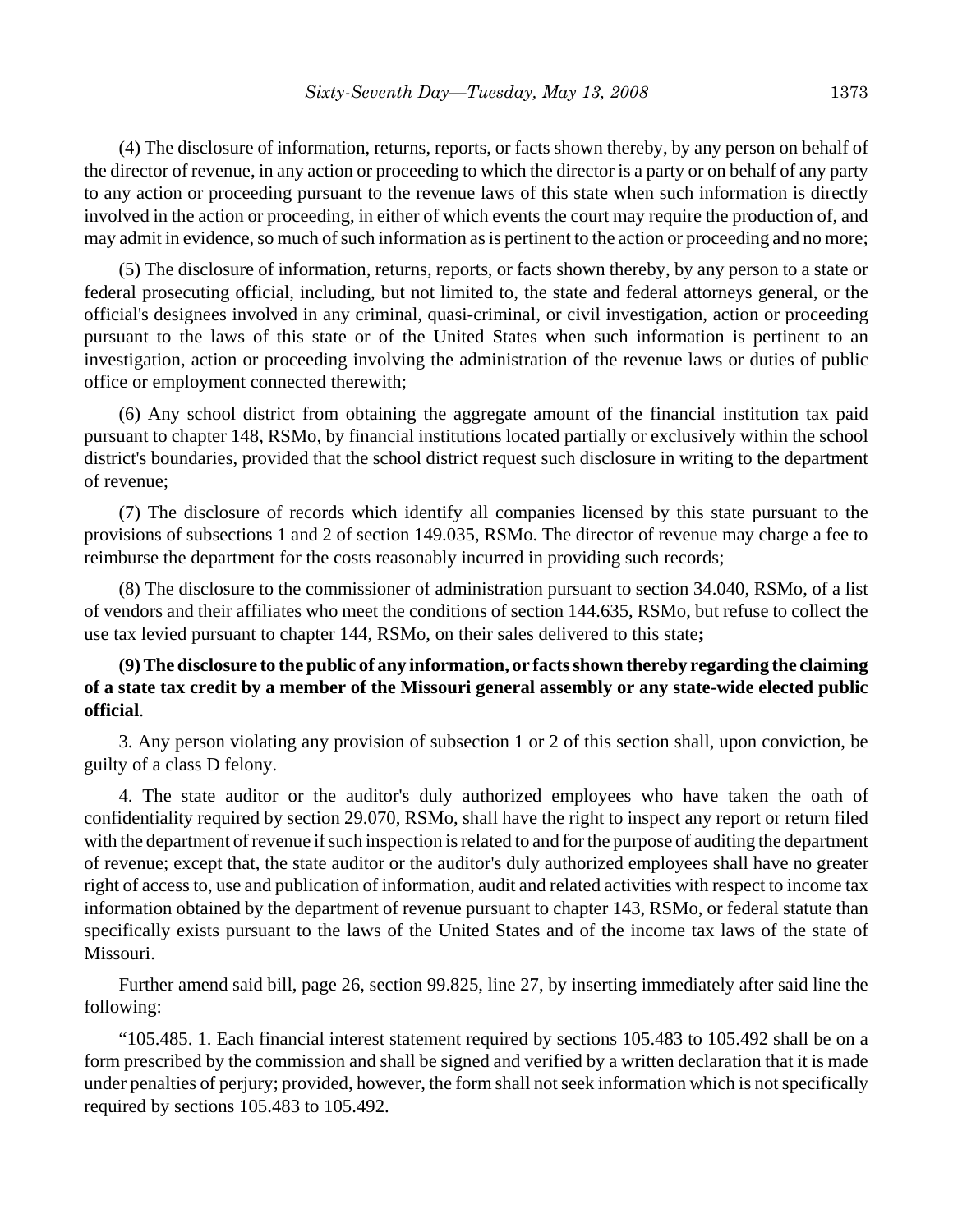(4) The disclosure of information, returns, reports, or facts shown thereby, by any person on behalf of the director of revenue, in any action or proceeding to which the director is a party or on behalf of any party to any action or proceeding pursuant to the revenue laws of this state when such information is directly involved in the action or proceeding, in either of which events the court may require the production of, and may admit in evidence, so much of such information as is pertinent to the action or proceeding and no more;

(5) The disclosure of information, returns, reports, or facts shown thereby, by any person to a state or federal prosecuting official, including, but not limited to, the state and federal attorneys general, or the official's designees involved in any criminal, quasi-criminal, or civil investigation, action or proceeding pursuant to the laws of this state or of the United States when such information is pertinent to an investigation, action or proceeding involving the administration of the revenue laws or duties of public office or employment connected therewith;

(6) Any school district from obtaining the aggregate amount of the financial institution tax paid pursuant to chapter 148, RSMo, by financial institutions located partially or exclusively within the school district's boundaries, provided that the school district request such disclosure in writing to the department of revenue;

(7) The disclosure of records which identify all companies licensed by this state pursuant to the provisions of subsections 1 and 2 of section 149.035, RSMo. The director of revenue may charge a fee to reimburse the department for the costs reasonably incurred in providing such records;

(8) The disclosure to the commissioner of administration pursuant to section 34.040, RSMo, of a list of vendors and their affiliates who meet the conditions of section 144.635, RSMo, but refuse to collect the use tax levied pursuant to chapter 144, RSMo, on their sales delivered to this state**;**

## **(9) The disclosure to the public of any information, or facts shown thereby regarding the claiming of a state tax credit by a member of the Missouri general assembly or any state-wide elected public official**.

3. Any person violating any provision of subsection 1 or 2 of this section shall, upon conviction, be guilty of a class D felony.

4. The state auditor or the auditor's duly authorized employees who have taken the oath of confidentiality required by section 29.070, RSMo, shall have the right to inspect any report or return filed with the department of revenue if such inspection is related to and for the purpose of auditing the department of revenue; except that, the state auditor or the auditor's duly authorized employees shall have no greater right of access to, use and publication of information, audit and related activities with respect to income tax information obtained by the department of revenue pursuant to chapter 143, RSMo, or federal statute than specifically exists pursuant to the laws of the United States and of the income tax laws of the state of Missouri.

Further amend said bill, page 26, section 99.825, line 27, by inserting immediately after said line the following:

"105.485. 1. Each financial interest statement required by sections 105.483 to 105.492 shall be on a form prescribed by the commission and shall be signed and verified by a written declaration that it is made under penalties of perjury; provided, however, the form shall not seek information which is not specifically required by sections 105.483 to 105.492.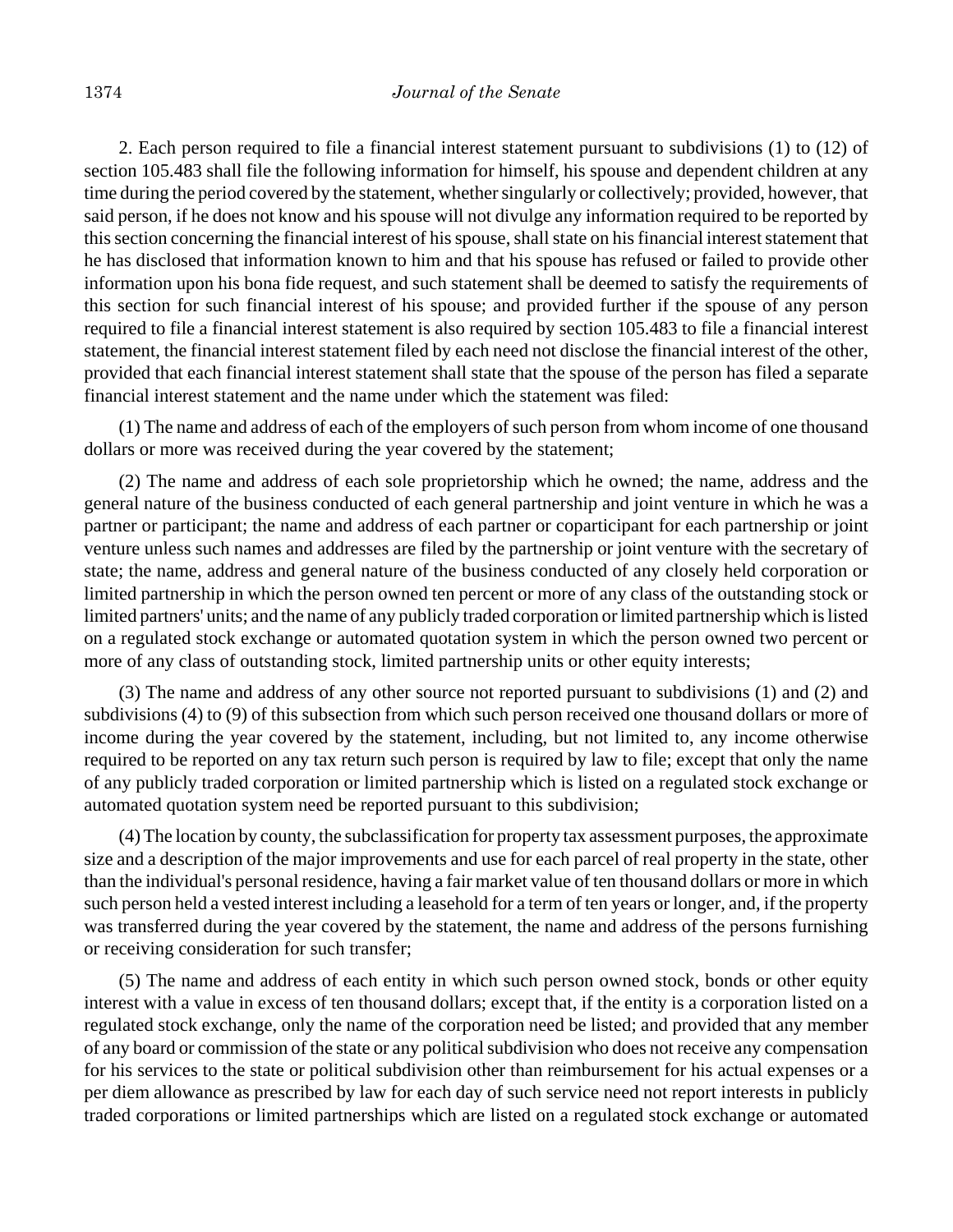2. Each person required to file a financial interest statement pursuant to subdivisions (1) to (12) of section 105.483 shall file the following information for himself, his spouse and dependent children at any time during the period covered by the statement, whether singularly or collectively; provided, however, that said person, if he does not know and his spouse will not divulge any information required to be reported by this section concerning the financial interest of his spouse, shall state on his financial interest statement that he has disclosed that information known to him and that his spouse has refused or failed to provide other information upon his bona fide request, and such statement shall be deemed to satisfy the requirements of this section for such financial interest of his spouse; and provided further if the spouse of any person required to file a financial interest statement is also required by section 105.483 to file a financial interest statement, the financial interest statement filed by each need not disclose the financial interest of the other, provided that each financial interest statement shall state that the spouse of the person has filed a separate financial interest statement and the name under which the statement was filed:

(1) The name and address of each of the employers of such person from whom income of one thousand dollars or more was received during the year covered by the statement;

(2) The name and address of each sole proprietorship which he owned; the name, address and the general nature of the business conducted of each general partnership and joint venture in which he was a partner or participant; the name and address of each partner or coparticipant for each partnership or joint venture unless such names and addresses are filed by the partnership or joint venture with the secretary of state; the name, address and general nature of the business conducted of any closely held corporation or limited partnership in which the person owned ten percent or more of any class of the outstanding stock or limited partners' units; and the name of any publicly traded corporation or limited partnership which is listed on a regulated stock exchange or automated quotation system in which the person owned two percent or more of any class of outstanding stock, limited partnership units or other equity interests;

(3) The name and address of any other source not reported pursuant to subdivisions (1) and (2) and subdivisions (4) to (9) of this subsection from which such person received one thousand dollars or more of income during the year covered by the statement, including, but not limited to, any income otherwise required to be reported on any tax return such person is required by law to file; except that only the name of any publicly traded corporation or limited partnership which is listed on a regulated stock exchange or automated quotation system need be reported pursuant to this subdivision;

(4) The location by county, the subclassification for property tax assessment purposes, the approximate size and a description of the major improvements and use for each parcel of real property in the state, other than the individual's personal residence, having a fair market value of ten thousand dollars or more in which such person held a vested interest including a leasehold for a term of ten years or longer, and, if the property was transferred during the year covered by the statement, the name and address of the persons furnishing or receiving consideration for such transfer;

(5) The name and address of each entity in which such person owned stock, bonds or other equity interest with a value in excess of ten thousand dollars; except that, if the entity is a corporation listed on a regulated stock exchange, only the name of the corporation need be listed; and provided that any member of any board or commission of the state or any political subdivision who does not receive any compensation for his services to the state or political subdivision other than reimbursement for his actual expenses or a per diem allowance as prescribed by law for each day of such service need not report interests in publicly traded corporations or limited partnerships which are listed on a regulated stock exchange or automated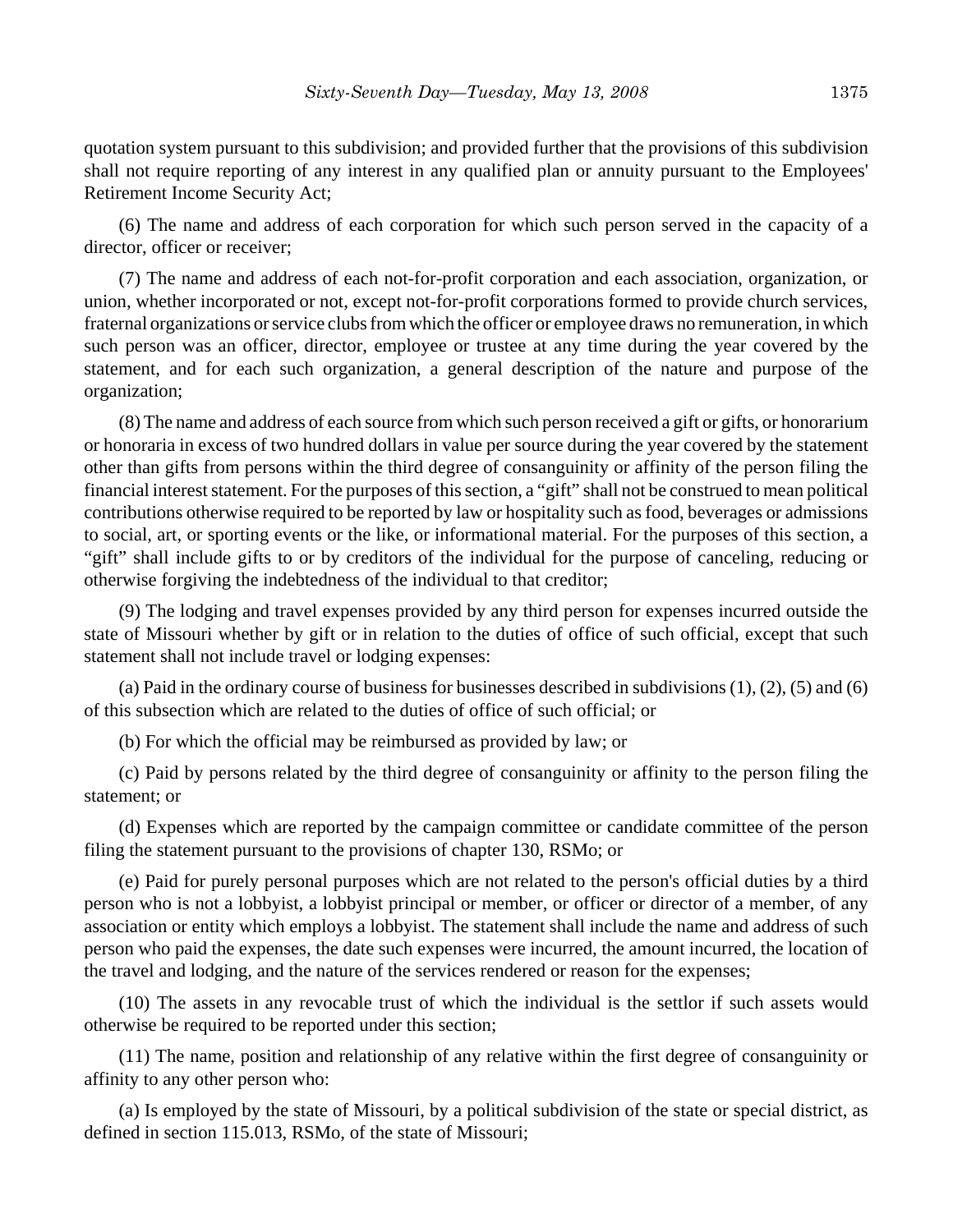quotation system pursuant to this subdivision; and provided further that the provisions of this subdivision shall not require reporting of any interest in any qualified plan or annuity pursuant to the Employees' Retirement Income Security Act;

(6) The name and address of each corporation for which such person served in the capacity of a director, officer or receiver;

(7) The name and address of each not-for-profit corporation and each association, organization, or union, whether incorporated or not, except not-for-profit corporations formed to provide church services, fraternal organizations or service clubs from which the officer or employee draws no remuneration, in which such person was an officer, director, employee or trustee at any time during the year covered by the statement, and for each such organization, a general description of the nature and purpose of the organization;

(8) The name and address of each source from which such person received a gift or gifts, or honorarium or honoraria in excess of two hundred dollars in value per source during the year covered by the statement other than gifts from persons within the third degree of consanguinity or affinity of the person filing the financial interest statement. For the purposes of this section, a "gift" shall not be construed to mean political contributions otherwise required to be reported by law or hospitality such as food, beverages or admissions to social, art, or sporting events or the like, or informational material. For the purposes of this section, a "gift" shall include gifts to or by creditors of the individual for the purpose of canceling, reducing or otherwise forgiving the indebtedness of the individual to that creditor;

(9) The lodging and travel expenses provided by any third person for expenses incurred outside the state of Missouri whether by gift or in relation to the duties of office of such official, except that such statement shall not include travel or lodging expenses:

(a) Paid in the ordinary course of business for businesses described in subdivisions (1), (2), (5) and (6) of this subsection which are related to the duties of office of such official; or

(b) For which the official may be reimbursed as provided by law; or

(c) Paid by persons related by the third degree of consanguinity or affinity to the person filing the statement; or

(d) Expenses which are reported by the campaign committee or candidate committee of the person filing the statement pursuant to the provisions of chapter 130, RSMo; or

(e) Paid for purely personal purposes which are not related to the person's official duties by a third person who is not a lobbyist, a lobbyist principal or member, or officer or director of a member, of any association or entity which employs a lobbyist. The statement shall include the name and address of such person who paid the expenses, the date such expenses were incurred, the amount incurred, the location of the travel and lodging, and the nature of the services rendered or reason for the expenses;

(10) The assets in any revocable trust of which the individual is the settlor if such assets would otherwise be required to be reported under this section;

(11) The name, position and relationship of any relative within the first degree of consanguinity or affinity to any other person who:

(a) Is employed by the state of Missouri, by a political subdivision of the state or special district, as defined in section 115.013, RSMo, of the state of Missouri;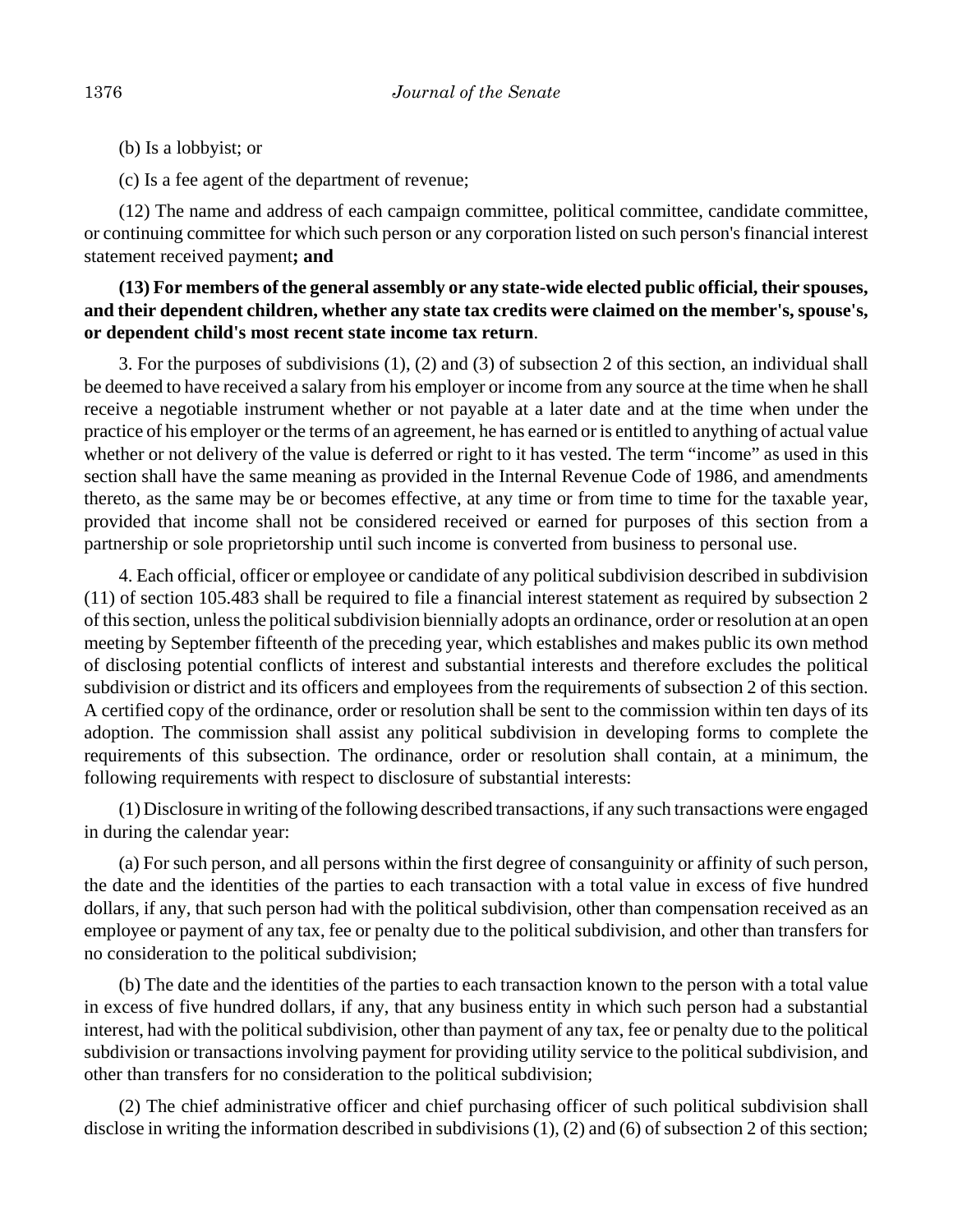(b) Is a lobbyist; or

(c) Is a fee agent of the department of revenue;

(12) The name and address of each campaign committee, political committee, candidate committee, or continuing committee for which such person or any corporation listed on such person's financial interest statement received payment**; and**

## **(13) For members of the general assembly or any state-wide elected public official, their spouses, and their dependent children, whether any state tax credits were claimed on the member's, spouse's, or dependent child's most recent state income tax return**.

3. For the purposes of subdivisions (1), (2) and (3) of subsection 2 of this section, an individual shall be deemed to have received a salary from his employer or income from any source at the time when he shall receive a negotiable instrument whether or not payable at a later date and at the time when under the practice of his employer or the terms of an agreement, he has earned or is entitled to anything of actual value whether or not delivery of the value is deferred or right to it has vested. The term "income" as used in this section shall have the same meaning as provided in the Internal Revenue Code of 1986, and amendments thereto, as the same may be or becomes effective, at any time or from time to time for the taxable year, provided that income shall not be considered received or earned for purposes of this section from a partnership or sole proprietorship until such income is converted from business to personal use.

4. Each official, officer or employee or candidate of any political subdivision described in subdivision (11) of section 105.483 shall be required to file a financial interest statement as required by subsection 2 of this section, unless the political subdivision biennially adopts an ordinance, order or resolution at an open meeting by September fifteenth of the preceding year, which establishes and makes public its own method of disclosing potential conflicts of interest and substantial interests and therefore excludes the political subdivision or district and its officers and employees from the requirements of subsection 2 of this section. A certified copy of the ordinance, order or resolution shall be sent to the commission within ten days of its adoption. The commission shall assist any political subdivision in developing forms to complete the requirements of this subsection. The ordinance, order or resolution shall contain, at a minimum, the following requirements with respect to disclosure of substantial interests:

(1) Disclosure in writing of the following described transactions, if any such transactions were engaged in during the calendar year:

(a) For such person, and all persons within the first degree of consanguinity or affinity of such person, the date and the identities of the parties to each transaction with a total value in excess of five hundred dollars, if any, that such person had with the political subdivision, other than compensation received as an employee or payment of any tax, fee or penalty due to the political subdivision, and other than transfers for no consideration to the political subdivision;

(b) The date and the identities of the parties to each transaction known to the person with a total value in excess of five hundred dollars, if any, that any business entity in which such person had a substantial interest, had with the political subdivision, other than payment of any tax, fee or penalty due to the political subdivision or transactions involving payment for providing utility service to the political subdivision, and other than transfers for no consideration to the political subdivision;

(2) The chief administrative officer and chief purchasing officer of such political subdivision shall disclose in writing the information described in subdivisions (1), (2) and (6) of subsection 2 of this section;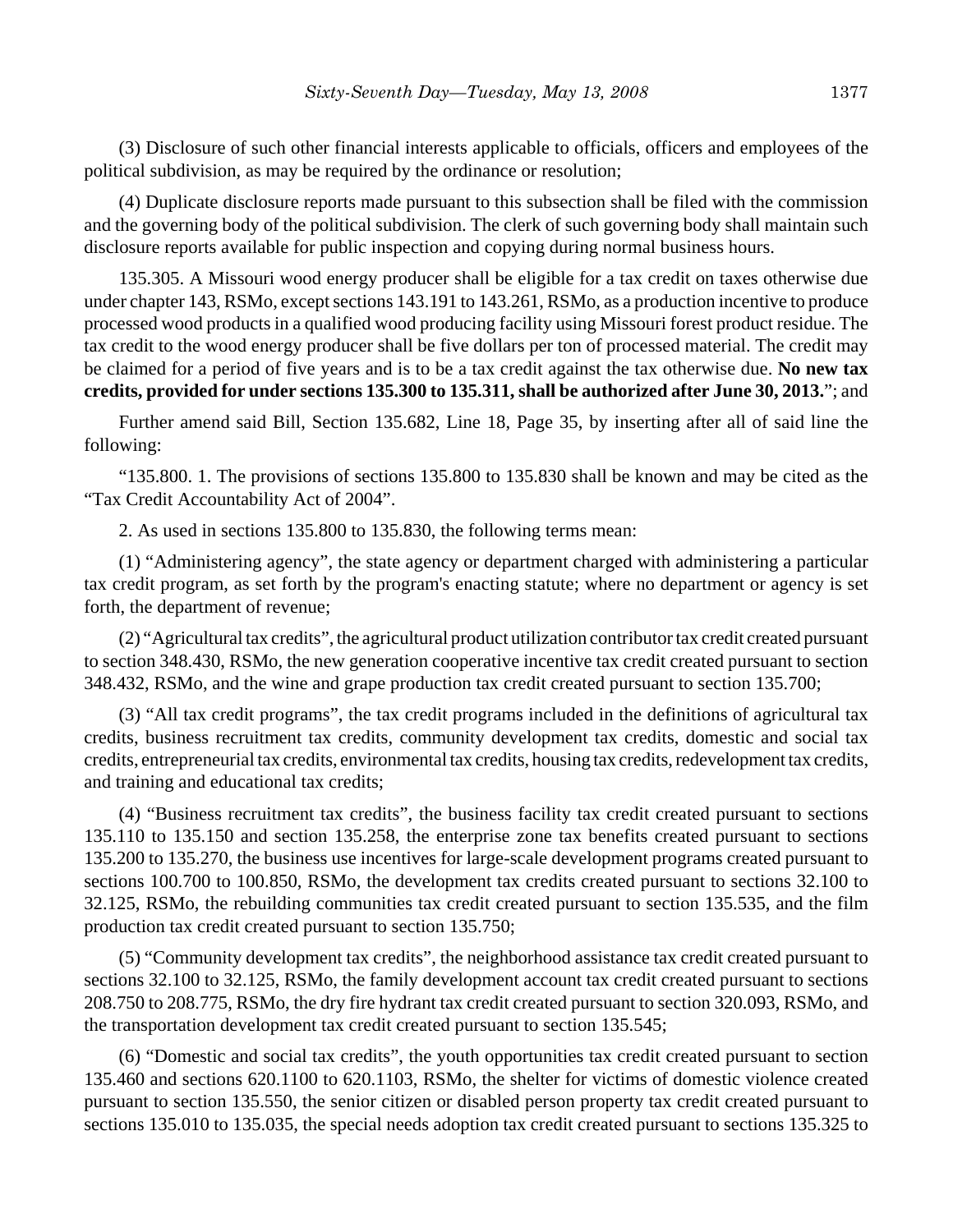(3) Disclosure of such other financial interests applicable to officials, officers and employees of the political subdivision, as may be required by the ordinance or resolution;

(4) Duplicate disclosure reports made pursuant to this subsection shall be filed with the commission and the governing body of the political subdivision. The clerk of such governing body shall maintain such disclosure reports available for public inspection and copying during normal business hours.

135.305. A Missouri wood energy producer shall be eligible for a tax credit on taxes otherwise due under chapter 143, RSMo, except sections 143.191 to 143.261, RSMo, as a production incentive to produce processed wood products in a qualified wood producing facility using Missouri forest product residue. The tax credit to the wood energy producer shall be five dollars per ton of processed material. The credit may be claimed for a period of five years and is to be a tax credit against the tax otherwise due. **No new tax credits, provided for under sections 135.300 to 135.311, shall be authorized after June 30, 2013.**"; and

Further amend said Bill, Section 135.682, Line 18, Page 35, by inserting after all of said line the following:

"135.800. 1. The provisions of sections 135.800 to 135.830 shall be known and may be cited as the "Tax Credit Accountability Act of 2004".

2. As used in sections 135.800 to 135.830, the following terms mean:

(1) "Administering agency", the state agency or department charged with administering a particular tax credit program, as set forth by the program's enacting statute; where no department or agency is set forth, the department of revenue;

(2) "Agricultural tax credits", the agricultural product utilization contributor tax credit created pursuant to section 348.430, RSMo, the new generation cooperative incentive tax credit created pursuant to section 348.432, RSMo, and the wine and grape production tax credit created pursuant to section 135.700;

(3) "All tax credit programs", the tax credit programs included in the definitions of agricultural tax credits, business recruitment tax credits, community development tax credits, domestic and social tax credits, entrepreneurial tax credits, environmental tax credits, housing tax credits, redevelopment tax credits, and training and educational tax credits;

(4) "Business recruitment tax credits", the business facility tax credit created pursuant to sections 135.110 to 135.150 and section 135.258, the enterprise zone tax benefits created pursuant to sections 135.200 to 135.270, the business use incentives for large-scale development programs created pursuant to sections 100.700 to 100.850, RSMo, the development tax credits created pursuant to sections 32.100 to 32.125, RSMo, the rebuilding communities tax credit created pursuant to section 135.535, and the film production tax credit created pursuant to section 135.750;

(5) "Community development tax credits", the neighborhood assistance tax credit created pursuant to sections 32.100 to 32.125, RSMo, the family development account tax credit created pursuant to sections 208.750 to 208.775, RSMo, the dry fire hydrant tax credit created pursuant to section 320.093, RSMo, and the transportation development tax credit created pursuant to section 135.545;

(6) "Domestic and social tax credits", the youth opportunities tax credit created pursuant to section 135.460 and sections 620.1100 to 620.1103, RSMo, the shelter for victims of domestic violence created pursuant to section 135.550, the senior citizen or disabled person property tax credit created pursuant to sections 135.010 to 135.035, the special needs adoption tax credit created pursuant to sections 135.325 to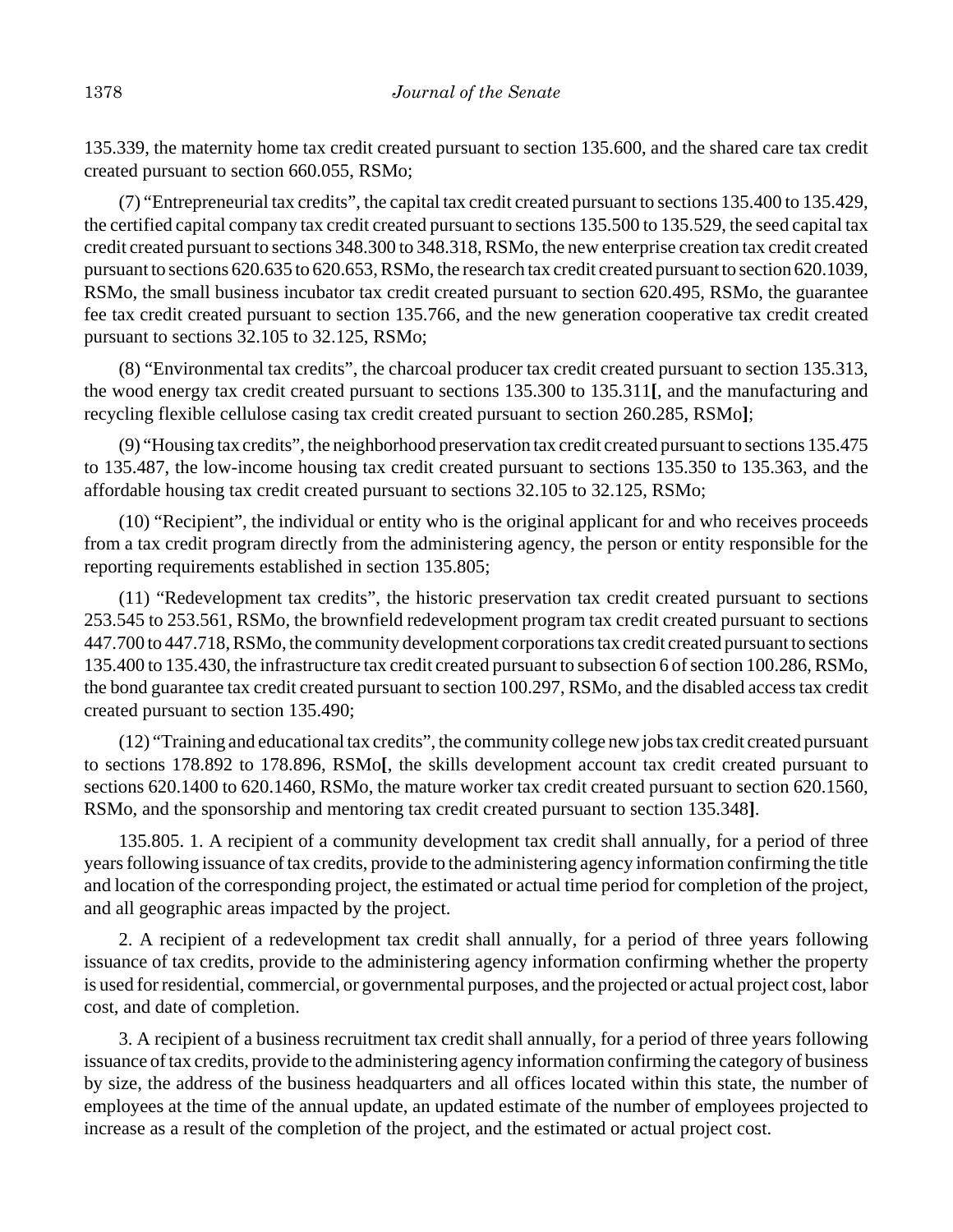135.339, the maternity home tax credit created pursuant to section 135.600, and the shared care tax credit created pursuant to section 660.055, RSMo;

(7) "Entrepreneurial tax credits", the capital tax credit created pursuant to sections 135.400 to 135.429, the certified capital company tax credit created pursuant to sections 135.500 to 135.529, the seed capital tax credit created pursuant to sections 348.300 to 348.318, RSMo, the new enterprise creation tax credit created pursuant to sections 620.635 to 620.653, RSMo, the research tax credit created pursuant to section 620.1039, RSMo, the small business incubator tax credit created pursuant to section 620.495, RSMo, the guarantee fee tax credit created pursuant to section 135.766, and the new generation cooperative tax credit created pursuant to sections 32.105 to 32.125, RSMo;

(8) "Environmental tax credits", the charcoal producer tax credit created pursuant to section 135.313, the wood energy tax credit created pursuant to sections 135.300 to 135.311**[**, and the manufacturing and recycling flexible cellulose casing tax credit created pursuant to section 260.285, RSMo**]**;

(9) "Housing tax credits", the neighborhood preservation tax credit created pursuant to sections 135.475 to 135.487, the low-income housing tax credit created pursuant to sections 135.350 to 135.363, and the affordable housing tax credit created pursuant to sections 32.105 to 32.125, RSMo;

(10) "Recipient", the individual or entity who is the original applicant for and who receives proceeds from a tax credit program directly from the administering agency, the person or entity responsible for the reporting requirements established in section 135.805;

(11) "Redevelopment tax credits", the historic preservation tax credit created pursuant to sections 253.545 to 253.561, RSMo, the brownfield redevelopment program tax credit created pursuant to sections 447.700 to 447.718, RSMo, the community development corporations tax credit created pursuant to sections 135.400 to 135.430, the infrastructure tax credit created pursuant to subsection 6 of section 100.286, RSMo, the bond guarantee tax credit created pursuant to section 100.297, RSMo, and the disabled access tax credit created pursuant to section 135.490;

(12) "Training and educational tax credits", the community college new jobs tax credit created pursuant to sections 178.892 to 178.896, RSMo**[**, the skills development account tax credit created pursuant to sections 620.1400 to 620.1460, RSMo, the mature worker tax credit created pursuant to section 620.1560, RSMo, and the sponsorship and mentoring tax credit created pursuant to section 135.348**]**.

135.805. 1. A recipient of a community development tax credit shall annually, for a period of three years following issuance of tax credits, provide to the administering agency information confirming the title and location of the corresponding project, the estimated or actual time period for completion of the project, and all geographic areas impacted by the project.

2. A recipient of a redevelopment tax credit shall annually, for a period of three years following issuance of tax credits, provide to the administering agency information confirming whether the property is used for residential, commercial, or governmental purposes, and the projected or actual project cost, labor cost, and date of completion.

3. A recipient of a business recruitment tax credit shall annually, for a period of three years following issuance of tax credits, provide to the administering agency information confirming the category of business by size, the address of the business headquarters and all offices located within this state, the number of employees at the time of the annual update, an updated estimate of the number of employees projected to increase as a result of the completion of the project, and the estimated or actual project cost.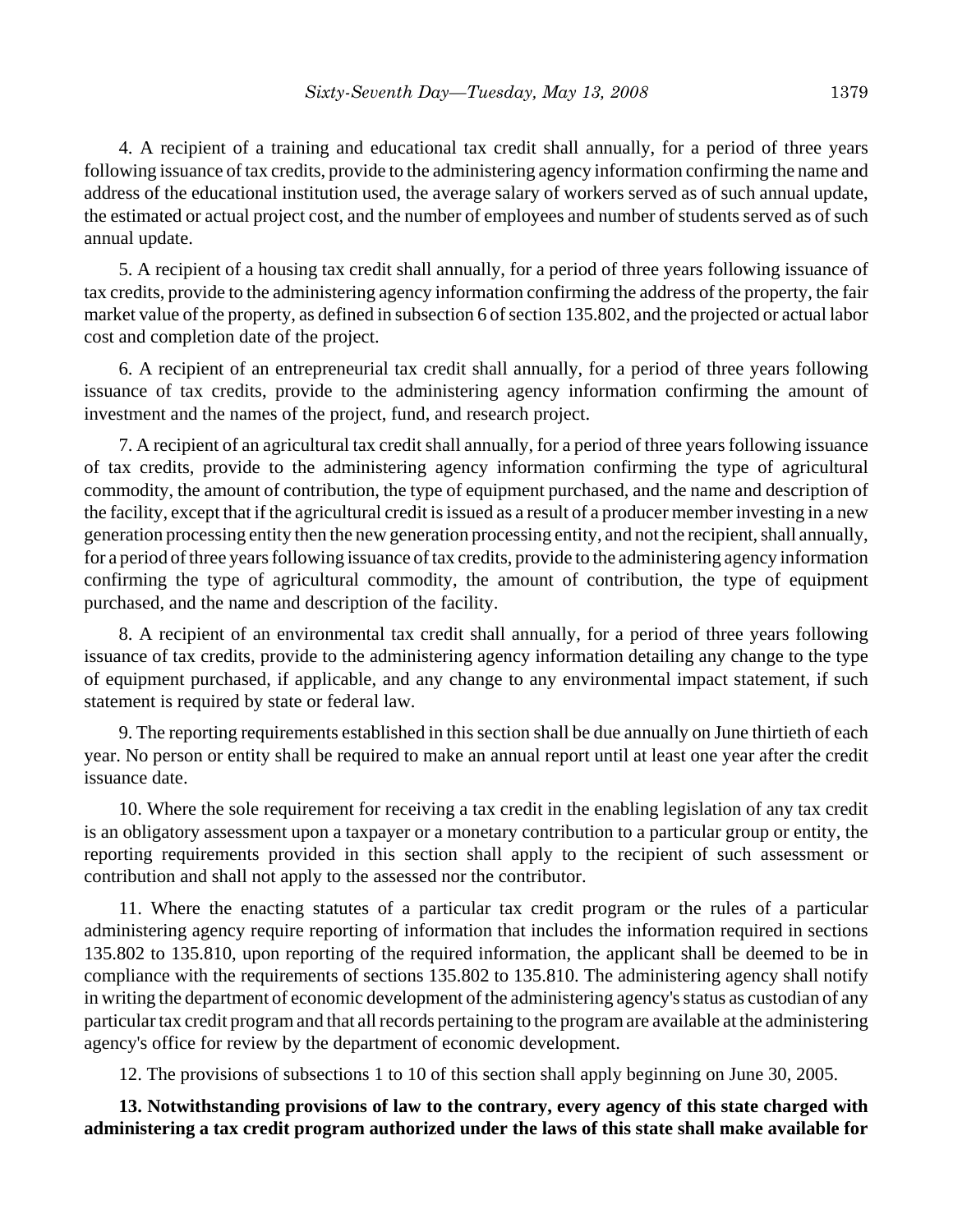4. A recipient of a training and educational tax credit shall annually, for a period of three years following issuance of tax credits, provide to the administering agency information confirming the name and address of the educational institution used, the average salary of workers served as of such annual update, the estimated or actual project cost, and the number of employees and number of students served as of such annual update.

5. A recipient of a housing tax credit shall annually, for a period of three years following issuance of tax credits, provide to the administering agency information confirming the address of the property, the fair market value of the property, as defined in subsection 6 of section 135.802, and the projected or actual labor cost and completion date of the project.

6. A recipient of an entrepreneurial tax credit shall annually, for a period of three years following issuance of tax credits, provide to the administering agency information confirming the amount of investment and the names of the project, fund, and research project.

7. A recipient of an agricultural tax credit shall annually, for a period of three years following issuance of tax credits, provide to the administering agency information confirming the type of agricultural commodity, the amount of contribution, the type of equipment purchased, and the name and description of the facility, except that if the agricultural credit is issued as a result of a producer member investing in a new generation processing entity then the new generation processing entity, and not the recipient, shall annually, for a period of three years following issuance of tax credits, provide to the administering agency information confirming the type of agricultural commodity, the amount of contribution, the type of equipment purchased, and the name and description of the facility.

8. A recipient of an environmental tax credit shall annually, for a period of three years following issuance of tax credits, provide to the administering agency information detailing any change to the type of equipment purchased, if applicable, and any change to any environmental impact statement, if such statement is required by state or federal law.

9. The reporting requirements established in this section shall be due annually on June thirtieth of each year. No person or entity shall be required to make an annual report until at least one year after the credit issuance date.

10. Where the sole requirement for receiving a tax credit in the enabling legislation of any tax credit is an obligatory assessment upon a taxpayer or a monetary contribution to a particular group or entity, the reporting requirements provided in this section shall apply to the recipient of such assessment or contribution and shall not apply to the assessed nor the contributor.

11. Where the enacting statutes of a particular tax credit program or the rules of a particular administering agency require reporting of information that includes the information required in sections 135.802 to 135.810, upon reporting of the required information, the applicant shall be deemed to be in compliance with the requirements of sections 135.802 to 135.810. The administering agency shall notify in writing the department of economic development of the administering agency's status as custodian of any particular tax credit program and that all records pertaining to the program are available at the administering agency's office for review by the department of economic development.

12. The provisions of subsections 1 to 10 of this section shall apply beginning on June 30, 2005.

**13. Notwithstanding provisions of law to the contrary, every agency of this state charged with administering a tax credit program authorized under the laws of this state shall make available for**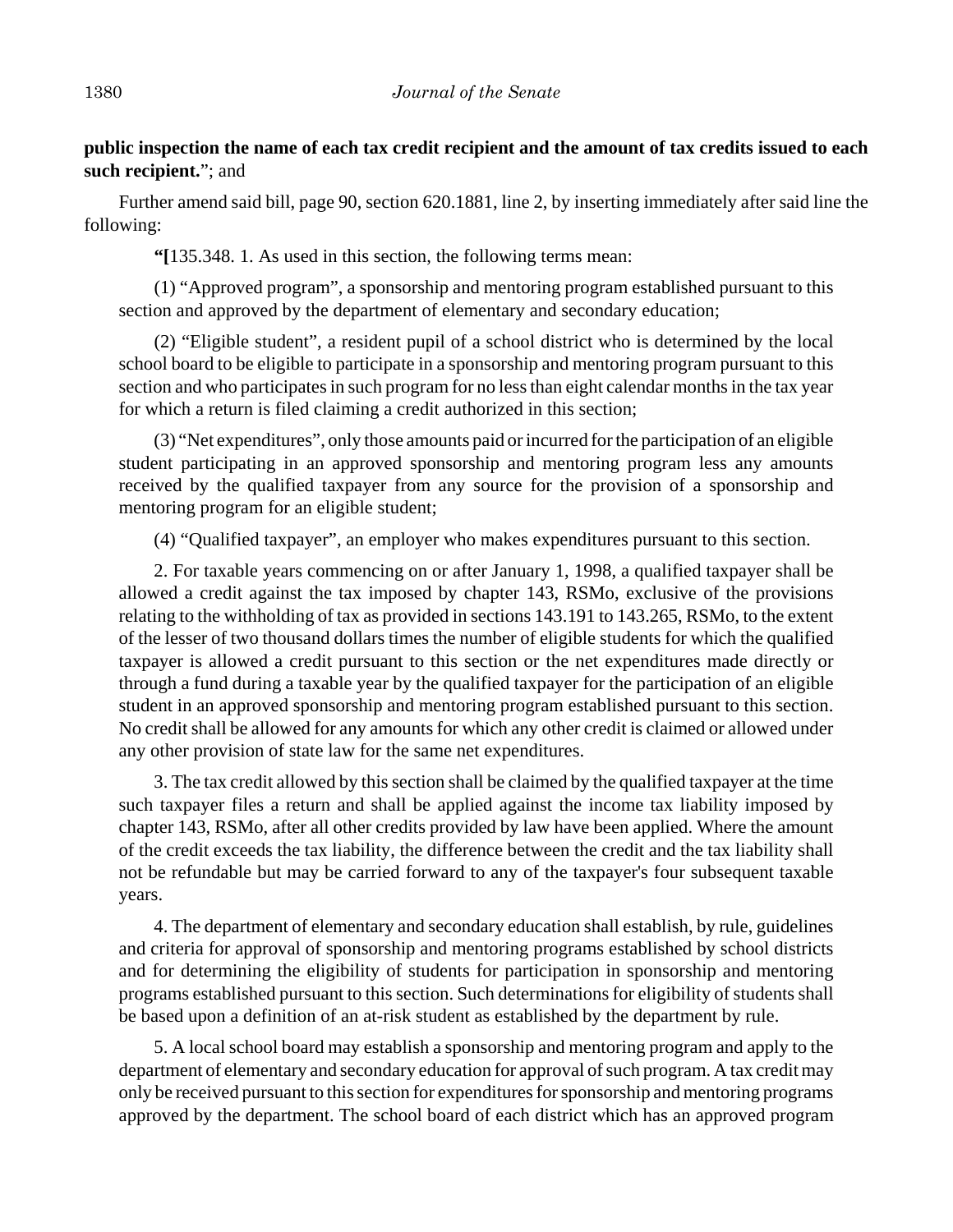# **public inspection the name of each tax credit recipient and the amount of tax credits issued to each such recipient.**"; and

Further amend said bill, page 90, section 620.1881, line 2, by inserting immediately after said line the following:

**"[**135.348. 1. As used in this section, the following terms mean:

(1) "Approved program", a sponsorship and mentoring program established pursuant to this section and approved by the department of elementary and secondary education;

(2) "Eligible student", a resident pupil of a school district who is determined by the local school board to be eligible to participate in a sponsorship and mentoring program pursuant to this section and who participates in such program for no less than eight calendar months in the tax year for which a return is filed claiming a credit authorized in this section;

(3) "Net expenditures", only those amounts paid or incurred for the participation of an eligible student participating in an approved sponsorship and mentoring program less any amounts received by the qualified taxpayer from any source for the provision of a sponsorship and mentoring program for an eligible student;

(4) "Qualified taxpayer", an employer who makes expenditures pursuant to this section.

2. For taxable years commencing on or after January 1, 1998, a qualified taxpayer shall be allowed a credit against the tax imposed by chapter 143, RSMo, exclusive of the provisions relating to the withholding of tax as provided in sections 143.191 to 143.265, RSMo, to the extent of the lesser of two thousand dollars times the number of eligible students for which the qualified taxpayer is allowed a credit pursuant to this section or the net expenditures made directly or through a fund during a taxable year by the qualified taxpayer for the participation of an eligible student in an approved sponsorship and mentoring program established pursuant to this section. No credit shall be allowed for any amounts for which any other credit is claimed or allowed under any other provision of state law for the same net expenditures.

3. The tax credit allowed by this section shall be claimed by the qualified taxpayer at the time such taxpayer files a return and shall be applied against the income tax liability imposed by chapter 143, RSMo, after all other credits provided by law have been applied. Where the amount of the credit exceeds the tax liability, the difference between the credit and the tax liability shall not be refundable but may be carried forward to any of the taxpayer's four subsequent taxable years.

4. The department of elementary and secondary education shall establish, by rule, guidelines and criteria for approval of sponsorship and mentoring programs established by school districts and for determining the eligibility of students for participation in sponsorship and mentoring programs established pursuant to this section. Such determinations for eligibility of students shall be based upon a definition of an at-risk student as established by the department by rule.

5. A local school board may establish a sponsorship and mentoring program and apply to the department of elementary and secondary education for approval of such program. A tax credit may only be received pursuant to this section for expenditures for sponsorship and mentoring programs approved by the department. The school board of each district which has an approved program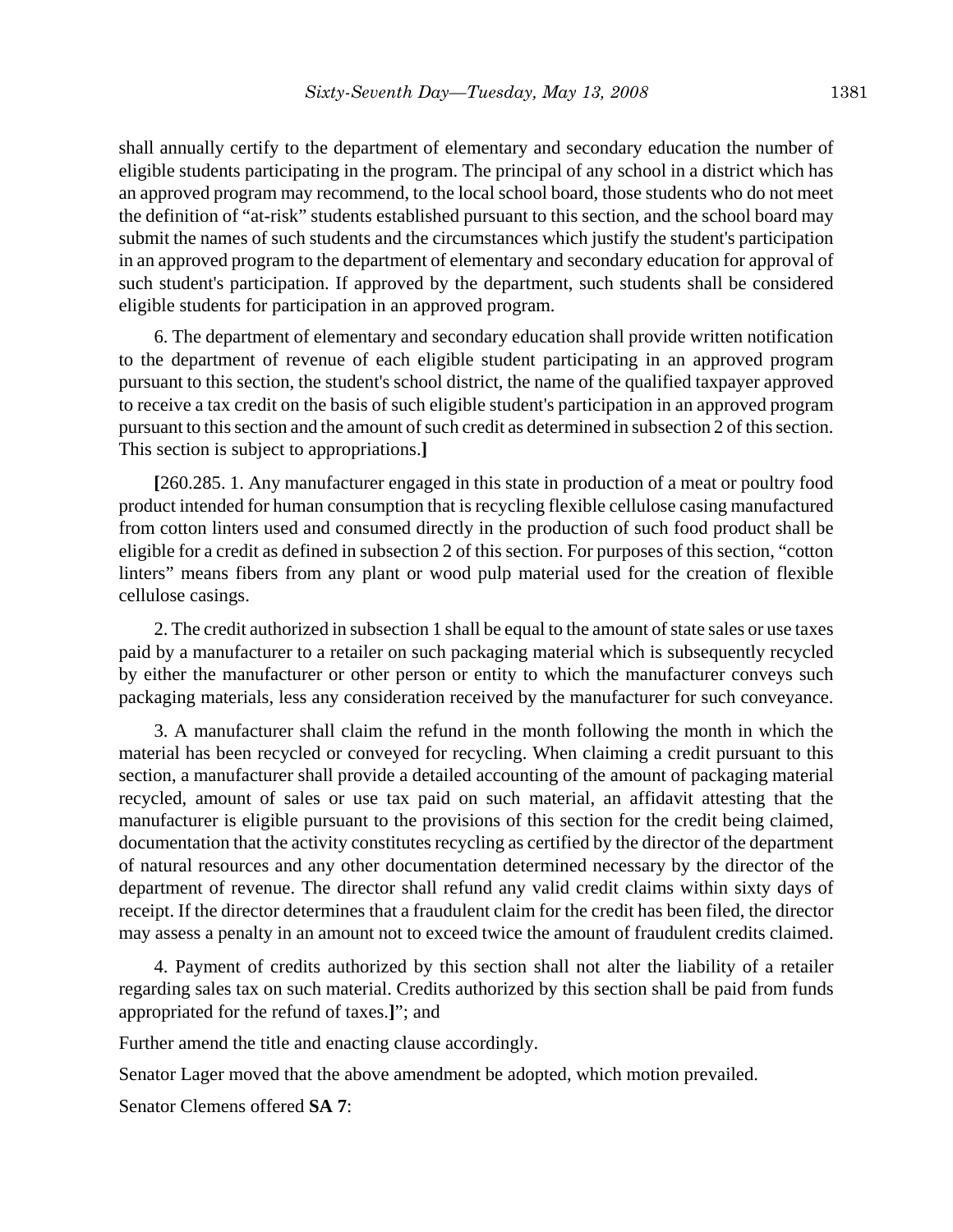shall annually certify to the department of elementary and secondary education the number of eligible students participating in the program. The principal of any school in a district which has an approved program may recommend, to the local school board, those students who do not meet the definition of "at-risk" students established pursuant to this section, and the school board may submit the names of such students and the circumstances which justify the student's participation in an approved program to the department of elementary and secondary education for approval of such student's participation. If approved by the department, such students shall be considered eligible students for participation in an approved program.

6. The department of elementary and secondary education shall provide written notification to the department of revenue of each eligible student participating in an approved program pursuant to this section, the student's school district, the name of the qualified taxpayer approved to receive a tax credit on the basis of such eligible student's participation in an approved program pursuant to this section and the amount of such credit as determined in subsection 2 of this section. This section is subject to appropriations.**]**

**[**260.285. 1. Any manufacturer engaged in this state in production of a meat or poultry food product intended for human consumption that is recycling flexible cellulose casing manufactured from cotton linters used and consumed directly in the production of such food product shall be eligible for a credit as defined in subsection 2 of this section. For purposes of this section, "cotton linters" means fibers from any plant or wood pulp material used for the creation of flexible cellulose casings.

2. The credit authorized in subsection 1 shall be equal to the amount of state sales or use taxes paid by a manufacturer to a retailer on such packaging material which is subsequently recycled by either the manufacturer or other person or entity to which the manufacturer conveys such packaging materials, less any consideration received by the manufacturer for such conveyance.

3. A manufacturer shall claim the refund in the month following the month in which the material has been recycled or conveyed for recycling. When claiming a credit pursuant to this section, a manufacturer shall provide a detailed accounting of the amount of packaging material recycled, amount of sales or use tax paid on such material, an affidavit attesting that the manufacturer is eligible pursuant to the provisions of this section for the credit being claimed, documentation that the activity constitutes recycling as certified by the director of the department of natural resources and any other documentation determined necessary by the director of the department of revenue. The director shall refund any valid credit claims within sixty days of receipt. If the director determines that a fraudulent claim for the credit has been filed, the director may assess a penalty in an amount not to exceed twice the amount of fraudulent credits claimed.

4. Payment of credits authorized by this section shall not alter the liability of a retailer regarding sales tax on such material. Credits authorized by this section shall be paid from funds appropriated for the refund of taxes.**]**"; and

Further amend the title and enacting clause accordingly.

Senator Lager moved that the above amendment be adopted, which motion prevailed.

Senator Clemens offered **SA 7**: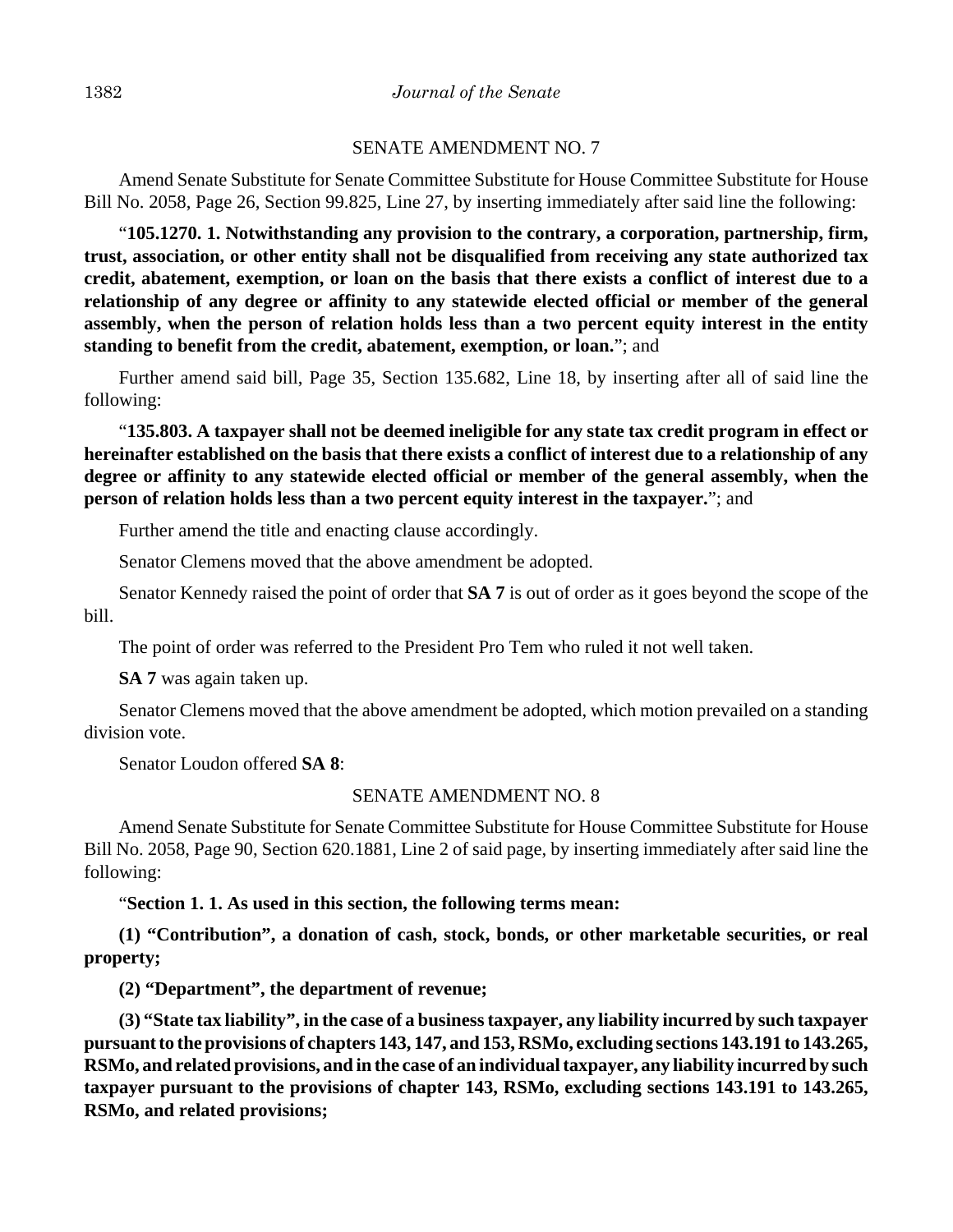### SENATE AMENDMENT NO. 7

Amend Senate Substitute for Senate Committee Substitute for House Committee Substitute for House Bill No. 2058, Page 26, Section 99.825, Line 27, by inserting immediately after said line the following:

"**105.1270. 1. Notwithstanding any provision to the contrary, a corporation, partnership, firm, trust, association, or other entity shall not be disqualified from receiving any state authorized tax credit, abatement, exemption, or loan on the basis that there exists a conflict of interest due to a relationship of any degree or affinity to any statewide elected official or member of the general assembly, when the person of relation holds less than a two percent equity interest in the entity standing to benefit from the credit, abatement, exemption, or loan.**"; and

Further amend said bill, Page 35, Section 135.682, Line 18, by inserting after all of said line the following:

"**135.803. A taxpayer shall not be deemed ineligible for any state tax credit program in effect or hereinafter established on the basis that there exists a conflict of interest due to a relationship of any degree or affinity to any statewide elected official or member of the general assembly, when the person of relation holds less than a two percent equity interest in the taxpayer.**"; and

Further amend the title and enacting clause accordingly.

Senator Clemens moved that the above amendment be adopted.

Senator Kennedy raised the point of order that **SA 7** is out of order as it goes beyond the scope of the bill.

The point of order was referred to the President Pro Tem who ruled it not well taken.

**SA 7** was again taken up.

Senator Clemens moved that the above amendment be adopted, which motion prevailed on a standing division vote.

Senator Loudon offered **SA 8**:

## SENATE AMENDMENT NO. 8

Amend Senate Substitute for Senate Committee Substitute for House Committee Substitute for House Bill No. 2058, Page 90, Section 620.1881, Line 2 of said page, by inserting immediately after said line the following:

"**Section 1. 1. As used in this section, the following terms mean:**

**(1) "Contribution", a donation of cash, stock, bonds, or other marketable securities, or real property;**

**(2) "Department", the department of revenue;**

**(3) "State tax liability", in the case of a business taxpayer, any liability incurred by such taxpayer pursuant to the provisions of chapters 143, 147, and 153, RSMo, excluding sections 143.191 to 143.265, RSMo, and related provisions, and in the case of an individual taxpayer, any liability incurred by such taxpayer pursuant to the provisions of chapter 143, RSMo, excluding sections 143.191 to 143.265, RSMo, and related provisions;**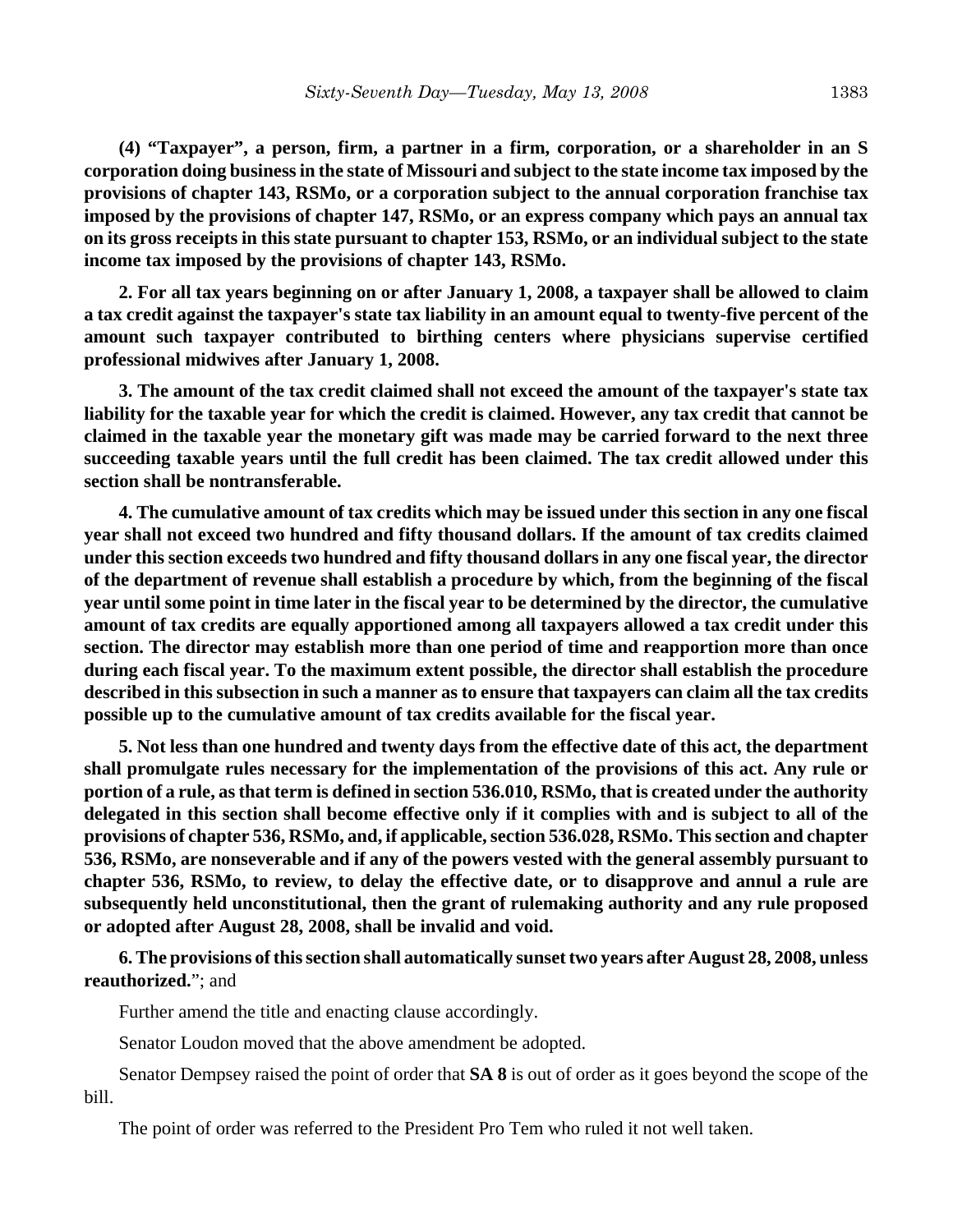**(4) "Taxpayer", a person, firm, a partner in a firm, corporation, or a shareholder in an S corporation doing business in the state of Missouri and subject to the state income tax imposed by the provisions of chapter 143, RSMo, or a corporation subject to the annual corporation franchise tax imposed by the provisions of chapter 147, RSMo, or an express company which pays an annual tax on its gross receipts in this state pursuant to chapter 153, RSMo, or an individual subject to the state income tax imposed by the provisions of chapter 143, RSMo.**

**2. For all tax years beginning on or after January 1, 2008, a taxpayer shall be allowed to claim a tax credit against the taxpayer's state tax liability in an amount equal to twenty-five percent of the amount such taxpayer contributed to birthing centers where physicians supervise certified professional midwives after January 1, 2008.**

**3. The amount of the tax credit claimed shall not exceed the amount of the taxpayer's state tax liability for the taxable year for which the credit is claimed. However, any tax credit that cannot be claimed in the taxable year the monetary gift was made may be carried forward to the next three succeeding taxable years until the full credit has been claimed. The tax credit allowed under this section shall be nontransferable.**

**4. The cumulative amount of tax credits which may be issued under this section in any one fiscal year shall not exceed two hundred and fifty thousand dollars. If the amount of tax credits claimed under this section exceeds two hundred and fifty thousand dollars in any one fiscal year, the director of the department of revenue shall establish a procedure by which, from the beginning of the fiscal year until some point in time later in the fiscal year to be determined by the director, the cumulative amount of tax credits are equally apportioned among all taxpayers allowed a tax credit under this section. The director may establish more than one period of time and reapportion more than once during each fiscal year. To the maximum extent possible, the director shall establish the procedure described in this subsection in such a manner as to ensure that taxpayers can claim all the tax credits possible up to the cumulative amount of tax credits available for the fiscal year.**

**5. Not less than one hundred and twenty days from the effective date of this act, the department shall promulgate rules necessary for the implementation of the provisions of this act. Any rule or portion of a rule, as that term is defined in section 536.010, RSMo, that is created under the authority delegated in this section shall become effective only if it complies with and is subject to all of the provisions of chapter 536, RSMo, and, if applicable, section 536.028, RSMo. This section and chapter 536, RSMo, are nonseverable and if any of the powers vested with the general assembly pursuant to chapter 536, RSMo, to review, to delay the effective date, or to disapprove and annul a rule are subsequently held unconstitutional, then the grant of rulemaking authority and any rule proposed or adopted after August 28, 2008, shall be invalid and void.**

**6. The provisions of this section shall automatically sunset two years after August 28, 2008, unless reauthorized.**"; and

Further amend the title and enacting clause accordingly.

Senator Loudon moved that the above amendment be adopted.

Senator Dempsey raised the point of order that **SA 8** is out of order as it goes beyond the scope of the bill.

The point of order was referred to the President Pro Tem who ruled it not well taken.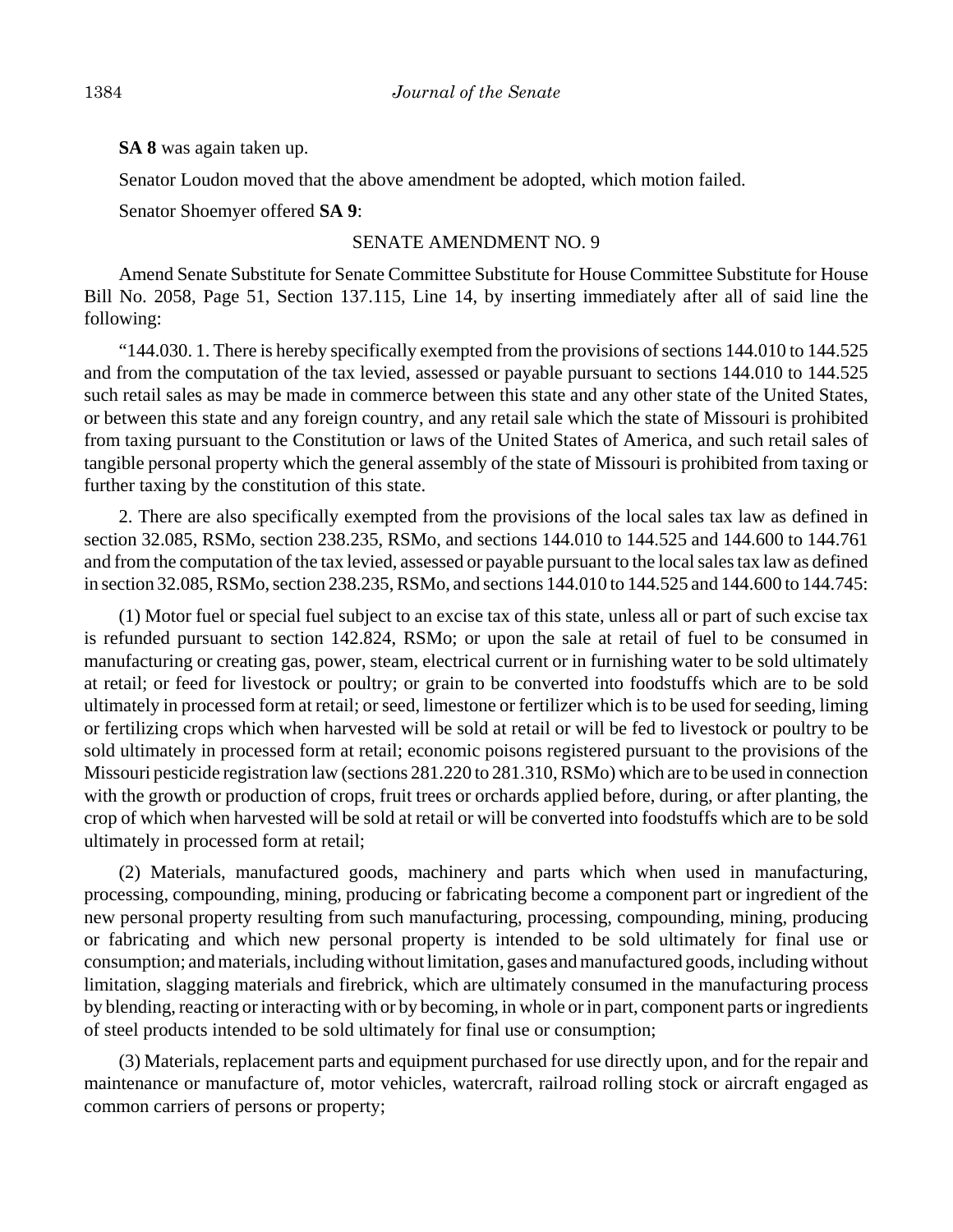**SA 8** was again taken up.

Senator Loudon moved that the above amendment be adopted, which motion failed.

Senator Shoemyer offered **SA 9**:

### SENATE AMENDMENT NO. 9

Amend Senate Substitute for Senate Committee Substitute for House Committee Substitute for House Bill No. 2058, Page 51, Section 137.115, Line 14, by inserting immediately after all of said line the following:

"144.030. 1. There is hereby specifically exempted from the provisions of sections 144.010 to 144.525 and from the computation of the tax levied, assessed or payable pursuant to sections 144.010 to 144.525 such retail sales as may be made in commerce between this state and any other state of the United States, or between this state and any foreign country, and any retail sale which the state of Missouri is prohibited from taxing pursuant to the Constitution or laws of the United States of America, and such retail sales of tangible personal property which the general assembly of the state of Missouri is prohibited from taxing or further taxing by the constitution of this state.

2. There are also specifically exempted from the provisions of the local sales tax law as defined in section 32.085, RSMo, section 238.235, RSMo, and sections 144.010 to 144.525 and 144.600 to 144.761 and from the computation of the tax levied, assessed or payable pursuant to the local sales tax law as defined in section 32.085, RSMo, section 238.235, RSMo, and sections 144.010 to 144.525 and 144.600 to 144.745:

(1) Motor fuel or special fuel subject to an excise tax of this state, unless all or part of such excise tax is refunded pursuant to section 142.824, RSMo; or upon the sale at retail of fuel to be consumed in manufacturing or creating gas, power, steam, electrical current or in furnishing water to be sold ultimately at retail; or feed for livestock or poultry; or grain to be converted into foodstuffs which are to be sold ultimately in processed form at retail; or seed, limestone or fertilizer which is to be used for seeding, liming or fertilizing crops which when harvested will be sold at retail or will be fed to livestock or poultry to be sold ultimately in processed form at retail; economic poisons registered pursuant to the provisions of the Missouri pesticide registration law (sections 281.220 to 281.310, RSMo) which are to be used in connection with the growth or production of crops, fruit trees or orchards applied before, during, or after planting, the crop of which when harvested will be sold at retail or will be converted into foodstuffs which are to be sold ultimately in processed form at retail;

(2) Materials, manufactured goods, machinery and parts which when used in manufacturing, processing, compounding, mining, producing or fabricating become a component part or ingredient of the new personal property resulting from such manufacturing, processing, compounding, mining, producing or fabricating and which new personal property is intended to be sold ultimately for final use or consumption; and materials, including without limitation, gases and manufactured goods, including without limitation, slagging materials and firebrick, which are ultimately consumed in the manufacturing process by blending, reacting or interacting with or by becoming, in whole or in part, component parts or ingredients of steel products intended to be sold ultimately for final use or consumption;

(3) Materials, replacement parts and equipment purchased for use directly upon, and for the repair and maintenance or manufacture of, motor vehicles, watercraft, railroad rolling stock or aircraft engaged as common carriers of persons or property;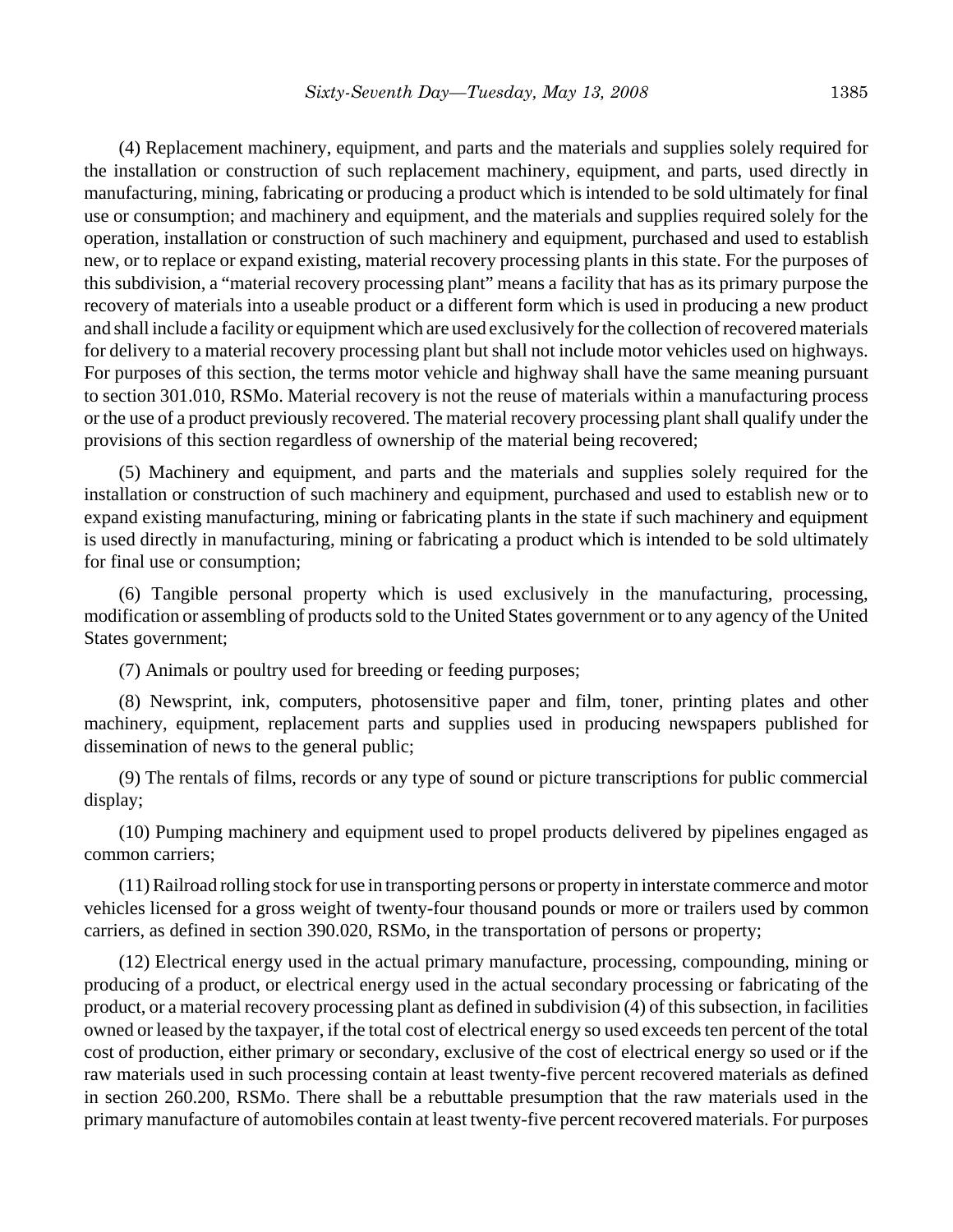(4) Replacement machinery, equipment, and parts and the materials and supplies solely required for the installation or construction of such replacement machinery, equipment, and parts, used directly in manufacturing, mining, fabricating or producing a product which is intended to be sold ultimately for final use or consumption; and machinery and equipment, and the materials and supplies required solely for the operation, installation or construction of such machinery and equipment, purchased and used to establish new, or to replace or expand existing, material recovery processing plants in this state. For the purposes of this subdivision, a "material recovery processing plant" means a facility that has as its primary purpose the recovery of materials into a useable product or a different form which is used in producing a new product and shall include a facility or equipment which are used exclusively for the collection of recovered materials for delivery to a material recovery processing plant but shall not include motor vehicles used on highways. For purposes of this section, the terms motor vehicle and highway shall have the same meaning pursuant to section 301.010, RSMo. Material recovery is not the reuse of materials within a manufacturing process or the use of a product previously recovered. The material recovery processing plant shall qualify under the provisions of this section regardless of ownership of the material being recovered;

(5) Machinery and equipment, and parts and the materials and supplies solely required for the installation or construction of such machinery and equipment, purchased and used to establish new or to expand existing manufacturing, mining or fabricating plants in the state if such machinery and equipment is used directly in manufacturing, mining or fabricating a product which is intended to be sold ultimately for final use or consumption;

(6) Tangible personal property which is used exclusively in the manufacturing, processing, modification or assembling of products sold to the United States government or to any agency of the United States government;

(7) Animals or poultry used for breeding or feeding purposes;

(8) Newsprint, ink, computers, photosensitive paper and film, toner, printing plates and other machinery, equipment, replacement parts and supplies used in producing newspapers published for dissemination of news to the general public;

(9) The rentals of films, records or any type of sound or picture transcriptions for public commercial display;

(10) Pumping machinery and equipment used to propel products delivered by pipelines engaged as common carriers;

(11) Railroad rolling stock for use in transporting persons or property in interstate commerce and motor vehicles licensed for a gross weight of twenty-four thousand pounds or more or trailers used by common carriers, as defined in section 390.020, RSMo, in the transportation of persons or property;

(12) Electrical energy used in the actual primary manufacture, processing, compounding, mining or producing of a product, or electrical energy used in the actual secondary processing or fabricating of the product, or a material recovery processing plant as defined in subdivision (4) of this subsection, in facilities owned or leased by the taxpayer, if the total cost of electrical energy so used exceeds ten percent of the total cost of production, either primary or secondary, exclusive of the cost of electrical energy so used or if the raw materials used in such processing contain at least twenty-five percent recovered materials as defined in section 260.200, RSMo. There shall be a rebuttable presumption that the raw materials used in the primary manufacture of automobiles contain at least twenty-five percent recovered materials. For purposes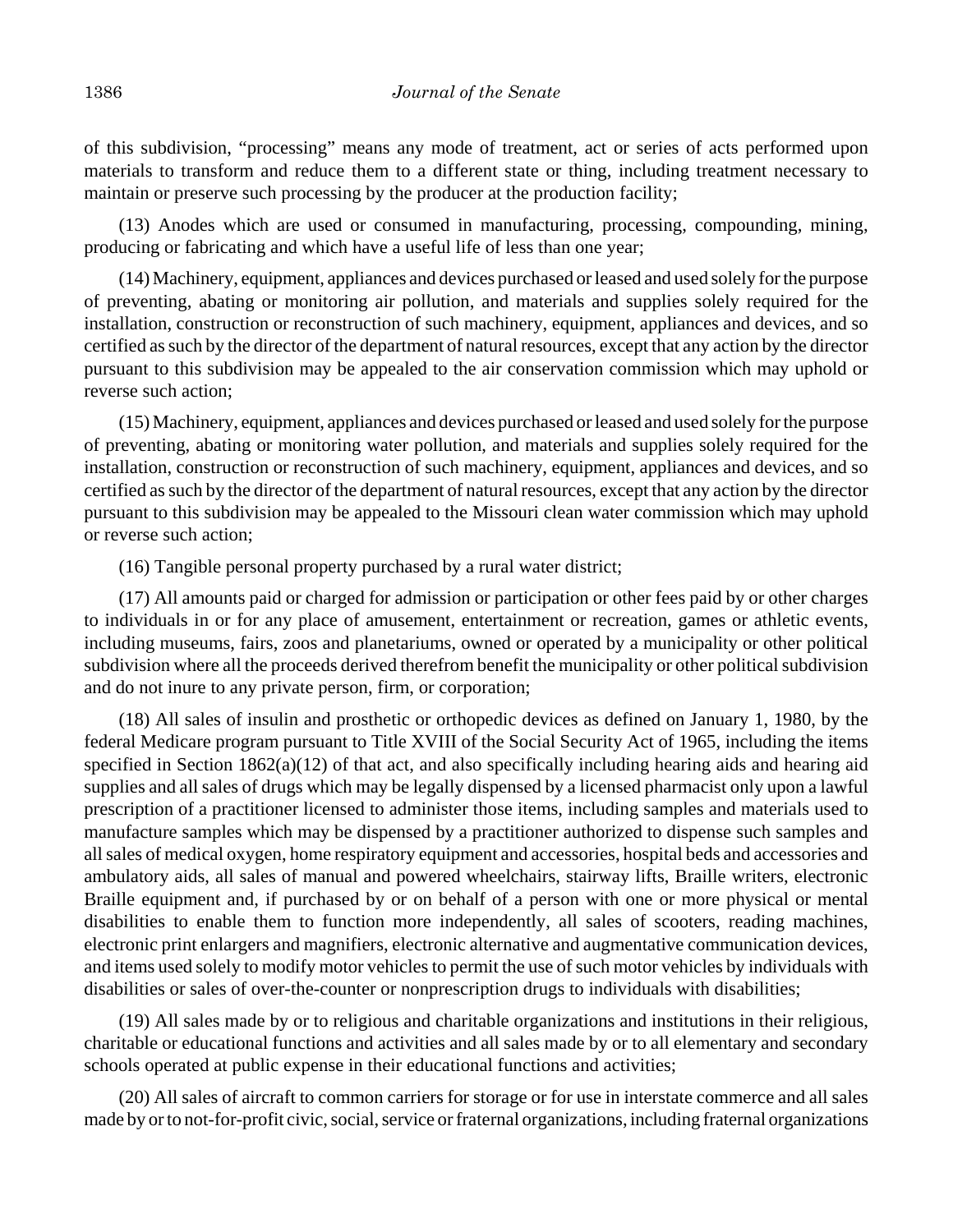of this subdivision, "processing" means any mode of treatment, act or series of acts performed upon materials to transform and reduce them to a different state or thing, including treatment necessary to maintain or preserve such processing by the producer at the production facility;

(13) Anodes which are used or consumed in manufacturing, processing, compounding, mining, producing or fabricating and which have a useful life of less than one year;

(14) Machinery, equipment, appliances and devices purchased or leased and used solely for the purpose of preventing, abating or monitoring air pollution, and materials and supplies solely required for the installation, construction or reconstruction of such machinery, equipment, appliances and devices, and so certified as such by the director of the department of natural resources, except that any action by the director pursuant to this subdivision may be appealed to the air conservation commission which may uphold or reverse such action;

(15) Machinery, equipment, appliances and devices purchased or leased and used solely for the purpose of preventing, abating or monitoring water pollution, and materials and supplies solely required for the installation, construction or reconstruction of such machinery, equipment, appliances and devices, and so certified as such by the director of the department of natural resources, except that any action by the director pursuant to this subdivision may be appealed to the Missouri clean water commission which may uphold or reverse such action;

(16) Tangible personal property purchased by a rural water district;

(17) All amounts paid or charged for admission or participation or other fees paid by or other charges to individuals in or for any place of amusement, entertainment or recreation, games or athletic events, including museums, fairs, zoos and planetariums, owned or operated by a municipality or other political subdivision where all the proceeds derived therefrom benefit the municipality or other political subdivision and do not inure to any private person, firm, or corporation;

(18) All sales of insulin and prosthetic or orthopedic devices as defined on January 1, 1980, by the federal Medicare program pursuant to Title XVIII of the Social Security Act of 1965, including the items specified in Section 1862(a)(12) of that act, and also specifically including hearing aids and hearing aid supplies and all sales of drugs which may be legally dispensed by a licensed pharmacist only upon a lawful prescription of a practitioner licensed to administer those items, including samples and materials used to manufacture samples which may be dispensed by a practitioner authorized to dispense such samples and all sales of medical oxygen, home respiratory equipment and accessories, hospital beds and accessories and ambulatory aids, all sales of manual and powered wheelchairs, stairway lifts, Braille writers, electronic Braille equipment and, if purchased by or on behalf of a person with one or more physical or mental disabilities to enable them to function more independently, all sales of scooters, reading machines, electronic print enlargers and magnifiers, electronic alternative and augmentative communication devices, and items used solely to modify motor vehicles to permit the use of such motor vehicles by individuals with disabilities or sales of over-the-counter or nonprescription drugs to individuals with disabilities;

(19) All sales made by or to religious and charitable organizations and institutions in their religious, charitable or educational functions and activities and all sales made by or to all elementary and secondary schools operated at public expense in their educational functions and activities;

(20) All sales of aircraft to common carriers for storage or for use in interstate commerce and all sales made by or to not-for-profit civic, social, service or fraternal organizations, including fraternal organizations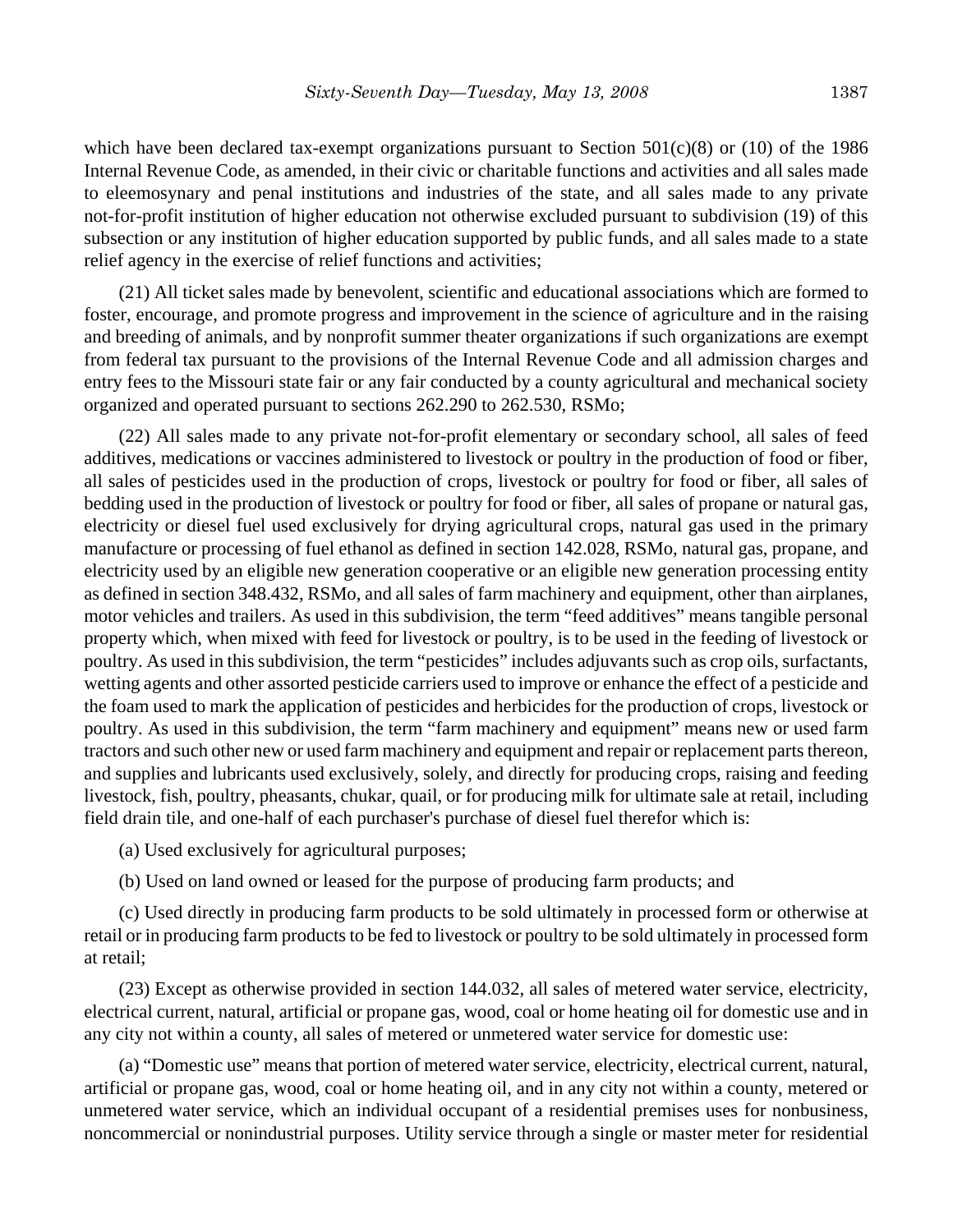which have been declared tax-exempt organizations pursuant to Section  $501(c)(8)$  or (10) of the 1986 Internal Revenue Code, as amended, in their civic or charitable functions and activities and all sales made to eleemosynary and penal institutions and industries of the state, and all sales made to any private not-for-profit institution of higher education not otherwise excluded pursuant to subdivision (19) of this subsection or any institution of higher education supported by public funds, and all sales made to a state relief agency in the exercise of relief functions and activities;

(21) All ticket sales made by benevolent, scientific and educational associations which are formed to foster, encourage, and promote progress and improvement in the science of agriculture and in the raising and breeding of animals, and by nonprofit summer theater organizations if such organizations are exempt from federal tax pursuant to the provisions of the Internal Revenue Code and all admission charges and entry fees to the Missouri state fair or any fair conducted by a county agricultural and mechanical society organized and operated pursuant to sections 262.290 to 262.530, RSMo;

(22) All sales made to any private not-for-profit elementary or secondary school, all sales of feed additives, medications or vaccines administered to livestock or poultry in the production of food or fiber, all sales of pesticides used in the production of crops, livestock or poultry for food or fiber, all sales of bedding used in the production of livestock or poultry for food or fiber, all sales of propane or natural gas, electricity or diesel fuel used exclusively for drying agricultural crops, natural gas used in the primary manufacture or processing of fuel ethanol as defined in section 142.028, RSMo, natural gas, propane, and electricity used by an eligible new generation cooperative or an eligible new generation processing entity as defined in section 348.432, RSMo, and all sales of farm machinery and equipment, other than airplanes, motor vehicles and trailers. As used in this subdivision, the term "feed additives" means tangible personal property which, when mixed with feed for livestock or poultry, is to be used in the feeding of livestock or poultry. As used in this subdivision, the term "pesticides" includes adjuvants such as crop oils, surfactants, wetting agents and other assorted pesticide carriers used to improve or enhance the effect of a pesticide and the foam used to mark the application of pesticides and herbicides for the production of crops, livestock or poultry. As used in this subdivision, the term "farm machinery and equipment" means new or used farm tractors and such other new or used farm machinery and equipment and repair or replacement parts thereon, and supplies and lubricants used exclusively, solely, and directly for producing crops, raising and feeding livestock, fish, poultry, pheasants, chukar, quail, or for producing milk for ultimate sale at retail, including field drain tile, and one-half of each purchaser's purchase of diesel fuel therefor which is:

(a) Used exclusively for agricultural purposes;

(b) Used on land owned or leased for the purpose of producing farm products; and

(c) Used directly in producing farm products to be sold ultimately in processed form or otherwise at retail or in producing farm products to be fed to livestock or poultry to be sold ultimately in processed form at retail;

(23) Except as otherwise provided in section 144.032, all sales of metered water service, electricity, electrical current, natural, artificial or propane gas, wood, coal or home heating oil for domestic use and in any city not within a county, all sales of metered or unmetered water service for domestic use:

(a) "Domestic use" means that portion of metered water service, electricity, electrical current, natural, artificial or propane gas, wood, coal or home heating oil, and in any city not within a county, metered or unmetered water service, which an individual occupant of a residential premises uses for nonbusiness, noncommercial or nonindustrial purposes. Utility service through a single or master meter for residential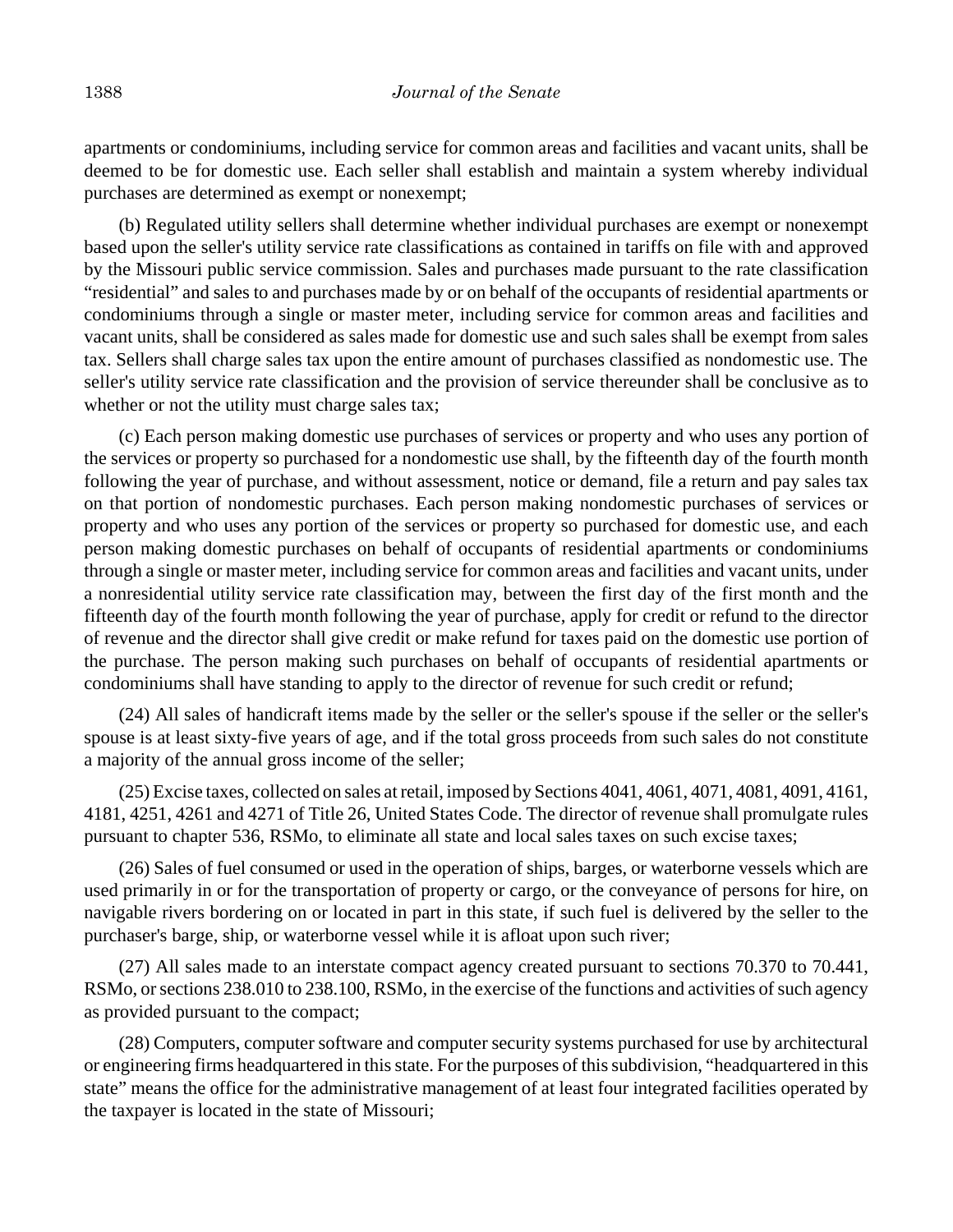apartments or condominiums, including service for common areas and facilities and vacant units, shall be deemed to be for domestic use. Each seller shall establish and maintain a system whereby individual purchases are determined as exempt or nonexempt;

(b) Regulated utility sellers shall determine whether individual purchases are exempt or nonexempt based upon the seller's utility service rate classifications as contained in tariffs on file with and approved by the Missouri public service commission. Sales and purchases made pursuant to the rate classification "residential" and sales to and purchases made by or on behalf of the occupants of residential apartments or condominiums through a single or master meter, including service for common areas and facilities and vacant units, shall be considered as sales made for domestic use and such sales shall be exempt from sales tax. Sellers shall charge sales tax upon the entire amount of purchases classified as nondomestic use. The seller's utility service rate classification and the provision of service thereunder shall be conclusive as to whether or not the utility must charge sales tax;

(c) Each person making domestic use purchases of services or property and who uses any portion of the services or property so purchased for a nondomestic use shall, by the fifteenth day of the fourth month following the year of purchase, and without assessment, notice or demand, file a return and pay sales tax on that portion of nondomestic purchases. Each person making nondomestic purchases of services or property and who uses any portion of the services or property so purchased for domestic use, and each person making domestic purchases on behalf of occupants of residential apartments or condominiums through a single or master meter, including service for common areas and facilities and vacant units, under a nonresidential utility service rate classification may, between the first day of the first month and the fifteenth day of the fourth month following the year of purchase, apply for credit or refund to the director of revenue and the director shall give credit or make refund for taxes paid on the domestic use portion of the purchase. The person making such purchases on behalf of occupants of residential apartments or condominiums shall have standing to apply to the director of revenue for such credit or refund;

(24) All sales of handicraft items made by the seller or the seller's spouse if the seller or the seller's spouse is at least sixty-five years of age, and if the total gross proceeds from such sales do not constitute a majority of the annual gross income of the seller;

(25) Excise taxes, collected on sales at retail, imposed by Sections 4041, 4061, 4071, 4081, 4091, 4161, 4181, 4251, 4261 and 4271 of Title 26, United States Code. The director of revenue shall promulgate rules pursuant to chapter 536, RSMo, to eliminate all state and local sales taxes on such excise taxes;

(26) Sales of fuel consumed or used in the operation of ships, barges, or waterborne vessels which are used primarily in or for the transportation of property or cargo, or the conveyance of persons for hire, on navigable rivers bordering on or located in part in this state, if such fuel is delivered by the seller to the purchaser's barge, ship, or waterborne vessel while it is afloat upon such river;

(27) All sales made to an interstate compact agency created pursuant to sections 70.370 to 70.441, RSMo, or sections 238.010 to 238.100, RSMo, in the exercise of the functions and activities of such agency as provided pursuant to the compact;

(28) Computers, computer software and computer security systems purchased for use by architectural or engineering firms headquartered in this state. For the purposes of this subdivision, "headquartered in this state" means the office for the administrative management of at least four integrated facilities operated by the taxpayer is located in the state of Missouri;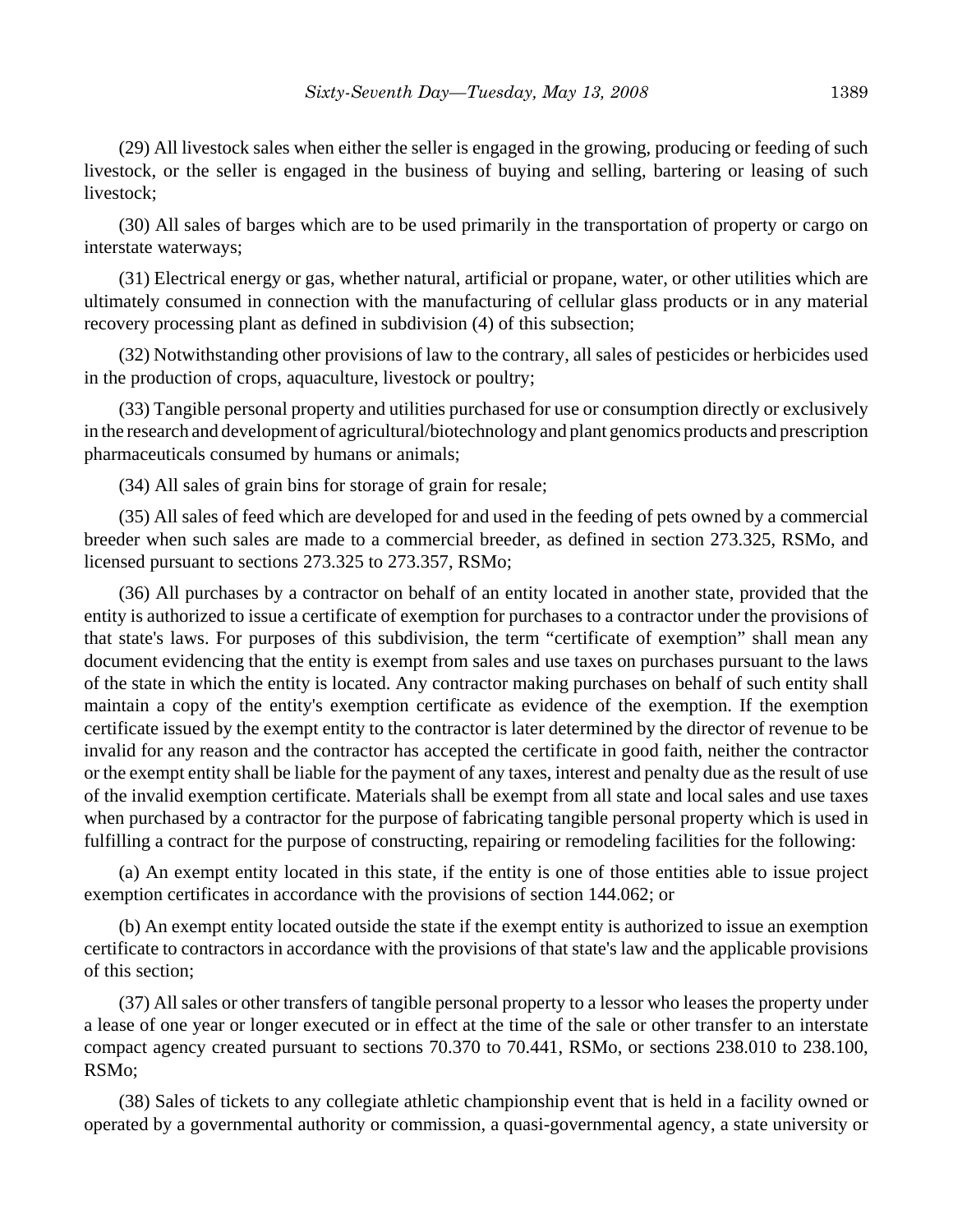(29) All livestock sales when either the seller is engaged in the growing, producing or feeding of such livestock, or the seller is engaged in the business of buying and selling, bartering or leasing of such livestock;

(30) All sales of barges which are to be used primarily in the transportation of property or cargo on interstate waterways;

(31) Electrical energy or gas, whether natural, artificial or propane, water, or other utilities which are ultimately consumed in connection with the manufacturing of cellular glass products or in any material recovery processing plant as defined in subdivision (4) of this subsection;

(32) Notwithstanding other provisions of law to the contrary, all sales of pesticides or herbicides used in the production of crops, aquaculture, livestock or poultry;

(33) Tangible personal property and utilities purchased for use or consumption directly or exclusively in the research and development of agricultural/biotechnology and plant genomics products and prescription pharmaceuticals consumed by humans or animals;

(34) All sales of grain bins for storage of grain for resale;

(35) All sales of feed which are developed for and used in the feeding of pets owned by a commercial breeder when such sales are made to a commercial breeder, as defined in section 273.325, RSMo, and licensed pursuant to sections 273.325 to 273.357, RSMo;

(36) All purchases by a contractor on behalf of an entity located in another state, provided that the entity is authorized to issue a certificate of exemption for purchases to a contractor under the provisions of that state's laws. For purposes of this subdivision, the term "certificate of exemption" shall mean any document evidencing that the entity is exempt from sales and use taxes on purchases pursuant to the laws of the state in which the entity is located. Any contractor making purchases on behalf of such entity shall maintain a copy of the entity's exemption certificate as evidence of the exemption. If the exemption certificate issued by the exempt entity to the contractor is later determined by the director of revenue to be invalid for any reason and the contractor has accepted the certificate in good faith, neither the contractor or the exempt entity shall be liable for the payment of any taxes, interest and penalty due as the result of use of the invalid exemption certificate. Materials shall be exempt from all state and local sales and use taxes when purchased by a contractor for the purpose of fabricating tangible personal property which is used in fulfilling a contract for the purpose of constructing, repairing or remodeling facilities for the following:

(a) An exempt entity located in this state, if the entity is one of those entities able to issue project exemption certificates in accordance with the provisions of section 144.062; or

(b) An exempt entity located outside the state if the exempt entity is authorized to issue an exemption certificate to contractors in accordance with the provisions of that state's law and the applicable provisions of this section;

(37) All sales or other transfers of tangible personal property to a lessor who leases the property under a lease of one year or longer executed or in effect at the time of the sale or other transfer to an interstate compact agency created pursuant to sections 70.370 to 70.441, RSMo, or sections 238.010 to 238.100, RSMo;

(38) Sales of tickets to any collegiate athletic championship event that is held in a facility owned or operated by a governmental authority or commission, a quasi-governmental agency, a state university or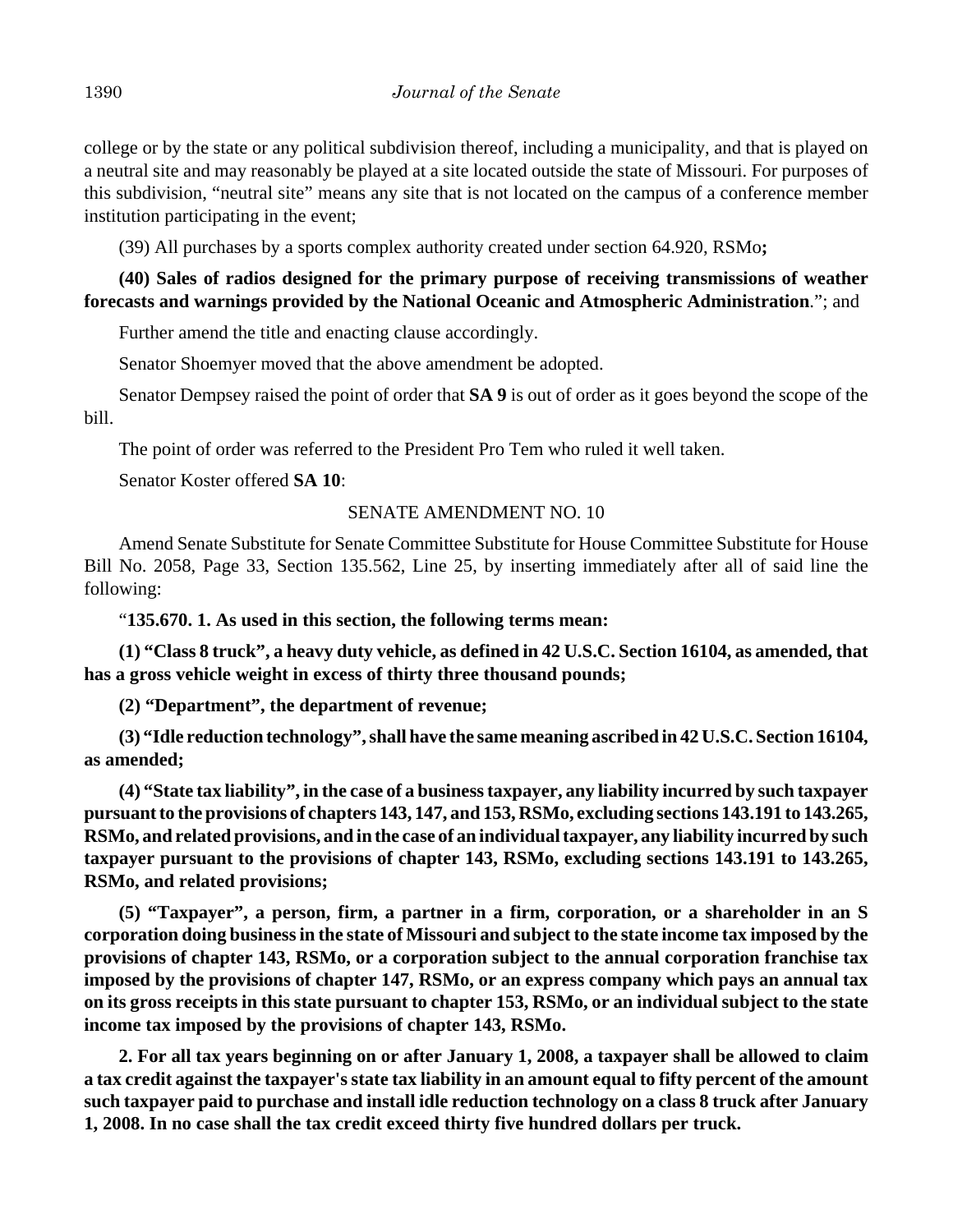college or by the state or any political subdivision thereof, including a municipality, and that is played on a neutral site and may reasonably be played at a site located outside the state of Missouri. For purposes of this subdivision, "neutral site" means any site that is not located on the campus of a conference member institution participating in the event;

(39) All purchases by a sports complex authority created under section 64.920, RSMo**;**

**(40) Sales of radios designed for the primary purpose of receiving transmissions of weather forecasts and warnings provided by the National Oceanic and Atmospheric Administration**."; and

Further amend the title and enacting clause accordingly.

Senator Shoemyer moved that the above amendment be adopted.

Senator Dempsey raised the point of order that **SA 9** is out of order as it goes beyond the scope of the bill.

The point of order was referred to the President Pro Tem who ruled it well taken.

Senator Koster offered **SA 10**:

# SENATE AMENDMENT NO. 10

Amend Senate Substitute for Senate Committee Substitute for House Committee Substitute for House Bill No. 2058, Page 33, Section 135.562, Line 25, by inserting immediately after all of said line the following:

"**135.670. 1. As used in this section, the following terms mean:**

**(1) "Class 8 truck", a heavy duty vehicle, as defined in 42 U.S.C. Section 16104, as amended, that has a gross vehicle weight in excess of thirty three thousand pounds;**

**(2) "Department", the department of revenue;**

**(3) "Idle reduction technology", shall have the same meaning ascribed in 42 U.S.C. Section 16104, as amended;**

**(4) "State tax liability", in the case of a business taxpayer, any liability incurred by such taxpayer pursuant to the provisions of chapters 143, 147, and 153, RSMo, excluding sections 143.191 to 143.265, RSMo, and related provisions, and in the case of an individual taxpayer, any liability incurred by such taxpayer pursuant to the provisions of chapter 143, RSMo, excluding sections 143.191 to 143.265, RSMo, and related provisions;**

**(5) "Taxpayer", a person, firm, a partner in a firm, corporation, or a shareholder in an S corporation doing business in the state of Missouri and subject to the state income tax imposed by the provisions of chapter 143, RSMo, or a corporation subject to the annual corporation franchise tax imposed by the provisions of chapter 147, RSMo, or an express company which pays an annual tax on its gross receipts in this state pursuant to chapter 153, RSMo, or an individual subject to the state income tax imposed by the provisions of chapter 143, RSMo.**

**2. For all tax years beginning on or after January 1, 2008, a taxpayer shall be allowed to claim a tax credit against the taxpayer's state tax liability in an amount equal to fifty percent of the amount such taxpayer paid to purchase and install idle reduction technology on a class 8 truck after January 1, 2008. In no case shall the tax credit exceed thirty five hundred dollars per truck.**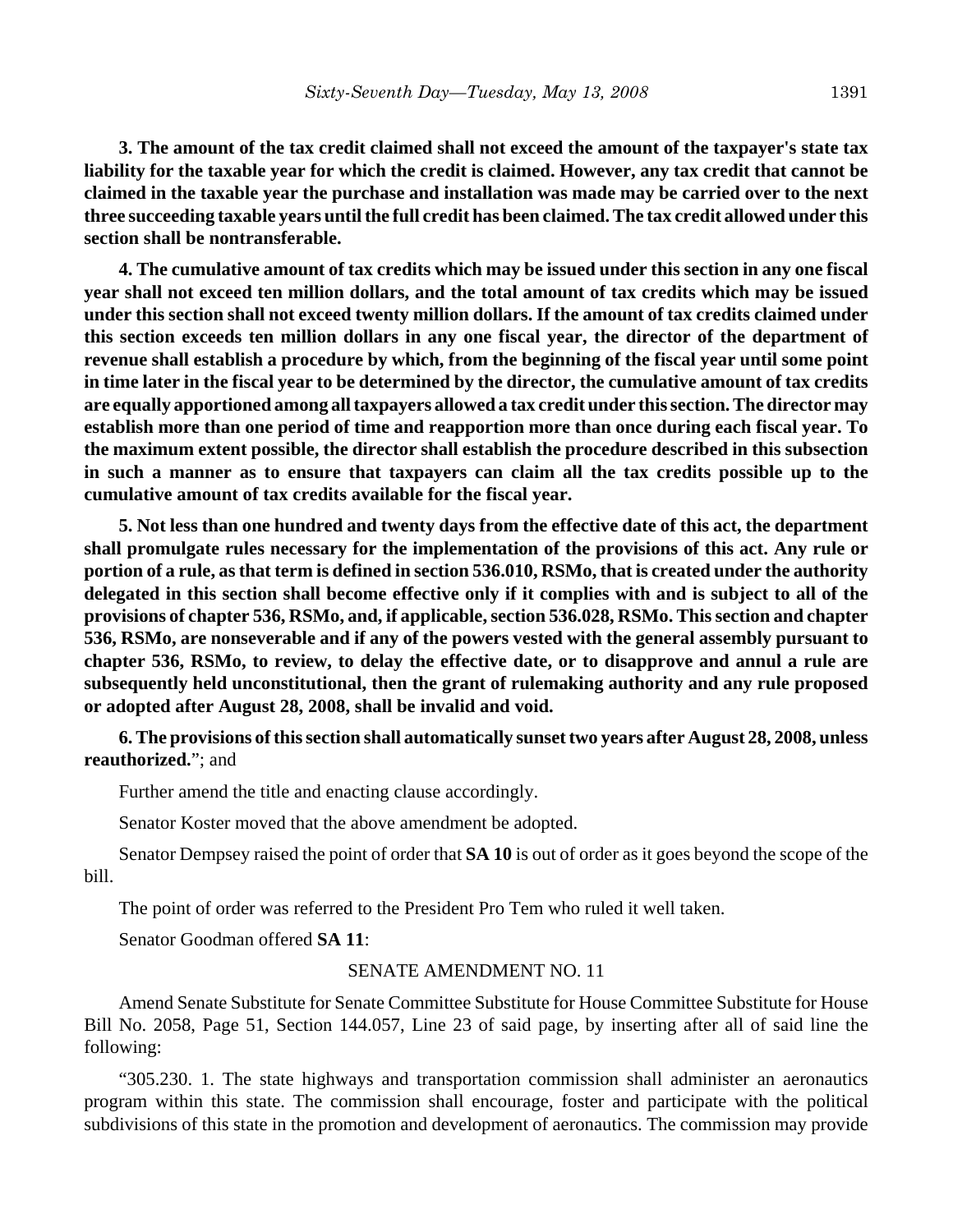**3. The amount of the tax credit claimed shall not exceed the amount of the taxpayer's state tax liability for the taxable year for which the credit is claimed. However, any tax credit that cannot be claimed in the taxable year the purchase and installation was made may be carried over to the next three succeeding taxable years until the full credit has been claimed. The tax credit allowed under this section shall be nontransferable.**

**4. The cumulative amount of tax credits which may be issued under this section in any one fiscal year shall not exceed ten million dollars, and the total amount of tax credits which may be issued under this section shall not exceed twenty million dollars. If the amount of tax credits claimed under this section exceeds ten million dollars in any one fiscal year, the director of the department of revenue shall establish a procedure by which, from the beginning of the fiscal year until some point in time later in the fiscal year to be determined by the director, the cumulative amount of tax credits are equally apportioned among all taxpayers allowed a tax credit under this section. The director may establish more than one period of time and reapportion more than once during each fiscal year. To the maximum extent possible, the director shall establish the procedure described in this subsection in such a manner as to ensure that taxpayers can claim all the tax credits possible up to the cumulative amount of tax credits available for the fiscal year.**

**5. Not less than one hundred and twenty days from the effective date of this act, the department shall promulgate rules necessary for the implementation of the provisions of this act. Any rule or portion of a rule, as that term is defined in section 536.010, RSMo, that is created under the authority delegated in this section shall become effective only if it complies with and is subject to all of the provisions of chapter 536, RSMo, and, if applicable, section 536.028, RSMo. This section and chapter 536, RSMo, are nonseverable and if any of the powers vested with the general assembly pursuant to chapter 536, RSMo, to review, to delay the effective date, or to disapprove and annul a rule are subsequently held unconstitutional, then the grant of rulemaking authority and any rule proposed or adopted after August 28, 2008, shall be invalid and void.**

**6. The provisions of this section shall automatically sunset two years after August 28, 2008, unless reauthorized.**"; and

Further amend the title and enacting clause accordingly.

Senator Koster moved that the above amendment be adopted.

Senator Dempsey raised the point of order that **SA 10** is out of order as it goes beyond the scope of the bill.

The point of order was referred to the President Pro Tem who ruled it well taken.

Senator Goodman offered **SA 11**:

### SENATE AMENDMENT NO. 11

Amend Senate Substitute for Senate Committee Substitute for House Committee Substitute for House Bill No. 2058, Page 51, Section 144.057, Line 23 of said page, by inserting after all of said line the following:

"305.230. 1. The state highways and transportation commission shall administer an aeronautics program within this state. The commission shall encourage, foster and participate with the political subdivisions of this state in the promotion and development of aeronautics. The commission may provide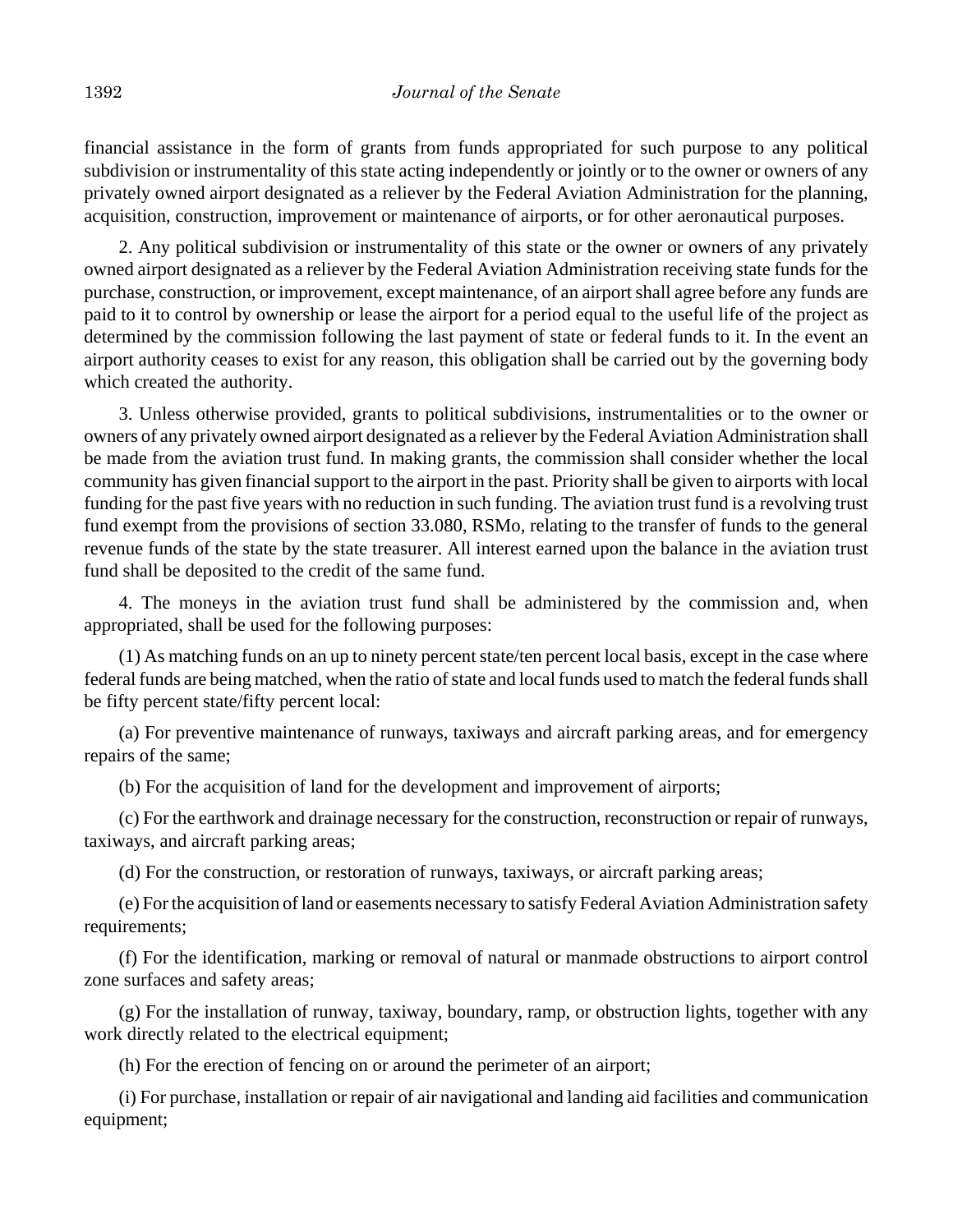financial assistance in the form of grants from funds appropriated for such purpose to any political subdivision or instrumentality of this state acting independently or jointly or to the owner or owners of any privately owned airport designated as a reliever by the Federal Aviation Administration for the planning, acquisition, construction, improvement or maintenance of airports, or for other aeronautical purposes.

2. Any political subdivision or instrumentality of this state or the owner or owners of any privately owned airport designated as a reliever by the Federal Aviation Administration receiving state funds for the purchase, construction, or improvement, except maintenance, of an airport shall agree before any funds are paid to it to control by ownership or lease the airport for a period equal to the useful life of the project as determined by the commission following the last payment of state or federal funds to it. In the event an airport authority ceases to exist for any reason, this obligation shall be carried out by the governing body which created the authority.

3. Unless otherwise provided, grants to political subdivisions, instrumentalities or to the owner or owners of any privately owned airport designated as a reliever by the Federal Aviation Administration shall be made from the aviation trust fund. In making grants, the commission shall consider whether the local community has given financial support to the airport in the past. Priority shall be given to airports with local funding for the past five years with no reduction in such funding. The aviation trust fund is a revolving trust fund exempt from the provisions of section 33.080, RSMo, relating to the transfer of funds to the general revenue funds of the state by the state treasurer. All interest earned upon the balance in the aviation trust fund shall be deposited to the credit of the same fund.

4. The moneys in the aviation trust fund shall be administered by the commission and, when appropriated, shall be used for the following purposes:

(1) As matching funds on an up to ninety percent state/ten percent local basis, except in the case where federal funds are being matched, when the ratio of state and local funds used to match the federal funds shall be fifty percent state/fifty percent local:

(a) For preventive maintenance of runways, taxiways and aircraft parking areas, and for emergency repairs of the same;

(b) For the acquisition of land for the development and improvement of airports;

(c) For the earthwork and drainage necessary for the construction, reconstruction or repair of runways, taxiways, and aircraft parking areas;

(d) For the construction, or restoration of runways, taxiways, or aircraft parking areas;

(e) For the acquisition of land or easements necessary to satisfy Federal Aviation Administration safety requirements;

(f) For the identification, marking or removal of natural or manmade obstructions to airport control zone surfaces and safety areas;

(g) For the installation of runway, taxiway, boundary, ramp, or obstruction lights, together with any work directly related to the electrical equipment;

(h) For the erection of fencing on or around the perimeter of an airport;

(i) For purchase, installation or repair of air navigational and landing aid facilities and communication equipment;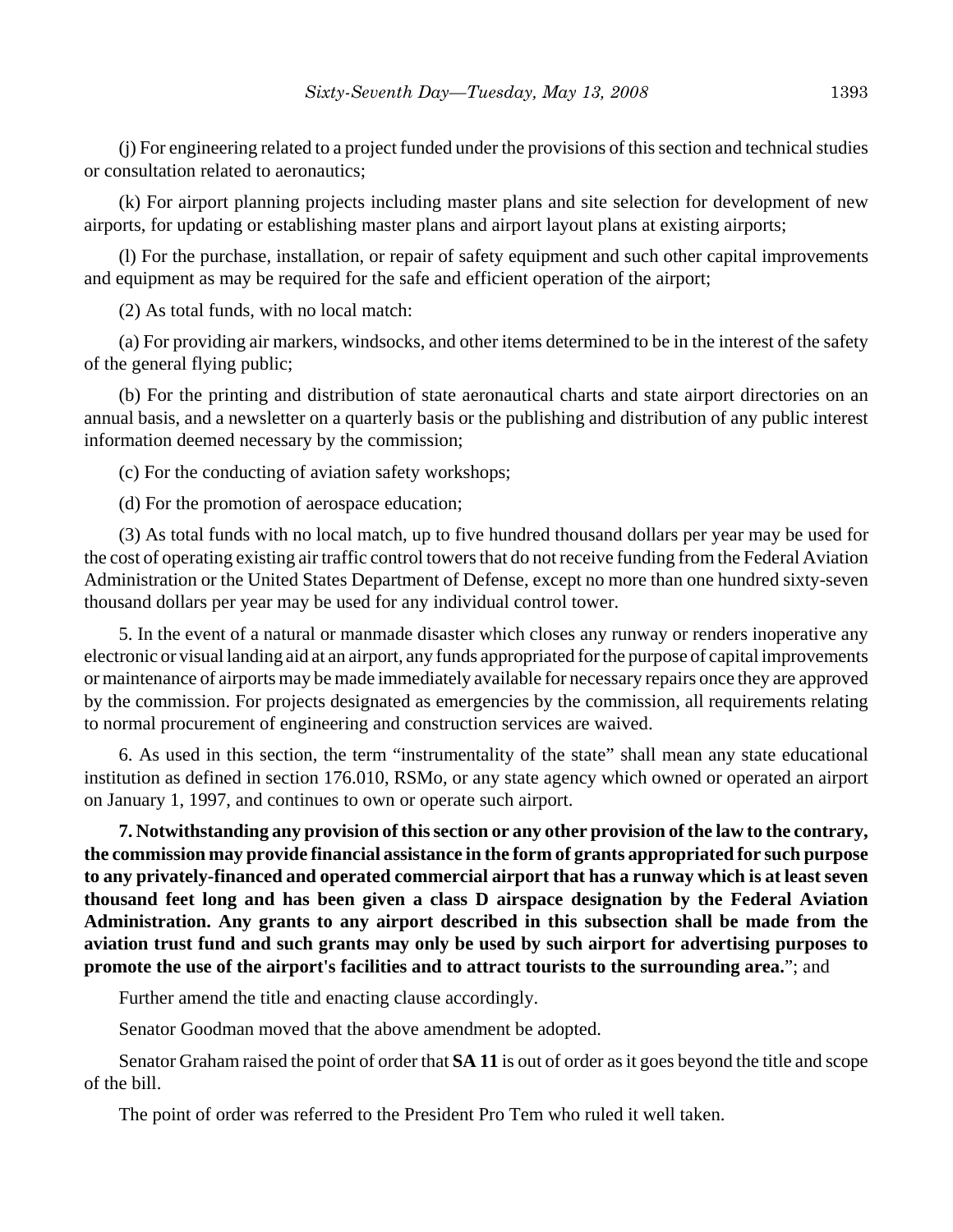(j) For engineering related to a project funded under the provisions of this section and technical studies or consultation related to aeronautics;

(k) For airport planning projects including master plans and site selection for development of new airports, for updating or establishing master plans and airport layout plans at existing airports;

(l) For the purchase, installation, or repair of safety equipment and such other capital improvements and equipment as may be required for the safe and efficient operation of the airport;

(2) As total funds, with no local match:

(a) For providing air markers, windsocks, and other items determined to be in the interest of the safety of the general flying public;

(b) For the printing and distribution of state aeronautical charts and state airport directories on an annual basis, and a newsletter on a quarterly basis or the publishing and distribution of any public interest information deemed necessary by the commission;

(c) For the conducting of aviation safety workshops;

(d) For the promotion of aerospace education;

(3) As total funds with no local match, up to five hundred thousand dollars per year may be used for the cost of operating existing air traffic control towers that do not receive funding from the Federal Aviation Administration or the United States Department of Defense, except no more than one hundred sixty-seven thousand dollars per year may be used for any individual control tower.

5. In the event of a natural or manmade disaster which closes any runway or renders inoperative any electronic or visual landing aid at an airport, any funds appropriated for the purpose of capital improvements or maintenance of airports may be made immediately available for necessary repairs once they are approved by the commission. For projects designated as emergencies by the commission, all requirements relating to normal procurement of engineering and construction services are waived.

6. As used in this section, the term "instrumentality of the state" shall mean any state educational institution as defined in section 176.010, RSMo, or any state agency which owned or operated an airport on January 1, 1997, and continues to own or operate such airport.

**7. Notwithstanding any provision of this section or any other provision of the law to the contrary, the commission may provide financial assistance in the form of grants appropriated for such purpose to any privately-financed and operated commercial airport that has a runway which is at least seven thousand feet long and has been given a class D airspace designation by the Federal Aviation Administration. Any grants to any airport described in this subsection shall be made from the aviation trust fund and such grants may only be used by such airport for advertising purposes to promote the use of the airport's facilities and to attract tourists to the surrounding area.**"; and

Further amend the title and enacting clause accordingly.

Senator Goodman moved that the above amendment be adopted.

Senator Graham raised the point of order that **SA 11** is out of order as it goes beyond the title and scope of the bill.

The point of order was referred to the President Pro Tem who ruled it well taken.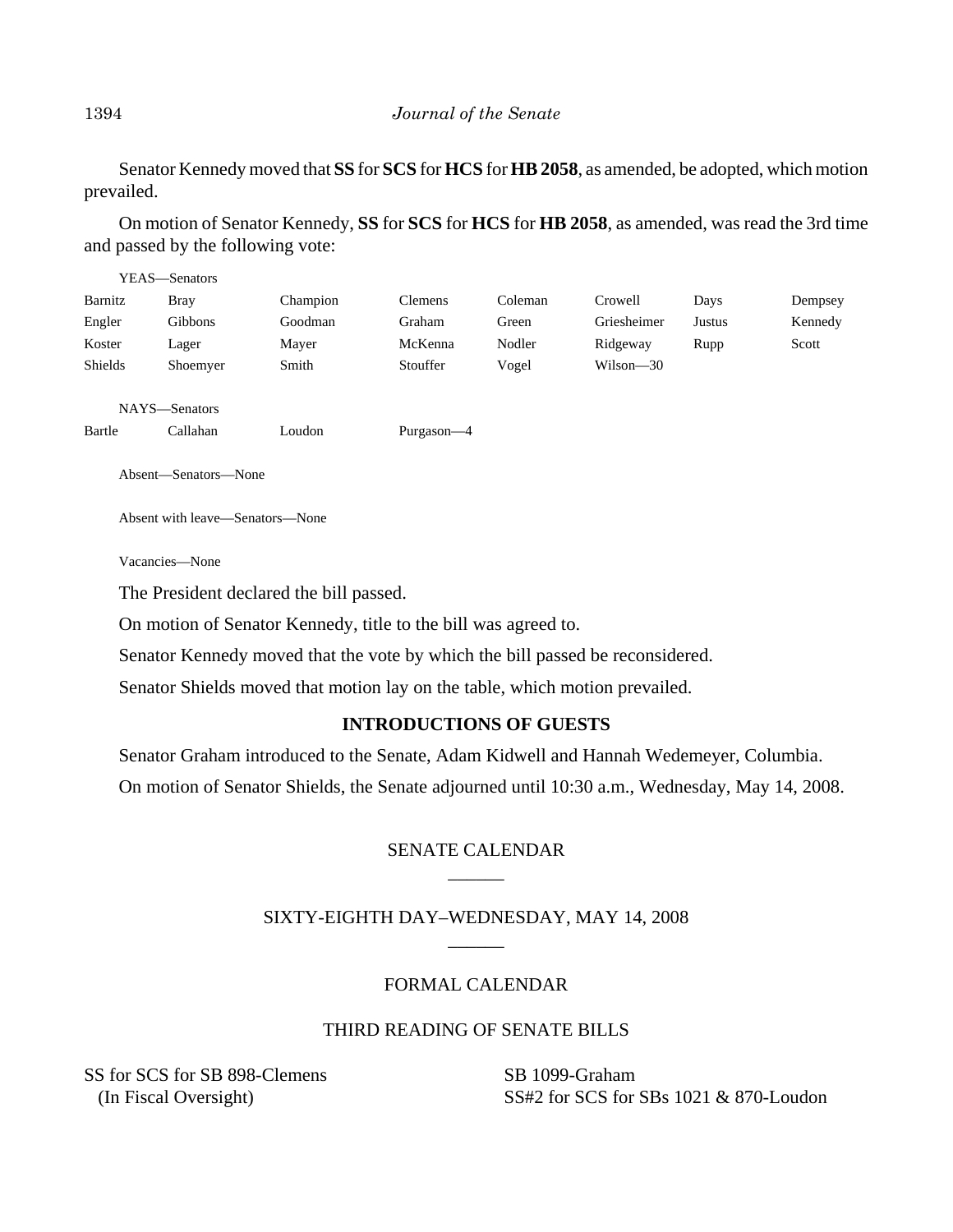Senator Kennedy moved that **SS** for **SCS** for **HCS** for **HB 2058**, as amended, be adopted, which motion prevailed.

On motion of Senator Kennedy, **SS** for **SCS** for **HCS** for **HB 2058**, as amended, was read the 3rd time and passed by the following vote:

|                                 | YEAS—Senators |          |                |         |             |               |         |
|---------------------------------|---------------|----------|----------------|---------|-------------|---------------|---------|
| Barnitz                         | <b>Bray</b>   | Champion | <b>Clemens</b> | Coleman | Crowell     | Days          | Dempsey |
| Engler                          | Gibbons       | Goodman  | Graham         | Green   | Griesheimer | <b>Justus</b> | Kennedy |
| Koster                          | Lager         | Mayer    | McKenna        | Nodler  | Ridgeway    | Rupp          | Scott   |
| Shields                         | Shoemyer      | Smith    | Stouffer       | Vogel   | Wilson-30   |               |         |
|                                 | NAYS-Senators |          |                |         |             |               |         |
| Bartle                          | Callahan      | Loudon   | Purgason-4     |         |             |               |         |
| Absent—Senators—None            |               |          |                |         |             |               |         |
| Absent with leave—Senators—None |               |          |                |         |             |               |         |
| Vacancies—None                  |               |          |                |         |             |               |         |

The President declared the bill passed.

On motion of Senator Kennedy, title to the bill was agreed to.

Senator Kennedy moved that the vote by which the bill passed be reconsidered.

Senator Shields moved that motion lay on the table, which motion prevailed.

## **INTRODUCTIONS OF GUESTS**

Senator Graham introduced to the Senate, Adam Kidwell and Hannah Wedemeyer, Columbia.

On motion of Senator Shields, the Senate adjourned until 10:30 a.m., Wednesday, May 14, 2008.

## SENATE CALENDAR \_\_\_\_\_\_

## SIXTY-EIGHTH DAY–WEDNESDAY, MAY 14, 2008 \_\_\_\_\_\_

# FORMAL CALENDAR

## THIRD READING OF SENATE BILLS

SS for SCS for SB 898-Clemens (In Fiscal Oversight)

SB 1099-Graham SS#2 for SCS for SBs 1021 & 870-Loudon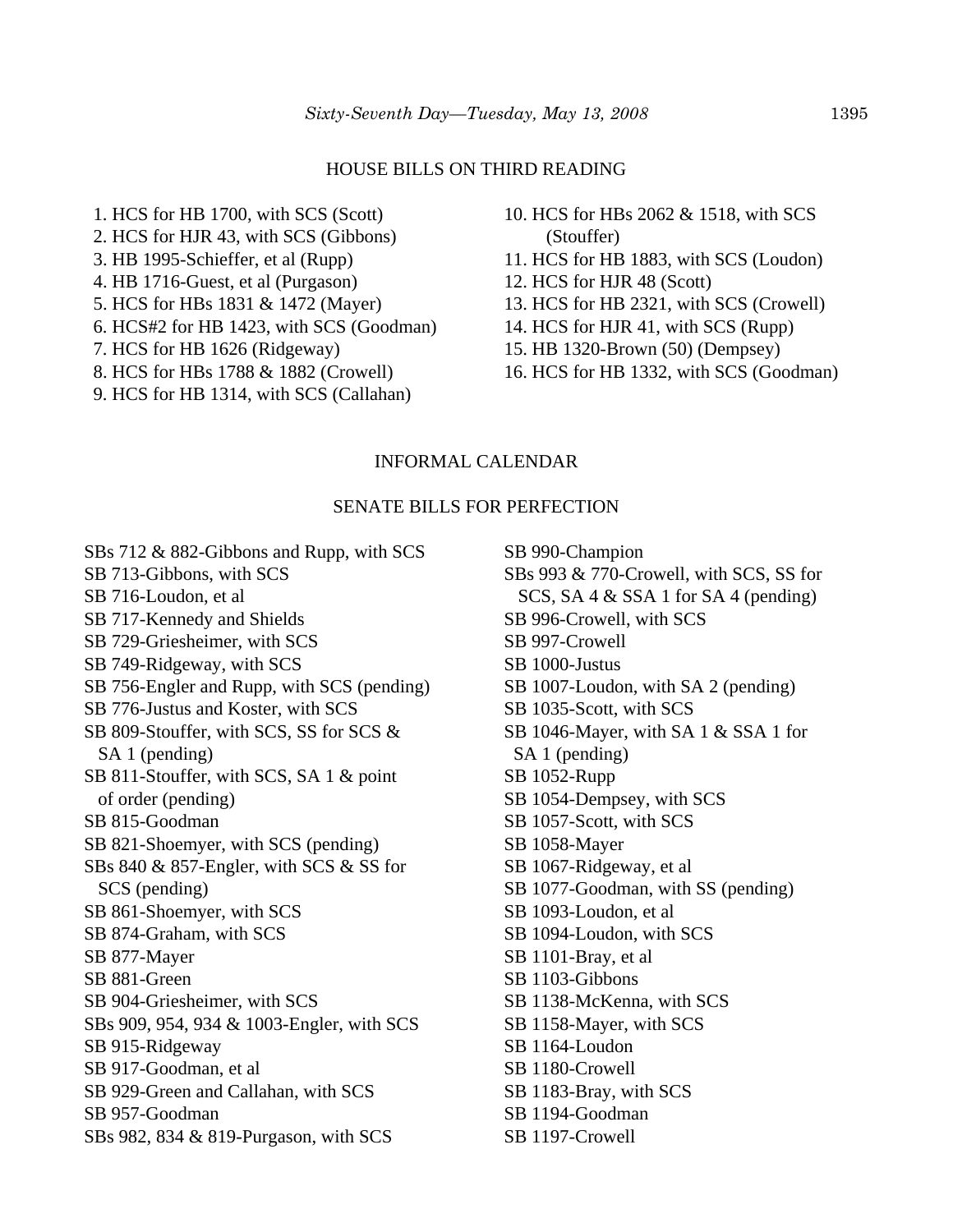#### HOUSE BILLS ON THIRD READING

- 1. HCS for HB 1700, with SCS (Scott) 2. HCS for HJR 43, with SCS (Gibbons) 3. HB 1995-Schieffer, et al (Rupp) 4. HB 1716-Guest, et al (Purgason) 5. HCS for HBs 1831 & 1472 (Mayer) 6. HCS#2 for HB 1423, with SCS (Goodman) 7. HCS for HB 1626 (Ridgeway) 8. HCS for HBs 1788 & 1882 (Crowell)
- 9. HCS for HB 1314, with SCS (Callahan)
- 10. HCS for HBs 2062 & 1518, with SCS (Stouffer)
- 11. HCS for HB 1883, with SCS (Loudon)
- 12. HCS for HJR 48 (Scott)
- 13. HCS for HB 2321, with SCS (Crowell)
- 14. HCS for HJR 41, with SCS (Rupp)
- 15. HB 1320-Brown (50) (Dempsey)
- 16. HCS for HB 1332, with SCS (Goodman)

## INFORMAL CALENDAR

### SENATE BILLS FOR PERFECTION

SBs 712 & 882-Gibbons and Rupp, with SCS SB 713-Gibbons, with SCS SB 716-Loudon, et al SB 717-Kennedy and Shields SB 729-Griesheimer, with SCS SB 749-Ridgeway, with SCS SB 756-Engler and Rupp, with SCS (pending) SB 776-Justus and Koster, with SCS SB 809-Stouffer, with SCS, SS for SCS & SA 1 (pending) SB 811-Stouffer, with SCS, SA 1 & point of order (pending) SB 815-Goodman SB 821-Shoemyer, with SCS (pending) SBs 840 & 857-Engler, with SCS & SS for SCS (pending) SB 861-Shoemyer, with SCS SB 874-Graham, with SCS SB 877-Mayer SB 881-Green SB 904-Griesheimer, with SCS SBs 909, 954, 934 & 1003-Engler, with SCS SB 915-Ridgeway SB 917-Goodman, et al SB 929-Green and Callahan, with SCS SB 957-Goodman SBs 982, 834 & 819-Purgason, with SCS

SB 990-Champion SBs 993 & 770-Crowell, with SCS, SS for SCS, SA 4 & SSA 1 for SA 4 (pending) SB 996-Crowell, with SCS SB 997-Crowell SB 1000-Justus SB 1007-Loudon, with SA 2 (pending) SB 1035-Scott, with SCS SB 1046-Mayer, with SA 1 & SSA 1 for SA 1 (pending) SB 1052-Rupp SB 1054-Dempsey, with SCS SB 1057-Scott, with SCS SB 1058-Mayer SB 1067-Ridgeway, et al SB 1077-Goodman, with SS (pending) SB 1093-Loudon, et al SB 1094-Loudon, with SCS SB 1101-Bray, et al SB 1103-Gibbons SB 1138-McKenna, with SCS SB 1158-Mayer, with SCS SB 1164-Loudon SB 1180-Crowell SB 1183-Bray, with SCS SB 1194-Goodman SB 1197-Crowell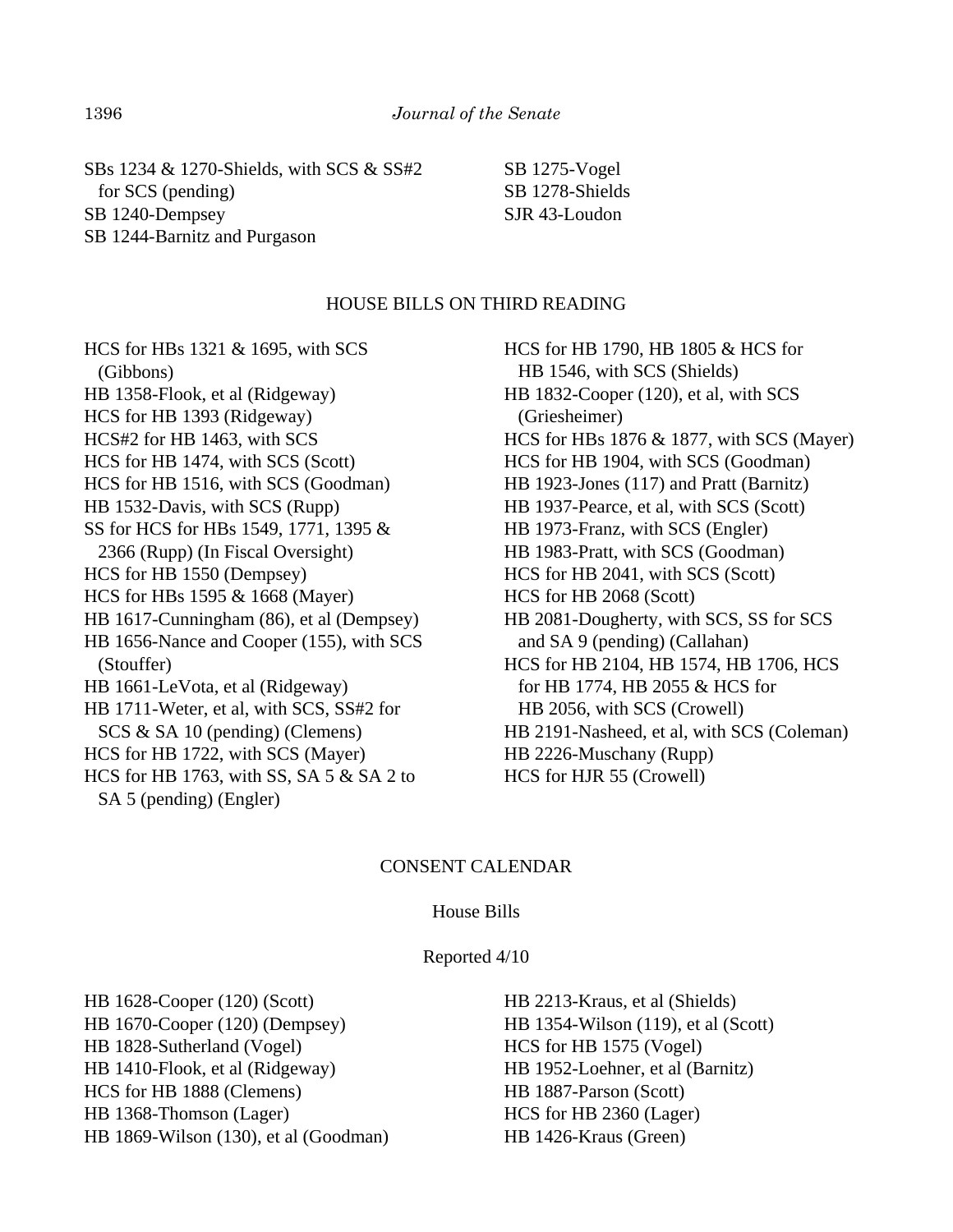SBs 1234 & 1270-Shields, with SCS & SS#2 for SCS (pending) SB 1240-Dempsey SB 1244-Barnitz and Purgason

SB 1275-Vogel SB 1278-Shields SJR 43-Loudon

### HOUSE BILLS ON THIRD READING

HCS for HBs 1321 & 1695, with SCS (Gibbons) HB 1358-Flook, et al (Ridgeway) HCS for HB 1393 (Ridgeway) HCS#2 for HB 1463, with SCS HCS for HB 1474, with SCS (Scott) HCS for HB 1516, with SCS (Goodman) HB 1532-Davis, with SCS (Rupp) SS for HCS for HBs 1549, 1771, 1395 & 2366 (Rupp) (In Fiscal Oversight) HCS for HB 1550 (Dempsey) HCS for HBs 1595 & 1668 (Mayer) HB 1617-Cunningham (86), et al (Dempsey) HB 1656-Nance and Cooper (155), with SCS (Stouffer) HB 1661-LeVota, et al (Ridgeway) HB 1711-Weter, et al, with SCS, SS#2 for SCS & SA 10 (pending) (Clemens) HCS for HB 1722, with SCS (Mayer) HCS for HB 1763, with SS, SA 5 & SA 2 to SA 5 (pending) (Engler)

HCS for HB 1790, HB 1805 & HCS for HB 1546, with SCS (Shields) HB 1832-Cooper (120), et al, with SCS (Griesheimer) HCS for HBs 1876 & 1877, with SCS (Mayer) HCS for HB 1904, with SCS (Goodman) HB 1923-Jones (117) and Pratt (Barnitz) HB 1937-Pearce, et al, with SCS (Scott) HB 1973-Franz, with SCS (Engler) HB 1983-Pratt, with SCS (Goodman) HCS for HB 2041, with SCS (Scott) HCS for HB 2068 (Scott) HB 2081-Dougherty, with SCS, SS for SCS and SA 9 (pending) (Callahan) HCS for HB 2104, HB 1574, HB 1706, HCS for HB 1774, HB 2055 & HCS for HB 2056, with SCS (Crowell) HB 2191-Nasheed, et al, with SCS (Coleman) HB 2226-Muschany (Rupp) HCS for HJR 55 (Crowell)

### CONSENT CALENDAR

#### House Bills

#### Reported 4/10

HB 1628-Cooper (120) (Scott) HB 1670-Cooper (120) (Dempsey) HB 1828-Sutherland (Vogel) HB 1410-Flook, et al (Ridgeway) HCS for HB 1888 (Clemens) HB 1368-Thomson (Lager) HB 1869-Wilson (130), et al (Goodman)

HB 2213-Kraus, et al (Shields) HB 1354-Wilson (119), et al (Scott) HCS for HB 1575 (Vogel) HB 1952-Loehner, et al (Barnitz) HB 1887-Parson (Scott) HCS for HB 2360 (Lager) HB 1426-Kraus (Green)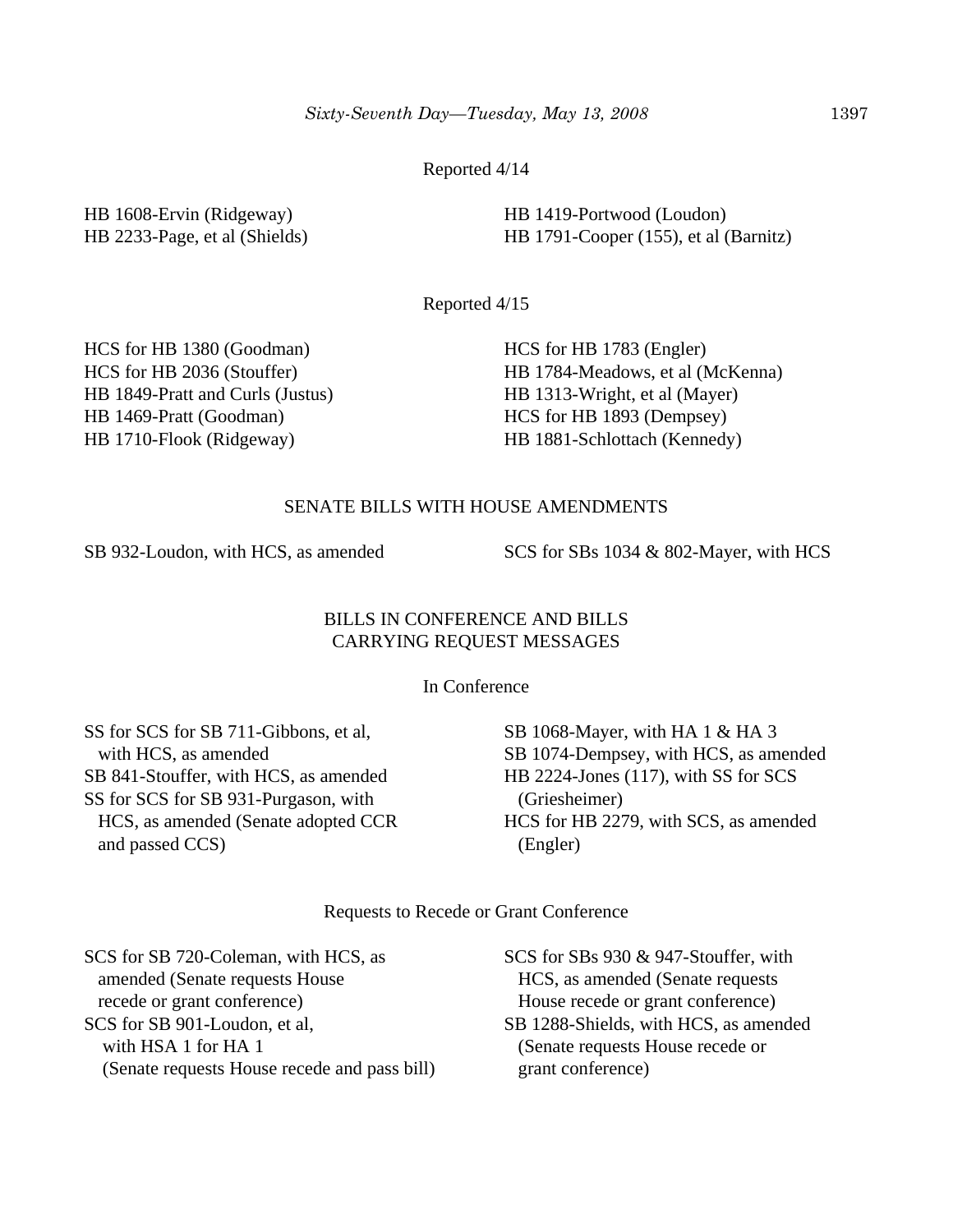Reported 4/14

HB 1608-Ervin (Ridgeway) HB 2233-Page, et al (Shields) HB 1419-Portwood (Loudon) HB 1791-Cooper (155), et al (Barnitz)

Reported 4/15

HCS for HB 1380 (Goodman) HCS for HB 2036 (Stouffer) HB 1849-Pratt and Curls (Justus) HB 1469-Pratt (Goodman) HB 1710-Flook (Ridgeway)

HCS for HB 1783 (Engler) HB 1784-Meadows, et al (McKenna) HB 1313-Wright, et al (Mayer) HCS for HB 1893 (Dempsey) HB 1881-Schlottach (Kennedy)

### SENATE BILLS WITH HOUSE AMENDMENTS

SB 932-Loudon, with HCS, as amended SCS for SBs 1034 & 802-Mayer, with HCS

## BILLS IN CONFERENCE AND BILLS CARRYING REQUEST MESSAGES

In Conference

SS for SCS for SB 711-Gibbons, et al, with HCS, as amended SB 841-Stouffer, with HCS, as amended SS for SCS for SB 931-Purgason, with HCS, as amended (Senate adopted CCR and passed CCS)

SB 1068-Mayer, with HA 1 & HA 3 SB 1074-Dempsey, with HCS, as amended HB 2224-Jones (117), with SS for SCS (Griesheimer) HCS for HB 2279, with SCS, as amended (Engler)

Requests to Recede or Grant Conference

SCS for SB 720-Coleman, with HCS, as amended (Senate requests House recede or grant conference) SCS for SB 901-Loudon, et al, with HSA 1 for HA 1 (Senate requests House recede and pass bill) SCS for SBs 930 & 947-Stouffer, with HCS, as amended (Senate requests House recede or grant conference) SB 1288-Shields, with HCS, as amended (Senate requests House recede or grant conference)